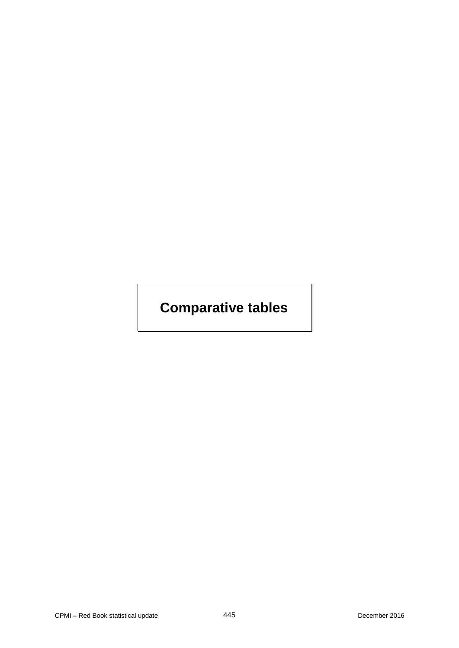# **Comparative tables**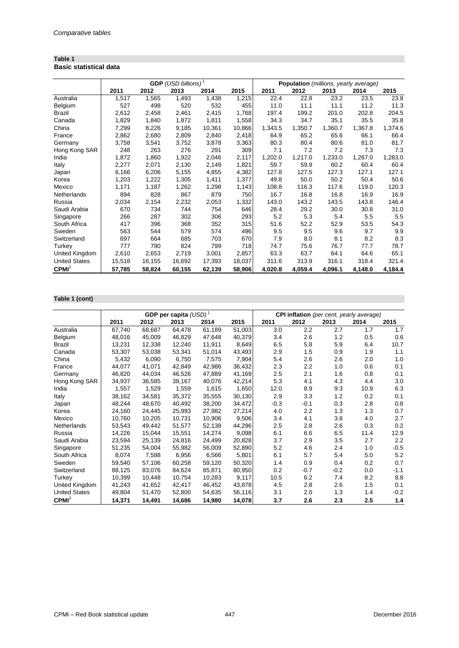#### **Table 1 Basic statistical data**

|                      |        |        | <b>GDP</b> (USD billions) <sup>1</sup> |        |        | Population (millions, yearly average) |         |         |         |         |
|----------------------|--------|--------|----------------------------------------|--------|--------|---------------------------------------|---------|---------|---------|---------|
|                      | 2011   | 2012   | 2013                                   | 2014   | 2015   | 2011                                  | 2012    | 2013    | 2014    | 2015    |
| Australia            | 1,517  | 1,565  | 1,493                                  | 1,438  | 1,215  | 22.4                                  | 22.8    | 23.2    | 23.5    | 23.8    |
| Belgium              | 527    | 498    | 520                                    | 532    | 455    | 11.0                                  | 11.1    | 11.1    | 11.2    | 11.3    |
| Brazil               | 2,612  | 2,458  | 2,461                                  | 2,415  | 1,768  | 197.4                                 | 199.2   | 201.0   | 202.8   | 204.5   |
| Canada               | 1,829  | 1,840  | 1,872                                  | 1,811  | 1,558  | 34.3                                  | 34.7    | 35.1    | 35.5    | 35.8    |
| China                | 7,299  | 8,226  | 9,185                                  | 10,361 | 10,866 | 1,343.5                               | 1,350.7 | 1,360.7 | 1,367.8 | 1,374.6 |
| France               | 2,862  | 2,680  | 2,809                                  | 2,840  | 2,418  | 64.9                                  | 65.2    | 65.6    | 66.1    | 66.4    |
| Germany              | 3,758  | 3,541  | 3,752                                  | 3,878  | 3,363  | 80.3                                  | 80.4    | 80.6    | 81.0    | 81.7    |
| Hong Kong SAR        | 248    | 263    | 276                                    | 291    | 309    | 7.1                                   | 7.2     | 7.2     | 7.3     | 7.3     |
| India                | 1,872  | 1,860  | 1,922                                  | 2,046  | 2,117  | 1,202.0                               | 1,217.0 | 1,233.0 | 1,267.0 | 1,283.0 |
| Italy                | 2,277  | 2,071  | 2,130                                  | 2,149  | 1,821  | 59.7                                  | 59.9    | 60.2    | 60.4    | 60.4    |
| Japan                | 6,166  | 6,206  | 5,155                                  | 4,855  | 4,382  | 127.8                                 | 127.5   | 127.3   | 127.1   | 127.1   |
| Korea                | 1,203  | 1,222  | 1,305                                  | 1,411  | 1,377  | 49.8                                  | 50.0    | 50.2    | 50.4    | 50.6    |
| Mexico               | 1,171  | 1,187  | 1,262                                  | 1,298  | 1,143  | 108.8                                 | 116.3   | 117.6   | 119.0   | 120.3   |
| Netherlands          | 894    | 828    | 867                                    | 879    | 750    | 16.7                                  | 16.8    | 16.8    | 16.9    | 16.9    |
| Russia               | 2,034  | 2,154  | 2,232                                  | 2,053  | 1,332  | 143.0                                 | 143.2   | 143.5   | 143.8   | 146.4   |
| Saudi Arabia         | 670    | 734    | 744                                    | 754    | 646    | 28.4                                  | 29.2    | 30.0    | 30.8    | 31.0    |
| Singapore            | 266    | 287    | 302                                    | 306    | 293    | 5.2                                   | 5.3     | 5.4     | 5.5     | 5.5     |
| South Africa         | 417    | 396    | 368                                    | 352    | 315    | 51.6                                  | 52.2    | 52.9    | 53.5    | 54.3    |
| Sweden               | 563    | 544    | 579                                    | 574    | 496    | 9.5                                   | 9.5     | 9.6     | 9.7     | 9.9     |
| Switzerland          | 697    | 664    | 685                                    | 703    | 670    | 7.9                                   | 8.0     | 8.1     | 8.2     | 8.3     |
| Turkey               | 777    | 790    | 824                                    | 799    | 718    | 74.7                                  | 75.6    | 76.7    | 77.7    | 78.7    |
| United Kingdom       | 2,610  | 2,653  | 2,719                                  | 3,001  | 2,857  | 63.3                                  | 63.7    | 64.1    | 64.6    | 65.1    |
| <b>United States</b> | 15,518 | 16,155 | 16,692                                 | 17,393 | 18,037 | 311.6                                 | 313.9   | 316.1   | 318.4   | 321.4   |
| CPMI <sup>2</sup>    | 57,785 | 58,824 | 60,155                                 | 62,139 | 58,906 | 4,020.8                               | 4,059.4 | 4,096.1 | 4,148.0 | 4,184.4 |

## **Table 1 (cont)**

|                      |        | GDP per capita $(USD)^1$ |        |        |        |        | CPI inflation (per cent, yearly average) |        |      |        |  |
|----------------------|--------|--------------------------|--------|--------|--------|--------|------------------------------------------|--------|------|--------|--|
|                      | 2011   | 2012                     | 2013   | 2014   | 2015   | 2011   | 2012                                     | 2013   | 2014 | 2015   |  |
| Australia            | 67,740 | 68,687                   | 64,478 | 61,189 | 51,003 | 3.0    | 2.2                                      | 2.7    | 1.7  | 1.7    |  |
| Belgium              | 48,016 | 45,009                   | 46,829 | 47,648 | 40,379 | 3.4    | 2.6                                      | 1.2    | 0.5  | 0.6    |  |
| Brazil               | 13,231 | 12,338                   | 12,240 | 11,911 | 8,649  | 6.5    | 5.8                                      | 5.9    | 6.4  | 10.7   |  |
| Canada               | 53,307 | 53,038                   | 53,341 | 51,014 | 43,493 | 2.9    | 1.5                                      | 0.9    | 1.9  | 1.1    |  |
| China                | 5,432  | 6,090                    | 6,750  | 7,575  | 7,904  | 5.4    | 2.6                                      | 2.6    | 2.0  | 1.0    |  |
| France               | 44,077 | 41,071                   | 42,849 | 42,986 | 36,432 | 2.3    | 2.2                                      | 1.0    | 0.6  | 0.1    |  |
| Germany              | 46,820 | 44,034                   | 46,526 | 47,889 | 41,169 | 2.5    | 2.1                                      | 1.6    | 0.8  | 0.1    |  |
| Hong Kong SAR        | 34,937 | 36,585                   | 38,167 | 40,076 | 42,214 | 5.3    | 4.1                                      | 4.3    | 4.4  | 3.0    |  |
| India                | 1,557  | 1,529                    | 1,559  | 1,615  | 1,650  | 12.0   | 8.9                                      | 9.3    | 10.9 | 6.3    |  |
| Italy                | 38,162 | 34,581                   | 35,372 | 35,555 | 30,130 | 2.9    | 3.3                                      | 1.2    | 0.2  | 0.1    |  |
| Japan                | 48,244 | 48,670                   | 40,492 | 38,200 | 34,472 | $-0.3$ | $-0.1$                                   | 0.3    | 2.8  | 0.8    |  |
| Korea                | 24,160 | 24,445                   | 25,993 | 27,982 | 27,214 | 4.0    | 2.2                                      | 1.3    | 1.3  | 0.7    |  |
| Mexico               | 10,760 | 10,205                   | 10,731 | 10,906 | 9,506  | 3.4    | 4.1                                      | 3.8    | 4.0  | 2.7    |  |
| Netherlands          | 53,543 | 49,442                   | 51,577 | 52,138 | 44,296 | 2.5    | 2.8                                      | 2.6    | 0.3  | 0.2    |  |
| Russia               | 14,226 | 15,044                   | 15,551 | 14,274 | 9,098  | 6.1    | 6.6                                      | 6.5    | 11.4 | 12.9   |  |
| Saudi Arabia         | 23,594 | 25,139                   | 24,816 | 24,499 | 20,828 | 3.7    | 2.9                                      | 3.5    | 2.7  | 2.2    |  |
| Singapore            | 51,235 | 54,004                   | 55,982 | 56,009 | 52,890 | 5.2    | 4.6                                      | 2.4    | 1.0  | $-0.5$ |  |
| South Africa         | 8,074  | 7,588                    | 6,956  | 6,566  | 5,801  | 6.1    | 5.7                                      | 5.4    | 5.0  | 5.2    |  |
| Sweden               | 59,540 | 57,106                   | 60,258 | 59,120 | 50,320 | 1.4    | 0.9                                      | 0.4    | 0.2  | 0.7    |  |
| Switzerland          | 88,125 | 83,076                   | 84,624 | 85,871 | 80,950 | 0.2    | $-0.7$                                   | $-0.2$ | 0.0  | $-1.1$ |  |
| Turkey               | 10,399 | 10,448                   | 10,754 | 10,283 | 9,117  | 10.5   | 6.2                                      | 7.4    | 8.2  | 8.8    |  |
| United Kingdom       | 41,243 | 41,652                   | 42,417 | 46,452 | 43,878 | 4.5    | 2.8                                      | 2.6    | 1.5  | 0.1    |  |
| <b>United States</b> | 49,804 | 51,470                   | 52,800 | 54,635 | 56,116 | 3.1    | 2.0                                      | 1.3    | 1.4  | $-0.2$ |  |
| CPMI <sup>2</sup>    | 14,371 | 14,491                   | 14,686 | 14,980 | 14,078 | 3.7    | 2.6                                      | 2.3    | 2.5  | 1.4    |  |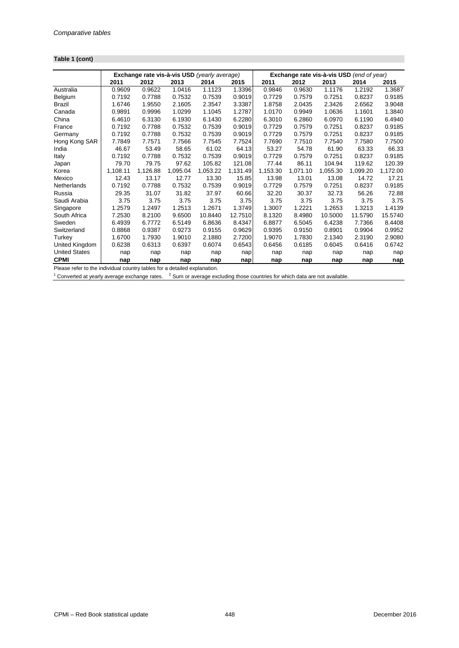## **Table 1 (cont)**

|                      | Exchange rate vis-à-vis USD (yearly average) |          |          |          |          | Exchange rate vis-à-vis USD (end of year) |          |          |          |          |  |
|----------------------|----------------------------------------------|----------|----------|----------|----------|-------------------------------------------|----------|----------|----------|----------|--|
|                      | 2011                                         | 2012     | 2013     | 2014     | 2015     | 2011                                      | 2012     | 2013     | 2014     | 2015     |  |
| Australia            | 0.9609                                       | 0.9622   | 1.0416   | 1.1123   | 1.3396   | 0.9846                                    | 0.9630   | 1.1176   | 1.2192   | 1.3687   |  |
| Belgium              | 0.7192                                       | 0.7788   | 0.7532   | 0.7539   | 0.9019   | 0.7729                                    | 0.7579   | 0.7251   | 0.8237   | 0.9185   |  |
| Brazil               | 1.6746                                       | 1.9550   | 2.1605   | 2.3547   | 3.3387   | 1.8758                                    | 2.0435   | 2.3426   | 2.6562   | 3.9048   |  |
| Canada               | 0.9891                                       | 0.9996   | 1.0299   | 1.1045   | 1.2787   | 1.0170                                    | 0.9949   | 1.0636   | 1.1601   | 1.3840   |  |
| China                | 6.4610                                       | 6.3130   | 6.1930   | 6.1430   | 6.2280   | 6.3010                                    | 6.2860   | 6.0970   | 6.1190   | 6.4940   |  |
| France               | 0.7192                                       | 0.7788   | 0.7532   | 0.7539   | 0.9019   | 0.7729                                    | 0.7579   | 0.7251   | 0.8237   | 0.9185   |  |
| Germany              | 0.7192                                       | 0.7788   | 0.7532   | 0.7539   | 0.9019   | 0.7729                                    | 0.7579   | 0.7251   | 0.8237   | 0.9185   |  |
| Hong Kong SAR        | 7.7849                                       | 7.7571   | 7.7566   | 7.7545   | 7.7524   | 7.7690                                    | 7.7510   | 7.7540   | 7.7580   | 7.7500   |  |
| India                | 46.67                                        | 53.49    | 58.65    | 61.02    | 64.13    | 53.27                                     | 54.78    | 61.90    | 63.33    | 66.33    |  |
| Italy                | 0.7192                                       | 0.7788   | 0.7532   | 0.7539   | 0.9019   | 0.7729                                    | 0.7579   | 0.7251   | 0.8237   | 0.9185   |  |
| Japan                | 79.70                                        | 79.75    | 97.62    | 105.82   | 121.08   | 77.44                                     | 86.11    | 104.94   | 119.62   | 120.39   |  |
| Korea                | 1,108.11                                     | 1,126.88 | 1,095.04 | 1,053.22 | 1,131.49 | 1,153.30                                  | 1,071.10 | 1,055.30 | 1,099.20 | 1,172.00 |  |
| Mexico               | 12.43                                        | 13.17    | 12.77    | 13.30    | 15.85    | 13.98                                     | 13.01    | 13.08    | 14.72    | 17.21    |  |
| Netherlands          | 0.7192                                       | 0.7788   | 0.7532   | 0.7539   | 0.9019   | 0.7729                                    | 0.7579   | 0.7251   | 0.8237   | 0.9185   |  |
| Russia               | 29.35                                        | 31.07    | 31.82    | 37.97    | 60.66    | 32.20                                     | 30.37    | 32.73    | 56.26    | 72.88    |  |
| Saudi Arabia         | 3.75                                         | 3.75     | 3.75     | 3.75     | 3.75     | 3.75                                      | 3.75     | 3.75     | 3.75     | 3.75     |  |
| Singapore            | 1.2579                                       | 1.2497   | 1.2513   | 1.2671   | 1.3749   | 1.3007                                    | 1.2221   | 1.2653   | 1.3213   | 1.4139   |  |
| South Africa         | 7.2530                                       | 8.2100   | 9.6500   | 10.8440  | 12.7510  | 8.1320                                    | 8.4980   | 10.5000  | 11.5790  | 15.5740  |  |
| Sweden               | 6.4939                                       | 6.7772   | 6.5149   | 6.8636   | 8.4347   | 6.8877                                    | 6.5045   | 6.4238   | 7.7366   | 8.4408   |  |
| Switzerland          | 0.8868                                       | 0.9387   | 0.9273   | 0.9155   | 0.9629   | 0.9395                                    | 0.9150   | 0.8901   | 0.9904   | 0.9952   |  |
| Turkey               | 1.6700                                       | 1.7930   | 1.9010   | 2.1880   | 2.7200   | 1.9070                                    | 1.7830   | 2.1340   | 2.3190   | 2.9080   |  |
| United Kingdom       | 0.6238                                       | 0.6313   | 0.6397   | 0.6074   | 0.6543   | 0.6456                                    | 0.6185   | 0.6045   | 0.6416   | 0.6742   |  |
| <b>United States</b> | nap                                          | nap      | nap      | nap      | nap      | nap                                       | nap      | nap      | nap      | nap      |  |
| <b>CPMI</b>          | nap                                          | nap      | nap      | nap      | nap      | nap                                       | nap      | nap      | nap      | nap      |  |

Please refer to the individual country tables for a detailed explanation.<br><sup>1</sup> Converted at yearly average exchange rates. <sup>2</sup> Sum or average excluding those countries for which data are not available.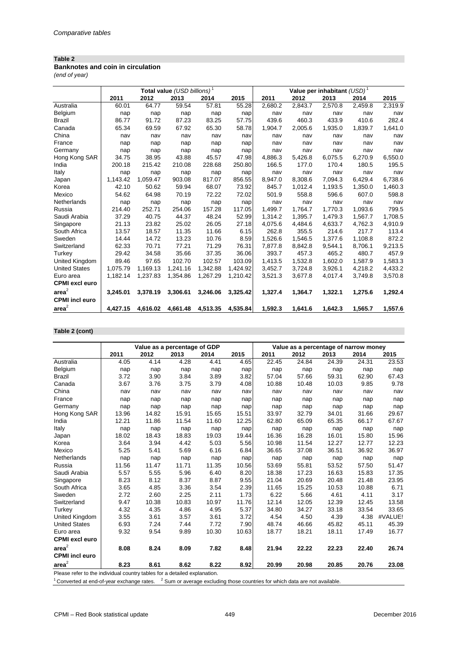#### **Banknotes and coin in circulation**

*(end of year)*

|                       |          | Total value (USD billions) <sup>1</sup> |          |          |          |         | Value per inhabitant $(USD)^1$ |         |         |         |  |
|-----------------------|----------|-----------------------------------------|----------|----------|----------|---------|--------------------------------|---------|---------|---------|--|
|                       | 2011     | 2012                                    | 2013     | 2014     | 2015     | 2011    | 2012                           | 2013    | 2014    | 2015    |  |
| Australia             | 60.01    | 64.77                                   | 59.54    | 57.81    | 55.28    | 2,680.2 | 2,843.7                        | 2,570.8 | 2,459.8 | 2,319.9 |  |
| Belgium               | nap      | nap                                     | nap      | nap      | nap      | nav     | nav                            | nav     | nav     | nav     |  |
| <b>Brazil</b>         | 86.77    | 91.72                                   | 87.23    | 83.25    | 57.75    | 439.6   | 460.3                          | 433.9   | 410.6   | 282.4   |  |
| Canada                | 65.34    | 69.59                                   | 67.92    | 65.30    | 58.78    | 1,904.7 | 2,005.6                        | 1,935.0 | 1,839.7 | 1,641.0 |  |
| China                 | nav      | nav                                     | nav      | nav      | nav      | nav     | nav                            | nav     | nav     | nav     |  |
| France                | nap      | nap                                     | nap      | nap      | nap      | nav     | nav                            | nav     | nav     | nav     |  |
| Germany               | nap      | nap                                     | nap      | nap      | nap      | nav     | nav                            | nav     | nav     | nav     |  |
| Hong Kong SAR         | 34.75    | 38.95                                   | 43.88    | 45.57    | 47.98    | 4,886.3 | 5,426.8                        | 6,075.5 | 6,270.9 | 6,550.0 |  |
| India                 | 200.18   | 215.42                                  | 210.08   | 228.68   | 250.80   | 166.5   | 177.0                          | 170.4   | 180.5   | 195.5   |  |
| Italy                 | nap      | nap                                     | nap      | nap      | nap      | nav     | nav                            | nav     | nav     | nav     |  |
| Japan                 | 1,143.42 | 1,059.47                                | 903.08   | 817.07   | 856.55   | 8,947.0 | 8.308.6                        | 7.094.3 | 6.429.4 | 6,738.6 |  |
| Korea                 | 42.10    | 50.62                                   | 59.94    | 68.07    | 73.92    | 845.7   | 1,012.4                        | 1,193.5 | 1,350.0 | 1,460.3 |  |
| Mexico                | 54.62    | 64.98                                   | 70.19    | 72.22    | 72.02    | 501.9   | 558.8                          | 596.6   | 607.0   | 598.8   |  |
| Netherlands           | nap      | nap                                     | nap      | nap      | nap      | nav     | nav                            | nav     | nav     | nav     |  |
| Russia                | 214.40   | 252.71                                  | 254.06   | 157.28   | 117.05   | 1,499.7 | 1,764.7                        | 1,770.3 | 1,093.6 | 799.5   |  |
| Saudi Arabia          | 37.29    | 40.75                                   | 44.37    | 48.24    | 52.99    | 1,314.2 | 1,395.7                        | 1,479.3 | 1,567.7 | 1,708.5 |  |
| Singapore             | 21.13    | 23.82                                   | 25.02    | 26.05    | 27.18    | 4,075.6 | 4,484.6                        | 4,633.7 | 4,762.3 | 4,910.9 |  |
| South Africa          | 13.57    | 18.57                                   | 11.35    | 11.66    | 6.15     | 262.8   | 355.5                          | 214.6   | 217.7   | 113.4   |  |
| Sweden                | 14.44    | 14.72                                   | 13.23    | 10.76    | 8.59     | 1.526.6 | 1.546.5                        | 1.377.6 | 1.108.8 | 872.2   |  |
| Switzerland           | 62.33    | 70.71                                   | 77.21    | 71.29    | 76.31    | 7,877.8 | 8,842.8                        | 9,544.1 | 8,706.1 | 9,213.5 |  |
| Turkey                | 29.42    | 34.58                                   | 35.66    | 37.35    | 36.06    | 393.7   | 457.3                          | 465.2   | 480.7   | 457.9   |  |
| United Kingdom        | 89.46    | 97.65                                   | 102.70   | 102.57   | 103.09   | 1,413.5 | 1,532.8                        | 1,602.0 | 1,587.9 | 1,583.3 |  |
| <b>United States</b>  | 1,075.79 | 1.169.13                                | 1.241.16 | 1.342.88 | 1.424.92 | 3.452.7 | 3,724.8                        | 3,926.1 | 4,218.2 | 4,433.2 |  |
| Euro area             | 1,182.14 | 1,237.83                                | 1,354.86 | 1,267.29 | 1,210.42 | 3,521.3 | 3,677.8                        | 4,017.4 | 3,749.8 | 3,570.8 |  |
| <b>CPMI</b> excl euro |          |                                         |          |          |          |         |                                |         |         |         |  |
| area <sup>2</sup>     | 3,245.01 | 3,378.19                                | 3,306.61 | 3,246.06 | 3,325.42 | 1,327.4 | 1,364.7                        | 1,322.1 | 1,275.6 | 1,292.4 |  |
| <b>CPMI</b> incl euro |          |                                         |          |          |          |         |                                |         |         |         |  |
| area <sup>2</sup>     | 4,427.15 | 4,616.02                                | 4,661.48 | 4,513.35 | 4,535.84 | 1,592.3 | 1,641.6                        | 1,642.3 | 1,565.7 | 1,557.6 |  |

## **Table 2 (cont)**

|                                                                           |       | Value as a percentage of GDP |       |       |       | Value as a percentage of narrow money |       |       |       |         |
|---------------------------------------------------------------------------|-------|------------------------------|-------|-------|-------|---------------------------------------|-------|-------|-------|---------|
|                                                                           | 2011  | 2012                         | 2013  | 2014  | 2015  | 2011                                  | 2012  | 2013  | 2014  | 2015    |
| Australia                                                                 | 4.05  | 4.14                         | 4.28  | 4.41  | 4.65  | 22.45                                 | 24.84 | 24.39 | 24.31 | 23.53   |
| Belgium                                                                   | nap   | nap                          | nap   | nap   | nap   | nap                                   | nap   | nap   | nap   | nap     |
| <b>Brazil</b>                                                             | 3.72  | 3.90                         | 3.84  | 3.89  | 3.82  | 57.04                                 | 57.66 | 59.31 | 62.90 | 67.43   |
| Canada                                                                    | 3.67  | 3.76                         | 3.75  | 3.79  | 4.08  | 10.88                                 | 10.48 | 10.03 | 9.85  | 9.78    |
| China                                                                     | nav   | nav                          | nav   | nav   | nav   | nav                                   | nav   | nav   | nav   | nav     |
| France                                                                    | nap   | nap                          | nap   | nap   | nap   | nap                                   | nap   | nap   | nap   | nap     |
| Germany                                                                   | nap   | nap                          | nap   | nap   | nap   | nap                                   | nap   | nap   | nap   | nap     |
| Hong Kong SAR                                                             | 13.96 | 14.82                        | 15.91 | 15.65 | 15.51 | 33.97                                 | 32.79 | 34.01 | 31.66 | 29.67   |
| India                                                                     | 12.21 | 11.86                        | 11.54 | 11.60 | 12.25 | 62.80                                 | 65.09 | 65.35 | 66.17 | 67.67   |
| Italy                                                                     | nap   | nap                          | nap   | nap   | nap   | nap                                   | nap   | nap   | nap   | nap     |
| Japan                                                                     | 18.02 | 18.43                        | 18.83 | 19.03 | 19.44 | 16.36                                 | 16.28 | 16.01 | 15.80 | 15.96   |
| Korea                                                                     | 3.64  | 3.94                         | 4.42  | 5.03  | 5.56  | 10.98                                 | 11.54 | 12.27 | 12.77 | 12.23   |
| Mexico                                                                    | 5.25  | 5.41                         | 5.69  | 6.16  | 6.84  | 36.65                                 | 37.08 | 36.51 | 36.92 | 36.97   |
| Netherlands                                                               | nap   | nap                          | nap   | nap   | nap   | nap                                   | nap   | nap   | nap   | nap     |
| Russia                                                                    | 11.56 | 11.47                        | 11.71 | 11.35 | 10.56 | 53.69                                 | 55.81 | 53.52 | 57.50 | 51.47   |
| Saudi Arabia                                                              | 5.57  | 5.55                         | 5.96  | 6.40  | 8.20  | 18.38                                 | 17.23 | 16.63 | 15.83 | 17.35   |
| Singapore                                                                 | 8.23  | 8.12                         | 8.37  | 8.87  | 9.55  | 21.04                                 | 20.69 | 20.48 | 21.48 | 23.95   |
| South Africa                                                              | 3.65  | 4.85                         | 3.36  | 3.54  | 2.39  | 11.65                                 | 15.25 | 10.53 | 10.88 | 6.71    |
| Sweden                                                                    | 2.72  | 2.60                         | 2.25  | 2.11  | 1.73  | 6.22                                  | 5.66  | 4.61  | 4.11  | 3.17    |
| Switzerland                                                               | 9.47  | 10.38                        | 10.83 | 10.97 | 11.76 | 12.14                                 | 12.05 | 12.39 | 12.45 | 13.58   |
| Turkey                                                                    | 4.32  | 4.35                         | 4.86  | 4.95  | 5.37  | 34.80                                 | 34.27 | 33.18 | 33.54 | 33.65   |
| United Kingdom                                                            | 3.55  | 3.61                         | 3.57  | 3.61  | 3.72  | 4.54                                  | 4.50  | 4.39  | 4.38  | #VALUE! |
| <b>United States</b>                                                      | 6.93  | 7.24                         | 7.44  | 7.72  | 7.90  | 48.74                                 | 46.66 | 45.82 | 45.11 | 45.39   |
| Euro area                                                                 | 9.32  | 9.54                         | 9.89  | 10.30 | 10.63 | 18.77                                 | 18.21 | 18.11 | 17.49 | 16.77   |
| <b>CPMI</b> excl euro                                                     |       |                              |       |       |       |                                       |       |       |       |         |
| area <sup>2</sup>                                                         | 8.08  | 8.24                         | 8.09  | 7.82  | 8.48  | 21.94                                 | 22.22 | 22.23 | 22.40 | 26.74   |
| <b>CPMI</b> incl euro                                                     |       |                              |       |       |       |                                       |       |       |       |         |
| area <sup>2</sup>                                                         | 8.23  | 8.61                         | 8.62  | 8.22  | 8.92  | 20.99                                 | 20.98 | 20.85 | 20.76 | 23.08   |
| Please refer to the individual country tables for a detailed explanation. |       |                              |       |       |       |                                       |       |       |       |         |

 $1$  Converted at end-of-year exchange rates.  $2$  Sum or average excluding those countries for which data are not available.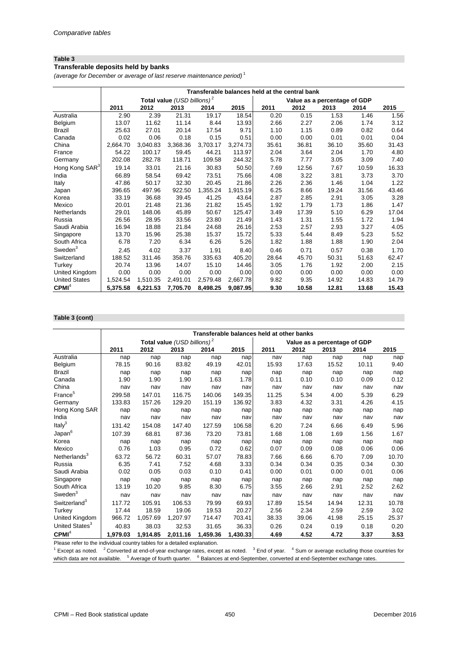#### **Table 3 Transferable deposits held by banks**

*(average for December or average of last reserve maintenance period)* <sup>1</sup>

|                            |          |          |                                         |          |          | Transferable balances held at the central bank |                              |       |       |       |
|----------------------------|----------|----------|-----------------------------------------|----------|----------|------------------------------------------------|------------------------------|-------|-------|-------|
|                            |          |          | Total value (USD billions) <sup>2</sup> |          |          |                                                | Value as a percentage of GDP |       |       |       |
|                            | 2011     | 2012     | 2013                                    | 2014     | 2015     | 2011                                           | 2012                         | 2013  | 2014  | 2015  |
| Australia                  | 2.90     | 2.39     | 21.31                                   | 19.17    | 18.54    | 0.20                                           | 0.15                         | 1.53  | 1.46  | 1.56  |
| Belgium                    | 13.07    | 11.62    | 11.14                                   | 8.44     | 13.93    | 2.66                                           | 2.27                         | 2.06  | 1.74  | 3.12  |
| Brazil                     | 25.63    | 27.01    | 20.14                                   | 17.54    | 9.71     | 1.10                                           | 1.15                         | 0.89  | 0.82  | 0.64  |
| Canada                     | 0.02     | 0.06     | 0.18                                    | 0.15     | 0.51     | 0.00                                           | 0.00                         | 0.01  | 0.01  | 0.04  |
| China                      | 2,664.70 | 3,040.83 | 3,368.36                                | 3,703.17 | 3,274.73 | 35.61                                          | 36.81                        | 36.10 | 35.60 | 31.43 |
| France                     | 54.22    | 100.17   | 59.45                                   | 44.21    | 113.97   | 2.04                                           | 3.64                         | 2.04  | 1.70  | 4.80  |
| Germany                    | 202.08   | 282.78   | 118.71                                  | 109.58   | 244.32   | 5.78                                           | 7.77                         | 3.05  | 3.09  | 7.40  |
| Hong Kong SAR <sup>3</sup> | 19.14    | 33.01    | 21.16                                   | 30.83    | 50.50    | 7.69                                           | 12.56                        | 7.67  | 10.59 | 16.33 |
| India                      | 66.89    | 58.54    | 69.42                                   | 73.51    | 75.66    | 4.08                                           | 3.22                         | 3.81  | 3.73  | 3.70  |
| Italy                      | 47.86    | 50.17    | 32.30                                   | 20.45    | 21.86    | 2.26                                           | 2.36                         | 1.46  | 1.04  | 1.22  |
| Japan                      | 396.65   | 497.96   | 922.50                                  | 1,355.24 | 1,915.19 | 6.25                                           | 8.66                         | 19.24 | 31.56 | 43.46 |
| Korea                      | 33.19    | 36.68    | 39.45                                   | 41.25    | 43.64    | 2.87                                           | 2.85                         | 2.91  | 3.05  | 3.28  |
| Mexico                     | 20.01    | 21.48    | 21.36                                   | 21.82    | 15.45    | 1.92                                           | 1.79                         | 1.73  | 1.86  | 1.47  |
| Netherlands                | 29.01    | 148.06   | 45.89                                   | 50.67    | 125.47   | 3.49                                           | 17.39                        | 5.10  | 6.29  | 17.04 |
| Russia                     | 26.56    | 28.95    | 33.56                                   | 23.80    | 21.49    | 1.43                                           | 1.31                         | 1.55  | 1.72  | 1.94  |
| Saudi Arabia               | 16.94    | 18.88    | 21.84                                   | 24.68    | 26.16    | 2.53                                           | 2.57                         | 2.93  | 3.27  | 4.05  |
| Singapore                  | 13.70    | 15.96    | 25.38                                   | 15.37    | 15.72    | 5.33                                           | 5.44                         | 8.49  | 5.23  | 5.52  |
| South Africa               | 6.78     | 7.20     | 6.34                                    | 6.26     | 5.26     | 1.82                                           | 1.88                         | 1.88  | 1.90  | 2.04  |
| $S$ weden $3$              | 2.45     | 4.02     | 3.37                                    | 1.91     | 8.40     | 0.46                                           | 0.71                         | 0.57  | 0.38  | 1.70  |
| Switzerland                | 188.52   | 311.46   | 358.76                                  | 335.63   | 405.20   | 28.64                                          | 45.70                        | 50.31 | 51.63 | 62.47 |
| Turkey                     | 20.74    | 13.96    | 14.07                                   | 15.10    | 14.46    | 3.05                                           | 1.76                         | 1.92  | 2.00  | 2.15  |
| United Kingdom             | 0.00     | 0.00     | 0.00                                    | 0.00     | 0.00     | 0.00                                           | 0.00                         | 0.00  | 0.00  | 0.00  |
| <b>United States</b>       | 1,524.54 | 1,510.35 | 2,491.01                                | 2,579.48 | 2,667.78 | 9.82                                           | 9.35                         | 14.92 | 14.83 | 14.79 |
| CPMI <sup>4</sup>          | 5,375.58 | 6,221.53 | 7.705.70                                | 8.498.25 | 9.087.95 | 9.30                                           | 10.58                        | 12.81 | 13.68 | 15.43 |

#### **Table 3 (cont)**

|                            | Transferable balances held at other banks |          |                                |          |          |       |                              |       |       |       |  |
|----------------------------|-------------------------------------------|----------|--------------------------------|----------|----------|-------|------------------------------|-------|-------|-------|--|
|                            |                                           |          | Total value $(USD~billions)^2$ |          |          |       | Value as a percentage of GDP |       |       |       |  |
|                            | 2011                                      | 2012     | 2013                           | 2014     | 2015     | 2011  | 2012                         | 2013  | 2014  | 2015  |  |
| Australia                  | nap                                       | nap      | nap                            | nap      | nap      | nav   | nap                          | nap   | nap   | nap   |  |
| Belgium                    | 78.15                                     | 90.16    | 83.82                          | 49.19    | 42.01    | 15.93 | 17.63                        | 15.52 | 10.11 | 9.40  |  |
| Brazil                     | nap                                       | nap      | nap                            | nap      | nap      | nap   | nap                          | nap   | nap   | nap   |  |
| Canada                     | 1.90                                      | 1.90     | 1.90                           | 1.63     | 1.78     | 0.11  | 0.10                         | 0.10  | 0.09  | 0.12  |  |
| China                      | nav                                       | nav      | nav                            | nav      | nav      | nav   | nav                          | nav   | nav   | nav   |  |
| France <sup>5</sup>        | 299.58                                    | 147.01   | 116.75                         | 140.06   | 149.35   | 11.25 | 5.34                         | 4.00  | 5.39  | 6.29  |  |
| Germany                    | 133.83                                    | 157.26   | 129.20                         | 151.19   | 136.92   | 3.83  | 4.32                         | 3.31  | 4.26  | 4.15  |  |
| Hong Kong SAR              | nap                                       | nap      | nap                            | nap      | nap      | nap   | nap                          | nap   | nap   | nap   |  |
| India                      | nav                                       | nav      | nav                            | nav      | nav      | nav   | nav                          | nav   | nav   | nav   |  |
| Italy <sup>3</sup>         | 131.42                                    | 154.08   | 147.40                         | 127.59   | 106.58   | 6.20  | 7.24                         | 6.66  | 6.49  | 5.96  |  |
| Japan <sup>6</sup>         | 107.39                                    | 68.81    | 87.36                          | 73.20    | 73.81    | 1.68  | 1.08                         | 1.69  | 1.56  | 1.67  |  |
| Korea                      | nap                                       | nap      | nap                            | nap      | nap      | nap   | nap                          | nap   | nap   | nap   |  |
| Mexico                     | 0.76                                      | 1.03     | 0.95                           | 0.72     | 0.62     | 0.07  | 0.09                         | 0.08  | 0.06  | 0.06  |  |
| Netherlands <sup>3</sup>   | 63.72                                     | 56.72    | 60.31                          | 57.07    | 78.83    | 7.66  | 6.66                         | 6.70  | 7.09  | 10.70 |  |
| Russia                     | 6.35                                      | 7.41     | 7.52                           | 4.68     | 3.33     | 0.34  | 0.34                         | 0.35  | 0.34  | 0.30  |  |
| Saudi Arabia               | 0.02                                      | 0.05     | 0.03                           | 0.10     | 0.41     | 0.00  | 0.01                         | 0.00  | 0.01  | 0.06  |  |
| Singapore                  | nap                                       | nap      | nap                            | nap      | nap      | nap   | nap                          | nap   | nap   | nap   |  |
| South Africa               | 13.19                                     | 10.20    | 9.85                           | 8.30     | 6.75     | 3.55  | 2.66                         | 2.91  | 2.52  | 2.62  |  |
| $S$ weden $3$              | nav                                       | nav      | nav                            | nav      | nav      | nav   | nav                          | nav   | nav   | nav   |  |
| Switzerland <sup>3</sup>   | 117.72                                    | 105.91   | 106.53                         | 79.99    | 69.93    | 17.89 | 15.54                        | 14.94 | 12.31 | 10.78 |  |
| Turkey                     | 17.44                                     | 18.59    | 19.06                          | 19.53    | 20.27    | 2.56  | 2.34                         | 2.59  | 2.59  | 3.02  |  |
| United Kingdom             | 966.72                                    | 1,057.69 | 1,207.97                       | 714.47   | 703.41   | 38.33 | 39.06                        | 41.98 | 25.15 | 25.37 |  |
| United States <sup>3</sup> | 40.83                                     | 38.03    | 32.53                          | 31.65    | 36.33    | 0.26  | 0.24                         | 0.19  | 0.18  | 0.20  |  |
| CPMI <sup>4</sup>          | 1,979.03                                  | 1,914.85 | 2,011.16                       | 1,459.36 | 1,430.33 | 4.69  | 4.52                         | 4.72  | 3.37  | 3.53  |  |

Please refer to the individual country tables for a detailed explanation.

 $1$  Except as noted.  $2$  Converted at end-of-year exchange rates, except as noted.  $3$  End of year.  $4$  Sum or average excluding those countries for which data are not available. <sup>5</sup> Average of fourth quarter. <sup>6</sup> Balances at end-September, converted at end-September exchange rates.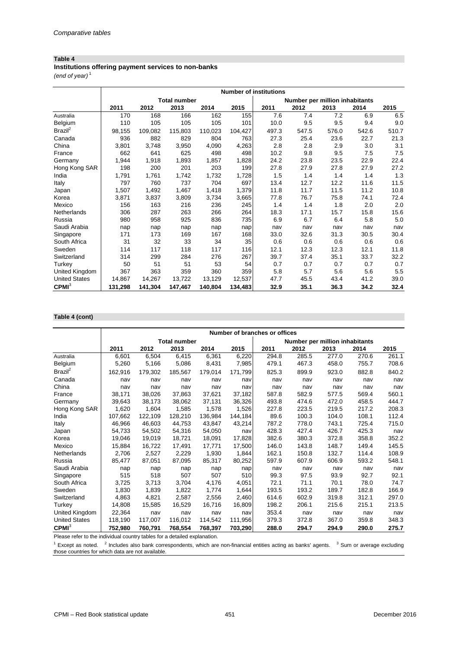**Institutions offering payment services to non-banks**

*(end of year)* <sup>1</sup>

|                      |         | <b>Number of institutions</b> |                     |         |         |       |                                |       |       |       |  |  |
|----------------------|---------|-------------------------------|---------------------|---------|---------|-------|--------------------------------|-------|-------|-------|--|--|
|                      |         |                               | <b>Total number</b> |         |         |       | Number per million inhabitants |       |       |       |  |  |
|                      | 2011    | 2012                          | 2013                | 2014    | 2015    | 2011  | 2012                           | 2013  | 2014  | 2015  |  |  |
| Australia            | 170     | 168                           | 166                 | 162     | 155     | 7.6   | 7.4                            | 7.2   | 6.9   | 6.5   |  |  |
| Belgium              | 110     | 105                           | 105                 | 105     | 101     | 10.0  | 9.5                            | 9.5   | 9.4   | 9.0   |  |  |
| Brazil <sup>2</sup>  | 98,155  | 109,082                       | 115,803             | 110,023 | 104,427 | 497.3 | 547.5                          | 576.0 | 542.6 | 510.7 |  |  |
| Canada               | 936     | 882                           | 829                 | 804     | 763     | 27.3  | 25.4                           | 23.6  | 22.7  | 21.3  |  |  |
| China                | 3,801   | 3,748                         | 3,950               | 4,090   | 4,263   | 2.8   | 2.8                            | 2.9   | 3.0   | 3.1   |  |  |
| France               | 662     | 641                           | 625                 | 498     | 498     | 10.2  | 9.8                            | 9.5   | 7.5   | 7.5   |  |  |
| Germany              | 1.944   | 1,918                         | 1,893               | 1,857   | 1,828   | 24.2  | 23.8                           | 23.5  | 22.9  | 22.4  |  |  |
| Hong Kong SAR        | 198     | 200                           | 201                 | 203     | 199     | 27.8  | 27.9                           | 27.8  | 27.9  | 27.2  |  |  |
| India                | 1,791   | 1,761                         | 1,742               | 1,732   | 1,728   | 1.5   | 1.4                            | 1.4   | 1.4   | 1.3   |  |  |
| Italy                | 797     | 760                           | 737                 | 704     | 697     | 13.4  | 12.7                           | 12.2  | 11.6  | 11.5  |  |  |
| Japan                | 1,507   | 1,492                         | 1,467               | 1,418   | 1,379   | 11.8  | 11.7                           | 11.5  | 11.2  | 10.8  |  |  |
| Korea                | 3,871   | 3,837                         | 3,809               | 3,734   | 3,665   | 77.8  | 76.7                           | 75.8  | 74.1  | 72.4  |  |  |
| Mexico               | 156     | 163                           | 216                 | 236     | 245     | 1.4   | 1.4                            | 1.8   | 2.0   | 2.0   |  |  |
| Netherlands          | 306     | 287                           | 263                 | 266     | 264     | 18.3  | 17.1                           | 15.7  | 15.8  | 15.6  |  |  |
| Russia               | 980     | 958                           | 925                 | 836     | 735     | 6.9   | 6.7                            | 6.4   | 5.8   | 5.0   |  |  |
| Saudi Arabia         | nap     | nap                           | nap                 | nap     | nap     | nav   | nav                            | nav   | nav   | nav   |  |  |
| Singapore            | 171     | 173                           | 169                 | 167     | 168     | 33.0  | 32.6                           | 31.3  | 30.5  | 30.4  |  |  |
| South Africa         | 31      | 32                            | 33                  | 34      | 35      | 0.6   | 0.6                            | 0.6   | 0.6   | 0.6   |  |  |
| Sweden               | 114     | 117                           | 118                 | 117     | 116     | 12.1  | 12.3                           | 12.3  | 12.1  | 11.8  |  |  |
| Switzerland          | 314     | 299                           | 284                 | 276     | 267     | 39.7  | 37.4                           | 35.1  | 33.7  | 32.2  |  |  |
| Turkey               | 50      | 51                            | 51                  | 53      | 54      | 0.7   | 0.7                            | 0.7   | 0.7   | 0.7   |  |  |
| United Kingdom       | 367     | 363                           | 359                 | 360     | 359     | 5.8   | 5.7                            | 5.6   | 5.6   | 5.5   |  |  |
| <b>United States</b> | 14,867  | 14,267                        | 13,722              | 13,129  | 12,537  | 47.7  | 45.5                           | 43.4  | 41.2  | 39.0  |  |  |
| CPMI <sup>3</sup>    | 131,298 | 141,304                       | 147,467             | 140,804 | 134,483 | 32.9  | 35.1                           | 36.3  | 34.2  | 32.4  |  |  |

## **Table 4 (cont)**

|                      | Number of branches or offices |         |                     |         |         |       |                                |       |       |       |  |
|----------------------|-------------------------------|---------|---------------------|---------|---------|-------|--------------------------------|-------|-------|-------|--|
|                      |                               |         | <b>Total number</b> |         |         |       | Number per million inhabitants |       |       |       |  |
|                      | 2011                          | 2012    | 2013                | 2014    | 2015    | 2011  | 2012                           | 2013  | 2014  | 2015  |  |
| Australia            | 6.601                         | 6.504   | 6.415               | 6.361   | 6,220   | 294.8 | 285.5                          | 277.0 | 270.6 | 261.1 |  |
| Belgium              | 5,260                         | 5,166   | 5,086               | 8,431   | 7,985   | 479.1 | 467.3                          | 458.0 | 755.7 | 708.6 |  |
| Brazil <sup>2</sup>  | 162,916                       | 179,302 | 185,567             | 179.014 | 171,799 | 825.3 | 899.9                          | 923.0 | 882.8 | 840.2 |  |
| Canada               | nav                           | nav     | nav                 | nav     | nav     | nav   | nav                            | nav   | nav   | nav   |  |
| China                | nav                           | nav     | nav                 | nav     | nav     | nav   | nav                            | nav   | nav   | nav   |  |
| France               | 38,171                        | 38,026  | 37.863              | 37.621  | 37.182  | 587.8 | 582.9                          | 577.5 | 569.4 | 560.1 |  |
| Germany              | 39,643                        | 38,173  | 38,062              | 37,131  | 36,326  | 493.8 | 474.6                          | 472.0 | 458.5 | 444.7 |  |
| Hong Kong SAR        | 1,620                         | 1,604   | 1.585               | 1.578   | 1,526   | 227.8 | 223.5                          | 219.5 | 217.2 | 208.3 |  |
| India                | 107.662                       | 122,109 | 128.210             | 136.984 | 144,184 | 89.6  | 100.3                          | 104.0 | 108.1 | 112.4 |  |
| Italy                | 46.966                        | 46,603  | 44,753              | 43.847  | 43,214  | 787.2 | 778.0                          | 743.1 | 725.4 | 715.0 |  |
| Japan                | 54.733                        | 54,502  | 54,316              | 54.050  | nav     | 428.3 | 427.4                          | 426.7 | 425.3 | nav   |  |
| Korea                | 19,046                        | 19,019  | 18,721              | 18,091  | 17,828  | 382.6 | 380.3                          | 372.8 | 358.8 | 352.2 |  |
| Mexico               | 15,884                        | 16,722  | 17,491              | 17.771  | 17,500  | 146.0 | 143.8                          | 148.7 | 149.4 | 145.5 |  |
| Netherlands          | 2.706                         | 2,527   | 2.229               | 1.930   | 1,844   | 162.1 | 150.8                          | 132.7 | 114.4 | 108.9 |  |
| Russia               | 85,477                        | 87,051  | 87,095              | 85.317  | 80,252  | 597.9 | 607.9                          | 606.9 | 593.2 | 548.1 |  |
| Saudi Arabia         | nap                           | nap     | nap                 | nap     | nap     | nav   | nav                            | nav   | nav   | nav   |  |
| Singapore            | 515                           | 518     | 507                 | 507     | 510     | 99.3  | 97.5                           | 93.9  | 92.7  | 92.1  |  |
| South Africa         | 3,725                         | 3,713   | 3.704               | 4,176   | 4,051   | 72.1  | 71.1                           | 70.1  | 78.0  | 74.7  |  |
| Sweden               | 1.830                         | 1,839   | 1.822               | 1.774   | 1.644   | 193.5 | 193.2                          | 189.7 | 182.8 | 166.9 |  |
| Switzerland          | 4,863                         | 4,821   | 2.587               | 2,556   | 2,460   | 614.6 | 602.9                          | 319.8 | 312.1 | 297.0 |  |
| Turkey               | 14.808                        | 15,585  | 16,529              | 16.716  | 16,809  | 198.2 | 206.1                          | 215.6 | 215.1 | 213.5 |  |
| United Kingdom       | 22,364                        | nav     | nav                 | nav     | nav     | 353.4 | nav                            | nav   | nav   | nav   |  |
| <b>United States</b> | 118,190                       | 117,007 | 116,012             | 114,542 | 111,956 | 379.3 | 372.8                          | 367.0 | 359.8 | 348.3 |  |
| CPMI <sup>3</sup>    | 752,980                       | 760,791 | 768,554             | 768,397 | 703,290 | 288.0 | 294.7                          | 294.9 | 290.0 | 275.7 |  |

Please refer to the individual country tables for a detailed explanation.

 $1$  Except as noted.  $2$  Includes also bank correspondents, which are non-financial entities acting as banks' agents.  $3$  Sum or average excluding those countries for which data are not available.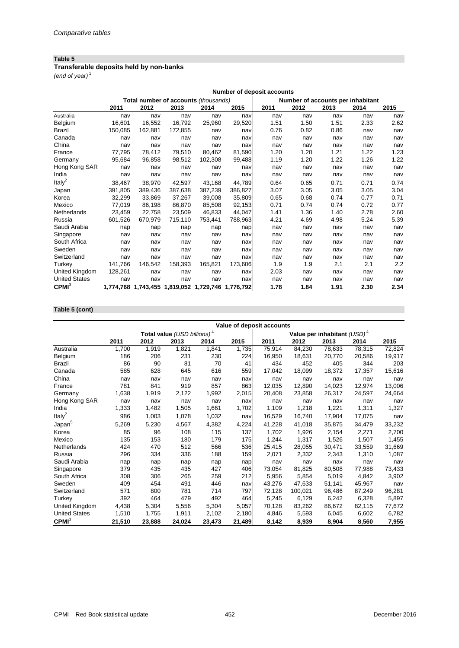## **Transferable deposits held by non-banks**

*(end of year)* <sup>1</sup>

|                      |         | Number of deposit accounts |                                                   |         |         |      |                                   |      |      |      |  |  |
|----------------------|---------|----------------------------|---------------------------------------------------|---------|---------|------|-----------------------------------|------|------|------|--|--|
|                      |         |                            | Total number of accounts (thousands)              |         |         |      | Number of accounts per inhabitant |      |      |      |  |  |
|                      | 2011    | 2012                       | 2013                                              | 2014    | 2015    | 2011 | 2012                              | 2013 | 2014 | 2015 |  |  |
| Australia            | nav     | nav                        | nav                                               | nav     | nav     | nav  | nav                               | nav  | nav  | nav  |  |  |
| Belgium              | 16,601  | 16.552                     | 16,792                                            | 25,960  | 29,520  | 1.51 | 1.50                              | 1.51 | 2.33 | 2.62 |  |  |
| Brazil               | 150,085 | 162,881                    | 172,855                                           | nav     | nav     | 0.76 | 0.82                              | 0.86 | nav  | nav  |  |  |
| Canada               | nav     | nav                        | nav                                               | nav     | nav     | nav  | nav                               | nav  | nav  | nav  |  |  |
| China                | nav     | nav                        | nav                                               | nav     | nav     | nav  | nav                               | nav  | nav  | nav  |  |  |
| France               | 77,795  | 78.412                     | 79,510                                            | 80.462  | 81,590  | 1.20 | 1.20                              | 1.21 | 1.22 | 1.23 |  |  |
| Germany              | 95,684  | 96,858                     | 98,512                                            | 102,308 | 99,488  | 1.19 | 1.20                              | 1.22 | 1.26 | 1.22 |  |  |
| Hong Kong SAR        | nav     | nav                        | nav                                               | nav     | nav     | nav  | nav                               | nav  | nav  | nav  |  |  |
| India                | nav     | nav                        | nav                                               | nav     | nav     | nav  | nav                               | nav  | nav  | nav  |  |  |
| Ital $v^2$           | 38,467  | 38.970                     | 42.597                                            | 43.168  | 44.789  | 0.64 | 0.65                              | 0.71 | 0.71 | 0.74 |  |  |
| Japan                | 391,805 | 389,436                    | 387,638                                           | 387,239 | 386,827 | 3.07 | 3.05                              | 3.05 | 3.05 | 3.04 |  |  |
| Korea                | 32,299  | 33,869                     | 37,267                                            | 39,008  | 35,809  | 0.65 | 0.68                              | 0.74 | 0.77 | 0.71 |  |  |
| Mexico               | 77,019  | 86,198                     | 86.870                                            | 85.508  | 92,153  | 0.71 | 0.74                              | 0.74 | 0.72 | 0.77 |  |  |
| Netherlands          | 23,459  | 22,758                     | 23,509                                            | 46.833  | 44,047  | 1.41 | 1.36                              | 1.40 | 2.78 | 2.60 |  |  |
| Russia               | 601,526 | 670,979                    | 715,110                                           | 753,441 | 788,963 | 4.21 | 4.69                              | 4.98 | 5.24 | 5.39 |  |  |
| Saudi Arabia         | nap     | nap                        | nap                                               | nap     | nap     | nav  | nav                               | nav  | nav  | nav  |  |  |
| Singapore            | nav     | nav                        | nav                                               | nav     | nav     | nav  | nav                               | nav  | nav  | nav  |  |  |
| South Africa         | nav     | nav                        | nav                                               | nav     | nav     | nav  | nav                               | nav  | nav  | nav  |  |  |
| Sweden               | nav     | nav                        | nav                                               | nav     | nav     | nav  | nav                               | nav  | nav  | nav  |  |  |
| Switzerland          | nav     | nav                        | nav                                               | nav     | nav     | nav  | nav                               | nav  | nav  | nav  |  |  |
| Turkey               | 141.766 | 146,542                    | 158,393                                           | 165,821 | 173.606 | 1.9  | 1.9                               | 2.1  | 2.1  | 2.2  |  |  |
| United Kingdom       | 128,261 | nav                        | nav                                               | nav     | nav     | 2.03 | nav                               | nav  | nav  | nav  |  |  |
| <b>United States</b> | nav     | nav                        | nav                                               | nav     | nav     | nav  | nav                               | nav  | nav  | nav  |  |  |
| CPMI <sup>3</sup>    |         |                            | 1,774,768 1,743,455 1,819,052 1,729,746 1,776,792 |         |         | 1.78 | 1.84                              | 1.91 | 2.30 | 2.34 |  |  |

## **Table 5 (cont)**

|                      | Value of deposit accounts |        |                                         |        |        |        |         |                                         |        |        |  |
|----------------------|---------------------------|--------|-----------------------------------------|--------|--------|--------|---------|-----------------------------------------|--------|--------|--|
|                      |                           |        | Total value (USD billions) <sup>4</sup> |        |        |        |         | Value per inhabitant (USD) <sup>4</sup> |        |        |  |
|                      | 2011                      | 2012   | 2013                                    | 2014   | 2015   | 2011   | 2012    | 2013                                    | 2014   | 2015   |  |
| Australia            | 1,700                     | 1,919  | 1,821                                   | 1,841  | 1,735  | 75,914 | 84,230  | 78,633                                  | 78,315 | 72,824 |  |
| Belgium              | 186                       | 206    | 231                                     | 230    | 224    | 16,950 | 18,631  | 20,770                                  | 20,586 | 19,917 |  |
| Brazil               | 86                        | 90     | 81                                      | 70     | 41     | 434    | 452     | 405                                     | 344    | 203    |  |
| Canada               | 585                       | 628    | 645                                     | 616    | 559    | 17,042 | 18,099  | 18,372                                  | 17,357 | 15,616 |  |
| China                | nav                       | nav    | nav                                     | nav    | nav    | nav    | nav     | nav                                     | nav    | nav    |  |
| France               | 781                       | 841    | 919                                     | 857    | 863    | 12,035 | 12,890  | 14,023                                  | 12,974 | 13,006 |  |
| Germany              | 1,638                     | 1,919  | 2,122                                   | 1,992  | 2,015  | 20,408 | 23,858  | 26,317                                  | 24.597 | 24,664 |  |
| Hong Kong SAR        | nav                       | nav    | nav                                     | nav    | nav    | nav    | nav     | nav                                     | nav    | nav    |  |
| India                | 1,333                     | 1,482  | 1,505                                   | 1,661  | 1,702  | 1,109  | 1,218   | 1,221                                   | 1,311  | 1,327  |  |
| Italy $^2$           | 986                       | 1,003  | 1,078                                   | 1,032  | nav    | 16,529 | 16,740  | 17,904                                  | 17,075 | nav    |  |
| Japan <sup>5</sup>   | 5,269                     | 5,230  | 4,567                                   | 4.382  | 4,224  | 41,228 | 41,018  | 35.875                                  | 34.479 | 33,232 |  |
| Korea                | 85                        | 96     | 108                                     | 115    | 137    | 1,702  | 1,926   | 2,154                                   | 2,271  | 2,700  |  |
| Mexico               | 135                       | 153    | 180                                     | 179    | 175    | 1,244  | 1,317   | 1,526                                   | 1,507  | 1,455  |  |
| Netherlands          | 424                       | 470    | 512                                     | 566    | 536    | 25,415 | 28,055  | 30,471                                  | 33,559 | 31,669 |  |
| Russia               | 296                       | 334    | 336                                     | 188    | 159    | 2,071  | 2,332   | 2,343                                   | 1,310  | 1,087  |  |
| Saudi Arabia         | nap                       | nap    | nap                                     | nap    | nap    | nav    | nav     | nav                                     | nav    | nav    |  |
| Singapore            | 379                       | 435    | 435                                     | 427    | 406    | 73,054 | 81,825  | 80,508                                  | 77,988 | 73,433 |  |
| South Africa         | 308                       | 306    | 265                                     | 259    | 212    | 5,956  | 5,854   | 5,019                                   | 4,842  | 3,902  |  |
| Sweden               | 409                       | 454    | 491                                     | 446    | nav    | 43,276 | 47,633  | 51,141                                  | 45,967 | nav    |  |
| Switzerland          | 571                       | 800    | 781                                     | 714    | 797    | 72,128 | 100,021 | 96,486                                  | 87,249 | 96,281 |  |
| Turkey               | 392                       | 464    | 479                                     | 492    | 464    | 5,245  | 6,129   | 6,242                                   | 6,328  | 5,897  |  |
| United Kingdom       | 4,438                     | 5,304  | 5,556                                   | 5,304  | 5,057  | 70,128 | 83,262  | 86,672                                  | 82,115 | 77,672 |  |
| <b>United States</b> | 1,510                     | 1,755  | 1,911                                   | 2,102  | 2,180  | 4,846  | 5,593   | 6,045                                   | 6,602  | 6,782  |  |
| CPMI <sup>3</sup>    | 21,510                    | 23.888 | 24.024                                  | 23.473 | 21,489 | 8,142  | 8.939   | 8.904                                   | 8,560  | 7,955  |  |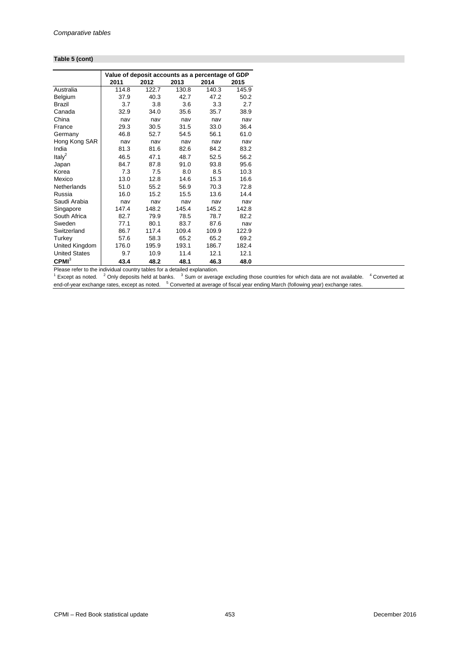#### **Table 5 (cont)**

|                      |       |       | Value of deposit accounts as a percentage of GDP |       |       |
|----------------------|-------|-------|--------------------------------------------------|-------|-------|
|                      | 2011  | 2012  | 2013                                             | 2014  | 2015  |
| Australia            | 114.8 | 122.7 | 130.8                                            | 140.3 | 145.9 |
| <b>Belgium</b>       | 37.9  | 40.3  | 42.7                                             | 47.2  | 50.2  |
| <b>Brazil</b>        | 3.7   | 3.8   | 3.6                                              | 3.3   | 2.7   |
| Canada               | 32.9  | 34.0  | 35.6                                             | 35.7  | 38.9  |
| China                | nav   | nav   | nav                                              | nav   | nav   |
| France               | 29.3  | 30.5  | 31.5                                             | 33.0  | 36.4  |
| Germany              | 46.8  | 52.7  | 54.5                                             | 56.1  | 61.0  |
| Hong Kong SAR        | nav   | nav   | nav                                              | nav   | nav   |
| India                | 81.3  | 81.6  | 82.6                                             | 84.2  | 83.2  |
| Ital $v^2$           | 46.5  | 47.1  | 48.7                                             | 52.5  | 56.2  |
| Japan                | 84.7  | 87.8  | 91.0                                             | 93.8  | 95.6  |
| Korea                | 7.3   | 7.5   | 8.0                                              | 8.5   | 10.3  |
| Mexico               | 13.0  | 12.8  | 14.6                                             | 15.3  | 16.6  |
| Netherlands          | 51.0  | 55.2  | 56.9                                             | 70.3  | 72.8  |
| Russia               | 16.0  | 15.2  | 15.5                                             | 13.6  | 14.4  |
| Saudi Arabia         | nav   | nav   | nav                                              | nav   | nav   |
| Singapore            | 147.4 | 148.2 | 145.4                                            | 145.2 | 142.8 |
| South Africa         | 82.7  | 79.9  | 78.5                                             | 78.7  | 82.2  |
| Sweden               | 77.1  | 80.1  | 83.7                                             | 87.6  | nav   |
| Switzerland          | 86.7  | 117.4 | 109.4                                            | 109.9 | 122.9 |
| Turkey               | 57.6  | 58.3  | 65.2                                             | 65.2  | 69.2  |
| United Kingdom       | 176.0 | 195.9 | 193.1                                            | 186.7 | 182.4 |
| <b>United States</b> | 9.7   | 10.9  | 11.4                                             | 12.1  | 12.1  |
| CPMI <sup>3</sup>    | 43.4  | 48.2  | 48.1                                             | 46.3  | 48.0  |

Please refer to the individual country tables for a detailed explanation.<br><sup>1</sup> Except as noted. <sup>2</sup> Only deposits held at banks. <sup>3</sup> Sum or average excluding those countries for which data are not available. <sup>4</sup> Conve end-of-year exchange rates, except as noted. <sup>5</sup> Converted at average of fiscal year ending March (following year) exchange rates.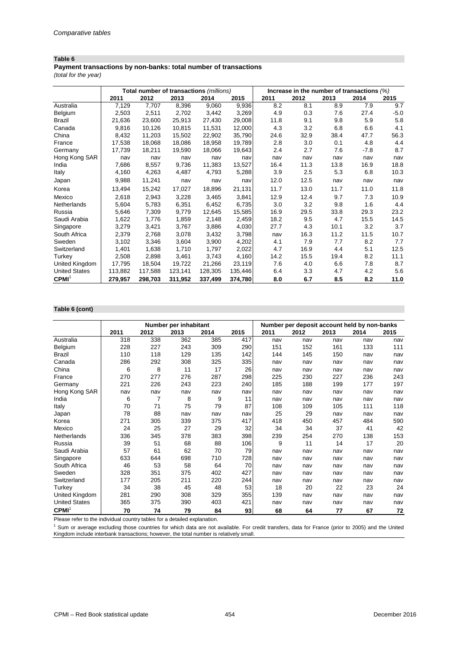## **Payment transactions by non-banks: total number of transactions**

*(total for the year)*

|                      |         |         | Total number of transactions (millions) |         |         | Increase in the number of transactions $(\%)$ |      |      |        |        |
|----------------------|---------|---------|-----------------------------------------|---------|---------|-----------------------------------------------|------|------|--------|--------|
|                      | 2011    | 2012    | 2013                                    | 2014    | 2015    | 2011                                          | 2012 | 2013 | 2014   | 2015   |
| Australia            | 7,129   | 7,707   | 8,396                                   | 9,060   | 9,936   | 8.2                                           | 8.1  | 8.9  | 7.9    | 9.7    |
| Belgium              | 2,503   | 2,511   | 2,702                                   | 3,442   | 3,269   | 4.9                                           | 0.3  | 7.6  | 27.4   | $-5.0$ |
| Brazil               | 21,636  | 23,600  | 25,913                                  | 27,430  | 29,008  | 11.8                                          | 9.1  | 9.8  | 5.9    | 5.8    |
| Canada               | 9,816   | 10,126  | 10.815                                  | 11.531  | 12,000  | 4.3                                           | 3.2  | 6.8  | 6.6    | 4.1    |
| China                | 8,432   | 11,203  | 15,502                                  | 22,902  | 35,790  | 24.6                                          | 32.9 | 38.4 | 47.7   | 56.3   |
| France               | 17,538  | 18,068  | 18,086                                  | 18,958  | 19,789  | 2.8                                           | 3.0  | 0.1  | 4.8    | 4.4    |
| Germany              | 17,739  | 18,211  | 19,590                                  | 18,066  | 19,643  | 2.4                                           | 2.7  | 7.6  | $-7.8$ | 8.7    |
| Hong Kong SAR        | nav     | nav     | nav                                     | nav     | nav     | nav                                           | nav  | nav  | nav    | nav    |
| India                | 7,686   | 8.557   | 9,736                                   | 11,383  | 13,527  | 16.4                                          | 11.3 | 13.8 | 16.9   | 18.8   |
| Italy                | 4,160   | 4,263   | 4,487                                   | 4,793   | 5,288   | 3.9                                           | 2.5  | 5.3  | 6.8    | 10.3   |
| Japan                | 9,988   | 11,241  | nav                                     | nav     | nav     | 12.0                                          | 12.5 | nav  | nav    | nav    |
| Korea                | 13,494  | 15,242  | 17,027                                  | 18,896  | 21,131  | 11.7                                          | 13.0 | 11.7 | 11.0   | 11.8   |
| Mexico               | 2,618   | 2,943   | 3,228                                   | 3,465   | 3,841   | 12.9                                          | 12.4 | 9.7  | 7.3    | 10.9   |
| Netherlands          | 5,604   | 5,783   | 6,351                                   | 6,452   | 6,735   | 3.0                                           | 3.2  | 9.8  | 1.6    | 4.4    |
| Russia               | 5,646   | 7,309   | 9,779                                   | 12,645  | 15,585  | 16.9                                          | 29.5 | 33.8 | 29.3   | 23.2   |
| Saudi Arabia         | 1,622   | 1,776   | 1,859                                   | 2,148   | 2,459   | 18.2                                          | 9.5  | 4.7  | 15.5   | 14.5   |
| Singapore            | 3,279   | 3,421   | 3,767                                   | 3,886   | 4,030   | 27.7                                          | 4.3  | 10.1 | 3.2    | 3.7    |
| South Africa         | 2,379   | 2,768   | 3,078                                   | 3,432   | 3,798   | nav                                           | 16.3 | 11.2 | 11.5   | 10.7   |
| Sweden               | 3,102   | 3,346   | 3,604                                   | 3,900   | 4,202   | 4.1                                           | 7.9  | 7.7  | 8.2    | 7.7    |
| Switzerland          | 1,401   | 1,638   | 1,710                                   | 1,797   | 2,022   | 4.7                                           | 16.9 | 4.4  | 5.1    | 12.5   |
| Turkey               | 2,508   | 2,898   | 3,461                                   | 3,743   | 4,160   | 14.2                                          | 15.5 | 19.4 | 8.2    | 11.1   |
| United Kingdom       | 17,795  | 18,504  | 19,722                                  | 21,266  | 23,119  | 7.6                                           | 4.0  | 6.6  | 7.8    | 8.7    |
| <b>United States</b> | 113,882 | 117.588 | 123,141                                 | 128.305 | 135,446 | 6.4                                           | 3.3  | 4.7  | 4.2    | 5.6    |
| CPMI <sup>1</sup>    | 279,957 | 298,703 | 311,952                                 | 337,499 | 374,780 | 8.0                                           | 6.7  | 8.5  | 8.2    | 11.0   |

## **Table 6 (cont)**

|                      |      |                | Number per inhabitant |      |      | Number per deposit account held by non-banks |      |      |      |      |
|----------------------|------|----------------|-----------------------|------|------|----------------------------------------------|------|------|------|------|
|                      | 2011 | 2012           | 2013                  | 2014 | 2015 | 2011                                         | 2012 | 2013 | 2014 | 2015 |
| Australia            | 318  | 338            | 362                   | 385  | 417  | nav                                          | nav  | nav  | nav  | nav  |
| Belgium              | 228  | 227            | 243                   | 309  | 290  | 151                                          | 152  | 161  | 133  | 111  |
| <b>Brazil</b>        | 110  | 118            | 129                   | 135  | 142  | 144                                          | 145  | 150  | nav  | nav  |
| Canada               | 286  | 292            | 308                   | 325  | 335  | nav                                          | nav  | nav  | nav  | nav  |
| China                | 6    | 8              | 11                    | 17   | 26   | nav                                          | nav  | nav  | nav  | nav  |
| France               | 270  | 277            | 276                   | 287  | 298  | 225                                          | 230  | 227  | 236  | 243  |
| Germany              | 221  | 226            | 243                   | 223  | 240  | 185                                          | 188  | 199  | 177  | 197  |
| Hong Kong SAR        | nav  | nav            | nav                   | nav  | nav  | nav                                          | nav  | nav  | nav  | nav  |
| India                | 6    | $\overline{7}$ | 8                     | 9    | 11   | nav                                          | nav  | nav  | nav  | nav  |
| Italy                | 70   | 71             | 75                    | 79   | 87   | 108                                          | 109  | 105  | 111  | 118  |
| Japan                | 78   | 88             | nav                   | nav  | nav  | 25                                           | 29   | nav  | nav  | nav  |
| Korea                | 271  | 305            | 339                   | 375  | 417  | 418                                          | 450  | 457  | 484  | 590  |
| Mexico               | 24   | 25             | 27                    | 29   | 32   | 34                                           | 34   | 37   | 41   | 42   |
| Netherlands          | 336  | 345            | 378                   | 383  | 398  | 239                                          | 254  | 270  | 138  | 153  |
| Russia               | 39   | 51             | 68                    | 88   | 106  | 9                                            | 11   | 14   | 17   | 20   |
| Saudi Arabia         | 57   | 61             | 62                    | 70   | 79   | nav                                          | nav  | nav  | nav  | nav  |
| Singapore            | 633  | 644            | 698                   | 710  | 728  | nav                                          | nav  | nav  | nav  | nav  |
| South Africa         | 46   | 53             | 58                    | 64   | 70   | nav                                          | nav  | nav  | nav  | nav  |
| Sweden               | 328  | 351            | 375                   | 402  | 427  | nav                                          | nav  | nav  | nav  | nav  |
| Switzerland          | 177  | 205            | 211                   | 220  | 244  | nav                                          | nav  | nav  | nav  | nav  |
| Turkey               | 34   | 38             | 45                    | 48   | 53   | 18                                           | 20   | 22   | 23   | 24   |
| United Kingdom       | 281  | 290            | 308                   | 329  | 355  | 139                                          | nav  | nav  | nav  | nav  |
| <b>United States</b> | 365  | 375            | 390                   | 403  | 421  | nav                                          | nav  | nav  | nav  | nav  |
| CPMI <sup>1</sup>    | 70   | 74             | 79                    | 84   | 93   | 68                                           | 64   | 77   | 67   | 72   |

Please refer to the individual country tables for a detailed explanation.

<sup>1</sup> Sum or average excluding those countries for which data are not available. For credit transfers, data for France (prior to 2005) and the United Kingdom include interbank transactions; however, the total number is relatively small.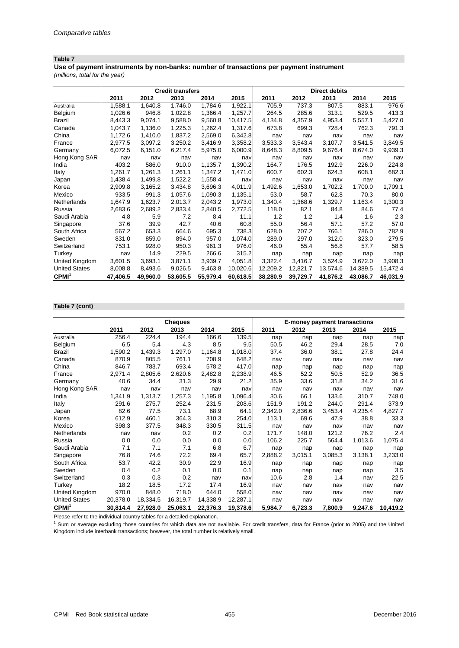**Use of payment instruments by non-banks: number of transactions per payment instrument**

*(millions, total for the year)*

|                      | <b>Credit transfers</b> |          |          |          |          | <b>Direct debits</b> |          |          |          |          |  |
|----------------------|-------------------------|----------|----------|----------|----------|----------------------|----------|----------|----------|----------|--|
|                      | 2011                    | 2012     | 2013     | 2014     | 2015     | 2011                 | 2012     | 2013     | 2014     | 2015     |  |
| Australia            | 1,588.1                 | 1,640.8  | 1,746.0  | 1,784.6  | 1,922.1  | 705.9                | 737.3    | 807.5    | 883.1    | 976.6    |  |
| Belgium              | 1,026.6                 | 946.8    | 1,022.8  | 1,366.4  | 1,257.7  | 264.5                | 285.6    | 313.1    | 529.5    | 413.3    |  |
| Brazil               | 8,443.3                 | 9,074.1  | 9,588.0  | 9,560.8  | 10,417.5 | 4,134.8              | 4,357.9  | 4,953.4  | 5,557.1  | 5,427.0  |  |
| Canada               | 1,043.7                 | 1,136.0  | 1,225.3  | 1,262.4  | 1,317.6  | 673.8                | 699.3    | 728.4    | 762.3    | 791.3    |  |
| China                | 1,172.6                 | 1,410.0  | 1,837.2  | 2,569.0  | 6,342.8  | nav                  | nav      | nav      | nav      | nav      |  |
| France               | 2,977.5                 | 3,097.2  | 3,250.2  | 3.416.9  | 3,358.2  | 3,533.3              | 3,543.4  | 3,107.7  | 3,541.5  | 3,849.5  |  |
| Germany              | 6,072.5                 | 6,151.0  | 6,217.4  | 5,975.0  | 6,000.9  | 8,648.3              | 8,809.5  | 9,676.4  | 8.674.0  | 9,939.3  |  |
| Hong Kong SAR        | nav                     | nav      | nav      | nav      | nav      | nav                  | nav      | nav      | nav      | nav      |  |
| India                | 403.2                   | 586.0    | 910.0    | 1,135.7  | 1,390.2  | 164.7                | 176.5    | 192.9    | 226.0    | 224.8    |  |
| Italy                | 1,261.7                 | 1,261.3  | 1,261.1  | 1,347.2  | 1,471.0  | 600.7                | 602.3    | 624.3    | 608.1    | 682.3    |  |
| Japan                | 1,438.4                 | 1,499.8  | 1,522.2  | 1,558.4  | nav      | nav                  | nav      | nav      | nav      | nav      |  |
| Korea                | 2,909.8                 | 3,165.2  | 3,434.8  | 3,696.3  | 4,011.9  | 1,492.6              | 1,653.0  | 1,702.2  | 1,700.0  | 1,709.1  |  |
| Mexico               | 933.5                   | 991.3    | 1,057.6  | 1,090.3  | 1,135.1  | 53.0                 | 58.7     | 62.8     | 70.3     | 80.0     |  |
| Netherlands          | 1.647.9                 | 1,623.7  | 2,013.7  | 2,043.2  | 1,973.0  | 1,340.4              | 1,368.6  | 1,329.7  | 1,163.4  | 1,300.3  |  |
| Russia               | 2,683.6                 | 2,689.2  | 2,833.4  | 2,840.5  | 2,772.5  | 118.0                | 82.1     | 84.8     | 84.6     | 77.4     |  |
| Saudi Arabia         | 4.8                     | 5.9      | 7.2      | 8.4      | 11.1     | 1.2                  | 1.2      | 1.4      | 1.6      | 2.3      |  |
| Singapore            | 37.6                    | 39.9     | 42.7     | 40.6     | 60.8     | 55.0                 | 56.4     | 57.1     | 57.2     | 57.0     |  |
| South Africa         | 567.2                   | 653.3    | 664.6    | 695.3    | 738.3    | 628.0                | 707.2    | 766.1    | 786.0    | 782.9    |  |
| Sweden               | 831.0                   | 859.0    | 894.0    | 957.0    | 1,074.0  | 289.0                | 297.0    | 312.0    | 323.0    | 279.5    |  |
| Switzerland          | 753.1                   | 928.0    | 950.3    | 961.3    | 976.0    | 46.0                 | 55.4     | 56.8     | 57.7     | 58.5     |  |
| Turkey               | nav                     | 14.9     | 229.5    | 266.6    | 315.2    | nap                  | nap      | nap      | nap      | nap      |  |
| United Kingdom       | 3,601.5                 | 3,693.1  | 3,871.1  | 3,939.7  | 4,051.8  | 3,322.4              | 3,416.7  | 3.524.9  | 3,672.0  | 3,908.3  |  |
| <b>United States</b> | 8,008.8                 | 8,493.6  | 9,026.5  | 9,463.8  | 10,020.6 | 12,209.2             | 12,821.7 | 13,574.6 | 14,389.5 | 15,472.4 |  |
| CPMI <sup>1</sup>    | 47.406.5                | 49.960.0 | 53,605.5 | 55,979.4 | 60,618.5 | 38,280.9             | 39,729.7 | 41,876.2 | 43.086.7 | 46,031.9 |  |

#### **Table 7 (cont)**

|                      |          |          | Cheques  |          |          | <b>E-money payment transactions</b> |         |         |         |          |
|----------------------|----------|----------|----------|----------|----------|-------------------------------------|---------|---------|---------|----------|
|                      | 2011     | 2012     | 2013     | 2014     | 2015     | 2011                                | 2012    | 2013    | 2014    | 2015     |
| Australia            | 256.4    | 224.4    | 194.4    | 166.6    | 139.5    | nap                                 | nap     | nap     | nap     | nap      |
| Belgium              | 6.5      | 5.4      | 4.3      | 8.5      | 9.5      | 50.5                                | 46.2    | 29.4    | 28.5    | 7.0      |
| <b>Brazil</b>        | 1,590.2  | 1,439.3  | 1,297.0  | 1,164.8  | 1,018.0  | 37.4                                | 36.0    | 38.1    | 27.8    | 24.4     |
| Canada               | 870.9    | 805.5    | 761.1    | 708.9    | 648.2    | nav                                 | nav     | nav     | nav     | nav      |
| China                | 846.7    | 783.7    | 693.4    | 578.2    | 417.0    | nap                                 | nap     | nap     | nap     | nap      |
| France               | 2,971.4  | 2,805.6  | 2,620.6  | 2,482.8  | 2,238.9  | 46.5                                | 52.2    | 50.5    | 52.9    | 36.5     |
| Germany              | 40.6     | 34.4     | 31.3     | 29.9     | 21.2     | 35.9                                | 33.6    | 31.8    | 34.2    | 31.6     |
| Hong Kong SAR        | nav      | nav      | nav      | nav      | nav      | nav                                 | nav     | nav     | nav     | nav      |
| India                | 1,341.9  | 1,313.7  | 1,257.3  | 1,195.8  | 1,096.4  | 30.6                                | 66.1    | 133.6   | 310.7   | 748.0    |
| Italy                | 291.6    | 275.7    | 252.4    | 231.5    | 208.6    | 151.9                               | 191.2   | 244.0   | 291.4   | 373.9    |
| Japan                | 82.6     | 77.5     | 73.1     | 68.9     | 64.1     | 2,342.0                             | 2,836.6 | 3,453.4 | 4,235.4 | 4,827.7  |
| Korea                | 612.9    | 460.1    | 364.3    | 310.3    | 254.0    | 113.1                               | 69.6    | 47.9    | 38.8    | 33.3     |
| Mexico               | 398.3    | 377.5    | 348.3    | 330.5    | 311.5    | nav                                 | nav     | nav     | nav     | nav      |
| Netherlands          | nav      | nav      | 0.2      | 0.2      | 0.2      | 171.7                               | 148.0   | 121.2   | 76.2    | 2.4      |
| Russia               | 0.0      | 0.0      | 0.0      | 0.0      | 0.0      | 106.2                               | 225.7   | 564.4   | 1,013.6 | 1,075.4  |
| Saudi Arabia         | 7.1      | 7.1      | 7.1      | 6.8      | 6.7      | nap                                 | nap     | nap     | nap     | nap      |
| Singapore            | 76.8     | 74.6     | 72.2     | 69.4     | 65.7     | 2,888.2                             | 3,015.1 | 3,085.3 | 3,138.1 | 3,233.0  |
| South Africa         | 53.7     | 42.2     | 30.9     | 22.9     | 16.9     | nap                                 | nap     | nap     | nap     | nap      |
| Sweden               | 0.4      | 0.2      | 0.1      | 0.0      | 0.1      | nap                                 | nap     | nap     | nap     | 3.5      |
| Switzerland          | 0.3      | 0.3      | 0.2      | nav      | nav      | 10.6                                | 2.8     | 1.4     | nav     | 22.5     |
| Turkey               | 18.2     | 18.5     | 17.2     | 17.4     | 16.9     | nav                                 | nav     | nav     | nav     | nav      |
| United Kingdom       | 970.0    | 848.0    | 718.0    | 644.0    | 558.0    | nav                                 | nav     | nav     | nav     | nav      |
| <b>United States</b> | 20,378.0 | 18,334.5 | 16,319.7 | 14,338.9 | 12,287.1 | nav                                 | nav     | nav     | nav     | nav      |
| CPMI <sup>1</sup>    | 30,814.4 | 27,928.0 | 25,063.1 | 22,376.3 | 19,378.6 | 5,984.7                             | 6,723.3 | 7,800.9 | 9,247.6 | 10,419.2 |

Please refer to the individual country tables for a detailed explanation.

<sup>1</sup> Sum or average excluding those countries for which data are not available. For credit transfers, data for France (prior to 2005) and the United Kingdom include interbank transactions; however, the total number is relatively small.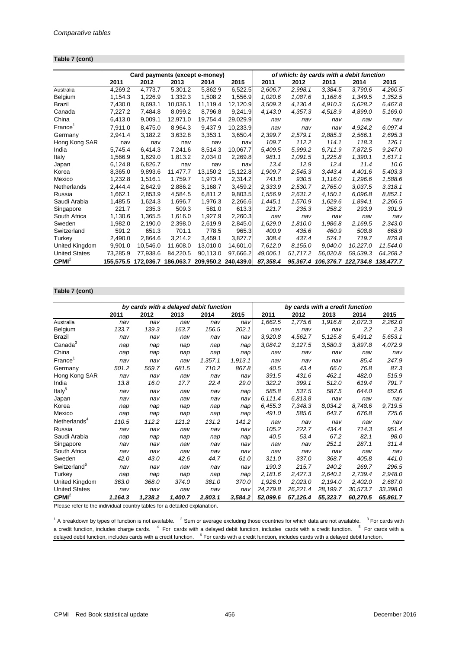#### **Table 7 (cont)**

|                      |           | Card payments (except e-money) |           |          |                     |          |          |           | of which: by cards with a debit function |           |
|----------------------|-----------|--------------------------------|-----------|----------|---------------------|----------|----------|-----------|------------------------------------------|-----------|
|                      | 2011      | 2012                           | 2013      | 2014     | 2015                | 2011     | 2012     | 2013      | 2014                                     | 2015      |
| Australia            | 4,269.2   | 4,773.7                        | 5,301.2   | 5,862.9  | 6,522.5             | 2,606.7  | 2,998.1  | 3,384.5   | 3,790.6                                  | 4,260.5   |
| Belgium              | 1,154.3   | 1,226.9                        | 1,332.3   | 1,508.2  | 1,556.9             | 1,020.6  | 1,087.6  | 1,168.6   | 1,349.5                                  | 1,352.5   |
| Brazil               | 7,430.0   | 8,693.1                        | 10,036.1  | 11,119.4 | 12,120.9            | 3,509.3  | 4,130.4  | 4,910.3   | 5,628.2                                  | 6,467.8   |
| Canada               | 7,227.2   | 7,484.8                        | 8,099.2   | 8,796.8  | 9,241.9             | 4,143.0  | 4,357.3  | 4,518.9   | 4,899.0                                  | 5,169.0   |
| China                | 6,413.0   | 9,009.1                        | 12,971.0  | 19,754.4 | 29,029.9            | nav      | nav      | nav       | nav                                      | nav       |
| France <sup>1</sup>  | 7,911.0   | 8,475.0                        | 8,964.3   | 9,437.9  | 10,233.9            | nav      | nav      | nav       | 4,924.2                                  | 6.097.4   |
| Germany              | 2,941.4   | 3,182.2                        | 3,632.8   | 3,353.1  | 3,650.4             | 2,399.7  | 2,579.1  | 2,885.3   | 2,566.1                                  | 2,695.3   |
| Hong Kong SAR        | nav       | nav                            | nav       | nav      | nav                 | 109.7    | 112.2    | 114.1     | 118.3                                    | 126.1     |
| India                | 5,745.4   | 6,414.3                        | 7,241.6   | 8,514.3  | 10,067.7            | 5,409.5  | 5,999.2  | 6.711.9   | 7,872.5                                  | 9,247.0   |
| Italy                | 1,566.9   | 1.629.0                        | 1,813.2   | 2.034.0  | 2,269.8             | 981.1    | 1,091.5  | 1,225.8   | 1.390.1                                  | 1,617.1   |
| Japan                | 6,124.8   | 6,826.7                        | nav       | nav      | nav                 | 13.4     | 12.9     | 12.4      | 11.4                                     | 10.6      |
| Korea                | 8.365.0   | 9,893.6                        | 11.477.7  | 13,150.2 | 15,122.8            | 1,909.7  | 2.545.3  | 3.443.4   | 4,401.6                                  | 5,403.3   |
| Mexico               | 1,232.8   | 1,516.1                        | 1,759.7   | 1,973.4  | 2,314.2             | 741.8    | 930.5    | 1.116.0   | 1,296.6                                  | 1,588.6   |
| Netherlands          | 2,444.4   | 2.642.9                        | 2,886.2   | 3,168.7  | 3,459.2             | 2,333.9  | 2.530.7  | 2.765.0   | 3.037.5                                  | 3,318.1   |
| Russia               | 1,662.1   | 2,853.9                        | 4,584.5   | 6,811.2  | 9,803.5             | 1,556.9  | 2,631.2  | 4,150.1   | 6,096.8                                  | 8,852.1   |
| Saudi Arabia         | 1,485.5   | 1,624.3                        | 1,696.7   | 1,976.3  | 2,266.6             | 1,445.1  | 1,570.9  | 1,629.6   | 1,894.1                                  | 2,266.5   |
| Singapore            | 221.7     | 235.3                          | 509.3     | 581.0    | 613.3               | 221.7    | 235.3    | 258.2     | 293.9                                    | 301.9     |
| South Africa         | 1,130.6   | 1,365.5                        | 1,616.0   | 1,927.9  | 2,260.3             | nav      | nav      | nav       | nav                                      | nav       |
| Sweden               | 1,982.0   | 2,190.0                        | 2,398.0   | 2,619.9  | 2,845.0             | 1,629.0  | 1,810.0  | 1,986.8   | 2,169.5                                  | 2,343.0   |
| Switzerland          | 591.2     | 651.3                          | 701.1     | 778.5    | 965.3               | 400.9    | 435.6    | 460.9     | 508.8                                    | 668.9     |
| Turkey               | 2,490.0   | 2,864.6                        | 3,214.2   | 3,459.1  | 3,827.7             | 308.4    | 437.4    | 574.1     | 719.7                                    | 879.8     |
| United Kingdom       | 9,901.0   | 10.546.0                       | 11,608.0  | 13,010.0 | 14,601.0            | 7.612.0  | 8.155.0  | 9.040.0   | 10.227.0                                 | 11,544.0  |
| <b>United States</b> | 73,285.9  | 77.938.6                       | 84,220.5  | 90,113.0 | 97,666.2            | 49,006.1 | 51,717.2 | 56,020.8  | 59.539.3                                 | 64,268.2  |
| CPMI <sup>2</sup>    | 155.575.5 | 172.036.7                      | 186.063.7 |          | 209,950.2 240,439.0 | 87.358.4 | 95.367.4 | 106.376.7 | 122.734.8                                | 138.477.7 |

#### **Table 7 (cont)**

|                          | by cards with a delayed debit function<br>by cards with a credit function |         |         |         |         |          |          |          |          |          |
|--------------------------|---------------------------------------------------------------------------|---------|---------|---------|---------|----------|----------|----------|----------|----------|
|                          | 2011                                                                      | 2012    | 2013    | 2014    | 2015    | 2011     | 2012     | 2013     | 2014     | 2015     |
| Australia                | nav                                                                       | nav     | nav     | nav     | nav     | 1,662.5  | 1,775.6  | 1,916.8  | 2,072.3  | 2,262.0  |
| Belgium                  | 133.7                                                                     | 139.3   | 163.7   | 156.5   | 202.1   | nav      | nav      | nav      | 2.2      | 2.3      |
| <b>Brazil</b>            | nav                                                                       | nav     | nav     | nav     | nav     | 3,920.8  | 4,562.7  | 5,125.8  | 5,491.2  | 5,653.1  |
| Canada <sup>3</sup>      | nap                                                                       | nap     | nap     | nap     | nap     | 3.084.2  | 3,127.5  | 3,580.3  | 3.897.8  | 4,072.9  |
| China                    | nap                                                                       | nap     | nap     | nap     | nap     | nav      | nav      | nav      | nav      | nav      |
| $France^1$               | nav                                                                       | nav     | nav     | 1,357.1 | 1,913.1 | nav      | nav      | nav      | 85.4     | 247.9    |
| Germany                  | 501.2                                                                     | 559.7   | 681.5   | 710.2   | 867.8   | 40.5     | 43.4     | 66.0     | 76.8     | 87.3     |
| Hong Kong SAR            | nav                                                                       | nav     | nav     | nav     | nav     | 391.5    | 431.6    | 462.1    | 482.0    | 515.9    |
| India                    | 13.8                                                                      | 16.0    | 17.7    | 22.4    | 29.0    | 322.2    | 399.1    | 512.0    | 619.4    | 791.7    |
| Italy <sup>5</sup>       | nav                                                                       | nav     | nav     | nav     | nap     | 585.8    | 537.5    | 587.5    | 644.0    | 652.6    |
| Japan                    | nav                                                                       | nav     | nav     | nav     | nav     | 6.111.4  | 6,813.8  | nav      | nav      | nav      |
| Korea                    | nap                                                                       | nap     | nap     | nap     | nap     | 6,455.3  | 7,348.3  | 8.034.2  | 8.748.6  | 9,719.5  |
| Mexico                   | nap                                                                       | nap     | nap     | nap     | nap     | 491.0    | 585.6    | 643.7    | 676.8    | 725.6    |
| Netherlands <sup>4</sup> | 110.5                                                                     | 112.2   | 121.2   | 131.2   | 141.2   | nav      | nav      | nav      | nav      | nav      |
| Russia                   | nav                                                                       | nav     | nav     | nav     | nav     | 105.2    | 222.7    | 434.4    | 714.3    | 951.4    |
| Saudi Arabia             | nap                                                                       | nap     | nap     | nap     | nap     | 40.5     | 53.4     | 67.2     | 82.1     | 98.0     |
| Singapore                | nav                                                                       | nav     | nav     | nav     | nav     | nav      | nav      | 251.1    | 287.1    | 311.4    |
| South Africa             | nav                                                                       | nav     | nav     | nav     | nav     | nav      | nav      | nav      | nav      | nav      |
| Sweden                   | 42.0                                                                      | 43.0    | 42.6    | 44.7    | 61.0    | 311.0    | 337.0    | 368.7    | 405.8    | 441.0    |
| Switzerland <sup>6</sup> | nav                                                                       | nav     | nav     | nav     | nav     | 190.3    | 215.7    | 240.2    | 269.7    | 296.5    |
| Turkey                   | nap                                                                       | nap     | nap     | nap     | nap     | 2.181.6  | 2.427.3  | 2.640.1  | 2.739.4  | 2.948.0  |
| United Kingdom           | 363.0                                                                     | 368.0   | 374.0   | 381.0   | 370.0   | 1.926.0  | 2.023.0  | 2.194.0  | 2,402.0  | 2,687.0  |
| <b>United States</b>     | nav                                                                       | nav     | nav     | nav     | nav     | 24,279.8 | 26,221.4 | 28,199.7 | 30,573.7 | 33,398.0 |
| CPMI <sup>2</sup>        | 1,164.3                                                                   | 1,238.2 | 1,400.7 | 2.803.1 | 3.584.2 | 52,099.6 | 57,125.4 | 55,323.7 | 60,270.5 | 65,861.7 |

Please refer to the individual country tables for a detailed explanation.

 $1$  A breakdown by types of function is not available.  $2$  Sum or average excluding those countries for which data are not available.  $3$  For cards with a credit function, includes charge cards. <sup>4</sup> For cards with a delayed debit function, includes cards with a credit function. <sup>5</sup> For cards with a delayed debit function, includes cards with a credit function. <sup>6</sup> For cards with a credit function, includes cards with a delayed debit function.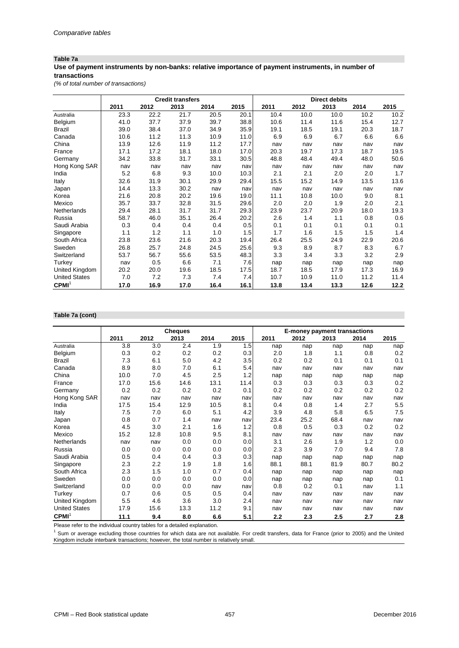## **Table 7a**

#### **Use of payment instruments by non-banks: relative importance of payment instruments, in number of transactions**

*(% of total number of transactions)*

|                      |      |      | <b>Credit transfers</b> |      |      | <b>Direct debits</b> |      |      |      |      |
|----------------------|------|------|-------------------------|------|------|----------------------|------|------|------|------|
|                      | 2011 | 2012 | 2013                    | 2014 | 2015 | 2011                 | 2012 | 2013 | 2014 | 2015 |
| Australia            | 23.3 | 22.2 | 21.7                    | 20.5 | 20.1 | 10.4                 | 10.0 | 10.0 | 10.2 | 10.2 |
| Belgium              | 41.0 | 37.7 | 37.9                    | 39.7 | 38.8 | 10.6                 | 11.4 | 11.6 | 15.4 | 12.7 |
| Brazil               | 39.0 | 38.4 | 37.0                    | 34.9 | 35.9 | 19.1                 | 18.5 | 19.1 | 20.3 | 18.7 |
| Canada               | 10.6 | 11.2 | 11.3                    | 10.9 | 11.0 | 6.9                  | 6.9  | 6.7  | 6.6  | 6.6  |
| China                | 13.9 | 12.6 | 11.9                    | 11.2 | 17.7 | nav                  | nav  | nav  | nav  | nav  |
| France               | 17.1 | 17.2 | 18.1                    | 18.0 | 17.0 | 20.3                 | 19.7 | 17.3 | 18.7 | 19.5 |
| Germany              | 34.2 | 33.8 | 31.7                    | 33.1 | 30.5 | 48.8                 | 48.4 | 49.4 | 48.0 | 50.6 |
| Hong Kong SAR        | nav  | nav  | nav                     | nav  | nav  | nav                  | nav  | nav  | nav  | nav  |
| India                | 5.2  | 6.8  | 9.3                     | 10.0 | 10.3 | 2.1                  | 2.1  | 2.0  | 2.0  | 1.7  |
| Italy                | 32.6 | 31.9 | 30.1                    | 29.9 | 29.4 | 15.5                 | 15.2 | 14.9 | 13.5 | 13.6 |
| Japan                | 14.4 | 13.3 | 30.2                    | nav  | nav  | nav                  | nav  | nav  | nav  | nav  |
| Korea                | 21.6 | 20.8 | 20.2                    | 19.6 | 19.0 | 11.1                 | 10.8 | 10.0 | 9.0  | 8.1  |
| Mexico               | 35.7 | 33.7 | 32.8                    | 31.5 | 29.6 | 2.0                  | 2.0  | 1.9  | 2.0  | 2.1  |
| Netherlands          | 29.4 | 28.1 | 31.7                    | 31.7 | 29.3 | 23.9                 | 23.7 | 20.9 | 18.0 | 19.3 |
| Russia               | 58.7 | 46.0 | 35.1                    | 26.4 | 20.2 | 2.6                  | 1.4  | 1.1  | 0.8  | 0.6  |
| Saudi Arabia         | 0.3  | 0.4  | 0.4                     | 0.4  | 0.5  | 0.1                  | 0.1  | 0.1  | 0.1  | 0.1  |
| Singapore            | 1.1  | 1.2  | 1.1                     | 1.0  | 1.5  | 1.7                  | 1.6  | 1.5  | 1.5  | 1.4  |
| South Africa         | 23.8 | 23.6 | 21.6                    | 20.3 | 19.4 | 26.4                 | 25.5 | 24.9 | 22.9 | 20.6 |
| Sweden               | 26.8 | 25.7 | 24.8                    | 24.5 | 25.6 | 9.3                  | 8.9  | 8.7  | 8.3  | 6.7  |
| Switzerland          | 53.7 | 56.7 | 55.6                    | 53.5 | 48.3 | 3.3                  | 3.4  | 3.3  | 3.2  | 2.9  |
| Turkey               | nav  | 0.5  | 6.6                     | 7.1  | 7.6  | nap                  | nap  | nap  | nap  | nap  |
| United Kingdom       | 20.2 | 20.0 | 19.6                    | 18.5 | 17.5 | 18.7                 | 18.5 | 17.9 | 17.3 | 16.9 |
| <b>United States</b> | 7.0  | 7.2  | 7.3                     | 7.4  | 7.4  | 10.7                 | 10.9 | 11.0 | 11.2 | 11.4 |
| CPMI <sup>1</sup>    | 17.0 | 16.9 | 17.0                    | 16.4 | 16.1 | 13.8                 | 13.4 | 13.3 | 12.6 | 12.2 |

#### **Table 7a (cont)**

|                      |      |      | <b>Cheques</b> |      |      | <b>E-money payment transactions</b> |      |      |      |      |
|----------------------|------|------|----------------|------|------|-------------------------------------|------|------|------|------|
|                      | 2011 | 2012 | 2013           | 2014 | 2015 | 2011                                | 2012 | 2013 | 2014 | 2015 |
| Australia            | 3.8  | 3.0  | 2.4            | 1.9  | 1.5  | nap                                 | nap  | nap  | nap  | nap  |
| Belgium              | 0.3  | 0.2  | 0.2            | 0.2  | 0.3  | 2.0                                 | 1.8  | 1.1  | 0.8  | 0.2  |
| <b>Brazil</b>        | 7.3  | 6.1  | 5.0            | 4.2  | 3.5  | 0.2                                 | 0.2  | 0.1  | 0.1  | 0.1  |
| Canada               | 8.9  | 8.0  | 7.0            | 6.1  | 5.4  | nav                                 | nav  | nav  | nav  | nav  |
| China                | 10.0 | 7.0  | 4.5            | 2.5  | 1.2  | nap                                 | nap  | nap  | nap  | nap  |
| France               | 17.0 | 15.6 | 14.6           | 13.1 | 11.4 | 0.3                                 | 0.3  | 0.3  | 0.3  | 0.2  |
| Germany              | 0.2  | 0.2  | 0.2            | 0.2  | 0.1  | 0.2                                 | 0.2  | 0.2  | 0.2  | 0.2  |
| Hong Kong SAR        | nav  | nav  | nav            | nav  | nav  | nav                                 | nav  | nav  | nav  | nav  |
| India                | 17.5 | 15.4 | 12.9           | 10.5 | 8.1  | 0.4                                 | 0.8  | 1.4  | 2.7  | 5.5  |
| Italy                | 7.5  | 7.0  | 6.0            | 5.1  | 4.2  | 3.9                                 | 4.8  | 5.8  | 6.5  | 7.5  |
| Japan                | 0.8  | 0.7  | 1.4            | nav  | nav  | 23.4                                | 25.2 | 68.4 | nav  | nav  |
| Korea                | 4.5  | 3.0  | 2.1            | 1.6  | 1.2  | 0.8                                 | 0.5  | 0.3  | 0.2  | 0.2  |
| Mexico               | 15.2 | 12.8 | 10.8           | 9.5  | 8.1  | nav                                 | nav  | nav  | nav  | nav  |
| Netherlands          | nav  | nav  | 0.0            | 0.0  | 0.0  | 3.1                                 | 2.6  | 1.9  | 1.2  | 0.0  |
| Russia               | 0.0  | 0.0  | 0.0            | 0.0  | 0.0  | 2.3                                 | 3.9  | 7.0  | 9.4  | 7.8  |
| Saudi Arabia         | 0.5  | 0.4  | 0.4            | 0.3  | 0.3  | nap                                 | nap  | nap  | nap  | nap  |
| Singapore            | 2.3  | 2.2  | 1.9            | 1.8  | 1.6  | 88.1                                | 88.1 | 81.9 | 80.7 | 80.2 |
| South Africa         | 2.3  | 1.5  | 1.0            | 0.7  | 0.4  | nap                                 | nap  | nap  | nap  | nap  |
| Sweden               | 0.0  | 0.0  | 0.0            | 0.0  | 0.0  | nap                                 | nap  | nap  | nap  | 0.1  |
| Switzerland          | 0.0  | 0.0  | 0.0            | nav  | nav  | 0.8                                 | 0.2  | 0.1  | nav  | 1.1  |
| Turkey               | 0.7  | 0.6  | 0.5            | 0.5  | 0.4  | nav                                 | nav  | nav  | nav  | nav  |
| United Kingdom       | 5.5  | 4.6  | 3.6            | 3.0  | 2.4  | nav                                 | nav  | nav  | nav  | nav  |
| <b>United States</b> | 17.9 | 15.6 | 13.3           | 11.2 | 9.1  | nav                                 | nav  | nav  | nav  | nav  |
| CPMI <sup>1</sup>    | 11.1 | 9.4  | 8.0            | 6.6  | 5.1  | 2.2                                 | 2.3  | 2.5  | 2.7  | 2.8  |

Please refer to the individual country tables for a detailed explanation.

<sup>1</sup> Sum or average excluding those countries for which data are not available. For credit transfers, data for France (prior to 2005) and the United Kingdom include interbank transactions; however, the total number is relatively small.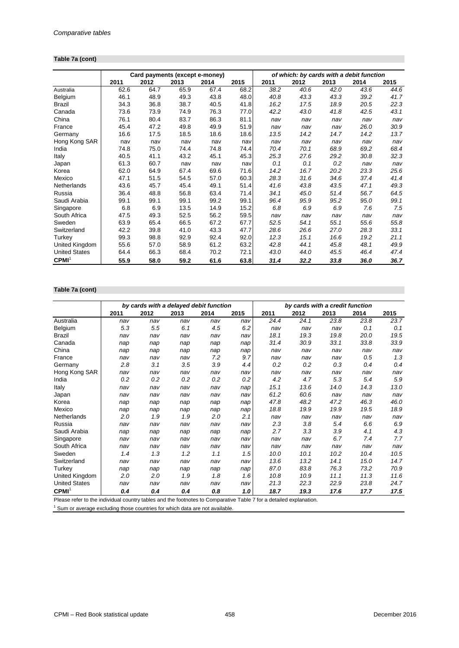## **Table 7a (cont)**

|                      |      | Card payments (except e-money) |      |      |      | of which: by cards with a debit function |      |      |      |      |  |
|----------------------|------|--------------------------------|------|------|------|------------------------------------------|------|------|------|------|--|
|                      | 2011 | 2012                           | 2013 | 2014 | 2015 | 2011                                     | 2012 | 2013 | 2014 | 2015 |  |
| Australia            | 62.6 | 64.7                           | 65.9 | 67.4 | 68.2 | 38.2                                     | 40.6 | 42.0 | 43.6 | 44.6 |  |
| Belgium              | 46.1 | 48.9                           | 49.3 | 43.8 | 48.0 | 40.8                                     | 43.3 | 43.3 | 39.2 | 41.7 |  |
| Brazil               | 34.3 | 36.8                           | 38.7 | 40.5 | 41.8 | 16.2                                     | 17.5 | 18.9 | 20.5 | 22.3 |  |
| Canada               | 73.6 | 73.9                           | 74.9 | 76.3 | 77.0 | 42.2                                     | 43.0 | 41.8 | 42.5 | 43.1 |  |
| China                | 76.1 | 80.4                           | 83.7 | 86.3 | 81.1 | nav                                      | nav  | nav  | nav  | nav  |  |
| France               | 45.4 | 47.2                           | 49.8 | 49.9 | 51.9 | nav                                      | nav  | nav  | 26.0 | 30.9 |  |
| Germany              | 16.6 | 17.5                           | 18.5 | 18.6 | 18.6 | 13.5                                     | 14.2 | 14.7 | 14.2 | 13.7 |  |
| Hong Kong SAR        | nav  | nav                            | nav  | nav  | nav  | nav                                      | nav  | nav  | nav  | nav  |  |
| India                | 74.8 | 75.0                           | 74.4 | 74.8 | 74.4 | 70.4                                     | 70.1 | 68.9 | 69.2 | 68.4 |  |
| Italy                | 40.5 | 41.1                           | 43.2 | 45.1 | 45.3 | 25.3                                     | 27.6 | 29.2 | 30.8 | 32.3 |  |
| Japan                | 61.3 | 60.7                           | nav  | nav  | nav  | 0.1                                      | 0.1  | 0.2  | nav  | nav  |  |
| Korea                | 62.0 | 64.9                           | 67.4 | 69.6 | 71.6 | 14.2                                     | 16.7 | 20.2 | 23.3 | 25.6 |  |
| Mexico               | 47.1 | 51.5                           | 54.5 | 57.0 | 60.3 | 28.3                                     | 31.6 | 34.6 | 37.4 | 41.4 |  |
| Netherlands          | 43.6 | 45.7                           | 45.4 | 49.1 | 51.4 | 41.6                                     | 43.8 | 43.5 | 47.1 | 49.3 |  |
| Russia               | 36.4 | 48.8                           | 56.8 | 63.4 | 71.4 | 34.1                                     | 45.0 | 51.4 | 56.7 | 64.5 |  |
| Saudi Arabia         | 99.1 | 99.1                           | 99.1 | 99.2 | 99.1 | 96.4                                     | 95.9 | 95.2 | 95.0 | 99.1 |  |
| Singapore            | 6.8  | 6.9                            | 13.5 | 14.9 | 15.2 | 6.8                                      | 6.9  | 6.9  | 7.6  | 7.5  |  |
| South Africa         | 47.5 | 49.3                           | 52.5 | 56.2 | 59.5 | nav                                      | nav  | nav  | nav  | nav  |  |
| Sweden               | 63.9 | 65.4                           | 66.5 | 67.2 | 67.7 | 52.5                                     | 54.1 | 55.1 | 55.6 | 55.8 |  |
| Switzerland          | 42.2 | 39.8                           | 41.0 | 43.3 | 47.7 | 28.6                                     | 26.6 | 27.0 | 28.3 | 33.1 |  |
| Turkey               | 99.3 | 98.8                           | 92.9 | 92.4 | 92.0 | 12.3                                     | 15.1 | 16.6 | 19.2 | 21.1 |  |
| United Kingdom       | 55.6 | 57.0                           | 58.9 | 61.2 | 63.2 | 42.8                                     | 44.1 | 45.8 | 48.1 | 49.9 |  |
| <b>United States</b> | 64.4 | 66.3                           | 68.4 | 70.2 | 72.1 | 43.0                                     | 44.0 | 45.5 | 46.4 | 47.4 |  |
| CPMI <sup>1</sup>    | 55.9 | 58.0                           | 59.2 | 61.6 | 63.8 | 31.4                                     | 32.2 | 33.8 | 36.0 | 36.7 |  |

## **Table 7a (cont)**

|                                                                                                                    |      |      |      | by cards with a delayed debit function |      |      |      | by cards with a credit function |      |      |
|--------------------------------------------------------------------------------------------------------------------|------|------|------|----------------------------------------|------|------|------|---------------------------------|------|------|
|                                                                                                                    | 2011 | 2012 | 2013 | 2014                                   | 2015 | 2011 | 2012 | 2013                            | 2014 | 2015 |
| Australia                                                                                                          | nav  | nav  | nav  | nav                                    | nav  | 24.4 | 24.1 | 23.8                            | 23.8 | 23.7 |
| Belgium                                                                                                            | 5.3  | 5.5  | 6.1  | 4.5                                    | 6.2  | nav  | nav  | nav                             | 0.1  | 0.1  |
| Brazil                                                                                                             | nav  | nav  | nav  | nav                                    | nav  | 18.1 | 19.3 | 19.8                            | 20.0 | 19.5 |
| Canada                                                                                                             | nap  | nap  | nap  | nap                                    | nap  | 31.4 | 30.9 | 33.1                            | 33.8 | 33.9 |
| China                                                                                                              | nap  | nap  | nap  | nap                                    | nap  | nav  | nav  | nav                             | nav  | nav  |
| France                                                                                                             | nav  | nav  | nav  | 7.2                                    | 9.7  | nav  | nav  | nav                             | 0.5  | 1.3  |
| Germany                                                                                                            | 2.8  | 3.1  | 3.5  | 3.9                                    | 4.4  | 0.2  | 0.2  | 0.3                             | 0.4  | 0.4  |
| Hong Kong SAR                                                                                                      | nav  | nav  | nav  | nav                                    | nav  | nav  | nav  | nav                             | nav  | nav  |
| India                                                                                                              | 0.2  | 0.2  | 0.2  | 0.2                                    | 0.2  | 4.2  | 4.7  | 5.3                             | 5.4  | 5.9  |
| Italy                                                                                                              | nav  | nav  | nav  | nav                                    | nap  | 15.1 | 13.6 | 14.0                            | 14.3 | 13.0 |
| Japan                                                                                                              | nav  | nav  | nav  | nav                                    | nav  | 61.2 | 60.6 | nav                             | nav  | nav  |
| Korea                                                                                                              | nap  | nap  | nap  | nap                                    | nap  | 47.8 | 48.2 | 47.2                            | 46.3 | 46.0 |
| Mexico                                                                                                             | nap  | nap  | nap  | nap                                    | nap  | 18.8 | 19.9 | 19.9                            | 19.5 | 18.9 |
| Netherlands                                                                                                        | 2.0  | 1.9  | 1.9  | 2.0                                    | 2.1  | nav  | nav  | nav                             | nav  | nav  |
| Russia                                                                                                             | nav  | nav  | nav  | nav                                    | nav  | 2.3  | 3.8  | 5.4                             | 6.6  | 6.9  |
| Saudi Arabia                                                                                                       | nap  | nap  | nap  | nap                                    | nap  | 2.7  | 3.3  | 3.9                             | 4.1  | 4.3  |
| Singapore                                                                                                          | nav  | nav  | nav  | nav                                    | nav  | nav  | nav  | 6.7                             | 7.4  | 7.7  |
| South Africa                                                                                                       | nav  | nav  | nav  | nav                                    | nav  | nav  | nav  | nav                             | nav  | nav  |
| Sweden                                                                                                             | 1.4  | 1.3  | 1.2  | 1.1                                    | 1.5  | 10.0 | 10.1 | 10.2                            | 10.4 | 10.5 |
| Switzerland                                                                                                        | nav  | nav  | nav  | nav                                    | nav  | 13.6 | 13.2 | 14.1                            | 15.0 | 14.7 |
| Turkey                                                                                                             | nap  | nap  | nap  | nap                                    | nap  | 87.0 | 83.8 | 76.3                            | 73.2 | 70.9 |
| United Kingdom                                                                                                     | 2.0  | 2.0  | 1.9  | 1.8                                    | 1.6  | 10.8 | 10.9 | 11.1                            | 11.3 | 11.6 |
| <b>United States</b>                                                                                               | nav  | nav  | nav  | nav                                    | nav  | 21.3 | 22.3 | 22.9                            | 23.8 | 24.7 |
| CPMI <sup>1</sup>                                                                                                  | 0.4  | 0.4  | 0.4  | 0.8                                    | 1.0  | 18.7 | 19.3 | 17.6                            | 17.7 | 17.5 |
| Please refer to the individual country tables and the footnotes to Comparative Table 7 for a detailed explanation. |      |      |      |                                        |      |      |      |                                 |      |      |

 $1$  Sum or average excluding those countries for which data are not available.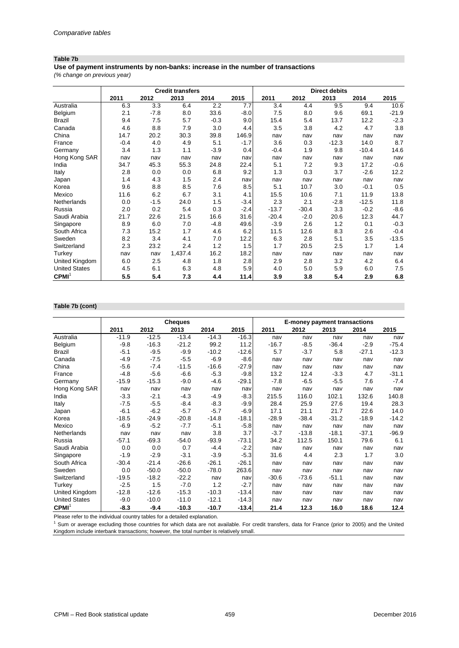#### **Table 7b**

**Use of payment instruments by non-banks: increase in the number of transactions**

*(% change on previous year)*

|                      | <b>Credit transfers</b> |        |         |        |        |         |         | <b>Direct debits</b> |         |         |
|----------------------|-------------------------|--------|---------|--------|--------|---------|---------|----------------------|---------|---------|
|                      | 2011                    | 2012   | 2013    | 2014   | 2015   | 2011    | 2012    | 2013                 | 2014    | 2015    |
| Australia            | 6.3                     | 3.3    | 6.4     | 2.2    | 7.7    | 3.4     | 4.4     | 9.5                  | 9.4     | 10.6    |
| Belgium              | 2.1                     | $-7.8$ | 8.0     | 33.6   | $-8.0$ | 7.5     | 8.0     | 9.6                  | 69.1    | $-21.9$ |
| <b>Brazil</b>        | 9.4                     | 7.5    | 5.7     | $-0.3$ | 9.0    | 15.4    | 5.4     | 13.7                 | 12.2    | $-2.3$  |
| Canada               | 4.6                     | 8.8    | 7.9     | 3.0    | 4.4    | 3.5     | 3.8     | 4.2                  | 4.7     | 3.8     |
| China                | 14.7                    | 20.2   | 30.3    | 39.8   | 146.9  | nav     | nav     | nav                  | nav     | nav     |
| France               | $-0.4$                  | 4.0    | 4.9     | 5.1    | $-1.7$ | 3.6     | 0.3     | $-12.3$              | 14.0    | 8.7     |
| Germany              | 3.4                     | 1.3    | 1.1     | $-3.9$ | 0.4    | $-0.4$  | 1.9     | 9.8                  | $-10.4$ | 14.6    |
| Hong Kong SAR        | nav                     | nav    | nav     | nav    | nav    | nav     | nav     | nav                  | nav     | nav     |
| India                | 34.7                    | 45.3   | 55.3    | 24.8   | 22.4   | 5.1     | 7.2     | 9.3                  | 17.2    | $-0.6$  |
| Italy                | 2.8                     | 0.0    | 0.0     | 6.8    | 9.2    | 1.3     | 0.3     | 3.7                  | $-2.6$  | 12.2    |
| Japan                | 1.4                     | 4.3    | 1.5     | 2.4    | nav    | nav     | nav     | nav                  | nav     | nav     |
| Korea                | 9.6                     | 8.8    | 8.5     | 7.6    | 8.5    | 5.1     | 10.7    | 3.0                  | $-0.1$  | 0.5     |
| Mexico               | 11.6                    | 6.2    | 6.7     | 3.1    | 4.1    | 15.5    | 10.6    | 7.1                  | 11.9    | 13.8    |
| Netherlands          | 0.0                     | $-1.5$ | 24.0    | 1.5    | $-3.4$ | 2.3     | 2.1     | $-2.8$               | $-12.5$ | 11.8    |
| Russia               | 2.0                     | 0.2    | 5.4     | 0.3    | $-2.4$ | $-13.7$ | $-30.4$ | 3.3                  | $-0.2$  | $-8.6$  |
| Saudi Arabia         | 21.7                    | 22.6   | 21.5    | 16.6   | 31.6   | $-20.4$ | $-2.0$  | 20.6                 | 12.3    | 44.7    |
| Singapore            | 8.9                     | 6.0    | 7.0     | $-4.8$ | 49.6   | $-3.9$  | 2.6     | 1.2                  | 0.1     | $-0.3$  |
| South Africa         | 7.3                     | 15.2   | 1.7     | 4.6    | 6.2    | 11.5    | 12.6    | 8.3                  | 2.6     | $-0.4$  |
| Sweden               | 8.2                     | 3.4    | 4.1     | 7.0    | 12.2   | 6.3     | 2.8     | 5.1                  | 3.5     | $-13.5$ |
| Switzerland          | 2.3                     | 23.2   | 2.4     | 1.2    | 1.5    | 1.7     | 20.5    | 2.5                  | 1.7     | 1.4     |
| Turkey               | nav                     | nav    | 1,437.4 | 16.2   | 18.2   | nav     | nav     | nav                  | nav     | nav     |
| United Kingdom       | 6.0                     | 2.5    | 4.8     | 1.8    | 2.8    | 2.9     | 2.8     | 3.2                  | 4.2     | 6.4     |
| <b>United States</b> | 4.5                     | 6.1    | 6.3     | 4.8    | 5.9    | 4.0     | 5.0     | 5.9                  | 6.0     | 7.5     |
| CPMI <sup>1</sup>    | 5.5                     | 5.4    | 7.3     | 4.4    | 11.4   | 3.9     | 3.8     | 5.4                  | 2.9     | 6.8     |

#### **Table 7b (cont)**

|                      |         |         | <b>Cheques</b> |         |         | E-money payment transactions |         |         |         |         |
|----------------------|---------|---------|----------------|---------|---------|------------------------------|---------|---------|---------|---------|
|                      | 2011    | 2012    | 2013           | 2014    | 2015    | 2011                         | 2012    | 2013    | 2014    | 2015    |
| Australia            | $-11.9$ | $-12.5$ | $-13.4$        | $-14.3$ | $-16.3$ | nav                          | nav     | nav     | nav     | nav     |
| Belgium              | $-9.8$  | $-16.3$ | $-21.2$        | 99.2    | 11.2    | $-16.7$                      | $-8.5$  | $-36.4$ | $-2.9$  | $-75.4$ |
| <b>Brazil</b>        | $-5.1$  | $-9.5$  | $-9.9$         | $-10.2$ | $-12.6$ | 5.7                          | $-3.7$  | 5.8     | $-27.1$ | $-12.3$ |
| Canada               | $-4.9$  | $-7.5$  | $-5.5$         | $-6.9$  | $-8.6$  | nav                          | nav     | nav     | nav     | nav     |
| China                | $-5.6$  | $-7.4$  | $-11.5$        | $-16.6$ | $-27.9$ | nav                          | nav     | nav     | nav     | nav     |
| France               | $-4.8$  | $-5.6$  | $-6.6$         | $-5.3$  | $-9.8$  | 13.2                         | 12.4    | $-3.3$  | 4.7     | $-31.1$ |
| Germany              | $-15.9$ | $-15.3$ | $-9.0$         | $-4.6$  | $-29.1$ | $-7.8$                       | $-6.5$  | $-5.5$  | 7.6     | $-7.4$  |
| Hong Kong SAR        | nav     | nav     | nav            | nav     | nav     | nav                          | nav     | nav     | nav     | nav     |
| India                | $-3.3$  | $-2.1$  | $-4.3$         | $-4.9$  | $-8.3$  | 215.5                        | 116.0   | 102.1   | 132.6   | 140.8   |
| Italy                | $-7.5$  | $-5.5$  | $-8.4$         | $-8.3$  | $-9.9$  | 28.4                         | 25.9    | 27.6    | 19.4    | 28.3    |
| Japan                | $-6.1$  | $-6.2$  | $-5.7$         | $-5.7$  | $-6.9$  | 17.1                         | 21.1    | 21.7    | 22.6    | 14.0    |
| Korea                | $-18.5$ | $-24.9$ | $-20.8$        | $-14.8$ | $-18.1$ | $-28.9$                      | $-38.4$ | $-31.2$ | $-18.9$ | $-14.2$ |
| Mexico               | $-6.9$  | $-5.2$  | $-7.7$         | $-5.1$  | $-5.8$  | nav                          | nav     | nav     | nav     | nav     |
| Netherlands          | nav     | nav     | nav            | 3.8     | 3.7     | $-3.7$                       | $-13.8$ | $-18.1$ | $-37.1$ | $-96.9$ |
| Russia               | $-57.1$ | $-69.3$ | $-54.0$        | $-93.9$ | $-73.1$ | 34.2                         | 112.5   | 150.1   | 79.6    | 6.1     |
| Saudi Arabia         | 0.0     | 0.0     | 0.7            | $-4.4$  | $-2.2$  | nav                          | nav     | nav     | nav     | nav     |
| Singapore            | $-1.9$  | $-2.9$  | $-3.1$         | $-3.9$  | $-5.3$  | 31.6                         | 4.4     | 2.3     | 1.7     | 3.0     |
| South Africa         | $-30.4$ | $-21.4$ | $-26.6$        | $-26.1$ | $-26.1$ | nav                          | nav     | nav     | nav     | nav     |
| Sweden               | 0.0     | $-50.0$ | $-50.0$        | $-78.0$ | 263.6   | nav                          | nav     | nav     | nav     | nav     |
| Switzerland          | $-19.5$ | $-18.2$ | $-22.2$        | nav     | nav     | $-30.6$                      | $-73.6$ | $-51.1$ | nav     | nav     |
| Turkey               | $-2.5$  | 1.5     | $-7.0$         | 1.2     | $-2.7$  | nav                          | nav     | nav     | nav     | nav     |
| United Kingdom       | $-12.8$ | $-12.6$ | $-15.3$        | $-10.3$ | $-13.4$ | nav                          | nav     | nav     | nav     | nav     |
| <b>United States</b> | $-9.0$  | $-10.0$ | $-11.0$        | $-12.1$ | $-14.3$ | nav                          | nav     | nav     | nav     | nav     |
| CPMI <sup>1</sup>    | $-8.3$  | $-9.4$  | $-10.3$        | $-10.7$ | $-13.4$ | 21.4                         | 12.3    | 16.0    | 18.6    | 12.4    |

Please refer to the individual country tables for a detailed explanation.

<sup>1</sup> Sum or average excluding those countries for which data are not available. For credit transfers, data for France (prior to 2005) and the United Kingdom include interbank transactions; however, the total number is relatively small.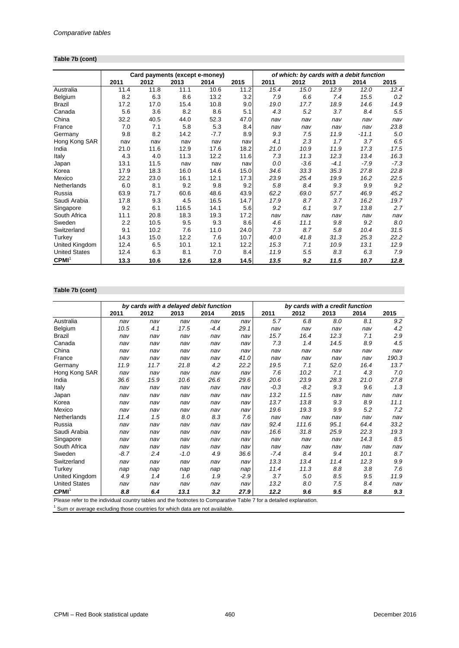## **Table 7b (cont)**

|                      |      | Card payments (except e-money) |       |        |      | of which: by cards with a debit function |        |        |         |        |  |
|----------------------|------|--------------------------------|-------|--------|------|------------------------------------------|--------|--------|---------|--------|--|
|                      | 2011 | 2012                           | 2013  | 2014   | 2015 | 2011                                     | 2012   | 2013   | 2014    | 2015   |  |
| Australia            | 11.4 | 11.8                           | 11.1  | 10.6   | 11.2 | 15.4                                     | 15.0   | 12.9   | 12.0    | 12.4   |  |
| Belgium              | 8.2  | 6.3                            | 8.6   | 13.2   | 3.2  | 7.9                                      | 6.6    | 7.4    | 15.5    | 0.2    |  |
| Brazil               | 17.2 | 17.0                           | 15.4  | 10.8   | 9.0  | 19.0                                     | 17.7   | 18.9   | 14.6    | 14.9   |  |
| Canada               | 5.6  | 3.6                            | 8.2   | 8.6    | 5.1  | 4.3                                      | 5.2    | 3.7    | 8.4     | 5.5    |  |
| China                | 32.2 | 40.5                           | 44.0  | 52.3   | 47.0 | nav                                      | nav    | nav    | nav     | nav    |  |
| France               | 7.0  | 7.1                            | 5.8   | 5.3    | 8.4  | nav                                      | nav    | nav    | nav     | 23.8   |  |
| Germany              | 9.8  | 8.2                            | 14.2  | $-7.7$ | 8.9  | 9.3                                      | 7.5    | 11.9   | $-11.1$ | 5.0    |  |
| Hong Kong SAR        | nav  | nav                            | nav   | nav    | nav  | 4.1                                      | 2.3    | 1.7    | 3.7     | 6.5    |  |
| India                | 21.0 | 11.6                           | 12.9  | 17.6   | 18.2 | 21.0                                     | 10.9   | 11.9   | 17.3    | 17.5   |  |
| Italy                | 4.3  | 4.0                            | 11.3  | 12.2   | 11.6 | 7.3                                      | 11.3   | 12.3   | 13.4    | 16.3   |  |
| Japan                | 13.1 | 11.5                           | nav   | nav    | nav  | 0.0                                      | $-3.6$ | $-4.1$ | $-7.9$  | $-7.3$ |  |
| Korea                | 17.9 | 18.3                           | 16.0  | 14.6   | 15.0 | 34.6                                     | 33.3   | 35.3   | 27.8    | 22.8   |  |
| Mexico               | 22.2 | 23.0                           | 16.1  | 12.1   | 17.3 | 23.9                                     | 25.4   | 19.9   | 16.2    | 22.5   |  |
| Netherlands          | 6.0  | 8.1                            | 9.2   | 9.8    | 9.2  | 5.8                                      | 8.4    | 9.3    | 9.9     | 9.2    |  |
| Russia               | 63.9 | 71.7                           | 60.6  | 48.6   | 43.9 | 62.2                                     | 69.0   | 57.7   | 46.9    | 45.2   |  |
| Saudi Arabia         | 17.8 | 9.3                            | 4.5   | 16.5   | 14.7 | 17.9                                     | 8.7    | 3.7    | 16.2    | 19.7   |  |
| Singapore            | 9.2  | 6.1                            | 116.5 | 14.1   | 5.6  | 9.2                                      | 6.1    | 9.7    | 13.8    | 2.7    |  |
| South Africa         | 11.1 | 20.8                           | 18.3  | 19.3   | 17.2 | nav                                      | nav    | nav    | nav     | nav    |  |
| Sweden               | 2.2  | 10.5                           | 9.5   | 9.3    | 8.6  | 4.6                                      | 11.1   | 9.8    | 9.2     | 8.0    |  |
| Switzerland          | 9.1  | 10.2                           | 7.6   | 11.0   | 24.0 | 7.3                                      | 8.7    | 5.8    | 10.4    | 31.5   |  |
| Turkey               | 14.3 | 15.0                           | 12.2  | 7.6    | 10.7 | 40.0                                     | 41.8   | 31.3   | 25.3    | 22.2   |  |
| United Kingdom       | 12.4 | 6.5                            | 10.1  | 12.1   | 12.2 | 15.3                                     | 7.1    | 10.9   | 13.1    | 12.9   |  |
| <b>United States</b> | 12.4 | 6.3                            | 8.1   | 7.0    | 8.4  | 11.9                                     | 5.5    | 8.3    | 6.3     | 7.9    |  |
| CPMI <sup>1</sup>    | 13.3 | 10.6                           | 12.6  | 12.8   | 14.5 | 13.5                                     | 9.2    | 11.5   | 10.7    | 12.8   |  |

## **Table 7b (cont)**

|                                                                                                                           |        | by cards with a delayed debit function |        |        |        |                                                           | by cards with a credit function |      |      |       |
|---------------------------------------------------------------------------------------------------------------------------|--------|----------------------------------------|--------|--------|--------|-----------------------------------------------------------|---------------------------------|------|------|-------|
|                                                                                                                           | 2011   | 2012                                   | 2013   | 2014   | 2015   | 2011                                                      | 2012                            | 2013 | 2014 | 2015  |
| Australia                                                                                                                 | nav    | nav                                    | nav    | nav    | nav    | 5.7                                                       | 6.8                             | 8.0  | 8.1  | 9.2   |
| Belgium                                                                                                                   | 10.5   | 4.1                                    | 17.5   | $-4.4$ | 29.1   | nav                                                       | nav                             | nav  | nav  | 4.2   |
| <b>Brazil</b>                                                                                                             | nav    | nav                                    | nav    | nav    | nav    | 15.7                                                      | 16.4                            | 12.3 | 7.1  | 2.9   |
| Canada                                                                                                                    | nav    | nav                                    | nav    | nav    | nav    | 7.3                                                       | 1.4                             | 14.5 | 8.9  | 4.5   |
| China                                                                                                                     | nav    | nav                                    | nav    | nav    | nav    | nav                                                       | nav                             | nav  | nav  | nav   |
| France                                                                                                                    | nav    | nav                                    | nav    | nav    | 41.0   | nav                                                       | nav                             | nav  | nav  | 190.3 |
| Germany                                                                                                                   | 11.9   | 11.7                                   | 21.8   | 4.2    | 22.2   | 19.5                                                      | 7.1                             | 52.0 | 16.4 | 13.7  |
| Hong Kong SAR                                                                                                             | nav    | nav                                    | nav    | nav    | nav    | 7.6                                                       | 10.2                            | 7.1  | 4.3  | 7.0   |
| India                                                                                                                     | 36.6   | 15.9                                   | 10.6   | 26.6   | 29.6   | 20.6                                                      | 23.9                            | 28.3 | 21.0 | 27.8  |
| Italy                                                                                                                     | nav    | nav                                    | nav    | nav    | nav    | $-0.3$                                                    | $-8.2$                          | 9.3  | 9.6  | 1.3   |
| Japan                                                                                                                     | nav    | nav                                    | nav    | nav    | nav    | 13.2                                                      | 11.5                            | nav  | nav  | nav   |
| Korea                                                                                                                     | nav    | nav                                    | nav    | nav    | nav    | 13.7                                                      | 13.8                            | 9.3  | 8.9  | 11.1  |
| Mexico                                                                                                                    | nav    | nav                                    | nav    | nav    | nav    | 19.6                                                      | 19.3                            | 9.9  | 5.2  | 7.2   |
| Netherlands                                                                                                               | 11.4   | 1.5                                    | 8.0    | 8.3    | 7.6    | nav                                                       | nav                             | nav  | nav  | nav   |
| Russia                                                                                                                    | nav    | nav                                    | nav    | nav    | nav    | 92.4                                                      | 111.6                           | 95.1 | 64.4 | 33.2  |
| Saudi Arabia                                                                                                              | nav    | nav                                    | nav    | nav    | nav    | 16.6                                                      | 31.8                            | 25.9 | 22.3 | 19.3  |
| Singapore                                                                                                                 | nav    | nav                                    | nav    | nav    | nav    | nav                                                       | nav                             | nav  | 14.3 | 8.5   |
| South Africa                                                                                                              | nav    | nav                                    | nav    | nav    | nav    | nav                                                       | nav                             | nav  | nav  | nav   |
| Sweden                                                                                                                    | $-8.7$ | 2.4                                    | $-1.0$ | 4.9    | 36.6   | $-7.4$                                                    | 8.4                             | 9.4  | 10.1 | 8.7   |
| Switzerland                                                                                                               | nav    | nav                                    | nav    | nav    | nav    | 13.3                                                      | 13.4                            | 11.4 | 12.3 | 9.9   |
| Turkey                                                                                                                    | nap    | nap                                    | nap    | nap    | nap    | 11.4                                                      | 11.3                            | 8.8  | 3.8  | 7.6   |
| United Kingdom                                                                                                            | 4.9    | 1.4                                    | 1.6    | 1.9    | $-2.9$ | 3.7                                                       | 5.0                             | 8.5  | 9.5  | 11.9  |
| <b>United States</b>                                                                                                      | nav    | nav                                    | nav    | nav    | nav    | 13.2                                                      | 8.0                             | 7.5  | 8.4  | nav   |
| CPMI <sup>1</sup><br>$D$ leads to the left of the distribution of the second left and the left of the left of $D$ and $D$ | 8.8    | 6.4                                    | 13.1   | 3.2    | 27.9   | 12.2<br>ando an The Lite → Announced and an international | 9.6                             | 9.5  | 8.8  | 9.3   |

Please refer to the individual country tables and the footnotes to Comparative Table 7 for a detailed explanation.

 $1$  Sum or average excluding those countries for which data are not available.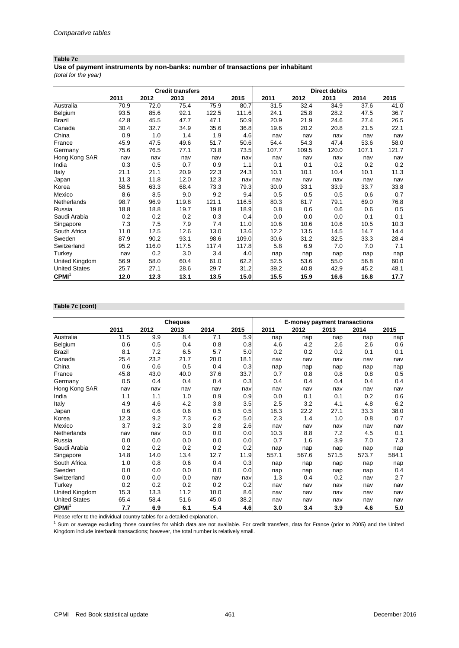#### **Table 7c**

**Use of payment instruments by non-banks: number of transactions per inhabitant**

*(total for the year)*

|                      |      | <b>Credit transfers</b> |       |       |       |       |       | <b>Direct debits</b> |       |       |
|----------------------|------|-------------------------|-------|-------|-------|-------|-------|----------------------|-------|-------|
|                      | 2011 | 2012                    | 2013  | 2014  | 2015  | 2011  | 2012  | 2013                 | 2014  | 2015  |
| Australia            | 70.9 | 72.0                    | 75.4  | 75.9  | 80.7  | 31.5  | 32.4  | 34.9                 | 37.6  | 41.0  |
| Belgium              | 93.5 | 85.6                    | 92.1  | 122.5 | 111.6 | 24.1  | 25.8  | 28.2                 | 47.5  | 36.7  |
| <b>Brazil</b>        | 42.8 | 45.5                    | 47.7  | 47.1  | 50.9  | 20.9  | 21.9  | 24.6                 | 27.4  | 26.5  |
| Canada               | 30.4 | 32.7                    | 34.9  | 35.6  | 36.8  | 19.6  | 20.2  | 20.8                 | 21.5  | 22.1  |
| China                | 0.9  | 1.0                     | 1.4   | 1.9   | 4.6   | nav   | nav   | nav                  | nav   | nav   |
| France               | 45.9 | 47.5                    | 49.6  | 51.7  | 50.6  | 54.4  | 54.3  | 47.4                 | 53.6  | 58.0  |
| Germany              | 75.6 | 76.5                    | 77.1  | 73.8  | 73.5  | 107.7 | 109.5 | 120.0                | 107.1 | 121.7 |
| Hong Kong SAR        | nav  | nav                     | nav   | nav   | nav   | nav   | nav   | nav                  | nav   | nav   |
| India                | 0.3  | 0.5                     | 0.7   | 0.9   | 1.1   | 0.1   | 0.1   | 0.2                  | 0.2   | 0.2   |
| Italy                | 21.1 | 21.1                    | 20.9  | 22.3  | 24.3  | 10.1  | 10.1  | 10.4                 | 10.1  | 11.3  |
| Japan                | 11.3 | 11.8                    | 12.0  | 12.3  | nav   | nav   | nav   | nav                  | nav   | nav   |
| Korea                | 58.5 | 63.3                    | 68.4  | 73.3  | 79.3  | 30.0  | 33.1  | 33.9                 | 33.7  | 33.8  |
| Mexico               | 8.6  | 8.5                     | 9.0   | 9.2   | 9.4   | 0.5   | 0.5   | 0.5                  | 0.6   | 0.7   |
| Netherlands          | 98.7 | 96.9                    | 119.8 | 121.1 | 116.5 | 80.3  | 81.7  | 79.1                 | 69.0  | 76.8  |
| Russia               | 18.8 | 18.8                    | 19.7  | 19.8  | 18.9  | 0.8   | 0.6   | 0.6                  | 0.6   | 0.5   |
| Saudi Arabia         | 0.2  | 0.2                     | 0.2   | 0.3   | 0.4   | 0.0   | 0.0   | 0.0                  | 0.1   | 0.1   |
| Singapore            | 7.3  | 7.5                     | 7.9   | 7.4   | 11.0  | 10.6  | 10.6  | 10.6                 | 10.5  | 10.3  |
| South Africa         | 11.0 | 12.5                    | 12.6  | 13.0  | 13.6  | 12.2  | 13.5  | 14.5                 | 14.7  | 14.4  |
| Sweden               | 87.9 | 90.2                    | 93.1  | 98.6  | 109.0 | 30.6  | 31.2  | 32.5                 | 33.3  | 28.4  |
| Switzerland          | 95.2 | 116.0                   | 117.5 | 117.4 | 117.8 | 5.8   | 6.9   | 7.0                  | 7.0   | 7.1   |
| Turkey               | nav  | 0.2                     | 3.0   | 3.4   | 4.0   | nap   | nap   | nap                  | nap   | nap   |
| United Kingdom       | 56.9 | 58.0                    | 60.4  | 61.0  | 62.2  | 52.5  | 53.6  | 55.0                 | 56.8  | 60.0  |
| <b>United States</b> | 25.7 | 27.1                    | 28.6  | 29.7  | 31.2  | 39.2  | 40.8  | 42.9                 | 45.2  | 48.1  |
| CPMI <sup>1</sup>    | 12.0 | 12.3                    | 13.1  | 13.5  | 15.0  | 15.5  | 15.9  | 16.6                 | 16.8  | 17.7  |

#### **Table 7c (cont)**

|                      |      |      | <b>Cheques</b> |      |      | E-money payment transactions |       |       |       |       |
|----------------------|------|------|----------------|------|------|------------------------------|-------|-------|-------|-------|
|                      | 2011 | 2012 | 2013           | 2014 | 2015 | 2011                         | 2012  | 2013  | 2014  | 2015  |
| Australia            | 11.5 | 9.9  | 8.4            | 7.1  | 5.9  | nap                          | nap   | nap   | nap   | nap   |
| Belgium              | 0.6  | 0.5  | 0.4            | 0.8  | 0.8  | 4.6                          | 4.2   | 2.6   | 2.6   | 0.6   |
| <b>Brazil</b>        | 8.1  | 7.2  | 6.5            | 5.7  | 5.0  | 0.2                          | 0.2   | 0.2   | 0.1   | 0.1   |
| Canada               | 25.4 | 23.2 | 21.7           | 20.0 | 18.1 | nav                          | nav   | nav   | nav   | nav   |
| China                | 0.6  | 0.6  | 0.5            | 0.4  | 0.3  | nap                          | nap   | nap   | nap   | nap   |
| France               | 45.8 | 43.0 | 40.0           | 37.6 | 33.7 | 0.7                          | 0.8   | 0.8   | 0.8   | 0.5   |
| Germany              | 0.5  | 0.4  | 0.4            | 0.4  | 0.3  | 0.4                          | 0.4   | 0.4   | 0.4   | 0.4   |
| Hong Kong SAR        | nav  | nav  | nav            | nav  | nav  | nav                          | nav   | nav   | nav   | nav   |
| India                | 1.1  | 1.1  | 1.0            | 0.9  | 0.9  | 0.0                          | 0.1   | 0.1   | 0.2   | 0.6   |
| Italy                | 4.9  | 4.6  | 4.2            | 3.8  | 3.5  | 2.5                          | 3.2   | 4.1   | 4.8   | 6.2   |
| Japan                | 0.6  | 0.6  | 0.6            | 0.5  | 0.5  | 18.3                         | 22.2  | 27.1  | 33.3  | 38.0  |
| Korea                | 12.3 | 9.2  | 7.3            | 6.2  | 5.0  | 2.3                          | 1.4   | 1.0   | 0.8   | 0.7   |
| Mexico               | 3.7  | 3.2  | 3.0            | 2.8  | 2.6  | nav                          | nav   | nav   | nav   | nav   |
| Netherlands          | nav  | nav  | 0.0            | 0.0  | 0.0  | 10.3                         | 8.8   | 7.2   | 4.5   | 0.1   |
| Russia               | 0.0  | 0.0  | 0.0            | 0.0  | 0.0  | 0.7                          | 1.6   | 3.9   | 7.0   | 7.3   |
| Saudi Arabia         | 0.2  | 0.2  | 0.2            | 0.2  | 0.2  | nap                          | nap   | nap   | nap   | nap   |
| Singapore            | 14.8 | 14.0 | 13.4           | 12.7 | 11.9 | 557.1                        | 567.6 | 571.5 | 573.7 | 584.1 |
| South Africa         | 1.0  | 0.8  | 0.6            | 0.4  | 0.3  | nap                          | nap   | nap   | nap   | nap   |
| Sweden               | 0.0  | 0.0  | 0.0            | 0.0  | 0.0  | nap                          | nap   | nap   | nap   | 0.4   |
| Switzerland          | 0.0  | 0.0  | 0.0            | nav  | nav  | 1.3                          | 0.4   | 0.2   | nav   | 2.7   |
| Turkey               | 0.2  | 0.2  | 0.2            | 0.2  | 0.2  | nav                          | nav   | nav   | nav   | nav   |
| United Kingdom       | 15.3 | 13.3 | 11.2           | 10.0 | 8.6  | nav                          | nav   | nav   | nav   | nav   |
| <b>United States</b> | 65.4 | 58.4 | 51.6           | 45.0 | 38.2 | nav                          | nav   | nav   | nav   | nav   |
| CPMI <sup>1</sup>    | 7.7  | 6.9  | 6.1            | 5.4  | 4.6  | 3.0                          | 3.4   | 3.9   | 4.6   | 5.0   |

Please refer to the individual country tables for a detailed explanation.

<sup>1</sup> Sum or average excluding those countries for which data are not available. For credit transfers, data for France (prior to 2005) and the United Kingdom include interbank transactions; however, the total number is relatively small.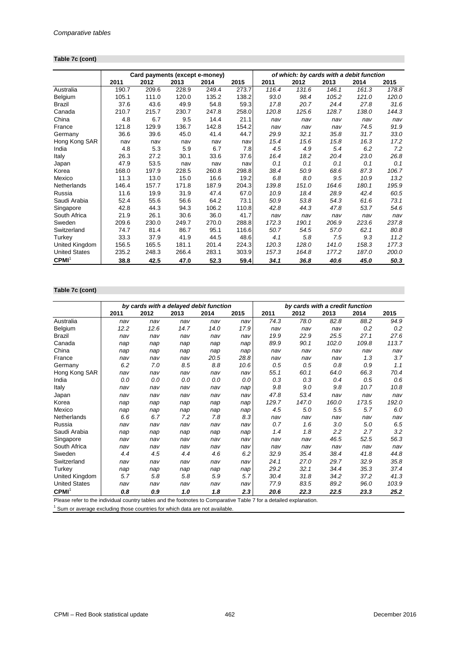## **Table 7c (cont)**

|                      |       | Card payments (except e-money) |       |       |       |       | of which: by cards with a debit function |       |       |       |
|----------------------|-------|--------------------------------|-------|-------|-------|-------|------------------------------------------|-------|-------|-------|
|                      | 2011  | 2012                           | 2013  | 2014  | 2015  | 2011  | 2012                                     | 2013  | 2014  | 2015  |
| Australia            | 190.7 | 209.6                          | 228.9 | 249.4 | 273.7 | 116.4 | 131.6                                    | 146.1 | 161.3 | 178.8 |
| Belgium              | 105.1 | 111.0                          | 120.0 | 135.2 | 138.2 | 93.0  | 98.4                                     | 105.2 | 121.0 | 120.0 |
| Brazil               | 37.6  | 43.6                           | 49.9  | 54.8  | 59.3  | 17.8  | 20.7                                     | 24.4  | 27.8  | 31.6  |
| Canada               | 210.7 | 215.7                          | 230.7 | 247.8 | 258.0 | 120.8 | 125.6                                    | 128.7 | 138.0 | 144.3 |
| China                | 4.8   | 6.7                            | 9.5   | 14.4  | 21.1  | nav   | nav                                      | nav   | nav   | nav   |
| France               | 121.8 | 129.9                          | 136.7 | 142.8 | 154.2 | nav   | nav                                      | nav   | 74.5  | 91.9  |
| Germany              | 36.6  | 39.6                           | 45.0  | 41.4  | 44.7  | 29.9  | 32.1                                     | 35.8  | 31.7  | 33.0  |
| Hong Kong SAR        | nav   | nav                            | nav   | nav   | nav   | 15.4  | 15.6                                     | 15.8  | 16.3  | 17.2  |
| India                | 4.8   | 5.3                            | 5.9   | 6.7   | 7.8   | 4.5   | 4.9                                      | 5.4   | 6.2   | 7.2   |
| Italy                | 26.3  | 27.2                           | 30.1  | 33.6  | 37.6  | 16.4  | 18.2                                     | 20.4  | 23.0  | 26.8  |
| Japan                | 47.9  | 53.5                           | nav   | nav   | nav   | 0.1   | 0.1                                      | 0.1   | 0.1   | 0.1   |
| Korea                | 168.0 | 197.9                          | 228.5 | 260.8 | 298.8 | 38.4  | 50.9                                     | 68.6  | 87.3  | 106.7 |
| Mexico               | 11.3  | 13.0                           | 15.0  | 16.6  | 19.2  | 6.8   | 8.0                                      | 9.5   | 10.9  | 13.2  |
| Netherlands          | 146.4 | 157.7                          | 171.8 | 187.9 | 204.3 | 139.8 | 151.0                                    | 164.6 | 180.1 | 195.9 |
| Russia               | 11.6  | 19.9                           | 31.9  | 47.4  | 67.0  | 10.9  | 18.4                                     | 28.9  | 42.4  | 60.5  |
| Saudi Arabia         | 52.4  | 55.6                           | 56.6  | 64.2  | 73.1  | 50.9  | 53.8                                     | 54.3  | 61.6  | 73.1  |
| Singapore            | 42.8  | 44.3                           | 94.3  | 106.2 | 110.8 | 42.8  | 44.3                                     | 47.8  | 53.7  | 54.6  |
| South Africa         | 21.9  | 26.1                           | 30.6  | 36.0  | 41.7  | nav   | nav                                      | nav   | nav   | nav   |
| Sweden               | 209.6 | 230.0                          | 249.7 | 270.0 | 288.8 | 172.3 | 190.1                                    | 206.9 | 223.6 | 237.8 |
| Switzerland          | 74.7  | 81.4                           | 86.7  | 95.1  | 116.6 | 50.7  | 54.5                                     | 57.0  | 62.1  | 80.8  |
| Turkey               | 33.3  | 37.9                           | 41.9  | 44.5  | 48.6  | 4.1   | 5.8                                      | 7.5   | 9.3   | 11.2  |
| United Kingdom       | 156.5 | 165.5                          | 181.1 | 201.4 | 224.3 | 120.3 | 128.0                                    | 141.0 | 158.3 | 177.3 |
| <b>United States</b> | 235.2 | 248.3                          | 266.4 | 283.1 | 303.9 | 157.3 | 164.8                                    | 177.2 | 187.0 | 200.0 |
| CPMI <sup>1</sup>    | 38.8  | 42.5                           | 47.0  | 52.3  | 59.4  | 34.1  | 36.8                                     | 40.6  | 45.0  | 50.3  |

## **Table 7c (cont)**

|                                                                                                                                      | by cards with a delayed debit function |      |      |      |      |       | by cards with a credit function |       |       |       |
|--------------------------------------------------------------------------------------------------------------------------------------|----------------------------------------|------|------|------|------|-------|---------------------------------|-------|-------|-------|
|                                                                                                                                      | 2011                                   | 2012 | 2013 | 2014 | 2015 | 2011  | 2012                            | 2013  | 2014  | 2015  |
| Australia                                                                                                                            | nav                                    | nav  | nav  | nav  | nav  | 74.3  | 78.0                            | 82.8  | 88.2  | 94.9  |
| Belgium                                                                                                                              | 12.2                                   | 12.6 | 14.7 | 14.0 | 17.9 | nav   | nav                             | nav   | 0.2   | 0.2   |
| Brazil                                                                                                                               | nav                                    | nav  | nav  | nav  | nav  | 19.9  | 22.9                            | 25.5  | 27.1  | 27.6  |
| Canada                                                                                                                               | nap                                    | nap  | nap  | nap  | nap  | 89.9  | 90.1                            | 102.0 | 109.8 | 113.7 |
| China                                                                                                                                | nap                                    | nap  | nap  | nap  | nap  | nav   | nav                             | nav   | nav   | nav   |
| France                                                                                                                               | nav                                    | nav  | nav  | 20.5 | 28.8 | nav   | nav                             | nav   | 1.3   | 3.7   |
| Germany                                                                                                                              | 6.2                                    | 7.0  | 8.5  | 8.8  | 10.6 | 0.5   | 0.5                             | 0.8   | 0.9   | 1.1   |
| Hong Kong SAR                                                                                                                        | nav                                    | nav  | nav  | nav  | nav  | 55.1  | 60.1                            | 64.0  | 66.3  | 70.4  |
| India                                                                                                                                | 0.0                                    | 0.0  | 0.0  | 0.0  | 0.0  | 0.3   | 0.3                             | 0.4   | 0.5   | 0.6   |
| Italy                                                                                                                                | nav                                    | nav  | nav  | nav  | nap  | 9.8   | 9.0                             | 9.8   | 10.7  | 10.8  |
| Japan                                                                                                                                | nav                                    | nav  | nav  | nav  | nav  | 47.8  | 53.4                            | nav   | nav   | nav   |
| Korea                                                                                                                                | nap                                    | nap  | nap  | nap  | nap  | 129.7 | 147.0                           | 160.0 | 173.5 | 192.0 |
| Mexico                                                                                                                               | nap                                    | nap  | nap  | nap  | nap  | 4.5   | 5.0                             | 5.5   | 5.7   | 6.0   |
| Netherlands                                                                                                                          | 6.6                                    | 6.7  | 7.2  | 7.8  | 8.3  | nav   | nav                             | nav   | nav   | nav   |
| Russia                                                                                                                               | nav                                    | nav  | nav  | nav  | nav  | 0.7   | 1.6                             | 3.0   | 5.0   | 6.5   |
| Saudi Arabia                                                                                                                         | nap                                    | nap  | nap  | nap  | nap  | 1.4   | 1.8                             | 2.2   | 2.7   | 3.2   |
| Singapore                                                                                                                            | nav                                    | nav  | nav  | nav  | nav  | nav   | nav                             | 46.5  | 52.5  | 56.3  |
| South Africa                                                                                                                         | nav                                    | nav  | nav  | nav  | nav  | nav   | nav                             | nav   | nav   | nav   |
| Sweden                                                                                                                               | 4.4                                    | 4.5  | 4.4  | 4.6  | 6.2  | 32.9  | 35.4                            | 38.4  | 41.8  | 44.8  |
| Switzerland                                                                                                                          | nav                                    | nav  | nav  | nav  | nav  | 24.1  | 27.0                            | 29.7  | 32.9  | 35.8  |
| Turkey                                                                                                                               | nap                                    | nap  | nap  | nap  | nap  | 29.2  | 32.1                            | 34.4  | 35.3  | 37.4  |
| United Kingdom                                                                                                                       | 5.7                                    | 5.8  | 5.8  | 5.9  | 5.7  | 30.4  | 31.8                            | 34.2  | 37.2  | 41.3  |
| <b>United States</b>                                                                                                                 | nav                                    | nav  | nav  | nav  | nav  | 77.9  | 83.5                            | 89.2  | 96.0  | 103.9 |
| CPMI <sup>1</sup><br>Discovered the bolb distinct commentation and the formation of Oceanomation Table 7 for a detailed conferential | 0.8                                    | 0.9  | 1.0  | 1.8  | 2.3  | 20.6  | 22.3                            | 22.5  | 23.3  | 25.2  |

Please refer to the individual country tables and the footnotes to Comparative Table 7 for a detailed explanation.<br><sup>1</sup> Sum or average excluding those countries for which data are not available.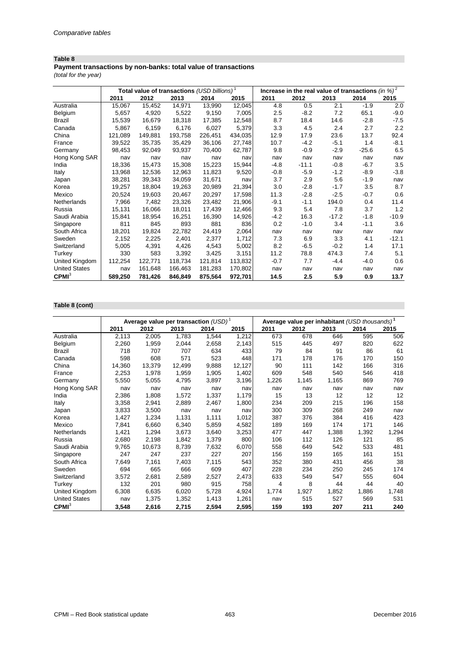## **Payment transactions by non-banks: total value of transactions**

*(total for the year)*

|                      |         | Total value of transactions (USD billions) <sup>1</sup> |         |         |         | Increase in the real value of transactions $(in %)^2$ |         |         |         |         |
|----------------------|---------|---------------------------------------------------------|---------|---------|---------|-------------------------------------------------------|---------|---------|---------|---------|
|                      | 2011    | 2012                                                    | 2013    | 2014    | 2015    | 2011                                                  | 2012    | 2013    | 2014    | 2015    |
| Australia            | 15,067  | 15,452                                                  | 14,971  | 13,990  | 12,045  | 4.8                                                   | 0.5     | 2.1     | $-1.9$  | 2.0     |
| Belgium              | 5,657   | 4,920                                                   | 5,522   | 9,150   | 7,005   | 2.5                                                   | $-8.2$  | 7.2     | 65.1    | $-9.0$  |
| <b>Brazil</b>        | 15,539  | 16,679                                                  | 18,318  | 17,385  | 12,548  | 8.7                                                   | 18.4    | 14.6    | $-2.8$  | $-7.5$  |
| Canada               | 5,867   | 6,159                                                   | 6,176   | 6,027   | 5,379   | 3.3                                                   | 4.5     | 2.4     | 2.7     | 2.2     |
| China                | 121,089 | 149,881                                                 | 193,758 | 226,451 | 434,035 | 12.9                                                  | 17.9    | 23.6    | 13.7    | 92.4    |
| France               | 39,522  | 35,735                                                  | 35,429  | 36,106  | 27,748  | 10.7                                                  | $-4.2$  | $-5.1$  | 1.4     | $-8.1$  |
| Germany              | 98,453  | 92,049                                                  | 93,937  | 70,400  | 62,787  | 9.8                                                   | $-0.9$  | $-2.9$  | $-25.6$ | 6.5     |
| Hong Kong SAR        | nav     | nav                                                     | nav     | nav     | nav     | nav                                                   | nav     | nav     | nav     | nav     |
| India                | 18,336  | 15,473                                                  | 15,308  | 15,223  | 15,944  | $-4.8$                                                | $-11.1$ | $-0.8$  | $-6.7$  | 3.5     |
| Italy                | 13,968  | 12,536                                                  | 12,963  | 11,823  | 9,520   | $-0.8$                                                | $-5.9$  | $-1.2$  | $-8.9$  | $-3.8$  |
| Japan                | 38,281  | 39,343                                                  | 34,059  | 31,671  | nav     | 3.7                                                   | 2.9     | 5.6     | $-1.9$  | nav     |
| Korea                | 19,257  | 18,804                                                  | 19,263  | 20,989  | 21,394  | 3.0                                                   | $-2.8$  | $-1.7$  | 3.5     | 8.7     |
| Mexico               | 20,524  | 19,603                                                  | 20,467  | 20,297  | 17,598  | 11.3                                                  | $-2.8$  | $-2.5$  | $-0.7$  | 0.6     |
| Netherlands          | 7,966   | 7,482                                                   | 23,326  | 23,482  | 21,906  | $-9.1$                                                | $-1.1$  | 194.0   | 0.4     | 11.4    |
| Russia               | 15,131  | 16,066                                                  | 18,011  | 17,439  | 12,466  | 9.3                                                   | 5.4     | 7.8     | 3.7     | 1.2     |
| Saudi Arabia         | 15,841  | 18,954                                                  | 16,251  | 16,390  | 14,926  | $-4.2$                                                | 16.3    | $-17.2$ | -1.8    | $-10.9$ |
| Singapore            | 811     | 845                                                     | 893     | 881     | 836     | 0.2                                                   | $-1.0$  | 3.4     | $-1.1$  | 3.6     |
| South Africa         | 18,201  | 19,824                                                  | 22,782  | 24,419  | 2,064   | nav                                                   | nav     | nav     | nav     | nav     |
| Sweden               | 2,152   | 2,225                                                   | 2,401   | 2,377   | 1,712   | 7.3                                                   | 6.9     | 3.3     | 4.1     | $-12.1$ |
| Switzerland          | 5,005   | 4,391                                                   | 4,426   | 4,543   | 5,002   | 8.2                                                   | $-6.5$  | $-0.2$  | 1.4     | 17.1    |
| Turkey               | 330     | 583                                                     | 3,392   | 3,425   | 3,151   | 11.2                                                  | 78.8    | 474.3   | 7.4     | 5.1     |
| United Kingdom       | 112,254 | 122,771                                                 | 118,734 | 121,814 | 113,832 | $-0.7$                                                | 7.7     | $-4.4$  | $-4.0$  | 0.6     |
| <b>United States</b> | nav     | 161,648                                                 | 166,463 | 181,283 | 170,802 | nav                                                   | nav     | nav     | nav     | nav     |
| CPMI <sup>3</sup>    | 589,250 | 781,426                                                 | 846,849 | 875,564 | 972,701 | 14.5                                                  | 2.5     | 5.9     | 0.9     | 13.7    |

## **Table 8 (cont)**

|                      |        | Average value per transaction $(USD)^1$ |        |       |        | Average value per inhabitant (USD thousands) <sup>1</sup> |       |       |       |       |
|----------------------|--------|-----------------------------------------|--------|-------|--------|-----------------------------------------------------------|-------|-------|-------|-------|
|                      | 2011   | 2012                                    | 2013   | 2014  | 2015   | 2011                                                      | 2012  | 2013  | 2014  | 2015  |
| Australia            | 2,113  | 2,005                                   | 1,783  | 1,544 | 1,212  | 673                                                       | 678   | 646   | 595   | 506   |
| Belgium              | 2,260  | 1,959                                   | 2,044  | 2,658 | 2,143  | 515                                                       | 445   | 497   | 820   | 622   |
| Brazil               | 718    | 707                                     | 707    | 634   | 433    | 79                                                        | 84    | 91    | 86    | 61    |
| Canada               | 598    | 608                                     | 571    | 523   | 448    | 171                                                       | 178   | 176   | 170   | 150   |
| China                | 14,360 | 13,379                                  | 12,499 | 9,888 | 12,127 | 90                                                        | 111   | 142   | 166   | 316   |
| France               | 2,253  | 1,978                                   | 1,959  | 1,905 | 1,402  | 609                                                       | 548   | 540   | 546   | 418   |
| Germany              | 5,550  | 5,055                                   | 4,795  | 3,897 | 3,196  | 1,226                                                     | 1,145 | 1,165 | 869   | 769   |
| Hong Kong SAR        | nav    | nav                                     | nav    | nav   | nav    | nav                                                       | nav   | nav   | nav   | nav   |
| India                | 2,386  | 1,808                                   | 1,572  | 1,337 | 1,179  | 15                                                        | 13    | 12    | 12    | 12    |
| Italy                | 3,358  | 2,941                                   | 2,889  | 2,467 | 1,800  | 234                                                       | 209   | 215   | 196   | 158   |
| Japan                | 3,833  | 3,500                                   | nav    | nav   | nav    | 300                                                       | 309   | 268   | 249   | nav   |
| Korea                | 1,427  | 1,234                                   | 1,131  | 1,111 | 1,012  | 387                                                       | 376   | 384   | 416   | 423   |
| Mexico               | 7,841  | 6,660                                   | 6,340  | 5,859 | 4,582  | 189                                                       | 169   | 174   | 171   | 146   |
| Netherlands          | 1,421  | 1,294                                   | 3,673  | 3,640 | 3,253  | 477                                                       | 447   | 1,388 | 1,392 | 1,294 |
| Russia               | 2,680  | 2,198                                   | 1,842  | 1,379 | 800    | 106                                                       | 112   | 126   | 121   | 85    |
| Saudi Arabia         | 9,765  | 10,673                                  | 8,739  | 7,632 | 6,070  | 558                                                       | 649   | 542   | 533   | 481   |
| Singapore            | 247    | 247                                     | 237    | 227   | 207    | 156                                                       | 159   | 165   | 161   | 151   |
| South Africa         | 7,649  | 7,161                                   | 7,403  | 7,115 | 543    | 352                                                       | 380   | 431   | 456   | 38    |
| Sweden               | 694    | 665                                     | 666    | 609   | 407    | 228                                                       | 234   | 250   | 245   | 174   |
| Switzerland          | 3,572  | 2,681                                   | 2,589  | 2,527 | 2,473  | 633                                                       | 549   | 547   | 555   | 604   |
| Turkey               | 132    | 201                                     | 980    | 915   | 758    | 4                                                         | 8     | 44    | 44    | 40    |
| United Kingdom       | 6,308  | 6,635                                   | 6,020  | 5.728 | 4,924  | 1,774                                                     | 1,927 | 1,852 | 1.886 | 1,748 |
| <b>United States</b> | nav    | 1,375                                   | 1,352  | 1,413 | 1,261  | nav                                                       | 515   | 527   | 569   | 531   |
| CPMI <sup>3</sup>    | 3,548  | 2,616                                   | 2,715  | 2,594 | 2,595  | 159                                                       | 193   | 207   | 211   | 240   |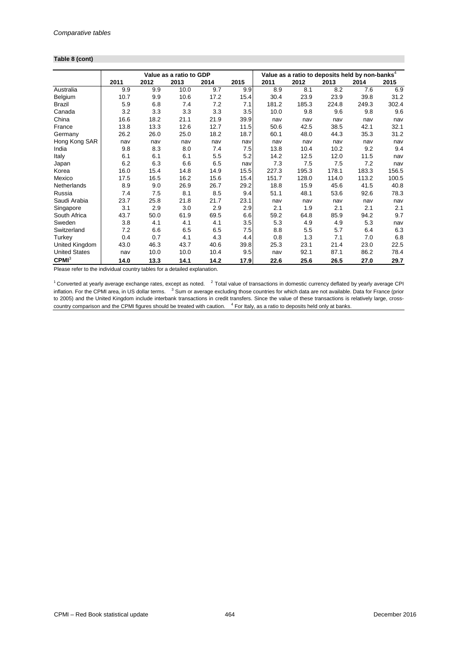#### **Table 8 (cont)**

|                      |      |      | Value as a ratio to GDP |      |      | Value as a ratio to deposits held by non-banks $^4$ |       |       |       |       |
|----------------------|------|------|-------------------------|------|------|-----------------------------------------------------|-------|-------|-------|-------|
|                      | 2011 | 2012 | 2013                    | 2014 | 2015 | 2011                                                | 2012  | 2013  | 2014  | 2015  |
| Australia            | 9.9  | 9.9  | 10.0                    | 9.7  | 9.9  | 8.9                                                 | 8.1   | 8.2   | 7.6   | 6.9   |
| Belgium              | 10.7 | 9.9  | 10.6                    | 17.2 | 15.4 | 30.4                                                | 23.9  | 23.9  | 39.8  | 31.2  |
| <b>Brazil</b>        | 5.9  | 6.8  | 7.4                     | 7.2  | 7.1  | 181.2                                               | 185.3 | 224.8 | 249.3 | 302.4 |
| Canada               | 3.2  | 3.3  | 3.3                     | 3.3  | 3.5  | 10.0                                                | 9.8   | 9.6   | 9.8   | 9.6   |
| China                | 16.6 | 18.2 | 21.1                    | 21.9 | 39.9 | nav                                                 | nav   | nav   | nav   | nav   |
| France               | 13.8 | 13.3 | 12.6                    | 12.7 | 11.5 | 50.6                                                | 42.5  | 38.5  | 42.1  | 32.1  |
| Germany              | 26.2 | 26.0 | 25.0                    | 18.2 | 18.7 | 60.1                                                | 48.0  | 44.3  | 35.3  | 31.2  |
| Hong Kong SAR        | nav  | nav  | nav                     | nav  | nav  | nav                                                 | nav   | nav   | nav   | nav   |
| India                | 9.8  | 8.3  | 8.0                     | 7.4  | 7.5  | 13.8                                                | 10.4  | 10.2  | 9.2   | 9.4   |
| Italy                | 6.1  | 6.1  | 6.1                     | 5.5  | 5.2  | 14.2                                                | 12.5  | 12.0  | 11.5  | nav   |
| Japan                | 6.2  | 6.3  | 6.6                     | 6.5  | nav  | 7.3                                                 | 7.5   | 7.5   | 7.2   | nav   |
| Korea                | 16.0 | 15.4 | 14.8                    | 14.9 | 15.5 | 227.3                                               | 195.3 | 178.1 | 183.3 | 156.5 |
| Mexico               | 17.5 | 16.5 | 16.2                    | 15.6 | 15.4 | 151.7                                               | 128.0 | 114.0 | 113.2 | 100.5 |
| Netherlands          | 8.9  | 9.0  | 26.9                    | 26.7 | 29.2 | 18.8                                                | 15.9  | 45.6  | 41.5  | 40.8  |
| Russia               | 7.4  | 7.5  | 8.1                     | 8.5  | 9.4  | 51.1                                                | 48.1  | 53.6  | 92.6  | 78.3  |
| Saudi Arabia         | 23.7 | 25.8 | 21.8                    | 21.7 | 23.1 | nav                                                 | nav   | nav   | nav   | nav   |
| Singapore            | 3.1  | 2.9  | 3.0                     | 2.9  | 2.9  | 2.1                                                 | 1.9   | 2.1   | 2.1   | 2.1   |
| South Africa         | 43.7 | 50.0 | 61.9                    | 69.5 | 6.6  | 59.2                                                | 64.8  | 85.9  | 94.2  | 9.7   |
| Sweden               | 3.8  | 4.1  | 4.1                     | 4.1  | 3.5  | 5.3                                                 | 4.9   | 4.9   | 5.3   | nav   |
| Switzerland          | 7.2  | 6.6  | 6.5                     | 6.5  | 7.5  | 8.8                                                 | 5.5   | 5.7   | 6.4   | 6.3   |
| Turkey               | 0.4  | 0.7  | 4.1                     | 4.3  | 4.4  | 0.8                                                 | 1.3   | 7.1   | 7.0   | 6.8   |
| United Kingdom       | 43.0 | 46.3 | 43.7                    | 40.6 | 39.8 | 25.3                                                | 23.1  | 21.4  | 23.0  | 22.5  |
| <b>United States</b> | nav  | 10.0 | 10.0                    | 10.4 | 9.5  | nav                                                 | 92.1  | 87.1  | 86.2  | 78.4  |
| CPMI <sup>3</sup>    | 14.0 | 13.3 | 14.1                    | 14.2 | 17.9 | 22.6                                                | 25.6  | 26.5  | 27.0  | 29.7  |

Please refer to the individual country tables for a detailed explanation.

 $1$  Converted at yearly average exchange rates, except as noted.  $2$  Total value of transactions in domestic currency deflated by yearly average CPI inflation. For the CPMI area, in US dollar terms. <sup>3</sup> Sum or average excluding those countries for which data are not available. Data for France (prior to 2005) and the United Kingdom include interbank transactions in credit transfers. Since the value of these transactions is relatively large, crosscountry comparison and the CPMI figures should be treated with caution. <sup>4</sup> For Italy, as a ratio to deposits held only at banks.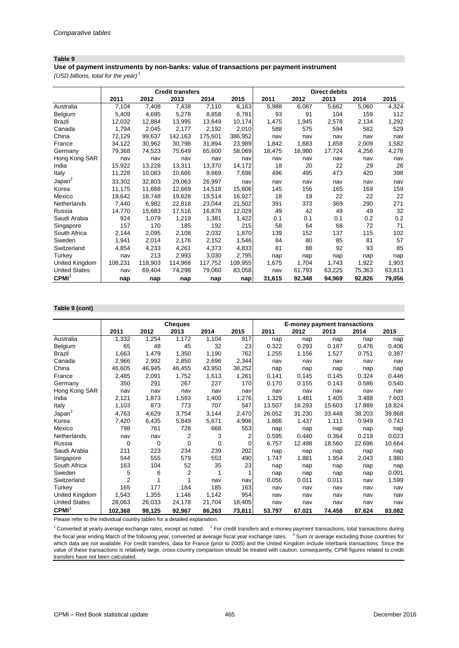**Use of payment instruments by non-banks: value of transactions per payment instrument**

*(USD billions, total for the year)* <sup>1</sup>

|                      |         |         | <b>Credit transfers</b> |         |         |        |        | <b>Direct debits</b> |        |        |
|----------------------|---------|---------|-------------------------|---------|---------|--------|--------|----------------------|--------|--------|
|                      | 2011    | 2012    | 2013                    | 2014    | 2015    | 2011   | 2012   | 2013                 | 2014   | 2015   |
| Australia            | 7,104   | 7,408   | 7,438                   | 7,110   | 6,163   | 5,988  | 6,087  | 5,662                | 5,060  | 4,324  |
| Belgium              | 5,409   | 4,695   | 5,278                   | 8,858   | 6,781   | 93     | 91     | 104                  | 159    | 112    |
| Brazil               | 12,032  | 12,884  | 13,995                  | 13,649  | 10,174  | 1,475  | 1,945  | 2,578                | 2,134  | 1,292  |
| Canada               | 1,794   | 2,045   | 2,177                   | 2,192   | 2,010   | 588    | 575    | 594                  | 582    | 529    |
| China                | 72,129  | 99,637  | 142,163                 | 175,601 | 386,952 | nav    | nav    | nav                  | nav    | nav    |
| France               | 34,122  | 30,962  | 30,798                  | 31,894  | 23,989  | 1,842  | 1,683  | 1,858                | 2,009  | 1,582  |
| Germany              | 79,368  | 74,523  | 75,649                  | 65,600  | 58,069  | 18,475 | 16,980 | 17,724               | 4,256  | 4,278  |
| Hong Kong SAR        | nav     | nav     | nav                     | nav     | nav     | nav    | nav    | nav                  | nav    | nav    |
| India                | 15,922  | 13,228  | 13,311                  | 13,370  | 14,172  | 18     | 20     | 22                   | 29     | 26     |
| Italy                | 11,228  | 10,083  | 10,666                  | 9,669   | 7,696   | 496    | 495    | 473                  | 420    | 398    |
| Japan <sup>2</sup>   | 33,302  | 32,803  | 29,063                  | 26,997  | nav     | nav    | nav    | nav                  | nav    | nav    |
| Korea                | 11,175  | 11,668  | 12,669                  | 14,518  | 15,606  | 145    | 156    | 165                  | 169    | 159    |
| Mexico               | 19,642  | 18,748  | 19,628                  | 19,514  | 16,927  | 18     | 19     | 22                   | 22     | 22     |
| Netherlands          | 7,440   | 6,982   | 22,818                  | 23,044  | 21,502  | 391    | 373    | 369                  | 290    | 271    |
| Russia               | 14,770  | 15,683  | 17,516                  | 16,878  | 12,029  | 49     | 42     | 49                   | 49     | 32     |
| Saudi Arabia         | 924     | 1,079   | 1,219                   | 1,381   | 1,422   | 0.1    | 0.1    | 0.1                  | 0.2    | 0.2    |
| Singapore            | 157     | 170     | 185                     | 192     | 215     | 58     | 64     | 68                   | 72     | 71     |
| South Africa         | 2,144   | 2,095   | 2,108                   | 2,032   | 1,870   | 139    | 152    | 137                  | 115    | 102    |
| Sweden               | 1,941   | 2,014   | 2,176                   | 2,152   | 1,546   | 84     | 80     | 85                   | 81     | 57     |
| Switzerland          | 4,854   | 4,233   | 4,261                   | 4,373   | 4,833   | 81     | 88     | 92                   | 93     | 85     |
| Turkey               | nav     | 213     | 2,993                   | 3,030   | 2,795   | nap    | nap    | nap                  | nap    | nap    |
| United Kingdom       | 108,231 | 118,903 | 114,968                 | 117,752 | 109,955 | 1,675  | 1,704  | 1,743                | 1,922  | 1,903  |
| <b>United States</b> | nav     | 69,404  | 74,298                  | 79,060  | 83,058  | nav    | 61,793 | 63,225               | 75,363 | 63,813 |
| CPMI <sup>3</sup>    | nap     | nap     | nap                     | nap     | nap     | 31,615 | 92,348 | 94,969               | 92,826 | 79,056 |

#### **Table 9 (cont)**

|                      |                |             | <b>Cheques</b> |             |          |        | <b>E-money payment transactions</b> |        |        |        |
|----------------------|----------------|-------------|----------------|-------------|----------|--------|-------------------------------------|--------|--------|--------|
|                      | 2011           | 2012        | 2013           | 2014        | 2015     | 2011   | 2012                                | 2013   | 2014   | 2015   |
| Australia            | 1,332          | 1,254       | 1,172          | 1,104       | 917      | nap    | nap                                 | nap    | nap    | nap    |
| Belgium              | 65             | 48          | 45             | 32          | 23       | 0.322  | 0.293                               | 0.187  | 0.476  | 0.406  |
| Brazil               | 1,663          | 1,479       | 1,350          | 1,190       | 762      | 1.255  | 1.156                               | 1.527  | 0.751  | 0.387  |
| Canada               | 2,966          | 2,992       | 2,850          | 2,696       | 2,344    | nav    | nav                                 | nav    | nav    | nav    |
| China                | 46,605         | 46,945      | 46,455         | 43,950      | 38,252   | nap    | nap                                 | nap    | nap    | nap    |
| France               | 2,485          | 2,091       | 1,752          | 1,613       | 1,261    | 0.141  | 0.145                               | 0.145  | 0.324  | 0.446  |
| Germany              | 350            | 291         | 267            | 227         | 170      | 0.170  | 0.155                               | 0.143  | 0.586  | 0.540  |
| Hong Kong SAR        | nav            | nav         | nav            | nav         | nav      | nav    | nav                                 | nav    | nav    | nav    |
| India                | 2,121          | 1,873       | 1,593          | 1,400       | 1,276    | 1.329  | 1.481                               | 1.405  | 3.488  | 7.603  |
| Italy                | 1,103          | 873         | 773            | 707         | 547      | 13.507 | 16.293                              | 15.603 | 17.889 | 18.824 |
| Japan <sup>2</sup>   | 4,763          | 4,629       | 3,754          | 3,144       | 2,470    | 26.052 | 31.230                              | 33.448 | 38.203 | 39.868 |
| Korea                | 7,420          | 6,435       | 5,849          | 5,671       | 4,996    | 1.866  | 1.437                               | 1.111  | 0.949  | 0.743  |
| Mexico               | 798            | 761         | 728            | 668         | 553      | nap    | nap                                 | nap    | nap    | nap    |
| Netherlands          | nav            | nav         | 2              | 3           | 2        | 0.595  | 0.440                               | 0.364  | 0.219  | 0.023  |
| Russia               | 0              | $\mathbf 0$ | 0              | $\mathbf 0$ | $\Omega$ | 6.757  | 12.498                              | 18.560 | 22.696 | 10.664 |
| Saudi Arabia         | 211            | 223         | 234            | 239         | 202      | nap    | nap                                 | nap    | nap    | nap    |
| Singapore            | 544            | 555         | 579            | 553         | 490      | 1.747  | 1.881                               | 1.954  | 2.043  | 1.980  |
| South Africa         | 163            | 104         | 52             | 35          | 23       | nap    | nap                                 | nap    | nap    | nap    |
| Sweden               | 5              | 6           | $\overline{2}$ | 1           |          | nap    | nap                                 | nap    | nap    | 0.001  |
| Switzerland          | $\overline{2}$ | 1           | 1              | nav         | nav      | 0.056  | 0.011                               | 0.011  | nav    | 1.599  |
| Turkey               | 165            | 177         | 184            | 185         | 163      | nav    | nav                                 | nav    | nav    | nav    |
| United Kingdom       | 1,543          | 1,355       | 1,146          | 1,142       | 954      | nav    | nav                                 | nav    | nav    | nav    |
| <b>United States</b> | 28,063         | 26,033      | 24,178         | 21,704      | 18,405   | nav    | nav                                 | nav    | nav    | nav    |
| CPMI <sup>3</sup>    | 102,368        | 98,125      | 92,967         | 86,263      | 73,811   | 53.797 | 67.021                              | 74.458 | 87.624 | 83.082 |

Please refer to the individual country tables for a detailed explanation.

 $1$  Converted at yearly average exchange rates, except as noted.  $2$  For credit transfers and e-money payment transactions, total transactions during the fiscal year ending March of the following year, converted at average fiscal year exchange rates. <sup>3</sup> Sum or average excluding those countries for which data are not available. For credit transfers, data for France (prior to 2005) and the United Kingdom include interbank transactions. Since the value of these transactions is relatively large, cross-country comparison should be treated with caution; consequently, CPMI figures related to credit transfers have not been calculated.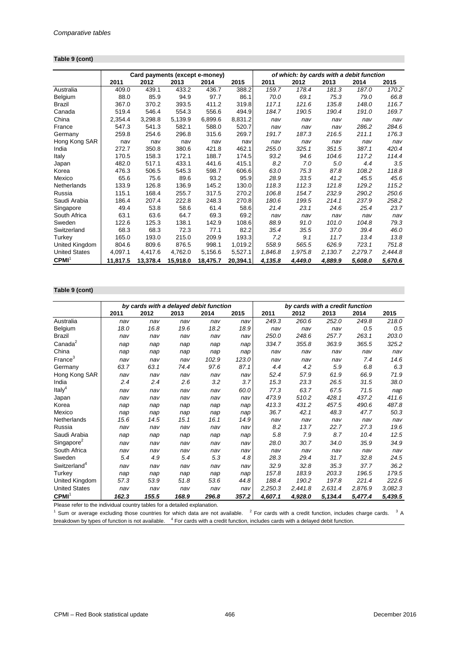#### **Table 9 (cont)**

|                      |          |          |          | Card payments (except e-money) |          | of which: by cards with a debit function |         |         |         |         |  |
|----------------------|----------|----------|----------|--------------------------------|----------|------------------------------------------|---------|---------|---------|---------|--|
|                      | 2011     | 2012     | 2013     | 2014                           | 2015     | 2011                                     | 2012    | 2013    | 2014    | 2015    |  |
| Australia            | 409.0    | 439.1    | 433.2    | 436.7                          | 388.2    | 159.7                                    | 178.4   | 181.3   | 187.0   | 170.2   |  |
| Belgium              | 88.0     | 85.9     | 94.9     | 97.7                           | 86.1     | 70.0                                     | 69.1    | 75.3    | 79.0    | 66.8    |  |
| Brazil               | 367.0    | 370.2    | 393.5    | 411.2                          | 319.8    | 117.1                                    | 121.6   | 135.8   | 148.0   | 116.7   |  |
| Canada               | 519.4    | 546.4    | 554.3    | 556.6                          | 494.9    | 184.7                                    | 190.5   | 190.4   | 191.0   | 169.7   |  |
| China                | 2,354.4  | 3,298.8  | 5,139.9  | 6,899.6                        | 8,831.2  | nav                                      | nav     | nav     | nav     | nav     |  |
| France               | 547.3    | 541.3    | 582.1    | 588.0                          | 520.7    | nav                                      | nav     | nav     | 286.2   | 284.6   |  |
| Germany              | 259.8    | 254.6    | 296.8    | 315.6                          | 269.7    | 191.7                                    | 187.3   | 216.5   | 211.1   | 176.3   |  |
| Hong Kong SAR        | nav      | nav      | nav      | nav                            | nav      | nav                                      | nav     | nav     | nav     | nav     |  |
| India                | 272.7    | 350.8    | 380.6    | 421.8                          | 462.1    | 255.0                                    | 325.1   | 351.5   | 387.1   | 420.4   |  |
| Italy                | 170.5    | 158.3    | 172.1    | 188.7                          | 174.5    | 93.2                                     | 94.6    | 104.6   | 117.2   | 114.4   |  |
| Japan                | 482.0    | 517.1    | 433.1    | 441.6                          | 415.1    | 8.2                                      | 7.0     | 5.0     | 4.4     | 3.5     |  |
| Korea                | 476.3    | 506.5    | 545.3    | 598.7                          | 606.6    | 63.0                                     | 75.3    | 87.8    | 108.2   | 118.8   |  |
| Mexico               | 65.6     | 75.6     | 89.6     | 93.2                           | 95.9     | 28.9                                     | 33.5    | 41.2    | 45.5    | 45.6    |  |
| Netherlands          | 133.9    | 126.8    | 136.9    | 145.2                          | 130.0    | 118.3                                    | 112.3   | 121.8   | 129.2   | 115.2   |  |
| Russia               | 115.1    | 168.4    | 255.7    | 317.5                          | 270.2    | 106.8                                    | 154.7   | 232.9   | 290.2   | 250.6   |  |
| Saudi Arabia         | 186.4    | 207.4    | 222.8    | 248.3                          | 270.8    | 180.6                                    | 199.5   | 214.1   | 237.9   | 258.2   |  |
| Singapore            | 49.4     | 53.8     | 58.6     | 61.4                           | 58.6     | 21.4                                     | 23.1    | 24.6    | 25.4    | 23.7    |  |
| South Africa         | 63.1     | 63.6     | 64.7     | 69.3                           | 69.2     | nav                                      | nav     | nav     | nav     | nav     |  |
| Sweden               | 122.6    | 125.3    | 138.1    | 142.9                          | 108.6    | 88.9                                     | 91.0    | 101.0   | 104.8   | 79.3    |  |
| Switzerland          | 68.3     | 68.3     | 72.3     | 77.1                           | 82.2     | 35.4                                     | 35.5    | 37.0    | 39.4    | 46.0    |  |
| Turkey               | 165.0    | 193.0    | 215.0    | 209.9                          | 193.3    | 7.2                                      | 9.1     | 11.7    | 13.4    | 13.8    |  |
| United Kingdom       | 804.6    | 809.6    | 876.5    | 998.1                          | 1,019.2  | 558.9                                    | 565.5   | 626.9   | 723.1   | 751.8   |  |
| <b>United States</b> | 4,097.1  | 4,417.6  | 4,762.0  | 5,156.6                        | 5,527.1  | 1,846.8                                  | 1,975.8 | 2,130.7 | 2,279.7 | 2,444.8 |  |
| CPMI <sup>1</sup>    | 11,817.5 | 13,378.4 | 15,918.0 | 18,475.7                       | 20,394.1 | 4,135.8                                  | 4,449.0 | 4,889.9 | 5,608.0 | 5,670.6 |  |

## **Table 9 (cont)**

|                          |       | by cards with a delayed debit function |       |       |       | by cards with a credit function |         |         |         |         |  |
|--------------------------|-------|----------------------------------------|-------|-------|-------|---------------------------------|---------|---------|---------|---------|--|
|                          | 2011  | 2012                                   | 2013  | 2014  | 2015  | 2011                            | 2012    | 2013    | 2014    | 2015    |  |
| Australia                | nav   | nav                                    | nav   | nav   | nav   | 249.3                           | 260.6   | 252.0   | 249.8   | 218.0   |  |
| Belgium                  | 18.0  | 16.8                                   | 19.6  | 18.2  | 18.9  | nav                             | nav     | nav     | 0.5     | 0.5     |  |
| Brazil                   | nav   | nav                                    | nav   | nav   | nav   | 250.0                           | 248.6   | 257.7   | 263.1   | 203.0   |  |
| Canada <sup>2</sup>      | nap   | nap                                    | nap   | nap   | nap   | 334.7                           | 355.8   | 363.9   | 365.5   | 325.2   |  |
| China                    | nap   | nap                                    | nap   | nap   | nap   | nav                             | nav     | nav     | nav     | nav     |  |
| France <sup>3</sup>      | nav   | nav                                    | nav   | 102.9 | 123.0 | nav                             | nav     | nav     | 7.4     | 14.6    |  |
| Germany                  | 63.7  | 63.1                                   | 74.4  | 97.6  | 87.1  | 4.4                             | 4.2     | 5.9     | 6.8     | 6.3     |  |
| Hong Kong SAR            | nav   | nav                                    | nav   | nav   | nav   | 52.4                            | 57.9    | 61.9    | 66.9    | 71.9    |  |
| India                    | 2.4   | 2.4                                    | 2.6   | 3.2   | 3.7   | 15.3                            | 23.3    | 26.5    | 31.5    | 38.0    |  |
| Italy <sup>4</sup>       | nav   | nav                                    | nav   | nav   | 60.0  | 77.3                            | 63.7    | 67.5    | 71.5    | nap     |  |
| Japan                    | nav   | nav                                    | nav   | nav   | nav   | 473.9                           | 510.2   | 428.1   | 437.2   | 411.6   |  |
| Korea                    | nap   | nap                                    | nap   | nap   | nap   | 413.3                           | 431.2   | 457.5   | 490.6   | 487.8   |  |
| Mexico                   | nap   | nap                                    | nap   | nap   | nap   | 36.7                            | 42.1    | 48.3    | 47.7    | 50.3    |  |
| Netherlands              | 15.6  | 14.5                                   | 15.1  | 16.1  | 14.9  | nav                             | nav     | nav     | nav     | nav     |  |
| Russia                   | nav   | nav                                    | nav   | nav   | nav   | 8.2                             | 13.7    | 22.7    | 27.3    | 19.6    |  |
| Saudi Arabia             | nap   | nap                                    | nap   | nap   | nap   | 5.8                             | 7.9     | 8.7     | 10.4    | 12.5    |  |
| Singapore <sup>2</sup>   | nav   | nav                                    | nav   | nav   | nav   | 28.0                            | 30.7    | 34.0    | 35.9    | 34.9    |  |
| South Africa             | nav   | nav                                    | nav   | nav   | nav   | nav                             | nav     | nav     | nav     | nav     |  |
| Sweden                   | 5.4   | 4.9                                    | 5.4   | 5.3   | 4.8   | 28.3                            | 29.4    | 31.7    | 32.8    | 24.5    |  |
| Switzerland <sup>4</sup> | nav   | nav                                    | nav   | nav   | nav   | 32.9                            | 32.8    | 35.3    | 37.7    | 36.2    |  |
| Turkey                   | nap   | nap                                    | nap   | nap   | nap   | 157.8                           | 183.9   | 203.3   | 196.5   | 179.5   |  |
| United Kingdom           | 57.3  | 53.9                                   | 51.8  | 53.6  | 44.8  | 188.4                           | 190.2   | 197.8   | 221.4   | 222.6   |  |
| <b>United States</b>     | nav   | nav                                    | nav   | nav   | nav   | 2,250.3                         | 2,441.8 | 2,631.4 | 2,876.9 | 3,082.3 |  |
| CPMI <sup>1</sup>        | 162.3 | 155.5                                  | 168.9 | 296.8 | 357.2 | 4,607.1                         | 4,928.0 | 5,134.4 | 5,477.4 | 5,439.5 |  |

Please refer to the individual country tables for a detailed explanation.

 $1$  Sum or average excluding those countries for which data are not available.  $2$  For cards with a credit function, includes charge cards.  $3$  A breakdown by types of function is not available. <sup>4</sup> For cards with a credit function, includes cards with a delayed debit function.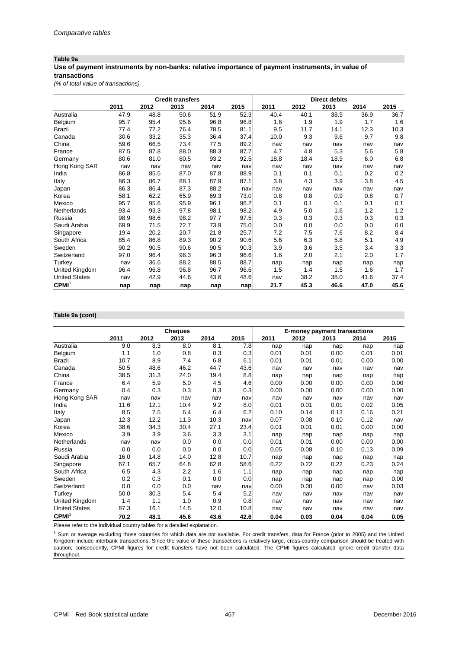## **Table 9a**

#### **Use of payment instruments by non-banks: relative importance of payment instruments, in value of transactions**

*(% of total value of transactions)*

|                      |      |      | <b>Credit transfers</b> |      |      |      |      | <b>Direct debits</b> |      |      |
|----------------------|------|------|-------------------------|------|------|------|------|----------------------|------|------|
|                      | 2011 | 2012 | 2013                    | 2014 | 2015 | 2011 | 2012 | 2013                 | 2014 | 2015 |
| Australia            | 47.9 | 48.8 | 50.6                    | 51.9 | 52.3 | 40.4 | 40.1 | 38.5                 | 36.9 | 36.7 |
| Belgium              | 95.7 | 95.4 | 95.6                    | 96.8 | 96.8 | 1.6  | 1.9  | 1.9                  | 1.7  | 1.6  |
| <b>Brazil</b>        | 77.4 | 77.2 | 76.4                    | 78.5 | 81.1 | 9.5  | 11.7 | 14.1                 | 12.3 | 10.3 |
| Canada               | 30.6 | 33.2 | 35.3                    | 36.4 | 37.4 | 10.0 | 9.3  | 9.6                  | 9.7  | 9.8  |
| China                | 59.6 | 66.5 | 73.4                    | 77.5 | 89.2 | nav  | nav  | nav                  | nav  | nav  |
| France               | 87.5 | 87.8 | 88.0                    | 88.3 | 87.7 | 4.7  | 4.8  | 5.3                  | 5.6  | 5.8  |
| Germany              | 80.6 | 81.0 | 80.5                    | 93.2 | 92.5 | 18.8 | 18.4 | 18.9                 | 6.0  | 6.8  |
| Hong Kong SAR        | nav  | nav  | nav                     | nav  | nav  | nav  | nav  | nav                  | nav  | nav  |
| India                | 86.8 | 85.5 | 87.0                    | 87.8 | 88.9 | 0.1  | 0.1  | 0.1                  | 0.2  | 0.2  |
| Italy                | 86.3 | 86.7 | 88.1                    | 87.9 | 87.1 | 3.8  | 4.3  | 3.9                  | 3.8  | 4.5  |
| Japan                | 86.3 | 86.4 | 87.3                    | 88.2 | nav  | nav  | nav  | nav                  | nav  | nav  |
| Korea                | 58.1 | 62.2 | 65.9                    | 69.3 | 73.0 | 0.8  | 0.8  | 0.9                  | 0.8  | 0.7  |
| Mexico               | 95.7 | 95.6 | 95.9                    | 96.1 | 96.2 | 0.1  | 0.1  | 0.1                  | 0.1  | 0.1  |
| Netherlands          | 93.4 | 93.3 | 97.8                    | 98.1 | 98.2 | 4.9  | 5.0  | 1.6                  | 1.2  | 1.2  |
| Russia               | 98.9 | 98.6 | 98.2                    | 97.7 | 97.5 | 0.3  | 0.3  | 0.3                  | 0.3  | 0.3  |
| Saudi Arabia         | 69.9 | 71.5 | 72.7                    | 73.9 | 75.0 | 0.0  | 0.0  | 0.0                  | 0.0  | 0.0  |
| Singapore            | 19.4 | 20.2 | 20.7                    | 21.8 | 25.7 | 7.2  | 7.5  | 7.6                  | 8.2  | 8.4  |
| South Africa         | 85.4 | 86.8 | 89.3                    | 90.2 | 90.6 | 5.6  | 6.3  | 5.8                  | 5.1  | 4.9  |
| Sweden               | 90.2 | 90.5 | 90.6                    | 90.5 | 90.3 | 3.9  | 3.6  | 3.5                  | 3.4  | 3.3  |
| Switzerland          | 97.0 | 96.4 | 96.3                    | 96.3 | 96.6 | 1.6  | 2.0  | 2.1                  | 2.0  | 1.7  |
| Turkey               | nav  | 36.6 | 88.2                    | 88.5 | 88.7 | nap  | nap  | nap                  | nap  | nap  |
| United Kingdom       | 96.4 | 96.8 | 96.8                    | 96.7 | 96.6 | 1.5  | 1.4  | 1.5                  | 1.6  | 1.7  |
| <b>United States</b> | nav  | 42.9 | 44.6                    | 43.6 | 48.6 | nav  | 38.2 | 38.0                 | 41.6 | 37.4 |
| CPMI <sup>1</sup>    | nap  | nap  | nap                     | nap  | nap  | 21.7 | 45.3 | 46.6                 | 47.0 | 45.6 |

#### **Table 9a (cont)**

|                      |      |      | <b>Cheques</b> |      |      | E-money payment transactions |      |      |      |      |
|----------------------|------|------|----------------|------|------|------------------------------|------|------|------|------|
|                      | 2011 | 2012 | 2013           | 2014 | 2015 | 2011                         | 2012 | 2013 | 2014 | 2015 |
| Australia            | 9.0  | 8.3  | 8.0            | 8.1  | 7.8  | nap                          | nap  | nap  | nap  | nap  |
| Belgium              | 1.1  | 1.0  | 0.8            | 0.3  | 0.3  | 0.01                         | 0.01 | 0.00 | 0.01 | 0.01 |
| <b>Brazil</b>        | 10.7 | 8.9  | 7.4            | 6.8  | 6.1  | 0.01                         | 0.01 | 0.01 | 0.00 | 0.00 |
| Canada               | 50.5 | 48.6 | 46.2           | 44.7 | 43.6 | nav                          | nav  | nav  | nav  | nav  |
| China                | 38.5 | 31.3 | 24.0           | 19.4 | 8.8  | nap                          | nap  | nap  | nap  | nap  |
| France               | 6.4  | 5.9  | 5.0            | 4.5  | 4.6  | 0.00                         | 0.00 | 0.00 | 0.00 | 0.00 |
| Germany              | 0.4  | 0.3  | 0.3            | 0.3  | 0.3  | 0.00                         | 0.00 | 0.00 | 0.00 | 0.00 |
| Hong Kong SAR        | nav  | nav  | nav            | nav  | nav  | nav                          | nav  | nav  | nav  | nav  |
| India                | 11.6 | 12.1 | 10.4           | 9.2  | 8.0  | 0.01                         | 0.01 | 0.01 | 0.02 | 0.05 |
| Italy                | 8.5  | 7.5  | 6.4            | 6.4  | 6.2  | 0.10                         | 0.14 | 0.13 | 0.16 | 0.21 |
| Japan                | 12.3 | 12.2 | 11.3           | 10.3 | nav  | 0.07                         | 0.08 | 0.10 | 0.12 | nav  |
| Korea                | 38.6 | 34.3 | 30.4           | 27.1 | 23.4 | 0.01                         | 0.01 | 0.01 | 0.00 | 0.00 |
| Mexico               | 3.9  | 3.9  | 3.6            | 3.3  | 3.1  | nap                          | nap  | nap  | nap  | nap  |
| Netherlands          | nav  | nav  | 0.0            | 0.0  | 0.0  | 0.01                         | 0.01 | 0.00 | 0.00 | 0.00 |
| Russia               | 0.0  | 0.0  | 0.0            | 0.0  | 0.0  | 0.05                         | 0.08 | 0.10 | 0.13 | 0.09 |
| Saudi Arabia         | 16.0 | 14.8 | 14.0           | 12.8 | 10.7 | nap                          | nap  | nap  | nap  | nap  |
| Singapore            | 67.1 | 65.7 | 64.8           | 62.8 | 58.6 | 0.22                         | 0.22 | 0.22 | 0.23 | 0.24 |
| South Africa         | 6.5  | 4.3  | 2.2            | 1.6  | 1.1  | nap                          | nap  | nap  | nap  | nap  |
| Sweden               | 0.2  | 0.3  | 0.1            | 0.0  | 0.0  | nap                          | nap  | nap  | nap  | 0.00 |
| Switzerland          | 0.0  | 0.0  | 0.0            | nav  | nav  | 0.00                         | 0.00 | 0.00 | nav  | 0.03 |
| Turkey               | 50.0 | 30.3 | 5.4            | 5.4  | 5.2  | nav                          | nav  | nav  | nav  | nav  |
| United Kingdom       | 1.4  | 1.1  | 1.0            | 0.9  | 0.8  | nav                          | nav  | nav  | nav  | nav  |
| <b>United States</b> | 87.3 | 16.1 | 14.5           | 12.0 | 10.8 | nav                          | nav  | nav  | nav  | nav  |
| CPMI <sup>1</sup>    | 70.2 | 48.1 | 45.6           | 43.6 | 42.6 | 0.04                         | 0.03 | 0.04 | 0.04 | 0.05 |

Please refer to the individual country tables for a detailed explanation.

<sup>1</sup> Sum or average excluding those countries for which data are not available. For credit transfers, data for France (prior to 2005) and the United Kingdom include interbank transactions. Since the value of these transactions is relatively large, cross-country comparison should be treated with caution; consequently, CPMI figures for credit transfers have not been calculated. The CPMI figures calculated ignore credit transfer data throughout.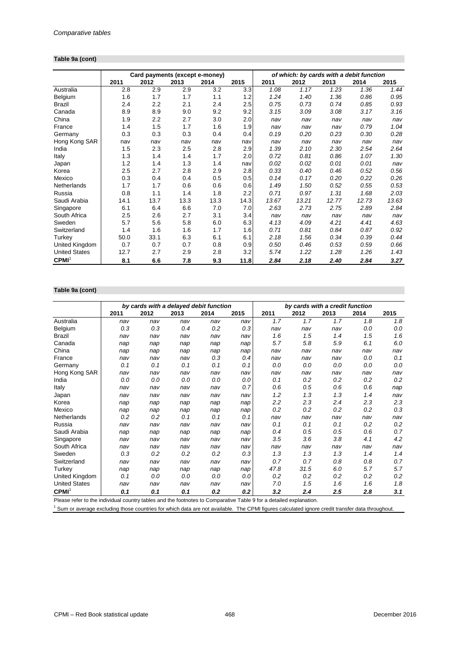## **Table 9a (cont)**

|                      |      | Card payments (except e-money) |      |      |      | of which: by cards with a debit function |       |       |       |       |  |
|----------------------|------|--------------------------------|------|------|------|------------------------------------------|-------|-------|-------|-------|--|
|                      | 2011 | 2012                           | 2013 | 2014 | 2015 | 2011                                     | 2012  | 2013  | 2014  | 2015  |  |
| Australia            | 2.8  | 2.9                            | 2.9  | 3.2  | 3.3  | 1.08                                     | 1.17  | 1.23  | 1.36  | 1.44  |  |
| Belgium              | 1.6  | 1.7                            | 1.7  | 1.1  | 1.2  | 1.24                                     | 1.40  | 1.36  | 0.86  | 0.95  |  |
| Brazil               | 2.4  | 2.2                            | 2.1  | 2.4  | 2.5  | 0.75                                     | 0.73  | 0.74  | 0.85  | 0.93  |  |
| Canada               | 8.9  | 8.9                            | 9.0  | 9.2  | 9.2  | 3.15                                     | 3.09  | 3.08  | 3.17  | 3.16  |  |
| China                | 1.9  | 2.2                            | 2.7  | 3.0  | 2.0  | nav                                      | nav   | nav   | nav   | nav   |  |
| France               | 1.4  | 1.5                            | 1.7  | 1.6  | 1.9  | nav                                      | nav   | nav   | 0.79  | 1.04  |  |
| Germany              | 0.3  | 0.3                            | 0.3  | 0.4  | 0.4  | 0.19                                     | 0.20  | 0.23  | 0.30  | 0.28  |  |
| Hong Kong SAR        | nav  | nav                            | nav  | nav  | nav  | nav                                      | nav   | nav   | nav   | nav   |  |
| India                | 1.5  | 2.3                            | 2.5  | 2.8  | 2.9  | 1.39                                     | 2.10  | 2.30  | 2.54  | 2.64  |  |
| Italy                | 1.3  | 1.4                            | 1.4  | 1.7  | 2.0  | 0.72                                     | 0.81  | 0.86  | 1.07  | 1.30  |  |
| Japan                | 1.2  | 1.4                            | 1.3  | 1.4  | nav  | 0.02                                     | 0.02  | 0.01  | 0.01  | nav   |  |
| Korea                | 2.5  | 2.7                            | 2.8  | 2.9  | 2.8  | 0.33                                     | 0.40  | 0.46  | 0.52  | 0.56  |  |
| Mexico               | 0.3  | 0.4                            | 0.4  | 0.5  | 0.5  | 0.14                                     | 0.17  | 0.20  | 0.22  | 0.26  |  |
| Netherlands          | 1.7  | 1.7                            | 0.6  | 0.6  | 0.6  | 1.49                                     | 1.50  | 0.52  | 0.55  | 0.53  |  |
| Russia               | 0.8  | 1.1                            | 1.4  | 1.8  | 2.2  | 0.71                                     | 0.97  | 1.31  | 1.68  | 2.03  |  |
| Saudi Arabia         | 14.1 | 13.7                           | 13.3 | 13.3 | 14.3 | 13.67                                    | 13.21 | 12.77 | 12.73 | 13.63 |  |
| Singapore            | 6.1  | 6.4                            | 6.6  | 7.0  | 7.0  | 2.63                                     | 2.73  | 2.75  | 2.89  | 2.84  |  |
| South Africa         | 2.5  | 2.6                            | 2.7  | 3.1  | 3.4  | nav                                      | nav   | nav   | nav   | nav   |  |
| Sweden               | 5.7  | 5.6                            | 5.8  | 6.0  | 6.3  | 4.13                                     | 4.09  | 4.21  | 4.41  | 4.63  |  |
| Switzerland          | 1.4  | 1.6                            | 1.6  | 1.7  | 1.6  | 0.71                                     | 0.81  | 0.84  | 0.87  | 0.92  |  |
| Turkey               | 50.0 | 33.1                           | 6.3  | 6.1  | 6.1  | 2.18                                     | 1.56  | 0.34  | 0.39  | 0.44  |  |
| United Kingdom       | 0.7  | 0.7                            | 0.7  | 0.8  | 0.9  | 0.50                                     | 0.46  | 0.53  | 0.59  | 0.66  |  |
| <b>United States</b> | 12.7 | 2.7                            | 2.9  | 2.8  | 3.2  | 5.74                                     | 1.22  | 1.28  | 1.26  | 1.43  |  |
| CPMI <sup>1</sup>    | 8.1  | 6.6                            | 7.8  | 9.3  | 11.8 | 2.84                                     | 2.18  | 2.40  | 2.84  | 3.27  |  |

## **Table 9a (cont)**

|                      |      | by cards with a delayed debit function |      |      |      | by cards with a credit function |      |      |      |      |
|----------------------|------|----------------------------------------|------|------|------|---------------------------------|------|------|------|------|
|                      | 2011 | 2012                                   | 2013 | 2014 | 2015 | 2011                            | 2012 | 2013 | 2014 | 2015 |
| Australia            | nav  | nav                                    | nav  | nav  | nav  | 1.7                             | 1.7  | 1.7  | 1.8  | 1.8  |
| Belgium              | 0.3  | 0.3                                    | 0.4  | 0.2  | 0.3  | nav                             | nav  | nav  | 0.0  | 0.0  |
| <b>Brazil</b>        | nav  | nav                                    | nav  | nav  | nav  | 1.6                             | 1.5  | 1.4  | 1.5  | 1.6  |
| Canada               | nap  | nap                                    | nap  | nap  | nap  | 5.7                             | 5.8  | 5.9  | 6.1  | 6.0  |
| China                | nap  | nap                                    | nap  | nap  | nap  | nav                             | nav  | nav  | nav  | nav  |
| France               | nav  | nav                                    | nav  | 0.3  | 0.4  | nav                             | nav  | nav  | 0.0  | 0.1  |
| Germany              | 0.1  | 0.1                                    | 0.1  | 0.1  | 0.1  | 0.0                             | 0.0  | 0.0  | 0.0  | 0.0  |
| Hong Kong SAR        | nav  | nav                                    | nav  | nav  | nav  | nav                             | nav  | nav  | nav  | nav  |
| India                | 0.0  | 0.0                                    | 0.0  | 0.0  | 0.0  | 0.1                             | 0.2  | 0.2  | 0.2  | 0.2  |
| Italy                | nav  | nav                                    | nav  | nav  | 0.7  | 0.6                             | 0.5  | 0.6  | 0.6  | nap  |
| Japan                | nav  | nav                                    | nav  | nav  | nav  | 1.2                             | 1.3  | 1.3  | 1.4  | nav  |
| Korea                | nap  | nap                                    | nap  | nap  | nap  | 2.2                             | 2.3  | 2.4  | 2.3  | 2.3  |
| Mexico               | nap  | nap                                    | nap  | nap  | nap  | 0.2                             | 0.2  | 0.2  | 0.2  | 0.3  |
| Netherlands          | 0.2  | 0.2                                    | 0.1  | 0.1  | 0.1  | nav                             | nav  | nav  | nav  | nav  |
| Russia               | nav  | nav                                    | nav  | nav  | nav  | 0.1                             | 0.1  | 0.1  | 0.2  | 0.2  |
| Saudi Arabia         | nap  | nap                                    | nap  | nap  | nap  | 0.4                             | 0.5  | 0.5  | 0.6  | 0.7  |
| Singapore            | nav  | nav                                    | nav  | nav  | nav  | 3.5                             | 3.6  | 3.8  | 4.1  | 4.2  |
| South Africa         | nav  | nav                                    | nav  | nav  | nav  | nav                             | nav  | nav  | nav  | nav  |
| Sweden               | 0.3  | 0.2                                    | 0.2  | 0.2  | 0.3  | 1.3                             | 1.3  | 1.3  | 1.4  | 1.4  |
| Switzerland          | nav  | nav                                    | nav  | nav  | nav  | 0.7                             | 0.7  | 0.8  | 0.8  | 0.7  |
| Turkey               | nap  | nap                                    | nap  | nap  | nap  | 47.8                            | 31.5 | 6.0  | 5.7  | 5.7  |
| United Kingdom       | 0.1  | 0.0                                    | 0.0  | 0.0  | 0.0  | 0.2                             | 0.2  | 0.2  | 0.2  | 0.2  |
| <b>United States</b> | nav  | nav                                    | nav  | nav  | nav  | 7.0                             | 1.5  | 1.6  | 1.6  | 1.8  |
| CPMI <sup>1</sup>    | 0.1  | 0.1                                    | 0.1  | 0.2  | 0.2  | 3.2                             | 2.4  | 2.5  | 2.8  | 3.1  |

Please refer to the individual country tables and the footnotes to Comparative Table 9 for a detailed explanation.

<sup>1</sup> Sum or average excluding those countries for which data are not available. The CPMI figures calculated ignore credit transfer data throughout.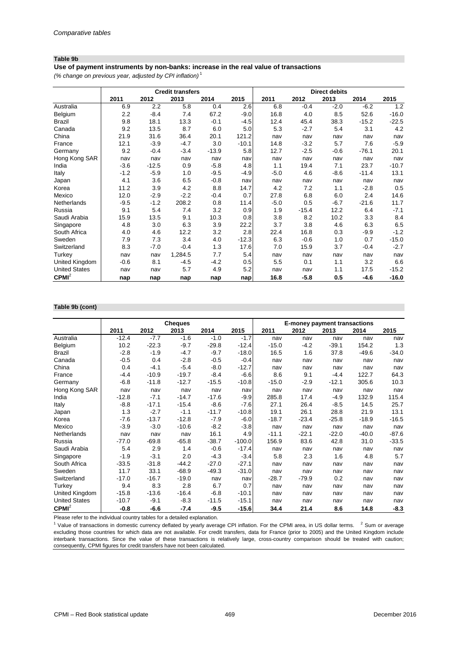#### **Table 9b**

**Use of payment instruments by non-banks: increase in the real value of transactions**

*(% change on previous year, adjusted by CPI inflation)* <sup>1</sup>

|                      |        |         | <b>Credit transfers</b> |         |         |        |         | <b>Direct debits</b> |         |         |
|----------------------|--------|---------|-------------------------|---------|---------|--------|---------|----------------------|---------|---------|
|                      | 2011   | 2012    | 2013                    | 2014    | 2015    | 2011   | 2012    | 2013                 | 2014    | 2015    |
| Australia            | 6.9    | 2.2     | 5.8                     | 0.4     | 2.6     | 6.8    | $-0.4$  | $-2.0$               | $-6.2$  | 1.2     |
| Belgium              | 2.2    | $-8.4$  | 7.4                     | 67.2    | $-9.0$  | 16.8   | 4.0     | 8.5                  | 52.6    | $-16.0$ |
| <b>Brazil</b>        | 9.8    | 18.1    | 13.3                    | $-0.1$  | $-4.5$  | 12.4   | 45.4    | 38.3                 | $-15.2$ | $-22.5$ |
| Canada               | 9.2    | 13.5    | 8.7                     | 6.0     | 5.0     | 5.3    | $-2.7$  | 5.4                  | 3.1     | 4.2     |
| China                | 21.9   | 31.6    | 36.4                    | 20.1    | 121.2   | nav    | nav     | nav                  | nav     | nav     |
| France               | 12.1   | $-3.9$  | $-4.7$                  | 3.0     | $-10.1$ | 14.8   | $-3.2$  | 5.7                  | 7.6     | $-5.9$  |
| Germany              | 9.2    | $-0.4$  | $-3.4$                  | $-13.9$ | 5.8     | 12.7   | $-2.5$  | $-0.6$               | $-76.1$ | 20.1    |
| Hong Kong SAR        | nav    | nav     | nav                     | nav     | nav     | nav    | nav     | nav                  | nav     | nav     |
| India                | $-3.6$ | $-12.5$ | 0.9                     | $-5.8$  | 4.8     | 1.1    | 19.4    | 7.1                  | 23.7    | $-10.7$ |
| Italy                | $-1.2$ | $-5.9$  | 1.0                     | $-9.5$  | $-4.9$  | $-5.0$ | 4.6     | $-8.6$               | $-11.4$ | 13.1    |
| Japan                | 4.1    | 3.6     | 6.5                     | $-0.8$  | nav     | nav    | nav     | nav                  | nav     | nav     |
| Korea                | 11.2   | 3.9     | 4.2                     | 8.8     | 14.7    | 4.2    | 7.2     | 1.1                  | $-2.8$  | 0.5     |
| Mexico               | 12.0   | $-2.9$  | $-2.2$                  | $-0.4$  | 0.7     | 27.8   | 6.8     | 6.0                  | 2.4     | 14.6    |
| Netherlands          | $-9.5$ | $-1.2$  | 208.2                   | 0.8     | 11.4    | $-5.0$ | 0.5     | $-6.7$               | $-21.6$ | 11.7    |
| Russia               | 9.1    | 5.4     | 7.4                     | 3.2     | 0.9     | 1.9    | $-15.4$ | 12.2                 | 6.4     | $-7.1$  |
| Saudi Arabia         | 15.9   | 13.5    | 9.1                     | 10.3    | 0.8     | 3.8    | 8.2     | 10.2                 | 3.3     | 8.4     |
| Singapore            | 4.8    | 3.0     | 6.3                     | 3.9     | 22.2    | 3.7    | 3.8     | 4.6                  | 6.3     | 6.5     |
| South Africa         | 4.0    | 4.6     | 12.2                    | 3.2     | 2.8     | 22.4   | 16.8    | 0.3                  | $-9.9$  | $-1.2$  |
| Sweden               | 7.9    | 7.3     | 3.4                     | 4.0     | $-12.3$ | 6.3    | $-0.6$  | 1.0                  | 0.7     | $-15.0$ |
| Switzerland          | 8.3    | $-7.0$  | $-0.4$                  | 1.3     | 17.6    | 7.0    | 15.9    | 3.7                  | $-0.4$  | $-2.7$  |
| Turkey               | nav    | nav     | 1,284.5                 | 7.7     | 5.4     | nav    | nav     | nav                  | nav     | nav     |
| United Kingdom       | $-0.6$ | 8.1     | $-4.5$                  | $-4.2$  | 0.5     | 5.5    | 0.1     | 1.1                  | 3.2     | 6.6     |
| <b>United States</b> | nav    | nav     | 5.7                     | 4.9     | 5.2     | nav    | nav     | 1.1                  | 17.5    | $-15.2$ |
| CPMI <sup>2</sup>    | nap    | nap     | nap                     | nap     | nap     | 16.8   | $-5.8$  | 0.5                  | $-4.6$  | $-16.0$ |

#### **Table 9b (cont)**

|                      |         |         | <b>Cheques</b> |         |          | E-money payment transactions |         |         |         |         |
|----------------------|---------|---------|----------------|---------|----------|------------------------------|---------|---------|---------|---------|
|                      | 2011    | 2012    | 2013           | 2014    | 2015     | 2011                         | 2012    | 2013    | 2014    | 2015    |
| Australia            | $-12.4$ | $-7.7$  | $-1.6$         | $-1.0$  | $-1.7$   | nav                          | nav     | nav     | nav     | nav     |
| Belgium              | 10.2    | $-22.3$ | $-9.7$         | $-29.8$ | $-12.4$  | $-15.0$                      | -4.2    | $-39.1$ | 154.2   | 1.3     |
| <b>Brazil</b>        | $-2.8$  | $-1.9$  | $-4.7$         | $-9.7$  | $-18.0$  | 16.5                         | 1.6     | 37.8    | $-49.6$ | $-34.0$ |
| Canada               | $-0.5$  | 0.4     | $-2.8$         | $-0.5$  | $-0.4$   | nav                          | nav     | nav     | nav     | nav     |
| China                | 0.4     | $-4.1$  | $-5.4$         | $-8.0$  | $-12.7$  | nav                          | nav     | nav     | nav     | nav     |
| France               | $-4.4$  | $-10.9$ | $-19.7$        | $-8.4$  | $-6.6$   | 8.6                          | 9.1     | $-4.4$  | 122.7   | 64.3    |
| Germany              | $-6.8$  | $-11.8$ | $-12.7$        | $-15.5$ | $-10.8$  | $-15.0$                      | $-2.9$  | $-12.1$ | 305.6   | 10.3    |
| Hong Kong SAR        | nav     | nav     | nav            | nav     | nav      | nav                          | nav     | nav     | nav     | nav     |
| India                | $-12.8$ | $-7.1$  | $-14.7$        | $-17.6$ | $-9.9$   | 285.8                        | 17.4    | $-4.9$  | 132.9   | 115.4   |
| Italy                | $-8.8$  | $-17.1$ | $-15.4$        | $-8.6$  | $-7.6$   | 27.1                         | 26.4    | $-8.5$  | 14.5    | 25.7    |
| Japan                | 1.3     | $-2.7$  | $-1.1$         | $-11.7$ | $-10.8$  | 19.1                         | 26.1    | 28.8    | 21.9    | 13.1    |
| Korea                | $-7.6$  | $-13.7$ | $-12.8$        | $-7.9$  | $-6.0$   | $-18.7$                      | $-23.4$ | $-25.8$ | $-18.9$ | $-16.5$ |
| Mexico               | $-3.9$  | $-3.0$  | $-10.6$        | $-8.2$  | $-3.8$   | nav                          | nav     | nav     | nav     | nav     |
| Netherlands          | nav     | nav     | nav            | 16.1    | 4.9      | $-11.1$                      | $-22.1$ | $-22.0$ | $-40.0$ | $-87.6$ |
| Russia               | $-77.0$ | $-69.8$ | $-65.8$        | $-38.7$ | $-100.0$ | 156.9                        | 83.6    | 42.8    | 31.0    | $-33.5$ |
| Saudi Arabia         | 5.4     | 2.9     | 1.4            | $-0.6$  | $-17.4$  | nav                          | nav     | nav     | nav     | nav     |
| Singapore            | $-1.9$  | $-3.1$  | 2.0            | $-4.3$  | $-3.4$   | 5.8                          | 2.3     | 1.6     | 4.8     | 5.7     |
| South Africa         | $-33.5$ | $-31.8$ | $-44.2$        | $-27.0$ | $-27.1$  | nav                          | nav     | nav     | nav     | nav     |
| Sweden               | 11.7    | 33.1    | $-68.9$        | $-49.3$ | $-31.0$  | nav                          | nav     | nav     | nav     | nav     |
| Switzerland          | $-17.0$ | $-16.7$ | $-19.0$        | nav     | nav      | $-28.7$                      | $-79.9$ | 0.2     | nav     | nav     |
| Turkey               | 9.4     | 8.3     | 2.8            | 6.7     | 0.7      | nav                          | nav     | nav     | nav     | nav     |
| United Kingdom       | $-15.8$ | $-13.6$ | $-16.4$        | $-6.8$  | $-10.1$  | nav                          | nav     | nav     | nav     | nav     |
| <b>United States</b> | $-10.7$ | $-9.1$  | $-8.3$         | $-11.5$ | $-15.1$  | nav                          | nav     | nav     | nav     | nav     |
| CPMI <sup>2</sup>    | $-0.8$  | $-6.6$  | $-7.4$         | $-9.5$  | $-15.6$  | 34.4                         | 21.4    | 8.6     | 14.8    | $-8.3$  |

Please refer to the individual country tables for a detailed explanation.

 $1$  Value of transactions in domestic currency deflated by yearly average CPI inflation. For the CPMI area, in US dollar terms.  $2$  Sum or average excluding those countries for which data are not available. For credit transfers, data for France (prior to 2005) and the United Kingdom include interbank transactions. Since the value of these transactions is relatively large, cross-country comparison should be treated with caution; consequently, CPMI figures for credit transfers have not been calculated.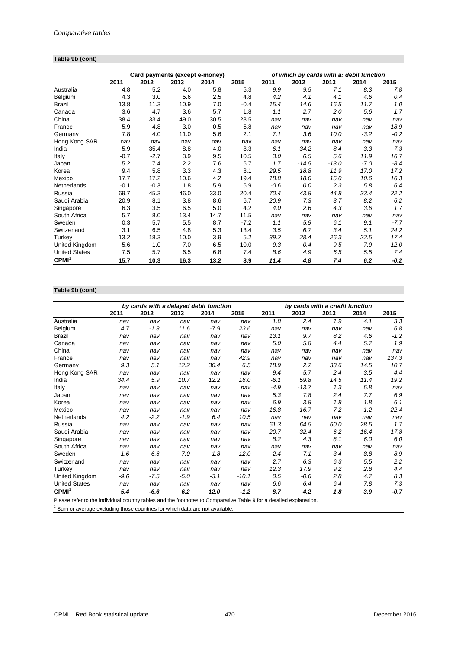## **Table 9b (cont)**

|                      |        | Card payments (except e-money) |      |      |        |        | of which by cards with a: debit function |         |        |        |
|----------------------|--------|--------------------------------|------|------|--------|--------|------------------------------------------|---------|--------|--------|
|                      | 2011   | 2012                           | 2013 | 2014 | 2015   | 2011   | 2012                                     | 2013    | 2014   | 2015   |
| Australia            | 4.8    | 5.2                            | 4.0  | 5.8  | 5.3    | 9.9    | 9.5                                      | 7.1     | 8.3    | 7.8    |
| Belgium              | 4.3    | 3.0                            | 5.6  | 2.5  | 4.8    | 4.2    | 4.1                                      | 4.1     | 4.6    | 0.4    |
| Brazil               | 13.8   | 11.3                           | 10.9 | 7.0  | $-0.4$ | 15.4   | 14.6                                     | 16.5    | 11.7   | 1.0    |
| Canada               | 3.6    | 4.7                            | 3.6  | 5.7  | 1.8    | 1.1    | 2.7                                      | 2.0     | 5.6    | 1.7    |
| China                | 38.4   | 33.4                           | 49.0 | 30.5 | 28.5   | nav    | nav                                      | nav     | nav    | nav    |
| France               | 5.9    | 4.8                            | 3.0  | 0.5  | 5.8    | nav    | nav                                      | nav     | nav    | 18.9   |
| Germany              | 7.8    | 4.0                            | 11.0 | 5.6  | 2.1    | 7.1    | 3.6                                      | 10.0    | $-3.2$ | $-0.2$ |
| Hong Kong SAR        | nav    | nav                            | nav  | nav  | nav    | nav    | nav                                      | nav     | nav    | nav    |
| India                | $-5.9$ | 35.4                           | 8.8  | 4.0  | 8.3    | $-6.1$ | 34.2                                     | 8.4     | 3.3    | 7.3    |
| Italy                | $-0.7$ | $-2.7$                         | 3.9  | 9.5  | 10.5   | 3.0    | 6.5                                      | 5.6     | 11.9   | 16.7   |
| Japan                | 5.2    | 7.4                            | 2.2  | 7.6  | 6.7    | 1.7    | $-14.5$                                  | $-13.0$ | $-7.0$ | $-8.4$ |
| Korea                | 9.4    | 5.8                            | 3.3  | 4.3  | 8.1    | 29.5   | 18.8                                     | 11.9    | 17.0   | 17.2   |
| Mexico               | 17.7   | 17.2                           | 10.6 | 4.2  | 19.4   | 18.8   | 18.0                                     | 15.0    | 10.6   | 16.3   |
| Netherlands          | $-0.1$ | $-0.3$                         | 1.8  | 5.9  | 6.9    | $-0.6$ | 0.0                                      | 2.3     | 5.8    | 6.4    |
| Russia               | 69.7   | 45.3                           | 46.0 | 33.0 | 20.4   | 70.4   | 43.8                                     | 44.8    | 33.4   | 22.2   |
| Saudi Arabia         | 20.9   | 8.1                            | 3.8  | 8.6  | 6.7    | 20.9   | 7.3                                      | 3.7     | 8.2    | 6.2    |
| Singapore            | 6.3    | 3.5                            | 6.5  | 5.0  | 4.2    | 4.0    | 2.6                                      | 4.3     | 3.6    | 1.7    |
| South Africa         | 5.7    | 8.0                            | 13.4 | 14.7 | 11.5   | nav    | nav                                      | nav     | nav    | nav    |
| Sweden               | 0.3    | 5.7                            | 5.5  | 8.7  | $-7.2$ | 1.1    | 5.9                                      | 6.1     | 9.1    | $-7.7$ |
| Switzerland          | 3.1    | 6.5                            | 4.8  | 5.3  | 13.4   | 3.5    | 6.7                                      | 3.4     | 5.1    | 24.2   |
| Turkey               | 13.2   | 18.3                           | 10.0 | 3.9  | 5.2    | 39.2   | 28.4                                     | 26.3    | 22.5   | 17.4   |
| United Kingdom       | 5.6    | $-1.0$                         | 7.0  | 6.5  | 10.0   | 9.3    | $-0.4$                                   | 9.5     | 7.9    | 12.0   |
| <b>United States</b> | 7.5    | 5.7                            | 6.5  | 6.8  | 7.4    | 8.6    | 4.9                                      | 6.5     | 5.5    | 7.4    |
| CPMI <sup>1</sup>    | 15.7   | 10.3                           | 16.3 | 13.2 | 8.9    | 11.4   | 4.8                                      | 7.4     | 6.2    | -0.2   |

## **Table 9b (cont)**

|                                                                                                                                             |        | by cards with a delayed debit function |        |        |         |        | by cards with a credit function |      |        |        |
|---------------------------------------------------------------------------------------------------------------------------------------------|--------|----------------------------------------|--------|--------|---------|--------|---------------------------------|------|--------|--------|
|                                                                                                                                             | 2011   | 2012                                   | 2013   | 2014   | 2015    | 2011   | 2012                            | 2013 | 2014   | 2015   |
| Australia                                                                                                                                   | nav    | nav                                    | nav    | nav    | nav     | 1.8    | 2.4                             | 1.9  | 4.1    | 3.3    |
| Belgium                                                                                                                                     | 4.7    | $-1.3$                                 | 11.6   | $-7.9$ | 23.6    | nav    | nav                             | nav  | nav    | 6.8    |
| <b>Brazil</b>                                                                                                                               | nav    | nav                                    | nav    | nav    | nav     | 13.1   | 9.7                             | 8.2  | 4.6    | $-1.2$ |
| Canada                                                                                                                                      | nav    | nav                                    | nav    | nav    | nav     | 5.0    | 5.8                             | 4.4  | 5.7    | 1.9    |
| China                                                                                                                                       | nav    | nav                                    | nav    | nav    | nav     | nav    | nav                             | nav  | nav    | nav    |
| France                                                                                                                                      | nav    | nav                                    | nav    | nav    | 42.9    | nav    | nav                             | nav  | nav    | 137.3  |
| Germany                                                                                                                                     | 9.3    | 5.1                                    | 12.2   | 30.4   | 6.5     | 18.9   | 2.2                             | 33.6 | 14.5   | 10.7   |
| Hong Kong SAR                                                                                                                               | nav    | nav                                    | nav    | nav    | nav     | 9.4    | 5.7                             | 2.4  | 3.5    | 4.4    |
| India                                                                                                                                       | 34.4   | 5.9                                    | 10.7   | 12.2   | 16.0    | $-6.1$ | 59.8                            | 14.5 | 11.4   | 19.2   |
| Italy                                                                                                                                       | nav    | nav                                    | nav    | nav    | nav     | $-4.9$ | $-13.7$                         | 1.3  | 5.8    | nav    |
| Japan                                                                                                                                       | nav    | nav                                    | nav    | nav    | nav     | 5.3    | 7.8                             | 2.4  | 7.7    | 6.9    |
| Korea                                                                                                                                       | nav    | nav                                    | nav    | nav    | nav     | 6.9    | 3.8                             | 1.8  | 1.8    | 6.1    |
| Mexico                                                                                                                                      | nav    | nav                                    | nav    | nav    | nav     | 16.8   | 16.7                            | 7.2  | $-1.2$ | 22.4   |
| Netherlands                                                                                                                                 | 4.2    | $-2.2$                                 | $-1.9$ | 6.4    | 10.5    | nav    | nav                             | nav  | nav    | nav    |
| Russia                                                                                                                                      | nav    | nav                                    | nav    | nav    | nav     | 61.3   | 64.5                            | 60.0 | 28.5   | 1.7    |
| Saudi Arabia                                                                                                                                | nav    | nav                                    | nav    | nav    | nav     | 20.7   | 32.4                            | 6.2  | 16.4   | 17.8   |
| Singapore                                                                                                                                   | nav    | nav                                    | nav    | nav    | nav     | 8.2    | 4.3                             | 8.1  | 6.0    | 6.0    |
| South Africa                                                                                                                                | nav    | nav                                    | nav    | nav    | nav     | nav    | nav                             | nav  | nav    | nav    |
| Sweden                                                                                                                                      | 1.6    | $-6.6$                                 | 7.0    | 1.8    | 12.0    | $-2.4$ | 7.1                             | 3.4  | 8.8    | $-8.9$ |
| Switzerland                                                                                                                                 | nav    | nav                                    | nav    | nav    | nav     | 2.7    | 6.3                             | 6.3  | 5.5    | 2.2    |
| Turkey                                                                                                                                      | nav    | nav                                    | nav    | nav    | nav     | 12.3   | 17.9                            | 9.2  | 2.8    | 4.4    |
| United Kingdom                                                                                                                              | $-9.6$ | $-7.5$                                 | $-5.0$ | $-3.1$ | $-10.1$ | 0.5    | $-0.6$                          | 2.8  | 4.7    | 8.3    |
| <b>United States</b>                                                                                                                        | nav    | nav                                    | nav    | nav    | nav     | 6.6    | 6.4                             | 6.4  | 7.8    | 7.3    |
| CPMI <sup>1</sup><br>Disco activiti di la distinctionale interesse della transiciana della compositiva Telefo Atra e desette di contenedera | 5.4    | -6.6                                   | 6.2    | 12.0   | $-1.2$  | 8.7    | 4.2                             | 1.8  | 3.9    | $-0.7$ |

Please refer to the individual country tables and the footnotes to Comparative Table 9 for a detailed explanation.<br><sup>1</sup> Sum or average excluding those countries for which data are not available.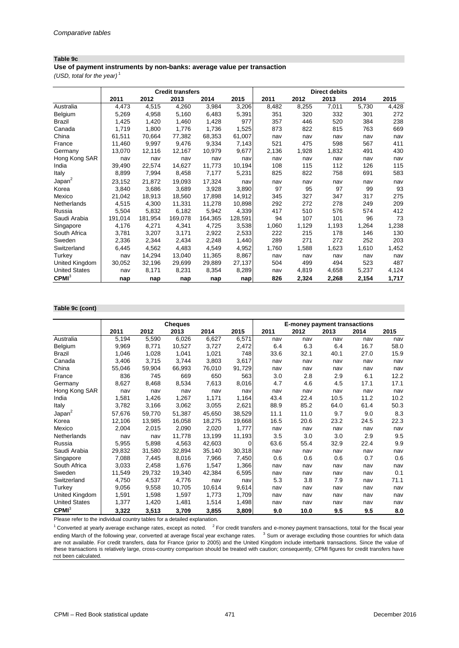#### **Table 9c**

**Use of payment instruments by non-banks: average value per transaction**

*(USD, total for the year)* <sup>1</sup>

|                      |         |         | <b>Credit transfers</b> |         |         |       |       | <b>Direct debits</b> |       |       |
|----------------------|---------|---------|-------------------------|---------|---------|-------|-------|----------------------|-------|-------|
|                      | 2011    | 2012    | 2013                    | 2014    | 2015    | 2011  | 2012  | 2013                 | 2014  | 2015  |
| Australia            | 4,473   | 4,515   | 4,260                   | 3,984   | 3,206   | 8,482 | 8,255 | 7,011                | 5,730 | 4,428 |
| Belgium              | 5,269   | 4,958   | 5,160                   | 6,483   | 5,391   | 351   | 320   | 332                  | 301   | 272   |
| Brazil               | 1,425   | 1,420   | 1,460                   | 1,428   | 977     | 357   | 446   | 520                  | 384   | 238   |
| Canada               | 1,719   | 1,800   | 1,776                   | 1,736   | 1,525   | 873   | 822   | 815                  | 763   | 669   |
| China                | 61,511  | 70,664  | 77.382                  | 68,353  | 61,007  | nav   | nav   | nav                  | nav   | nav   |
| France               | 11,460  | 9,997   | 9,476                   | 9,334   | 7,143   | 521   | 475   | 598                  | 567   | 411   |
| Germany              | 13,070  | 12,116  | 12,167                  | 10.979  | 9,677   | 2,136 | 1,928 | 1,832                | 491   | 430   |
| Hong Kong SAR        | nav     | nav     | nav                     | nav     | nav     | nav   | nav   | nav                  | nav   | nav   |
| India                | 39,490  | 22,574  | 14,627                  | 11,773  | 10,194  | 108   | 115   | 112                  | 126   | 115   |
| Italy                | 8,899   | 7,994   | 8,458                   | 7,177   | 5,231   | 825   | 822   | 758                  | 691   | 583   |
| Japan <sup>2</sup>   | 23,152  | 21,872  | 19,093                  | 17,324  | nav     | nav   | nav   | nav                  | nav   | nav   |
| Korea                | 3.840   | 3,686   | 3,689                   | 3,928   | 3.890   | 97    | 95    | 97                   | 99    | 93    |
| Mexico               | 21,042  | 18,913  | 18,560                  | 17,898  | 14,912  | 345   | 327   | 347                  | 317   | 275   |
| Netherlands          | 4,515   | 4,300   | 11,331                  | 11,278  | 10,898  | 292   | 272   | 278                  | 249   | 209   |
| Russia               | 5,504   | 5,832   | 6,182                   | 5,942   | 4,339   | 417   | 510   | 576                  | 574   | 412   |
| Saudi Arabia         | 191,014 | 181,954 | 169,078                 | 164,365 | 128,591 | 94    | 107   | 101                  | 96    | 73    |
| Singapore            | 4,176   | 4,271   | 4,341                   | 4,725   | 3,538   | 1,060 | 1,129 | 1,193                | 1,264 | 1,238 |
| South Africa         | 3,781   | 3,207   | 3,171                   | 2,922   | 2,533   | 222   | 215   | 178                  | 146   | 130   |
| Sweden               | 2,336   | 2,344   | 2,434                   | 2,248   | 1,440   | 289   | 271   | 272                  | 252   | 203   |
| Switzerland          | 6,445   | 4,562   | 4,483                   | 4,549   | 4,952   | 1,760 | 1,588 | 1,623                | 1,610 | 1,452 |
| Turkey               | nav     | 14,294  | 13,040                  | 11.365  | 8,867   | nav   | nav   | nav                  | nav   | nav   |
| United Kingdom       | 30,052  | 32,196  | 29,699                  | 29,889  | 27,137  | 504   | 499   | 494                  | 523   | 487   |
| <b>United States</b> | nav     | 8,171   | 8,231                   | 8,354   | 8,289   | nav   | 4,819 | 4,658                | 5,237 | 4,124 |
| CPMI <sup>3</sup>    | nap     | nap     | nap                     | nap     | nap     | 826   | 2,324 | 2,268                | 2,154 | 1,717 |

#### **Table 9c (cont)**

|                      |        |        | <b>Cheques</b> |        |        | E-money payment transactions |      |      |      |      |  |
|----------------------|--------|--------|----------------|--------|--------|------------------------------|------|------|------|------|--|
|                      | 2011   | 2012   | 2013           | 2014   | 2015   | 2011                         | 2012 | 2013 | 2014 | 2015 |  |
| Australia            | 5,194  | 5,590  | 6,026          | 6,627  | 6,571  | nav                          | nav  | nav  | nav  | nav  |  |
| Belgium              | 9,969  | 8,771  | 10,527         | 3,727  | 2,472  | 6.4                          | 6.3  | 6.4  | 16.7 | 58.0 |  |
| <b>Brazil</b>        | 1,046  | 1,028  | 1,041          | 1,021  | 748    | 33.6                         | 32.1 | 40.1 | 27.0 | 15.9 |  |
| Canada               | 3,406  | 3,715  | 3,744          | 3,803  | 3,617  | nav                          | nav  | nav  | nav  | nav  |  |
| China                | 55,046 | 59,904 | 66,993         | 76,010 | 91,729 | nav                          | nav  | nav  | nav  | nav  |  |
| France               | 836    | 745    | 669            | 650    | 563    | 3.0                          | 2.8  | 2.9  | 6.1  | 12.2 |  |
| Germany              | 8,627  | 8,468  | 8,534          | 7,613  | 8,016  | 4.7                          | 4.6  | 4.5  | 17.1 | 17.1 |  |
| Hong Kong SAR        | nav    | nav    | nav            | nav    | nav    | nav                          | nav  | nav  | nav  | nav  |  |
| India                | 1,581  | 1,426  | 1,267          | 1,171  | 1,164  | 43.4                         | 22.4 | 10.5 | 11.2 | 10.2 |  |
| Italy                | 3,782  | 3,166  | 3,062          | 3,055  | 2,621  | 88.9                         | 85.2 | 64.0 | 61.4 | 50.3 |  |
| Japan <sup>2</sup>   | 57,676 | 59,770 | 51,387         | 45,650 | 38,529 | 11.1                         | 11.0 | 9.7  | 9.0  | 8.3  |  |
| Korea                | 12,106 | 13,985 | 16,058         | 18,275 | 19,668 | 16.5                         | 20.6 | 23.2 | 24.5 | 22.3 |  |
| Mexico               | 2,004  | 2,015  | 2,090          | 2,020  | 1,777  | nav                          | nav  | nav  | nav  | nav  |  |
| Netherlands          | nav    | nav    | 11,778         | 13,199 | 11,193 | 3.5                          | 3.0  | 3.0  | 2.9  | 9.5  |  |
| Russia               | 5,955  | 5,898  | 4,563          | 42,603 | 0      | 63.6                         | 55.4 | 32.9 | 22.4 | 9.9  |  |
| Saudi Arabia         | 29,832 | 31,580 | 32,894         | 35,140 | 30,318 | nav                          | nav  | nav  | nav  | nav  |  |
| Singapore            | 7,088  | 7,445  | 8,016          | 7,966  | 7,450  | 0.6                          | 0.6  | 0.6  | 0.7  | 0.6  |  |
| South Africa         | 3,033  | 2,458  | 1,676          | 1,547  | 1,366  | nav                          | nav  | nav  | nav  | nav  |  |
| Sweden               | 11,549 | 29,732 | 19,340         | 42,384 | 6,595  | nav                          | nav  | nav  | nav  | 0.1  |  |
| Switzerland          | 4,750  | 4,537  | 4,776          | nav    | nav    | 5.3                          | 3.8  | 7.9  | nav  | 71.1 |  |
| Turkey               | 9,056  | 9,558  | 10,705         | 10,614 | 9,614  | nav                          | nav  | nav  | nav  | nav  |  |
| United Kingdom       | 1,591  | 1,598  | 1,597          | 1,773  | 1,709  | nav                          | nav  | nav  | nav  | nav  |  |
| <b>United States</b> | 1,377  | 1,420  | 1,481          | 1,514  | 1,498  | nav                          | nav  | nav  | nav  | nav  |  |
| CPMI <sup>3</sup>    | 3,322  | 3,513  | 3,709          | 3,855  | 3,809  | 9.0                          | 10.0 | 9.5  | 9.5  | 8.0  |  |

Please refer to the individual country tables for a detailed explanation.

 $1$  Converted at yearly average exchange rates, except as noted.  $2$  For credit transfers and e-money payment transactions, total for the fiscal year ending March of the following year, converted at average fiscal year exchange rates. <sup>3</sup> Sum or average excluding those countries for which data are not available. For credit transfers, data for France (prior to 2005) and the United Kingdom include interbank transactions. Since the value of these transactions is relatively large, cross-country comparison should be treated with caution; consequently, CPMI figures for credit transfers have not been calculated.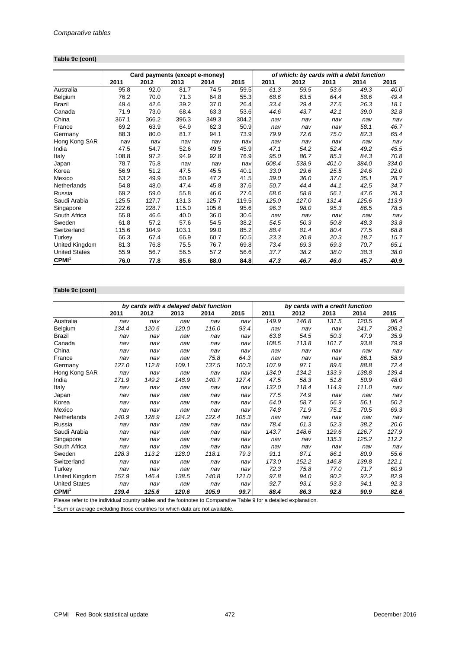## **Table 9c (cont)**

|                      |       | Card payments (except e-money) |       |       |       |       | of which: by cards with a debit function |       |       |       |
|----------------------|-------|--------------------------------|-------|-------|-------|-------|------------------------------------------|-------|-------|-------|
|                      | 2011  | 2012                           | 2013  | 2014  | 2015  | 2011  | 2012                                     | 2013  | 2014  | 2015  |
| Australia            | 95.8  | 92.0                           | 81.7  | 74.5  | 59.5  | 61.3  | 59.5                                     | 53.6  | 49.3  | 40.0  |
| Belgium              | 76.2  | 70.0                           | 71.3  | 64.8  | 55.3  | 68.6  | 63.5                                     | 64.4  | 58.6  | 49.4  |
| Brazil               | 49.4  | 42.6                           | 39.2  | 37.0  | 26.4  | 33.4  | 29.4                                     | 27.6  | 26.3  | 18.1  |
| Canada               | 71.9  | 73.0                           | 68.4  | 63.3  | 53.6  | 44.6  | 43.7                                     | 42.1  | 39.0  | 32.8  |
| China                | 367.1 | 366.2                          | 396.3 | 349.3 | 304.2 | nav   | nav                                      | nav   | nav   | nav   |
| France               | 69.2  | 63.9                           | 64.9  | 62.3  | 50.9  | nav   | nav                                      | nav   | 58.1  | 46.7  |
| Germany              | 88.3  | 80.0                           | 81.7  | 94.1  | 73.9  | 79.9  | 72.6                                     | 75.0  | 82.3  | 65.4  |
| Hong Kong SAR        | nav   | nav                            | nav   | nav   | nav   | nav   | nav                                      | nav   | nav   | nav   |
| India                | 47.5  | 54.7                           | 52.6  | 49.5  | 45.9  | 47.1  | 54.2                                     | 52.4  | 49.2  | 45.5  |
| Italy                | 108.8 | 97.2                           | 94.9  | 92.8  | 76.9  | 95.0  | 86.7                                     | 85.3  | 84.3  | 70.8  |
| Japan                | 78.7  | 75.8                           | nav   | nav   | nav   | 608.4 | 538.9                                    | 401.0 | 384.0 | 334.0 |
| Korea                | 56.9  | 51.2                           | 47.5  | 45.5  | 40.1  | 33.0  | 29.6                                     | 25.5  | 24.6  | 22.0  |
| Mexico               | 53.2  | 49.9                           | 50.9  | 47.2  | 41.5  | 39.0  | 36.0                                     | 37.0  | 35.1  | 28.7  |
| Netherlands          | 54.8  | 48.0                           | 47.4  | 45.8  | 37.6  | 50.7  | 44.4                                     | 44.1  | 42.5  | 34.7  |
| Russia               | 69.2  | 59.0                           | 55.8  | 46.6  | 27.6  | 68.6  | 58.8                                     | 56.1  | 47.6  | 28.3  |
| Saudi Arabia         | 125.5 | 127.7                          | 131.3 | 125.7 | 119.5 | 125.0 | 127.0                                    | 131.4 | 125.6 | 113.9 |
| Singapore            | 222.6 | 228.7                          | 115.0 | 105.6 | 95.6  | 96.3  | 98.0                                     | 95.3  | 86.5  | 78.5  |
| South Africa         | 55.8  | 46.6                           | 40.0  | 36.0  | 30.6  | nav   | nav                                      | nav   | nav   | nav   |
| Sweden               | 61.8  | 57.2                           | 57.6  | 54.5  | 38.2  | 54.5  | 50.3                                     | 50.8  | 48.3  | 33.8  |
| Switzerland          | 115.6 | 104.9                          | 103.1 | 99.0  | 85.2  | 88.4  | 81.4                                     | 80.4  | 77.5  | 68.8  |
| Turkey               | 66.3  | 67.4                           | 66.9  | 60.7  | 50.5  | 23.3  | 20.8                                     | 20.3  | 18.7  | 15.7  |
| United Kingdom       | 81.3  | 76.8                           | 75.5  | 76.7  | 69.8  | 73.4  | 69.3                                     | 69.3  | 70.7  | 65.1  |
| <b>United States</b> | 55.9  | 56.7                           | 56.5  | 57.2  | 56.6  | 37.7  | 38.2                                     | 38.0  | 38.3  | 38.0  |
| CPMI <sup>1</sup>    | 76.0  | 77.8                           | 85.6  | 88.0  | 84.8  | 47.3  | 46.7                                     | 46.0  | 45.7  | 40.9  |

## **Table 9c (cont)**

|                                                                           |       | by cards with a delayed debit function                           |       |       |          |                                                                 | by cards with a credit function |       |       |       |
|---------------------------------------------------------------------------|-------|------------------------------------------------------------------|-------|-------|----------|-----------------------------------------------------------------|---------------------------------|-------|-------|-------|
|                                                                           | 2011  | 2012                                                             | 2013  | 2014  | 2015     | 2011                                                            | 2012                            | 2013  | 2014  | 2015  |
| Australia                                                                 | nav   | nav                                                              | nav   | nav   | nav      | 149.9                                                           | 146.8                           | 131.5 | 120.5 | 96.4  |
| Belgium                                                                   | 134.4 | 120.6                                                            | 120.0 | 116.0 | 93.4     | nav                                                             | nav                             | nav   | 241.7 | 208.2 |
| Brazil                                                                    | nav   | nav                                                              | nav   | nav   | nav      | 63.8                                                            | 54.5                            | 50.3  | 47.9  | 35.9  |
| Canada                                                                    | nav   | nav                                                              | nav   | nav   | nav      | 108.5                                                           | 113.8                           | 101.7 | 93.8  | 79.9  |
| China                                                                     | nav   | nav                                                              | nav   | nav   | nav      | nav                                                             | nav                             | nav   | nav   | nav   |
| France                                                                    | nav   | nav                                                              | nav   | 75.8  | 64.3     | nav                                                             | nav                             | nav   | 86.1  | 58.9  |
| Germany                                                                   | 127.0 | 112.8                                                            | 109.1 | 137.5 | 100.3    | 107.9                                                           | 97.1                            | 89.6  | 88.8  | 72.4  |
| Hong Kong SAR                                                             | nav   | nav                                                              | nav   | nav   | nav      | 134.0                                                           | 134.2                           | 133.9 | 138.8 | 139.4 |
| India                                                                     | 171.9 | 149.2                                                            | 148.9 | 140.7 | 127.4    | 47.5                                                            | 58.3                            | 51.8  | 50.9  | 48.0  |
| Italy                                                                     | nav   | nav                                                              | nav   | nav   | nav      | 132.0                                                           | 118.4                           | 114.9 | 111.0 | nav   |
| Japan                                                                     | nav   | nav                                                              | nav   | nav   | nav      | 77.5                                                            | 74.9                            | nav   | nav   | nav   |
| Korea                                                                     | nav   | nav                                                              | nav   | nav   | nav      | 64.0                                                            | 58.7                            | 56.9  | 56.1  | 50.2  |
| Mexico                                                                    | nav   | nav                                                              | nav   | nav   | nav      | 74.8                                                            | 71.9                            | 75.1  | 70.5  | 69.3  |
| Netherlands                                                               | 140.9 | 128.9                                                            | 124.2 | 122.4 | 105.3    | nav                                                             | nav                             | nav   | nav   | nav   |
| Russia                                                                    | nav   | nav                                                              | nav   | nav   | nav      | 78.4                                                            | 61.3                            | 52.3  | 38.2  | 20.6  |
| Saudi Arabia                                                              | nav   | nav                                                              | nav   | nav   | nav      | 143.7                                                           | 148.6                           | 129.6 | 126.7 | 127.9 |
| Singapore                                                                 | nav   | nav                                                              | nav   | nav   | nav      | nav                                                             | nav                             | 135.3 | 125.2 | 112.2 |
| South Africa                                                              | nav   | nav                                                              | nav   | nav   | nav      | nav                                                             | nav                             | nav   | nav   | nav   |
| Sweden                                                                    | 128.3 | 113.2                                                            | 128.0 | 118.1 | 79.3     | 91.1                                                            | 87.1                            | 86.1  | 80.9  | 55.6  |
| Switzerland                                                               | nav   | nav                                                              | nav   | nav   | nav      | 173.0                                                           | 152.2                           | 146.8 | 139.8 | 122.1 |
| Turkey                                                                    | nav   | nav                                                              | nav   | nav   | nav      | 72.3                                                            | 75.8                            | 77.0  | 71.7  | 60.9  |
| United Kingdom                                                            | 157.9 | 146.4                                                            | 138.5 | 140.8 | 121.0    | 97.8                                                            | 94.0                            | 90.2  | 92.2  | 82.9  |
| <b>United States</b>                                                      | nav   | nav                                                              | nav   | nav   | nav      | 92.7                                                            | 93.1                            | 93.3  | 94.1  | 92.3  |
| CPMI <sup>1</sup><br>Discussion and some to the state of the state of the | 139.4 | 125.6<br>a constant del la conseguidad de la capacidad de Origin | 120.6 | 105.9 | 99.7<br> | 88.4<br>$\tau$ - kine $\alpha$ from a strategic strainer and as | 86.3                            | 92.8  | 90.9  | 82.6  |

Please refer to the individual country tables and the footnotes to Comparative Table 9 for a detailed explanation.<br><sup>1</sup> Sum or average excluding those countries for which data are not available.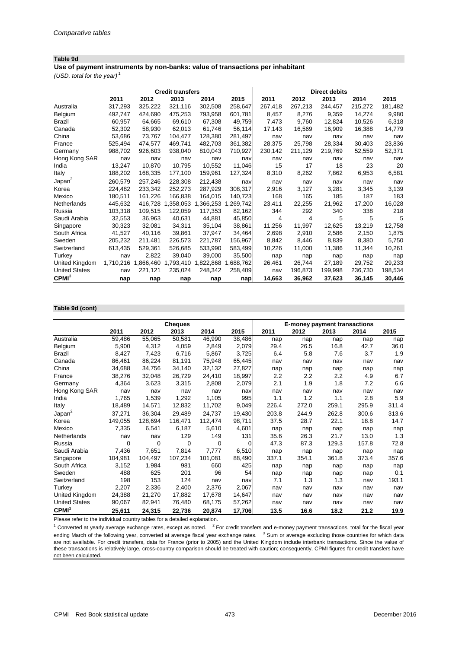#### **Table 9d**

**Use of payment instruments by non-banks: value of transactions per inhabitant**

*(USD, total for the year)* <sup>1</sup>

|                      |           |           | <b>Credit transfers</b> |           |           |         |         | <b>Direct debits</b> |         |         |
|----------------------|-----------|-----------|-------------------------|-----------|-----------|---------|---------|----------------------|---------|---------|
|                      | 2011      | 2012      | 2013                    | 2014      | 2015      | 2011    | 2012    | 2013                 | 2014    | 2015    |
| Australia            | 317,293   | 325,222   | 321,116                 | 302,508   | 258,647   | 267,418 | 267,213 | 244,457              | 215,272 | 181,482 |
| Belgium              | 492.747   | 424.690   | 475.253                 | 793,958   | 601,781   | 8,457   | 8,276   | 9.359                | 14.274  | 9,980   |
| <b>Brazil</b>        | 60,957    | 64,665    | 69,610                  | 67,308    | 49,759    | 7,473   | 9,760   | 12,824               | 10,526  | 6,318   |
| Canada               | 52,302    | 58,930    | 62,013                  | 61,746    | 56,114    | 17,143  | 16,569  | 16,909               | 16,388  | 14,779  |
| China                | 53,686    | 73,767    | 104,477                 | 128,380   | 281,497   | nav     | nav     | nav                  | nav     | nav     |
| France               | 525,494   | 474,577   | 469,741                 | 482,703   | 361,382   | 28,375  | 25,798  | 28,334               | 30,403  | 23,836  |
| Germany              | 988.702   | 926,603   | 938,040                 | 810,043   | 710,927   | 230,142 | 211,129 | 219,769              | 52,559  | 52,371  |
| Hong Kong SAR        | nav       | nav       | nav                     | nav       | nav       | nav     | nav     | nav                  | nav     | nav     |
| India                | 13,247    | 10,870    | 10,795                  | 10,552    | 11,046    | 15      | 17      | 18                   | 23      | 20      |
| Italy                | 188,202   | 168,335   | 177,100                 | 159,961   | 127,324   | 8,310   | 8,262   | 7,862                | 6,953   | 6,581   |
| Japan <sup>2</sup>   | 260.579   | 257,246   | 228,308                 | 212.438   | nav       | nav     | nav     | nav                  | nav     | nav     |
| Korea                | 224,482   | 233,342   | 252,273                 | 287,929   | 308,317   | 2,916   | 3,127   | 3,281                | 3.345   | 3,139   |
| Mexico               | 180.511   | 161,226   | 166,838                 | 164,015   | 140,723   | 168     | 165     | 185                  | 187     | 183     |
| Netherlands          | 445.632   | 416.728   | 1,358,053               | 1,366,253 | 1,269,742 | 23,411  | 22,255  | 21,962               | 17,200  | 16,028  |
| Russia               | 103,318   | 109,515   | 122,059                 | 117,353   | 82,162    | 344     | 292     | 340                  | 338     | 218     |
| Saudi Arabia         | 32,553    | 36,963    | 40.631                  | 44,881    | 45,850    | 4       | 4       | 5                    | 5       | 5       |
| Singapore            | 30,323    | 32,081    | 34,311                  | 35,104    | 38,861    | 11,256  | 11,997  | 12,625               | 13,219  | 12,758  |
| South Africa         | 41,527    | 40,116    | 39,861                  | 37,947    | 34,464    | 2,698   | 2,910   | 2,586                | 2,150   | 1,875   |
| Sweden               | 205,232   | 211.481   | 226,573                 | 221,787   | 156,967   | 8,842   | 8,446   | 8,839                | 8,380   | 5,750   |
| Switzerland          | 613,435   | 529,361   | 526,685                 | 533,990   | 583,499   | 10,226  | 11,000  | 11,386               | 11,344  | 10,261  |
| Turkey               | nav       | 2,822     | 39.040                  | 39.000    | 35,500    | nap     | nap     | nap                  | nap     | nap     |
| United Kingdom       | 1,710,216 | 1,866,460 | 1,793,410               | 1,822,868 | 1,688,762 | 26,461  | 26,744  | 27,189               | 29.752  | 29,233  |
| <b>United States</b> | nav       | 221,121   | 235,024                 | 248,342   | 258,409   | nav     | 196,873 | 199,998              | 236,730 | 198,534 |
| CPMI <sup>3</sup>    | nap       | nap       | nap                     | nap       | nap       | 14,663  | 36,962  | 37,623               | 36,145  | 30,446  |

#### **Table 9d (cont)**

|                      |          |         | <b>Cheques</b> |         |        |       | <b>E-money payment transactions</b> |       |       |       |
|----------------------|----------|---------|----------------|---------|--------|-------|-------------------------------------|-------|-------|-------|
|                      | 2011     | 2012    | 2013           | 2014    | 2015   | 2011  | 2012                                | 2013  | 2014  | 2015  |
| Australia            | 59,486   | 55,065  | 50,581         | 46,990  | 38,486 | nap   | nap                                 | nap   | nap   | nap   |
| Belgium              | 5,900    | 4,312   | 4,059          | 2.849   | 2,079  | 29.4  | 26.5                                | 16.8  | 42.7  | 36.0  |
| <b>Brazil</b>        | 8,427    | 7,423   | 6,716          | 5,867   | 3,725  | 6.4   | 5.8                                 | 7.6   | 3.7   | 1.9   |
| Canada               | 86,461   | 86,224  | 81,191         | 75,948  | 65,445 | nav   | nav                                 | nav   | nav   | nav   |
| China                | 34,688   | 34,756  | 34,140         | 32,132  | 27,827 | nap   | nap                                 | nap   | nap   | nap   |
| France               | 38,276   | 32,048  | 26,729         | 24,410  | 18,997 | 2.2   | 2.2                                 | 2.2   | 4.9   | 6.7   |
| Germany              | 4,364    | 3,623   | 3,315          | 2,808   | 2,079  | 2.1   | 1.9                                 | 1.8   | 7.2   | 6.6   |
| Hong Kong SAR        | nav      | nav     | nav            | nav     | nav    | nav   | nav                                 | nav   | nav   | nav   |
| India                | 1,765    | 1,539   | 1,292          | 1,105   | 995    | 1.1   | 1.2                                 | 1.1   | 2.8   | 5.9   |
| Italy                | 18,489   | 14,571  | 12,832         | 11,702  | 9,049  | 226.4 | 272.0                               | 259.1 | 295.9 | 311.4 |
| Japan <sup>2</sup>   | 37,271   | 36,304  | 29,489         | 24,737  | 19,430 | 203.8 | 244.9                               | 262.8 | 300.6 | 313.6 |
| Korea                | 149,055  | 128,694 | 116,471        | 112,474 | 98,711 | 37.5  | 28.7                                | 22.1  | 18.8  | 14.7  |
| Mexico               | 7,335    | 6,541   | 6,187          | 5,610   | 4,601  | nap   | nap                                 | nap   | nap   | nap   |
| Netherlands          | nav      | nav     | 129            | 149     | 131    | 35.6  | 26.3                                | 21.7  | 13.0  | 1.3   |
| Russia               | $\Omega$ | 0       | $\Omega$       | 0       | 0      | 47.3  | 87.3                                | 129.3 | 157.8 | 72.8  |
| Saudi Arabia         | 7,436    | 7,651   | 7,814          | 7,777   | 6,510  | nap   | nap                                 | nap   | nap   | nap   |
| Singapore            | 104,981  | 104,497 | 107,234        | 101,081 | 88,490 | 337.1 | 354.1                               | 361.8 | 373.4 | 357.6 |
| South Africa         | 3,152    | 1,984   | 981            | 660     | 425    | nap   | nap                                 | nap   | nap   | nap   |
| Sweden               | 488      | 625     | 201            | 96      | 54     | nap   | nap                                 | nap   | nap   | 0.1   |
| Switzerland          | 198      | 153     | 124            | nav     | nav    | 7.1   | 1.3                                 | 1.3   | nav   | 193.1 |
| Turkey               | 2,207    | 2,336   | 2,400          | 2,376   | 2,067  | nav   | nav                                 | nav   | nav   | nav   |
| United Kingdom       | 24,388   | 21,270  | 17,882         | 17,678  | 14,647 | nav   | nav                                 | nav   | nav   | nav   |
| <b>United States</b> | 90,067   | 82,941  | 76,480         | 68,175  | 57,262 | nav   | nav                                 | nav   | nav   | nav   |
| CPMI <sup>3</sup>    | 25,611   | 24,315  | 22,736         | 20,874  | 17,706 | 13.5  | 16.6                                | 18.2  | 21.2  | 19.9  |

Please refer to the individual country tables for a detailed explanation.

 $1$  Converted at yearly average exchange rates, except as noted.  $2$  For credit transfers and e-money payment transactions, total for the fiscal year ending March of the following year, converted at average fiscal year exchange rates. <sup>3</sup> Sum or average excluding those countries for which data exchange rates. are not available. For credit transfers, data for France (prior to 2005) and the United Kingdom include interbank transactions. Since the value of these transactions is relatively large, cross-country comparison should be treated with caution; consequently, CPMI figures for credit transfers have not been calculated.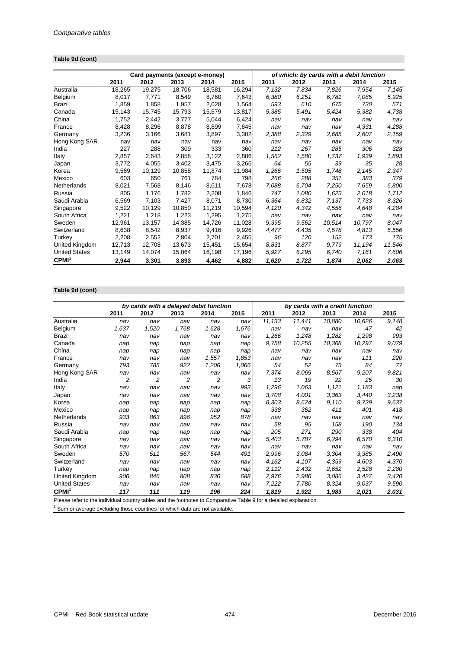## **Table 9d (cont)**

|                      |        | Card payments (except e-money) |        |        |        |       |       |        |        | of which: by cards with a debit function |  |
|----------------------|--------|--------------------------------|--------|--------|--------|-------|-------|--------|--------|------------------------------------------|--|
|                      | 2011   | 2012                           | 2013   | 2014   | 2015   | 2011  | 2012  | 2013   | 2014   | 2015                                     |  |
| Australia            | 18,265 | 19,275                         | 18,706 | 18,581 | 16,294 | 7,132 | 7,834 | 7,826  | 7,954  | 7,145                                    |  |
| Belgium              | 8.017  | 7,771                          | 8.549  | 8.760  | 7,643  | 6,380 | 6.251 | 6.781  | 7.085  | 5,925                                    |  |
| Brazil               | 1,859  | 1,858                          | 1,957  | 2,028  | 1,564  | 593   | 610   | 675    | 730    | 571                                      |  |
| Canada               | 15,143 | 15,745                         | 15,793 | 15.679 | 13,817 | 5,385 | 5,491 | 5,424  | 5,382  | 4,738                                    |  |
| China                | 1,752  | 2,442                          | 3.777  | 5,044  | 6,424  | nav   | nav   | nav    | nav    | nav                                      |  |
| France               | 8,428  | 8,296                          | 8.878  | 8,899  | 7,845  | nav   | nav   | nav    | 4,331  | 4,288                                    |  |
| Germany              | 3,236  | 3,166                          | 3,681  | 3.897  | 3,302  | 2,388 | 2,329 | 2,685  | 2.607  | 2,159                                    |  |
| Hong Kong SAR        | nav    | nav                            | nav    | nav    | nav    | nav   | nav   | nav    | nav    | nav                                      |  |
| India                | 227    | 288                            | 309    | 333    | 360    | 212   | 267   | 285    | 306    | 328                                      |  |
| Italy                | 2.857  | 2.643                          | 2.858  | 3,122  | 2,886  | 1,562 | 1.580 | 1.737  | 1,939  | 1,893                                    |  |
| Japan                | 3,772  | 4,055                          | 3,402  | 3,475  | 3,266  | 64    | 55    | 39     | 35     | 28                                       |  |
| Korea                | 9,569  | 10,129                         | 10,858 | 11.874 | 11,984 | 1,266 | 1,505 | 1,748  | 2,145  | 2,347                                    |  |
| Mexico               | 603    | 650                            | 761    | 784    | 798    | 266   | 288   | 351    | 383    | 379                                      |  |
| Netherlands          | 8,021  | 7,568                          | 8,146  | 8,611  | 7,678  | 7,088 | 6,704 | 7,250  | 7,659  | 6,800                                    |  |
| Russia               | 805    | 1,176                          | 1,782  | 2,208  | 1,846  | 747   | 1.080 | 1,623  | 2,018  | 1,712                                    |  |
| Saudi Arabia         | 6,569  | 7.103                          | 7.427  | 8.071  | 8,730  | 6.364 | 6.832 | 7.137  | 7.733  | 8,326                                    |  |
| Singapore            | 9,522  | 10.129                         | 10,850 | 11,219 | 10,594 | 4,120 | 4.342 | 4,556  | 4.648  | 4,284                                    |  |
| South Africa         | 1,221  | 1,218                          | 1,223  | 1,295  | 1,275  | nav   | nav   | nav    | nav    | nav                                      |  |
| Sweden               | 12,961 | 13,157                         | 14,385 | 14.726 | 11,028 | 9,395 | 9.562 | 10.514 | 10.797 | 8,047                                    |  |
| Switzerland          | 8,638  | 8.542                          | 8.937  | 9,416  | 9,926  | 4,477 | 4.435 | 4,578  | 4.813  | 5,556                                    |  |
| Turkey               | 2,208  | 2,552                          | 2,804  | 2,701  | 2,455  | 96    | 120   | 152    | 173    | 175                                      |  |
| United Kingdom       | 12,713 | 12,708                         | 13,673 | 15.451 | 15,654 | 8.831 | 8.877 | 9.779  | 11,194 | 11,546                                   |  |
| <b>United States</b> | 13,149 | 14,074                         | 15,064 | 16,198 | 17,196 | 5,927 | 6,295 | 6,740  | 7,161  | 7,606                                    |  |
| CPMI <sup>1</sup>    | 2,944  | 3,301                          | 3,893  | 4,462  | 4,882  | 1,620 | 1,722 | 1,874  | 2,062  | 2,063                                    |  |

## **Table 9d (cont)**

|                                                                           |       | by cards with a delayed debit function                                                                                                                                                                                                |       |       |       |                                                                                                  | by cards with a credit function |        |        |       |
|---------------------------------------------------------------------------|-------|---------------------------------------------------------------------------------------------------------------------------------------------------------------------------------------------------------------------------------------|-------|-------|-------|--------------------------------------------------------------------------------------------------|---------------------------------|--------|--------|-------|
|                                                                           | 2011  | 2012                                                                                                                                                                                                                                  | 2013  | 2014  | 2015  | 2011                                                                                             | 2012                            | 2013   | 2014   | 2015  |
| Australia                                                                 | nav   | nav                                                                                                                                                                                                                                   | nav   | nav   | nav   | 11,133                                                                                           | 11,441                          | 10,880 | 10,626 | 9,148 |
| Belgium                                                                   | 1,637 | 1,520                                                                                                                                                                                                                                 | 1,768 | 1,628 | 1,676 | nav                                                                                              | nav                             | nav    | 47     | 42    |
| Brazil                                                                    | nav   | nav                                                                                                                                                                                                                                   | nav   | nav   | nav   | 1,266                                                                                            | 1,248                           | 1,282  | 1,298  | 993   |
| Canada                                                                    | nap   | nap                                                                                                                                                                                                                                   | nap   | nap   | nap   | 9,758                                                                                            | 10,255                          | 10,368 | 10,297 | 9,079 |
| China                                                                     | nap   | nap                                                                                                                                                                                                                                   | nap   | nap   | nap   | nav                                                                                              | nav                             | nav    | nav    | nav   |
| France                                                                    | nav   | nav                                                                                                                                                                                                                                   | nav   | 1,557 | 1,853 | nav                                                                                              | nav                             | nav    | 111    | 220   |
| Germany                                                                   | 793   | 785                                                                                                                                                                                                                                   | 922   | 1,206 | 1,066 | 54                                                                                               | 52                              | 73     | 84     | 77    |
| Hong Kong SAR                                                             | nav   | nav                                                                                                                                                                                                                                   | nav   | nav   | nav   | 7,374                                                                                            | 8.069                           | 8.567  | 9,207  | 9,821 |
| India                                                                     | 2     | $\overline{c}$                                                                                                                                                                                                                        | 2     | 2     | 3     | 13                                                                                               | 19                              | 22     | 25     | 30    |
| Italy                                                                     | nav   | nav                                                                                                                                                                                                                                   | nav   | nav   | 993   | 1,296                                                                                            | 1,063                           | 1,121  | 1,183  | nap   |
| Japan                                                                     | nav   | nav                                                                                                                                                                                                                                   | nav   | nav   | nav   | 3,708                                                                                            | 4,001                           | 3.363  | 3.440  | 3,238 |
| Korea                                                                     | nap   | nap                                                                                                                                                                                                                                   | nap   | nap   | nap   | 8,303                                                                                            | 8,624                           | 9.110  | 9,729  | 9,637 |
| Mexico                                                                    | nap   | nap                                                                                                                                                                                                                                   | nap   | nap   | nap   | 338                                                                                              | 362                             | 411    | 401    | 418   |
| Netherlands                                                               | 933   | 863                                                                                                                                                                                                                                   | 896   | 952   | 878   | nav                                                                                              | nav                             | nav    | nav    | nav   |
| Russia                                                                    | nav   | nav                                                                                                                                                                                                                                   | nav   | nav   | nav   | 58                                                                                               | 95                              | 158    | 190    | 134   |
| Saudi Arabia                                                              | nap   | nap                                                                                                                                                                                                                                   | nap   | nap   | nap   | 205                                                                                              | 271                             | 290    | 338    | 404   |
| Singapore                                                                 | nav   | nav                                                                                                                                                                                                                                   | nav   | nav   | nav   | 5,403                                                                                            | 5,787                           | 6,294  | 6.570  | 6,310 |
| South Africa                                                              | nav   | nav                                                                                                                                                                                                                                   | nav   | nav   | nav   | nav                                                                                              | nav                             | nav    | nav    | nav   |
| Sweden                                                                    | 570   | 511                                                                                                                                                                                                                                   | 567   | 544   | 491   | 2,996                                                                                            | 3.084                           | 3.304  | 3,385  | 2,490 |
| Switzerland                                                               | nav   | nav                                                                                                                                                                                                                                   | nav   | nav   | nav   | 4,162                                                                                            | 4,107                           | 4,359  | 4,603  | 4,370 |
| Turkey                                                                    | nap   | nap                                                                                                                                                                                                                                   | nap   | nap   | nap   | 2,112                                                                                            | 2,432                           | 2,652  | 2,528  | 2,280 |
| United Kingdom                                                            | 906   | 846                                                                                                                                                                                                                                   | 808   | 830   | 688   | 2,976                                                                                            | 2,986                           | 3,086  | 3,427  | 3,420 |
| <b>United States</b>                                                      | nav   | nav                                                                                                                                                                                                                                   | nav   | nav   | nav   | 7,222                                                                                            | 7,780                           | 8,324  | 9,037  | 9,590 |
| CPMI <sup>1</sup><br>Discussion and some to the state of the state of the | 117   | 111<br>the construction between the state of the context of the state of the context of the state of the context of the state of the state of the state of the state of the state of the state of the state of the state of the state | 119   | 196   | 224   | 1,819<br>$T = 1$ , $T = 0$ , $T = 0$ , $T = 0$ , $T = 0$ , $T = 0$ , $T = 0$ , $T = 0$ , $T = 0$ | 1,922                           | 1,983  | 2,021  | 2,031 |

Please refer to the individual country tables and the footnotes to Comparative Table 9 for a detailed explanation.

 $1$  Sum or average excluding those countries for which data are not available.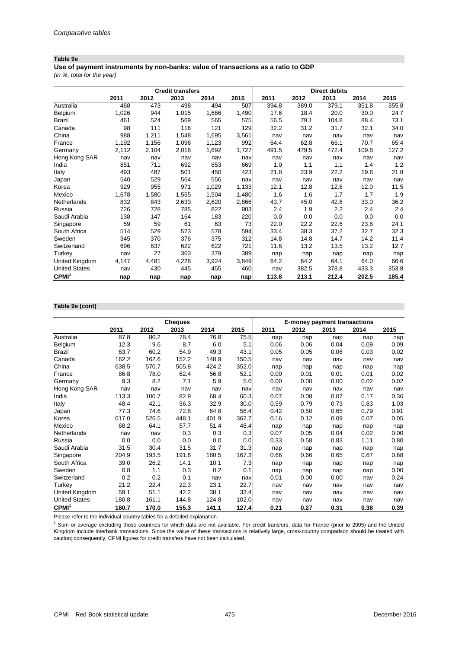#### **Table 9e**

**Use of payment instruments by non-banks: value of transactions as a ratio to GDP**

*(in %, total for the year)*

|                      |       |       | <b>Credit transfers</b> |       |       |       |       | <b>Direct debits</b> |       |       |
|----------------------|-------|-------|-------------------------|-------|-------|-------|-------|----------------------|-------|-------|
|                      | 2011  | 2012  | 2013                    | 2014  | 2015  | 2011  | 2012  | 2013                 | 2014  | 2015  |
| Australia            | 468   | 473   | 498                     | 494   | 507   | 394.8 | 389.0 | 379.1                | 351.8 | 355.8 |
| Belgium              | 1,026 | 944   | 1,015                   | 1,666 | 1,490 | 17.6  | 18.4  | 20.0                 | 30.0  | 24.7  |
| Brazil               | 461   | 524   | 569                     | 565   | 575   | 56.5  | 79.1  | 104.8                | 88.4  | 73.1  |
| Canada               | 98    | 111   | 116                     | 121   | 129   | 32.2  | 31.2  | 31.7                 | 32.1  | 34.0  |
| China                | 988   | 1,211 | 1,548                   | 1,695 | 3,561 | nav   | nav   | nav                  | nav   | nav   |
| France               | 1,192 | 1,156 | 1,096                   | 1,123 | 992   | 64.4  | 62.8  | 66.1                 | 70.7  | 65.4  |
| Germany              | 2,112 | 2,104 | 2,016                   | 1,692 | 1,727 | 491.5 | 479.5 | 472.4                | 109.8 | 127.2 |
| Hong Kong SAR        | nav   | nav   | nav                     | nav   | nav   | nav   | nav   | nav                  | nav   | nav   |
| India                | 851   | 711   | 692                     | 653   | 669   | 1.0   | 1.1   | 1.1                  | 1.4   | 1.2   |
| Italy                | 493   | 487   | 501                     | 450   | 423   | 21.8  | 23.9  | 22.2                 | 19.6  | 21.8  |
| Japan                | 540   | 529   | 564                     | 556   | nav   | nav   | nav   | nav                  | nav   | nav   |
| Korea                | 929   | 955   | 971                     | 1,029 | 1,133 | 12.1  | 12.8  | 12.6                 | 12.0  | 11.5  |
| Mexico               | 1,678 | 1,580 | 1,555                   | 1,504 | 1,480 | 1.6   | 1.6   | 1.7                  | 1.7   | 1.9   |
| <b>Netherlands</b>   | 832   | 843   | 2,633                   | 2,620 | 2,866 | 43.7  | 45.0  | 42.6                 | 33.0  | 36.2  |
| Russia               | 726   | 728   | 785                     | 822   | 903   | 2.4   | 1.9   | 2.2                  | 2.4   | 2.4   |
| Saudi Arabia         | 138   | 147   | 164                     | 183   | 220   | 0.0   | 0.0   | 0.0                  | 0.0   | 0.0   |
| Singapore            | 59    | 59    | 61                      | 63    | 73    | 22.0  | 22.2  | 22.6                 | 23.6  | 24.1  |
| South Africa         | 514   | 529   | 573                     | 578   | 594   | 33.4  | 38.3  | 37.2                 | 32.7  | 32.3  |
| Sweden               | 345   | 370   | 376                     | 375   | 312   | 14.8  | 14.8  | 14.7                 | 14.2  | 11.4  |
| Switzerland          | 696   | 637   | 622                     | 622   | 721   | 11.6  | 13.2  | 13.5                 | 13.2  | 12.7  |
| Turkey               | nav   | 27    | 363                     | 379   | 389   | nap   | nap   | nap                  | nap   | nap   |
| United Kingdom       | 4,147 | 4,481 | 4,228                   | 3,924 | 3,849 | 64.2  | 64.2  | 64.1                 | 64.0  | 66.6  |
| <b>United States</b> | nav   | 430   | 445                     | 455   | 460   | nav   | 382.5 | 378.8                | 433.3 | 353.8 |
| CPMI <sup>1</sup>    | nap   | nap   | nap                     | nap   | nap   | 113.8 | 213.1 | 212.4                | 202.5 | 185.4 |

#### **Table 9e (cont)**

|                      |       |       | <b>Cheques</b> |       |       | <b>E-money payment transactions</b> |      |      |      |      |
|----------------------|-------|-------|----------------|-------|-------|-------------------------------------|------|------|------|------|
|                      | 2011  | 2012  | 2013           | 2014  | 2015  | 2011                                | 2012 | 2013 | 2014 | 2015 |
| Australia            | 87.8  | 80.2  | 78.4           | 76.8  | 75.5  | nap                                 | nap  | nap  | nap  | nap  |
| Belgium              | 12.3  | 9.6   | 8.7            | 6.0   | 5.1   | 0.06                                | 0.06 | 0.04 | 0.09 | 0.09 |
| <b>Brazil</b>        | 63.7  | 60.2  | 54.9           | 49.3  | 43.1  | 0.05                                | 0.05 | 0.06 | 0.03 | 0.02 |
| Canada               | 162.2 | 162.6 | 152.2          | 148.9 | 150.5 | nav                                 | nav  | nav  | nav  | nav  |
| China                | 638.5 | 570.7 | 505.8          | 424.2 | 352.0 | nap                                 | nap  | nap  | nap  | nap  |
| France               | 86.8  | 78.0  | 62.4           | 56.8  | 52.1  | 0.00                                | 0.01 | 0.01 | 0.01 | 0.02 |
| Germany              | 9.3   | 8.2   | 7.1            | 5.9   | 5.0   | 0.00                                | 0.00 | 0.00 | 0.02 | 0.02 |
| Hong Kong SAR        | nav   | nav   | nav            | nav   | nav   | nav                                 | nav  | nav  | nav  | nav  |
| India                | 113.3 | 100.7 | 82.9           | 68.4  | 60.3  | 0.07                                | 0.08 | 0.07 | 0.17 | 0.36 |
| Italy                | 48.4  | 42.1  | 36.3           | 32.9  | 30.0  | 0.59                                | 0.79 | 0.73 | 0.83 | 1.03 |
| Japan                | 77.3  | 74.6  | 72.8           | 64.8  | 56.4  | 0.42                                | 0.50 | 0.65 | 0.79 | 0.91 |
| Korea                | 617.0 | 526.5 | 448.1          | 401.9 | 362.7 | 0.16                                | 0.12 | 0.09 | 0.07 | 0.05 |
| Mexico               | 68.2  | 64.1  | 57.7           | 51.4  | 48.4  | nap                                 | nap  | nap  | nap  | nap  |
| Netherlands          | nav   | nav   | 0.3            | 0.3   | 0.3   | 0.07                                | 0.05 | 0.04 | 0.02 | 0.00 |
| Russia               | 0.0   | 0.0   | 0.0            | 0.0   | 0.0   | 0.33                                | 0.58 | 0.83 | 1.11 | 0.80 |
| Saudi Arabia         | 31.5  | 30.4  | 31.5           | 31.7  | 31.3  | nap                                 | nap  | nap  | nap  | nap  |
| Singapore            | 204.9 | 193.5 | 191.6          | 180.5 | 167.3 | 0.66                                | 0.66 | 0.65 | 0.67 | 0.68 |
| South Africa         | 39.0  | 26.2  | 14.1           | 10.1  | 7.3   | nap                                 | nap  | nap  | nap  | nap  |
| Sweden               | 0.8   | 1.1   | 0.3            | 0.2   | 0.1   | nap                                 | nap  | nap  | nap  | 0.00 |
| Switzerland          | 0.2   | 0.2   | 0.1            | nav   | nav   | 0.01                                | 0.00 | 0.00 | nav  | 0.24 |
| Turkey               | 21.2  | 22.4  | 22.3           | 23.1  | 22.7  | nav                                 | nav  | nav  | nav  | nav  |
| United Kingdom       | 59.1  | 51.1  | 42.2           | 38.1  | 33.4  | nav                                 | nav  | nav  | nav  | nav  |
| <b>United States</b> | 180.8 | 161.1 | 144.8          | 124.8 | 102.0 | nav                                 | nav  | nav  | nav  | nav  |
| CPMI <sup>1</sup>    | 180.7 | 170.0 | 155.3          | 141.1 | 127.4 | 0.21                                | 0.27 | 0.31 | 0.38 | 0.39 |

Please refer to the individual country tables for a detailed explanation.

 $1$  Sum or average excluding those countries for which data are not available. For credit transfers, data for France (prior to 2005) and the United Kingdom include interbank transactions. Since the value of these transactions is relatively large, cross-country comparison should be treated with caution; consequently, CPMI figures for credit transfers have not been calculated.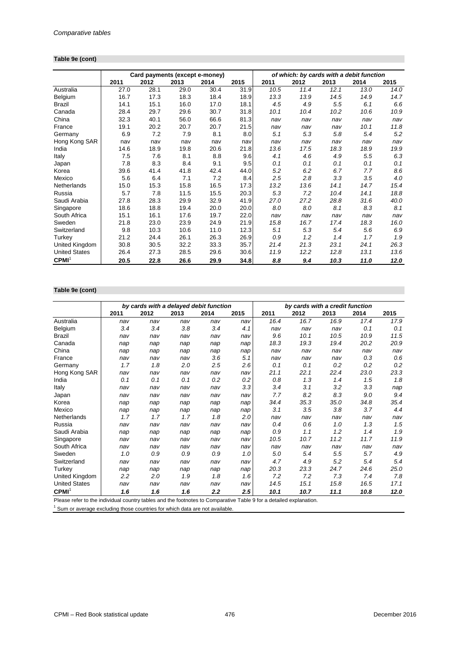## **Table 9e (cont)**

|                      |      | Card payments (except e-money) |      |      |      | of which: by cards with a debit function |      |      |      |      |  |
|----------------------|------|--------------------------------|------|------|------|------------------------------------------|------|------|------|------|--|
|                      | 2011 | 2012                           | 2013 | 2014 | 2015 | 2011                                     | 2012 | 2013 | 2014 | 2015 |  |
| Australia            | 27.0 | 28.1                           | 29.0 | 30.4 | 31.9 | 10.5                                     | 11.4 | 12.1 | 13.0 | 14.0 |  |
| Belgium              | 16.7 | 17.3                           | 18.3 | 18.4 | 18.9 | 13.3                                     | 13.9 | 14.5 | 14.9 | 14.7 |  |
| Brazil               | 14.1 | 15.1                           | 16.0 | 17.0 | 18.1 | 4.5                                      | 4.9  | 5.5  | 6.1  | 6.6  |  |
| Canada               | 28.4 | 29.7                           | 29.6 | 30.7 | 31.8 | 10.1                                     | 10.4 | 10.2 | 10.6 | 10.9 |  |
| China                | 32.3 | 40.1                           | 56.0 | 66.6 | 81.3 | nav                                      | nav  | nav  | nav  | nav  |  |
| France               | 19.1 | 20.2                           | 20.7 | 20.7 | 21.5 | nav                                      | nav  | nav  | 10.1 | 11.8 |  |
| Germany              | 6.9  | 7.2                            | 7.9  | 8.1  | 8.0  | 5.1                                      | 5.3  | 5.8  | 5.4  | 5.2  |  |
| Hong Kong SAR        | nav  | nav                            | nav  | nav  | nav  | nav                                      | nav  | nav  | nav  | nav  |  |
| India                | 14.6 | 18.9                           | 19.8 | 20.6 | 21.8 | 13.6                                     | 17.5 | 18.3 | 18.9 | 19.9 |  |
| Italy                | 7.5  | 7.6                            | 8.1  | 8.8  | 9.6  | 4.1                                      | 4.6  | 4.9  | 5.5  | 6.3  |  |
| Japan                | 7.8  | 8.3                            | 8.4  | 9.1  | 9.5  | 0.1                                      | 0.1  | 0.1  | 0.1  | 0.1  |  |
| Korea                | 39.6 | 41.4                           | 41.8 | 42.4 | 44.0 | 5.2                                      | 6.2  | 6.7  | 7.7  | 8.6  |  |
| Mexico               | 5.6  | 6.4                            | 7.1  | 7.2  | 8.4  | 2.5                                      | 2.8  | 3.3  | 3.5  | 4.0  |  |
| Netherlands          | 15.0 | 15.3                           | 15.8 | 16.5 | 17.3 | 13.2                                     | 13.6 | 14.1 | 14.7 | 15.4 |  |
| Russia               | 5.7  | 7.8                            | 11.5 | 15.5 | 20.3 | 5.3                                      | 7.2  | 10.4 | 14.1 | 18.8 |  |
| Saudi Arabia         | 27.8 | 28.3                           | 29.9 | 32.9 | 41.9 | 27.0                                     | 27.2 | 28.8 | 31.6 | 40.0 |  |
| Singapore            | 18.6 | 18.8                           | 19.4 | 20.0 | 20.0 | 8.0                                      | 8.0  | 8.1  | 8.3  | 8.1  |  |
| South Africa         | 15.1 | 16.1                           | 17.6 | 19.7 | 22.0 | nav                                      | nav  | nav  | nav  | nav  |  |
| Sweden               | 21.8 | 23.0                           | 23.9 | 24.9 | 21.9 | 15.8                                     | 16.7 | 17.4 | 18.3 | 16.0 |  |
| Switzerland          | 9.8  | 10.3                           | 10.6 | 11.0 | 12.3 | 5.1                                      | 5.3  | 5.4  | 5.6  | 6.9  |  |
| Turkey               | 21.2 | 24.4                           | 26.1 | 26.3 | 26.9 | 0.9                                      | 1.2  | 1.4  | 1.7  | 1.9  |  |
| United Kingdom       | 30.8 | 30.5                           | 32.2 | 33.3 | 35.7 | 21.4                                     | 21.3 | 23.1 | 24.1 | 26.3 |  |
| <b>United States</b> | 26.4 | 27.3                           | 28.5 | 29.6 | 30.6 | 11.9                                     | 12.2 | 12.8 | 13.1 | 13.6 |  |
| CPMI <sup>1</sup>    | 20.5 | 22.8                           | 26.6 | 29.9 | 34.8 | 8.8                                      | 9.4  | 10.3 | 11.0 | 12.0 |  |

## **Table 9e (cont)**

|                                                                                                                                            |      | by cards with a delayed debit function |                 |               |                    |           | by cards with a credit function |      |      |      |
|--------------------------------------------------------------------------------------------------------------------------------------------|------|----------------------------------------|-----------------|---------------|--------------------|-----------|---------------------------------|------|------|------|
|                                                                                                                                            | 2011 | 2012                                   | 2013            | 2014          | 2015               | 2011      | 2012                            | 2013 | 2014 | 2015 |
| Australia                                                                                                                                  | nav  | nav                                    | nav             | nav           | nav                | 16.4      | 16.7                            | 16.9 | 17.4 | 17.9 |
| Belgium                                                                                                                                    | 3.4  | 3.4                                    | 3.8             | 3.4           | 4.1                | nav       | nav                             | nav  | 0.1  | 0.1  |
| <b>Brazil</b>                                                                                                                              | nav  | nav                                    | nav             | nav           | nav                | 9.6       | 10.1                            | 10.5 | 10.9 | 11.5 |
| Canada                                                                                                                                     | nap  | nap                                    | nap             | nap           | nap                | 18.3      | 19.3                            | 19.4 | 20.2 | 20.9 |
| China                                                                                                                                      | nap  | nap                                    | nap             | nap           | nap                | nav       | nav                             | nav  | nav  | nav  |
| France                                                                                                                                     | nav  | nav                                    | nav             | 3.6           | 5.1                | nav       | nav                             | nav  | 0.3  | 0.6  |
| Germany                                                                                                                                    | 1.7  | 1.8                                    | 2.0             | 2.5           | 2.6                | 0.1       | 0.1                             | 0.2  | 0.2  | 0.2  |
| Hong Kong SAR                                                                                                                              | nav  | nav                                    | nav             | nav           | nav                | 21.1      | 22.1                            | 22.4 | 23.0 | 23.3 |
| India                                                                                                                                      | 0.1  | 0.1                                    | 0.1             | 0.2           | 0.2                | 0.8       | 1.3                             | 1.4  | 1.5  | 1.8  |
| Italy                                                                                                                                      | nav  | nav                                    | nav             | nav           | 3.3                | 3.4       | 3.1                             | 3.2  | 3.3  | nap  |
| Japan                                                                                                                                      | nav  | nav                                    | nav             | nav           | nav                | 7.7       | 8.2                             | 8.3  | 9.0  | 9.4  |
| Korea                                                                                                                                      | nap  | nap                                    | nap             | nap           | nap                | 34.4      | 35.3                            | 35.0 | 34.8 | 35.4 |
| Mexico                                                                                                                                     | nap  | nap                                    | nap             | nap           | nap                | 3.1       | 3.5                             | 3.8  | 3.7  | 4.4  |
| Netherlands                                                                                                                                | 1.7  | 1.7                                    | 1.7             | 1.8           | 2.0                | nav       | nav                             | nav  | nav  | nav  |
| Russia                                                                                                                                     | nav  | nav                                    | nav             | nav           | nav                | 0.4       | 0.6                             | 1.0  | 1.3  | 1.5  |
| Saudi Arabia                                                                                                                               | nap  | nap                                    | nap             | nap           | nap                | 0.9       | 1.1                             | 1.2  | 1.4  | 1.9  |
| Singapore                                                                                                                                  | nav  | nav                                    | nav             | nav           | nav                | 10.5      | 10.7                            | 11.2 | 11.7 | 11.9 |
| South Africa                                                                                                                               | nav  | nav                                    | nav             | nav           | nav                | nav       | nav                             | nav  | nav  | nav  |
| Sweden                                                                                                                                     | 1.0  | 0.9                                    | 0.9             | 0.9           | 1.0                | 5.0       | 5.4                             | 5.5  | 5.7  | 4.9  |
| Switzerland                                                                                                                                | nav  | nav                                    | nav             | nav           | nav                | 4.7       | 4.9                             | 5.2  | 5.4  | 5.4  |
| Turkey                                                                                                                                     | nap  | nap                                    | nap             | nap           | nap                | 20.3      | 23.3                            | 24.7 | 24.6 | 25.0 |
| United Kingdom                                                                                                                             | 2.2  | 2.0                                    | 1.9             | 1.8           | 1.6                | 7.2       | 7.2                             | 7.3  | 7.4  | 7.8  |
| <b>United States</b>                                                                                                                       | nav  | nav                                    | nav             | nav           | nav                | 14.5      | 15.1                            | 15.8 | 16.5 | 17.1 |
| CPMI <sup>1</sup><br>the contract of the contract of the contract of the contract of the contract of the contract of the contract of<br>n. | 1.6  | 1.6                                    | 1.6<br>$\cdots$ | 2.2<br>$\sim$ | $2.5\,$<br>$-1121$ | 10.1<br>. | 10.7                            | 11.1 | 10.8 | 12.0 |

Please refer to the individual country tables and the footnotes to Comparative Table 9 for a detailed explanation.

 $1$  Sum or average excluding those countries for which data are not available.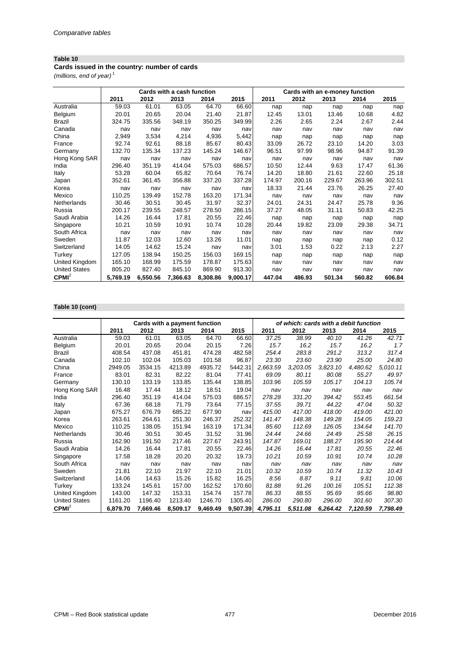#### **Cards issued in the country: number of cards**

*(millions, end of year)* <sup>1</sup>

|                      |          |          | Cards with a cash function |          |          |        |        | Cards with an e-money function |        |        |
|----------------------|----------|----------|----------------------------|----------|----------|--------|--------|--------------------------------|--------|--------|
|                      | 2011     | 2012     | 2013                       | 2014     | 2015     | 2011   | 2012   | 2013                           | 2014   | 2015   |
| Australia            | 59.03    | 61.01    | 63.05                      | 64.70    | 66.60    | nap    | nap    | nap                            | nap    | nap    |
| Belgium              | 20.01    | 20.65    | 20.04                      | 21.40    | 21.87    | 12.45  | 13.01  | 13.46                          | 10.68  | 4.82   |
| <b>Brazil</b>        | 324.75   | 335.56   | 348.19                     | 350.25   | 349.99   | 2.26   | 2.65   | 2.24                           | 2.67   | 2.44   |
| Canada               | nav      | nav      | nav                        | nav      | nav      | nav    | nav    | nav                            | nav    | nav    |
| China                | 2,949    | 3,534    | 4,214                      | 4,936    | 5,442    | nap    | nap    | nap                            | nap    | nap    |
| France               | 92.74    | 92.61    | 88.18                      | 85.67    | 80.43    | 33.09  | 26.72  | 23.10                          | 14.20  | 3.03   |
| Germany              | 132.70   | 135.34   | 137.23                     | 145.24   | 146.67   | 96.51  | 97.99  | 98.96                          | 94.87  | 91.39  |
| Hong Kong SAR        | nav      | nav      | nav                        | nav      | nav      | nav    | nav    | nav                            | nav    | nav    |
| India                | 296.40   | 351.19   | 414.04                     | 575.03   | 686.57   | 10.50  | 12.44  | 9.63                           | 17.47  | 61.36  |
| Italy                | 53.28    | 60.04    | 65.82                      | 70.64    | 76.74    | 14.20  | 18.80  | 21.61                          | 22.60  | 25.18  |
| Japan                | 352.61   | 361.45   | 356.88                     | 337.20   | 337.28   | 174.97 | 200.16 | 229.67                         | 263.96 | 302.51 |
| Korea                | nav      | nav      | nav                        | nav      | nav      | 18.33  | 21.44  | 23.76                          | 26.25  | 27.40  |
| Mexico               | 110.25   | 139.49   | 152.78                     | 163.20   | 171.34   | nav    | nav    | nav                            | nav    | nav    |
| Netherlands          | 30.46    | 30.51    | 30.45                      | 31.97    | 32.37    | 24.01  | 24.31  | 24.47                          | 25.78  | 9.36   |
| Russia               | 200.17   | 239.55   | 248.57                     | 278.50   | 286.15   | 37.27  | 48.05  | 31.11                          | 50.83  | 42.25  |
| Saudi Arabia         | 14.26    | 16.44    | 17.81                      | 20.55    | 22.46    | nap    | nap    | nap                            | nap    | nap    |
| Singapore            | 10.21    | 10.59    | 10.91                      | 10.74    | 10.28    | 20.44  | 19.82  | 23.09                          | 29.38  | 34.71  |
| South Africa         | nav      | nav      | nav                        | nav      | nav      | nav    | nav    | nav                            | nav    | nav    |
| Sweden               | 11.87    | 12.03    | 12.60                      | 13.26    | 11.01    | nap    | nap    | nap                            | nap    | 0.12   |
| Switzerland          | 14.05    | 14.62    | 15.24                      | nav      | nav      | 3.01   | 1.53   | 0.22                           | 2.13   | 2.27   |
| Turkey               | 127.05   | 138.94   | 150.25                     | 156.03   | 169.15   | nap    | nap    | nap                            | nap    | nap    |
| United Kingdom       | 165.10   | 168.99   | 175.59                     | 178.87   | 175.63   | nav    | nav    | nav                            | nav    | nav    |
| <b>United States</b> | 805.20   | 827.40   | 845.10                     | 869.90   | 913.30   | nav    | nav    | nav                            | nav    | nav    |
| CPMI <sup>2</sup>    | 5,769.19 | 6,550.56 | 7,366.63                   | 8,308.86 | 9,000.17 | 447.04 | 486.93 | 501.34                         | 560.82 | 606.84 |

#### **Table 10 (cont)**

|                      |          | Cards with a payment function |          |          |          | of which: cards with a debit function |          |          |          |          |
|----------------------|----------|-------------------------------|----------|----------|----------|---------------------------------------|----------|----------|----------|----------|
|                      | 2011     | 2012                          | 2013     | 2014     | 2015     | 2011                                  | 2012     | 2013     | 2014     | 2015     |
| Australia            | 59.03    | 61.01                         | 63.05    | 64.70    | 66.60    | 37.25                                 | 38.99    | 40.10    | 41.26    | 42.71    |
| Belgium              | 20.01    | 20.65                         | 20.04    | 20.15    | 7.26     | 15.7                                  | 16.2     | 15.7     | 16.2     | 1.7      |
| <b>Brazil</b>        | 408.54   | 437.08                        | 451.81   | 474.28   | 482.58   | 254.4                                 | 283.8    | 291.2    | 313.2    | 317.4    |
| Canada               | 102.10   | 102.04                        | 105.03   | 101.58   | 96.87    | 23.30                                 | 23.60    | 23.90    | 25.00    | 24.80    |
| China                | 2949.05  | 3534.15                       | 4213.89  | 4935.72  | 5442.31  | 2,663.59                              | 3,203.05 | 3,823.10 | 4,480.62 | 5,010.11 |
| France               | 83.01    | 82.31                         | 82.22    | 81.04    | 77.41    | 69.09                                 | 80.11    | 80.08    | 55.27    | 49.97    |
| Germany              | 130.10   | 133.19                        | 133.85   | 135.44   | 138.85   | 103.96                                | 105.59   | 105.17   | 104.13   | 105.74   |
| Hong Kong SAR        | 16.48    | 17.44                         | 18.12    | 18.51    | 19.04    | nav                                   | nav      | nav      | nav      | nav      |
| India                | 296.40   | 351.19                        | 414.04   | 575.03   | 686.57   | 278.28                                | 331.20   | 394.42   | 553.45   | 661.54   |
| Italy                | 67.36    | 68.18                         | 71.79    | 73.64    | 77.15    | 37.55                                 | 39.71    | 44.22    | 47.04    | 50.32    |
| Japan                | 675.27   | 676.79                        | 685.22   | 677.90   | nav      | 415.00                                | 417.00   | 418.00   | 419.00   | 421.00   |
| Korea                | 263.61   | 264.61                        | 251.30   | 246.37   | 252.32   | 141.47                                | 148.38   | 149.28   | 154.05   | 159.23   |
| Mexico               | 110.25   | 138.05                        | 151.94   | 163.19   | 171.34   | 85.60                                 | 112.69   | 126.05   | 134.64   | 141.70   |
| Netherlands          | 30.46    | 30.51                         | 30.45    | 31.52    | 31.96    | 24.44                                 | 24.66    | 24.49    | 25.58    | 26.15    |
| Russia               | 162.90   | 191.50                        | 217.46   | 227.67   | 243.91   | 147.87                                | 169.01   | 188.27   | 195.90   | 214.44   |
| Saudi Arabia         | 14.26    | 16.44                         | 17.81    | 20.55    | 22.46    | 14.26                                 | 16.44    | 17.81    | 20.55    | 22.46    |
| Singapore            | 17.58    | 18.28                         | 20.20    | 20.32    | 19.73    | 10.21                                 | 10.59    | 10.91    | 10.74    | 10.28    |
| South Africa         | nav      | nav                           | nav      | nav      | nav      | nav                                   | nav      | nav      | nav      | nav      |
| Sweden               | 21.81    | 22.10                         | 21.97    | 22.10    | 21.01    | 10.32                                 | 10.59    | 10.74    | 11.32    | 10.43    |
| Switzerland          | 14.06    | 14.63                         | 15.26    | 15.82    | 16.25    | 8.56                                  | 8.87     | 9.11     | 9.81     | 10.06    |
| Turkey               | 133.24   | 145.61                        | 157.00   | 162.52   | 170.60   | 81.88                                 | 91.26    | 100.16   | 105.51   | 112.38   |
| United Kingdom       | 143.00   | 147.32                        | 153.31   | 154.74   | 157.78   | 86.33                                 | 88.55    | 95.69    | 95.66    | 98.80    |
| <b>United States</b> | 1161.20  | 1196.40                       | 1213.40  | 1246.70  | 1305.40  | 286.00                                | 290.80   | 296.00   | 301.60   | 307.30   |
| CPMI <sup>2</sup>    | 6,879.70 | 7,669.46                      | 8,509.17 | 9,469.49 | 9,507.39 | 4,795.11                              | 5,511.08 | 6,264.42 | 7,120.59 | 7,798.49 |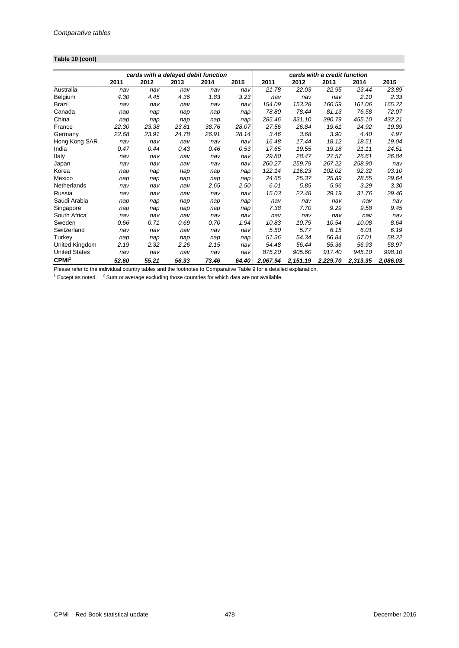## **Table 10 (cont)**

|                      |       | cards with a delayed debit function |       |       |       |          |          | cards with a credit function |          |          |
|----------------------|-------|-------------------------------------|-------|-------|-------|----------|----------|------------------------------|----------|----------|
|                      | 2011  | 2012                                | 2013  | 2014  | 2015  | 2011     | 2012     | 2013                         | 2014     | 2015     |
| Australia            | nav   | nav                                 | nav   | nav   | nav   | 21.78    | 22.03    | 22.95                        | 23.44    | 23.89    |
| Belgium              | 4.30  | 4.45                                | 4.36  | 1.83  | 3.23  | nav      | nav      | nav                          | 2.10     | 2.33     |
| <b>Brazil</b>        | nav   | nav                                 | nav   | nav   | nav   | 154.09   | 153.28   | 160.59                       | 161.06   | 165.22   |
| Canada               | nap   | nap                                 | nap   | nap   | nap   | 78.80    | 78.44    | 81.13                        | 76.58    | 72.07    |
| China                | nap   | nap                                 | nap   | nap   | nap   | 285.46   | 331.10   | 390.79                       | 455.10   | 432.21   |
| France               | 22.30 | 23.38                               | 23.81 | 38.76 | 28.07 | 27.56    | 26.84    | 19.61                        | 24.92    | 19.89    |
| Germany              | 22.68 | 23.91                               | 24.78 | 26.91 | 28.14 | 3.46     | 3.68     | 3.90                         | 4.40     | 4.97     |
| Hong Kong SAR        | nav   | nav                                 | nav   | nav   | nav   | 16.48    | 17.44    | 18.12                        | 18.51    | 19.04    |
| India                | 0.47  | 0.44                                | 0.43  | 0.46  | 0.53  | 17.65    | 19.55    | 19.18                        | 21.11    | 24.51    |
| Italy                | nav   | nav                                 | nav   | nav   | nav   | 29.80    | 28.47    | 27.57                        | 26.61    | 26.84    |
| Japan                | nav   | nav                                 | nav   | nav   | nav   | 260.27   | 259.79   | 267.22                       | 258.90   | nav      |
| Korea                | nap   | nap                                 | nap   | nap   | nap   | 122.14   | 116.23   | 102.02                       | 92.32    | 93.10    |
| Mexico               | nap   | nap                                 | nap   | nap   | nap   | 24.65    | 25.37    | 25.89                        | 28.55    | 29.64    |
| Netherlands          | nav   | nav                                 | nav   | 2.65  | 2.50  | 6.01     | 5.85     | 5.96                         | 3.29     | 3.30     |
| Russia               | nav   | nav                                 | nav   | nav   | nav   | 15.03    | 22.48    | 29.19                        | 31.76    | 29.46    |
| Saudi Arabia         | nap   | nap                                 | nap   | nap   | nap   | nav      | nav      | nav                          | nav      | nav      |
| Singapore            | nap   | nap                                 | nap   | nap   | nap   | 7.38     | 7.70     | 9.29                         | 9.58     | 9.45     |
| South Africa         | nav   | nav                                 | nav   | nav   | nav   | nav      | nav      | nav                          | nav      | nav      |
| Sweden               | 0.66  | 0.71                                | 0.69  | 0.70  | 1.94  | 10.83    | 10.79    | 10.54                        | 10.08    | 8.64     |
| Switzerland          | nav   | nav                                 | nav   | nav   | nav   | 5.50     | 5.77     | 6.15                         | 6.01     | 6.19     |
| Turkey               | nap   | nap                                 | nap   | nap   | nap   | 51.36    | 54.34    | 56.84                        | 57.01    | 58.22    |
| United Kingdom       | 2.19  | 2.32                                | 2.26  | 2.15  | nav   | 54.48    | 56.44    | 55.36                        | 56.93    | 58.97    |
| <b>United States</b> | nav   | nav                                 | nav   | nav   | nav   | 875.20   | 905.60   | 917.40                       | 945.10   | 998.10   |
| CPMI <sup>2</sup>    | 52.60 | 55.21                               | 56.33 | 73.46 | 64.40 | 2,067.94 | 2,151.19 | 2,229.70                     | 2,313.35 | 2,086.03 |

Please refer to the individual country tables and the footnotes to Comparative Table 9 for a detailed explanation.<br><sup>1</sup> Except as noted. <sup>2</sup> Sum or average excluding those countries for which data are not available.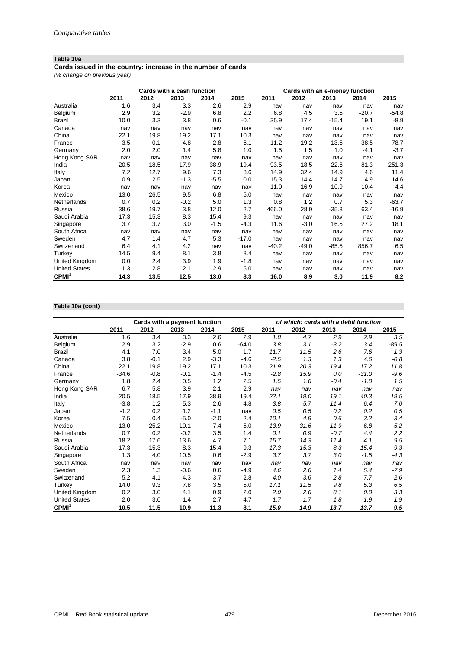## **Table 10a**

**Cards issued in the country: increase in the number of cards**

*(% change on previous year)*

|                      | Cards with a cash function |        |        |        |         | Cards with an e-money function |         |         |         |         |
|----------------------|----------------------------|--------|--------|--------|---------|--------------------------------|---------|---------|---------|---------|
|                      | 2011                       | 2012   | 2013   | 2014   | 2015    | 2011                           | 2012    | 2013    | 2014    | 2015    |
| Australia            | 1.6                        | 3.4    | 3.3    | 2.6    | 2.9     | nav                            | nav     | nav     | nav     | nav     |
| Belgium              | 2.9                        | 3.2    | $-2.9$ | 6.8    | 2.2     | 6.8                            | 4.5     | 3.5     | $-20.7$ | $-54.8$ |
| Brazil               | 10.0                       | 3.3    | 3.8    | 0.6    | $-0.1$  | 35.9                           | 17.4    | $-15.4$ | 19.1    | $-8.9$  |
| Canada               | nav                        | nav    | nav    | nav    | nav     | nav                            | nav     | nav     | nav     | nav     |
| China                | 22.1                       | 19.8   | 19.2   | 17.1   | 10.3    | nav                            | nav     | nav     | nav     | nav     |
| France               | $-3.5$                     | $-0.1$ | $-4.8$ | $-2.8$ | $-6.1$  | $-11.2$                        | $-19.2$ | $-13.5$ | $-38.5$ | $-78.7$ |
| Germany              | 2.0                        | 2.0    | 1.4    | 5.8    | 1.0     | 1.5                            | 1.5     | 1.0     | $-4.1$  | $-3.7$  |
| Hong Kong SAR        | nav                        | nav    | nav    | nav    | nav     | nav                            | nav     | nav     | nav     | nav     |
| India                | 20.5                       | 18.5   | 17.9   | 38.9   | 19.4    | 93.5                           | 18.5    | $-22.6$ | 81.3    | 251.3   |
| Italy                | 7.2                        | 12.7   | 9.6    | 7.3    | 8.6     | 14.9                           | 32.4    | 14.9    | 4.6     | 11.4    |
| Japan                | 0.9                        | 2.5    | $-1.3$ | $-5.5$ | 0.0     | 15.3                           | 14.4    | 14.7    | 14.9    | 14.6    |
| Korea                | nav                        | nav    | nav    | nav    | nav     | 11.0                           | 16.9    | 10.9    | 10.4    | 4.4     |
| Mexico               | 13.0                       | 26.5   | 9.5    | 6.8    | 5.0     | nav                            | nav     | nav     | nav     | nav     |
| <b>Netherlands</b>   | 0.7                        | 0.2    | $-0.2$ | 5.0    | 1.3     | 0.8                            | 1.2     | 0.7     | 5.3     | $-63.7$ |
| Russia               | 38.6                       | 19.7   | 3.8    | 12.0   | 2.7     | 466.0                          | 28.9    | $-35.3$ | 63.4    | $-16.9$ |
| Saudi Arabia         | 17.3                       | 15.3   | 8.3    | 15.4   | 9.3     | nav                            | nav     | nav     | nav     | nav     |
| Singapore            | 3.7                        | 3.7    | 3.0    | $-1.5$ | $-4.3$  | 11.6                           | $-3.0$  | 16.5    | 27.2    | 18.1    |
| South Africa         | nav                        | nav    | nav    | nav    | nav     | nav                            | nav     | nav     | nav     | nav     |
| Sweden               | 4.7                        | 1.4    | 4.7    | 5.3    | $-17.0$ | nav                            | nav     | nav     | nav     | nav     |
| Switzerland          | 6.4                        | 4.1    | 4.2    | nav    | nav     | $-40.2$                        | $-49.0$ | $-85.5$ | 856.7   | 6.5     |
| Turkey               | 14.5                       | 9.4    | 8.1    | 3.8    | 8.4     | nav                            | nav     | nav     | nav     | nav     |
| United Kingdom       | 0.0                        | 2.4    | 3.9    | 1.9    | $-1.8$  | nav                            | nav     | nav     | nav     | nav     |
| <b>United States</b> | 1.3                        | 2.8    | 2.1    | 2.9    | 5.0     | nav                            | nav     | nav     | nav     | nav     |
| CPMI <sup>1</sup>    | 14.3                       | 13.5   | 12.5   | 13.0   | 8.3     | 16.0                           | 8.9     | 3.0     | 11.9    | 8.2     |

## **Table 10a (cont)**

|                      | Cards with a payment function |        |        |        |         | of which: cards with a debit function |      |        |         |         |
|----------------------|-------------------------------|--------|--------|--------|---------|---------------------------------------|------|--------|---------|---------|
|                      | 2011                          | 2012   | 2013   | 2014   | 2015    | 2011                                  | 2012 | 2013   | 2014    | 2015    |
| Australia            | 1.6                           | 3.4    | 3.3    | 2.6    | 2.9     | 1.8                                   | 4.7  | 2.9    | 2.9     | 3.5     |
| Belgium              | 2.9                           | 3.2    | $-2.9$ | 0.6    | $-64.0$ | 3.8                                   | 3.1  | $-3.2$ | 3.4     | $-89.5$ |
| <b>Brazil</b>        | 4.1                           | 7.0    | 3.4    | 5.0    | 1.7     | 11.7                                  | 11.5 | 2.6    | 7.6     | 1.3     |
| Canada               | 3.8                           | $-0.1$ | 2.9    | $-3.3$ | $-4.6$  | $-2.5$                                | 1.3  | 1.3    | 4.6     | $-0.8$  |
| China                | 22.1                          | 19.8   | 19.2   | 17.1   | 10.3    | 21.9                                  | 20.3 | 19.4   | 17.2    | 11.8    |
| France               | $-34.6$                       | $-0.8$ | $-0.1$ | $-1.4$ | $-4.5$  | $-2.8$                                | 15.9 | 0.0    | $-31.0$ | $-9.6$  |
| Germany              | 1.8                           | 2.4    | 0.5    | 1.2    | 2.5     | 1.5                                   | 1.6  | $-0.4$ | $-1.0$  | 1.5     |
| Hong Kong SAR        | 6.7                           | 5.8    | 3.9    | 2.1    | 2.9     | nav                                   | nav  | nav    | nav     | nav     |
| India                | 20.5                          | 18.5   | 17.9   | 38.9   | 19.4    | 22.1                                  | 19.0 | 19.1   | 40.3    | 19.5    |
| Italy                | $-3.8$                        | 1.2    | 5.3    | 2.6    | 4.8     | 3.8                                   | 5.7  | 11.4   | 6.4     | 7.0     |
| Japan                | $-1.2$                        | 0.2    | 1.2    | $-1.1$ | nav     | 0.5                                   | 0.5  | 0.2    | 0.2     | 0.5     |
| Korea                | 7.5                           | 0.4    | $-5.0$ | $-2.0$ | 2.4     | 10.1                                  | 4.9  | 0.6    | $3.2\,$ | 3.4     |
| Mexico               | 13.0                          | 25.2   | 10.1   | 7.4    | 5.0     | 13.9                                  | 31.6 | 11.9   | 6.8     | 5.2     |
| Netherlands          | 0.7                           | 0.2    | $-0.2$ | 3.5    | 1.4     | 0.1                                   | 0.9  | $-0.7$ | 4.4     | 2.2     |
| Russia               | 18.2                          | 17.6   | 13.6   | 4.7    | 7.1     | 15.7                                  | 14.3 | 11.4   | 4.1     | 9.5     |
| Saudi Arabia         | 17.3                          | 15.3   | 8.3    | 15.4   | 9.3     | 17.3                                  | 15.3 | 8.3    | 15.4    | 9.3     |
| Singapore            | 1.3                           | 4.0    | 10.5   | 0.6    | $-2.9$  | 3.7                                   | 3.7  | 3.0    | $-1.5$  | $-4.3$  |
| South Africa         | nav                           | nav    | nav    | nav    | nav     | nav                                   | nav  | nav    | nav     | nav     |
| Sweden               | 2.3                           | 1.3    | $-0.6$ | 0.6    | $-4.9$  | 4.6                                   | 2.6  | 1.4    | 5.4     | $-7.9$  |
| Switzerland          | 5.2                           | 4.1    | 4.3    | 3.7    | 2.8     | 4.0                                   | 3.6  | 2.8    | 7.7     | 2.6     |
| Turkey               | 14.0                          | 9.3    | 7.8    | 3.5    | 5.0     | 17.1                                  | 11.5 | 9.8    | 5.3     | 6.5     |
| United Kingdom       | 0.2                           | 3.0    | 4.1    | 0.9    | 2.0     | 2.0                                   | 2.6  | 8.1    | 0.0     | 3.3     |
| <b>United States</b> | 2.0                           | 3.0    | 1.4    | 2.7    | 4.7     | 1.7                                   | 1.7  | 1.8    | 1.9     | 1.9     |
| CPMI <sup>1</sup>    | 10.5                          | 11.5   | 10.9   | 11.3   | 8.1     | 15.0                                  | 14.9 | 13.7   | 13.7    | 9.5     |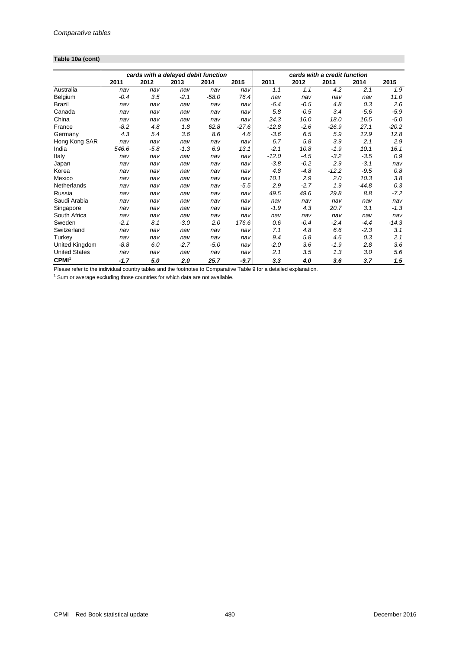## **Table 10a (cont)**

|                      | cards with a delayed debit function |        |        |         |         | cards with a credit function |        |         |         |         |
|----------------------|-------------------------------------|--------|--------|---------|---------|------------------------------|--------|---------|---------|---------|
|                      | 2011                                | 2012   | 2013   | 2014    | 2015    | 2011                         | 2012   | 2013    | 2014    | 2015    |
| Australia            | nav                                 | nav    | nav    | nav     | nav     | 1.1                          | 1.1    | 4.2     | 2.1     | 1.9     |
| Belgium              | $-0.4$                              | 3.5    | $-2.1$ | $-58.0$ | 76.4    | nav                          | nav    | nav     | nav     | 11.0    |
| <b>Brazil</b>        | nav                                 | nav    | nav    | nav     | nav     | $-6.4$                       | $-0.5$ | 4.8     | 0.3     | 2.6     |
| Canada               | nav                                 | nav    | nav    | nav     | nav     | 5.8                          | $-0.5$ | 3.4     | $-5.6$  | $-5.9$  |
| China                | nav                                 | nav    | nav    | nav     | nav     | 24.3                         | 16.0   | 18.0    | 16.5    | $-5.0$  |
| France               | $-8.2$                              | 4.8    | 1.8    | 62.8    | $-27.6$ | $-12.8$                      | $-2.6$ | $-26.9$ | 27.1    | $-20.2$ |
| Germany              | 4.3                                 | 5.4    | 3.6    | 8.6     | 4.6     | $-3.6$                       | 6.5    | 5.9     | 12.9    | 12.8    |
| Hong Kong SAR        | nav                                 | nav    | nav    | nav     | nav     | 6.7                          | 5.8    | 3.9     | 2.1     | 2.9     |
| India                | 546.6                               | $-5.8$ | $-1.3$ | 6.9     | 13.1    | $-2.1$                       | 10.8   | $-1.9$  | 10.1    | 16.1    |
| Italy                | nav                                 | nav    | nav    | nav     | nav     | $-12.0$                      | $-4.5$ | $-3.2$  | $-3.5$  | 0.9     |
| Japan                | nav                                 | nav    | nav    | nav     | nav     | $-3.8$                       | $-0.2$ | 2.9     | $-3.1$  | nav     |
| Korea                | nav                                 | nav    | nav    | nav     | nav     | 4.8                          | $-4.8$ | $-12.2$ | $-9.5$  | 0.8     |
| Mexico               | nav                                 | nav    | nav    | nav     | nav     | 10.1                         | 2.9    | 2.0     | 10.3    | 3.8     |
| Netherlands          | nav                                 | nav    | nav    | nav     | $-5.5$  | 2.9                          | $-2.7$ | 1.9     | $-44.8$ | 0.3     |
| Russia               | nav                                 | nav    | nav    | nav     | nav     | 49.5                         | 49.6   | 29.8    | 8.8     | $-7.2$  |
| Saudi Arabia         | nav                                 | nav    | nav    | nav     | nav     | nav                          | nav    | nav     | nav     | nav     |
| Singapore            | nav                                 | nav    | nav    | nav     | nav     | $-1.9$                       | 4.3    | 20.7    | 3.1     | $-1.3$  |
| South Africa         | nav                                 | nav    | nav    | nav     | nav     | nav                          | nav    | nav     | nav     | nav     |
| Sweden               | $-2.1$                              | 8.1    | $-3.0$ | 2.0     | 176.6   | 0.6                          | $-0.4$ | $-2.4$  | $-4.4$  | $-14.3$ |
| Switzerland          | nav                                 | nav    | nav    | nav     | nav     | 7.1                          | 4.8    | 6.6     | $-2.3$  | 3.1     |
| Turkey               | nav                                 | nav    | nav    | nav     | nav     | 9.4                          | 5.8    | 4.6     | 0.3     | 2.1     |
| United Kingdom       | $-8.8$                              | 6.0    | $-2.7$ | $-5.0$  | nav     | $-2.0$                       | 3.6    | $-1.9$  | 2.8     | 3.6     |
| <b>United States</b> | nav                                 | nav    | nav    | nav     | nav     | 2.1                          | 3.5    | 1.3     | 3.0     | 5.6     |
| CPMI <sup>1</sup>    | $-1.7$                              | 5.0    | 2.0    | 25.7    | $-9.7$  | 3.3                          | 4.0    | 3.6     | 3.7     | 1.5     |

Please refer to the individual country tables and the footnotes to Comparative Table 9 for a detailed explanation.<br><sup>1</sup> Sum or average excluding those countries for which data are not available.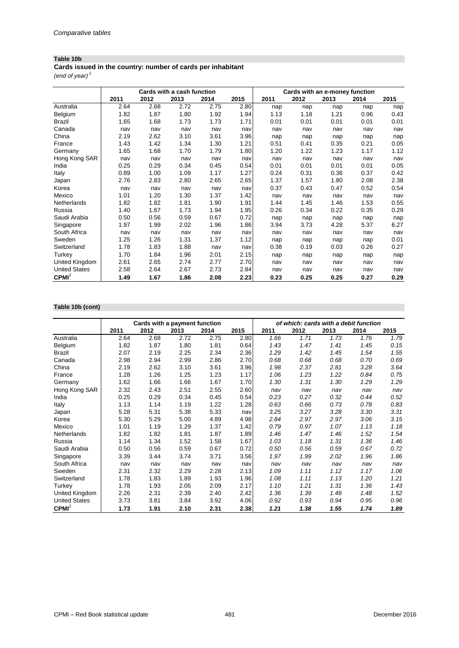## **Table 10b**

**Cards issued in the country: number of cards per inhabitant**

*(end of year)* <sup>1</sup>

|                      |      |      | Cards with a cash function |      |      | Cards with an e-money function |      |      |      |      |  |
|----------------------|------|------|----------------------------|------|------|--------------------------------|------|------|------|------|--|
|                      | 2011 | 2012 | 2013                       | 2014 | 2015 | 2011                           | 2012 | 2013 | 2014 | 2015 |  |
| Australia            | 2.64 | 2.68 | 2.72                       | 2.75 | 2.80 | nap                            | nap  | nap  | nap  | nap  |  |
| Belgium              | 1.82 | 1.87 | 1.80                       | 1.92 | 1.94 | 1.13                           | 1.18 | 1.21 | 0.96 | 0.43 |  |
| <b>Brazil</b>        | 1.65 | 1.68 | 1.73                       | 1.73 | 1.71 | 0.01                           | 0.01 | 0.01 | 0.01 | 0.01 |  |
| Canada               | nav  | nav  | nav                        | nav  | nav  | nav                            | nav  | nav  | nav  | nav  |  |
| China                | 2.19 | 2.62 | 3.10                       | 3.61 | 3.96 | nap                            | nap  | nap  | nap  | nap  |  |
| France               | 1.43 | 1.42 | 1.34                       | 1.30 | 1.21 | 0.51                           | 0.41 | 0.35 | 0.21 | 0.05 |  |
| Germany              | 1.65 | 1.68 | 1.70                       | 1.79 | 1.80 | 1.20                           | 1.22 | 1.23 | 1.17 | 1.12 |  |
| Hong Kong SAR        | nav  | nav  | nav                        | nav  | nav  | nav                            | nav  | nav  | nav  | nav  |  |
| India                | 0.25 | 0.29 | 0.34                       | 0.45 | 0.54 | 0.01                           | 0.01 | 0.01 | 0.01 | 0.05 |  |
| Italy                | 0.89 | 1.00 | 1.09                       | 1.17 | 1.27 | 0.24                           | 0.31 | 0.36 | 0.37 | 0.42 |  |
| Japan                | 2.76 | 2.83 | 2.80                       | 2.65 | 2.65 | 1.37                           | 1.57 | 1.80 | 2.08 | 2.38 |  |
| Korea                | nav  | nav  | nav                        | nav  | nav  | 0.37                           | 0.43 | 0.47 | 0.52 | 0.54 |  |
| Mexico               | 1.01 | 1.20 | 1.30                       | 1.37 | 1.42 | nav                            | nav  | nav  | nav  | nav  |  |
| Netherlands          | 1.82 | 1.82 | 1.81                       | 1.90 | 1.91 | 1.44                           | 1.45 | 1.46 | 1.53 | 0.55 |  |
| Russia               | 1.40 | 1.67 | 1.73                       | 1.94 | 1.95 | 0.26                           | 0.34 | 0.22 | 0.35 | 0.29 |  |
| Saudi Arabia         | 0.50 | 0.56 | 0.59                       | 0.67 | 0.72 | nap                            | nap  | nap  | nap  | nap  |  |
| Singapore            | 1.97 | 1.99 | 2.02                       | 1.96 | 1.86 | 3.94                           | 3.73 | 4.28 | 5.37 | 6.27 |  |
| South Africa         | nav  | nav  | nav                        | nav  | nav  | nav                            | nav  | nav  | nav  | nav  |  |
| Sweden               | 1.25 | 1.26 | 1.31                       | 1.37 | 1.12 | nap                            | nap  | nap  | nap  | 0.01 |  |
| Switzerland          | 1.78 | 1.83 | 1.88                       | nav  | nav  | 0.38                           | 0.19 | 0.03 | 0.26 | 0.27 |  |
| Turkey               | 1.70 | 1.84 | 1.96                       | 2.01 | 2.15 | nap                            | nap  | nap  | nap  | nap  |  |
| United Kingdom       | 2.61 | 2.65 | 2.74                       | 2.77 | 2.70 | nav                            | nav  | nav  | nav  | nav  |  |
| <b>United States</b> | 2.58 | 2.64 | 2.67                       | 2.73 | 2.84 | nav                            | nav  | nav  | nav  | nav  |  |
| CPMI <sup>2</sup>    | 1.49 | 1.67 | 1.86                       | 2.08 | 2.23 | 0.23                           | 0.25 | 0.25 | 0.27 | 0.29 |  |

### **Table 10b (cont)**

|                      |      | Cards with a payment function |      |      |      |      |      |      | of which: cards with a debit function |      |
|----------------------|------|-------------------------------|------|------|------|------|------|------|---------------------------------------|------|
|                      | 2011 | 2012                          | 2013 | 2014 | 2015 | 2011 | 2012 | 2013 | 2014                                  | 2015 |
| Australia            | 2.64 | 2.68                          | 2.72 | 2.75 | 2.80 | 1.66 | 1.71 | 1.73 | 1.76                                  | 1.79 |
| Belgium              | 1.82 | 1.87                          | 1.80 | 1.81 | 0.64 | 1.43 | 1.47 | 1.41 | 1.45                                  | 0.15 |
| Brazil               | 2.07 | 2.19                          | 2.25 | 2.34 | 2.36 | 1.29 | 1.42 | 1.45 | 1.54                                  | 1.55 |
| Canada               | 2.98 | 2.94                          | 2.99 | 2.86 | 2.70 | 0.68 | 0.68 | 0.68 | 0.70                                  | 0.69 |
| China                | 2.19 | 2.62                          | 3.10 | 3.61 | 3.96 | 1.98 | 2.37 | 2.81 | 3.28                                  | 3.64 |
| France               | 1.28 | 1.26                          | 1.25 | 1.23 | 1.17 | 1.06 | 1.23 | 1.22 | 0.84                                  | 0.75 |
| Germany              | 1.62 | 1.66                          | 1.66 | 1.67 | 1.70 | 1.30 | 1.31 | 1.30 | 1.29                                  | 1.29 |
| Hong Kong SAR        | 2.32 | 2.43                          | 2.51 | 2.55 | 2.60 | nav  | nav  | nav  | nav                                   | nav  |
| India                | 0.25 | 0.29                          | 0.34 | 0.45 | 0.54 | 0.23 | 0.27 | 0.32 | 0.44                                  | 0.52 |
| Italy                | 1.13 | 1.14                          | 1.19 | 1.22 | 1.28 | 0.63 | 0.66 | 0.73 | 0.78                                  | 0.83 |
| Japan                | 5.28 | 5.31                          | 5.38 | 5.33 | nav  | 3.25 | 3.27 | 3.28 | 3.30                                  | 3.31 |
| Korea                | 5.30 | 5.29                          | 5.00 | 4.89 | 4.98 | 2.84 | 2.97 | 2.97 | 3.06                                  | 3.15 |
| Mexico               | 1.01 | 1.19                          | 1.29 | 1.37 | 1.42 | 0.79 | 0.97 | 1.07 | 1.13                                  | 1.18 |
| <b>Netherlands</b>   | 1.82 | 1.82                          | 1.81 | 1.87 | 1.89 | 1.46 | 1.47 | 1.46 | 1.52                                  | 1.54 |
| Russia               | 1.14 | 1.34                          | 1.52 | 1.58 | 1.67 | 1.03 | 1.18 | 1.31 | 1.36                                  | 1.46 |
| Saudi Arabia         | 0.50 | 0.56                          | 0.59 | 0.67 | 0.72 | 0.50 | 0.56 | 0.59 | 0.67                                  | 0.72 |
| Singapore            | 3.39 | 3.44                          | 3.74 | 3.71 | 3.56 | 1.97 | 1.99 | 2.02 | 1.96                                  | 1.86 |
| South Africa         | nav  | nav                           | nav  | nav  | nav  | nav  | nav  | nav  | nav                                   | nav  |
| Sweden               | 2.31 | 2.32                          | 2.29 | 2.28 | 2.13 | 1.09 | 1.11 | 1.12 | 1.17                                  | 1.06 |
| Switzerland          | 1.78 | 1.83                          | 1.89 | 1.93 | 1.96 | 1.08 | 1.11 | 1.13 | 1.20                                  | 1.21 |
| Turkey               | 1.78 | 1.93                          | 2.05 | 2.09 | 2.17 | 1.10 | 1.21 | 1.31 | 1.36                                  | 1.43 |
| United Kingdom       | 2.26 | 2.31                          | 2.39 | 2.40 | 2.42 | 1.36 | 1.39 | 1.49 | 1.48                                  | 1.52 |
| <b>United States</b> | 3.73 | 3.81                          | 3.84 | 3.92 | 4.06 | 0.92 | 0.93 | 0.94 | 0.95                                  | 0.96 |
| CPMI <sup>2</sup>    | 1.73 | 1.91                          | 2.10 | 2.31 | 2.38 | 1.21 | 1.38 | 1.55 | 1.74                                  | 1.89 |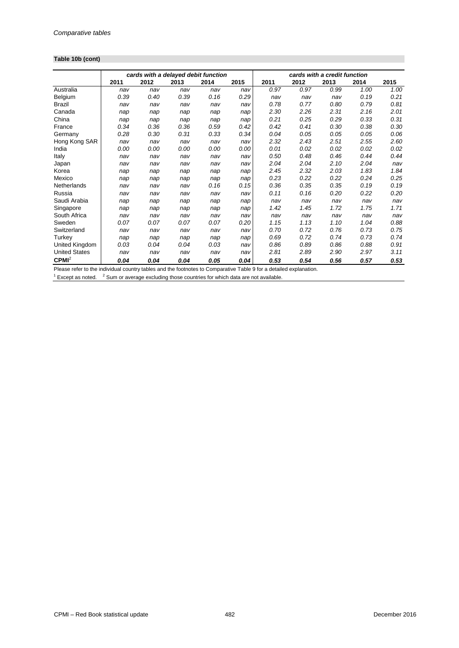## **Table 10b (cont)**

|                      |      | cards with a delayed debit function |      |      |      |      |      | cards with a credit function |      |      |
|----------------------|------|-------------------------------------|------|------|------|------|------|------------------------------|------|------|
|                      | 2011 | 2012                                | 2013 | 2014 | 2015 | 2011 | 2012 | 2013                         | 2014 | 2015 |
| Australia            | nav  | nav                                 | nav  | nav  | nav  | 0.97 | 0.97 | 0.99                         | 1.00 | 1.00 |
| Belgium              | 0.39 | 0.40                                | 0.39 | 0.16 | 0.29 | nav  | nav  | nav                          | 0.19 | 0.21 |
| Brazil               | nav  | nav                                 | nav  | nav  | nav  | 0.78 | 0.77 | 0.80                         | 0.79 | 0.81 |
| Canada               | nap  | nap                                 | nap  | nap  | nap  | 2.30 | 2.26 | 2.31                         | 2.16 | 2.01 |
| China                | nap  | nap                                 | nap  | nap  | nap  | 0.21 | 0.25 | 0.29                         | 0.33 | 0.31 |
| France               | 0.34 | 0.36                                | 0.36 | 0.59 | 0.42 | 0.42 | 0.41 | 0.30                         | 0.38 | 0.30 |
| Germany              | 0.28 | 0.30                                | 0.31 | 0.33 | 0.34 | 0.04 | 0.05 | 0.05                         | 0.05 | 0.06 |
| Hong Kong SAR        | nav  | nav                                 | nav  | nav  | nav  | 2.32 | 2.43 | 2.51                         | 2.55 | 2.60 |
| India                | 0.00 | 0.00                                | 0.00 | 0.00 | 0.00 | 0.01 | 0.02 | 0.02                         | 0.02 | 0.02 |
| Italy                | nav  | nav                                 | nav  | nav  | nav  | 0.50 | 0.48 | 0.46                         | 0.44 | 0.44 |
| Japan                | nav  | nav                                 | nav  | nav  | nav  | 2.04 | 2.04 | 2.10                         | 2.04 | nav  |
| Korea                | nap  | nap                                 | nap  | nap  | nap  | 2.45 | 2.32 | 2.03                         | 1.83 | 1.84 |
| Mexico               | nap  | nap                                 | nap  | nap  | nap  | 0.23 | 0.22 | 0.22                         | 0.24 | 0.25 |
| Netherlands          | nav  | nav                                 | nav  | 0.16 | 0.15 | 0.36 | 0.35 | 0.35                         | 0.19 | 0.19 |
| Russia               | nav  | nav                                 | nav  | nav  | nav  | 0.11 | 0.16 | 0.20                         | 0.22 | 0.20 |
| Saudi Arabia         | nap  | nap                                 | nap  | nap  | nap  | nav  | nav  | nav                          | nav  | nav  |
| Singapore            | nap  | nap                                 | nap  | nap  | nap  | 1.42 | 1.45 | 1.72                         | 1.75 | 1.71 |
| South Africa         | nav  | nav                                 | nav  | nav  | nav  | nav  | nav  | nav                          | nav  | nav  |
| Sweden               | 0.07 | 0.07                                | 0.07 | 0.07 | 0.20 | 1.15 | 1.13 | 1.10                         | 1.04 | 0.88 |
| Switzerland          | nav  | nav                                 | nav  | nav  | nav  | 0.70 | 0.72 | 0.76                         | 0.73 | 0.75 |
| Turkey               | nap  | nap                                 | nap  | nap  | nap  | 0.69 | 0.72 | 0.74                         | 0.73 | 0.74 |
| United Kingdom       | 0.03 | 0.04                                | 0.04 | 0.03 | nav  | 0.86 | 0.89 | 0.86                         | 0.88 | 0.91 |
| <b>United States</b> | nav  | nav                                 | nav  | nav  | nav  | 2.81 | 2.89 | 2.90                         | 2.97 | 3.11 |
| CPMI <sup>2</sup>    | 0.04 | 0.04                                | 0.04 | 0.05 | 0.04 | 0.53 | 0.54 | 0.56                         | 0.57 | 0.53 |

Please refer to the individual country tables and the footnotes to Comparative Table 9 for a detailed explanation.<br><sup>1</sup> Except as noted. <sup>2</sup> Sum or average excluding those countries for which data are not available.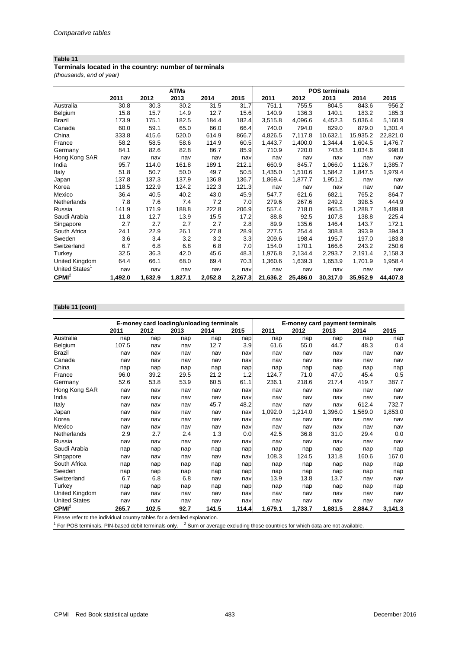### **Table 11**

**Terminals located in the country: number of terminals**

*(thousands, end of year)*

|                            |         |         | <b>ATMs</b> |         |         | <b>POS terminals</b> |          |          |          |          |  |
|----------------------------|---------|---------|-------------|---------|---------|----------------------|----------|----------|----------|----------|--|
|                            | 2011    | 2012    | 2013        | 2014    | 2015    | 2011                 | 2012     | 2013     | 2014     | 2015     |  |
| Australia                  | 30.8    | 30.3    | 30.2        | 31.5    | 31.7    | 751.1                | 755.5    | 804.5    | 843.6    | 956.2    |  |
| Belgium                    | 15.8    | 15.7    | 14.9        | 12.7    | 15.6    | 140.9                | 136.3    | 140.1    | 183.2    | 185.3    |  |
| <b>Brazil</b>              | 173.9   | 175.1   | 182.5       | 184.4   | 182.4   | 3,515.8              | 4,096.6  | 4,452.3  | 5,036.4  | 5,160.9  |  |
| Canada                     | 60.0    | 59.1    | 65.0        | 66.0    | 66.4    | 740.0                | 794.0    | 829.0    | 879.0    | 1,301.4  |  |
| China                      | 333.8   | 415.6   | 520.0       | 614.9   | 866.7   | 4,826.5              | 7,117.8  | 10,632.1 | 15,935.2 | 22,821.0 |  |
| France                     | 58.2    | 58.5    | 58.6        | 114.9   | 60.5    | 1,443.7              | 1,400.0  | 1.344.4  | 1.604.5  | 1,476.7  |  |
| Germany                    | 84.1    | 82.6    | 82.8        | 86.7    | 85.9    | 710.9                | 720.0    | 743.6    | 1,034.6  | 998.8    |  |
| Hong Kong SAR              | nav     | nav     | nav         | nav     | nav     | nav                  | nav      | nav      | nav      | nav      |  |
| India                      | 95.7    | 114.0   | 161.8       | 189.1   | 212.1   | 660.9                | 845.7    | 1,066.0  | 1,126.7  | 1,385.7  |  |
| Italy                      | 51.8    | 50.7    | 50.0        | 49.7    | 50.5    | 1,435.0              | 1,510.6  | 1,584.2  | 1,847.5  | 1,979.4  |  |
| Japan                      | 137.8   | 137.3   | 137.9       | 136.8   | 136.7   | 1,869.4              | 1,877.7  | 1,951.2  | nav      | nav      |  |
| Korea                      | 118.5   | 122.9   | 124.2       | 122.3   | 121.3   | nav                  | nav      | nav      | nav      | nav      |  |
| Mexico                     | 36.4    | 40.5    | 40.2        | 43.0    | 45.9    | 547.7                | 621.6    | 682.1    | 765.2    | 864.7    |  |
| Netherlands                | 7.8     | 7.6     | 7.4         | 7.2     | 7.0     | 279.6                | 267.6    | 249.2    | 398.5    | 444.9    |  |
| Russia                     | 141.9   | 171.9   | 188.8       | 222.8   | 206.9   | 557.4                | 718.0    | 965.5    | 1,288.7  | 1,489.8  |  |
| Saudi Arabia               | 11.8    | 12.7    | 13.9        | 15.5    | 17.2    | 88.8                 | 92.5     | 107.8    | 138.8    | 225.4    |  |
| Singapore                  | 2.7     | 2.7     | 2.7         | 2.7     | 2.8     | 89.9                 | 135.6    | 146.4    | 143.7    | 172.1    |  |
| South Africa               | 24.1    | 22.9    | 26.1        | 27.8    | 28.9    | 277.5                | 254.4    | 308.8    | 393.9    | 394.3    |  |
| Sweden                     | 3.6     | 3.4     | 3.2         | 3.2     | 3.3     | 209.6                | 198.4    | 195.7    | 197.0    | 183.8    |  |
| Switzerland                | 6.7     | 6.8     | 6.8         | 6.8     | 7.0     | 154.0                | 170.1    | 166.6    | 243.2    | 250.6    |  |
| Turkey                     | 32.5    | 36.3    | 42.0        | 45.6    | 48.3    | 1,976.8              | 2,134.4  | 2,293.7  | 2,191.4  | 2,158.3  |  |
| United Kingdom             | 64.4    | 66.1    | 68.0        | 69.4    | 70.3    | 1,360.6              | 1,639.3  | 1,653.9  | 1,701.9  | 1,958.4  |  |
| United States <sup>1</sup> | nav     | nav     | nav         | nav     | nav     | nav                  | nav      | nav      | nav      | nav      |  |
| CPMI <sup>2</sup>          | 1,492.0 | 1,632.9 | 1,827.1     | 2,052.8 | 2,267.3 | 21,636.2             | 25,486.0 | 30,317.0 | 35,952.9 | 44,407.8 |  |

### **Table 11 (cont)**

|                      |       | E-money card loading/unloading terminals |      |       |       |         | E-money card payment terminals |         |         |         |
|----------------------|-------|------------------------------------------|------|-------|-------|---------|--------------------------------|---------|---------|---------|
|                      | 2011  | 2012                                     | 2013 | 2014  | 2015  | 2011    | 2012                           | 2013    | 2014    | 2015    |
| Australia            | nap   | nap                                      | nap  | nap   | nap   | nap     | nap                            | nap     | nap     | nap     |
| Belgium              | 107.5 | nav                                      | nav  | 12.7  | 3.9   | 61.6    | 55.0                           | 44.7    | 48.3    | 0.4     |
| Brazil               | nav   | nav                                      | nav  | nav   | nav   | nav     | nav                            | nav     | nav     | nav     |
| Canada               | nav   | nav                                      | nav  | nav   | nav   | nav     | nav                            | nav     | nav     | nav     |
| China                | nap   | nap                                      | nap  | nap   | nap   | nap     | nap                            | nap     | nap     | nap     |
| France               | 96.0  | 39.2                                     | 29.5 | 21.2  | 1.2   | 124.7   | 71.0                           | 47.0    | 45.4    | 0.5     |
| Germany              | 52.6  | 53.8                                     | 53.9 | 60.5  | 61.1  | 236.1   | 218.6                          | 217.4   | 419.7   | 387.7   |
| Hong Kong SAR        | nav   | nav                                      | nav  | nav   | nav   | nav     | nav                            | nav     | nav     | nav     |
| India                | nav   | nav                                      | nav  | nav   | nav   | nav     | nav                            | nav     | nav     | nav     |
| Italy                | nav   | nav                                      | nav  | 45.7  | 48.2  | nav     | nav                            | nav     | 612.4   | 732.7   |
| Japan                | nav   | nav                                      | nav  | nav   | nav   | 1,092.0 | 1,214.0                        | 1,396.0 | 1,569.0 | 1,853.0 |
| Korea                | nav   | nav                                      | nav  | nav   | nav   | nav     | nav                            | nav     | nav     | nav     |
| Mexico               | nav   | nav                                      | nav  | nav   | nav   | nav     | nav                            | nav     | nav     | nav     |
| Netherlands          | 2.9   | 2.7                                      | 2.4  | 1.3   | 0.0   | 42.5    | 36.8                           | 31.0    | 29.4    | 0.0     |
| Russia               | nav   | nav                                      | nav  | nav   | nav   | nav     | nav                            | nav     | nav     | nav     |
| Saudi Arabia         | nap   | nap                                      | nap  | nap   | nap   | nap     | nap                            | nap     | nap     | nap     |
| Singapore            | nav   | nav                                      | nav  | nav   | nav   | 108.3   | 124.5                          | 131.8   | 160.6   | 167.0   |
| South Africa         | nap   | nap                                      | nap  | nap   | nap   | nap     | nap                            | nap     | nap     | nap     |
| Sweden               | nap   | nap                                      | nap  | nap   | nap   | nap     | nap                            | nap     | nap     | nap     |
| Switzerland          | 6.7   | 6.8                                      | 6.8  | nav   | nav   | 13.9    | 13.8                           | 13.7    | nav     | nav     |
| Turkey               | nap   | nap                                      | nap  | nap   | nap   | nap     | nap                            | nap     | nap     | nap     |
| United Kingdom       | nav   | nav                                      | nav  | nav   | nav   | nav     | nav                            | nav     | nav     | nav     |
| <b>United States</b> | nav   | nav                                      | nav  | nav   | nav   | nav     | nav                            | nav     | nav     | nav     |
| CPMI <sup>2</sup>    | 265.7 | 102.5                                    | 92.7 | 141.5 | 114.4 | 1,679.1 | 1,733.7                        | 1,881.5 | 2,884.7 | 3,141.3 |

Please refer to the individual country tables for a detailed explanation.

<sup>1</sup> For POS terminals, PIN-based debit terminals only. <sup>2</sup> Sum or average excluding those countries for which data are not available.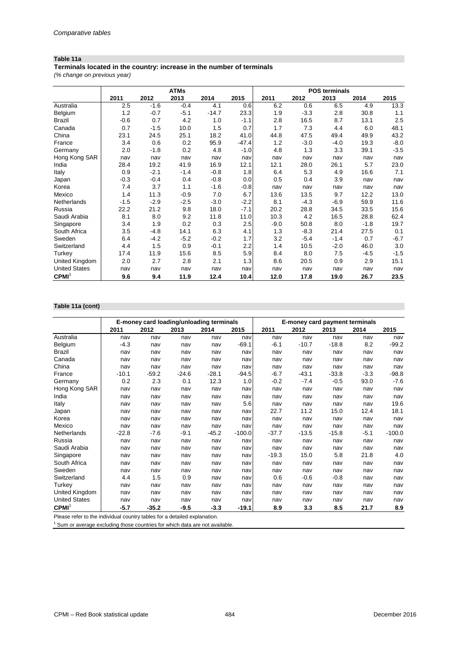### **Table 11a**

**Terminals located in the country: increase in the number of terminals**

*(% change on previous year)*

|                      |        |        | <b>ATMs</b> |         |         | <b>POS terminals</b> |        |        |        |        |
|----------------------|--------|--------|-------------|---------|---------|----------------------|--------|--------|--------|--------|
|                      | 2011   | 2012   | 2013        | 2014    | 2015    | 2011                 | 2012   | 2013   | 2014   | 2015   |
| Australia            | 2.5    | $-1.6$ | $-0.4$      | 4.1     | 0.6     | 6.2                  | 0.6    | 6.5    | 4.9    | 13.3   |
| Belgium              | 1.2    | $-0.7$ | $-5.1$      | $-14.7$ | 23.3    | 1.9                  | $-3.3$ | 2.8    | 30.8   | 1.1    |
| Brazil               | $-0.6$ | 0.7    | 4.2         | 1.0     | $-1.1$  | 2.8                  | 16.5   | 8.7    | 13.1   | 2.5    |
| Canada               | 0.7    | $-1.5$ | 10.0        | 1.5     | 0.7     | 1.7                  | 7.3    | 4.4    | 6.0    | 48.1   |
| China                | 23.1   | 24.5   | 25.1        | 18.2    | 41.0    | 44.8                 | 47.5   | 49.4   | 49.9   | 43.2   |
| France               | 3.4    | 0.6    | 0.2         | 95.9    | $-47.4$ | 1.2                  | $-3.0$ | $-4.0$ | 19.3   | $-8.0$ |
| Germany              | 2.0    | $-1.8$ | 0.2         | 4.8     | $-1.0$  | 4.8                  | 1.3    | 3.3    | 39.1   | $-3.5$ |
| Hong Kong SAR        | nav    | nav    | nav         | nav     | nav     | nav                  | nav    | nav    | nav    | nav    |
| India                | 28.4   | 19.2   | 41.9        | 16.9    | 12.1    | 12.1                 | 28.0   | 26.1   | 5.7    | 23.0   |
| Italy                | 0.9    | $-2.1$ | $-1.4$      | $-0.8$  | 1.8     | 6.4                  | 5.3    | 4.9    | 16.6   | 7.1    |
| Japan                | $-0.3$ | $-0.4$ | 0.4         | $-0.8$  | 0.0     | 0.5                  | 0.4    | 3.9    | nav    | nav    |
| Korea                | 7.4    | 3.7    | 1.1         | $-1.6$  | $-0.8$  | nav                  | nav    | nav    | nav    | nav    |
| Mexico               | 1.4    | 11.3   | $-0.9$      | 7.0     | 6.7     | 13.6                 | 13.5   | 9.7    | 12.2   | 13.0   |
| Netherlands          | $-1.5$ | $-2.9$ | $-2.5$      | $-3.0$  | $-2.2$  | 8.1                  | $-4.3$ | $-6.9$ | 59.9   | 11.6   |
| Russia               | 22.2   | 21.2   | 9.8         | 18.0    | $-7.1$  | 20.2                 | 28.8   | 34.5   | 33.5   | 15.6   |
| Saudi Arabia         | 8.1    | 8.0    | 9.2         | 11.8    | 11.0    | 10.3                 | 4.2    | 16.5   | 28.8   | 62.4   |
| Singapore            | 3.4    | 1.9    | 0.2         | 0.3     | 2.5     | $-9.0$               | 50.8   | 8.0    | $-1.8$ | 19.7   |
| South Africa         | 3.5    | $-4.8$ | 14.1        | 6.3     | 4.1     | 1.3                  | $-8.3$ | 21.4   | 27.5   | 0.1    |
| Sweden               | 6.4    | $-4.2$ | $-5.2$      | $-0.2$  | 1.7     | 3.2                  | $-5.4$ | $-1.4$ | 0.7    | $-6.7$ |
| Switzerland          | 4.4    | 1.5    | 0.9         | $-0.1$  | 2.2     | 1.4                  | 10.5   | $-2.0$ | 46.0   | 3.0    |
| Turkey               | 17.4   | 11.9   | 15.6        | 8.5     | 5.9     | 8.4                  | 8.0    | 7.5    | $-4.5$ | $-1.5$ |
| United Kingdom       | 2.0    | 2.7    | 2.8         | 2.1     | 1.3     | 8.6                  | 20.5   | 0.9    | 2.9    | 15.1   |
| <b>United States</b> | nav    | nav    | nav         | nav     | nav     | nav                  | nav    | nav    | nav    | nav    |
| CPMI <sup>1</sup>    | 9.6    | 9.4    | 11.9        | 12.4    | 10.4    | 12.0                 | 17.8   | 19.0   | 26.7   | 23.5   |

## **Table 11a (cont)**

|                      |         |         |         | E-money card loading/unloading terminals |          | E-money card payment terminals |         |         |        |          |
|----------------------|---------|---------|---------|------------------------------------------|----------|--------------------------------|---------|---------|--------|----------|
|                      | 2011    | 2012    | 2013    | 2014                                     | 2015     | 2011                           | 2012    | 2013    | 2014   | 2015     |
| Australia            | nav     | nav     | nav     | nav                                      | nav      | nav                            | nav     | nav     | nav    | nav      |
| Belgium              | $-4.3$  | nav     | nav     | nav                                      | $-69.1$  | $-6.1$                         | $-10.7$ | $-18.8$ | 8.2    | $-99.2$  |
| Brazil               | nav     | nav     | nav     | nav                                      | nav      | nav                            | nav     | nav     | nav    | nav      |
| Canada               | nav     | nav     | nav     | nav                                      | nav      | nav                            | nav     | nav     | nav    | nav      |
| China                | nav     | nav     | nav     | nav                                      | nav      | nav                            | nav     | nav     | nav    | nav      |
| France               | $-10.1$ | $-59.2$ | $-24.6$ | $-28.1$                                  | $-94.5$  | $-6.7$                         | $-43.1$ | $-33.8$ | $-3.3$ | $-98.8$  |
| Germany              | 0.2     | 2.3     | 0.1     | 12.3                                     | 1.0      | $-0.2$                         | $-7.4$  | $-0.5$  | 93.0   | $-7.6$   |
| Hong Kong SAR        | nav     | nav     | nav     | nav                                      | nav      | nav                            | nav     | nav     | nav    | nav      |
| India                | nav     | nav     | nav     | nav                                      | nav      | nav                            | nav     | nav     | nav    | nav      |
| Italy                | nav     | nav     | nav     | nav                                      | 5.6      | nav                            | nav     | nav     | nav    | 19.6     |
| Japan                | nav     | nav     | nav     | nav                                      | nav      | 22.7                           | 11.2    | 15.0    | 12.4   | 18.1     |
| Korea                | nav     | nav     | nav     | nav                                      | nav      | nav                            | nav     | nav     | nav    | nav      |
| Mexico               | nav     | nav     | nav     | nav                                      | nav      | nav                            | nav     | nav     | nav    | nav      |
| <b>Netherlands</b>   | $-22.8$ | $-7.6$  | $-9.1$  | $-45.2$                                  | $-100.0$ | $-37.7$                        | $-13.5$ | $-15.8$ | $-5.1$ | $-100.0$ |
| Russia               | nav     | nav     | nav     | nav                                      | nav      | nav                            | nav     | nav     | nav    | nav      |
| Saudi Arabia         | nav     | nav     | nav     | nav                                      | nav      | nav                            | nav     | nav     | nav    | nav      |
| Singapore            | nav     | nav     | nav     | nav                                      | nav      | $-19.3$                        | 15.0    | 5.8     | 21.8   | 4.0      |
| South Africa         | nav     | nav     | nav     | nav                                      | nav      | nav                            | nav     | nav     | nav    | nav      |
| Sweden               | nav     | nav     | nav     | nav                                      | nav      | nav                            | nav     | nav     | nav    | nav      |
| Switzerland          | 4.4     | 1.5     | 0.9     | nav                                      | nav      | 0.6                            | $-0.6$  | $-0.8$  | nav    | nav      |
| Turkey               | nav     | nav     | nav     | nav                                      | nav      | nav                            | nav     | nav     | nav    | nav      |
| United Kingdom       | nav     | nav     | nav     | nav                                      | nav      | nav                            | nav     | nav     | nav    | nav      |
| <b>United States</b> | nav     | nav     | nav     | nav                                      | nav      | nav                            | nav     | nav     | nav    | nav      |
| CPMI <sup>1</sup>    | $-5.7$  | $-35.2$ | $-9.5$  | $-3.3$                                   | $-19.1$  | 8.9                            | 3.3     | 8.5     | 21.7   | 8.9      |

Please refer to the individual country tables for a detailed explanation.

 $1$  Sum or average excluding those countries for which data are not available.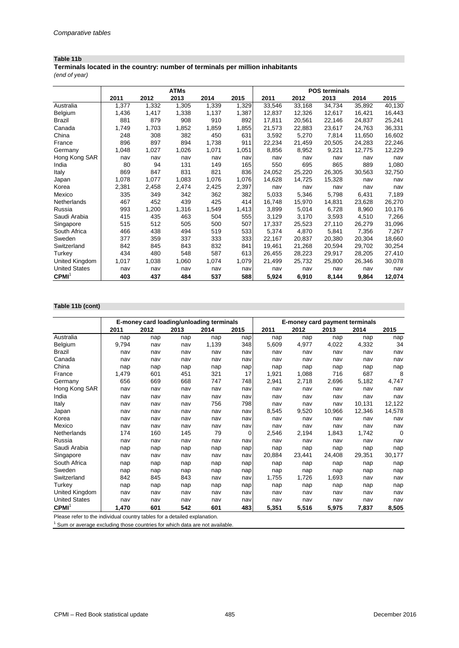### **Table 11b**

*(end of year)* **Terminals located in the country: number of terminals per million inhabitants**

|                      |       |       | <b>ATMs</b> |       |       | <b>POS terminals</b> |        |        |        |        |  |
|----------------------|-------|-------|-------------|-------|-------|----------------------|--------|--------|--------|--------|--|
|                      | 2011  | 2012  | 2013        | 2014  | 2015  | 2011                 | 2012   | 2013   | 2014   | 2015   |  |
| Australia            | 1,377 | 1,332 | 1,305       | 1,339 | 1,329 | 33,546               | 33,168 | 34,734 | 35,892 | 40,130 |  |
| Belgium              | 1,436 | 1,417 | 1,338       | 1,137 | 1,387 | 12,837               | 12,326 | 12,617 | 16,421 | 16,443 |  |
| Brazil               | 881   | 879   | 908         | 910   | 892   | 17,811               | 20,561 | 22,146 | 24,837 | 25,241 |  |
| Canada               | 1,749 | 1,703 | 1,852       | 1,859 | 1,855 | 21,573               | 22,883 | 23,617 | 24,763 | 36,331 |  |
| China                | 248   | 308   | 382         | 450   | 631   | 3,592                | 5,270  | 7,814  | 11,650 | 16,602 |  |
| France               | 896   | 897   | 894         | 1,738 | 911   | 22,234               | 21,459 | 20,505 | 24,283 | 22,246 |  |
| Germany              | 1,048 | 1,027 | 1,026       | 1,071 | 1,051 | 8,856                | 8,952  | 9,221  | 12,775 | 12,229 |  |
| Hong Kong SAR        | nav   | nav   | nav         | nav   | nav   | nav                  | nav    | nav    | nav    | nav    |  |
| India                | 80    | 94    | 131         | 149   | 165   | 550                  | 695    | 865    | 889    | 1,080  |  |
| Italy                | 869   | 847   | 831         | 821   | 836   | 24,052               | 25,220 | 26,305 | 30,563 | 32,750 |  |
| Japan                | 1,078 | 1,077 | 1,083       | 1,076 | 1,076 | 14,628               | 14,725 | 15,328 | nav    | nav    |  |
| Korea                | 2,381 | 2,458 | 2,474       | 2,425 | 2,397 | nav                  | nav    | nav    | nav    | nav    |  |
| Mexico               | 335   | 349   | 342         | 362   | 382   | 5,033                | 5,346  | 5,798  | 6,431  | 7,189  |  |
| Netherlands          | 467   | 452   | 439         | 425   | 414   | 16,748               | 15,970 | 14,831 | 23,628 | 26,270 |  |
| Russia               | 993   | 1,200 | 1,316       | 1,549 | 1,413 | 3,899                | 5,014  | 6,728  | 8,960  | 10,176 |  |
| Saudi Arabia         | 415   | 435   | 463         | 504   | 555   | 3,129                | 3,170  | 3,593  | 4,510  | 7,266  |  |
| Singapore            | 515   | 512   | 505         | 500   | 507   | 17,337               | 25,523 | 27,110 | 26,279 | 31,096 |  |
| South Africa         | 466   | 438   | 494         | 519   | 533   | 5,374                | 4,870  | 5,841  | 7,356  | 7,267  |  |
| Sweden               | 377   | 359   | 337         | 333   | 333   | 22,167               | 20,837 | 20,380 | 20,304 | 18,660 |  |
| Switzerland          | 842   | 845   | 843         | 832   | 841   | 19,461               | 21,268 | 20,594 | 29,702 | 30,254 |  |
| Turkey               | 434   | 480   | 548         | 587   | 613   | 26,455               | 28,223 | 29,917 | 28,205 | 27,410 |  |
| United Kingdom       | 1,017 | 1,038 | 1,060       | 1,074 | 1,079 | 21,499               | 25,732 | 25,800 | 26,346 | 30,078 |  |
| <b>United States</b> | nav   | nav   | nav         | nav   | nav   | nav                  | nav    | nav    | nav    | nav    |  |
| CPMI <sup>1</sup>    | 403   | 437   | 484         | 537   | 588   | 5,924                | 6,910  | 8,144  | 9,864  | 12,074 |  |

## **Table 11b (cont)**

|                      |       | E-money card loading/unloading terminals |      |       |      | E-money card payment terminals |        |        |        |          |
|----------------------|-------|------------------------------------------|------|-------|------|--------------------------------|--------|--------|--------|----------|
|                      | 2011  | 2012                                     | 2013 | 2014  | 2015 | 2011                           | 2012   | 2013   | 2014   | 2015     |
| Australia            | nap   | nap                                      | nap  | nap   | nap  | nap                            | nap    | nap    | nap    | nap      |
| Belgium              | 9,794 | nav                                      | nav  | 1,139 | 348  | 5,609                          | 4,977  | 4,022  | 4,332  | 34       |
| <b>Brazil</b>        | nav   | nav                                      | nav  | nav   | nav  | nav                            | nav    | nav    | nav    | nav      |
| Canada               | nav   | nav                                      | nav  | nav   | nav  | nav                            | nav    | nav    | nav    | nav      |
| China                | nap   | nap                                      | nap  | nap   | nap  | nap                            | nap    | nap    | nap    | nap      |
| France               | 1,479 | 601                                      | 451  | 321   | 17   | 1,921                          | 1,088  | 716    | 687    | 8        |
| Germany              | 656   | 669                                      | 668  | 747   | 748  | 2,941                          | 2,718  | 2,696  | 5,182  | 4,747    |
| Hong Kong SAR        | nav   | nav                                      | nav  | nav   | nav  | nav                            | nav    | nav    | nav    | nav      |
| India                | nav   | nav                                      | nav  | nav   | nav  | nav                            | nav    | nav    | nav    | nav      |
| Italy                | nav   | nav                                      | nav  | 756   | 798  | nav                            | nav    | nav    | 10,131 | 12,122   |
| Japan                | nav   | nav                                      | nav  | nav   | nav  | 8,545                          | 9,520  | 10,966 | 12,346 | 14,578   |
| Korea                | nav   | nav                                      | nav  | nav   | nav  | nav                            | nav    | nav    | nav    | nav      |
| Mexico               | nav   | nav                                      | nav  | nav   | nav  | nav                            | nav    | nav    | nav    | nav      |
| Netherlands          | 174   | 160                                      | 145  | 79    | 0    | 2,546                          | 2,194  | 1,843  | 1,742  | $\Omega$ |
| Russia               | nav   | nav                                      | nav  | nav   | nav  | nav                            | nav    | nav    | nav    | nav      |
| Saudi Arabia         | nap   | nap                                      | nap  | nap   | nap  | nap                            | nap    | nap    | nap    | nap      |
| Singapore            | nav   | nav                                      | nav  | nav   | nav  | 20,884                         | 23,441 | 24,408 | 29,351 | 30,177   |
| South Africa         | nap   | nap                                      | nap  | nap   | nap  | nap                            | nap    | nap    | nap    | nap      |
| Sweden               | nap   | nap                                      | nap  | nap   | nap  | nap                            | nap    | nap    | nap    | nap      |
| Switzerland          | 842   | 845                                      | 843  | nav   | nav  | 1,755                          | 1,726  | 1,693  | nav    | nav      |
| Turkey               | nap   | nap                                      | nap  | nap   | nap  | nap                            | nap    | nap    | nap    | nap      |
| United Kingdom       | nav   | nav                                      | nav  | nav   | nav  | nav                            | nav    | nav    | nav    | nav      |
| <b>United States</b> | nav   | nav                                      | nav  | nav   | nav  | nav                            | nav    | nav    | nav    | nav      |
| CPMI <sup>1</sup>    | 1,470 | 601                                      | 542  | 601   | 483  | 5,351                          | 5,516  | 5,975  | 7,837  | 8,505    |

Please refer to the individual country tables for a detailed explanation.

 $1$  Sum or average excluding those countries for which data are not available.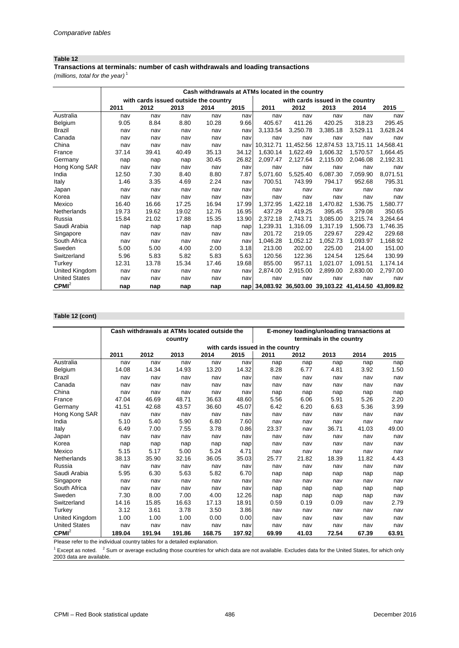### **Table 12**

## **Transactions at terminals: number of cash withdrawals and loading transactions**

*(millions, total for the year)* <sup>1</sup>

|                      |       |                                       |       |       |       | Cash withdrawals at ATMs located in the country       |           |                                  |           |           |
|----------------------|-------|---------------------------------------|-------|-------|-------|-------------------------------------------------------|-----------|----------------------------------|-----------|-----------|
|                      |       | with cards issued outside the country |       |       |       |                                                       |           | with cards issued in the country |           |           |
|                      | 2011  | 2012                                  | 2013  | 2014  | 2015  | 2011                                                  | 2012      | 2013                             | 2014      | 2015      |
| Australia            | nav   | nav                                   | nav   | nav   | nav   | nav                                                   | nav       | nav                              | nav       | nav       |
| Belgium              | 9.05  | 8.84                                  | 8.80  | 10.28 | 9.66  | 405.67                                                | 411.26    | 420.25                           | 318.23    | 295.45    |
| Brazil               | nav   | nav                                   | nav   | nav   | nav   | 3,133.54                                              | 3.250.78  | 3.385.18                         | 3.529.11  | 3.628.24  |
| Canada               | nav   | nav                                   | nav   | nav   | nav   | nav                                                   | nav       | nav                              | nav       | nav       |
| China                | nav   | nav                                   | nav   | nav   | nav   | 10.312.71                                             | 11.452.56 | 12,874.53                        | 13,715.11 | 14,568.41 |
| France               | 37.14 | 39.41                                 | 40.49 | 35.13 | 34.12 | 1.630.14                                              | 1,622.49  | 1.606.32                         | 1.570.57  | 1,664.45  |
| Germany              | nap   | nap                                   | nap   | 30.45 | 26.82 | 2.097.47                                              | 2,127.64  | 2.115.00                         | 2.046.08  | 2,192.31  |
| Hong Kong SAR        | nav   | nav                                   | nav   | nav   | nav   | nav                                                   | nav       | nav                              | nav       | nav       |
| India                | 12.50 | 7.30                                  | 8.40  | 8.80  | 7.87  | 5,071.60                                              | 5,525.40  | 6,087.30                         | 7,059.90  | 8,071.51  |
| Italy                | 1.46  | 3.35                                  | 4.69  | 2.24  | nav   | 700.51                                                | 743.99    | 794.17                           | 952.68    | 795.31    |
| Japan                | nav   | nav                                   | nav   | nav   | nav   | nav                                                   | nav       | nav                              | nav       | nav       |
| Korea                | nav   | nav                                   | nav   | nav   | nav   | nav                                                   | nav       | nav                              | nav       | nav       |
| Mexico               | 16.40 | 16.66                                 | 17.25 | 16.94 | 17.99 | 1.372.95                                              | 1.422.18  | 1.470.82                         | 1.536.75  | 1,580.77  |
| Netherlands          | 19.73 | 19.62                                 | 19.02 | 12.76 | 16.95 | 437.29                                                | 419.25    | 395.45                           | 379.08    | 350.65    |
| Russia               | 15.84 | 21.02                                 | 17.88 | 15.35 | 13.90 | 2,372.18                                              | 2.743.71  | 3.085.00                         | 3,215.74  | 3,264.64  |
| Saudi Arabia         | nap   | nap                                   | nap   | nap   | nap   | 1,239.31                                              | 1,316.09  | 1,317.19                         | 1.506.73  | 1,746.35  |
| Singapore            | nav   | nav                                   | nav   | nav   | nav   | 201.72                                                | 219.05    | 229.67                           | 229.42    | 229.68    |
| South Africa         | nav   | nav                                   | nav   | nav   | nav   | 1.046.28                                              | 1,052.12  | 1.052.73                         | 1.093.97  | 1,168.92  |
| Sweden               | 5.00  | 5.00                                  | 4.00  | 2.00  | 3.18  | 213.00                                                | 202.00    | 225.00                           | 214.00    | 151.00    |
| Switzerland          | 5.96  | 5.83                                  | 5.82  | 5.83  | 5.63  | 120.56                                                | 122.36    | 124.54                           | 125.64    | 130.99    |
| Turkey               | 12.31 | 13.78                                 | 15.34 | 17.46 | 19.68 | 855.00                                                | 957.11    | 1.021.07                         | 1.091.51  | 1.174.14  |
| United Kingdom       | nav   | nav                                   | nav   | nav   | nav   | 2,874.00                                              | 2,915.00  | 2,899.00                         | 2,830.00  | 2,797.00  |
| <b>United States</b> | nav   | nav                                   | nav   | nav   | nav   | nav                                                   | nav       | nav                              | nav       | nav       |
| CPMI <sup>2</sup>    | nap   | nap                                   | nap   | nap   |       | nap 34,083.92 36,503.00 39,103.22 41,414.50 43,809.82 |           |                                  |           |           |

### **Table 12 (cont)**

|                      |        | Cash withdrawals at ATMs located outside the |         |        |        | E-money loading/unloading transactions at |       |                          |       |       |  |
|----------------------|--------|----------------------------------------------|---------|--------|--------|-------------------------------------------|-------|--------------------------|-------|-------|--|
|                      |        |                                              | country |        |        |                                           |       | terminals in the country |       |       |  |
|                      |        |                                              |         |        |        | with cards issued in the country          |       |                          |       |       |  |
|                      | 2011   | 2012                                         | 2013    | 2014   | 2015   | 2011                                      | 2012  | 2013                     | 2014  | 2015  |  |
| Australia            | nav    | nav                                          | nav     | nav    | nav    | nap                                       | nap   | nap                      | nap   | nap   |  |
| Belgium              | 14.08  | 14.34                                        | 14.93   | 13.20  | 14.32  | 8.28                                      | 6.77  | 4.81                     | 3.92  | 1.50  |  |
| <b>Brazil</b>        | nav    | nav                                          | nav     | nav    | nav    | nav                                       | nav   | nav                      | nav   | nav   |  |
| Canada               | nav    | nav                                          | nav     | nav    | nav    | nav                                       | nav   | nav                      | nav   | nav   |  |
| China                | nav    | nav                                          | nav     | nav    | nav    | nap                                       | nap   | nap                      | nap   | nap   |  |
| France               | 47.04  | 46.69                                        | 48.71   | 36.63  | 48.60  | 5.56                                      | 6.06  | 5.91                     | 5.26  | 2.20  |  |
| Germany              | 41.51  | 42.68                                        | 43.57   | 36.60  | 45.07  | 6.42                                      | 6.20  | 6.63                     | 5.36  | 3.99  |  |
| Hong Kong SAR        | nav    | nav                                          | nav     | nav    | nav    | nav                                       | nav   | nav                      | nav   | nav   |  |
| India                | 5.10   | 5.40                                         | 5.90    | 6.80   | 7.60   | nav                                       | nav   | nav                      | nav   | nav   |  |
| Italy                | 6.49   | 7.00                                         | 7.55    | 3.78   | 0.86   | 23.37                                     | nav   | 36.71                    | 41.03 | 49.00 |  |
| Japan                | nav    | nav                                          | nav     | nav    | nav    | nav                                       | nav   | nav                      | nav   | nav   |  |
| Korea                | nap    | nap                                          | nap     | nap    | nap    | nav                                       | nav   | nav                      | nav   | nav   |  |
| Mexico               | 5.15   | 5.17                                         | 5.00    | 5.24   | 4.71   | nav                                       | nav   | nav                      | nav   | nav   |  |
| Netherlands          | 38.13  | 35.90                                        | 32.16   | 36.05  | 35.03  | 25.77                                     | 21.82 | 18.39                    | 11.82 | 4.43  |  |
| Russia               | nav    | nav                                          | nav     | nav    | nav    | nav                                       | nav   | nav                      | nav   | nav   |  |
| Saudi Arabia         | 5.95   | 6.30                                         | 5.63    | 5.82   | 6.70   | nap                                       | nap   | nap                      | nap   | nap   |  |
| Singapore            | nav    | nav                                          | nav     | nav    | nav    | nav                                       | nav   | nav                      | nav   | nav   |  |
| South Africa         | nav    | nav                                          | nav     | nav    | nav    | nap                                       | nap   | nap                      | nap   | nap   |  |
| Sweden               | 7.30   | 8.00                                         | 7.00    | 4.00   | 12.26  | nap                                       | nap   | nap                      | nap   | nav   |  |
| Switzerland          | 14.16  | 15.85                                        | 16.63   | 17.13  | 18.91  | 0.59                                      | 0.19  | 0.09                     | nav   | 2.79  |  |
| Turkey               | 3.12   | 3.61                                         | 3.78    | 3.50   | 3.86   | nav                                       | nav   | nav                      | nav   | nav   |  |
| United Kingdom       | 1.00   | 1.00                                         | 1.00    | 0.00   | 0.00   | nav                                       | nav   | nav                      | nav   | nav   |  |
| <b>United States</b> | nav    | nav                                          | nav     | nav    | nav    | nav                                       | nav   | nav                      | nav   | nav   |  |
| CPMI <sup>2</sup>    | 189.04 | 191.94                                       | 191.86  | 168.75 | 197.92 | 69.99                                     | 41.03 | 72.54                    | 67.39 | 63.91 |  |

Please refer to the individual country tables for a detailed explanation.

 $1$  Except as noted.  $2$  Sum or average excluding those countries for which data are not available. Excludes data for the United States, for which only 2003 data are available.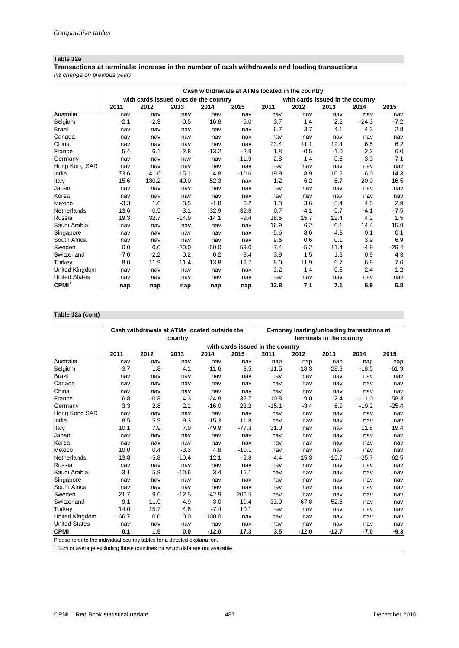### **Table 12a**

*(% change on previous year)* **Transactions at terminals: increase in the number of cash withdrawals and loading transactions**

|                      |        |                                       |         |         |         | Cash withdrawals at ATMs located in the country |                                  |        |         |         |
|----------------------|--------|---------------------------------------|---------|---------|---------|-------------------------------------------------|----------------------------------|--------|---------|---------|
|                      |        | with cards issued outside the country |         |         |         |                                                 | with cards issued in the country |        |         |         |
|                      | 2011   | 2012                                  | 2013    | 2014    | 2015    | 2011                                            | 2012                             | 2013   | 2014    | 2015    |
| Australia            | nav    | nav                                   | nav     | nav     | nav     | nav                                             | nav                              | nav    | nav     | nav     |
| Belgium              | $-2.1$ | $-2.3$                                | $-0.5$  | 16.8    | $-6.0$  | 3.7                                             | 1.4                              | 2.2    | $-24.3$ | $-7.2$  |
| <b>Brazil</b>        | nav    | nav                                   | nav     | nav     | nav     | 6.7                                             | 3.7                              | 4.1    | 4.3     | 2.8     |
| Canada               | nav    | nav                                   | nav     | nav     | nav     | nav                                             | nav                              | nav    | nav     | nav     |
| China                | nav    | nav                                   | nav     | nav     | nav     | 23.4                                            | 11.1                             | 12.4   | 6.5     | 6.2     |
| France               | 5.4    | 6.1                                   | 2.8     | $-13.2$ | $-2.9$  | 1.8                                             | $-0.5$                           | $-1.0$ | $-2.2$  | 6.0     |
| Germany              | nav    | nav                                   | nav     | nav     | $-11.9$ | 2.8                                             | 1.4                              | $-0.6$ | $-3.3$  | 7.1     |
| Hong Kong SAR        | nav    | nav                                   | nav     | nav     | nav     | nav                                             | nav                              | nav    | nav     | nav     |
| India                | 73.6   | $-41.6$                               | 15.1    | 4.8     | $-10.6$ | 19.9                                            | 8.9                              | 10.2   | 16.0    | 14.3    |
| Italy                | 15.6   | 130.2                                 | 40.0    | $-52.3$ | nav     | $-1.2$                                          | 6.2                              | 6.7    | 20.0    | $-16.5$ |
| Japan                | nav    | nav                                   | nav     | nav     | nav     | nav                                             | nav                              | nav    | nav     | nav     |
| Korea                | nav    | nav                                   | nav     | nav     | nav     | nav                                             | nav                              | nav    | nav     | nav     |
| Mexico               | $-3.3$ | 1.6                                   | 3.5     | $-1.8$  | 6.2     | 1.3                                             | 3.6                              | 3.4    | 4.5     | 2.9     |
| Netherlands          | 13.6   | $-0.5$                                | $-3.1$  | $-32.9$ | 32.8    | 0.7                                             | $-4.1$                           | $-5.7$ | $-4.1$  | $-7.5$  |
| Russia               | 19.3   | 32.7                                  | $-14.9$ | $-14.1$ | $-9.4$  | 18.5                                            | 15.7                             | 12.4   | 4.2     | 1.5     |
| Saudi Arabia         | nav    | nav                                   | nav     | nav     | nav     | 16.9                                            | 6.2                              | 0.1    | 14.4    | 15.9    |
| Singapore            | nav    | nav                                   | nav     | nav     | nav     | $-5.6$                                          | 8.6                              | 4.8    | $-0.1$  | 0.1     |
| South Africa         | nav    | nav                                   | nav     | nav     | nav     | 9.6                                             | 0.6                              | 0.1    | 3.9     | 6.9     |
| Sweden               | 0.0    | 0.0                                   | $-20.0$ | $-50.0$ | 59.0    | $-7.4$                                          | $-5.2$                           | 11.4   | $-4.9$  | $-29.4$ |
| Switzerland          | $-7.0$ | $-2.2$                                | $-0.2$  | 0.2     | $-3.4$  | 3.9                                             | 1.5                              | 1.8    | 0.9     | 4.3     |
| Turkey               | 8.0    | 11.9                                  | 11.4    | 13.8    | 12.7    | 8.0                                             | 11.9                             | 6.7    | 6.9     | 7.6     |
| United Kingdom       | nav    | nav                                   | nav     | nav     | nav     | 3.2                                             | 1.4                              | $-0.5$ | $-2.4$  | $-1.2$  |
| <b>United States</b> | nav    | nav                                   | nav     | nav     | nav     | nav                                             | nav                              | nav    | nav     | nav     |
| CPMI <sup>1</sup>    | nap    | nap                                   | nap     | nap     | nap     | 12.8                                            | 7.1                              | 7.1    | 5.9     | 5.8     |

## **Table 12a (cont)**

|                      |         | Cash withdrawals at ATMs located outside the |         |          |         |                                  | E-money loading/unloading transactions at |                          |         |         |
|----------------------|---------|----------------------------------------------|---------|----------|---------|----------------------------------|-------------------------------------------|--------------------------|---------|---------|
|                      |         |                                              | country |          |         |                                  |                                           | terminals in the country |         |         |
|                      |         |                                              |         |          |         | with cards issued in the country |                                           |                          |         |         |
|                      | 2011    | 2012                                         | 2013    | 2014     | 2015    | 2011                             | 2012                                      | 2013                     | 2014    | 2015    |
| Australia            | nav     | nav                                          | nav     | nav      | nav     | nap                              | nap                                       | nap                      | nap     | nap     |
| Belgium              | $-3.7$  | 1.8                                          | 4.1     | $-11.6$  | 8.5     | $-11.5$                          | $-18.3$                                   | $-28.9$                  | $-18.5$ | $-61.9$ |
| <b>Brazil</b>        | nav     | nav                                          | nav     | nav      | nav     | nav                              | nav                                       | nav                      | nav     | nav     |
| Canada               | nav     | nav                                          | nav     | nav      | nav     | nav                              | nav                                       | nav                      | nav     | nav     |
| China                | nav     | nav                                          | nav     | nav      | nav     | nav                              | nav                                       | nav                      | nav     | nav     |
| France               | 6.8     | $-0.8$                                       | 4.3     | $-24.8$  | 32.7    | 10.8                             | 9.0                                       | $-2.4$                   | $-11.0$ | $-58.3$ |
| Germany              | 3.3     | 2.8                                          | 2.1     | $-16.0$  | 23.2    | $-15.1$                          | $-3.4$                                    | 6.9                      | $-19.2$ | $-25.4$ |
| Hong Kong SAR        | nav     | nav                                          | nav     | nav      | nav     | nav                              | nav                                       | nav                      | nav     | nav     |
| India                | 8.5     | 5.9                                          | 9.3     | 15.3     | 11.8    | nav                              | nav                                       | nav                      | nav     | nav     |
| Italy                | 10.1    | 7.9                                          | 7.9     | $-49.9$  | $-77.3$ | 31.0                             | nav                                       | nav                      | 11.8    | 19.4    |
| Japan                | nav     | nav                                          | nav     | nav      | nav     | nav                              | nav                                       | nav                      | nav     | nav     |
| Korea                | nav     | nav                                          | nav     | nav      | nav     | nav                              | nav                                       | nav                      | nav     | nav     |
| Mexico               | 10.0    | 0.4                                          | $-3.3$  | 4.8      | $-10.1$ | nav                              | nav                                       | nav                      | nav     | nav     |
| Netherlands          | $-13.8$ | $-5.8$                                       | $-10.4$ | 12.1     | $-2.8$  | $-4.4$                           | $-15.3$                                   | $-15.7$                  | $-35.7$ | $-62.5$ |
| Russia               | nav     | nav                                          | nav     | nav      | nav     | nav                              | nav                                       | nav                      | nav     | nav     |
| Saudi Arabia         | 3.1     | 5.9                                          | $-10.6$ | 3.4      | 15.1    | nav                              | nav                                       | nav                      | nav     | nav     |
| Singapore            | nav     | nav                                          | nav     | nav      | nav     | nav                              | nav                                       | nav                      | nav     | nav     |
| South Africa         | nav     | nav                                          | nav     | nav      | nav     | nav                              | nav                                       | nav                      | nav     | nav     |
| Sweden               | 21.7    | 9.6                                          | $-12.5$ | $-42.9$  | 206.5   | nav                              | nav                                       | nav                      | nav     | nav     |
| Switzerland          | 9.1     | 11.9                                         | 4.9     | 3.0      | 10.4    | $-33.0$                          | $-67.8$                                   | $-52.6$                  | nav     | nav     |
| Turkey               | 14.0    | 15.7                                         | 4.8     | $-7.4$   | 10.1    | nav                              | nav                                       | nav                      | nav     | nav     |
| United Kingdom       | $-66.7$ | 0.0                                          | 0.0     | $-100.0$ | nav     | nav                              | nav                                       | nav                      | nav     | nav     |
| <b>United States</b> | nav     | nav                                          | nav     | nav      | nav     | nav                              | nav                                       | nav                      | nav     | nav     |
| <b>CPMI</b>          | 0.1     | 1.5                                          | 0.0     | $-12.0$  | 17.3    | 3.5                              | $-12.0$                                   | $-12.7$                  | $-7.0$  | $-9.3$  |

Please refer to the individual country tables for a detailed explanation.  $1$  Sum or average excluding those countries for which data are not available.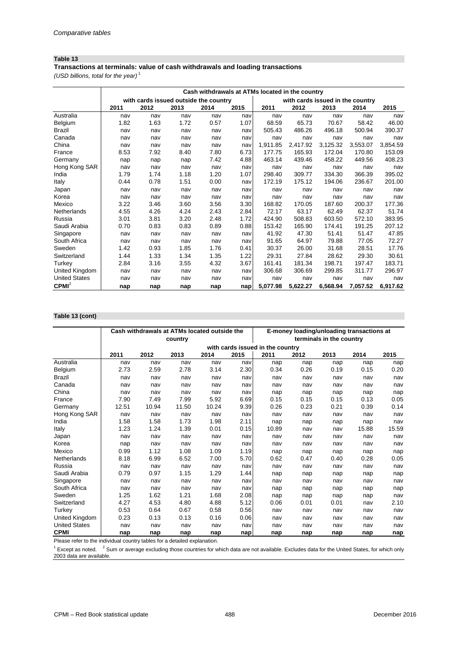### **Table 13**

### **Transactions at terminals: value of cash withdrawals and loading transactions**

*(USD billions, total for the year)* <sup>1</sup>

|                      | Cash withdrawals at ATMs located in the country |                                       |      |      |      |          |                                  |          |          |          |
|----------------------|-------------------------------------------------|---------------------------------------|------|------|------|----------|----------------------------------|----------|----------|----------|
|                      |                                                 | with cards issued outside the country |      |      |      |          | with cards issued in the country |          |          |          |
|                      | 2011                                            | 2012                                  | 2013 | 2014 | 2015 | 2011     | 2012                             | 2013     | 2014     | 2015     |
| Australia            | nav                                             | nav                                   | nav  | nav  | nav  | nav      | nav                              | nav      | nav      | nav      |
| Belgium              | 1.82                                            | 1.63                                  | 1.72 | 0.57 | 1.07 | 68.59    | 65.73                            | 70.67    | 58.42    | 46.00    |
| Brazil               | nav                                             | nav                                   | nav  | nav  | nav  | 505.43   | 486.26                           | 496.18   | 500.94   | 390.37   |
| Canada               | nav                                             | nav                                   | nav  | nav  | nav  | nav      | nav                              | nav      | nav      | nav      |
| China                | nav                                             | nav                                   | nav  | nav  | nav  | 1,911.85 | 2,417.92                         | 3,125.32 | 3,553.07 | 3,854.59 |
| France               | 8.53                                            | 7.92                                  | 8.40 | 7.80 | 6.73 | 177.75   | 165.93                           | 172.04   | 170.80   | 153.09   |
| Germany              | nap                                             | nap                                   | nap  | 7.42 | 4.88 | 463.14   | 439.46                           | 458.22   | 449.56   | 408.23   |
| Hong Kong SAR        | nav                                             | nav                                   | nav  | nav  | nav  | nav      | nav                              | nav      | nav      | nav      |
| India                | 1.79                                            | 1.74                                  | 1.18 | 1.20 | 1.07 | 298.40   | 309.77                           | 334.30   | 366.39   | 395.02   |
| Italy                | 0.44                                            | 0.78                                  | 1.51 | 0.00 | nav  | 172.19   | 175.12                           | 194.06   | 236.67   | 201.00   |
| Japan                | nav                                             | nav                                   | nav  | nav  | nav  | nav      | nav                              | nav      | nav      | nav      |
| Korea                | nav                                             | nav                                   | nav  | nav  | nav  | nav      | nav                              | nav      | nav      | nav      |
| Mexico               | 3.22                                            | 3.46                                  | 3.60 | 3.56 | 3.30 | 168.82   | 170.05                           | 187.60   | 200.37   | 177.36   |
| Netherlands          | 4.55                                            | 4.26                                  | 4.24 | 2.43 | 2.84 | 72.17    | 63.17                            | 62.49    | 62.37    | 51.74    |
| Russia               | 3.01                                            | 3.81                                  | 3.20 | 2.48 | 1.72 | 424.90   | 508.83                           | 603.50   | 572.10   | 383.95   |
| Saudi Arabia         | 0.70                                            | 0.83                                  | 0.83 | 0.89 | 0.88 | 153.42   | 165.90                           | 174.41   | 191.25   | 207.12   |
| Singapore            | nav                                             | nav                                   | nav  | nav  | nav  | 41.92    | 47.30                            | 51.41    | 51.47    | 47.85    |
| South Africa         | nav                                             | nav                                   | nav  | nav  | nav  | 91.65    | 64.97                            | 79.88    | 77.05    | 72.27    |
| Sweden               | 1.42                                            | 0.93                                  | 1.85 | 1.76 | 0.41 | 30.37    | 26.00                            | 31.68    | 28.51    | 17.76    |
| Switzerland          | 1.44                                            | 1.33                                  | 1.34 | 1.35 | 1.22 | 29.31    | 27.84                            | 28.62    | 29.30    | 30.61    |
| Turkey               | 2.84                                            | 3.16                                  | 3.55 | 4.32 | 3.67 | 161.41   | 181.34                           | 198.71   | 197.47   | 183.71   |
| United Kingdom       | nav                                             | nav                                   | nav  | nav  | nav  | 306.68   | 306.69                           | 299.85   | 311.77   | 296.97   |
| <b>United States</b> | nav                                             | nav                                   | nav  | nav  | nav  | nav      | nav                              | nav      | nav      | nav      |
| $CPMI^2$             | nap                                             | nap                                   | nap  | nap  | nap  | 5,077.98 | 5,622.27                         | 6,568.94 | 7,057.52 | 6,917.62 |

## **Table 13 (cont)**

|                      |       | Cash withdrawals at ATMs located outside the |         |       |      | E-money loading/unloading transactions at |      |                          |       |       |  |
|----------------------|-------|----------------------------------------------|---------|-------|------|-------------------------------------------|------|--------------------------|-------|-------|--|
|                      |       |                                              | country |       |      |                                           |      | terminals in the country |       |       |  |
|                      |       |                                              |         |       |      | with cards issued in the country          |      |                          |       |       |  |
|                      | 2011  | 2012                                         | 2013    | 2014  | 2015 | 2011                                      | 2012 | 2013                     | 2014  | 2015  |  |
| Australia            | nav   | nav                                          | nav     | nav   | nav  | nap                                       | nap  | nap                      | nap   | nap   |  |
| Belgium              | 2.73  | 2.59                                         | 2.78    | 3.14  | 2.30 | 0.34                                      | 0.26 | 0.19                     | 0.15  | 0.20  |  |
| Brazil               | nav   | nav                                          | nav     | nav   | nav  | nav                                       | nav  | nav                      | nav   | nav   |  |
| Canada               | nav   | nav                                          | nav     | nav   | nav  | nav                                       | nav  | nav                      | nav   | nav   |  |
| China                | nav   | nav                                          | nav     | nav   | nav  | nap                                       | nap  | nap                      | nap   | nap   |  |
| France               | 7.90  | 7.49                                         | 7.99    | 5.92  | 6.69 | 0.15                                      | 0.15 | 0.15                     | 0.13  | 0.05  |  |
| Germany              | 12.51 | 10.94                                        | 11.50   | 10.24 | 9.39 | 0.26                                      | 0.23 | 0.21                     | 0.39  | 0.14  |  |
| Hong Kong SAR        | nav   | nav                                          | nav     | nav   | nav  | nav                                       | nav  | nav                      | nav   | nav   |  |
| India                | 1.58  | 1.58                                         | 1.73    | 1.98  | 2.11 | nap                                       | nap  | nap                      | nap   | nav   |  |
| Italy                | 1.23  | 1.24                                         | 1.39    | 0.01  | 0.15 | 10.89                                     | nav  | nav                      | 15.88 | 15.59 |  |
| Japan                | nav   | nav                                          | nav     | nav   | nav  | nav                                       | nav  | nav                      | nav   | nav   |  |
| Korea                | nap   | nav                                          | nav     | nav   | nav  | nav                                       | nav  | nav                      | nav   | nav   |  |
| Mexico               | 0.99  | 1.12                                         | 1.08    | 1.09  | 1.19 | nap                                       | nap  | nap                      | nap   | nap   |  |
| Netherlands          | 8.18  | 6.99                                         | 6.52    | 7.00  | 5.70 | 0.62                                      | 0.47 | 0.40                     | 0.28  | 0.05  |  |
| Russia               | nav   | nav                                          | nav     | nav   | nav  | nav                                       | nav  | nav                      | nav   | nav   |  |
| Saudi Arabia         | 0.79  | 0.97                                         | 1.15    | 1.29  | 1.44 | nap                                       | nap  | nap                      | nap   | nap   |  |
| Singapore            | nav   | nav                                          | nav     | nav   | nav  | nav                                       | nav  | nav                      | nav   | nav   |  |
| South Africa         | nav   | nav                                          | nav     | nav   | nav  | nap                                       | nap  | nap                      | nap   | nap   |  |
| Sweden               | 1.25  | 1.62                                         | 1.21    | 1.68  | 2.08 | nap                                       | nap  | nap                      | nap   | nav   |  |
| Switzerland          | 4.27  | 4.53                                         | 4.80    | 4.88  | 5.12 | 0.06                                      | 0.01 | 0.01                     | nav   | 2.10  |  |
| Turkey               | 0.53  | 0.64                                         | 0.67    | 0.58  | 0.56 | nav                                       | nav  | nav                      | nav   | nav   |  |
| United Kingdom       | 0.23  | 0.13                                         | 0.13    | 0.16  | 0.06 | nav                                       | nav  | nav                      | nav   | nav   |  |
| <b>United States</b> | nav   | nav                                          | nav     | nav   | nav  | nav                                       | nav  | nav                      | nav   | nav   |  |
| <b>CPMI</b>          | nap   | nap                                          | nap     | nap   | nap  | nap                                       | nap  | nap                      | nap   | nap   |  |

Please refer to the individual country tables for a detailed explanation.

 $1$  Except as noted.  $2$  Sum or average excluding those countries for which data are not available. Excludes data for the United States, for which only 2003 data are available.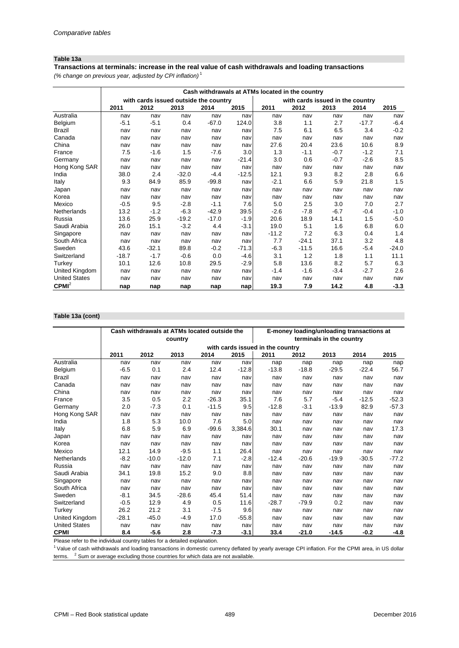### **Table 13a**

*(% change on previous year, adjusted by CPI inflation)* <sup>1</sup> **Transactions at terminals: increase in the real value of cash withdrawals and loading transactions**

|                      |         |                                       |         |         |         | Cash withdrawals at ATMs located in the country |                                  |        |         |         |
|----------------------|---------|---------------------------------------|---------|---------|---------|-------------------------------------------------|----------------------------------|--------|---------|---------|
|                      |         | with cards issued outside the country |         |         |         |                                                 | with cards issued in the country |        |         |         |
|                      | 2011    | 2012                                  | 2013    | 2014    | 2015    | 2011                                            | 2012                             | 2013   | 2014    | 2015    |
| Australia            | nav     | nav                                   | nav     | nav     | nav     | nav                                             | nav                              | nav    | nav     | nav     |
| Belgium              | $-5.1$  | $-5.1$                                | 0.4     | $-67.0$ | 124.0   | 3.8                                             | 1.1                              | 2.7    | $-17.7$ | $-6.4$  |
| <b>Brazil</b>        | nav     | nav                                   | nav     | nav     | nav     | 7.5                                             | 6.1                              | 6.5    | 3.4     | $-0.2$  |
| Canada               | nav     | nav                                   | nav     | nav     | nav     | nav                                             | nav                              | nav    | nav     | nav     |
| China                | nav     | nav                                   | nav     | nav     | nav     | 27.6                                            | 20.4                             | 23.6   | 10.6    | 8.9     |
| France               | 7.5     | $-1.6$                                | 1.5     | $-7.6$  | 3.0     | 1.3                                             | $-1.1$                           | $-0.7$ | $-1.2$  | 7.1     |
| Germany              | nav     | nav                                   | nav     | nav     | $-21.4$ | 3.0                                             | 0.6                              | $-0.7$ | $-2.6$  | 8.5     |
| Hong Kong SAR        | nav     | nav                                   | nav     | nav     | nav     | nav                                             | nav                              | nav    | nav     | nav     |
| India                | 38.0    | 2.4                                   | $-32.0$ | $-4.4$  | $-12.5$ | 12.1                                            | 9.3                              | 8.2    | 2.8     | 6.6     |
| Italy                | 9.3     | 84.9                                  | 85.9    | $-99.8$ | nav     | $-2.1$                                          | 6.6                              | 5.9    | 21.8    | 1.5     |
| Japan                | nav     | nav                                   | nav     | nav     | nav     | nav                                             | nav                              | nav    | nav     | nav     |
| Korea                | nav     | nav                                   | nav     | nav     | nav     | nav                                             | nav                              | nav    | nav     | nav     |
| Mexico               | $-0.5$  | 9.5                                   | $-2.8$  | $-1.1$  | 7.6     | 5.0                                             | 2.5                              | 3.0    | 7.0     | 2.7     |
| Netherlands          | 13.2    | $-1.2$                                | $-6.3$  | $-42.9$ | 39.5    | $-2.6$                                          | $-7.8$                           | $-6.7$ | $-0.4$  | $-1.0$  |
| Russia               | 13.6    | 25.9                                  | $-19.2$ | $-17.0$ | $-1.9$  | 20.6                                            | 18.9                             | 14.1   | 1.5     | $-5.0$  |
| Saudi Arabia         | 26.0    | 15.1                                  | $-3.2$  | 4.4     | $-3.1$  | 19.0                                            | 5.1                              | 1.6    | 6.8     | 6.0     |
| Singapore            | nav     | nav                                   | nav     | nav     | nav     | $-11.2$                                         | 7.2                              | 6.3    | 0.4     | 1.4     |
| South Africa         | nav     | nav                                   | nav     | nav     | nav     | 7.7                                             | $-24.1$                          | 37.1   | 3.2     | 4.8     |
| Sweden               | 43.6    | $-32.1$                               | 89.8    | $-0.2$  | $-71.3$ | $-6.3$                                          | $-11.5$                          | 16.6   | $-5.4$  | $-24.0$ |
| Switzerland          | $-18.7$ | $-1.7$                                | $-0.6$  | 0.0     | $-4.6$  | 3.1                                             | 1.2                              | 1.8    | 1.1     | 11.1    |
| Turkey               | 10.1    | 12.6                                  | 10.8    | 29.5    | $-2.9$  | 5.8                                             | 13.6                             | 8.2    | 5.7     | 6.3     |
| United Kingdom       | nav     | nav                                   | nav     | nav     | nav     | $-1.4$                                          | $-1.6$                           | $-3.4$ | $-2.7$  | 2.6     |
| <b>United States</b> | nav     | nav                                   | nav     | nav     | nav     | nav                                             | nav                              | nav    | nav     | nav     |
| CPMI <sup>2</sup>    | nap     | nap                                   | nap     | nap     | nap     | 19.3                                            | 7.9                              | 14.2   | 4.8     | $-3.3$  |

### **Table 13a (cont)**

|                      |         | Cash withdrawals at ATMs located outside the |         |         |         |                                  | E-money loading/unloading transactions at |                          |         |         |
|----------------------|---------|----------------------------------------------|---------|---------|---------|----------------------------------|-------------------------------------------|--------------------------|---------|---------|
|                      |         |                                              | country |         |         |                                  |                                           | terminals in the country |         |         |
|                      |         |                                              |         |         |         | with cards issued in the country |                                           |                          |         |         |
|                      | 2011    | 2012                                         | 2013    | 2014    | 2015    | 2011                             | 2012                                      | 2013                     | 2014    | 2015    |
| Australia            | nav     | nav                                          | nav     | nav     | nav     | nap                              | nap                                       | nap                      | nap     | nap     |
| Belgium              | $-6.5$  | 0.1                                          | 2.4     | 12.4    | $-12.8$ | $-13.8$                          | $-18.8$                                   | $-29.5$                  | $-22.4$ | 56.7    |
| Brazil               | nav     | nav                                          | nav     | nav     | nav     | nav                              | nav                                       | nav                      | nav     | nav     |
| Canada               | nav     | nav                                          | nav     | nav     | nav     | nav                              | nav                                       | nav                      | nav     | nav     |
| China                | nav     | nav                                          | nav     | nav     | nav     | nav                              | nav                                       | nav                      | nav     | nav     |
| France               | 3.5     | 0.5                                          | 2.2     | $-26.3$ | 35.1    | 7.6                              | 5.7                                       | $-5.4$                   | $-12.5$ | $-52.3$ |
| Germany              | 2.0     | $-7.3$                                       | 0.1     | $-11.5$ | 9.5     | $-12.8$                          | $-3.1$                                    | $-13.9$                  | 82.9    | $-57.3$ |
| Hong Kong SAR        | nav     | nav                                          | nav     | nav     | nav     | nav                              | nav                                       | nav                      | nav     | nav     |
| India                | 1.8     | 5.3                                          | 10.0    | 7.6     | 5.0     | nav                              | nav                                       | nav                      | nav     | nav     |
| Italy                | 6.8     | 5.9                                          | 6.9     | $-99.6$ | 3,384.6 | 30.1                             | nav                                       | nav                      | nav     | 17.3    |
| Japan                | nav     | nav                                          | nav     | nav     | nav     | nav                              | nav                                       | nav                      | nav     | nav     |
| Korea                | nav     | nav                                          | nav     | nav     | nav     | nav                              | nav                                       | nav                      | nav     | nav     |
| Mexico               | 12.1    | 14.9                                         | $-9.5$  | 1.1     | 26.4    | nav                              | nav                                       | nav                      | nav     | nav     |
| Netherlands          | $-8.2$  | $-10.0$                                      | $-12.0$ | 7.1     | $-2.8$  | $-12.4$                          | $-20.6$                                   | $-19.9$                  | $-30.5$ | $-77.2$ |
| Russia               | nav     | nav                                          | nav     | nav     | nav     | nav                              | nav                                       | nav                      | nav     | nav     |
| Saudi Arabia         | 34.1    | 19.8                                         | 15.2    | 9.0     | 8.8     | nav                              | nav                                       | nav                      | nav     | nav     |
| Singapore            | nav     | nav                                          | nav     | nav     | nav     | nav                              | nav                                       | nav                      | nav     | nav     |
| South Africa         | nav     | nav                                          | nav     | nav     | nav     | nav                              | nav                                       | nav                      | nav     | nav     |
| Sweden               | $-8.1$  | 34.5                                         | $-28.6$ | 45.4    | 51.4    | nav                              | nav                                       | nav                      | nav     | nav     |
| Switzerland          | $-0.5$  | 12.9                                         | 4.9     | 0.5     | 11.6    | $-28.7$                          | $-79.9$                                   | 0.2                      | nav     | nav     |
| Turkey               | 26.2    | 21.2                                         | 3.1     | $-7.5$  | 9.6     | nav                              | nav                                       | nav                      | nav     | nav     |
| United Kingdom       | $-28.1$ | $-45.0$                                      | $-4.9$  | 17.0    | $-55.8$ | nav                              | nav                                       | nav                      | nav     | nav     |
| <b>United States</b> | nav     | nav                                          | nav     | nav     | nav     | nav                              | nav                                       | nav                      | nav     | nav     |
| <b>CPMI</b>          | 8.4     | $-5.6$                                       | 2.8     | $-7.3$  | $-3.1$  | 33.4                             | $-21.0$                                   | $-14.5$                  | $-0.2$  | $-4.8$  |

Please refer to the individual country tables for a detailed explanation.

<sup>1</sup> Value of cash withdrawals and loading transactions in domestic currency deflated by yearly average CPI inflation. For the CPMI area, in US dollar terms.  $\degree$  Sum or average excluding those countries for which data are not available.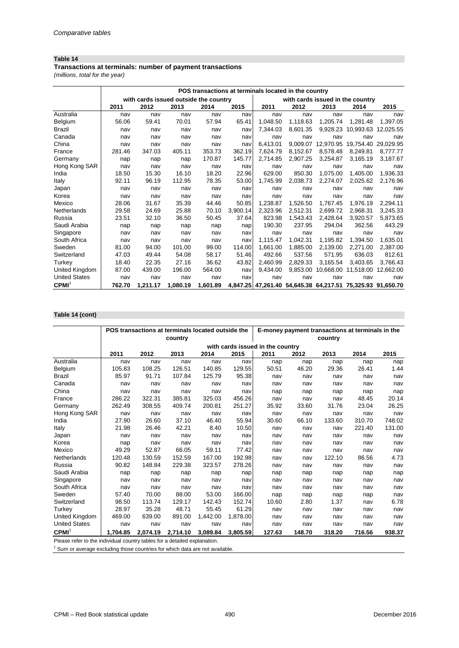### **Table 14**

**Transactions at terminals: number of payment transactions**

*(millions, total for the year)*

|                      |        |          |                                       | POS transactions at terminals located in the country |          |          |          |           |                                                            |           |
|----------------------|--------|----------|---------------------------------------|------------------------------------------------------|----------|----------|----------|-----------|------------------------------------------------------------|-----------|
|                      |        |          | with cards issued outside the country |                                                      |          |          |          |           | with cards issued in the country                           |           |
|                      | 2011   | 2012     | 2013                                  | 2014                                                 | 2015     | 2011     | 2012     | 2013      | 2014                                                       | 2015      |
| Australia            | nav    | nav      | nav                                   | nav                                                  | nav      | nav      | nav      | nav       | nav                                                        | nav       |
| Belgium              | 56.06  | 59.41    | 70.01                                 | 57.94                                                | 65.41    | 1.048.50 | 1.118.63 | 1.205.74  | 1.281.48                                                   | 1.397.05  |
| Brazil               | nav    | nav      | nav                                   | nav                                                  | nav      | 7.344.03 | 8,601.35 |           | 9,928.23 10,993.63 12,025.55                               |           |
| Canada               | nav    | nav      | nav                                   | nav                                                  | nav      | nav      | nav      | nav       | nav                                                        | nav       |
| China                | nav    | nav      | nav                                   | nav                                                  | nav      | 6,413.01 | 9.009.07 | 12.970.95 | 19,754.40                                                  | 29,029.95 |
| France               | 281.46 | 347.03   | 405.11                                | 353.73                                               | 362.19   | 7.624.79 | 8.152.67 | 8.578.48  | 8,249.81                                                   | 8,777.77  |
| Germany              | nap    | nap      | nap                                   | 170.87                                               | 145.77   | 2.714.85 | 2,907.25 | 3,254.87  | 3,165.19                                                   | 3,187.67  |
| Hong Kong SAR        | nav    | nav      | nav                                   | nav                                                  | nav      | nav      | nav      | nav       | nav                                                        | nav       |
| India                | 18.50  | 15.30    | 16.10                                 | 18.20                                                | 22.96    | 629.00   | 850.30   | 1.075.00  | 1.405.00                                                   | 1,936.33  |
| Italy                | 92.11  | 96.19    | 112.95                                | 78.35                                                | 53.00    | 1.745.99 | 2.038.73 | 2.274.07  | 2.025.62                                                   | 2,176.96  |
| Japan                | nav    | nav      | nav                                   | nav                                                  | nav      | nav      | nav      | nav       | nav                                                        | nav       |
| Korea                | nav    | nav      | nav                                   | nav                                                  | nav      | nav      | nav      | nav       | nav                                                        | nav       |
| Mexico               | 28.06  | 31.67    | 35.39                                 | 44.46                                                | 50.85    | 1.238.87 | 1.526.50 | 1.767.45  | 1.976.19                                                   | 2,294.11  |
| Netherlands          | 29.58  | 24.69    | 25.88                                 | 70.10                                                | 3,900.14 | 2,323.96 | 2,512.31 | 2.699.72  | 2.968.31                                                   | 3.245.33  |
| Russia               | 23.51  | 32.10    | 36.50                                 | 50.45                                                | 37.64    | 823.98   | 1,543.43 | 2,428.64  | 3,920.57                                                   | 5,873.65  |
| Saudi Arabia         | nap    | nap      | nap                                   | nap                                                  | nap      | 190.30   | 237.95   | 294.04    | 362.56                                                     | 443.29    |
| Singapore            | nav    | nav      | nav                                   | nav                                                  | nav      | nav      | nav      | nav       | nav                                                        | nav       |
| South Africa         | nav    | nav      | nav                                   | nav                                                  | nav      | 1,115.47 | 1.042.31 | 1.195.82  | 1.394.50                                                   | 1,635.01  |
| Sweden               | 81.00  | 94.00    | 101.00                                | 99.00                                                | 114.00   | 1.661.00 | 1.885.00 | 2.139.00  | 2.271.00                                                   | 2,387.00  |
| Switzerland          | 47.03  | 49.44    | 54.08                                 | 58.17                                                | 51.46    | 492.66   | 537.56   | 571.95    | 636.03                                                     | 812.61    |
| Turkey               | 18.40  | 22.35    | 27.16                                 | 36.62                                                | 43.82    | 2.460.99 | 2,829.33 | 3,165.54  | 3,403.65                                                   | 3,766.43  |
| United Kingdom       | 87.00  | 439.00   | 196.00                                | 564.00                                               | nav      | 9,434.00 |          |           | 9,853.00 10,668.00 11,518.00                               | 12,662.00 |
| <b>United States</b> | nav    | nav      | nav                                   | nav                                                  | nav      | nav      | nav      | nav       | nav                                                        | nav       |
| CPMI                 | 762.70 | 1,211.17 | 1,080.19                              | 1,601.89                                             |          |          |          |           | 4,847.25 47,261.40 54,645.38 64,217.51 75,325.93 91,650.70 |           |

# **Table 14 (cont)**

|                      |          |          | POS transactions at terminals located outside the |          |          | E-money payment transactions at terminals in the |        |         |        |        |  |
|----------------------|----------|----------|---------------------------------------------------|----------|----------|--------------------------------------------------|--------|---------|--------|--------|--|
|                      |          |          | country                                           |          |          |                                                  |        | country |        |        |  |
|                      |          |          |                                                   |          |          | with cards issued in the country                 |        |         |        |        |  |
|                      | 2011     | 2012     | 2013                                              | 2014     | 2015     | 2011                                             | 2012   | 2013    | 2014   | 2015   |  |
| Australia            | nav      | nav      | nav                                               | nav      | nav      | nap                                              | nap    | nap     | nap    | nap    |  |
| Belgium              | 105.83   | 108.25   | 126.51                                            | 140.85   | 129.55   | 50.51                                            | 46.20  | 29.36   | 26.41  | 1.44   |  |
| <b>Brazil</b>        | 85.97    | 91.71    | 107.84                                            | 125.79   | 95.38    | nav                                              | nav    | nav     | nav    | nav    |  |
| Canada               | nav      | nav      | nav                                               | nav      | nav      | nav                                              | nav    | nav     | nav    | nav    |  |
| China                | nav      | nav      | nav                                               | nav      | nav      | nap                                              | nap    | nap     | nap    | nap    |  |
| France               | 286.22   | 322.31   | 385.81                                            | 325.03   | 456.26   | nav                                              | nav    | nav     | 48.45  | 20.14  |  |
| Germany              | 262.49   | 308.55   | 409.74                                            | 200.81   | 251.27   | 35.92                                            | 33.60  | 31.76   | 23.04  | 26.25  |  |
| Hong Kong SAR        | nav      | nav      | nav                                               | nav      | nav      | nav                                              | nav    | nav     | nav    | nav    |  |
| India                | 27.90    | 26.60    | 37.10                                             | 46.40    | 55.94    | 30.60                                            | 66.10  | 133.60  | 310.70 | 748.02 |  |
| Italy                | 21.98    | 26.46    | 42.21                                             | 8.40     | 10.50    | nav                                              | nav    | nav     | 221.40 | 131.00 |  |
| Japan                | nav      | nav      | nav                                               | nav      | nav      | nav                                              | nav    | nav     | nav    | nav    |  |
| Korea                | nap      | nav      | nav                                               | nav      | nav      | nav                                              | nav    | nav     | nav    | nav    |  |
| Mexico               | 49.29    | 52.87    | 66.05                                             | 59.11    | 77.42    | nav                                              | nav    | nav     | nav    | nav    |  |
| Netherlands          | 120.48   | 130.59   | 152.59                                            | 167.00   | 192.98   | nav                                              | nav    | 122.10  | 86.56  | 4.73   |  |
| Russia               | 90.82    | 148.84   | 229.38                                            | 323.57   | 278.26   | nav                                              | nav    | nav     | nav    | nav    |  |
| Saudi Arabia         | nap      | nap      | nap                                               | nap      | nap      | nap                                              | nap    | nap     | nap    | nap    |  |
| Singapore            | nav      | nav      | nav                                               | nav      | nav      | nav                                              | nav    | nav     | nav    | nav    |  |
| South Africa         | nav      | nav      | nav                                               | nav      | nav      | nav                                              | nav    | nav     | nav    | nav    |  |
| Sweden               | 57.40    | 70.00    | 88.00                                             | 53.00    | 166.00   | nap                                              | nap    | nap     | nap    | nav    |  |
| Switzerland          | 98.50    | 113.74   | 129.17                                            | 142.43   | 152.74   | 10.60                                            | 2.80   | 1.37    | nav    | 6.78   |  |
| Turkey               | 28.97    | 35.28    | 48.71                                             | 55.45    | 61.29    | nav                                              | nav    | nav     | nav    | nav    |  |
| United Kingdom       | 469.00   | 639.00   | 891.00                                            | 1,442.00 | 1,878.00 | nav                                              | nav    | nav     | nav    | nav    |  |
| <b>United States</b> | nav      | nav      | nav                                               | nav      | nav      | nav                                              | nav    | nav     | nav    | nav    |  |
| CPMI <sup>1</sup>    | 1.704.85 | 2.074.19 | 2,714.10                                          | 3.089.84 | 3.805.59 | 127.63                                           | 148.70 | 318.20  | 716.56 | 938.37 |  |

Please refer to the individual country tables for a detailed explanation.

 $1$  Sum or average excluding those countries for which data are not available.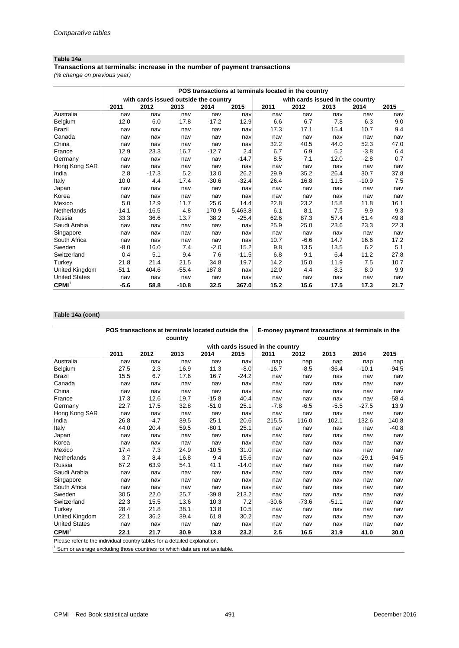### **Table 14a**

### **Transactions at terminals: increase in the number of payment transactions**

*(% change on previous year)*

|                      |         |                                       |         |         |         | POS transactions at terminals located in the country |                                  |      |         |      |
|----------------------|---------|---------------------------------------|---------|---------|---------|------------------------------------------------------|----------------------------------|------|---------|------|
|                      |         | with cards issued outside the country |         |         |         |                                                      | with cards issued in the country |      |         |      |
|                      | 2011    | 2012                                  | 2013    | 2014    | 2015    | 2011                                                 | 2012                             | 2013 | 2014    | 2015 |
| Australia            | nav     | nav                                   | nav     | nav     | nav     | nav                                                  | nav                              | nav  | nav     | nav  |
| <b>Belgium</b>       | 12.0    | 6.0                                   | 17.8    | $-17.2$ | 12.9    | 6.6                                                  | 6.7                              | 7.8  | 6.3     | 9.0  |
| <b>Brazil</b>        | nav     | nav                                   | nav     | nav     | nav     | 17.3                                                 | 17.1                             | 15.4 | 10.7    | 9.4  |
| Canada               | nav     | nav                                   | nav     | nav     | nav     | nav                                                  | nav                              | nav  | nav     | nav  |
| China                | nav     | nav                                   | nav     | nav     | nav     | 32.2                                                 | 40.5                             | 44.0 | 52.3    | 47.0 |
| France               | 12.9    | 23.3                                  | 16.7    | $-12.7$ | 2.4     | 6.7                                                  | 6.9                              | 5.2  | $-3.8$  | 6.4  |
| Germany              | nav     | nav                                   | nav     | nav     | $-14.7$ | 8.5                                                  | 7.1                              | 12.0 | $-2.8$  | 0.7  |
| Hong Kong SAR        | nav     | nav                                   | nav     | nav     | nav     | nav                                                  | nav                              | nav  | nav     | nav  |
| India                | 2.8     | $-17.3$                               | 5.2     | 13.0    | 26.2    | 29.9                                                 | 35.2                             | 26.4 | 30.7    | 37.8 |
| Italy                | 10.0    | 4.4                                   | 17.4    | $-30.6$ | $-32.4$ | 26.4                                                 | 16.8                             | 11.5 | $-10.9$ | 7.5  |
| Japan                | nav     | nav                                   | nav     | nav     | nav     | nav                                                  | nav                              | nav  | nav     | nav  |
| Korea                | nav     | nav                                   | nav     | nav     | nav     | nav                                                  | nav                              | nav  | nav     | nav  |
| Mexico               | 5.0     | 12.9                                  | 11.7    | 25.6    | 14.4    | 22.8                                                 | 23.2                             | 15.8 | 11.8    | 16.1 |
| Netherlands          | $-14.1$ | $-16.5$                               | 4.8     | 170.9   | 5,463.8 | 6.1                                                  | 8.1                              | 7.5  | 9.9     | 9.3  |
| Russia               | 33.3    | 36.6                                  | 13.7    | 38.2    | $-25.4$ | 62.6                                                 | 87.3                             | 57.4 | 61.4    | 49.8 |
| Saudi Arabia         | nav     | nav                                   | nav     | nav     | nav     | 25.9                                                 | 25.0                             | 23.6 | 23.3    | 22.3 |
| Singapore            | nav     | nav                                   | nav     | nav     | nav     | nav                                                  | nav                              | nav  | nav     | nav  |
| South Africa         | nav     | nav                                   | nav     | nav     | nav     | 10.7                                                 | $-6.6$                           | 14.7 | 16.6    | 17.2 |
| Sweden               | $-8.0$  | 16.0                                  | 7.4     | $-2.0$  | 15.2    | 9.8                                                  | 13.5                             | 13.5 | 6.2     | 5.1  |
| Switzerland          | 0.4     | 5.1                                   | 9.4     | 7.6     | $-11.5$ | 6.8                                                  | 9.1                              | 6.4  | 11.2    | 27.8 |
| Turkey               | 21.8    | 21.4                                  | 21.5    | 34.8    | 19.7    | 14.2                                                 | 15.0                             | 11.9 | 7.5     | 10.7 |
| United Kingdom       | $-51.1$ | 404.6                                 | $-55.4$ | 187.8   | nav     | 12.0                                                 | 4.4                              | 8.3  | 8.0     | 9.9  |
| <b>United States</b> | nav     | nav                                   | nav     | nav     | nav     | nav                                                  | nav                              | nav  | nav     | nav  |
| CPMI <sup>1</sup>    | -5.6    | 58.8                                  | $-10.8$ | 32.5    | 367.0   | 15.2                                                 | 15.6                             | 17.5 | 17.3    | 21.7 |

## **Table 14a (cont)**

|                      |      |        |         | POS transactions at terminals located outside the |         | E-money payment transactions at terminals in the |         |         |         |         |  |
|----------------------|------|--------|---------|---------------------------------------------------|---------|--------------------------------------------------|---------|---------|---------|---------|--|
|                      |      |        | country |                                                   |         |                                                  |         | country |         |         |  |
|                      |      |        |         |                                                   |         | with cards issued in the country                 |         |         |         |         |  |
|                      | 2011 | 2012   | 2013    | 2014                                              | 2015    | 2011                                             | 2012    | 2013    | 2014    | 2015    |  |
| Australia            | nav  | nav    | nav     | nav                                               | nav     | nap                                              | nap     | nap     | nap     | nap     |  |
| Belgium              | 27.5 | 2.3    | 16.9    | 11.3                                              | $-8.0$  | $-16.7$                                          | $-8.5$  | $-36.4$ | $-10.1$ | $-94.5$ |  |
| <b>Brazil</b>        | 15.5 | 6.7    | 17.6    | 16.7                                              | $-24.2$ | nav                                              | nav     | nav     | nav     | nav     |  |
| Canada               | nav  | nav    | nav     | nav                                               | nav     | nav                                              | nav     | nav     | nav     | nav     |  |
| China                | nav  | nav    | nav     | nav                                               | nav     | nav                                              | nav     | nav     | nav     | nav     |  |
| France               | 17.3 | 12.6   | 19.7    | $-15.8$                                           | 40.4    | nav                                              | nav     | nav     | nav     | $-58.4$ |  |
| Germany              | 22.7 | 17.5   | 32.8    | $-51.0$                                           | 25.1    | $-7.8$                                           | $-6.5$  | $-5.5$  | $-27.5$ | 13.9    |  |
| Hong Kong SAR        | nav  | nav    | nav     | nav                                               | nav     | nav                                              | nav     | nav     | nav     | nav     |  |
| India                | 26.8 | $-4.7$ | 39.5    | 25.1                                              | 20.6    | 215.5                                            | 116.0   | 102.1   | 132.6   | 140.8   |  |
| Italy                | 44.0 | 20.4   | 59.5    | $-80.1$                                           | 25.1    | nav                                              | nav     | nav     | nav     | $-40.8$ |  |
| Japan                | nav  | nav    | nav     | nav                                               | nav     | nav                                              | nav     | nav     | nav     | nav     |  |
| Korea                | nav  | nav    | nav     | nav                                               | nav     | nav                                              | nav     | nav     | nav     | nav     |  |
| Mexico               | 17.4 | 7.3    | 24.9    | $-10.5$                                           | 31.0    | nav                                              | nav     | nav     | nav     | nav     |  |
| Netherlands          | 3.7  | 8.4    | 16.8    | 9.4                                               | 15.6    | nav                                              | nav     | nav     | $-29.1$ | $-94.5$ |  |
| Russia               | 67.2 | 63.9   | 54.1    | 41.1                                              | $-14.0$ | nav                                              | nav     | nav     | nav     | nav     |  |
| Saudi Arabia         | nav  | nav    | nav     | nav                                               | nav     | nav                                              | nav     | nav     | nav     | nav     |  |
| Singapore            | nav  | nav    | nav     | nav                                               | nav     | nav                                              | nav     | nav     | nav     | nav     |  |
| South Africa         | nav  | nav    | nav     | nav                                               | nav     | nav                                              | nav     | nav     | nav     | nav     |  |
| Sweden               | 30.5 | 22.0   | 25.7    | $-39.8$                                           | 213.2   | nav                                              | nav     | nav     | nav     | nav     |  |
| Switzerland          | 22.3 | 15.5   | 13.6    | 10.3                                              | 7.2     | $-30.6$                                          | $-73.6$ | $-51.1$ | nav     | nav     |  |
| Turkey               | 28.4 | 21.8   | 38.1    | 13.8                                              | 10.5    | nav                                              | nav     | nav     | nav     | nav     |  |
| United Kingdom       | 22.1 | 36.2   | 39.4    | 61.8                                              | 30.2    | nav                                              | nav     | nav     | nav     | nav     |  |
| <b>United States</b> | nav  | nav    | nav     | nav                                               | nav     | nav                                              | nav     | nav     | nav     | nav     |  |
| CPMI <sup>1</sup>    | 22.1 | 21.7   | 30.9    | 13.8                                              | 23.2    | 2.5                                              | 16.5    | 31.9    | 41.0    | 30.0    |  |

Please refer to the individual country tables for a detailed explanation.

 $1$  Sum or average excluding those countries for which data are not available.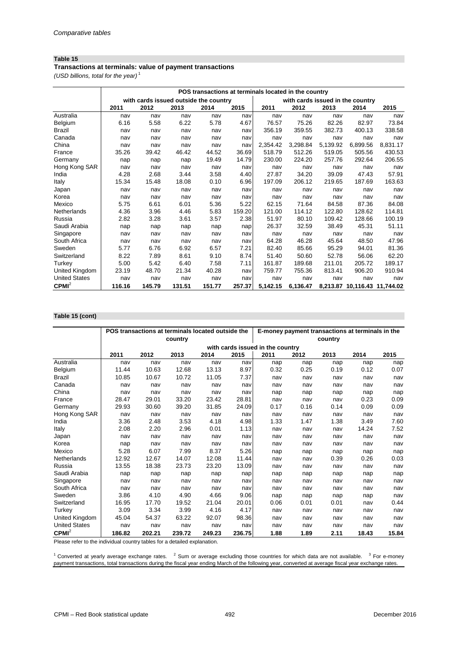### **Table 15**

### **Transactions at terminals: value of payment transactions**

*(USD billions, total for the year)* <sup>1</sup>

|                      |        | with cards issued outside the country |        |        |        |          |          |          | with cards issued in the country |          |
|----------------------|--------|---------------------------------------|--------|--------|--------|----------|----------|----------|----------------------------------|----------|
|                      | 2011   | 2012                                  | 2013   | 2014   | 2015   | 2011     | 2012     | 2013     | 2014                             | 2015     |
| Australia            | nav    | nav                                   | nav    | nav    | nav    | nav      | nav      | nav      | nav                              | nav      |
| <b>Belgium</b>       | 6.16   | 5.58                                  | 6.22   | 5.78   | 4.67   | 76.57    | 75.26    | 82.26    | 82.97                            | 73.84    |
| <b>Brazil</b>        | nav    | nav                                   | nav    | nav    | nav    | 356.19   | 359.55   | 382.73   | 400.13                           | 338.58   |
| Canada               | nav    | nav                                   | nav    | nav    | nav    | nav      | nav      | nav      | nav                              | nav      |
| China                | nav    | nav                                   | nav    | nav    | nav    | 2,354.42 | 3,298.84 | 5,139.92 | 6,899.56                         | 8,831.17 |
| France               | 35.26  | 39.42                                 | 46.42  | 44.52  | 36.69  | 518.79   | 512.26   | 519.05   | 505.56                           | 430.53   |
| Germany              | nap    | nap                                   | nap    | 19.49  | 14.79  | 230.00   | 224.20   | 257.76   | 292.64                           | 206.55   |
| Hong Kong SAR        | nav    | nav                                   | nav    | nav    | nav    | nav      | nav      | nav      | nav                              | nav      |
| India                | 4.28   | 2.68                                  | 3.44   | 3.58   | 4.40   | 27.87    | 34.20    | 39.09    | 47.43                            | 57.91    |
| Italy                | 15.34  | 15.48                                 | 18.08  | 0.10   | 6.96   | 197.09   | 206.12   | 219.65   | 187.69                           | 163.63   |
| Japan                | nav    | nav                                   | nav    | nav    | nav    | nav      | nav      | nav      | nav                              | nav      |
| Korea                | nav    | nav                                   | nav    | nav    | nav    | nav      | nav      | nav      | nav                              | nav      |
| Mexico               | 5.75   | 6.61                                  | 6.01   | 5.36   | 5.22   | 62.15    | 71.64    | 84.58    | 87.36                            | 84.08    |
| Netherlands          | 4.36   | 3.96                                  | 4.46   | 5.83   | 159.20 | 121.00   | 114.12   | 122.80   | 128.62                           | 114.81   |
| Russia               | 2.82   | 3.28                                  | 3.61   | 3.57   | 2.38   | 51.97    | 80.10    | 109.42   | 128.66                           | 100.19   |
| Saudi Arabia         | nap    | nap                                   | nap    | nap    | nap    | 26.37    | 32.59    | 38.49    | 45.31                            | 51.11    |
| Singapore            | nav    | nav                                   | nav    | nav    | nav    | nav      | nav      | nav      | nav                              | nav      |
| South Africa         | nav    | nav                                   | nav    | nav    | nav    | 64.28    | 46.28    | 45.64    | 48.50                            | 47.96    |
| Sweden               | 5.77   | 6.76                                  | 6.92   | 6.57   | 7.21   | 82.40    | 85.66    | 95.29    | 94.01                            | 81.36    |
| Switzerland          | 8.22   | 7.89                                  | 8.61   | 9.10   | 8.74   | 51.40    | 50.60    | 52.78    | 56.06                            | 62.20    |
| Turkey               | 5.00   | 5.42                                  | 6.40   | 7.58   | 7.11   | 161.87   | 189.68   | 211.01   | 205.72                           | 189.17   |
| United Kingdom       | 23.19  | 48.70                                 | 21.34  | 40.28  | nav    | 759.77   | 755.36   | 813.41   | 906.20                           | 910.94   |
| <b>United States</b> | nav    | nav                                   | nav    | nav    | nav    | nav      | nav      | nav      | nav                              | nav      |
| CPMI <sup>2</sup>    | 116.16 | 145.79                                | 131.51 | 151.77 | 257.37 | 5,142.15 | 6,136.47 |          | 8,213.87 10,116.43 11,744.02     |          |

### **Table 15 (cont)**

|                      |        | POS transactions at terminals located outside the |         |        |        |                                  | E-money payment transactions at terminals in the |         |       |       |
|----------------------|--------|---------------------------------------------------|---------|--------|--------|----------------------------------|--------------------------------------------------|---------|-------|-------|
|                      |        |                                                   | country |        |        |                                  |                                                  | country |       |       |
|                      |        |                                                   |         |        |        | with cards issued in the country |                                                  |         |       |       |
|                      | 2011   | 2012                                              | 2013    | 2014   | 2015   | 2011                             | 2012                                             | 2013    | 2014  | 2015  |
| Australia            | nav    | nav                                               | nav     | nav    | nav    | nap                              | nap                                              | nap     | nap   | nap   |
| Belgium              | 11.44  | 10.63                                             | 12.68   | 13.13  | 8.97   | 0.32                             | 0.25                                             | 0.19    | 0.12  | 0.07  |
| <b>Brazil</b>        | 10.85  | 10.67                                             | 10.72   | 11.05  | 7.37   | nav                              | nav                                              | nav     | nav   | nav   |
| Canada               | nav    | nav                                               | nav     | nav    | nav    | nav                              | nav                                              | nav     | nav   | nav   |
| China                | nav    | nav                                               | nav     | nav    | nav    | nap                              | nap                                              | nap     | nap   | nap   |
| France               | 28.47  | 29.01                                             | 33.20   | 23.42  | 28.81  | nav                              | nav                                              | nav     | 0.23  | 0.09  |
| Germany              | 29.93  | 30.60                                             | 39.20   | 31.85  | 24.09  | 0.17                             | 0.16                                             | 0.14    | 0.09  | 0.09  |
| Hong Kong SAR        | nav    | nav                                               | nav     | nav    | nav    | nav                              | nav                                              | nav     | nav   | nav   |
| India                | 3.36   | 2.48                                              | 3.53    | 4.18   | 4.98   | 1.33                             | 1.47                                             | 1.38    | 3.49  | 7.60  |
| Italy                | 2.08   | 2.20                                              | 2.96    | 0.01   | 1.13   | nav                              | nav                                              | nav     | 14.24 | 7.52  |
| Japan                | nav    | nav                                               | nav     | nav    | nav    | nav                              | nav                                              | nav     | nav   | nav   |
| Korea                | nap    | nav                                               | nav     | nav    | nav    | nav                              | nav                                              | nav     | nav   | nav   |
| Mexico               | 5.28   | 6.07                                              | 7.99    | 8.37   | 5.26   | nap                              | nap                                              | nap     | nap   | nap   |
| Netherlands          | 12.92  | 12.67                                             | 14.07   | 12.08  | 11.44  | nav                              | nav                                              | 0.39    | 0.26  | 0.03  |
| Russia               | 13.55  | 18.38                                             | 23.73   | 23.20  | 13.09  | nav                              | nav                                              | nav     | nav   | nav   |
| Saudi Arabia         | nap    | nap                                               | nap     | nap    | nap    | nap                              | nap                                              | nap     | nap   | nap   |
| Singapore            | nav    | nav                                               | nav     | nav    | nav    | nav                              | nav                                              | nav     | nav   | nav   |
| South Africa         | nav    | nav                                               | nav     | nav    | nav    | nav                              | nav                                              | nav     | nav   | nav   |
| Sweden               | 3.86   | 4.10                                              | 4.90    | 4.66   | 9.06   | nap                              | nap                                              | nap     | nap   | nav   |
| Switzerland          | 16.95  | 17.70                                             | 19.52   | 21.04  | 20.01  | 0.06                             | 0.01                                             | 0.01    | nav   | 0.44  |
| Turkey               | 3.09   | 3.34                                              | 3.99    | 4.16   | 4.17   | nav                              | nav                                              | nav     | nav   | nav   |
| United Kingdom       | 45.04  | 54.37                                             | 63.22   | 92.07  | 98.36  | nav                              | nav                                              | nav     | nav   | nav   |
| <b>United States</b> | nav    | nav                                               | nav     | nav    | nav    | nav                              | nav                                              | nav     | nav   | nav   |
| CPMI <sup>2</sup>    | 186.82 | 202.21                                            | 239.72  | 249.23 | 236.75 | 1.88                             | 1.89                                             | 2.11    | 18.43 | 15.84 |

Please refer to the individual country tables for a detailed explanation.

 $1$  Converted at yearly average exchange rates.  $2$  Sum or average excluding those countries for which data are not available.  $3$  For e-money payment transactions, total transactions during the fiscal year ending March of the following year, converted at average fiscal year exchange rates.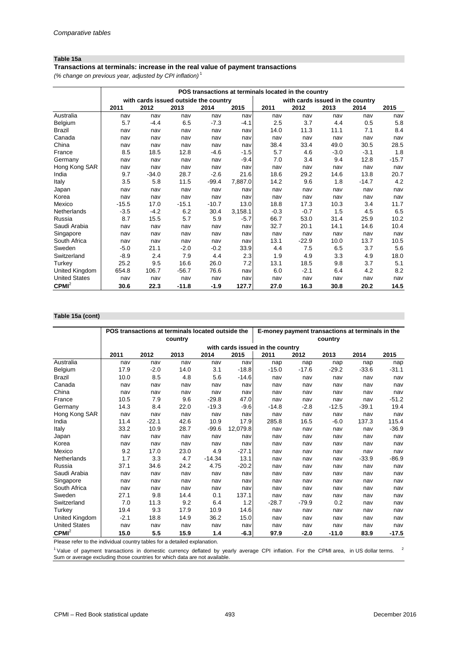### **Table 15a**

### **Transactions at terminals: increase in the real value of payment transactions**

*(% change on previous year, adjusted by CPI inflation)* <sup>1</sup>

|                      |         |                                       |         |         |         | POS transactions at terminals located in the country |                                  |        |         |         |
|----------------------|---------|---------------------------------------|---------|---------|---------|------------------------------------------------------|----------------------------------|--------|---------|---------|
|                      |         | with cards issued outside the country |         |         |         |                                                      | with cards issued in the country |        |         |         |
|                      | 2011    | 2012                                  | 2013    | 2014    | 2015    | 2011                                                 | 2012                             | 2013   | 2014    | 2015    |
| Australia            | nav     | nav                                   | nav     | nav     | nav     | nav                                                  | nav                              | nav    | nav     | nav     |
| Belgium              | 5.7     | $-4.4$                                | 6.5     | $-7.3$  | $-4.1$  | 2.5                                                  | 3.7                              | 4.4    | 0.5     | 5.8     |
| Brazil               | nav     | nav                                   | nav     | nav     | nav     | 14.0                                                 | 11.3                             | 11.1   | 7.1     | 8.4     |
| Canada               | nav     | nav                                   | nav     | nav     | nav     | nav                                                  | nav                              | nav    | nav     | nav     |
| China                | nav     | nav                                   | nav     | nav     | nav     | 38.4                                                 | 33.4                             | 49.0   | 30.5    | 28.5    |
| France               | 8.5     | 18.5                                  | 12.8    | -4.6    | $-1.5$  | 5.7                                                  | 4.6                              | $-3.0$ | $-3.1$  | 1.8     |
| Germany              | nav     | nav                                   | nav     | nav     | $-9.4$  | 7.0                                                  | 3.4                              | 9.4    | 12.8    | $-15.7$ |
| Hong Kong SAR        | nav     | nav                                   | nav     | nav     | nav     | nav                                                  | nav                              | nav    | nav     | nav     |
| India                | 9.7     | $-34.0$                               | 28.7    | $-2.6$  | 21.6    | 18.6                                                 | 29.2                             | 14.6   | 13.8    | 20.7    |
| Italy                | 3.5     | 5.8                                   | 11.5    | $-99.4$ | 7,887.0 | 14.2                                                 | 9.6                              | 1.8    | $-14.7$ | 4.2     |
| Japan                | nav     | nav                                   | nav     | nav     | nav     | nav                                                  | nav                              | nav    | nav     | nav     |
| Korea                | nav     | nav                                   | nav     | nav     | nav     | nav                                                  | nav                              | nav    | nav     | nav     |
| Mexico               | $-15.5$ | 17.0                                  | $-15.1$ | $-10.7$ | 13.0    | 18.8                                                 | 17.3                             | 10.3   | 3.4     | 11.7    |
| Netherlands          | $-3.5$  | $-4.2$                                | 6.2     | 30.4    | 3,158.1 | $-0.3$                                               | $-0.7$                           | 1.5    | 4.5     | 6.5     |
| Russia               | 8.7     | 15.5                                  | 5.7     | 5.9     | $-5.7$  | 66.7                                                 | 53.0                             | 31.4   | 25.9    | 10.2    |
| Saudi Arabia         | nav     | nav                                   | nav     | nav     | nav     | 32.7                                                 | 20.1                             | 14.1   | 14.6    | 10.4    |
| Singapore            | nav     | nav                                   | nav     | nav     | nav     | nav                                                  | nav                              | nav    | nav     | nav     |
| South Africa         | nav     | nav                                   | nav     | nav     | nav     | 13.1                                                 | $-22.9$                          | 10.0   | 13.7    | 10.5    |
| Sweden               | $-5.0$  | 21.1                                  | $-2.0$  | $-0.2$  | 33.9    | 4.4                                                  | 7.5                              | 6.5    | 3.7     | 5.6     |
| Switzerland          | $-8.9$  | 2.4                                   | 7.9     | 4.4     | 2.3     | 1.9                                                  | 4.9                              | 3.3    | 4.9     | 18.0    |
| Turkey               | 25.2    | 9.5                                   | 16.6    | 26.0    | 7.2     | 13.1                                                 | 18.5                             | 9.8    | 3.7     | 5.1     |
| United Kingdom       | 654.8   | 106.7                                 | $-56.7$ | 76.6    | nav     | 6.0                                                  | $-2.1$                           | 6.4    | 4.2     | 8.2     |
| <b>United States</b> | nav     | nav                                   | nav     | nav     | nav     | nav                                                  | nav                              | nav    | nav     | nav     |
| CPMI <sup>2</sup>    | 30.6    | 22.3                                  | $-11.8$ | $-1.9$  | 127.7   | 27.0                                                 | 16.3                             | 30.8   | 20.2    | 14.5    |

## **Table 15a (cont)**

|                      |        | POS transactions at terminals located outside the |         |          |          | E-money payment transactions at terminals in the |         |         |         |         |  |
|----------------------|--------|---------------------------------------------------|---------|----------|----------|--------------------------------------------------|---------|---------|---------|---------|--|
|                      |        |                                                   | country |          |          |                                                  |         | country |         |         |  |
|                      |        |                                                   |         |          |          | with cards issued in the country                 |         |         |         |         |  |
|                      | 2011   | 2012                                              | 2013    | 2014     | 2015     | 2011                                             | 2012    | 2013    | 2014    | 2015    |  |
| Australia            | nav    | nav                                               | nav     | nav      | nav      | nap                                              | nap     | nap     | nap     | nap     |  |
| Belgium              | 17.9   | $-2.0$                                            | 14.0    | 3.1      | $-18.8$  | $-15.0$                                          | $-17.6$ | $-29.2$ | $-33.6$ | $-31.1$ |  |
| <b>Brazil</b>        | 10.0   | 8.5                                               | 4.8     | 5.6      | $-14.6$  | nav                                              | nav     | nav     | nav     | nav     |  |
| Canada               | nav    | nav                                               | nav     | nav      | nav      | nav                                              | nav     | nav     | nav     | nav     |  |
| China                | nav    | nav                                               | nav     | nav      | nav      | nav                                              | nav     | nav     | nav     | nav     |  |
| France               | 10.5   | 7.9                                               | 9.6     | $-29.8$  | 47.0     | nav                                              | nav     | nav     | nav     | $-51.2$ |  |
| Germany              | 14.3   | 8.4                                               | 22.0    | $-19.3$  | $-9.6$   | $-14.8$                                          | $-2.8$  | $-12.5$ | $-39.1$ | 19.4    |  |
| Hong Kong SAR        | nav    | nav                                               | nav     | nav      | nav      | nav                                              | nav     | nav     | nav     | nav     |  |
| India                | 11.4   | $-22.1$                                           | 42.6    | 10.9     | 17.9     | 285.8                                            | 16.5    | $-6.0$  | 137.3   | 115.4   |  |
| Italy                | 33.2   | 10.9                                              | 28.7    | $-99.6$  | 12,079.8 | nav                                              | nav     | nav     | nav     | $-36.9$ |  |
| Japan                | nav    | nav                                               | nav     | nav      | nav      | nav                                              | nav     | nav     | nav     | nav     |  |
| Korea                | nav    | nav                                               | nav     | nav      | nav      | nav                                              | nav     | nav     | nav     | nav     |  |
| Mexico               | 9.2    | 17.0                                              | 23.0    | 4.9      | $-27.1$  | nav                                              | nav     | nav     | nav     | nav     |  |
| Netherlands          | 1.7    | 3.3                                               | 4.7     | $-14.34$ | 13.1     | nav                                              | nav     | nav     | $-33.9$ | $-86.9$ |  |
| Russia               | 37.1   | 34.6                                              | 24.2    | 4.75     | $-20.2$  | nav                                              | nav     | nav     | nav     | nav     |  |
| Saudi Arabia         | nav    | nav                                               | nav     | nav      | nav      | nav                                              | nav     | nav     | nav     | nav     |  |
| Singapore            | nav    | nav                                               | nav     | nav      | nav      | nav                                              | nav     | nav     | nav     | nav     |  |
| South Africa         | nav    | nav                                               | nav     | nav      | nav      | nav                                              | nav     | nav     | nav     | nav     |  |
| Sweden               | 27.1   | 9.8                                               | 14.4    | 0.1      | 137.1    | nav                                              | nav     | nav     | nav     | nav     |  |
| Switzerland          | 7.0    | 11.3                                              | 9.2     | 6.4      | 1.2      | $-28.7$                                          | $-79.9$ | 0.2     | nav     | nav     |  |
| Turkey               | 19.4   | 9.3                                               | 17.9    | 10.9     | 14.6     | nav                                              | nav     | nav     | nav     | nav     |  |
| United Kingdom       | $-2.1$ | 18.8                                              | 14.9    | 36.2     | 15.0     | nav                                              | nav     | nav     | nav     | nav     |  |
| <b>United States</b> | nav    | nav                                               | nav     | nav      | nav      | nav                                              | nav     | nav     | nav     | nav     |  |
| $CPMI^2$             | 15.0   | 5.5                                               | 15.9    | 1.4      | $-6.3$   | 97.9                                             | $-2.0$  | $-11.0$ | 83.9    | $-17.5$ |  |

Please refer to the individual country tables for a detailed explanation.

 $1$  Value of payment transactions in domestic currency deflated by yearly average CPI inflation. For the CPMI area, in US dollar terms.  $2$ Sum or average excluding those countries for which data are not available.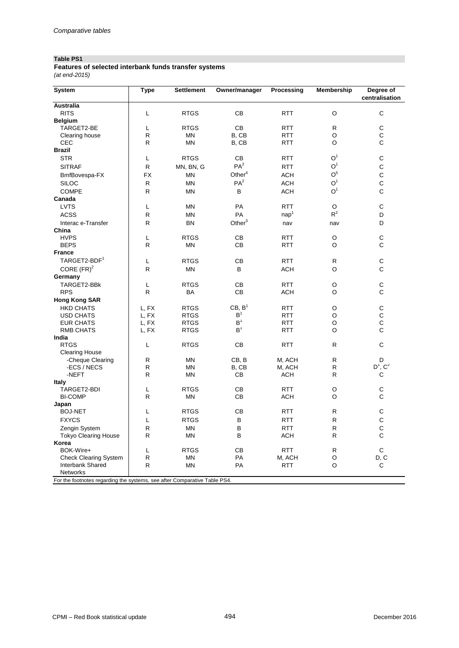# **Table PS1**

| Features of selected interbank funds transfer systems |  |
|-------------------------------------------------------|--|
| (at end-2015)                                         |  |

| <b>System</b>                                                                        | <b>Type</b>  | <b>Settlement</b> | Owner/manager      | Processing       | Membership     | Degree of<br>centralisation |
|--------------------------------------------------------------------------------------|--------------|-------------------|--------------------|------------------|----------------|-----------------------------|
| <b>Australia</b>                                                                     |              |                   |                    |                  |                |                             |
| <b>RITS</b>                                                                          | L            | <b>RTGS</b>       | <b>CB</b>          | <b>RTT</b>       | O              | C                           |
| <b>Belgium</b>                                                                       |              |                   |                    |                  |                |                             |
| TARGET2-BE                                                                           | L            | <b>RTGS</b>       | CB                 | <b>RTT</b>       | $\mathsf{R}$   | C                           |
| Clearing house                                                                       | $\mathsf{R}$ | MN                | B, CB              | <b>RTT</b>       | O              | C                           |
| CEC                                                                                  | R            | <b>MN</b>         | B, CB              | <b>RTT</b>       | O              | C                           |
| <b>Brazil</b>                                                                        |              |                   |                    |                  |                |                             |
| <b>STR</b>                                                                           | L            | <b>RTGS</b>       | CВ                 | <b>RTT</b>       | O <sup>1</sup> | $\mathsf C$                 |
| <b>SITRAF</b>                                                                        | $\mathsf{R}$ | MN, BN, G         | PA <sup>2</sup>    | <b>RTT</b>       | $O^1$          | $\mathsf C$                 |
| BmfBovespa-FX                                                                        | <b>FX</b>    | MN                | Other <sup>4</sup> | <b>ACH</b>       | O <sup>5</sup> | $\mathbf C$                 |
| <b>SILOC</b>                                                                         | $\mathsf{R}$ | <b>MN</b>         | PA <sup>2</sup>    | <b>ACH</b>       | O <sup>1</sup> | $\mathsf C$                 |
| <b>COMPE</b>                                                                         | $\mathsf{R}$ | <b>MN</b>         | В                  | <b>ACH</b>       | O <sup>1</sup> | C                           |
| Canada                                                                               |              |                   |                    |                  |                |                             |
| <b>LVTS</b>                                                                          | L            | MN                | PA                 | <b>RTT</b>       | O              | C                           |
| <b>ACSS</b>                                                                          | $\mathsf{R}$ | MN                | PA                 | nap <sup>1</sup> | $R^2$          | D                           |
| Interac e-Transfer                                                                   | $\mathsf{R}$ | <b>BN</b>         | Other $3$          | nav              | nav            | D                           |
| China                                                                                |              |                   |                    |                  |                |                             |
| <b>HVPS</b>                                                                          | L            | <b>RTGS</b>       | CB                 | <b>RTT</b>       | O              | $\mathsf C$                 |
| <b>BEPS</b>                                                                          | R            | ΜN                | СB                 | <b>RTT</b>       | O              | C                           |
| <b>France</b>                                                                        |              |                   |                    |                  |                |                             |
| TARGET2-BDF <sup>1</sup>                                                             | L            | <b>RTGS</b>       | СB                 | <b>RTT</b>       | R              | C                           |
| CORE $(FR)^2$                                                                        | $\mathsf{R}$ | <b>MN</b>         | B                  | <b>ACH</b>       | $\circ$        | C                           |
| Germany                                                                              |              |                   |                    |                  |                |                             |
| TARGET2-BBK                                                                          | L            | <b>RTGS</b>       | СB                 | <b>RTT</b>       | O              | С                           |
| <b>RPS</b>                                                                           | $\mathsf{R}$ | BA                | CВ                 | ACH              | O              | С                           |
| <b>Hong Kong SAR</b>                                                                 |              |                   |                    |                  |                |                             |
| <b>HKD CHATS</b>                                                                     | L, FX        | <b>RTGS</b>       | CB, B <sup>1</sup> | <b>RTT</b>       | O              | $\mathsf C$                 |
| <b>USD CHATS</b>                                                                     | L, FX        | <b>RTGS</b>       | $B^1$              | <b>RTT</b>       | O              | $\mathsf C$                 |
| <b>EUR CHATS</b>                                                                     | L, FX        | <b>RTGS</b>       | $\mathsf{B}^1$     | <b>RTT</b>       | O              | $\mathsf C$                 |
| <b>RMB CHATS</b>                                                                     | L, FX        | <b>RTGS</b>       | $B^1$              | <b>RTT</b>       | O              | C                           |
| India                                                                                |              |                   |                    |                  |                |                             |
| <b>RTGS</b>                                                                          | L            | <b>RTGS</b>       | СB                 | <b>RTT</b>       | $\mathsf{R}$   | $\mathsf C$                 |
| <b>Clearing House</b>                                                                |              |                   |                    |                  |                |                             |
| -Cheque Clearing                                                                     | $\mathsf{R}$ | MN                | CB, B              | M, ACH           | R              | D                           |
| -ECS / NECS                                                                          | $\mathsf{R}$ | MN                | B, CB              | M, ACH           | $\mathsf{R}$   | $D^1$ , $C^2$               |
| -NEFT                                                                                | $\mathsf{R}$ | MN                | CВ                 | ACH              | R              | С                           |
| <b>Italy</b>                                                                         |              |                   |                    |                  |                |                             |
| TARGET2-BDI                                                                          | L            | <b>RTGS</b>       | <b>CB</b>          | <b>RTT</b>       | O              | C                           |
| <b>BI-COMP</b>                                                                       | $\mathsf{R}$ | MN                | CВ                 | <b>ACH</b>       | O              | C                           |
| Japan                                                                                |              |                   |                    |                  |                |                             |
| <b>BOJ-NET</b>                                                                       | L            | <b>RTGS</b>       | CВ                 | <b>RTT</b>       | R              | С                           |
| <b>FXYCS</b>                                                                         | L            | <b>RTGS</b>       | В                  | <b>RTT</b>       | $\mathsf{R}$   | $\mathsf C$                 |
| Zengin System                                                                        | $\mathsf{R}$ | <b>MN</b>         | B                  | <b>RTT</b>       | R              | $\mathsf C$                 |
| Tokyo Clearing House                                                                 | $\mathsf{R}$ | MN                | B                  | <b>ACH</b>       | R              | C                           |
| Korea                                                                                |              |                   |                    |                  |                |                             |
| BOK-Wire+                                                                            | L            | <b>RTGS</b>       | СB                 | <b>RTT</b>       | R              | C                           |
| <b>Check Clearing System</b>                                                         | $\mathsf{R}$ | MN                | PA                 | M, ACH           | O              | D, C                        |
| Interbank Shared                                                                     | ${\sf R}$    | <b>MN</b>         | PA                 | <b>RTT</b>       | $\circ$        | C                           |
| Networks<br>For the feetpetes regarding the systems, see after Comparative Table BS4 |              |                   |                    |                  |                |                             |

The footnotes regarding the systems, see after Comparative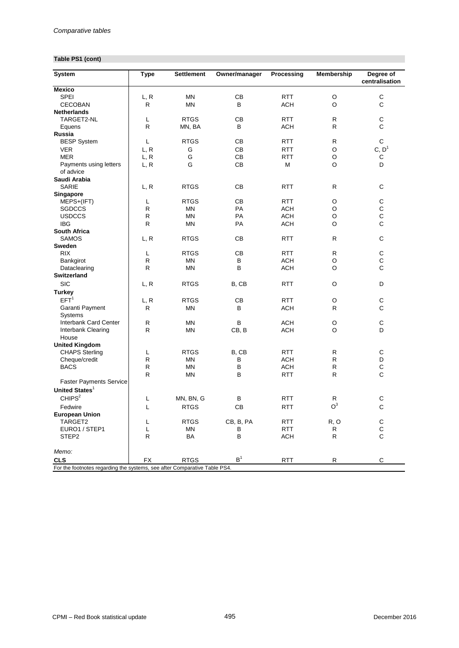## **Table PS1 (cont)**

| <b>System</b>                                                             | <b>Type</b>       | <b>Settlement</b> | Owner/manager  | Processing        | Membership     | Degree of<br>centralisation |
|---------------------------------------------------------------------------|-------------------|-------------------|----------------|-------------------|----------------|-----------------------------|
| <b>Mexico</b>                                                             |                   |                   |                |                   |                |                             |
| SPEI                                                                      | L, R              | ΜN                | CВ             | <b>RTT</b>        | O              | $\mathsf C$                 |
| <b>CECOBAN</b>                                                            | R                 | MN                | B              | <b>ACH</b>        | O              | $\mathsf C$                 |
| <b>Netherlands</b>                                                        |                   |                   |                |                   |                |                             |
| TARGET2-NL                                                                | L                 | <b>RTGS</b>       | CВ             | <b>RTT</b>        | R              | $\mathsf C$                 |
| Equens                                                                    | $\mathsf{R}$      | MN, BA            | B              | <b>ACH</b>        | R              | C                           |
| Russia                                                                    |                   |                   |                |                   |                |                             |
| <b>BESP System</b>                                                        | L                 | <b>RTGS</b>       | СB             | <b>RTT</b>        | $\mathsf{R}$   | C                           |
| <b>VER</b>                                                                | L, R              | G                 | CB             | <b>RTT</b>        | $\circ$        | C, D <sup>1</sup>           |
| <b>MER</b>                                                                | L, R              | G                 | CB             | <b>RTT</b>        | O              | С                           |
| Payments using letters<br>of advice                                       | L, R              | G                 | CB             | M                 | O              | D                           |
| Saudi Arabia                                                              |                   |                   |                |                   |                |                             |
| <b>SARIE</b>                                                              |                   | <b>RTGS</b>       | CВ             | <b>RTT</b>        | R              | C                           |
|                                                                           | L, R              |                   |                |                   |                |                             |
| Singapore<br>MEPS+(IFT)                                                   |                   | <b>RTGS</b>       | CB             | <b>RTT</b>        | O              | $\mathsf C$                 |
|                                                                           | L<br>$\mathsf{R}$ |                   |                |                   |                | $\mathbf C$                 |
| <b>SGDCCS</b>                                                             |                   | ΜN                | PA             | ACH<br><b>ACH</b> | O              | $\mathsf C$                 |
| <b>USDCCS</b>                                                             | R                 | MN                | PA             |                   | O              |                             |
| <b>IBG</b>                                                                | $\mathsf{R}$      | <b>MN</b>         | <b>PA</b>      | <b>ACH</b>        | O              | $\mathsf C$                 |
| South Africa                                                              |                   |                   |                |                   |                |                             |
| <b>SAMOS</b>                                                              | L, R              | <b>RTGS</b>       | CВ             | <b>RTT</b>        | $\mathsf{R}$   | C                           |
| <b>Sweden</b>                                                             |                   |                   |                |                   |                |                             |
| <b>RIX</b>                                                                | L                 | <b>RTGS</b>       | CB             | <b>RTT</b>        | R              | $\mathsf C$                 |
| Bankgirot                                                                 | R                 | ΜN                | в              | <b>ACH</b>        | $\circ$        | $\mathsf{C}$                |
| Dataclearing                                                              | R                 | <b>MN</b>         | в              | <b>ACH</b>        | O              | $\mathsf{C}$                |
| <b>Switzerland</b>                                                        |                   |                   |                |                   |                |                             |
| <b>SIC</b>                                                                | L, R              | <b>RTGS</b>       | B, CB          | <b>RTT</b>        | O              | D                           |
| <b>Turkey</b>                                                             |                   |                   |                |                   |                |                             |
| EFT <sup>1</sup>                                                          | L, R              | <b>RTGS</b>       | CВ             | <b>RTT</b>        | O              | C                           |
| Garanti Payment                                                           | R                 | MN                | В              | ACH               | R              | $\mathsf C$                 |
| <b>Systems</b>                                                            |                   |                   |                |                   |                |                             |
| Interbank Card Center                                                     | R                 | ΜN                | B              | <b>ACH</b>        | O              | C                           |
| Interbank Clearing<br>House                                               | $\mathsf{R}$      | <b>MN</b>         | CB, B          | <b>ACH</b>        | $\circ$        | D                           |
| <b>United Kingdom</b>                                                     |                   |                   |                |                   |                |                             |
| <b>CHAPS Sterling</b>                                                     | L                 | <b>RTGS</b>       | B, CB          | <b>RTT</b>        | R              | $\mathsf C$                 |
| Cheque/credit                                                             | $\mathsf{R}$      | ΜN                | В              | <b>ACH</b>        | R              | D                           |
| <b>BACS</b>                                                               | R                 | <b>MN</b>         | В              | <b>ACH</b>        | R              | $\mathbf C$                 |
|                                                                           | $\mathsf{R}$      | MN                | B              | <b>RTT</b>        | R              | $\mathsf{C}$                |
| <b>Faster Payments Service</b>                                            |                   |                   |                |                   |                |                             |
| United States <sup>1</sup>                                                |                   |                   |                |                   |                |                             |
| CHIPS <sup>2</sup>                                                        |                   |                   |                |                   |                |                             |
|                                                                           | L                 | MN, BN, G         | в              | RTT               | R              | C                           |
| Fedwire                                                                   | L                 | <b>RTGS</b>       | <b>CB</b>      | <b>RTT</b>        | O <sup>3</sup> | $\mathsf{C}$                |
| <b>European Union</b>                                                     |                   |                   |                |                   |                |                             |
| TARGET2                                                                   | L                 | <b>RTGS</b>       | CB, B, PA      | <b>RTT</b>        | R, O           | С                           |
| EURO1 / STEP1                                                             | L                 | MN                | В              | <b>RTT</b>        | R              | $\mathsf C$                 |
| STEP <sub>2</sub>                                                         | R                 | BA                | В              | <b>ACH</b>        | R              | C                           |
| Memo:                                                                     |                   |                   |                |                   |                |                             |
| <b>CLS</b>                                                                | FX                | <b>RTGS</b>       | B <sup>1</sup> | <b>RTT</b>        | R              | С                           |
| For the footnotes regarding the systems, see after Comparative Table PS4. |                   |                   |                |                   |                |                             |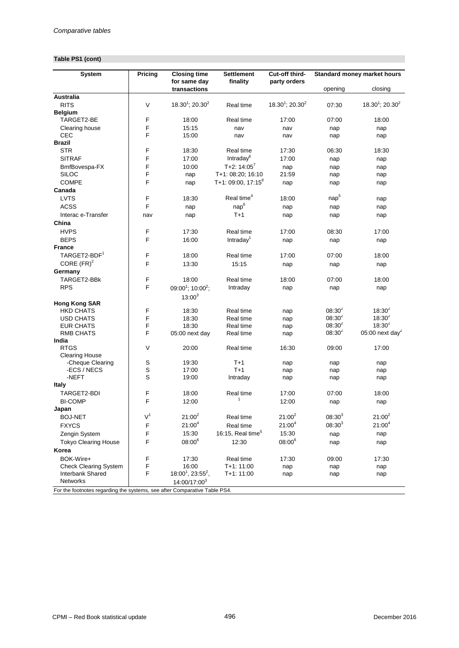## **Table PS1 (cont)**

| <b>System</b>                                                             | Pricing        | <b>Closing time</b><br>for same day       | <b>Settlement</b><br>finality           | Cut-off third-<br>party orders |                  | Standard money market hours    |  |  |
|---------------------------------------------------------------------------|----------------|-------------------------------------------|-----------------------------------------|--------------------------------|------------------|--------------------------------|--|--|
|                                                                           |                | transactions                              |                                         |                                | opening          | closing                        |  |  |
| <b>Australia</b>                                                          |                |                                           |                                         |                                |                  |                                |  |  |
| <b>RITS</b>                                                               | V              | $18.30^1$ ; 20.30 <sup>2</sup>            | Real time                               | $18.30^1$ ; 20.30 <sup>2</sup> | 07:30            | $18.30^1$ ; 20.30 <sup>2</sup> |  |  |
| <b>Belgium</b>                                                            |                |                                           |                                         |                                |                  |                                |  |  |
| TARGET2-BE                                                                | F              | 18:00                                     | Real time                               | 17:00                          | 07:00            | 18:00                          |  |  |
| Clearing house                                                            | F              | 15:15                                     | nav                                     | nav                            | nap              | nap                            |  |  |
| CEC                                                                       | F              | 15:00                                     | nav                                     | nav                            | nap              | nap                            |  |  |
| <b>Brazil</b>                                                             |                |                                           |                                         |                                |                  |                                |  |  |
| <b>STR</b>                                                                | F              | 18:30                                     | Real time                               | 17:30                          | 06:30            | 18:30                          |  |  |
| <b>SITRAF</b>                                                             | F              | 17:00                                     | Intraday <sup>6</sup><br>T+2: $14:05^7$ | 17:00                          | nap              | nap                            |  |  |
| BmfBovespa-FX                                                             | F<br>F         | 10:00                                     |                                         | nap                            | nap              | nap                            |  |  |
| <b>SILOC</b><br><b>COMPE</b>                                              | F              | nap                                       | T+1: 08:20; 16:10                       | 21:59                          | nap              | nap                            |  |  |
| Canada                                                                    |                | nap                                       | T+1: 09:00, 17:15 <sup>8</sup>          | nap                            | nap              | nap                            |  |  |
| <b>LVTS</b>                                                               | F              | 18:30                                     | Real time <sup>4</sup>                  | 18:00                          | nap <sup>5</sup> |                                |  |  |
| <b>ACSS</b>                                                               | F              | nap                                       | nap <sup>6</sup>                        |                                |                  | nap                            |  |  |
| Interac e-Transfer                                                        | nav            |                                           | $T+1$                                   | nap                            | nap              | nap                            |  |  |
| China                                                                     |                | nap                                       |                                         | nap                            | nap              | nap                            |  |  |
| <b>HVPS</b>                                                               | F              | 17:30                                     | Real time                               | 17:00                          | 08:30            | 17:00                          |  |  |
| <b>BEPS</b>                                                               | F              |                                           | Intraday <sup>1</sup>                   |                                |                  |                                |  |  |
| <b>France</b>                                                             |                | 16:00                                     |                                         | nap                            | nap              | nap                            |  |  |
| TARGET2-BDF <sup>1</sup>                                                  | F              | 18:00                                     | Real time                               | 17:00                          | 07:00            | 18:00                          |  |  |
| CORE $(FR)^2$                                                             | F              | 13:30                                     | 15:15                                   |                                |                  |                                |  |  |
| Germany                                                                   |                |                                           |                                         | nap                            | nap              | nap                            |  |  |
| TARGET2-BBk                                                               | F              | 18:00                                     | Real time                               | 18:00                          | 07:00            | 18:00                          |  |  |
| <b>RPS</b>                                                                | F              | 09:00 <sup>1</sup> ; 10:00 <sup>2</sup> ; | Intraday                                | nap                            | nap              | nap                            |  |  |
|                                                                           |                | $13:00^{3}$                               |                                         |                                |                  |                                |  |  |
| <b>Hong Kong SAR</b>                                                      |                |                                           |                                         |                                |                  |                                |  |  |
| <b>HKD CHATS</b>                                                          | F              | 18:30                                     | Real time                               | nap                            | $08:30^{2}$      | $18:30^{2}$                    |  |  |
| <b>USD CHATS</b>                                                          | F              | 18:30                                     | Real time                               | nap                            | $08:30^{2}$      | $18:30^{2}$                    |  |  |
| <b>EUR CHATS</b>                                                          | F              | 18:30                                     | Real time                               | nap                            | $08:30^{2}$      | $18:30^{2}$                    |  |  |
| <b>RMB CHATS</b>                                                          | F              | 05:00 next day                            | Real time                               | nap                            | $08:30^{2}$      | 05:00 next day <sup>2</sup>    |  |  |
| India                                                                     |                |                                           |                                         |                                |                  |                                |  |  |
| <b>RTGS</b>                                                               | V              | 20:00                                     | Real time                               | 16:30                          | 09:00            | 17:00                          |  |  |
| <b>Clearing House</b><br>-Cheque Clearing                                 | $\mathbb S$    | 19:30                                     | $T+1$                                   |                                |                  |                                |  |  |
| -ECS / NECS                                                               | $\mathsf S$    | 17:00                                     | $T+1$                                   | nap<br>nap                     | nap<br>nap       | nap<br>nap                     |  |  |
| -NEFT                                                                     | $\mathsf S$    | 19:00                                     | Intraday                                | nap                            | nap              | nap                            |  |  |
| Italy                                                                     |                |                                           |                                         |                                |                  |                                |  |  |
| TARGET2-BDI                                                               | F              | 18:00                                     | Real time                               | 17:00                          | 07:00            | 18:00                          |  |  |
| <b>BI-COMP</b>                                                            | F              | 12:00                                     | 1                                       | 12:00                          | nap              | nap                            |  |  |
| Japan                                                                     |                |                                           |                                         |                                |                  |                                |  |  |
| <b>BOJ-NET</b>                                                            | V <sup>1</sup> | $21:00^2$                                 | Real time                               | $21:00^2$                      | $08:30^{3}$      | $21:00^2$                      |  |  |
| <b>FXYCS</b>                                                              | F              | $21:00^{4}$                               | Real time                               | $21:00^{4}$                    | $08:30^{3}$      | $21:00^{4}$                    |  |  |
| Zengin System                                                             | F              | 15:30                                     | 16:15, Real time $5$                    | 15:30                          | nap              | nap                            |  |  |
| <b>Tokyo Clearing House</b>                                               | F              | $08:00^{6}$                               | 12:30                                   | $08:00^{6}$                    | nap              | nap                            |  |  |
| Korea                                                                     |                |                                           |                                         |                                |                  |                                |  |  |
| BOK-Wire+                                                                 | F              | 17:30                                     | Real time                               | 17:30                          | 09:00            | 17:30                          |  |  |
| <b>Check Clearing System</b>                                              | F              | 16:00                                     | T+1: 11:00                              | nap                            | nap              | nap                            |  |  |
| Interbank Shared                                                          | F              | $18:00^1$ , 23:55 <sup>2</sup> ,          | T+1: 11:00                              | nap                            | nap              | nap                            |  |  |
| <b>Networks</b>                                                           |                | 14:00/17:003                              |                                         |                                |                  |                                |  |  |
| For the footnotes regarding the systems, see after Comparative Table PS4. |                |                                           |                                         |                                |                  |                                |  |  |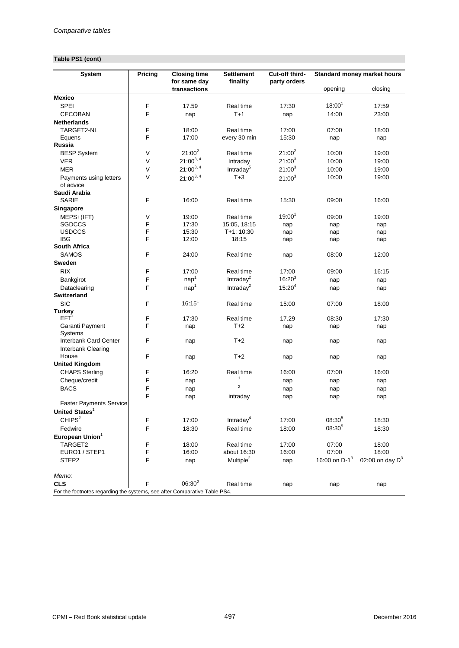## **Table PS1 (cont)**

| <b>System</b>                                                             | Pricing | <b>Closing time</b><br>for same day | <b>Settlement</b><br>finality | Cut-off third-<br>party orders |                  | Standard money market hours |  |  |
|---------------------------------------------------------------------------|---------|-------------------------------------|-------------------------------|--------------------------------|------------------|-----------------------------|--|--|
|                                                                           |         | transactions                        |                               |                                | opening          | closing                     |  |  |
| <b>Mexico</b>                                                             |         |                                     |                               |                                |                  |                             |  |  |
| SPEI                                                                      | F       | 17.59                               | Real time                     | 17:30                          | $18:00^{1}$      | 17:59                       |  |  |
| <b>CECOBAN</b>                                                            | F       | nap                                 | $T+1$                         | nap                            | 14:00            | 23:00                       |  |  |
| <b>Netherlands</b>                                                        |         |                                     |                               |                                |                  |                             |  |  |
| TARGET2-NL                                                                | F       | 18:00                               | Real time                     | 17:00                          | 07:00            | 18:00                       |  |  |
| Equens                                                                    | F       | 17:00                               | every 30 min                  | 15:30                          | nap              | nap                         |  |  |
| Russia<br><b>BESP System</b>                                              | V       | $21:00^2$                           | Real time                     | $21:00^2$                      | 10:00            | 19:00                       |  |  |
| <b>VER</b>                                                                | V       | $21:00^{3,4}$                       | Intraday                      | $21:00^3$                      | 10:00            | 19:00                       |  |  |
| <b>MER</b>                                                                | $\vee$  | $21:00^{3,4}$                       | Intraday <sup>5</sup>         | $21:00^3$                      |                  |                             |  |  |
|                                                                           | V       |                                     | $T+3$                         |                                | 10:00<br>10:00   | 19:00<br>19:00              |  |  |
| Payments using letters<br>of advice                                       |         | $21:00^{3,4}$                       |                               | $21:00^{3}$                    |                  |                             |  |  |
| Saudi Arabia                                                              | F       |                                     |                               |                                |                  |                             |  |  |
| <b>SARIE</b>                                                              |         | 16:00                               | Real time                     | 15:30                          | 09:00            | 16:00                       |  |  |
| Singapore                                                                 |         |                                     |                               |                                |                  |                             |  |  |
| MEPS+(IFT)                                                                | V<br>F  | 19:00                               | Real time                     | $19:00^{1}$                    | 09:00            | 19:00                       |  |  |
| SGDCCS<br><b>USDCCS</b>                                                   | F       | 17:30<br>15:30                      | 15:05, 18:15<br>T+1: 10:30    | nap<br>nap                     | nap              | nap<br>nap                  |  |  |
| <b>IBG</b>                                                                | F       | 12:00                               | 18:15                         | nap                            | nap<br>nap       | nap                         |  |  |
| <b>South Africa</b>                                                       |         |                                     |                               |                                |                  |                             |  |  |
| <b>SAMOS</b>                                                              | F       | 24:00                               | Real time                     | nap                            | 08:00            | 12:00                       |  |  |
| Sweden                                                                    |         |                                     |                               |                                |                  |                             |  |  |
| <b>RIX</b>                                                                | F       | 17:00                               | Real time                     | 17:00                          | 09:00            | 16:15                       |  |  |
| Bankgirot                                                                 | F       | nap <sup>1</sup>                    | Intraday <sup>2</sup>         | $16:20^{3}$                    | nap              | nap                         |  |  |
| Dataclearing                                                              | F       | nap <sup>1</sup>                    | Intraday <sup>2</sup>         | $15:20^{4}$                    | nap              | nap                         |  |  |
| <b>Switzerland</b>                                                        |         |                                     |                               |                                |                  |                             |  |  |
| <b>SIC</b>                                                                | F       | $16:15^{1}$                         | Real time                     | 15:00                          | 07:00            | 18:00                       |  |  |
| <b>Turkey</b>                                                             |         |                                     |                               |                                |                  |                             |  |  |
| $EFT$ <sup>1</sup>                                                        | F       | 17:30                               | Real time                     | 17.29                          | 08:30            | 17:30                       |  |  |
| Garanti Payment                                                           | F       | nap                                 | $T+2$                         | nap                            | nap              | nap                         |  |  |
| <b>Systems</b>                                                            |         |                                     |                               |                                |                  |                             |  |  |
| <b>Interbank Card Center</b>                                              | F       | nap                                 | $T+2$                         | nap                            | nap              | nap                         |  |  |
| Interbank Clearing                                                        |         |                                     |                               |                                |                  |                             |  |  |
| House                                                                     | F       | nap                                 | $T+2$                         | nap                            | nap              | nap                         |  |  |
| <b>United Kingdom</b>                                                     |         |                                     |                               |                                |                  |                             |  |  |
| <b>CHAPS Sterling</b>                                                     | F       | 16:20                               | Real time                     | 16:00                          | 07:00            | 16:00                       |  |  |
| Cheque/credit                                                             | F       | nap                                 | 1                             | nap                            | nap              | nap                         |  |  |
| <b>BACS</b>                                                               | F       | nap                                 | $\overline{c}$                | nap                            | nap              | nap                         |  |  |
|                                                                           | F       | nap                                 | intraday                      | nap                            | nap              | nap                         |  |  |
| <b>Faster Payments Service</b>                                            |         |                                     |                               |                                |                  |                             |  |  |
| United States $1$                                                         |         |                                     |                               |                                |                  |                             |  |  |
| CHIPS <sup>2</sup>                                                        | F       | 17:00                               | Intraday <sup>4</sup>         | 17:00                          | $08:30^{5}$      | 18:30                       |  |  |
| Fedwire                                                                   | F       | 18:30                               | Real time                     | 18:00                          | 08:305           | 18:30                       |  |  |
| European Union <sup>1</sup>                                               |         |                                     |                               |                                |                  |                             |  |  |
| TARGET2                                                                   | F       | 18:00                               | Real time                     | 17:00                          | 07:00            | 18:00                       |  |  |
| EURO1 / STEP1                                                             | F       | 16:00                               | about 16:30                   | 16:00                          | 07:00            | 18:00                       |  |  |
| STEP <sub>2</sub>                                                         | F       | nap                                 | Multiple <sup>2</sup>         | nap                            | 16:00 on $D-1^3$ | 02:00 on day $D^3$          |  |  |
| Memo:                                                                     |         |                                     |                               |                                |                  |                             |  |  |
| <b>CLS</b>                                                                | F       | $06:30^{2}$                         | Real time                     | nap                            | nap              | nap                         |  |  |
| For the footnotes regarding the systems, see after Comparative Table PS4. |         |                                     |                               |                                |                  |                             |  |  |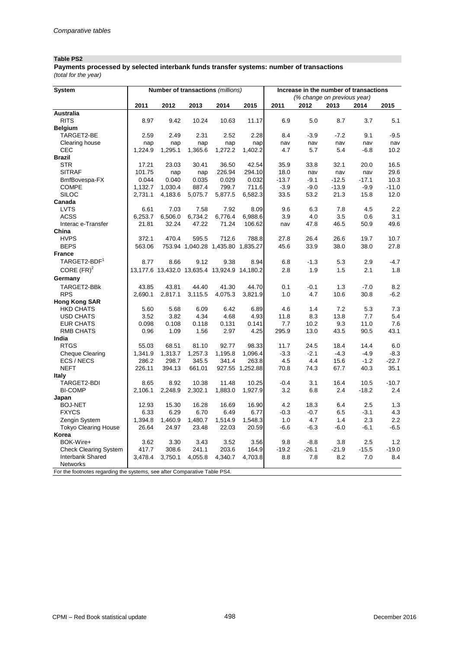# **Table PS2**

*(total for the year)* **Payments processed by selected interbank funds transfer systems: number of transactions** 

| <b>System</b>                                                             |         |         |         | Number of transactions (millions)            |                 | Increase in the number of transactions |                             |         |         |         |
|---------------------------------------------------------------------------|---------|---------|---------|----------------------------------------------|-----------------|----------------------------------------|-----------------------------|---------|---------|---------|
|                                                                           |         |         |         |                                              |                 |                                        | (% change on previous year) |         |         |         |
|                                                                           | 2011    | 2012    | 2013    | 2014                                         | 2015            | 2011                                   | 2012                        | 2013    | 2014    | 2015    |
| Australia                                                                 |         |         |         |                                              |                 |                                        |                             |         |         |         |
| <b>RITS</b>                                                               | 8.97    | 9.42    | 10.24   | 10.63                                        | 11.17           | 6.9                                    | 5.0                         | 8.7     | 3.7     | 5.1     |
| <b>Belgium</b>                                                            |         |         |         |                                              |                 |                                        |                             |         |         |         |
| TARGET2-BE                                                                | 2.59    | 2.49    | 2.31    | 2.52                                         | 2.28            | 8.4                                    | $-3.9$                      | $-7.2$  | 9.1     | $-9.5$  |
| Clearing house                                                            | nap     | nap     | nap     | nap                                          | nap             | nav                                    | nav                         | nav     | nav     | nav     |
| CEC                                                                       | 1,224.9 | 1,295.1 | 1,365.6 | 1,272.2                                      | 1,402.2         | 4.7                                    | 5.7                         | 5.4     | $-6.8$  | 10.2    |
| <b>Brazil</b>                                                             |         |         |         |                                              |                 |                                        |                             |         |         |         |
| <b>STR</b>                                                                | 17.21   | 23.03   | 30.41   | 36.50                                        | 42.54           | 35.9                                   | 33.8                        | 32.1    | 20.0    | 16.5    |
| <b>SITRAF</b>                                                             | 101.75  | nap     | nap     | 226.94                                       | 294.10          | 18.0                                   | nav                         | nav     | nav     | 29.6    |
| BmfBovespa-FX                                                             | 0.044   | 0.040   | 0.035   | 0.029                                        | 0.032           | $-13.7$                                | $-9.1$                      | $-12.5$ | $-17.1$ | 10.3    |
| <b>COMPE</b>                                                              | 1,132.7 | 1,030.4 | 887.4   | 799.7                                        | 711.6           | $-3.9$                                 | $-9.0$                      | $-13.9$ | $-9.9$  | $-11.0$ |
| <b>SILOC</b>                                                              | 2,731.1 | 4,183.6 | 5,075.7 | 5,877.5                                      | 6,582.3         | 33.5                                   | 53.2                        | 21.3    | 15.8    | 12.0    |
| Canada                                                                    |         |         |         |                                              |                 |                                        |                             |         |         |         |
| <b>LVTS</b>                                                               | 6.61    | 7.03    | 7.58    | 7.92                                         | 8.09            | 9.6                                    | 6.3                         | 7.8     | 4.5     | 2.2     |
| <b>ACSS</b>                                                               | 6,253.7 | 6,506.0 | 6,734.2 | 6,776.4                                      | 6,988.6         | 3.9                                    | 4.0                         | 3.5     | 0.6     | 3.1     |
| Interac e-Transfer                                                        | 21.81   | 32.24   | 47.22   | 71.24                                        | 106.62          | nav                                    | 47.8                        | 46.5    | 50.9    | 49.6    |
| China                                                                     |         |         |         |                                              |                 |                                        |                             |         |         |         |
| <b>HVPS</b>                                                               | 372.1   | 470.4   | 595.5   | 712.6                                        | 788.8           | 27.8                                   | 26.4                        | 26.6    | 19.7    | 10.7    |
| <b>BEPS</b>                                                               | 563.06  |         |         | 753.94 1,040.28 1,435.80 1,835.27            |                 | 45.6                                   | 33.9                        | 38.0    | 38.0    | 27.8    |
| <b>France</b>                                                             |         |         |         |                                              |                 |                                        |                             |         |         |         |
| TARGET2-BDF <sup>1</sup>                                                  | 8.77    | 8.66    | 9.12    | 9.38                                         | 8.94            | 6.8                                    | $-1.3$                      | 5.3     | 2.9     | $-4.7$  |
| CORE $(FR)^2$                                                             |         |         |         | 13,177.6 13,432.0 13,635.4 13,924.9 14,180.2 |                 | 2.8                                    | 1.9                         | 1.5     | 2.1     | 1.8     |
| Germany                                                                   |         |         |         |                                              |                 |                                        |                             |         |         |         |
| TARGET2-BBk                                                               | 43.85   | 43.81   | 44.40   | 41.30                                        | 44.70           | 0.1                                    | $-0.1$                      | 1.3     | $-7.0$  | 8.2     |
| <b>RPS</b>                                                                | 2,690.1 | 2,817.1 | 3,115.5 | 4,075.3                                      | 3,821.9         | 1.0                                    | 4.7                         | 10.6    | 30.8    | $-6.2$  |
| <b>Hong Kong SAR</b>                                                      |         |         |         |                                              |                 |                                        |                             |         |         |         |
| <b>HKD CHATS</b>                                                          | 5.60    | 5.68    | 6.09    | 6.42                                         | 6.89            | 4.6                                    | 1.4                         | 7.2     | 5.3     | 7.3     |
| <b>USD CHATS</b>                                                          | 3.52    | 3.82    | 4.34    | 4.68                                         | 4.93            | 11.8                                   | 8.3                         | 13.8    | 7.7     | 5.4     |
| <b>EUR CHATS</b>                                                          | 0.098   | 0.108   | 0.118   | 0.131                                        | 0.141           | 7.7                                    | 10.2                        | 9.3     | 11.0    | 7.6     |
| <b>RMB CHATS</b>                                                          | 0.96    | 1.09    | 1.56    | 2.97                                         | 4.25            | 295.9                                  | 13.0                        | 43.5    | 90.5    | 43.1    |
| India                                                                     |         |         |         |                                              |                 |                                        |                             |         |         |         |
| <b>RTGS</b>                                                               | 55.03   | 68.51   | 81.10   | 92.77                                        | 98.33           | 11.7                                   | 24.5                        | 18.4    | 14.4    | 6.0     |
| <b>Cheque Clearing</b>                                                    | 1,341.9 | 1,313.7 | 1,257.3 | 1,195.8                                      | 1,096.4         | $-3.3$                                 | $-2.1$                      | $-4.3$  | $-4.9$  | $-8.3$  |
| ECS / NECS                                                                | 286.2   | 298.7   | 345.5   | 341.4                                        | 263.8           | 4.5                                    | 4.4                         | 15.6    | $-1.2$  | $-22.7$ |
| <b>NEFT</b>                                                               | 226.11  | 394.13  | 661.01  |                                              | 927.55 1,252.88 | 70.8                                   | 74.3                        | 67.7    | 40.3    | 35.1    |
| <b>Italy</b>                                                              |         |         |         |                                              |                 |                                        |                             |         |         |         |
| TARGET2-BDI                                                               | 8.65    | 8.92    | 10.38   | 11.48                                        | 10.25           | $-0.4$                                 | 3.1                         | 16.4    | 10.5    | $-10.7$ |
| <b>BI-COMP</b>                                                            | 2,106.1 | 2,248.9 | 2,302.1 | 1,883.0                                      | 1,927.9         | 3.2                                    | 6.8                         | 2.4     | $-18.2$ | 2.4     |
| Japan                                                                     |         |         |         |                                              |                 |                                        |                             |         |         |         |
| <b>BOJ-NET</b>                                                            | 12.93   | 15.30   | 16.28   | 16.69                                        | 16.90           | 4.2                                    | 18.3                        | 6.4     | 2.5     | 1.3     |
| <b>FXYCS</b>                                                              | 6.33    | 6.29    | 6.70    | 6.49                                         | 6.77            | $-0.3$                                 | $-0.7$                      | 6.5     | $-3.1$  | 4.3     |
| Zengin System                                                             | 1,394.8 | 1,460.9 | 1,480.7 | 1,514.9                                      | 1,548.3         | 1.0                                    | 4.7                         | 1.4     | 2.3     | 2.2     |
| <b>Tokyo Clearing House</b>                                               | 26.64   | 24.97   | 23.48   | 22.03                                        | 20.59           | $-6.6$                                 | $-6.3$                      | $-6.0$  | $-6.1$  | $-6.5$  |
| Korea                                                                     |         |         |         |                                              |                 |                                        |                             |         |         |         |
| BOK-Wire+                                                                 | 3.62    | 3.30    | 3.43    | 3.52                                         | 3.56            | 9.8                                    | $-8.8$                      | 3.8     | 2.5     | 1.2     |
| <b>Check Clearing System</b>                                              | 417.7   | 308.6   | 241.1   | 203.6                                        | 164.9           | $-19.2$                                | $-26.1$                     | $-21.9$ | $-15.5$ | $-19.0$ |
| <b>Interbank Shared</b>                                                   | 3,478.4 | 3,750.1 | 4,055.8 | 4,340.7                                      | 4,703.8         | 8.8                                    | 7.8                         | 8.2     | 7.0     | 8.4     |
| <b>Networks</b>                                                           |         |         |         |                                              |                 |                                        |                             |         |         |         |
| For the footnotes regarding the systems, see after Comparative Table PS4. |         |         |         |                                              |                 |                                        |                             |         |         |         |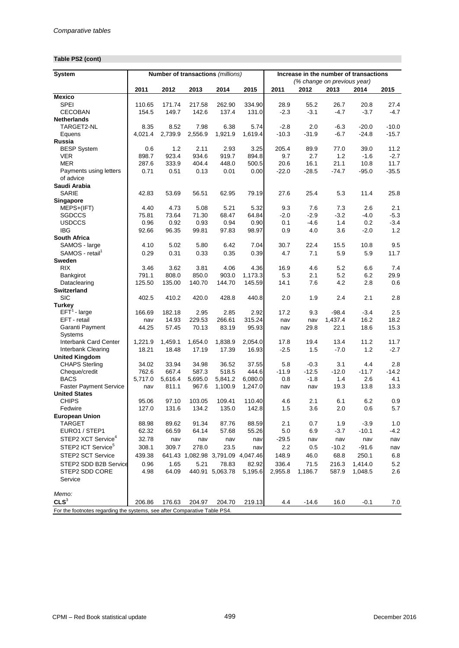## **Table PS2 (cont)**

| <b>System</b>                                                             |         |                 |                 | Number of transactions (millions) |                 | Increase in the number of transactions |                             |                  |                    |                    |
|---------------------------------------------------------------------------|---------|-----------------|-----------------|-----------------------------------|-----------------|----------------------------------------|-----------------------------|------------------|--------------------|--------------------|
|                                                                           |         |                 |                 |                                   |                 |                                        | (% change on previous year) |                  |                    |                    |
|                                                                           | 2011    | 2012            | 2013            | 2014                              | 2015            | 2011                                   | 2012                        | 2013             | 2014               | 2015               |
| <b>Mexico</b>                                                             |         |                 |                 |                                   |                 |                                        |                             |                  |                    |                    |
| <b>SPEI</b>                                                               | 110.65  | 171.74          | 217.58          | 262.90                            | 334.90          | 28.9                                   | 55.2                        | 26.7             | 20.8               | 27.4               |
| <b>CECOBAN</b>                                                            | 154.5   | 149.7           | 142.6           | 137.4                             | 131.0           | $-2.3$                                 | $-3.1$                      | $-4.7$           | $-3.7$             | $-4.7$             |
| <b>Netherlands</b>                                                        |         |                 |                 |                                   |                 |                                        |                             |                  |                    |                    |
| TARGET2-NL                                                                | 8.35    | 8.52<br>2,739.9 | 7.98<br>2,556.9 | 6.38<br>1,921.9                   | 5.74<br>1,619.4 | $-2.8$<br>$-10.3$                      | 2.0<br>$-31.9$              | $-6.3$<br>$-6.7$ | $-20.0$<br>$-24.8$ | $-10.0$<br>$-15.7$ |
| Equens<br><b>Russia</b>                                                   | 4,021.4 |                 |                 |                                   |                 |                                        |                             |                  |                    |                    |
| <b>BESP System</b>                                                        | 0.6     | 1.2             | 2.11            | 2.93                              | 3.25            | 205.4                                  | 89.9                        | 77.0             | 39.0               | 11.2               |
| <b>VER</b>                                                                | 898.7   | 923.4           | 934.6           | 919.7                             | 894.8           | 9.7                                    | 2.7                         | 1.2              | $-1.6$             | $-2.7$             |
| <b>MER</b>                                                                | 287.6   | 333.9           | 404.4           | 448.0                             | 500.5           | 20.6                                   | 16.1                        | 21.1             | 10.8               | 11.7               |
| Payments using letters                                                    | 0.71    | 0.51            | 0.13            | 0.01                              | 0.00            | $-22.0$                                | $-28.5$                     | $-74.7$          | $-95.0$            | $-35.5$            |
| of advice                                                                 |         |                 |                 |                                   |                 |                                        |                             |                  |                    |                    |
| Saudi Arabia                                                              |         |                 |                 |                                   |                 |                                        |                             |                  |                    |                    |
| <b>SARIE</b>                                                              | 42.83   | 53.69           | 56.51           | 62.95                             | 79.19           | 27.6                                   | 25.4                        | 5.3              | 11.4               | 25.8               |
| Singapore                                                                 |         |                 |                 |                                   |                 |                                        |                             |                  |                    |                    |
| MEPS+(IFT)                                                                | 4.40    | 4.73            | 5.08            | 5.21                              | 5.32            | 9.3                                    | 7.6                         | 7.3              | 2.6                | 2.1                |
| <b>SGDCCS</b>                                                             | 75.81   | 73.64           | 71.30           | 68.47                             | 64.84           | $-2.0$                                 | $-2.9$                      | $-3.2$           | $-4.0$             | $-5.3$             |
| <b>USDCCS</b>                                                             | 0.96    | 0.92            | 0.93            | 0.94                              | 0.90            | 0.1                                    | $-4.6$                      | 1.4              | 0.2                | $-3.4$             |
| <b>IBG</b>                                                                | 92.66   | 96.35           | 99.81           | 97.83                             | 98.97           | 0.9                                    | 4.0                         | 3.6              | $-2.0$             | 1.2                |
| South Africa                                                              |         |                 |                 |                                   |                 |                                        |                             |                  |                    |                    |
| SAMOS - large                                                             | 4.10    | 5.02            | 5.80            | 6.42                              | 7.04            | 30.7                                   | 22.4                        | 15.5             | 10.8               | 9.5                |
| SAMOS - retail                                                            | 0.29    | 0.31            | 0.33            | 0.35                              | 0.39            | 4.7                                    | 7.1                         | 5.9              | 5.9                | 11.7               |
| Sweden                                                                    |         |                 |                 |                                   |                 |                                        |                             |                  |                    |                    |
| <b>RIX</b>                                                                | 3.46    | 3.62            | 3.81            | 4.06                              | 4.36            | 16.9                                   | 4.6                         | 5.2              | 6.6                | 7.4                |
| Bankgirot                                                                 | 791.1   | 808.0           | 850.0           | 903.0                             | 1,173.3         | 5.3                                    | 2.1                         | 5.2              | 6.2                | 29.9               |
| Dataclearing                                                              | 125.50  | 135.00          | 140.70          | 144.70                            | 145.59          | 14.1                                   | 7.6                         | 4.2              | 2.8                | 0.6                |
| <b>Switzerland</b>                                                        |         |                 |                 |                                   |                 |                                        |                             |                  |                    |                    |
| <b>SIC</b>                                                                | 402.5   | 410.2           | 420.0           | 428.8                             | 440.8           | 2.0                                    | 1.9                         | 2.4              | 2.1                | 2.8                |
| Turkey                                                                    |         |                 |                 |                                   |                 |                                        |                             |                  |                    |                    |
| $EFT1$ - large                                                            | 166.69  | 182.18          | 2.95            | 2.85                              | 2.92            | 17.2                                   | 9.3                         | $-98.4$          | $-3.4$             | 2.5                |
| EFT - retail                                                              | nav     | 14.93           | 229.53          | 266.61                            | 315.24          | nav                                    | nav                         | 1,437.4          | 16.2               | 18.2               |
| Garanti Payment                                                           | 44.25   | 57.45           | 70.13           | 83.19                             | 95.93           | nav                                    | 29.8                        | 22.1             | 18.6               | 15.3               |
| <b>Systems</b>                                                            |         |                 |                 |                                   |                 |                                        |                             |                  |                    |                    |
| <b>Interbank Card Center</b>                                              | 1,221.9 | 1,459.1         | 1,654.0         | 1,838.9                           | 2,054.0         | 17.8                                   | 19.4                        | 13.4             | 11.2               | 11.7               |
| Interbank Clearing                                                        | 18.21   | 18.48           | 17.19           | 17.39                             | 16.93           | $-2.5$                                 | 1.5                         | $-7.0$           | 1.2                | $-2.7$             |
| <b>United Kingdom</b>                                                     |         |                 |                 |                                   |                 |                                        |                             |                  |                    |                    |
| <b>CHAPS Sterling</b>                                                     | 34.02   | 33.94           | 34.98           | 36.52                             | 37.55           | 5.8                                    | $-0.3$                      | 3.1              | 4.4                | 2.8                |
| Cheque/credit                                                             | 762.6   | 667.4           | 587.3           | 518.5                             | 444.6           | $-11.9$                                | $-12.5$                     | $-12.0$          | $-11.7$            | $-14.2$            |
| <b>BACS</b>                                                               | 5,717.0 | 5,616.4         | 5,695.0         | 5,841.2                           | 6,080.0         | 0.8                                    | $-1.8$                      | 1.4              | 2.6                | 4.1                |
| <b>Faster Payment Service</b>                                             | nav     | 811.1           | 967.6           | 1,100.9                           | 1,247.0         | nav                                    | nav                         | 19.3             | 13.8               | 13.3               |
| <b>United States</b>                                                      |         |                 |                 |                                   |                 |                                        |                             |                  |                    |                    |
| <b>CHIPS</b>                                                              | 95.06   | 97.10           | 103.05          | 109.41                            | 110.40          | 4.6                                    | 2.1                         | 6.1              | 6.2                | 0.9                |
| Fedwire                                                                   | 127.0   | 131.6           | 134.2           | 135.0                             | 142.8           | 1.5                                    | 3.6                         | 2.0              | 0.6                | 5.7                |
| <b>European Union</b>                                                     |         |                 |                 |                                   |                 |                                        |                             |                  |                    |                    |
| <b>TARGET</b><br>EURO1 / STEP1                                            | 88.98   | 89.62           | 91.34           | 87.76<br>57.68                    | 88.59<br>55.26  | 2.1                                    | 0.7                         | 1.9<br>$-3.7$    | $-3.9$             | 1.0                |
|                                                                           | 62.32   | 66.59           | 64.14           |                                   |                 | $5.0\,$                                | 6.9                         |                  | $-10.1$            | $-4.2$             |
| STEP2 XCT Service <sup>4</sup>                                            | 32.78   | nav             | nav             | nav                               | nav             | $-29.5$                                | nav                         | nav              | nav                | nav                |
| STEP2 ICT Service <sup>5</sup>                                            | 308.1   | 309.7           | 278.0           | 23.5                              | nav             | 2.2                                    | 0.5                         | $-10.2$          | $-91.6$            | nav                |
| <b>STEP2 SCT Service</b>                                                  | 439.38  |                 |                 | 641.43 1,082.98 3,791.09 4,047.46 |                 | 148.9                                  | 46.0                        | 68.8             | 250.1              | 6.8                |
| STEP2 SDD B2B Service                                                     | 0.96    | 1.65            | 5.21            | 78.83                             | 82.92           | 336.4                                  | 71.5                        | 216.3            | 1,414.0            | 5.2                |
| STEP2 SDD CORE<br>Service                                                 | 4.98    | 64.09           |                 | 440.91 5,063.78                   | 5,195.6         | 2,955.8                                | 1,186.7                     | 587.9            | 1,048.5            | 2.6                |
| Memo:                                                                     |         |                 |                 |                                   |                 |                                        |                             |                  |                    |                    |
| CLS <sup>3</sup>                                                          | 206.86  | 176.63          | 204.97          | 204.70                            | 219.13          | 4.4                                    | $-14.6$                     | 16.0             | $-0.1$             | 7.0                |
| For the footnotes regarding the systems, see after Comparative Table PS4. |         |                 |                 |                                   |                 |                                        |                             |                  |                    |                    |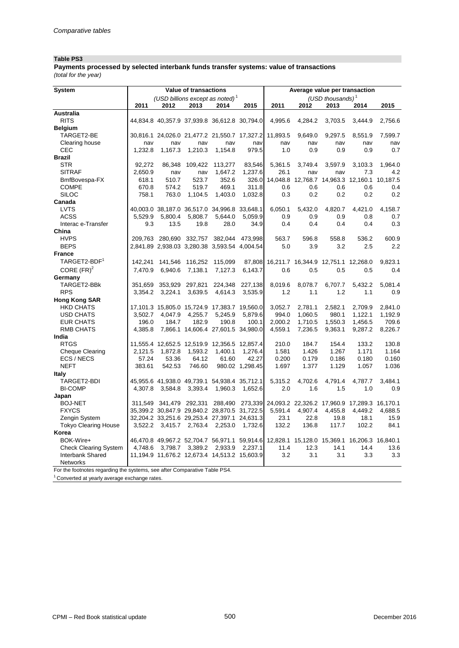# **Table PS3**

*(total for the year)* **Payments processed by selected interbank funds transfer systems: value of transactions**

| System                                                                    |         |                         | Value of transactions |                                              |                 | Average value per transaction<br>(USD thousands) <sup>1</sup><br>2011<br>2012<br>2013<br>2014<br>4,995.6<br>4,284.2<br>3,703.5<br>3,444.9<br>11,893.5<br>9,649.0<br>9,297.5<br>8,551.9<br>nav<br>nav<br>nav<br>nav<br>0.9<br>0.9<br>1.0<br>0.9<br>5,361.5<br>3.749.4<br>3,597.9<br>3,103.3<br>7.3<br>26.1<br>nav<br>nav<br>14,048.8<br>12,768.7 14,963.3 12,160.1 10,187.5<br>0.6<br>0.6<br>0.6<br>0.6<br>0.3<br>0.2<br>0.2<br>0.2<br>6,050.1<br>5,432.0<br>4,820.7<br>4,421.0<br>0.9<br>0.9<br>0.9<br>0.8<br>0.4<br>0.4<br>0.4<br>0.4<br>596.8<br>536.2<br>563.7<br>558.8<br>5.0<br>3.9<br>3.2<br>2.5<br>16,211.7 16,344.9 12,751.1 12,268.0<br>0.6<br>0.5<br>0.5<br>0.5 |                                              |         |         |         |
|---------------------------------------------------------------------------|---------|-------------------------|-----------------------|----------------------------------------------|-----------------|---------------------------------------------------------------------------------------------------------------------------------------------------------------------------------------------------------------------------------------------------------------------------------------------------------------------------------------------------------------------------------------------------------------------------------------------------------------------------------------------------------------------------------------------------------------------------------------------------------------------------------------------------------------------------|----------------------------------------------|---------|---------|---------|
|                                                                           |         |                         |                       | (USD billions except as noted) <sup>1</sup>  |                 |                                                                                                                                                                                                                                                                                                                                                                                                                                                                                                                                                                                                                                                                           |                                              |         |         |         |
|                                                                           | 2011    | 2012                    | 2013                  | 2014                                         | 2015            |                                                                                                                                                                                                                                                                                                                                                                                                                                                                                                                                                                                                                                                                           |                                              |         |         | 2015    |
| Australia                                                                 |         |                         |                       |                                              |                 |                                                                                                                                                                                                                                                                                                                                                                                                                                                                                                                                                                                                                                                                           |                                              |         |         |         |
| <b>RITS</b>                                                               |         |                         |                       | 44,834.8 40,357.9 37,939.8 36,612.8 30,794.0 |                 |                                                                                                                                                                                                                                                                                                                                                                                                                                                                                                                                                                                                                                                                           |                                              |         |         | 2,756.6 |
| <b>Belgium</b>                                                            |         |                         |                       |                                              |                 |                                                                                                                                                                                                                                                                                                                                                                                                                                                                                                                                                                                                                                                                           |                                              |         |         |         |
| TARGET2-BE                                                                |         |                         |                       | 30,816.1 24,026.0 21,477.2 21,550.7 17,327.2 |                 |                                                                                                                                                                                                                                                                                                                                                                                                                                                                                                                                                                                                                                                                           |                                              |         |         | 7,599.7 |
| Clearing house                                                            | nav     | nav                     | nav                   | nav                                          | nav             |                                                                                                                                                                                                                                                                                                                                                                                                                                                                                                                                                                                                                                                                           |                                              |         |         | nav     |
| CEC                                                                       | 1.232.8 | 1,167.3                 | 1,210.3               | 1,154.8                                      | 979.5           |                                                                                                                                                                                                                                                                                                                                                                                                                                                                                                                                                                                                                                                                           |                                              |         |         | 0.7     |
| <b>Brazil</b>                                                             |         |                         |                       |                                              |                 |                                                                                                                                                                                                                                                                                                                                                                                                                                                                                                                                                                                                                                                                           |                                              |         |         |         |
| <b>STR</b>                                                                | 92.272  | 86,348                  | 109,422               | 113,277                                      | 83,546          |                                                                                                                                                                                                                                                                                                                                                                                                                                                                                                                                                                                                                                                                           |                                              |         |         | 1.964.0 |
| <b>SITRAF</b>                                                             | 2.650.9 | nav                     | nav                   | 1,647.2                                      | 1,237.6         |                                                                                                                                                                                                                                                                                                                                                                                                                                                                                                                                                                                                                                                                           |                                              |         |         | 4.2     |
| BmfBovespa-FX                                                             | 618.1   | 510.7                   | 523.7                 | 352.6                                        | 326.0           |                                                                                                                                                                                                                                                                                                                                                                                                                                                                                                                                                                                                                                                                           |                                              |         |         |         |
| <b>COMPE</b>                                                              | 670.8   | 574.2                   | 519.7                 | 469.1                                        | 311.8           |                                                                                                                                                                                                                                                                                                                                                                                                                                                                                                                                                                                                                                                                           |                                              |         |         | 0.4     |
| <b>SILOC</b>                                                              | 758.1   | 763.0                   | 1,104.5               | 1,403.0                                      | 1,032.8         |                                                                                                                                                                                                                                                                                                                                                                                                                                                                                                                                                                                                                                                                           |                                              |         |         | 0.2     |
| Canada                                                                    |         |                         |                       |                                              |                 |                                                                                                                                                                                                                                                                                                                                                                                                                                                                                                                                                                                                                                                                           |                                              |         |         |         |
| <b>LVTS</b>                                                               |         |                         |                       | 40,003.0 38,187.0 36,517.0 34,996.8 33,648.1 |                 |                                                                                                                                                                                                                                                                                                                                                                                                                                                                                                                                                                                                                                                                           |                                              |         |         | 4,158.7 |
| <b>ACSS</b>                                                               | 5,529.9 | 5,800.4                 | 5,808.7               | 5,644.0                                      | 5,059.9         |                                                                                                                                                                                                                                                                                                                                                                                                                                                                                                                                                                                                                                                                           |                                              |         |         | 0.7     |
| Interac e-Transfer                                                        | 9.3     | 13.5                    | 19.8                  | 28.0                                         | 34.9            |                                                                                                                                                                                                                                                                                                                                                                                                                                                                                                                                                                                                                                                                           |                                              |         |         | 0.3     |
| China                                                                     |         |                         |                       |                                              |                 |                                                                                                                                                                                                                                                                                                                                                                                                                                                                                                                                                                                                                                                                           |                                              |         |         |         |
| <b>HVPS</b>                                                               | 209.763 | 280.690                 | 332,757               | 382.044                                      | 473.998         |                                                                                                                                                                                                                                                                                                                                                                                                                                                                                                                                                                                                                                                                           |                                              |         |         | 600.9   |
| <b>BEPS</b>                                                               |         |                         |                       | 2,841.89 2,938.03 3,280.38 3,593.54 4,004.54 |                 |                                                                                                                                                                                                                                                                                                                                                                                                                                                                                                                                                                                                                                                                           |                                              |         |         | 2.2     |
| <b>France</b>                                                             |         |                         |                       |                                              |                 |                                                                                                                                                                                                                                                                                                                                                                                                                                                                                                                                                                                                                                                                           |                                              |         |         |         |
| TARGET2-BDF <sup>1</sup>                                                  | 142,241 | 141,546                 | 116,252               | 115,099                                      | 87,808          |                                                                                                                                                                                                                                                                                                                                                                                                                                                                                                                                                                                                                                                                           |                                              |         |         | 9,823.1 |
| CORE $(FR)^2$                                                             | 7,470.9 | 6,940.6                 | 7,138.1               | 7,127.3                                      | 6,143.7         |                                                                                                                                                                                                                                                                                                                                                                                                                                                                                                                                                                                                                                                                           |                                              |         |         | 0.4     |
| Germany                                                                   |         |                         |                       |                                              |                 |                                                                                                                                                                                                                                                                                                                                                                                                                                                                                                                                                                                                                                                                           |                                              |         |         |         |
| TARGET2-BBk                                                               | 351,659 | 353,929                 | 297,821               | 224,348                                      | 227,138         | 8,019.6                                                                                                                                                                                                                                                                                                                                                                                                                                                                                                                                                                                                                                                                   | 8,078.7                                      | 6,707.7 | 5,432.2 | 5,081.4 |
| <b>RPS</b>                                                                | 3,354.2 | 3,224.1                 | 3,639.5               | 4,614.3                                      | 3,535.9         | 1.2                                                                                                                                                                                                                                                                                                                                                                                                                                                                                                                                                                                                                                                                       | 1.1                                          | 1.2     | 1.1     | 0.9     |
| <b>Hong Kong SAR</b>                                                      |         |                         |                       |                                              |                 |                                                                                                                                                                                                                                                                                                                                                                                                                                                                                                                                                                                                                                                                           |                                              |         |         |         |
| <b>HKD CHATS</b>                                                          |         |                         |                       | 17,101.3 15,805.0 15,724.9 17,383.7 19,560.0 |                 | 3,052.7                                                                                                                                                                                                                                                                                                                                                                                                                                                                                                                                                                                                                                                                   | 2,781.1                                      | 2,582.1 | 2,709.9 | 2,841.0 |
| <b>USD CHATS</b>                                                          | 3,502.7 | 4,047.9                 | 4,255.7               | 5,245.9                                      | 5,879.6         | 994.0                                                                                                                                                                                                                                                                                                                                                                                                                                                                                                                                                                                                                                                                     | 1,060.5                                      | 980.1   | 1,122.1 | 1,192.9 |
| <b>EUR CHATS</b>                                                          | 196.0   | 184.7                   | 182.9                 | 190.8                                        | 100.1           | 2,000.2                                                                                                                                                                                                                                                                                                                                                                                                                                                                                                                                                                                                                                                                   | 1,710.5                                      | 1,550.3 | 1,456.5 | 709.6   |
| <b>RMB CHATS</b>                                                          | 4,385.8 |                         |                       | 7,866.1 14,606.4 27,601.5 34,980.0           |                 | 4,559.1                                                                                                                                                                                                                                                                                                                                                                                                                                                                                                                                                                                                                                                                   | 7,236.5                                      | 9,363.1 | 9,287.2 | 8,226.7 |
| India                                                                     |         |                         |                       |                                              |                 |                                                                                                                                                                                                                                                                                                                                                                                                                                                                                                                                                                                                                                                                           |                                              |         |         |         |
| <b>RTGS</b>                                                               |         |                         |                       | 11,555.4 12,652.5 12,519.9 12,356.5 12,857.4 |                 | 210.0                                                                                                                                                                                                                                                                                                                                                                                                                                                                                                                                                                                                                                                                     | 184.7                                        | 154.4   | 133.2   | 130.8   |
| <b>Cheque Clearing</b>                                                    | 2,121.5 | 1,872.8                 | 1,593.2               | 1,400.1                                      | 1,276.4         | 1.581                                                                                                                                                                                                                                                                                                                                                                                                                                                                                                                                                                                                                                                                     | 1.426                                        | 1.267   | 1.171   | 1.164   |
| ECS / NECS                                                                | 57.24   | 53.36                   | 64.12                 | 61.60                                        | 42.27           | 0.200                                                                                                                                                                                                                                                                                                                                                                                                                                                                                                                                                                                                                                                                     | 0.179                                        | 0.186   | 0.180   | 0.160   |
| <b>NEFT</b>                                                               | 383.61  | 542.53                  | 746.60                |                                              | 980.02 1,298.45 | 1.697                                                                                                                                                                                                                                                                                                                                                                                                                                                                                                                                                                                                                                                                     | 1.377                                        | 1.129   | 1.057   | 1.036   |
| Italy                                                                     |         |                         |                       |                                              |                 |                                                                                                                                                                                                                                                                                                                                                                                                                                                                                                                                                                                                                                                                           |                                              |         |         |         |
| TARGET2-BDI                                                               |         |                         |                       | 45,955.6 41,938.0 49,739.1 54,938.4 35,712.1 |                 | 5,315.2                                                                                                                                                                                                                                                                                                                                                                                                                                                                                                                                                                                                                                                                   | 4.702.6                                      | 4.791.4 | 4.787.7 | 3.484.1 |
| <b>BI-COMP</b>                                                            | 4,307.8 | 3,584.8                 | 3,393.4               | 1,960.3                                      | 1,652.6         | 2.0                                                                                                                                                                                                                                                                                                                                                                                                                                                                                                                                                                                                                                                                       | 1.6                                          | 1.5     | 1.0     | 0.9     |
| Japan                                                                     |         |                         |                       |                                              |                 |                                                                                                                                                                                                                                                                                                                                                                                                                                                                                                                                                                                                                                                                           |                                              |         |         |         |
| <b>BOJ-NET</b>                                                            |         | 311,549 341,479 292,331 |                       | 288,490                                      | 273,339         |                                                                                                                                                                                                                                                                                                                                                                                                                                                                                                                                                                                                                                                                           | 24,093.2 22,326.2 17,960.9 17,289.3 16,170.1 |         |         |         |
| <b>FXYCS</b>                                                              |         |                         |                       | 35,399.2 30,847.9 29,840.2 28,870.5 31,722.5 |                 | 5,591.4                                                                                                                                                                                                                                                                                                                                                                                                                                                                                                                                                                                                                                                                   | 4,907.4                                      | 4,455.8 | 4,449.2 | 4,688.5 |
| Zengin System                                                             |         |                         |                       | 32,204.2 33,251.6 29,253.4 27,397.1 24,631.3 |                 | 23.1                                                                                                                                                                                                                                                                                                                                                                                                                                                                                                                                                                                                                                                                      | 22.8                                         | 19.8    | 18.1    | 15.9    |
| <b>Tokyo Clearing House</b>                                               | 3,522.2 |                         | 3,415.7 2,763.4       | 2,253.0                                      | 1,732.6         | 132.2                                                                                                                                                                                                                                                                                                                                                                                                                                                                                                                                                                                                                                                                     | 136.8                                        | 117.7   | 102.2   | 84.1    |
| Korea                                                                     |         |                         |                       |                                              |                 |                                                                                                                                                                                                                                                                                                                                                                                                                                                                                                                                                                                                                                                                           |                                              |         |         |         |
| BOK-Wire+                                                                 |         |                         |                       |                                              |                 | 46,470.8 49,967.2 52,704.7 56,971.1 59,914.6 12,828.1 15,128.0 15,369.1 16,206.3 16,840.1                                                                                                                                                                                                                                                                                                                                                                                                                                                                                                                                                                                 |                                              |         |         |         |
| <b>Check Clearing System</b>                                              | 4,748.6 | 3,798.7                 | 3,389.2               | 2,933.9                                      | 2,237.1         | 11.4                                                                                                                                                                                                                                                                                                                                                                                                                                                                                                                                                                                                                                                                      | 12.3                                         | 14.1    | 14.4    | 13.6    |
| <b>Interbank Shared</b>                                                   |         |                         |                       | 11,194.9 11,676.2 12,673.4 14,513.2 15,603.9 |                 | 3.2                                                                                                                                                                                                                                                                                                                                                                                                                                                                                                                                                                                                                                                                       | 3.1                                          | 3.1     | 3.3     | 3.3     |
| Networks                                                                  |         |                         |                       |                                              |                 |                                                                                                                                                                                                                                                                                                                                                                                                                                                                                                                                                                                                                                                                           |                                              |         |         |         |
| For the footnotes regarding the systems, see after Comparative Table PS4. |         |                         |                       |                                              |                 |                                                                                                                                                                                                                                                                                                                                                                                                                                                                                                                                                                                                                                                                           |                                              |         |         |         |

 $1$  Converted at yearly average exchange rates.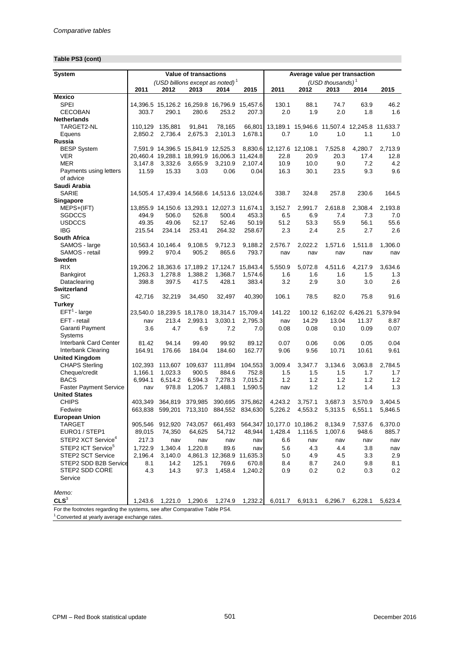## **Table PS3 (cont)**

| System                                                                    |         |                   | <b>Value of transactions</b>                            |                           |         | Average value per transaction |                   |                                              |         |         |
|---------------------------------------------------------------------------|---------|-------------------|---------------------------------------------------------|---------------------------|---------|-------------------------------|-------------------|----------------------------------------------|---------|---------|
|                                                                           |         |                   | (USD billions except as noted) <sup>1</sup>             |                           |         |                               |                   | (USD thousands) $1$                          |         |         |
|                                                                           | 2011    | 2012              | 2013                                                    | 2014                      | 2015    | 2011                          | 2012              | 2013                                         | 2014    | 2015    |
| <b>Mexico</b>                                                             |         |                   |                                                         |                           |         |                               |                   |                                              |         |         |
| <b>SPEI</b>                                                               |         |                   | 14,396.5 15,126.2 16,259.8 16,796.9 15,457.6            |                           |         | 130.1                         | 88.1              | 74.7                                         | 63.9    | 46.2    |
| <b>CECOBAN</b>                                                            | 303.7   | 290.1             | 280.6                                                   | 253.2                     | 207.3   | 2.0                           | 1.9               | 2.0                                          | 1.8     | 1.6     |
| <b>Netherlands</b>                                                        |         |                   |                                                         |                           |         |                               |                   |                                              |         |         |
| TARGET2-NL                                                                | 110,129 | 135,881           | 91,841                                                  | 78,165                    | 66,801  |                               |                   | 13,189.1 15,946.6 11,507.4 12,245.8 11,633.7 |         |         |
| Equens                                                                    | 2,850.2 | 2,736.4           | 2,675.3                                                 | 2,101.3                   | 1,678.1 | 0.7                           | 1.0               | 1.0                                          | 1.1     | 1.0     |
| Russia                                                                    |         |                   | 7,591.9 14,396.5 15,841.9 12,525.3                      |                           |         | 8,830.6 12,127.6 12,108.1     |                   | 7,525.8                                      | 4,280.7 | 2,713.9 |
| <b>BESP System</b><br><b>VER</b>                                          |         |                   |                                                         |                           |         | 22.8                          | 20.9              | 20.3                                         | 17.4    | 12.8    |
| <b>MER</b>                                                                | 3,147.8 | 3,332.6           | 20,460.4 19,288.1 18,991.9 16,006.3 11,424.8<br>3,655.9 | 3,210.9                   | 2,107.4 | 10.9                          | 10.0              | 9.0                                          | 7.2     | 4.2     |
| Payments using letters                                                    | 11.59   | 15.33             | 3.03                                                    | 0.06                      | 0.04    | 16.3                          | 30.1              | 23.5                                         | 9.3     | 9.6     |
| of advice                                                                 |         |                   |                                                         |                           |         |                               |                   |                                              |         |         |
| Saudi Arabia                                                              |         |                   |                                                         |                           |         |                               |                   |                                              |         |         |
| <b>SARIE</b>                                                              |         |                   | 14,505.4 17,439.4 14,568.6 14,513.6 13,024.6            |                           |         | 338.7                         | 324.8             | 257.8                                        | 230.6   | 164.5   |
| Singapore                                                                 |         |                   |                                                         |                           |         |                               |                   |                                              |         |         |
| MEPS+(IFT)                                                                |         |                   | 13,855.9 14,150.6 13,293.1 12,027.3 11,674.1            |                           |         | 3,152.7                       | 2,991.7           | 2,618.8                                      | 2,308.4 | 2,193.8 |
| SGDCCS                                                                    | 494.9   | 506.0             | 526.8                                                   | 500.4                     | 453.3   | 6.5                           | 6.9               | 7.4                                          | 7.3     | 7.0     |
| <b>USDCCS</b>                                                             | 49.35   | 49.06             | 52.17                                                   | 52.46                     | 50.19   | 51.2                          | 53.3              | 55.9                                         | 56.1    | 55.6    |
| <b>IBG</b>                                                                | 215.54  | 234.14            | 253.41                                                  | 264.32                    | 258.67  | 2.3                           | 2.4               | 2.5                                          | 2.7     | 2.6     |
| South Africa                                                              |         |                   |                                                         |                           |         |                               |                   |                                              |         |         |
| SAMOS - large                                                             |         | 10,563.4 10,146.4 | 9,108.5                                                 | 9,712.3                   | 9,188.2 | 2,576.7                       | 2,022.2           | 1,571.6                                      | 1,511.8 | 1,306.0 |
| SAMOS - retail                                                            | 999.2   | 970.4             | 905.2                                                   | 865.6                     | 793.7   | nav                           | nav               | nav                                          | nav     | nav     |
| Sweden                                                                    |         |                   |                                                         |                           |         |                               |                   |                                              |         |         |
| <b>RIX</b>                                                                |         |                   | 19,206.2 18,363.6 17,189.2 17,124.7 15,843.4            |                           |         | 5,550.9                       | 5,072.8           | 4,511.6                                      | 4.217.9 | 3.634.6 |
| Bankgirot                                                                 | 1,263.3 | 1,278.8           | 1,388.2                                                 | 1,368.7                   | 1,574.6 | 1.6                           | 1.6               | 1.6                                          | 1.5     | 1.3     |
| Dataclearing                                                              | 398.8   | 397.5             | 417.5                                                   | 428.1                     | 383.4   | 3.2                           | 2.9               | 3.0                                          | 3.0     | 2.6     |
| <b>Switzerland</b>                                                        |         |                   |                                                         |                           |         |                               |                   |                                              |         |         |
| <b>SIC</b>                                                                | 42,716  | 32,219            | 34,450                                                  | 32,497                    | 40,390  | 106.1                         | 78.5              | 82.0                                         | 75.8    | 91.6    |
| <b>Turkey</b>                                                             |         |                   |                                                         |                           |         |                               |                   |                                              |         |         |
| $EFT1$ - large                                                            |         |                   | 23,540.0 18,239.5 18,178.0 18,314.7 15,709.4            |                           |         | 141.22                        |                   | 100.12 6,162.02 6,426.21 5,379.94            |         |         |
| EFT - retail                                                              | nav     | 213.4             | 2,993.1                                                 | 3,030.1                   | 2,795.3 | nav                           | 14.29             | 13.04                                        | 11.37   | 8.87    |
| Garanti Payment                                                           | 3.6     | 4.7               | 6.9                                                     | 7.2                       | 7.0     | 0.08                          | 0.08              | 0.10                                         | 0.09    | 0.07    |
| <b>Systems</b>                                                            |         |                   |                                                         |                           |         |                               |                   |                                              |         |         |
| <b>Interbank Card Center</b>                                              | 81.42   | 94.14             | 99.40                                                   | 99.92                     | 89.12   | 0.07                          | 0.06              | 0.06                                         | 0.05    | 0.04    |
| Interbank Clearing                                                        | 164.91  | 176.66            | 184.04                                                  | 184.60                    | 162.77  | 9.06                          | 9.56              | 10.71                                        | 10.61   | 9.61    |
| <b>United Kingdom</b>                                                     |         |                   |                                                         |                           |         |                               |                   |                                              |         |         |
| <b>CHAPS Sterling</b>                                                     | 102,393 | 113,607           | 109,637                                                 | 111,894                   | 104,553 | 3,009.4                       | 3,347.7           | 3,134.6                                      | 3,063.8 | 2,784.5 |
| Cheque/credit                                                             | 1,166.1 | 1,023.3           | 900.5                                                   | 884.6                     | 752.8   | 1.5                           | 1.5               | 1.5                                          | 1.7     | 1.7     |
| <b>BACS</b>                                                               | 6,994.1 | 6,514.2           | 6,594.3                                                 | 7,278.3                   | 7,015.2 | 1.2                           | 1.2               | 1.2                                          | 1.2     | 1.2     |
| <b>Faster Payment Service</b>                                             | nav     | 978.8             | 1,205.7                                                 | 1,488.1                   | 1,590.5 | nav                           | 1.2               | 1.2                                          | 1.4     | 1.3     |
| <b>United States</b>                                                      |         |                   |                                                         |                           |         |                               |                   |                                              |         |         |
| <b>CHIPS</b>                                                              | 403,349 | 364,819           | 379,985                                                 | 390,695                   | 375,862 | 4,243.2                       | 3,757.1           | 3,687.3                                      | 3,570.9 | 3,404.5 |
| Fedwire                                                                   | 663,838 |                   | 599,201 713,310                                         | 884,552                   | 834,630 | 5,226.2                       | 4,553.2           | 5,313.5                                      | 6,551.1 | 5,846.5 |
| <b>European Union</b>                                                     |         |                   |                                                         |                           |         |                               |                   |                                              |         |         |
| <b>TARGET</b>                                                             | 905,546 | 912,920           | 743,057                                                 | 661,493                   | 564,347 |                               | 10,177.0 10,186.2 | 8,134.9                                      | 7,537.6 | 6,370.0 |
| EURO1 / STEP1                                                             | 89,015  | 74,350            | 64,625                                                  | 54,712                    | 48,944  | 1,428.4                       | 1,116.5           | 1,007.6                                      | 948.6   | 885.7   |
| STEP2 XCT Service <sup>4</sup>                                            | 217.3   | nav               | nav                                                     | nav                       | nav     | 6.6                           | nav               | nav                                          | nav     | nav     |
| STEP2 ICT Service <sup>5</sup>                                            | 1,722.9 | 1,340.4           | 1,220.8                                                 | 89.6                      | nav     | 5.6                           | 4.3               | 4.4                                          | 3.8     | nav     |
| STEP2 SCT Service                                                         | 2,196.4 | 3,140.0           |                                                         | 4,861.3 12,368.9 11,635.3 |         | 5.0                           | 4.9               | 4.5                                          | 3.3     | 2.9     |
| STEP2 SDD B2B Service                                                     | 8.1     | 14.2              | 125.1                                                   | 769.6                     | 670.8   | 8.4                           | 8.7               | 24.0                                         | 9.8     | 8.1     |
| STEP2 SDD CORE                                                            | 4.3     | 14.3              | 97.3                                                    | 1,458.4                   | 1,240.2 | 0.9                           | 0.2               | 0.2                                          | 0.3     | 0.2     |
| Service                                                                   |         |                   |                                                         |                           |         |                               |                   |                                              |         |         |
|                                                                           |         |                   |                                                         |                           |         |                               |                   |                                              |         |         |
| Memo:                                                                     |         |                   |                                                         |                           |         |                               |                   |                                              |         |         |
| CLS <sup>3</sup>                                                          |         | 1,243.6 1,221.0   | 1,290.6                                                 | 1,274.9                   | 1,232.2 | 6,011.7                       | 6,913.1           | 6,296.7                                      | 6,228.1 | 5,623.4 |
| For the footnotes regarding the systems, see after Comparative Table PS4. |         |                   |                                                         |                           |         |                               |                   |                                              |         |         |
| <sup>1</sup> Converted at yearly average exchange rates.                  |         |                   |                                                         |                           |         |                               |                   |                                              |         |         |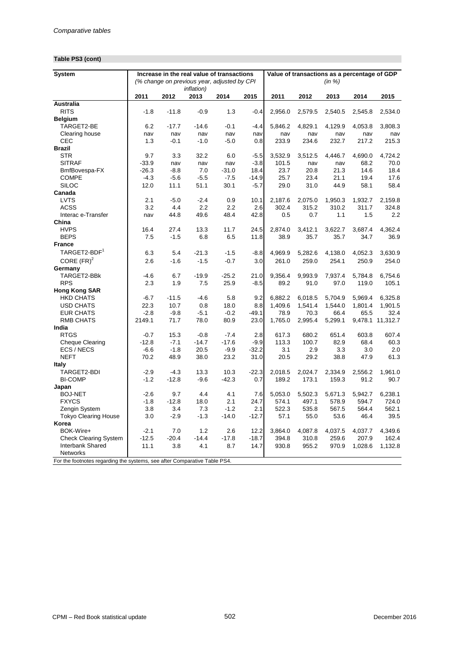## **Table PS3 (cont)**

| <b>System</b>                                                             |         |         |                    | Increase in the real value of transactions  |         |         | Value of transactions as a percentage of GDP |         |         |                  |
|---------------------------------------------------------------------------|---------|---------|--------------------|---------------------------------------------|---------|---------|----------------------------------------------|---------|---------|------------------|
|                                                                           |         |         |                    | (% change on previous year, adjusted by CPI |         |         |                                              | (in %)  |         |                  |
|                                                                           |         |         | <i>inflation</i> ) |                                             |         |         |                                              |         |         |                  |
|                                                                           | 2011    | 2012    | 2013               | 2014                                        | 2015    | 2011    | 2012                                         | 2013    | 2014    | 2015             |
| Australia                                                                 |         |         |                    |                                             |         |         |                                              |         |         |                  |
| <b>RITS</b>                                                               | $-1.8$  | $-11.8$ | $-0.9$             | 1.3                                         | $-0.4$  | 2,956.0 | 2,579.5                                      | 2,540.5 | 2,545.8 | 2,534.0          |
| <b>Belgium</b>                                                            |         |         |                    |                                             |         |         |                                              |         |         |                  |
| TARGET2-BE                                                                | 6.2     | $-17.7$ | $-14.6$            | $-0.1$                                      | $-4.4$  | 5,846.2 | 4,829.1                                      | 4,129.9 | 4,053.8 | 3,808.3          |
| Clearing house                                                            | nav     | nav     | nav                | nav                                         | nav     | nav     | nav                                          | nav     | nav     | nav              |
| CEC                                                                       | 1.3     | $-0.1$  | $-1.0$             | $-5.0$                                      | 0.8     | 233.9   | 234.6                                        | 232.7   | 217.2   | 215.3            |
| <b>Brazil</b>                                                             |         |         |                    |                                             |         |         |                                              |         |         |                  |
| <b>STR</b>                                                                | 9.7     | 3.3     | 32.2               | 6.0                                         | $-5.5$  | 3,532.9 | 3,512.5                                      | 4,446.7 | 4,690.0 | 4,724.2          |
| <b>SITRAF</b>                                                             | $-33.9$ | nav     | nav                | nav                                         | $-3.8$  | 101.5   | nav                                          | nav     | 68.2    | 70.0             |
| BmfBovespa-FX                                                             | $-26.3$ | $-8.8$  | 7.0                | $-31.0$                                     | 18.4    | 23.7    | 20.8                                         | 21.3    | 14.6    | 18.4             |
| <b>COMPE</b>                                                              | $-4.3$  | $-5.6$  | $-5.5$             | $-7.5$                                      | $-14.9$ | 25.7    | 23.4                                         | 21.1    | 19.4    | 17.6             |
| <b>SILOC</b>                                                              | 12.0    | 11.1    | 51.1               | 30.1                                        | $-5.7$  | 29.0    | 31.0                                         | 44.9    | 58.1    | 58.4             |
| Canada                                                                    |         |         |                    |                                             |         |         |                                              |         |         |                  |
| <b>LVTS</b>                                                               | 2.1     | $-5.0$  | $-2.4$             | 0.9                                         | 10.1    | 2,187.6 | 2,075.0                                      | 1,950.3 | 1,932.7 | 2,159.8          |
| <b>ACSS</b>                                                               | 3.2     | 4.4     | 2.2                | 2.2                                         | 2.6     | 302.4   | 315.2                                        | 310.2   | 311.7   | 324.8            |
| Interac e-Transfer                                                        | nav     | 44.8    | 49.6               | 48.4                                        | 42.8    | 0.5     | 0.7                                          | 1.1     | 1.5     | 2.2              |
| China                                                                     |         |         |                    |                                             |         |         |                                              |         |         |                  |
| <b>HVPS</b>                                                               | 16.4    | 27.4    | 13.3               | 11.7                                        | 24.5    | 2,874.0 | 3,412.1                                      | 3,622.7 | 3,687.4 | 4,362.4          |
| <b>BEPS</b>                                                               | 7.5     | $-1.5$  | 6.8                | 6.5                                         | 11.8    | 38.9    | 35.7                                         | 35.7    | 34.7    | 36.9             |
| <b>France</b>                                                             |         |         |                    |                                             |         |         |                                              |         |         |                  |
| TARGET2-BDF <sup>1</sup>                                                  | 6.3     | 5.4     | $-21.3$            | $-1.5$                                      | $-8.8$  | 4,969.9 | 5,282.6                                      | 4,138.0 | 4,052.3 | 3,630.9          |
| CORE $(FR)^2$                                                             | 2.6     | $-1.6$  | $-1.5$             | $-0.7$                                      | 3.0     | 261.0   | 259.0                                        | 254.1   | 250.9   | 254.0            |
| Germany                                                                   |         |         |                    |                                             |         |         |                                              |         |         |                  |
| TARGET2-BBk                                                               | $-4.6$  | 6.7     | $-19.9$            | $-25.2$                                     | 21.0    | 9.356.4 | 9.993.9                                      | 7,937.4 | 5,784.8 | 6.754.6          |
| <b>RPS</b>                                                                | 2.3     | 1.9     | 7.5                | 25.9                                        | $-8.5$  | 89.2    | 91.0                                         | 97.0    | 119.0   | 105.1            |
| <b>Hong Kong SAR</b>                                                      |         |         |                    |                                             |         |         |                                              |         |         |                  |
| <b>HKD CHATS</b>                                                          | $-6.7$  | $-11.5$ | $-4.6$             | 5.8                                         | 9.2     | 6.882.2 | 6,018.5                                      | 5,704.9 | 5,969.4 | 6,325.8          |
| <b>USD CHATS</b>                                                          | 22.3    | 10.7    | 0.8                | 18.0                                        | 8.8     | 1,409.6 | 1,541.4                                      | 1,544.0 | 1,801.4 | 1,901.5          |
| <b>EUR CHATS</b>                                                          | $-2.8$  | $-9.8$  | $-5.1$             | $-0.2$                                      | $-49.1$ | 78.9    | 70.3                                         | 66.4    | 65.5    | 32.4             |
| <b>RMB CHATS</b>                                                          | 2149.1  | 71.7    | 78.0               | 80.9                                        | 23.0    | 1,765.0 | 2,995.4                                      | 5,299.1 |         | 9,478.1 11,312.7 |
| India                                                                     |         |         |                    |                                             |         |         |                                              |         |         |                  |
| <b>RTGS</b>                                                               | $-0.7$  | 15.3    | $-0.8$             | $-7.4$                                      | 2.8     | 617.3   | 680.2                                        | 651.4   | 603.8   | 607.4            |
| <b>Cheque Clearing</b>                                                    | $-12.8$ | $-7.1$  | $-14.7$            | $-17.6$                                     | $-9.9$  | 113.3   | 100.7                                        | 82.9    | 68.4    | 60.3             |
| ECS / NECS                                                                | $-6.6$  | $-1.8$  | 20.5               | $-9.9$                                      | $-32.2$ | 3.1     | 2.9                                          | 3.3     | 3.0     | 2.0              |
| <b>NEFT</b>                                                               | 70.2    | 48.9    | 38.0               | 23.2                                        | 31.0    | 20.5    | 29.2                                         | 38.8    | 47.9    | 61.3             |
| <b>Italy</b>                                                              |         |         |                    |                                             |         |         |                                              |         |         |                  |
| TARGET2-BDI                                                               | $-2.9$  | $-4.3$  | 13.3               | 10.3                                        | $-22.3$ | 2,018.5 | 2,024.7                                      | 2,334.9 | 2,556.2 | 1,961.0          |
| <b>BI-COMP</b>                                                            | $-1.2$  | $-12.8$ | $-9.6$             | $-42.3$                                     | 0.7     | 189.2   | 173.1                                        | 159.3   | 91.2    | 90.7             |
| Japan                                                                     |         |         |                    |                                             |         |         |                                              |         |         |                  |
| <b>BOJ-NET</b>                                                            | $-2.6$  | 9.7     | 4.4                | 4.1                                         | 7.6     | 5,053.0 | 5,502.3                                      | 5,671.3 | 5,942.7 | 6,238.1          |
| <b>FXYCS</b>                                                              | $-1.8$  | $-12.8$ | 18.0               | 2.1                                         | 24.7    | 574.1   | 497.1                                        | 578.9   | 594.7   | 724.0            |
| Zengin System                                                             | 3.8     | 3.4     | 7.3                | $-1.2$                                      | 2.1     | 522.3   | 535.8                                        | 567.5   | 564.4   | 562.1            |
| Tokyo Clearing House                                                      | 3.0     | $-2.9$  | $-1.3$             | $-14.0$                                     | $-12.7$ | 57.1    | 55.0                                         | 53.6    | 46.4    | 39.5             |
| Korea                                                                     |         |         |                    |                                             |         |         |                                              |         |         |                  |
| BOK-Wire+                                                                 | $-2.1$  | 7.0     | 1.2                | 2.6                                         | 12.2    | 3,864.0 | 4,087.8                                      | 4,037.5 | 4,037.7 | 4,349.6          |
| <b>Check Clearing System</b>                                              | $-12.5$ | $-20.4$ | $-14.4$            | $-17.8$                                     | $-18.7$ | 394.8   | 310.8                                        | 259.6   | 207.9   | 162.4            |
| Interbank Shared                                                          | 11.1    | 3.8     | 4.1                | 8.7                                         | 14.7    | 930.8   | 955.2                                        | 970.9   | 1,028.6 | 1,132.8          |
| Networks                                                                  |         |         |                    |                                             |         |         |                                              |         |         |                  |
| For the footnotes regarding the systems, see after Comparative Table PS4. |         |         |                    |                                             |         |         |                                              |         |         |                  |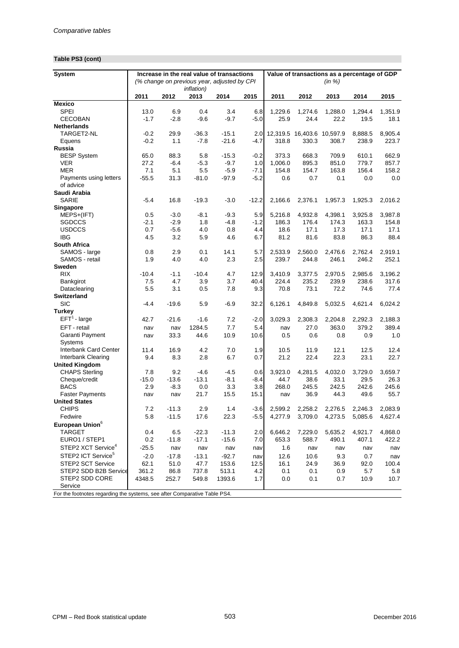## **Table PS3 (cont)**

| (in %)<br>(% change on previous year, adjusted by CPI<br><i>inflation</i> )<br>2011<br>2012<br>2011<br>2015<br>2013<br>2014<br>2015<br>2012<br>2013<br>2014<br><b>SPEI</b><br>13.0<br>6.9<br>0.4<br>3.4<br>6.8<br>1,229.6<br>1,274.6<br>1,288.0<br>1.294.4<br>1.351.9<br>$-1.7$<br>$-9.6$<br>$-9.7$<br>$-5.0$<br>25.9<br>24.4<br>22.2<br>19.5<br>CECOBAN<br>$-2.8$<br>18.1<br>$-0.2$<br>29.9<br>$-36.3$<br>$-15.1$<br>12,319.5 16,403.6 10,597.9<br>8,888.5<br>8,905.4<br>TARGET2-NL<br>2.0<br>$-0.2$<br>1.1<br>$-7.8$<br>$-21.6$<br>$-4.7$<br>308.7<br>223.7<br>318.8<br>330.3<br>238.9<br>Equens<br>$-0.2$<br>662.9<br><b>BESP System</b><br>65.0<br>88.3<br>5.8<br>$-15.3$<br>373.3<br>668.3<br>709.9<br>610.1<br>27.2<br>$-6.4$<br>$-5.3$<br>$-9.7$<br>1.0<br>1,006.0<br>895.3<br>851.0<br>779.7<br>857.7<br>VER<br><b>MER</b><br>7.1<br>5.1<br>5.5<br>$-5.9$<br>154.8<br>154.7<br>163.8<br>156.4<br>158.2<br>$-7.1$<br>Payments using letters<br>$-55.5$<br>31.3<br>$-81.0$<br>$-97.9$<br>$-5.2$<br>0.6<br>0.7<br>0.0<br>0.1<br>0.0<br>of advice<br>Saudi Arabia<br>$-5.4$<br>16.8<br>$-19.3$<br>$-3.0$<br>SARIE<br>$-12.2$<br>2,166.6<br>2,376.1<br>1,957.3<br>1,925.3<br>2,016.2<br>Singapore<br>5,216.8<br>3,987.8<br>MEPS+(IFT)<br>0.5<br>$-3.0$<br>$-8.1$<br>$-9.3$<br>5.9<br>4,932.8<br>4,398.1<br>3,925.8<br><b>SGDCCS</b><br>$-2.1$<br>$-2.9$<br>1.8<br>$-4.8$<br>$-1.2$<br>186.3<br>176.4<br>174.3<br>163.3<br>154.8<br>0.7<br>17.1<br>17.3<br>17.1<br><b>USDCCS</b><br>$-5.6$<br>4.0<br>0.8<br>4.4<br>18.6<br>17.1<br>3.2<br>6.7<br>83.8<br>86.3<br>88.4<br><b>IBG</b><br>4.5<br>5.9<br>4.6<br>81.2<br>81.6<br><b>South Africa</b><br>2,919.1<br>SAMOS - large<br>0.8<br>2.9<br>0.1<br>14.1<br>5.7<br>2,533.9<br>2,560.0<br>2,476.6<br>2,762.4<br>SAMOS - retail<br>1.9<br>4.0<br>4.0<br>2.3<br>2.5<br>239.7<br>244.8<br>246.1<br>246.2<br>252.1<br>Sweden<br><b>RIX</b><br>$-10.4$<br>$-1.1$<br>$-10.4$<br>4.7<br>12.9<br>3.410.9<br>3,196.2<br>3,377.5<br>2,970.5<br>2,985.6<br>7.5<br>4.7<br>3.9<br>3.7<br>40.4<br>224.4<br>235.2<br>239.9<br>238.6<br>317.6<br>Bankgirot<br>5.5<br>3.1<br>7.8<br>9.3<br>77.4<br>Dataclearing<br>0.5<br>70.8<br>73.1<br>72.2<br>74.6<br><b>Switzerland</b><br><b>SIC</b><br>$-4.4$<br>$-19.6$<br>5.9<br>$-6.9$<br>32.2<br>6,126.1<br>4,849.8<br>5,032.5<br>4,621.4<br>6,024.2<br>Turkey<br>$EFT1$ - large<br>42.7<br>$-21.6$<br>$-1.6$<br>7.2<br>$-2.0$<br>3,029.3<br>2,308.3<br>2,204.8<br>2,292.3<br>2,188.3<br>EFT - retail<br>7.7<br>389.4<br>1284.5<br>5.4<br>27.0<br>363.0<br>379.2<br>nav<br>nav<br>nav<br>Garanti Payment<br>33.3<br>10.9<br>10.6<br>44.6<br>0.5<br>0.6<br>0.8<br>0.9<br>1.0<br>nav<br>Systems<br><b>Interbank Card Center</b><br>12.1<br>11.4<br>16.9<br>4.2<br>7.0<br>1.9<br>10.5<br>11.9<br>12.5<br>12.4<br>Interbank Clearing<br>9.4<br>8.3<br>2.8<br>6.7<br>0.7<br>21.2<br>22.4<br>22.3<br>23.1<br>22.7<br><b>United Kingdom</b><br><b>CHAPS Sterling</b><br>9.2<br>$-4.6$<br>3,923.0<br>4,281.5<br>4,032.0<br>3,659.7<br>7.8<br>-4.5<br>0.6<br>3,729.0<br>$-15.0$<br>$-13.6$<br>$-13.1$<br>$-8.1$<br>44.7<br>38.6<br>33.1<br>29.5<br>26.3<br>Cheque/credit<br>$-8.4$<br><b>BACS</b><br>2.9<br>$-8.3$<br>0.0<br>3.3<br>3.8<br>268.0<br>245.5<br>242.5<br>242.6<br>245.6<br><b>Faster Payments</b><br>21.7<br>15.5<br>36.9<br>44.3<br>49.6<br>15.1<br>55.7<br>nav<br>nav<br>nav<br><b>United States</b><br><b>CHIPS</b><br>7.2<br>$-11.3$<br>2.9<br>2,599.2<br>1.4<br>$-3.6$<br>2,258.2<br>2,276.5<br>2.246.3<br>2,083.9<br>$-11.5$<br>5.8<br>17.6<br>22.3<br>$-5.5$<br>5,085.6<br>4,627.4<br>Fedwire<br>4,277.9<br>3,709.0<br>4,273.5<br>TARGET<br>$-11.3$<br>2.0<br>6,646.2<br>7,229.0<br>5,635.2<br>4,921.7<br>4,868.0<br>0.4<br>6.5<br>$-22.3$<br>653.3<br>490.1<br>EURO1 / STEP1<br>0.2<br>$-11.8$<br>$-17.1$<br>$-15.6$<br>7.0<br>588.7<br>407.1<br>422.2<br>STEP2 XCT Service <sup>4</sup><br>$-25.5$<br>1.6<br>nav<br>nav<br>nav<br>nav<br>nav<br>nav<br>nav<br>nav | <b>System</b>                  |        |         |         | Increase in the real value of transactions |     |      |      | Value of transactions as a percentage of GDP |     |     |
|-----------------------------------------------------------------------------------------------------------------------------------------------------------------------------------------------------------------------------------------------------------------------------------------------------------------------------------------------------------------------------------------------------------------------------------------------------------------------------------------------------------------------------------------------------------------------------------------------------------------------------------------------------------------------------------------------------------------------------------------------------------------------------------------------------------------------------------------------------------------------------------------------------------------------------------------------------------------------------------------------------------------------------------------------------------------------------------------------------------------------------------------------------------------------------------------------------------------------------------------------------------------------------------------------------------------------------------------------------------------------------------------------------------------------------------------------------------------------------------------------------------------------------------------------------------------------------------------------------------------------------------------------------------------------------------------------------------------------------------------------------------------------------------------------------------------------------------------------------------------------------------------------------------------------------------------------------------------------------------------------------------------------------------------------------------------------------------------------------------------------------------------------------------------------------------------------------------------------------------------------------------------------------------------------------------------------------------------------------------------------------------------------------------------------------------------------------------------------------------------------------------------------------------------------------------------------------------------------------------------------------------------------------------------------------------------------------------------------------------------------------------------------------------------------------------------------------------------------------------------------------------------------------------------------------------------------------------------------------------------------------------------------------------------------------------------------------------------------------------------------------------------------------------------------------------------------------------------------------------------------------------------------------------------------------------------------------------------------------------------------------------------------------------------------------------------------------------------------------------------------------------------------------------------------------------------------------------------------------------------------------------------------------------------------------------------------------------------------------------------------------------------------------------------------------------------------------------------------------------------------------------------------------------------------------------------------------------|--------------------------------|--------|---------|---------|--------------------------------------------|-----|------|------|----------------------------------------------|-----|-----|
|                                                                                                                                                                                                                                                                                                                                                                                                                                                                                                                                                                                                                                                                                                                                                                                                                                                                                                                                                                                                                                                                                                                                                                                                                                                                                                                                                                                                                                                                                                                                                                                                                                                                                                                                                                                                                                                                                                                                                                                                                                                                                                                                                                                                                                                                                                                                                                                                                                                                                                                                                                                                                                                                                                                                                                                                                                                                                                                                                                                                                                                                                                                                                                                                                                                                                                                                                                                                                                                                                                                                                                                                                                                                                                                                                                                                                                                                                                                                                           |                                |        |         |         |                                            |     |      |      |                                              |     |     |
|                                                                                                                                                                                                                                                                                                                                                                                                                                                                                                                                                                                                                                                                                                                                                                                                                                                                                                                                                                                                                                                                                                                                                                                                                                                                                                                                                                                                                                                                                                                                                                                                                                                                                                                                                                                                                                                                                                                                                                                                                                                                                                                                                                                                                                                                                                                                                                                                                                                                                                                                                                                                                                                                                                                                                                                                                                                                                                                                                                                                                                                                                                                                                                                                                                                                                                                                                                                                                                                                                                                                                                                                                                                                                                                                                                                                                                                                                                                                                           |                                |        |         |         |                                            |     |      |      |                                              |     |     |
|                                                                                                                                                                                                                                                                                                                                                                                                                                                                                                                                                                                                                                                                                                                                                                                                                                                                                                                                                                                                                                                                                                                                                                                                                                                                                                                                                                                                                                                                                                                                                                                                                                                                                                                                                                                                                                                                                                                                                                                                                                                                                                                                                                                                                                                                                                                                                                                                                                                                                                                                                                                                                                                                                                                                                                                                                                                                                                                                                                                                                                                                                                                                                                                                                                                                                                                                                                                                                                                                                                                                                                                                                                                                                                                                                                                                                                                                                                                                                           |                                |        |         |         |                                            |     |      |      |                                              |     |     |
|                                                                                                                                                                                                                                                                                                                                                                                                                                                                                                                                                                                                                                                                                                                                                                                                                                                                                                                                                                                                                                                                                                                                                                                                                                                                                                                                                                                                                                                                                                                                                                                                                                                                                                                                                                                                                                                                                                                                                                                                                                                                                                                                                                                                                                                                                                                                                                                                                                                                                                                                                                                                                                                                                                                                                                                                                                                                                                                                                                                                                                                                                                                                                                                                                                                                                                                                                                                                                                                                                                                                                                                                                                                                                                                                                                                                                                                                                                                                                           | <b>Mexico</b>                  |        |         |         |                                            |     |      |      |                                              |     |     |
|                                                                                                                                                                                                                                                                                                                                                                                                                                                                                                                                                                                                                                                                                                                                                                                                                                                                                                                                                                                                                                                                                                                                                                                                                                                                                                                                                                                                                                                                                                                                                                                                                                                                                                                                                                                                                                                                                                                                                                                                                                                                                                                                                                                                                                                                                                                                                                                                                                                                                                                                                                                                                                                                                                                                                                                                                                                                                                                                                                                                                                                                                                                                                                                                                                                                                                                                                                                                                                                                                                                                                                                                                                                                                                                                                                                                                                                                                                                                                           |                                |        |         |         |                                            |     |      |      |                                              |     |     |
|                                                                                                                                                                                                                                                                                                                                                                                                                                                                                                                                                                                                                                                                                                                                                                                                                                                                                                                                                                                                                                                                                                                                                                                                                                                                                                                                                                                                                                                                                                                                                                                                                                                                                                                                                                                                                                                                                                                                                                                                                                                                                                                                                                                                                                                                                                                                                                                                                                                                                                                                                                                                                                                                                                                                                                                                                                                                                                                                                                                                                                                                                                                                                                                                                                                                                                                                                                                                                                                                                                                                                                                                                                                                                                                                                                                                                                                                                                                                                           |                                |        |         |         |                                            |     |      |      |                                              |     |     |
|                                                                                                                                                                                                                                                                                                                                                                                                                                                                                                                                                                                                                                                                                                                                                                                                                                                                                                                                                                                                                                                                                                                                                                                                                                                                                                                                                                                                                                                                                                                                                                                                                                                                                                                                                                                                                                                                                                                                                                                                                                                                                                                                                                                                                                                                                                                                                                                                                                                                                                                                                                                                                                                                                                                                                                                                                                                                                                                                                                                                                                                                                                                                                                                                                                                                                                                                                                                                                                                                                                                                                                                                                                                                                                                                                                                                                                                                                                                                                           | <b>Netherlands</b>             |        |         |         |                                            |     |      |      |                                              |     |     |
|                                                                                                                                                                                                                                                                                                                                                                                                                                                                                                                                                                                                                                                                                                                                                                                                                                                                                                                                                                                                                                                                                                                                                                                                                                                                                                                                                                                                                                                                                                                                                                                                                                                                                                                                                                                                                                                                                                                                                                                                                                                                                                                                                                                                                                                                                                                                                                                                                                                                                                                                                                                                                                                                                                                                                                                                                                                                                                                                                                                                                                                                                                                                                                                                                                                                                                                                                                                                                                                                                                                                                                                                                                                                                                                                                                                                                                                                                                                                                           |                                |        |         |         |                                            |     |      |      |                                              |     |     |
|                                                                                                                                                                                                                                                                                                                                                                                                                                                                                                                                                                                                                                                                                                                                                                                                                                                                                                                                                                                                                                                                                                                                                                                                                                                                                                                                                                                                                                                                                                                                                                                                                                                                                                                                                                                                                                                                                                                                                                                                                                                                                                                                                                                                                                                                                                                                                                                                                                                                                                                                                                                                                                                                                                                                                                                                                                                                                                                                                                                                                                                                                                                                                                                                                                                                                                                                                                                                                                                                                                                                                                                                                                                                                                                                                                                                                                                                                                                                                           |                                |        |         |         |                                            |     |      |      |                                              |     |     |
|                                                                                                                                                                                                                                                                                                                                                                                                                                                                                                                                                                                                                                                                                                                                                                                                                                                                                                                                                                                                                                                                                                                                                                                                                                                                                                                                                                                                                                                                                                                                                                                                                                                                                                                                                                                                                                                                                                                                                                                                                                                                                                                                                                                                                                                                                                                                                                                                                                                                                                                                                                                                                                                                                                                                                                                                                                                                                                                                                                                                                                                                                                                                                                                                                                                                                                                                                                                                                                                                                                                                                                                                                                                                                                                                                                                                                                                                                                                                                           | <b>Russia</b>                  |        |         |         |                                            |     |      |      |                                              |     |     |
|                                                                                                                                                                                                                                                                                                                                                                                                                                                                                                                                                                                                                                                                                                                                                                                                                                                                                                                                                                                                                                                                                                                                                                                                                                                                                                                                                                                                                                                                                                                                                                                                                                                                                                                                                                                                                                                                                                                                                                                                                                                                                                                                                                                                                                                                                                                                                                                                                                                                                                                                                                                                                                                                                                                                                                                                                                                                                                                                                                                                                                                                                                                                                                                                                                                                                                                                                                                                                                                                                                                                                                                                                                                                                                                                                                                                                                                                                                                                                           |                                |        |         |         |                                            |     |      |      |                                              |     |     |
|                                                                                                                                                                                                                                                                                                                                                                                                                                                                                                                                                                                                                                                                                                                                                                                                                                                                                                                                                                                                                                                                                                                                                                                                                                                                                                                                                                                                                                                                                                                                                                                                                                                                                                                                                                                                                                                                                                                                                                                                                                                                                                                                                                                                                                                                                                                                                                                                                                                                                                                                                                                                                                                                                                                                                                                                                                                                                                                                                                                                                                                                                                                                                                                                                                                                                                                                                                                                                                                                                                                                                                                                                                                                                                                                                                                                                                                                                                                                                           |                                |        |         |         |                                            |     |      |      |                                              |     |     |
|                                                                                                                                                                                                                                                                                                                                                                                                                                                                                                                                                                                                                                                                                                                                                                                                                                                                                                                                                                                                                                                                                                                                                                                                                                                                                                                                                                                                                                                                                                                                                                                                                                                                                                                                                                                                                                                                                                                                                                                                                                                                                                                                                                                                                                                                                                                                                                                                                                                                                                                                                                                                                                                                                                                                                                                                                                                                                                                                                                                                                                                                                                                                                                                                                                                                                                                                                                                                                                                                                                                                                                                                                                                                                                                                                                                                                                                                                                                                                           |                                |        |         |         |                                            |     |      |      |                                              |     |     |
|                                                                                                                                                                                                                                                                                                                                                                                                                                                                                                                                                                                                                                                                                                                                                                                                                                                                                                                                                                                                                                                                                                                                                                                                                                                                                                                                                                                                                                                                                                                                                                                                                                                                                                                                                                                                                                                                                                                                                                                                                                                                                                                                                                                                                                                                                                                                                                                                                                                                                                                                                                                                                                                                                                                                                                                                                                                                                                                                                                                                                                                                                                                                                                                                                                                                                                                                                                                                                                                                                                                                                                                                                                                                                                                                                                                                                                                                                                                                                           |                                |        |         |         |                                            |     |      |      |                                              |     |     |
|                                                                                                                                                                                                                                                                                                                                                                                                                                                                                                                                                                                                                                                                                                                                                                                                                                                                                                                                                                                                                                                                                                                                                                                                                                                                                                                                                                                                                                                                                                                                                                                                                                                                                                                                                                                                                                                                                                                                                                                                                                                                                                                                                                                                                                                                                                                                                                                                                                                                                                                                                                                                                                                                                                                                                                                                                                                                                                                                                                                                                                                                                                                                                                                                                                                                                                                                                                                                                                                                                                                                                                                                                                                                                                                                                                                                                                                                                                                                                           |                                |        |         |         |                                            |     |      |      |                                              |     |     |
|                                                                                                                                                                                                                                                                                                                                                                                                                                                                                                                                                                                                                                                                                                                                                                                                                                                                                                                                                                                                                                                                                                                                                                                                                                                                                                                                                                                                                                                                                                                                                                                                                                                                                                                                                                                                                                                                                                                                                                                                                                                                                                                                                                                                                                                                                                                                                                                                                                                                                                                                                                                                                                                                                                                                                                                                                                                                                                                                                                                                                                                                                                                                                                                                                                                                                                                                                                                                                                                                                                                                                                                                                                                                                                                                                                                                                                                                                                                                                           |                                |        |         |         |                                            |     |      |      |                                              |     |     |
|                                                                                                                                                                                                                                                                                                                                                                                                                                                                                                                                                                                                                                                                                                                                                                                                                                                                                                                                                                                                                                                                                                                                                                                                                                                                                                                                                                                                                                                                                                                                                                                                                                                                                                                                                                                                                                                                                                                                                                                                                                                                                                                                                                                                                                                                                                                                                                                                                                                                                                                                                                                                                                                                                                                                                                                                                                                                                                                                                                                                                                                                                                                                                                                                                                                                                                                                                                                                                                                                                                                                                                                                                                                                                                                                                                                                                                                                                                                                                           |                                |        |         |         |                                            |     |      |      |                                              |     |     |
|                                                                                                                                                                                                                                                                                                                                                                                                                                                                                                                                                                                                                                                                                                                                                                                                                                                                                                                                                                                                                                                                                                                                                                                                                                                                                                                                                                                                                                                                                                                                                                                                                                                                                                                                                                                                                                                                                                                                                                                                                                                                                                                                                                                                                                                                                                                                                                                                                                                                                                                                                                                                                                                                                                                                                                                                                                                                                                                                                                                                                                                                                                                                                                                                                                                                                                                                                                                                                                                                                                                                                                                                                                                                                                                                                                                                                                                                                                                                                           |                                |        |         |         |                                            |     |      |      |                                              |     |     |
|                                                                                                                                                                                                                                                                                                                                                                                                                                                                                                                                                                                                                                                                                                                                                                                                                                                                                                                                                                                                                                                                                                                                                                                                                                                                                                                                                                                                                                                                                                                                                                                                                                                                                                                                                                                                                                                                                                                                                                                                                                                                                                                                                                                                                                                                                                                                                                                                                                                                                                                                                                                                                                                                                                                                                                                                                                                                                                                                                                                                                                                                                                                                                                                                                                                                                                                                                                                                                                                                                                                                                                                                                                                                                                                                                                                                                                                                                                                                                           |                                |        |         |         |                                            |     |      |      |                                              |     |     |
|                                                                                                                                                                                                                                                                                                                                                                                                                                                                                                                                                                                                                                                                                                                                                                                                                                                                                                                                                                                                                                                                                                                                                                                                                                                                                                                                                                                                                                                                                                                                                                                                                                                                                                                                                                                                                                                                                                                                                                                                                                                                                                                                                                                                                                                                                                                                                                                                                                                                                                                                                                                                                                                                                                                                                                                                                                                                                                                                                                                                                                                                                                                                                                                                                                                                                                                                                                                                                                                                                                                                                                                                                                                                                                                                                                                                                                                                                                                                                           |                                |        |         |         |                                            |     |      |      |                                              |     |     |
|                                                                                                                                                                                                                                                                                                                                                                                                                                                                                                                                                                                                                                                                                                                                                                                                                                                                                                                                                                                                                                                                                                                                                                                                                                                                                                                                                                                                                                                                                                                                                                                                                                                                                                                                                                                                                                                                                                                                                                                                                                                                                                                                                                                                                                                                                                                                                                                                                                                                                                                                                                                                                                                                                                                                                                                                                                                                                                                                                                                                                                                                                                                                                                                                                                                                                                                                                                                                                                                                                                                                                                                                                                                                                                                                                                                                                                                                                                                                                           |                                |        |         |         |                                            |     |      |      |                                              |     |     |
|                                                                                                                                                                                                                                                                                                                                                                                                                                                                                                                                                                                                                                                                                                                                                                                                                                                                                                                                                                                                                                                                                                                                                                                                                                                                                                                                                                                                                                                                                                                                                                                                                                                                                                                                                                                                                                                                                                                                                                                                                                                                                                                                                                                                                                                                                                                                                                                                                                                                                                                                                                                                                                                                                                                                                                                                                                                                                                                                                                                                                                                                                                                                                                                                                                                                                                                                                                                                                                                                                                                                                                                                                                                                                                                                                                                                                                                                                                                                                           |                                |        |         |         |                                            |     |      |      |                                              |     |     |
|                                                                                                                                                                                                                                                                                                                                                                                                                                                                                                                                                                                                                                                                                                                                                                                                                                                                                                                                                                                                                                                                                                                                                                                                                                                                                                                                                                                                                                                                                                                                                                                                                                                                                                                                                                                                                                                                                                                                                                                                                                                                                                                                                                                                                                                                                                                                                                                                                                                                                                                                                                                                                                                                                                                                                                                                                                                                                                                                                                                                                                                                                                                                                                                                                                                                                                                                                                                                                                                                                                                                                                                                                                                                                                                                                                                                                                                                                                                                                           |                                |        |         |         |                                            |     |      |      |                                              |     |     |
|                                                                                                                                                                                                                                                                                                                                                                                                                                                                                                                                                                                                                                                                                                                                                                                                                                                                                                                                                                                                                                                                                                                                                                                                                                                                                                                                                                                                                                                                                                                                                                                                                                                                                                                                                                                                                                                                                                                                                                                                                                                                                                                                                                                                                                                                                                                                                                                                                                                                                                                                                                                                                                                                                                                                                                                                                                                                                                                                                                                                                                                                                                                                                                                                                                                                                                                                                                                                                                                                                                                                                                                                                                                                                                                                                                                                                                                                                                                                                           |                                |        |         |         |                                            |     |      |      |                                              |     |     |
|                                                                                                                                                                                                                                                                                                                                                                                                                                                                                                                                                                                                                                                                                                                                                                                                                                                                                                                                                                                                                                                                                                                                                                                                                                                                                                                                                                                                                                                                                                                                                                                                                                                                                                                                                                                                                                                                                                                                                                                                                                                                                                                                                                                                                                                                                                                                                                                                                                                                                                                                                                                                                                                                                                                                                                                                                                                                                                                                                                                                                                                                                                                                                                                                                                                                                                                                                                                                                                                                                                                                                                                                                                                                                                                                                                                                                                                                                                                                                           |                                |        |         |         |                                            |     |      |      |                                              |     |     |
|                                                                                                                                                                                                                                                                                                                                                                                                                                                                                                                                                                                                                                                                                                                                                                                                                                                                                                                                                                                                                                                                                                                                                                                                                                                                                                                                                                                                                                                                                                                                                                                                                                                                                                                                                                                                                                                                                                                                                                                                                                                                                                                                                                                                                                                                                                                                                                                                                                                                                                                                                                                                                                                                                                                                                                                                                                                                                                                                                                                                                                                                                                                                                                                                                                                                                                                                                                                                                                                                                                                                                                                                                                                                                                                                                                                                                                                                                                                                                           |                                |        |         |         |                                            |     |      |      |                                              |     |     |
|                                                                                                                                                                                                                                                                                                                                                                                                                                                                                                                                                                                                                                                                                                                                                                                                                                                                                                                                                                                                                                                                                                                                                                                                                                                                                                                                                                                                                                                                                                                                                                                                                                                                                                                                                                                                                                                                                                                                                                                                                                                                                                                                                                                                                                                                                                                                                                                                                                                                                                                                                                                                                                                                                                                                                                                                                                                                                                                                                                                                                                                                                                                                                                                                                                                                                                                                                                                                                                                                                                                                                                                                                                                                                                                                                                                                                                                                                                                                                           |                                |        |         |         |                                            |     |      |      |                                              |     |     |
|                                                                                                                                                                                                                                                                                                                                                                                                                                                                                                                                                                                                                                                                                                                                                                                                                                                                                                                                                                                                                                                                                                                                                                                                                                                                                                                                                                                                                                                                                                                                                                                                                                                                                                                                                                                                                                                                                                                                                                                                                                                                                                                                                                                                                                                                                                                                                                                                                                                                                                                                                                                                                                                                                                                                                                                                                                                                                                                                                                                                                                                                                                                                                                                                                                                                                                                                                                                                                                                                                                                                                                                                                                                                                                                                                                                                                                                                                                                                                           |                                |        |         |         |                                            |     |      |      |                                              |     |     |
|                                                                                                                                                                                                                                                                                                                                                                                                                                                                                                                                                                                                                                                                                                                                                                                                                                                                                                                                                                                                                                                                                                                                                                                                                                                                                                                                                                                                                                                                                                                                                                                                                                                                                                                                                                                                                                                                                                                                                                                                                                                                                                                                                                                                                                                                                                                                                                                                                                                                                                                                                                                                                                                                                                                                                                                                                                                                                                                                                                                                                                                                                                                                                                                                                                                                                                                                                                                                                                                                                                                                                                                                                                                                                                                                                                                                                                                                                                                                                           |                                |        |         |         |                                            |     |      |      |                                              |     |     |
|                                                                                                                                                                                                                                                                                                                                                                                                                                                                                                                                                                                                                                                                                                                                                                                                                                                                                                                                                                                                                                                                                                                                                                                                                                                                                                                                                                                                                                                                                                                                                                                                                                                                                                                                                                                                                                                                                                                                                                                                                                                                                                                                                                                                                                                                                                                                                                                                                                                                                                                                                                                                                                                                                                                                                                                                                                                                                                                                                                                                                                                                                                                                                                                                                                                                                                                                                                                                                                                                                                                                                                                                                                                                                                                                                                                                                                                                                                                                                           |                                |        |         |         |                                            |     |      |      |                                              |     |     |
|                                                                                                                                                                                                                                                                                                                                                                                                                                                                                                                                                                                                                                                                                                                                                                                                                                                                                                                                                                                                                                                                                                                                                                                                                                                                                                                                                                                                                                                                                                                                                                                                                                                                                                                                                                                                                                                                                                                                                                                                                                                                                                                                                                                                                                                                                                                                                                                                                                                                                                                                                                                                                                                                                                                                                                                                                                                                                                                                                                                                                                                                                                                                                                                                                                                                                                                                                                                                                                                                                                                                                                                                                                                                                                                                                                                                                                                                                                                                                           |                                |        |         |         |                                            |     |      |      |                                              |     |     |
|                                                                                                                                                                                                                                                                                                                                                                                                                                                                                                                                                                                                                                                                                                                                                                                                                                                                                                                                                                                                                                                                                                                                                                                                                                                                                                                                                                                                                                                                                                                                                                                                                                                                                                                                                                                                                                                                                                                                                                                                                                                                                                                                                                                                                                                                                                                                                                                                                                                                                                                                                                                                                                                                                                                                                                                                                                                                                                                                                                                                                                                                                                                                                                                                                                                                                                                                                                                                                                                                                                                                                                                                                                                                                                                                                                                                                                                                                                                                                           |                                |        |         |         |                                            |     |      |      |                                              |     |     |
|                                                                                                                                                                                                                                                                                                                                                                                                                                                                                                                                                                                                                                                                                                                                                                                                                                                                                                                                                                                                                                                                                                                                                                                                                                                                                                                                                                                                                                                                                                                                                                                                                                                                                                                                                                                                                                                                                                                                                                                                                                                                                                                                                                                                                                                                                                                                                                                                                                                                                                                                                                                                                                                                                                                                                                                                                                                                                                                                                                                                                                                                                                                                                                                                                                                                                                                                                                                                                                                                                                                                                                                                                                                                                                                                                                                                                                                                                                                                                           |                                |        |         |         |                                            |     |      |      |                                              |     |     |
|                                                                                                                                                                                                                                                                                                                                                                                                                                                                                                                                                                                                                                                                                                                                                                                                                                                                                                                                                                                                                                                                                                                                                                                                                                                                                                                                                                                                                                                                                                                                                                                                                                                                                                                                                                                                                                                                                                                                                                                                                                                                                                                                                                                                                                                                                                                                                                                                                                                                                                                                                                                                                                                                                                                                                                                                                                                                                                                                                                                                                                                                                                                                                                                                                                                                                                                                                                                                                                                                                                                                                                                                                                                                                                                                                                                                                                                                                                                                                           |                                |        |         |         |                                            |     |      |      |                                              |     |     |
|                                                                                                                                                                                                                                                                                                                                                                                                                                                                                                                                                                                                                                                                                                                                                                                                                                                                                                                                                                                                                                                                                                                                                                                                                                                                                                                                                                                                                                                                                                                                                                                                                                                                                                                                                                                                                                                                                                                                                                                                                                                                                                                                                                                                                                                                                                                                                                                                                                                                                                                                                                                                                                                                                                                                                                                                                                                                                                                                                                                                                                                                                                                                                                                                                                                                                                                                                                                                                                                                                                                                                                                                                                                                                                                                                                                                                                                                                                                                                           |                                |        |         |         |                                            |     |      |      |                                              |     |     |
|                                                                                                                                                                                                                                                                                                                                                                                                                                                                                                                                                                                                                                                                                                                                                                                                                                                                                                                                                                                                                                                                                                                                                                                                                                                                                                                                                                                                                                                                                                                                                                                                                                                                                                                                                                                                                                                                                                                                                                                                                                                                                                                                                                                                                                                                                                                                                                                                                                                                                                                                                                                                                                                                                                                                                                                                                                                                                                                                                                                                                                                                                                                                                                                                                                                                                                                                                                                                                                                                                                                                                                                                                                                                                                                                                                                                                                                                                                                                                           |                                |        |         |         |                                            |     |      |      |                                              |     |     |
|                                                                                                                                                                                                                                                                                                                                                                                                                                                                                                                                                                                                                                                                                                                                                                                                                                                                                                                                                                                                                                                                                                                                                                                                                                                                                                                                                                                                                                                                                                                                                                                                                                                                                                                                                                                                                                                                                                                                                                                                                                                                                                                                                                                                                                                                                                                                                                                                                                                                                                                                                                                                                                                                                                                                                                                                                                                                                                                                                                                                                                                                                                                                                                                                                                                                                                                                                                                                                                                                                                                                                                                                                                                                                                                                                                                                                                                                                                                                                           |                                |        |         |         |                                            |     |      |      |                                              |     |     |
|                                                                                                                                                                                                                                                                                                                                                                                                                                                                                                                                                                                                                                                                                                                                                                                                                                                                                                                                                                                                                                                                                                                                                                                                                                                                                                                                                                                                                                                                                                                                                                                                                                                                                                                                                                                                                                                                                                                                                                                                                                                                                                                                                                                                                                                                                                                                                                                                                                                                                                                                                                                                                                                                                                                                                                                                                                                                                                                                                                                                                                                                                                                                                                                                                                                                                                                                                                                                                                                                                                                                                                                                                                                                                                                                                                                                                                                                                                                                                           |                                |        |         |         |                                            |     |      |      |                                              |     |     |
|                                                                                                                                                                                                                                                                                                                                                                                                                                                                                                                                                                                                                                                                                                                                                                                                                                                                                                                                                                                                                                                                                                                                                                                                                                                                                                                                                                                                                                                                                                                                                                                                                                                                                                                                                                                                                                                                                                                                                                                                                                                                                                                                                                                                                                                                                                                                                                                                                                                                                                                                                                                                                                                                                                                                                                                                                                                                                                                                                                                                                                                                                                                                                                                                                                                                                                                                                                                                                                                                                                                                                                                                                                                                                                                                                                                                                                                                                                                                                           |                                |        |         |         |                                            |     |      |      |                                              |     |     |
|                                                                                                                                                                                                                                                                                                                                                                                                                                                                                                                                                                                                                                                                                                                                                                                                                                                                                                                                                                                                                                                                                                                                                                                                                                                                                                                                                                                                                                                                                                                                                                                                                                                                                                                                                                                                                                                                                                                                                                                                                                                                                                                                                                                                                                                                                                                                                                                                                                                                                                                                                                                                                                                                                                                                                                                                                                                                                                                                                                                                                                                                                                                                                                                                                                                                                                                                                                                                                                                                                                                                                                                                                                                                                                                                                                                                                                                                                                                                                           |                                |        |         |         |                                            |     |      |      |                                              |     |     |
|                                                                                                                                                                                                                                                                                                                                                                                                                                                                                                                                                                                                                                                                                                                                                                                                                                                                                                                                                                                                                                                                                                                                                                                                                                                                                                                                                                                                                                                                                                                                                                                                                                                                                                                                                                                                                                                                                                                                                                                                                                                                                                                                                                                                                                                                                                                                                                                                                                                                                                                                                                                                                                                                                                                                                                                                                                                                                                                                                                                                                                                                                                                                                                                                                                                                                                                                                                                                                                                                                                                                                                                                                                                                                                                                                                                                                                                                                                                                                           |                                |        |         |         |                                            |     |      |      |                                              |     |     |
|                                                                                                                                                                                                                                                                                                                                                                                                                                                                                                                                                                                                                                                                                                                                                                                                                                                                                                                                                                                                                                                                                                                                                                                                                                                                                                                                                                                                                                                                                                                                                                                                                                                                                                                                                                                                                                                                                                                                                                                                                                                                                                                                                                                                                                                                                                                                                                                                                                                                                                                                                                                                                                                                                                                                                                                                                                                                                                                                                                                                                                                                                                                                                                                                                                                                                                                                                                                                                                                                                                                                                                                                                                                                                                                                                                                                                                                                                                                                                           |                                |        |         |         |                                            |     |      |      |                                              |     |     |
|                                                                                                                                                                                                                                                                                                                                                                                                                                                                                                                                                                                                                                                                                                                                                                                                                                                                                                                                                                                                                                                                                                                                                                                                                                                                                                                                                                                                                                                                                                                                                                                                                                                                                                                                                                                                                                                                                                                                                                                                                                                                                                                                                                                                                                                                                                                                                                                                                                                                                                                                                                                                                                                                                                                                                                                                                                                                                                                                                                                                                                                                                                                                                                                                                                                                                                                                                                                                                                                                                                                                                                                                                                                                                                                                                                                                                                                                                                                                                           |                                |        |         |         |                                            |     |      |      |                                              |     |     |
|                                                                                                                                                                                                                                                                                                                                                                                                                                                                                                                                                                                                                                                                                                                                                                                                                                                                                                                                                                                                                                                                                                                                                                                                                                                                                                                                                                                                                                                                                                                                                                                                                                                                                                                                                                                                                                                                                                                                                                                                                                                                                                                                                                                                                                                                                                                                                                                                                                                                                                                                                                                                                                                                                                                                                                                                                                                                                                                                                                                                                                                                                                                                                                                                                                                                                                                                                                                                                                                                                                                                                                                                                                                                                                                                                                                                                                                                                                                                                           |                                |        |         |         |                                            |     |      |      |                                              |     |     |
|                                                                                                                                                                                                                                                                                                                                                                                                                                                                                                                                                                                                                                                                                                                                                                                                                                                                                                                                                                                                                                                                                                                                                                                                                                                                                                                                                                                                                                                                                                                                                                                                                                                                                                                                                                                                                                                                                                                                                                                                                                                                                                                                                                                                                                                                                                                                                                                                                                                                                                                                                                                                                                                                                                                                                                                                                                                                                                                                                                                                                                                                                                                                                                                                                                                                                                                                                                                                                                                                                                                                                                                                                                                                                                                                                                                                                                                                                                                                                           |                                |        |         |         |                                            |     |      |      |                                              |     |     |
|                                                                                                                                                                                                                                                                                                                                                                                                                                                                                                                                                                                                                                                                                                                                                                                                                                                                                                                                                                                                                                                                                                                                                                                                                                                                                                                                                                                                                                                                                                                                                                                                                                                                                                                                                                                                                                                                                                                                                                                                                                                                                                                                                                                                                                                                                                                                                                                                                                                                                                                                                                                                                                                                                                                                                                                                                                                                                                                                                                                                                                                                                                                                                                                                                                                                                                                                                                                                                                                                                                                                                                                                                                                                                                                                                                                                                                                                                                                                                           |                                |        |         |         |                                            |     |      |      |                                              |     |     |
|                                                                                                                                                                                                                                                                                                                                                                                                                                                                                                                                                                                                                                                                                                                                                                                                                                                                                                                                                                                                                                                                                                                                                                                                                                                                                                                                                                                                                                                                                                                                                                                                                                                                                                                                                                                                                                                                                                                                                                                                                                                                                                                                                                                                                                                                                                                                                                                                                                                                                                                                                                                                                                                                                                                                                                                                                                                                                                                                                                                                                                                                                                                                                                                                                                                                                                                                                                                                                                                                                                                                                                                                                                                                                                                                                                                                                                                                                                                                                           |                                |        |         |         |                                            |     |      |      |                                              |     |     |
|                                                                                                                                                                                                                                                                                                                                                                                                                                                                                                                                                                                                                                                                                                                                                                                                                                                                                                                                                                                                                                                                                                                                                                                                                                                                                                                                                                                                                                                                                                                                                                                                                                                                                                                                                                                                                                                                                                                                                                                                                                                                                                                                                                                                                                                                                                                                                                                                                                                                                                                                                                                                                                                                                                                                                                                                                                                                                                                                                                                                                                                                                                                                                                                                                                                                                                                                                                                                                                                                                                                                                                                                                                                                                                                                                                                                                                                                                                                                                           | European Union <sup>6</sup>    |        |         |         |                                            |     |      |      |                                              |     |     |
|                                                                                                                                                                                                                                                                                                                                                                                                                                                                                                                                                                                                                                                                                                                                                                                                                                                                                                                                                                                                                                                                                                                                                                                                                                                                                                                                                                                                                                                                                                                                                                                                                                                                                                                                                                                                                                                                                                                                                                                                                                                                                                                                                                                                                                                                                                                                                                                                                                                                                                                                                                                                                                                                                                                                                                                                                                                                                                                                                                                                                                                                                                                                                                                                                                                                                                                                                                                                                                                                                                                                                                                                                                                                                                                                                                                                                                                                                                                                                           |                                |        |         |         |                                            |     |      |      |                                              |     |     |
|                                                                                                                                                                                                                                                                                                                                                                                                                                                                                                                                                                                                                                                                                                                                                                                                                                                                                                                                                                                                                                                                                                                                                                                                                                                                                                                                                                                                                                                                                                                                                                                                                                                                                                                                                                                                                                                                                                                                                                                                                                                                                                                                                                                                                                                                                                                                                                                                                                                                                                                                                                                                                                                                                                                                                                                                                                                                                                                                                                                                                                                                                                                                                                                                                                                                                                                                                                                                                                                                                                                                                                                                                                                                                                                                                                                                                                                                                                                                                           |                                |        |         |         |                                            |     |      |      |                                              |     |     |
|                                                                                                                                                                                                                                                                                                                                                                                                                                                                                                                                                                                                                                                                                                                                                                                                                                                                                                                                                                                                                                                                                                                                                                                                                                                                                                                                                                                                                                                                                                                                                                                                                                                                                                                                                                                                                                                                                                                                                                                                                                                                                                                                                                                                                                                                                                                                                                                                                                                                                                                                                                                                                                                                                                                                                                                                                                                                                                                                                                                                                                                                                                                                                                                                                                                                                                                                                                                                                                                                                                                                                                                                                                                                                                                                                                                                                                                                                                                                                           |                                |        |         |         |                                            |     |      |      |                                              |     |     |
|                                                                                                                                                                                                                                                                                                                                                                                                                                                                                                                                                                                                                                                                                                                                                                                                                                                                                                                                                                                                                                                                                                                                                                                                                                                                                                                                                                                                                                                                                                                                                                                                                                                                                                                                                                                                                                                                                                                                                                                                                                                                                                                                                                                                                                                                                                                                                                                                                                                                                                                                                                                                                                                                                                                                                                                                                                                                                                                                                                                                                                                                                                                                                                                                                                                                                                                                                                                                                                                                                                                                                                                                                                                                                                                                                                                                                                                                                                                                                           | STEP2 ICT Service <sup>5</sup> | $-2.0$ | $-17.8$ | $-13.1$ | $-92.7$                                    | nav | 12.6 | 10.6 | 9.3                                          | 0.7 | nav |
| <b>STEP2 SCT Service</b><br>62.1<br>51.0<br>47.7<br>153.6<br>12.5<br>16.1<br>24.9<br>92.0<br>36.9<br>100.4                                                                                                                                                                                                                                                                                                                                                                                                                                                                                                                                                                                                                                                                                                                                                                                                                                                                                                                                                                                                                                                                                                                                                                                                                                                                                                                                                                                                                                                                                                                                                                                                                                                                                                                                                                                                                                                                                                                                                                                                                                                                                                                                                                                                                                                                                                                                                                                                                                                                                                                                                                                                                                                                                                                                                                                                                                                                                                                                                                                                                                                                                                                                                                                                                                                                                                                                                                                                                                                                                                                                                                                                                                                                                                                                                                                                                                                |                                |        |         |         |                                            |     |      |      |                                              |     |     |
| 361.2<br>4.2<br>STEP2 SDD B2B Service<br>86.8<br>737.8<br>513.1<br>0.1<br>0.1<br>0.9<br>5.7<br>5.8                                                                                                                                                                                                                                                                                                                                                                                                                                                                                                                                                                                                                                                                                                                                                                                                                                                                                                                                                                                                                                                                                                                                                                                                                                                                                                                                                                                                                                                                                                                                                                                                                                                                                                                                                                                                                                                                                                                                                                                                                                                                                                                                                                                                                                                                                                                                                                                                                                                                                                                                                                                                                                                                                                                                                                                                                                                                                                                                                                                                                                                                                                                                                                                                                                                                                                                                                                                                                                                                                                                                                                                                                                                                                                                                                                                                                                                        |                                |        |         |         |                                            |     |      |      |                                              |     |     |
| STEP2 SDD CORE<br>1.7<br>0.0<br>4348.5<br>252.7<br>549.8<br>1393.6<br>0.1<br>0.7<br>10.9<br>10.7                                                                                                                                                                                                                                                                                                                                                                                                                                                                                                                                                                                                                                                                                                                                                                                                                                                                                                                                                                                                                                                                                                                                                                                                                                                                                                                                                                                                                                                                                                                                                                                                                                                                                                                                                                                                                                                                                                                                                                                                                                                                                                                                                                                                                                                                                                                                                                                                                                                                                                                                                                                                                                                                                                                                                                                                                                                                                                                                                                                                                                                                                                                                                                                                                                                                                                                                                                                                                                                                                                                                                                                                                                                                                                                                                                                                                                                          |                                |        |         |         |                                            |     |      |      |                                              |     |     |
| Service                                                                                                                                                                                                                                                                                                                                                                                                                                                                                                                                                                                                                                                                                                                                                                                                                                                                                                                                                                                                                                                                                                                                                                                                                                                                                                                                                                                                                                                                                                                                                                                                                                                                                                                                                                                                                                                                                                                                                                                                                                                                                                                                                                                                                                                                                                                                                                                                                                                                                                                                                                                                                                                                                                                                                                                                                                                                                                                                                                                                                                                                                                                                                                                                                                                                                                                                                                                                                                                                                                                                                                                                                                                                                                                                                                                                                                                                                                                                                   |                                |        |         |         |                                            |     |      |      |                                              |     |     |
| For the footnotes regarding the systems, see after Comparative Table PS4.                                                                                                                                                                                                                                                                                                                                                                                                                                                                                                                                                                                                                                                                                                                                                                                                                                                                                                                                                                                                                                                                                                                                                                                                                                                                                                                                                                                                                                                                                                                                                                                                                                                                                                                                                                                                                                                                                                                                                                                                                                                                                                                                                                                                                                                                                                                                                                                                                                                                                                                                                                                                                                                                                                                                                                                                                                                                                                                                                                                                                                                                                                                                                                                                                                                                                                                                                                                                                                                                                                                                                                                                                                                                                                                                                                                                                                                                                 |                                |        |         |         |                                            |     |      |      |                                              |     |     |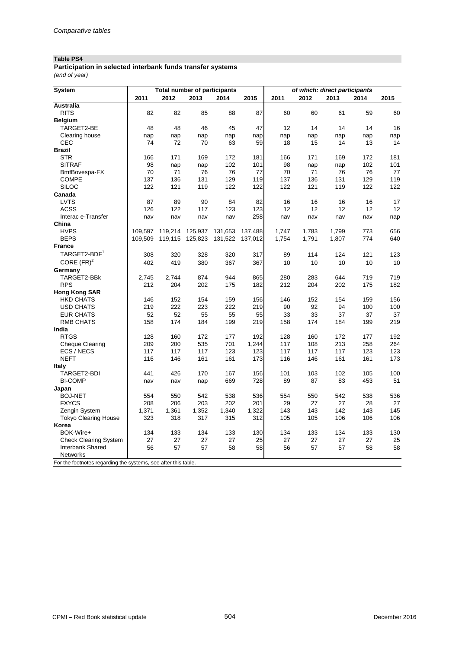### **Table PS4**

*(end of year)* **Participation in selected interbank funds transfer systems**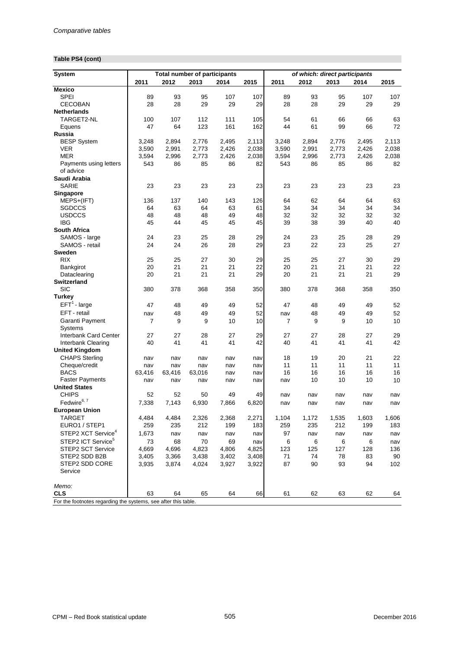## **Table PS4 (cont)**

| System                                                         |              |           | <b>Total number of participants</b> |              |           | of which: direct participants |              |              |              |              |  |  |
|----------------------------------------------------------------|--------------|-----------|-------------------------------------|--------------|-----------|-------------------------------|--------------|--------------|--------------|--------------|--|--|
|                                                                | 2011         | 2012      | 2013                                | 2014         | 2015      | 2011                          | 2012         | 2013         | 2014         | 2015         |  |  |
| <b>Mexico</b>                                                  |              |           |                                     |              |           |                               |              |              |              |              |  |  |
| <b>SPEI</b>                                                    | 89           | 93        | 95                                  | 107          | 107       | 89                            | 93           | 95           | 107          | 107          |  |  |
| <b>CECOBAN</b>                                                 | 28           | 28        | 29                                  | 29           | 29        | 28                            | 28           | 29           | 29           | 29           |  |  |
| <b>Netherlands</b>                                             |              |           |                                     |              |           |                               |              |              |              |              |  |  |
| TARGET2-NL                                                     | 100          | 107       | 112                                 | 111          | 105       | 54                            | 61           | 66           | 66           | 63           |  |  |
| Equens                                                         | 47           | 64        | 123                                 | 161          | 162       | 44                            | 61           | 99           | 66           | 72           |  |  |
| Russia                                                         |              |           |                                     |              |           |                               |              |              |              |              |  |  |
| <b>BESP System</b>                                             | 3,248        | 2,894     | 2,776                               | 2,495        | 2,113     | 3,248                         | 2,894        | 2,776        | 2,495        | 2,113        |  |  |
| VER                                                            | 3,590        | 2,991     | 2,773                               | 2,426        | 2,038     | 3,590                         | 2,991        | 2,773        | 2,426        | 2,038        |  |  |
| <b>MER</b>                                                     | 3,594        | 2,996     | 2,773                               | 2,426        | 2,038     | 3,594                         | 2,996        | 2,773        | 2,426        | 2,038        |  |  |
| Payments using letters<br>of advice                            | 543          | 86        | 85                                  | 86           | 82        | 543                           | 86           | 85           | 86           | 82           |  |  |
| Saudi Arabia                                                   |              |           |                                     |              |           |                               |              |              |              |              |  |  |
| <b>SARIE</b>                                                   | 23           | 23        | 23                                  | 23           | 23        | 23                            | 23           | 23           | 23           | 23           |  |  |
| Singapore                                                      |              |           |                                     |              |           |                               |              |              |              |              |  |  |
| MEPS+(IFT)<br><b>SGDCCS</b>                                    | 136<br>64    | 137<br>63 | 140<br>64                           | 143<br>63    | 126<br>61 | 64<br>34                      | 62<br>34     | 64<br>34     | 64<br>34     | 63<br>34     |  |  |
| <b>USDCCS</b>                                                  | 48           | 48        | 48                                  | 49           | 48        | 32                            | 32           | 32           | 32           | 32           |  |  |
| <b>IBG</b>                                                     | 45           | 44        | 45                                  | 45           | 45        | 39                            | 38           | 39           | 40           | 40           |  |  |
| <b>South Africa</b>                                            |              |           |                                     |              |           |                               |              |              |              |              |  |  |
| SAMOS - large                                                  | 24           | 23        | 25                                  | 28           | 29        | 24                            | 23           | 25           | 28           | 29           |  |  |
| SAMOS - retail                                                 | 24           | 24        | 26                                  | 28           | 29        | 23                            | 22           | 23           | 25           | 27           |  |  |
| <b>Sweden</b>                                                  |              |           |                                     |              |           |                               |              |              |              |              |  |  |
| <b>RIX</b>                                                     | 25           | 25        | 27                                  | 30           | 29        | 25                            | 25           | 27           | 30           | 29           |  |  |
| Bankgirot                                                      | 20           | 21        | 21                                  | 21           | 22        | 20                            | 21           | 21           | 21           | 22           |  |  |
| Dataclearing                                                   | 20           | 21        | 21                                  | 21           | 29        | 20                            | 21           | 21           | 21           | 29           |  |  |
| <b>Switzerland</b>                                             |              |           |                                     |              |           |                               |              |              |              |              |  |  |
| <b>SIC</b>                                                     | 380          | 378       | 368                                 | 358          | 350       | 380                           | 378          | 368          | 358          | 350          |  |  |
| <b>Turkey</b>                                                  |              |           |                                     |              |           |                               |              |              |              |              |  |  |
| $EFT1$ - large                                                 | 47           | 48        | 49                                  | 49           | 52        | 47                            | 48           | 49           | 49           | 52           |  |  |
| EFT - retail                                                   | nav          | 48        | 49                                  | 49           | 52        | nav                           | 48           | 49           | 49           | 52           |  |  |
| Garanti Payment                                                | 7            | 9         | 9                                   | 10           | 10        | 7                             | 9            | 9            | 10           | 10           |  |  |
| <b>Systems</b>                                                 |              |           |                                     |              |           |                               |              |              |              |              |  |  |
| <b>Interbank Card Center</b>                                   | 27           | 27        | 28                                  | 27           | 29        | 27                            | 27           | 28           | 27           | 29           |  |  |
| Interbank Clearing                                             | 40           | 41        | 41                                  | 41           | 42        | 40                            | 41           | 41           | 41           | 42           |  |  |
| <b>United Kingdom</b>                                          |              |           |                                     |              |           |                               |              |              |              |              |  |  |
| <b>CHAPS Sterling</b>                                          | nav          | nav       | nav                                 | nav          | nav       | 18                            | 19           | 20           | 21           | 22           |  |  |
| Cheque/credit                                                  | nav          | nav       | nav                                 | nav          | nav       | 11                            | 11           | 11           | 11           | 11           |  |  |
| <b>BACS</b>                                                    | 63,416       | 63,416    | 63,016                              | nav          | nav       | 16                            | 16           | 16           | 16           | 16           |  |  |
| <b>Faster Payments</b>                                         | nav          | nav       | nav                                 | nav          | nav       | nav                           | 10           | 10           | 10           | 10           |  |  |
| <b>United States</b><br><b>CHIPS</b>                           | 52           | 52        |                                     |              |           |                               |              |              |              |              |  |  |
| Fedwire <sup>6, 7</sup>                                        |              |           | 50                                  | 49           | 49        | nav                           | nav          | nav          | nav          | nav          |  |  |
|                                                                | 7,338        | 7,143     | 6,930                               | 7,866        | 6,820     | nav                           | nav          | nav          | nav          | nav          |  |  |
| <b>European Union</b>                                          |              | 4,484     | 2,326                               |              | 2,271     |                               |              |              |              |              |  |  |
| TARGET<br>EURO1 / STEP1                                        | 4,484<br>259 | 235       | 212                                 | 2,368<br>199 | 183       | 1,104<br>259                  | 1,172<br>235 | 1,535<br>212 | 1,603<br>199 | 1,606<br>183 |  |  |
| STEP2 XCT Service <sup>4</sup>                                 | 1,673        |           |                                     |              |           |                               |              |              |              |              |  |  |
| STEP2 ICT Service <sup>5</sup>                                 |              | nav       | nav                                 | nav          | nav       | 97                            | nav          | nav          | nav          | nav          |  |  |
|                                                                | 73           | 68        | 70                                  | 69           | nav       | 6                             | 6            | 6            | 6            | nav          |  |  |
| STEP2 SCT Service                                              | 4,669        | 4,696     | 4,823                               | 4,806        | 4,825     | 123                           | 125          | 127          | 128          | 136          |  |  |
| STEP2 SDD B2B<br>STEP2 SDD CORE                                | 3,405        | 3,366     | 3,438                               | 3,402        | 3,408     | 71<br>87                      | 74<br>90     | 78<br>93     | 83<br>94     | 90<br>102    |  |  |
| Service                                                        | 3,935        | 3,874     | 4,024                               | 3,927        | 3,922     |                               |              |              |              |              |  |  |
| Memo:                                                          |              |           |                                     |              |           |                               |              |              |              |              |  |  |
| <b>CLS</b>                                                     | 63           | 64        | 65                                  | 64           | 66        | 61                            | 62           | 63           | 62           | 64           |  |  |
| For the footnotes regarding the systems, see after this table. |              |           |                                     |              |           |                               |              |              |              |              |  |  |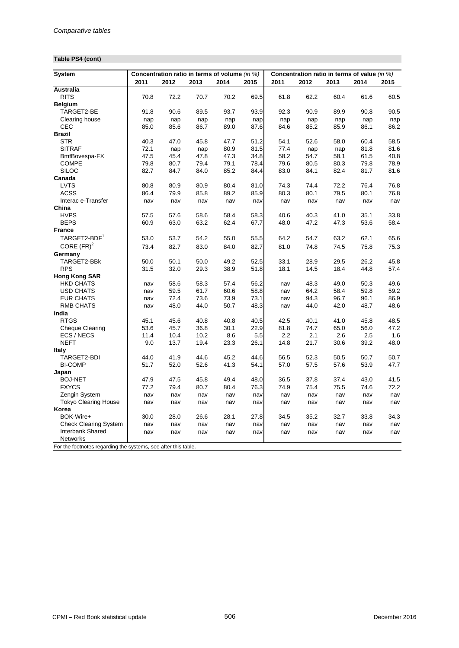## **Table PS4 (cont)**

| System                                                         |      |      |      | Concentration ratio in terms of volume (in %) |      | Concentration ratio in terms of value (in %) |      |      |      |      |  |
|----------------------------------------------------------------|------|------|------|-----------------------------------------------|------|----------------------------------------------|------|------|------|------|--|
|                                                                | 2011 | 2012 | 2013 | 2014                                          | 2015 | 2011                                         | 2012 | 2013 | 2014 | 2015 |  |
| Australia                                                      |      |      |      |                                               |      |                                              |      |      |      |      |  |
| <b>RITS</b>                                                    | 70.8 | 72.2 | 70.7 | 70.2                                          | 69.5 | 61.8                                         | 62.2 | 60.4 | 61.6 | 60.5 |  |
| <b>Belgium</b>                                                 |      |      |      |                                               |      |                                              |      |      |      |      |  |
| TARGET2-BE                                                     | 91.8 | 90.6 | 89.5 | 93.7                                          | 93.9 | 92.3                                         | 90.9 | 89.9 | 90.8 | 90.5 |  |
| Clearing house                                                 | nap  | nap  | nap  | nap                                           | nap  | nap                                          | nap  | nap  | nap  | nap  |  |
| CEC                                                            | 85.0 | 85.6 | 86.7 | 89.0                                          | 87.6 | 84.6                                         | 85.2 | 85.9 | 86.1 | 86.2 |  |
| <b>Brazil</b>                                                  |      |      |      |                                               |      |                                              |      |      |      |      |  |
| <b>STR</b>                                                     | 40.3 | 47.0 | 45.8 | 47.7                                          | 51.2 | 54.1                                         | 52.6 | 58.0 | 60.4 | 58.5 |  |
| <b>SITRAF</b>                                                  | 72.1 | nap  | nap  | 80.9                                          | 81.5 | 77.4                                         | nap  | nap  | 81.8 | 81.6 |  |
| BmfBovespa-FX                                                  | 47.5 | 45.4 | 47.8 | 47.3                                          | 34.8 | 58.2                                         | 54.7 | 58.1 | 61.5 | 40.8 |  |
| <b>COMPE</b>                                                   | 79.8 | 80.7 | 79.4 | 79.1                                          | 78.4 | 79.6                                         | 80.5 | 80.3 | 79.8 | 78.9 |  |
| <b>SILOC</b>                                                   | 82.7 | 84.7 | 84.0 | 85.2                                          | 84.4 | 83.0                                         | 84.1 | 82.4 | 81.7 | 81.6 |  |
| Canada                                                         |      |      |      |                                               |      |                                              |      |      |      |      |  |
| <b>LVTS</b>                                                    | 80.8 | 80.9 | 80.9 | 80.4                                          | 81.0 | 74.3                                         | 74.4 | 72.2 | 76.4 | 76.8 |  |
| <b>ACSS</b>                                                    | 86.4 | 79.9 | 85.8 | 89.2                                          | 85.9 | 80.3                                         | 80.1 | 79.5 | 80.1 | 76.8 |  |
| Interac e-Transfer                                             | nav  | nav  | nav  | nav                                           | nav  | nav                                          | nav  | nav  | nav  | nav  |  |
| China                                                          |      |      |      |                                               |      |                                              |      |      |      |      |  |
| <b>HVPS</b>                                                    | 57.5 | 57.6 | 58.6 | 58.4                                          | 58.3 | 40.6                                         | 40.3 | 41.0 | 35.1 | 33.8 |  |
| <b>BEPS</b>                                                    | 60.9 | 63.0 | 63.2 | 62.4                                          | 67.7 | 48.0                                         | 47.2 | 47.3 | 53.6 | 58.4 |  |
| <b>France</b>                                                  |      |      |      |                                               |      |                                              |      |      |      |      |  |
| TARGET2-BDF <sup>1</sup>                                       | 53.0 | 53.7 | 54.2 | 55.0                                          | 55.5 | 64.2                                         | 54.7 | 63.2 | 62.1 | 65.6 |  |
| CORE $(FR)^2$                                                  | 73.4 | 82.7 | 83.0 | 84.0                                          | 82.7 | 81.0                                         | 74.8 | 74.5 | 75.8 | 75.3 |  |
| Germany                                                        |      |      |      |                                               |      |                                              |      |      |      |      |  |
| TARGET2-BBk                                                    | 50.0 | 50.1 | 50.0 | 49.2                                          | 52.5 | 33.1                                         | 28.9 | 29.5 | 26.2 | 45.8 |  |
| <b>RPS</b>                                                     | 31.5 | 32.0 | 29.3 | 38.9                                          | 51.8 | 18.1                                         | 14.5 | 18.4 | 44.8 | 57.4 |  |
| <b>Hong Kong SAR</b>                                           |      |      |      |                                               |      |                                              |      |      |      |      |  |
| <b>HKD CHATS</b>                                               | nav  | 58.6 | 58.3 | 57.4                                          | 56.2 | nav                                          | 48.3 | 49.0 | 50.3 | 49.6 |  |
| <b>USD CHATS</b>                                               | nav  | 59.5 | 61.7 | 60.6                                          | 58.8 | nav                                          | 64.2 | 58.4 | 59.8 | 59.2 |  |
| <b>EUR CHATS</b>                                               | nav  | 72.4 | 73.6 | 73.9                                          | 73.1 | nav                                          | 94.3 | 96.7 | 96.1 | 86.9 |  |
| <b>RMB CHATS</b>                                               | nav  | 48.0 | 44.0 | 50.7                                          | 48.3 | nav                                          | 44.0 | 42.0 | 48.7 | 48.6 |  |
| India                                                          |      |      |      |                                               |      |                                              |      |      |      |      |  |
| <b>RTGS</b>                                                    | 45.1 | 45.6 | 40.8 | 40.8                                          | 40.5 | 42.5                                         | 40.1 | 41.0 | 45.8 | 48.5 |  |
| <b>Cheque Clearing</b>                                         | 53.6 | 45.7 | 36.8 | 30.1                                          | 22.9 | 81.8                                         | 74.7 | 65.0 | 56.0 | 47.2 |  |
| ECS / NECS                                                     | 11.4 | 10.4 | 10.2 | 8.6                                           | 5.5  | 2.2                                          | 2.1  | 2.6  | 2.5  | 1.6  |  |
| <b>NEFT</b>                                                    | 9.0  | 13.7 | 19.4 | 23.3                                          | 26.1 | 14.8                                         | 21.7 | 30.6 | 39.2 | 48.0 |  |
| <b>Italy</b>                                                   |      |      |      |                                               |      |                                              |      |      |      |      |  |
| TARGET2-BDI                                                    | 44.0 | 41.9 | 44.6 | 45.2                                          | 44.6 | 56.5                                         | 52.3 | 50.5 | 50.7 | 50.7 |  |
| <b>BI-COMP</b>                                                 | 51.7 | 52.0 | 52.6 | 41.3                                          | 54.1 | 57.0                                         | 57.5 | 57.6 | 53.9 | 47.7 |  |
| Japan                                                          |      |      |      |                                               |      |                                              |      |      |      |      |  |
| <b>BOJ-NET</b>                                                 | 47.9 | 47.5 | 45.8 | 49.4                                          | 48.0 | 36.5                                         | 37.8 | 37.4 | 43.0 | 41.5 |  |
| <b>FXYCS</b>                                                   | 77.2 | 79.4 | 80.7 | 80.4                                          | 76.3 | 74.9                                         | 75.4 | 75.5 | 74.6 | 72.2 |  |
| Zengin System                                                  | nav  | nav  | nav  | nav                                           | nav  | nav                                          | nav  | nav  | nav  | nav  |  |
| <b>Tokyo Clearing House</b>                                    | nav  | nav  | nav  | nav                                           | nav  | nav                                          | nav  | nav  | nav  | nav  |  |
| Korea                                                          |      |      |      |                                               |      |                                              |      |      |      |      |  |
| BOK-Wire+                                                      | 30.0 | 28.0 | 26.6 | 28.1                                          | 27.8 | 34.5                                         | 35.2 | 32.7 | 33.8 | 34.3 |  |
| <b>Check Clearing System</b>                                   | nav  | nav  | nav  | nav                                           | nav  | nav                                          | nav  | nav  | nav  | nav  |  |
| Interbank Shared                                               | nav  | nav  | nav  | nav                                           | nav  | nav                                          | nav  | nav  | nav  | nav  |  |
| <b>Networks</b>                                                |      |      |      |                                               |      |                                              |      |      |      |      |  |
| For the footnotes regarding the systems, see after this table. |      |      |      |                                               |      |                                              |      |      |      |      |  |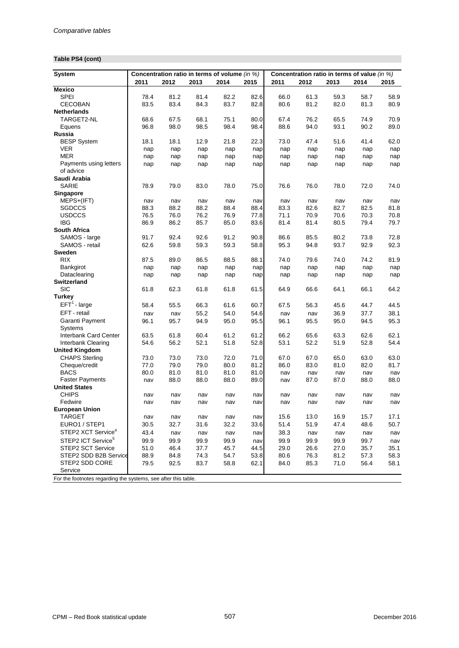## **Table PS4 (cont)**

| System                                                         |      | Concentration ratio in terms of volume (in %) |      |      |      |      |      |      | Concentration ratio in terms of value (in %) |      |
|----------------------------------------------------------------|------|-----------------------------------------------|------|------|------|------|------|------|----------------------------------------------|------|
|                                                                | 2011 | 2012                                          | 2013 | 2014 | 2015 | 2011 | 2012 | 2013 | 2014                                         | 2015 |
| <b>Mexico</b>                                                  |      |                                               |      |      |      |      |      |      |                                              |      |
| <b>SPEI</b>                                                    | 78.4 | 81.2                                          | 81.4 | 82.2 | 82.6 | 66.0 | 61.3 | 59.3 | 58.7                                         | 58.9 |
| <b>CECOBAN</b>                                                 | 83.5 | 83.4                                          | 84.3 | 83.7 | 82.8 | 80.6 | 81.2 | 82.0 | 81.3                                         | 80.9 |
| <b>Netherlands</b>                                             |      |                                               |      |      |      |      |      |      |                                              |      |
| TARGET2-NL                                                     | 68.6 | 67.5                                          | 68.1 | 75.1 | 80.0 | 67.4 | 76.2 | 65.5 | 74.9                                         | 70.9 |
| Equens                                                         | 96.8 | 98.0                                          | 98.5 | 98.4 | 98.4 | 88.6 | 94.0 | 93.1 | 90.2                                         | 89.0 |
| Russia                                                         |      |                                               |      |      |      |      |      |      |                                              |      |
| <b>BESP System</b>                                             | 18.1 | 18.1                                          | 12.9 | 21.8 | 22.3 | 73.0 | 47.4 | 51.6 | 41.4                                         | 62.0 |
| <b>VER</b>                                                     | nap  | nap                                           | nap  | nap  | nap  | nap  | nap  | nap  | nap                                          | nap  |
| <b>MER</b>                                                     | nap  | nap                                           | nap  | nap  | nap  | nap  | nap  | nap  | nap                                          | nap  |
| Payments using letters                                         | nap  | nap                                           | nap  | nap  | nap  | nap  | nap  | nap  | nap                                          | nap  |
| of advice                                                      |      |                                               |      |      |      |      |      |      |                                              |      |
| Saudi Arabia                                                   |      |                                               |      |      |      |      |      |      |                                              |      |
| SARIE                                                          | 78.9 | 79.0                                          | 83.0 | 78.0 | 75.0 | 76.6 | 76.0 | 78.0 | 72.0                                         | 74.0 |
| Singapore                                                      |      |                                               |      |      |      |      |      |      |                                              |      |
| MEPS+(IFT)                                                     | nav  | nav                                           | nav  | nav  | nav  | nav  | nav  | nav  | nav                                          | nav  |
| SGDCCS                                                         | 88.3 | 88.2                                          | 88.2 | 88.4 | 88.4 | 83.3 | 82.6 | 82.7 | 82.5                                         | 81.8 |
| <b>USDCCS</b>                                                  | 76.5 | 76.0                                          | 76.2 | 76.9 | 77.8 | 71.1 | 70.9 | 70.6 | 70.3                                         | 70.8 |
| IBG                                                            | 86.9 | 86.2                                          | 85.7 | 85.0 | 83.6 | 81.4 | 81.4 | 80.5 | 79.4                                         | 79.7 |
| <b>South Africa</b>                                            |      |                                               |      |      |      |      |      |      |                                              |      |
| SAMOS - large                                                  | 91.7 | 92.4                                          | 92.6 | 91.2 | 90.8 | 86.6 | 85.5 | 80.2 | 73.8                                         | 72.8 |
| SAMOS - retail                                                 | 62.6 | 59.8                                          | 59.3 | 59.3 | 58.8 | 95.3 | 94.8 | 93.7 | 92.9                                         | 92.3 |
| Sweden                                                         |      |                                               |      |      |      |      |      |      |                                              |      |
| <b>RIX</b>                                                     | 87.5 | 89.0                                          | 86.5 | 88.5 | 88.1 | 74.0 | 79.6 | 74.0 | 74.2                                         | 81.9 |
| Bankgirot                                                      | nap  | nap                                           | nap  | nap  | nap  | nap  | nap  | nap  | nap                                          | nap  |
| Dataclearing                                                   | nap  | nap                                           | nap  | nap  | nap  | nap  | nap  | nap  | nap                                          | nap  |
| <b>Switzerland</b>                                             |      |                                               |      |      |      |      |      |      |                                              |      |
| <b>SIC</b>                                                     | 61.8 | 62.3                                          | 61.8 | 61.8 | 61.5 | 64.9 | 66.6 | 64.1 | 66.1                                         | 64.2 |
| <b>Turkey</b>                                                  |      |                                               |      |      |      |      |      |      |                                              |      |
| $EFT1$ - large                                                 | 58.4 | 55.5                                          | 66.3 | 61.6 | 60.7 | 67.5 | 56.3 | 45.6 | 44.7                                         | 44.5 |
| EFT - retail                                                   | nav  | nav                                           | 55.2 | 54.0 | 54.6 | nav  | nav  | 36.9 | 37.7                                         | 38.1 |
| Garanti Payment                                                | 96.1 | 95.7                                          | 94.9 | 95.0 | 95.5 | 96.1 | 95.5 | 95.0 | 94.5                                         | 95.3 |
| <b>Systems</b>                                                 |      |                                               |      |      |      |      |      |      |                                              |      |
| <b>Interbank Card Center</b>                                   | 63.5 | 61.8                                          | 60.4 | 61.2 | 61.2 | 66.2 | 65.6 | 63.3 | 62.6                                         | 62.1 |
| Interbank Clearing                                             | 54.6 | 56.2                                          | 52.1 | 51.8 | 52.8 | 53.1 | 52.2 | 51.9 | 52.8                                         | 54.4 |
| <b>United Kingdom</b>                                          |      |                                               |      |      |      |      |      |      |                                              |      |
| <b>CHAPS Sterling</b>                                          | 73.0 | 73.0                                          | 73.0 | 72.0 | 71.0 | 67.0 | 67.0 | 65.0 | 63.0                                         | 63.0 |
| Cheque/credit                                                  | 77.0 | 79.0                                          | 79.0 | 80.0 | 81.2 | 86.0 | 83.0 | 81.0 | 82.0                                         | 81.7 |
| <b>BACS</b>                                                    | 80.0 | 81.0                                          | 81.0 | 81.0 | 81.0 | nav  | nav  | nav  | nav                                          | nav  |
| <b>Faster Payments</b>                                         | nav  | 88.0                                          | 88.0 | 88.0 | 89.0 | nav  | 87.0 | 87.0 | 88.0                                         | 88.0 |
| <b>United States</b>                                           |      |                                               |      |      |      |      |      |      |                                              |      |
| <b>CHIPS</b>                                                   | nav  | nav                                           | nav  | nav  | nav  | nav  | nav  | nav  | nav                                          | nav  |
| Fedwire                                                        | nav  | nav                                           | nav  | nav  | nav  | nav  | nav  | nav  | nav                                          | nav  |
| <b>European Union</b>                                          |      |                                               |      |      |      |      |      |      |                                              |      |
| TARGET                                                         | nav  | nav                                           | nav  | nav  | nav  | 15.6 | 13.0 | 16.9 | 15.7                                         | 17.1 |
| EURO1 / STEP1                                                  | 30.5 | 32.7                                          | 31.6 | 32.2 | 33.6 | 51.4 | 51.9 | 47.4 | 48.6                                         | 50.7 |
| STEP2 XCT Service <sup>4</sup>                                 | 43.4 | nav                                           | nav  | nav  | nav  | 38.3 | nav  | nav  | nav                                          | nav  |
| STEP2 ICT Service <sup>5</sup>                                 | 99.9 | 99.9                                          | 99.9 | 99.9 | nav  | 99.9 | 99.9 | 99.9 | 99.7                                         | nav  |
| STEP2 SCT Service                                              | 51.0 | 46.4                                          | 37.7 | 45.7 | 44.5 | 29.0 | 26.6 | 27.0 | 35.7                                         | 35.1 |
| STEP2 SDD B2B Service                                          | 88.9 | 84.8                                          | 74.3 | 54.7 | 53.8 | 80.6 | 76.3 | 81.2 | 57.3                                         | 58.3 |
| STEP2 SDD CORE                                                 | 79.5 | 92.5                                          | 83.7 | 58.8 | 62.1 | 84.0 | 85.3 | 71.0 | 56.4                                         | 58.1 |
| Service                                                        |      |                                               |      |      |      |      |      |      |                                              |      |
| For the footnotes regarding the systems, see after this table. |      |                                               |      |      |      |      |      |      |                                              |      |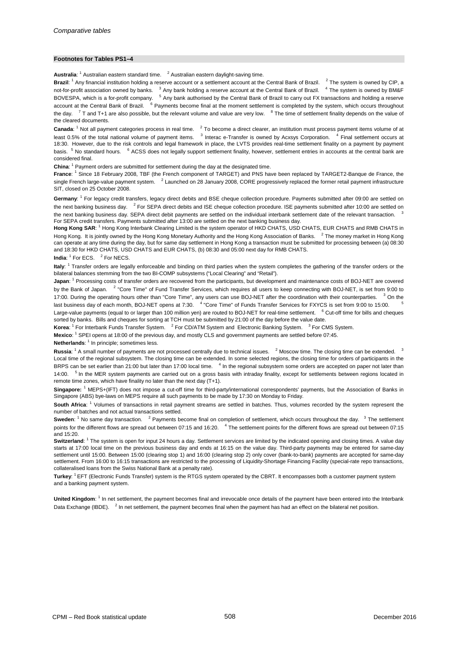#### **Footnotes for Tables PS1–4**

Australia: <sup>1</sup> Australian eastern standard time. <sup>2</sup> Australian eastern daylight-saving time.

**Brazil:** <sup>1</sup> Any financial institution holding a reserve account or a settlement account at the Central Bank of Brazil. <sup>2</sup> The system is owned by CIP, a not-for-profit association owned by banks. <sup>3</sup> Any bank holding a reserve account at the Central Bank of Brazil. <sup>4</sup> The system is owned by BM&F BOVESPA, which is a for-profit company. <sup>5</sup> Any bank authorised by the Central Bank of Brazil to carry out FX transactions and holding a reserve account at the Central Bank of Brazil. <sup>6</sup> Payments become final at the moment settlement is completed by the system, which occurs throughout the day.  $7$  T and T+1 are also possible, but the relevant volume and value are very low.  $8$  The time of settlement finality depends on the value of the cleared documents.

Canada: <sup>1</sup> Not all payment categories process in real time. <sup>2</sup> To become a direct clearer, an institution must process payment items volume of at least 0.5% of the total national volume of payment items. <sup>3</sup> Interac e-Transfer is owned by Acxsys Corporation. <sup>4</sup> Final settlement occurs at 18:30. However, due to the risk controls and legal framework in place, the LVTS provides real-time settlement finality on a payment by payment basis. <sup>5</sup> No standard hours. <sup>6</sup> ACSS does not legally support settlement finality, however, settlement entries in accounts at the central bank are considered final.

China: <sup>1</sup> Payment orders are submitted for settlement during the day at the designated time.

**France**: <sup>1</sup> Since 18 February 2008, TBF (the French component of TARGET) and PNS have been replaced by TARGET2-Banque de France, the single French large-value payment system. <sup>2</sup> Launched on 28 January 2008, CORE progressively replaced the former retail payment infrastructure SIT, closed on 25 October 2008.

Germany: <sup>1</sup> For legacy credit transfers, legacy direct debits and BSE cheque collection procedure. Payments submitted after 09:00 are settled on the next banking business day. <sup>2</sup> For SEPA direct debits and ISE cheque collection procedure. ISE payments submitted after 10:00 are settled on the next banking business day. SEPA direct debit payments are settled on the individual interbank settlement date of the relevant transaction. For SEPA credit transfers. Payments submitted after 13:00 are settled on the next banking business day.

**Hong Kong SAR**: <sup>1</sup> Hong Kong Interbank Clearing Limited is the system operator of HKD CHATS, USD CHATS, EUR CHATS and RMB CHATS in Hong Kong. It is jointly owned by the Hong Kong Monetary Authority and the Hong Kong Association of Banks. <sup>2</sup> The money market in Hong Kong can operate at any time during the day, but for same day settlement in Hong Kong a transaction must be submitted for processing between (a) 08:30 and 18:30 for HKD CHATS, USD CHATS and EUR CHATS, (b) 08:30 and 05:00 next day for RMB CHATS.

**India:** <sup>1</sup> For ECS. <sup>2</sup> For NECS.

**Italy**: <sup>1</sup> Transfer orders are legally enforceable and binding on third parties when the system completes the gathering of the transfer orders or the bilateral balances stemming from the two BI-COMP subsystems ("Local Clearing" and "Retail").

Japan: <sup>1</sup> Processing costs of transfer orders are recovered from the participants, but development and maintenance costs of BOJ-NET are covered by the Bank of Japan. <sup>2</sup> "Core Time" of Fund Transfer Services, which requires all users to keep connecting with BOJ-NET, is set from 9:00 to 17:00. During the operating hours other than "Core Time", any users can use BOJ-NET after the coordination with their counterparties. <sup>3</sup> On the last business day of each month, BOJ-NET opens at 7:30. <sup>4</sup> "Core Time" of Funds Transfer Services for FXYCS is set from 9:00 to 15:00. Large-value payments (equal to or larger than 100 million yen) are routed to BOJ-NET for real-time settlement. <sup>6</sup> Cut-off time for bills and cheques

sorted by banks. Bills and cheques for sorting at TCH must be submitted by 21:00 of the day before the value date.

Korea: <sup>1</sup> For Interbank Funds Transfer System. <sup>2</sup> For CD/ATM System and Electronic Banking System. <sup>3</sup> For CMS System.

**Mexico**: 1 SPEI opens at 18:00 of the previous day, and mostly CLS and government payments are settled before 07:45.

Netherlands: <sup>1</sup> In principle; sometimes less.

**Russia**: <sup>1</sup> A small number of payments are not processed centrally due to technical issues. <sup>2</sup> Moscow time. The closing time can be extended. <sup>3</sup> Local time of the regional subsystem. The closing time can be extended. In some selected regions, the closing time for orders of participants in the BRPS can be set earlier than 21:00 but later than 17:00 local time. <sup>4</sup> In the regional subsystem some orders are accepted on paper not later than 14:00. <sup>5</sup> In the MER system payments are carried out on a gross basis with intraday finality, except for settlements between regions located in remote time zones, which have finality no later than the next day (T+1).

**Singapore:** <sup>1</sup> MEPS+(IFT) does not impose a cut-off time for third-party/international correspondents' payments, but the Association of Banks in Singapore (ABS) bye-laws on MEPS require all such payments to be made by 17:30 on Monday to Friday.

**South Africa**: <sup>1</sup> Volumes of transactions in retail payment streams are settled in batches. Thus, volumes recorded by the system represent the number of batches and not actual transactions settled.

**Sweden:** <sup>1</sup> No same day transaction. <sup>2</sup> Payments become final on completion of settlement, which occurs throughout the day. <sup>3</sup> The settlement points for the different flows are spread out between 07:15 and 16:20. <sup>4</sup> The settlement points for the different flows are spread out between 07:15 and 15:20.

**Switzerland:** <sup>1</sup> The system is open for input 24 hours a day. Settlement services are limited by the indicated opening and closing times. A value day starts at 17:00 local time on the previous business day and ends at 16:15 on the value day. Third-party payments may be entered for same-day settlement until 15:00. Between 15:00 (clearing stop 1) and 16:00 (clearing stop 2) only cover (bank-to-bank) payments are accepted for same-day settlement. From 16:00 to 16:15 transactions are restricted to the processing of Liquidity-Shortage Financing Facility (special-rate repo transactions, collateralised loans from the Swiss National Bank at a penalty rate).

**Turkey**: 1 EFT (Electronic Funds Transfer) system is the RTGS system operated by the CBRT. It encompasses both a customer payment system and a banking payment system.

**United Kingdom**: <sup>1</sup> In net settlement, the payment becomes final and irrevocable once details of the payment have been entered into the Interbank Data Exchange (IBDE). <sup>2</sup> In net settlement, the payment becomes final when the payment has had an effect on the bilateral net position.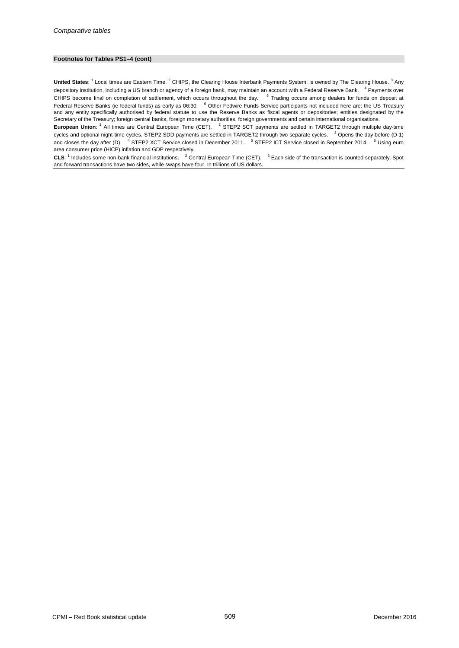#### **Footnotes for Tables PS1–4 (cont)**

**United States**: <sup>1</sup> Local times are Eastern Time. <sup>2</sup> CHIPS, the Clearing House Interbank Payments System, is owned by The Clearing House. <sup>3</sup> Any depository institution, including a US branch or agency of a foreign bank, may maintain an account with a Federal Reserve Bank. <sup>4</sup> Payments over CHIPS become final on completion of settlement, which occurs throughout the day. <sup>5</sup> Trading occurs among dealers for funds on deposit at Federal Reserve Banks (ie federal funds) as early as 06:30. <sup>6</sup> Other Fedwire Funds Service participants not included here are: the US Treasury and any entity specifically authorised by federal statute to use the Reserve Banks as fiscal agents or depositories; entities designated by the Secretary of the Treasury; foreign central banks, foreign monetary authorities, foreign governments and certain international organisations.

**European Union**: <sup>1</sup> All times are Central European Time (CET). <sup>2</sup> STEP2 SCT payments are settled in TARGET2 through multiple day-time cycles and optional night-time cycles. STEP2 SDD payments are settled in TARGET2 through two separate cycles. <sup>3</sup> Opens the day before (D-1) and closes the day after (D). <sup>4</sup> STEP2 XCT Service closed in December 2011. <sup>5</sup> STEP2 ICT Service closed in September 2014. <sup>6</sup> Using euro area consumer price (HICP) inflation and GDP respectively.

**CLS**: <sup>1</sup> Includes some non-bank financial institutions. <sup>2</sup> Central European Time (CET). <sup>3</sup> Each side of the transaction is counted separately. Spot and forward transactions have two sides, while swaps have four. In trillions of US dollars.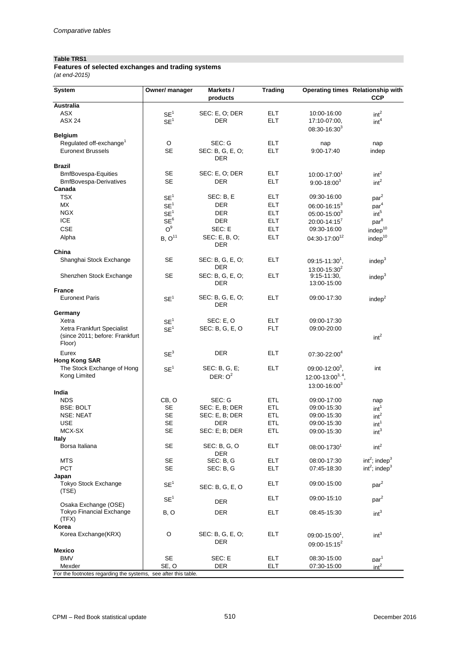### **Table TRS1**

*(at end-2015)* **Features of selected exchanges and trading systems**

| <b>System</b>                               | Owner/ manager        | Markets /<br>products       | <b>Trading</b> |                                                 | Operating times Relationship with<br><b>CCP</b> |  |
|---------------------------------------------|-----------------------|-----------------------------|----------------|-------------------------------------------------|-------------------------------------------------|--|
| <b>Australia</b>                            |                       |                             |                |                                                 |                                                 |  |
| <b>ASX</b>                                  | SE <sup>1</sup>       | SEC: E, O; DER              | <b>ELT</b>     | 10:00-16:00                                     | int <sup>2</sup>                                |  |
| <b>ASX 24</b>                               | SE <sup>1</sup>       | DER                         | <b>ELT</b>     | 17:10-07:00,<br>$08:30 - 16:30^3$               | int <sup>4</sup>                                |  |
| <b>Belgium</b>                              |                       |                             |                |                                                 |                                                 |  |
| Regulated off-exchange <sup>1</sup>         | O                     | SEC: G                      | ELT.           | nap                                             | nap                                             |  |
| <b>Euronext Brussels</b>                    | <b>SE</b>             | SEC: B, G, E, O;<br>DER     | <b>ELT</b>     | 9:00-17:40                                      | indep                                           |  |
| <b>Brazil</b>                               |                       |                             |                |                                                 |                                                 |  |
| <b>BmfBovespa-Equities</b>                  | SE                    | SEC: E, O; DER              | <b>ELT</b>     | 10:00-17:001                                    | int <sup>2</sup>                                |  |
| <b>BmfBovespa-Derivatives</b>               | <b>SE</b>             | <b>DER</b>                  | <b>ELT</b>     | $9:00 - 18:00^3$                                | int <sup>2</sup>                                |  |
| Canada                                      |                       |                             |                |                                                 |                                                 |  |
| TSX                                         | SE <sup>1</sup>       | SEC: B, E                   | <b>ELT</b>     | 09:30-16:00                                     | par <sup>2</sup>                                |  |
| МX                                          | SE <sup>1</sup>       | DER                         | <b>ELT</b>     | $06:00 - 16:15^3$                               | par <sup>4</sup>                                |  |
| <b>NGX</b>                                  | SE <sup>1</sup>       | DER                         | <b>ELT</b>     | $05:00 - 15:00^3$                               | int <sup>5</sup>                                |  |
| <b>ICE</b>                                  | SE <sup>6</sup>       | <b>DER</b>                  | <b>ELT</b>     | $20:00 - 14:15^7$                               | par <sup>8</sup>                                |  |
| CSE                                         | O <sup>9</sup>        | SEC: E                      | <b>ELT</b>     | 09:30-16:00                                     | indep <sup>10</sup>                             |  |
| Alpha                                       | B, O <sup>11</sup>    | SEC: E, B, O;<br><b>DER</b> | <b>ELT</b>     | 04:30-17:0012                                   | indep <sup>10</sup>                             |  |
| China                                       |                       |                             |                |                                                 |                                                 |  |
| Shanghai Stock Exchange                     | SE                    | SEC: B, G, E, O;            | <b>ELT</b>     | $09:15 - 11:30^1$ ,                             | indep <sup>3</sup>                              |  |
|                                             |                       | DER                         |                | $13:00 - 15:30^2$                               |                                                 |  |
| Shenzhen Stock Exchange                     | SE                    | SEC: B, G, E, O;            | <b>ELT</b>     | $9:15 - 11:30$ ,                                | indep <sup>3</sup>                              |  |
|                                             |                       | DER                         |                | 13:00-15:00                                     |                                                 |  |
| <b>France</b>                               |                       |                             |                |                                                 |                                                 |  |
| <b>Euronext Paris</b>                       | $\text{SE}^1$         | SEC: B, G, E, O;<br>DER     | <b>ELT</b>     | 09:00-17:30                                     | indep <sup>2</sup>                              |  |
| Germany                                     |                       |                             |                |                                                 |                                                 |  |
| Xetra                                       | SE <sup>1</sup>       | SEC: E, O                   | <b>ELT</b>     | 09:00-17:30                                     |                                                 |  |
| Xetra Frankfurt Specialist                  | SE <sup>1</sup>       | SEC: B, G, E, O             | <b>FLT</b>     | 09:00-20:00                                     |                                                 |  |
| (since 2011; before: Frankfurt<br>Floor)    |                       |                             |                |                                                 | int <sup>2</sup>                                |  |
| Eurex<br><b>Hong Kong SAR</b>               | SE <sup>3</sup>       | <b>DER</b>                  | ELT.           | 07:30-22:004                                    |                                                 |  |
| The Stock Exchange of Hong                  | SE <sup>1</sup>       | SEC: B, G, E;               | <b>ELT</b>     | $09:00 - 12:00^3$ ,                             | int                                             |  |
| Kong Limited                                |                       | DER: $O^2$                  |                | 12:00-13:00 $^{3,4}$                            |                                                 |  |
|                                             |                       |                             |                | 13:00-16:003                                    |                                                 |  |
| India                                       |                       |                             |                |                                                 |                                                 |  |
| <b>NDS</b>                                  | CB, O                 | SEC: G                      | <b>ETL</b>     | 09:00-17:00                                     | nap                                             |  |
| <b>BSE: BOLT</b>                            | <b>SE</b>             | SEC: E, B; DER              | ETL            | 09:00-15:30                                     | int <sup>1</sup>                                |  |
| NSE: NEAT                                   | SE                    | SEC: E, B; DER              | ETL            | 09:00-15:30                                     | int <sup>2</sup>                                |  |
| USE                                         | <b>SE</b>             | DER                         | ETL            | 09:00-15:30                                     | int <sup>1</sup>                                |  |
| MCX-SX                                      | <b>SE</b>             | SEC: E; B; DER              | ETL            | 09:00-15:30                                     | int <sup>3</sup>                                |  |
| <b>Italy</b>                                |                       |                             |                |                                                 |                                                 |  |
| Borsa Italiana                              | SE                    | SEC: B, G, O<br>DER         | <b>ELT</b>     | 08:00-17301                                     | int <sup>2</sup>                                |  |
| <b>MTS</b>                                  | <b>SE</b>             | SEC: B, G                   | <b>ELT</b>     | 08:00-17:30                                     | $int2$ ; indep <sup>3</sup>                     |  |
| <b>PCT</b>                                  | <b>SE</b>             | SEC: B, G                   | <b>ELT</b>     | 07:45-18:30                                     | $int2$ ; indep <sup>3</sup>                     |  |
| Japan                                       |                       |                             |                |                                                 |                                                 |  |
| <b>Tokyo Stock Exchange</b><br>(TSE)        | SE <sup>1</sup>       | SEC: B, G, E, O             | <b>ELT</b>     | 09:00-15:00                                     | par <sup>2</sup>                                |  |
| Osaka Exchange (OSE)                        | SE <sup>1</sup>       | <b>DER</b>                  | <b>ELT</b>     | 09:00-15:10                                     | par <sup>2</sup>                                |  |
| <b>Tokyo Financial Exchange</b><br>(TFX)    | B, O                  | <b>DER</b>                  | <b>ELT</b>     | 08:45-15:30                                     | int <sup>3</sup>                                |  |
| Korea                                       |                       |                             |                |                                                 |                                                 |  |
| Korea Exchange(KRX)                         | O                     | SEC: B, G, E, O;<br>DER     | <b>ELT</b>     | $09:00 - 15:00^1$ ,<br>09:00-15:15 <sup>2</sup> | int <sup>3</sup>                                |  |
| <b>Mexico</b>                               |                       |                             |                |                                                 |                                                 |  |
| <b>BMV</b>                                  | <b>SE</b>             | SEC: E                      | ELT.           | 08:30-15:00                                     | par <sup>1</sup>                                |  |
| Mexder<br>strates regarding the oustame and | SE, O<br>r thin toble | DER                         | ELT            | 07:30-15:00                                     | int <sup>2</sup>                                |  |

For the footnotes regarding the systems, see after this table.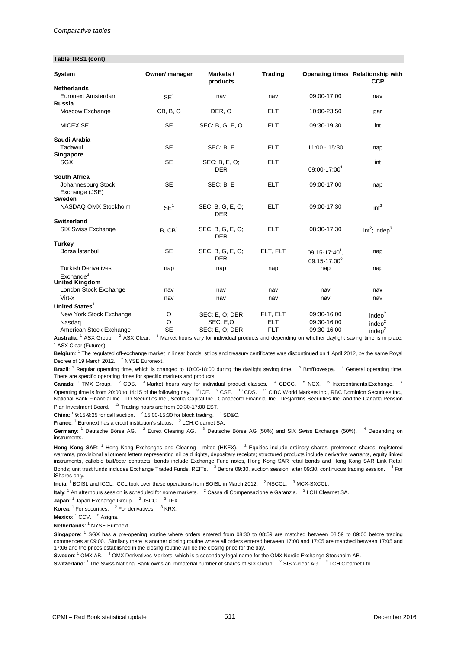#### **Table TRS1 (cont)**

| System                                         | Owner/ manager     | Markets /                      | <b>Trading</b> |                                      | Operating times Relationship with |
|------------------------------------------------|--------------------|--------------------------------|----------------|--------------------------------------|-----------------------------------|
|                                                |                    | products                       |                |                                      | <b>CCP</b>                        |
| <b>Netherlands</b>                             |                    |                                |                |                                      |                                   |
| Euronext Amsterdam                             | SE <sup>1</sup>    | nav                            | nav            | 09:00-17:00                          | nav                               |
| Russia                                         |                    |                                |                |                                      |                                   |
| Moscow Exchange                                | CB, B, O           | DER, O                         | <b>ELT</b>     | 10:00-23:50                          | par                               |
| <b>MICEX SE</b>                                | <b>SE</b>          | SEC: B, G, E, O                | <b>ELT</b>     | 09:30-19:30                          | int                               |
| Saudi Arabia                                   |                    |                                |                |                                      |                                   |
| Tadawul                                        | <b>SE</b>          | SEC: B, E                      | <b>ELT</b>     | 11:00 - 15:30                        | nap                               |
| Singapore                                      |                    |                                |                |                                      |                                   |
| <b>SGX</b>                                     | <b>SE</b>          | SEC: B, E, O;<br><b>DER</b>    | <b>ELT</b>     | 09:00-17:001                         | int                               |
| <b>South Africa</b>                            |                    |                                |                |                                      |                                   |
| Johannesburg Stock<br>Exchange (JSE)           | <b>SE</b>          | SEC: B, E                      | <b>ELT</b>     | 09:00-17:00                          | nap                               |
| <b>Sweden</b>                                  |                    |                                |                |                                      |                                   |
| NASDAQ OMX Stockholm                           | SE <sup>1</sup>    | SEC: B, G, E, O;<br><b>DER</b> | <b>ELT</b>     | 09:00-17:30                          | int <sup>2</sup>                  |
| <b>Switzerland</b>                             |                    |                                |                |                                      |                                   |
| SIX Swiss Exchange                             | B, CB <sup>1</sup> | SEC: B, G, E, O;<br><b>DER</b> | <b>ELT</b>     | 08:30-17:30                          | $int2$ ; indep <sup>3</sup>       |
| Turkey                                         |                    |                                |                |                                      |                                   |
| Borsa İstanbul                                 | <b>SE</b>          | SEC: B, G, E, O;<br><b>DER</b> | ELT, FLT       | $09:15-17:40^1$ ,<br>$09:15-17:00^2$ | nap                               |
| <b>Turkish Derivatives</b>                     | nap                | nap                            | nap            | nap                                  | nap                               |
| Exchange <sup>3</sup><br><b>United Kingdom</b> |                    |                                |                |                                      |                                   |
| London Stock Exchange                          | nav                | nav                            | nav            | nav                                  | nav                               |
| Virt-x                                         | nav                | nav                            | nav            | nav                                  | nav                               |
| United States <sup>1</sup>                     |                    |                                |                |                                      |                                   |
| New York Stock Exchange                        | O                  | SEC: E, O; DER                 | FLT, ELT       | 09:30-16:00                          | indep <sup>2</sup>                |
| Nasdaq                                         | O                  | SEC: E,O                       | <b>ELT</b>     | 09:30-16:00                          | indep <sup>2</sup>                |
| American Stock Exchange                        | <b>SE</b>          | SEC: E, O; DER                 | <b>FLT</b>     | 09:30-16:00                          | indep <sup>2</sup>                |

**Australia**: <sup>1</sup> ASX Group. <sup>2</sup> ASX Clear. <sup>3</sup> Market hours vary for individual products and depending on whether daylight saving time is in place. <sup>4</sup> ASX Clear (Futures).

Belgium: <sup>1</sup> The regulated off-exchange market in linear bonds, strips and treasury certificates was discontinued on 1 April 2012, by the same Royal Decree of 19 March 2012. <sup>2</sup> NYSE Euronext.

**Brazil**: <sup>1</sup> Regular operating time, which is changed to 10:00-18:00 during the daylight saving time. <sup>2</sup> BmfBovespa. <sup>3</sup> General operating time. There are specific operating times for specific markets and products.

**Canada**: <sup>1</sup> TMX Group. <sup>2</sup> CDS. <sup>3</sup> Market hours vary for individual product classes. <sup>4</sup> CDCC. <sup>5</sup> NGX. <sup>6</sup> IntercontinentalExchange. <sup>7</sup> Operating time is from 20:00 to 14:15 of the following day. <sup>8</sup> ICE. <sup>9</sup> CSE. <sup>10</sup> CDS. <sup>11</sup> CIBC World Markets Inc., RBC Dominion Securities Inc., National Bank Financial Inc., TD Securities Inc., Scotia Capital Inc., Canaccord Financial Inc., Desjardins Securities Inc. and the Canada Pension Plan Investment Board. <sup>12</sup> Trading hours are from 09:30-17:00 EST.

**China**:  $1^9$  9:15-9:25 for call auction.  $2^2$  15:00-15:30 for block trading.  $3^3$  SD&C.

**France**: <sup>1</sup> Euronext has a credit institution's status. <sup>2</sup> LCH.Clearnet SA.

Germany: <sup>1</sup> Deutsche Börse AG. <sup>2</sup> Eurex Clearing AG. <sup>3</sup> Deutsche Börse AG (50%) and SIX Swiss Exchange (50%). <sup>4</sup> Depending on instruments.

**Hong Kong SAR**: <sup>1</sup> Hong Kong Exchanges and Clearing Limited (HKEX). <sup>2</sup> Equities include ordinary shares, preference shares, registered warrants, provisional allotment letters representing nil paid rights, depositary receipts; structured products include derivative warrants, equity linked instruments, callable bull/bear contracts; bonds include Exchange Fund notes, Hong Kong SAR retail bonds and Hong Kong SAR Link Retail Bonds; unit trust funds includes Exchange Traded Funds, REITs. 3 Before 09:30, auction session; after 09:30, continuous trading session. 4 For iShares only.

**India**: <sup>1</sup> BOISL and ICCL. ICCL took over these operations from BOISL in March 2012. <sup>2</sup> NSCCL. <sup>3</sup> MCX-SXCCL.

**Italy**: <sup>1</sup> An afterhours session is scheduled for some markets. <sup>2</sup> Cassa di Compensazione e Garanzia. <sup>3</sup> LCH.Clearnet SA.

**Japan**: <sup>1</sup> Japan Exchange Group. <sup>2</sup> JSCC. <sup>3</sup> TFX.

**Korea**: <sup>1</sup> For securities. <sup>2</sup> For derivatives. <sup>3</sup> KRX.

**Mexico**: <sup>1</sup> CCV. <sup>2</sup> Asigna.

**Netherlands: <sup>1</sup> NYSE Euronext.** 

**Singapore**: <sup>1</sup> SGX has a pre-opening routine where orders entered from 08:30 to 08:59 are matched between 08:59 to 09:00 before trading commences at 09:00. Similarly there is another closing routine where all orders entered between 17:00 and 17:05 are matched between 17:05 and 17:06 and the prices established in the closing routine will be the closing price for the day.

Sweden: <sup>1</sup> OMX AB. <sup>2</sup> OMX Derivatives Markets, which is a secondary legal name for the OMX Nordic Exchange Stockholm AB.

 ${\sf Switchland}:^1$  The Swiss National Bank owns an immaterial number of shares of SIX Group.  $^{-2}$  SIS x-clear AG.  $^{-3}$  LCH.Clearnet Ltd.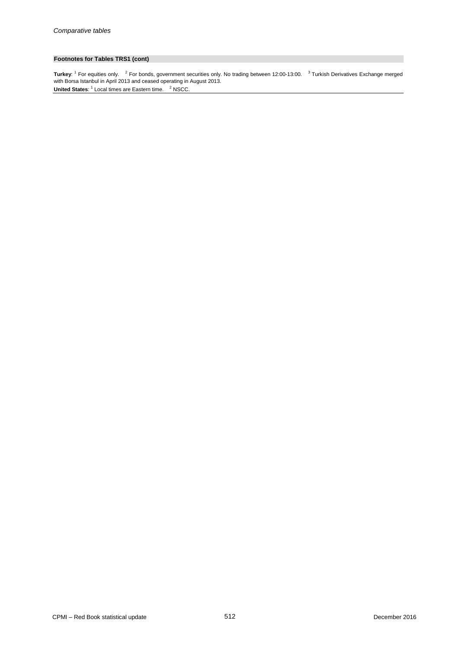### **Footnotes for Tables TRS1 (cont)**

**United States:** <sup>1</sup> Local times are Eastern time. <sup>2</sup> NSCC. **Turkey**: <sup>1</sup> For equities only. <sup>2</sup> For bonds, government securities only. No trading between 12:00-13:00. <sup>3</sup> Turkish Derivatives Exchange merged with Borsa Istanbul in April 2013 and ceased operating in August 2013.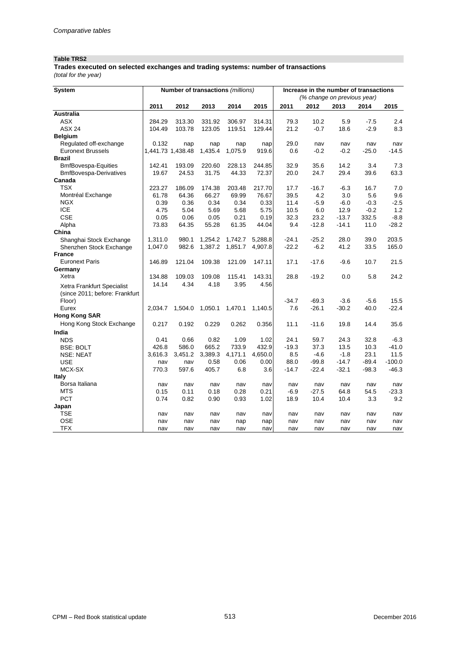## **Table TRS2**

**Trades executed on selected exchanges and trading systems: number of transactions**

*(total for the year)*

| System                         |                   | Number of transactions (millions) |         |         |            | Increase in the number of transactions |                             |         |         |          |  |
|--------------------------------|-------------------|-----------------------------------|---------|---------|------------|----------------------------------------|-----------------------------|---------|---------|----------|--|
|                                |                   |                                   |         |         |            |                                        | (% change on previous year) |         |         |          |  |
|                                | 2011              | 2012                              | 2013    | 2014    | 2015       | 2011                                   | 2012                        | 2013    | 2014    | 2015     |  |
| <b>Australia</b>               |                   |                                   |         |         |            |                                        |                             |         |         |          |  |
| <b>ASX</b>                     | 284.29            | 313.30                            | 331.92  | 306.97  | 314.31     | 79.3                                   | 10.2                        | 5.9     | $-7.5$  | 2.4      |  |
| <b>ASX 24</b>                  | 104.49            | 103.78                            | 123.05  | 119.51  | 129.44     | 21.2                                   | $-0.7$                      | 18.6    | $-2.9$  | 8.3      |  |
| <b>Belgium</b>                 |                   |                                   |         |         |            |                                        |                             |         |         |          |  |
| Regulated off-exchange         | 0.132             | nap                               | nap     | nap     | nap        | 29.0                                   | nav                         | nav     | nav     | nav      |  |
| <b>Euronext Brussels</b>       | 1,441.73 1,438.48 |                                   | 1,435.4 | 1,075.9 | 919.6      | 0.6                                    | $-0.2$                      | $-0.2$  | $-25.0$ | $-14.5$  |  |
| <b>Brazil</b>                  |                   |                                   |         |         |            |                                        |                             |         |         |          |  |
| <b>BmfBovespa-Equities</b>     | 142.41            | 193.09                            | 220.60  | 228.13  | 244.85     | 32.9                                   | 35.6                        | 14.2    | 3.4     | 7.3      |  |
| <b>BmfBovespa-Derivatives</b>  | 19.67             | 24.53                             | 31.75   | 44.33   | 72.37      | 20.0                                   | 24.7                        | 29.4    | 39.6    | 63.3     |  |
| Canada                         |                   |                                   |         |         |            |                                        |                             |         |         |          |  |
| <b>TSX</b>                     | 223.27            | 186.09                            | 174.38  | 203.48  | 217.70     | 17.7                                   | $-16.7$                     | $-6.3$  | 16.7    | 7.0      |  |
| Montréal Exchange              | 61.78             | 64.36                             | 66.27   | 69.99   | 76.67      | 39.5                                   | 4.2                         | 3.0     | 5.6     | 9.6      |  |
| <b>NGX</b>                     | 0.39              | 0.36                              | 0.34    | 0.34    | 0.33       | 11.4                                   | $-5.9$                      | $-6.0$  | $-0.3$  | $-2.5$   |  |
| <b>ICE</b>                     | 4.75              | 5.04                              | 5.69    | 5.68    | 5.75       | 10.5                                   | 6.0                         | 12.9    | $-0.2$  | 1.2      |  |
| <b>CSE</b>                     | 0.05              | 0.06                              | 0.05    | 0.21    | 0.19       | 32.3                                   | 23.2                        | $-13.7$ | 332.5   | $-8.8$   |  |
| Alpha                          | 73.83             | 64.35                             | 55.28   | 61.35   | 44.04      | 9.4                                    | $-12.8$                     | $-14.1$ | 11.0    | $-28.2$  |  |
| China                          |                   |                                   |         |         |            |                                        |                             |         |         |          |  |
| Shanghai Stock Exchange        | 1,311.0           | 980.1                             | 1,254.2 | 1,742.7 | 5,288.8    | $-24.1$                                | $-25.2$                     | 28.0    | 39.0    | 203.5    |  |
| Shenzhen Stock Exchange        | 1,047.0           | 982.6                             | 1,387.2 | 1,851.7 | 4,907.8    | $-22.2$                                | $-6.2$                      | 41.2    | 33.5    | 165.0    |  |
| <b>France</b>                  |                   |                                   |         |         |            |                                        |                             |         |         |          |  |
| <b>Euronext Paris</b>          | 146.89            | 121.04                            | 109.38  | 121.09  | 147.11     | 17.1                                   | $-17.6$                     | $-9.6$  | 10.7    | 21.5     |  |
| Germany                        |                   |                                   |         |         |            |                                        |                             |         |         |          |  |
| Xetra                          | 134.88            | 109.03                            | 109.08  | 115.41  | 143.31     | 28.8                                   | $-19.2$                     | 0.0     | 5.8     | 24.2     |  |
| Xetra Frankfurt Specialist     | 14.14             | 4.34                              | 4.18    | 3.95    | 4.56       |                                        |                             |         |         |          |  |
| (since 2011; before: Frankfurt |                   |                                   |         |         |            |                                        |                             |         |         |          |  |
| Floor)                         |                   |                                   |         |         |            | $-34.7$                                | $-69.3$                     | $-3.6$  | $-5.6$  | 15.5     |  |
| Eurex                          | 2,034.7           | 1,504.0                           | 1,050.1 | 1,470.1 | 1,140.5    | 7.6                                    | $-26.1$                     | $-30.2$ | 40.0    | $-22.4$  |  |
| <b>Hong Kong SAR</b>           |                   |                                   |         |         |            |                                        |                             |         |         |          |  |
| Hong Kong Stock Exchange       | 0.217             | 0.192                             | 0.229   | 0.262   | 0.356      | 11.1                                   | $-11.6$                     | 19.8    | 14.4    | 35.6     |  |
| India                          |                   |                                   |         |         |            |                                        |                             |         |         |          |  |
| <b>NDS</b>                     | 0.41              | 0.66                              | 0.82    | 1.09    | 1.02       | 24.1                                   | 59.7                        | 24.3    | 32.8    | $-6.3$   |  |
| <b>BSE: BOLT</b>               | 426.8             | 586.0                             | 665.2   | 733.9   | 432.9      | $-19.3$                                | 37.3                        | 13.5    | 10.3    | $-41.0$  |  |
| <b>NSE: NEAT</b>               | 3,616.3           | 3,451.2                           | 3,389.3 | 4,171.1 | 4,650.0    | 8.5                                    | $-4.6$                      | $-1.8$  | 23.1    | 11.5     |  |
| <b>USE</b>                     | nav               |                                   | 0.58    | 0.06    | 0.00       | 88.0                                   | $-99.8$                     | $-14.7$ | $-89.4$ | $-100.0$ |  |
| MCX-SX                         | 770.3             | nav<br>597.6                      | 405.7   | 6.8     | 3.6        | $-14.7$                                | $-22.4$                     | $-32.1$ | $-98.3$ | $-46.3$  |  |
| <b>Italy</b>                   |                   |                                   |         |         |            |                                        |                             |         |         |          |  |
| Borsa Italiana                 | nav               | nav                               | nav     | nav     | nav        | nav                                    | nav                         | nav     | nav     | nav      |  |
| <b>MTS</b>                     | 0.15              | 0.11                              | 0.18    | 0.28    | 0.21       | $-6.9$                                 | $-27.5$                     | 64.8    | 54.5    | $-23.3$  |  |
| <b>PCT</b>                     | 0.74              | 0.82                              | 0.90    | 0.93    | 1.02       | 18.9                                   | 10.4                        | 10.4    | 3.3     | 9.2      |  |
| Japan                          |                   |                                   |         |         |            |                                        |                             |         |         |          |  |
| TSE                            | nav               | nav                               | nav     | nav     | nav        | nav                                    | nav                         | nav     | nav     | nav      |  |
| <b>OSE</b>                     | nav               | nav                               | nav     |         |            | nav                                    | nav                         | nav     | nav     | nav      |  |
| <b>TFX</b>                     | nav               | nav                               | nav     | nap     | nap<br>nav | nav                                    | nav                         | nav     | nav     | nav      |  |
|                                |                   |                                   |         | nav     |            |                                        |                             |         |         |          |  |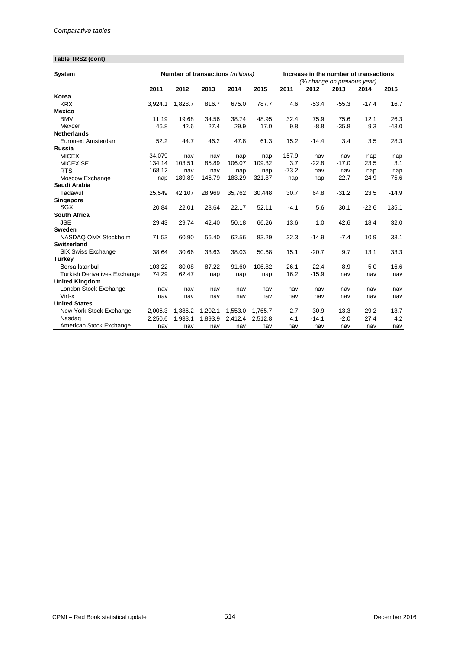## **Table TRS2 (cont)**

| <b>System</b>                       |         |         | Number of transactions (millions) |         | Increase in the number of transactions |         |                             |         |         |         |
|-------------------------------------|---------|---------|-----------------------------------|---------|----------------------------------------|---------|-----------------------------|---------|---------|---------|
|                                     |         |         |                                   |         |                                        |         | (% change on previous year) |         |         |         |
|                                     | 2011    | 2012    | 2013                              | 2014    | 2015                                   | 2011    | 2012                        | 2013    | 2014    | 2015    |
| Korea                               |         |         |                                   |         |                                        |         |                             |         |         |         |
| <b>KRX</b>                          | 3,924.1 | 1.828.7 | 816.7                             | 675.0   | 787.7                                  | 4.6     | $-53.4$                     | $-55.3$ | $-17.4$ | 16.7    |
| <b>Mexico</b>                       |         |         |                                   |         |                                        |         |                             |         |         |         |
| <b>BMV</b>                          | 11.19   | 19.68   | 34.56                             | 38.74   | 48.95                                  | 32.4    | 75.9                        | 75.6    | 12.1    | 26.3    |
| Mexder                              | 46.8    | 42.6    | 27.4                              | 29.9    | 17.0                                   | 9.8     | $-8.8$                      | $-35.8$ | 9.3     | $-43.0$ |
| <b>Netherlands</b>                  |         |         |                                   |         |                                        |         |                             |         |         |         |
| Euronext Amsterdam                  | 52.2    | 44.7    | 46.2                              | 47.8    | 61.3                                   | 15.2    | $-14.4$                     | 3.4     | 3.5     | 28.3    |
| Russia                              |         |         |                                   |         |                                        |         |                             |         |         |         |
| <b>MICEX</b>                        | 34.079  | nav     | nav                               | nap     | nap                                    | 157.9   | nav                         | nav     | nap     | nap     |
| <b>MICEX SE</b>                     | 134.14  | 103.51  | 85.89                             | 106.07  | 109.32                                 | 3.7     | $-22.8$                     | $-17.0$ | 23.5    | 3.1     |
| <b>RTS</b>                          | 168.12  | nav     | nav                               | nap     | nap                                    | $-73.2$ | nav                         | nav     | nap     | nap     |
| Moscow Exchange                     | nap     | 189.89  | 146.79                            | 183.29  | 321.87                                 | nap     | nap                         | $-22.7$ | 24.9    | 75.6    |
| Saudi Arabia                        |         |         |                                   |         |                                        |         |                             |         |         |         |
| Tadawul                             | 25,549  | 42,107  | 28,969                            | 35,762  | 30,448                                 | 30.7    | 64.8                        | $-31.2$ | 23.5    | $-14.9$ |
| Singapore                           |         |         |                                   |         |                                        |         |                             |         |         |         |
| SGX                                 | 20.84   | 22.01   | 28.64                             | 22.17   | 52.11                                  | $-4.1$  | 5.6                         | 30.1    | $-22.6$ | 135.1   |
| <b>South Africa</b>                 |         |         |                                   |         |                                        |         |                             |         |         |         |
| <b>JSE</b>                          | 29.43   | 29.74   | 42.40                             | 50.18   | 66.26                                  | 13.6    | 1.0                         | 42.6    | 18.4    | 32.0    |
| <b>Sweden</b>                       |         |         |                                   |         |                                        |         |                             |         |         |         |
| NASDAQ OMX Stockholm                | 71.53   | 60.90   | 56.40                             | 62.56   | 83.29                                  | 32.3    | $-14.9$                     | $-7.4$  | 10.9    | 33.1    |
| <b>Switzerland</b>                  |         |         |                                   |         |                                        |         |                             |         |         |         |
| SIX Swiss Exchange                  | 38.64   | 30.66   | 33.63                             | 38.03   | 50.68                                  | 15.1    | $-20.7$                     | 9.7     | 13.1    | 33.3    |
| <b>Turkey</b>                       |         |         |                                   |         |                                        |         |                             |         |         |         |
| Borsa İstanbul                      | 103.22  | 80.08   | 87.22                             | 91.60   | 106.82                                 | 26.1    | $-22.4$                     | 8.9     | 5.0     | 16.6    |
| <b>Turkish Derivatives Exchange</b> | 74.29   | 62.47   | nap                               | nap     | nap                                    | 16.2    | $-15.9$                     | nav     | nav     | nav     |
| <b>United Kingdom</b>               |         |         |                                   |         |                                        |         |                             |         |         |         |
| London Stock Exchange               | nav     | nav     | nav                               | nav     | nav                                    | nav     | nav                         | nav     | nav     | nav     |
| Virt-x                              | nav     | nav     | nav                               | nav     | nav                                    | nav     | nav                         | nav     | nav     | nav     |
| <b>United States</b>                |         |         |                                   |         |                                        |         |                             |         |         |         |
| New York Stock Exchange             | 2,006.3 | 1,386.2 | 1,202.1                           | 1,553.0 | 1.765.7                                | $-2.7$  | $-30.9$                     | $-13.3$ | 29.2    | 13.7    |
| Nasdaq                              | 2,250.6 | 1.933.1 | 1,893.9                           | 2,412.4 | 2,512.8                                | 4.1     | $-14.1$                     | $-2.0$  | 27.4    | 4.2     |
| American Stock Exchange             | nav     | nav     | nav                               | nav     | nav                                    | nav     | nav                         | nav     | nav     | nav     |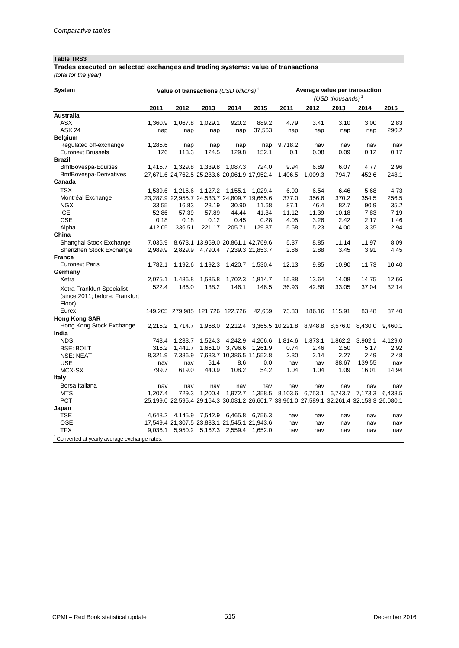## **Table TRS3**

**Trades executed on selected exchanges and trading systems: value of transactions** 

*(total for the year)*

| <b>System</b>                                            |              |                                    |         | Value of transactions (USD billions) <sup>1</sup>                                         |         | Average value per transaction |                 |                     |                 |              |
|----------------------------------------------------------|--------------|------------------------------------|---------|-------------------------------------------------------------------------------------------|---------|-------------------------------|-----------------|---------------------|-----------------|--------------|
|                                                          |              |                                    |         |                                                                                           |         |                               |                 | (USD thousands) $1$ |                 |              |
|                                                          | 2011         | 2012                               | 2013    | 2014                                                                                      | 2015    | 2011                          | 2012            | 2013                | 2014            | 2015         |
| <b>Australia</b>                                         |              |                                    |         |                                                                                           |         |                               |                 |                     |                 |              |
| <b>ASX</b>                                               | 1,360.9      | 1,067.8                            | 1,029.1 | 920.2                                                                                     | 889.2   | 4.79                          | 3.41            | 3.10                | 3.00            | 2.83         |
| <b>ASX 24</b>                                            | nap          | nap                                | nap     | nap                                                                                       | 37,563  | nap                           | nap             | nap                 | nap             | 290.2        |
| <b>Belgium</b>                                           |              |                                    |         |                                                                                           |         |                               |                 |                     |                 |              |
| Regulated off-exchange                                   | 1,285.6      | nap                                | nap     | nap                                                                                       | nap     | 9,718.2                       | nav             | nav                 | nav             | nav          |
| <b>Euronext Brussels</b>                                 | 126          | 113.3                              | 124.5   | 129.8                                                                                     | 152.1   | 0.1                           | 0.08            | 0.09                | 0.12            | 0.17         |
| <b>Brazil</b>                                            |              |                                    |         |                                                                                           |         |                               |                 |                     |                 |              |
| <b>BmfBovespa-Equities</b>                               |              | 1,415.7  1,329.8  1,339.8  1,087.3 |         |                                                                                           | 724.0   | 9.94                          | 6.89            | 6.07                | 4.77            | 2.96         |
| <b>BmfBovespa-Derivatives</b>                            |              |                                    |         | 27,671.6 24,762.5 25,233.6 20,061.9 17,952.4                                              |         | 1,406.5                       | 1,009.3         | 794.7               | 452.6           | 248.1        |
| Canada                                                   |              |                                    |         |                                                                                           |         |                               |                 |                     |                 |              |
| <b>TSX</b>                                               | 1,539.6      | 1,216.6                            |         | 1,127.2 1,155.1                                                                           | 1,029.4 | 6.90                          | 6.54            | 6.46                | 5.68            | 4.73         |
| Montréal Exchange                                        |              |                                    |         | 23,287.9 22,955.7 24,533.7 24,809.7 19,665.6                                              |         | 377.0                         | 356.6           | 370.2               | 354.5           | 256.5        |
| <b>NGX</b>                                               | 33.55        | 16.83                              | 28.19   | 30.90                                                                                     | 11.68   | 87.1                          | 46.4            | 82.7                | 90.9            | 35.2         |
| <b>ICE</b>                                               | 52.86        | 57.39                              | 57.89   | 44.44                                                                                     | 41.34   | 11.12                         | 11.39           | 10.18               | 7.83            | 7.19         |
| <b>CSE</b>                                               | 0.18         | 0.18                               | 0.12    | 0.45                                                                                      | 0.28    | 4.05                          | 3.26            | 2.42                | 2.17            | 1.46         |
| Alpha                                                    | 412.05       | 336.51                             | 221.17  | 205.71                                                                                    | 129.37  | 5.58                          | 5.23            | 4.00                | 3.35            | 2.94         |
| China                                                    |              |                                    |         |                                                                                           |         |                               |                 |                     |                 |              |
| Shanghai Stock Exchange                                  | 7,036.9      |                                    |         | 8,673.1 13,969.0 20,861.1 42,769.6                                                        |         | 5.37                          | 8.85            | 11.14               | 11.97           | 8.09         |
| Shenzhen Stock Exchange                                  | 2,989.9      |                                    |         | 2,829.9 4,790.4 7,239.3 21,853.7                                                          |         | 2.86                          | 2.88            | 3.45                | 3.91            | 4.45         |
| <b>France</b>                                            |              |                                    |         |                                                                                           |         |                               |                 |                     |                 |              |
| <b>Euronext Paris</b>                                    | 1.782.1      | 1,192.6                            | 1,192.3 | 1,420.7                                                                                   | 1,530.4 | 12.13                         | 9.85            | 10.90               | 11.73           | 10.40        |
| Germany                                                  |              |                                    |         |                                                                                           |         |                               |                 |                     |                 |              |
| Xetra                                                    | 2,075.1      | 1,486.8                            | 1,535.8 | 1,702.3                                                                                   | 1,814.7 | 15.38                         | 13.64           | 14.08               | 14.75           | 12.66        |
| Xetra Frankfurt Specialist                               | 522.4        | 186.0                              | 138.2   | 146.1                                                                                     | 146.5   | 36.93                         | 42.88           | 33.05               | 37.04           | 32.14        |
| (since 2011; before: Frankfurt                           |              |                                    |         |                                                                                           |         |                               |                 |                     |                 |              |
| Floor)                                                   |              |                                    |         |                                                                                           |         |                               |                 |                     |                 |              |
| Eurex                                                    |              | 149,205 279,985 121,726 122,726    |         |                                                                                           | 42,659  | 73.33                         | 186.16          | 115.91              | 83.48           | 37.40        |
| <b>Hong Kong SAR</b>                                     |              |                                    |         |                                                                                           |         |                               |                 |                     |                 |              |
| Hong Kong Stock Exchange                                 |              |                                    |         | 2,215.2 1,714.7 1,968.0 2,212.4 3,365.5 10,221.8 8,948.8                                  |         |                               |                 | 8,576.0             | 8,430.0         | 9,460.1      |
| India                                                    |              |                                    |         |                                                                                           |         |                               |                 |                     |                 |              |
| <b>NDS</b>                                               | 748.4        | 1,233.7                            | 1,524.3 | 4,242.9                                                                                   | 4,206.6 | 1,814.6                       |                 | 1,862.2             | 3,902.1         | 4,129.0      |
| <b>BSE: BOLT</b>                                         | 316.2        | 1,441.7                            | 1,661.0 | 3,796.6                                                                                   | 1,261.9 | 0.74                          | 1,873.1<br>2.46 | 2.50                | 5.17            | 2.92         |
|                                                          | 8,321.9      | 7,386.9                            |         | 7,683.7 10,386.5 11,552.8                                                                 |         | 2.30                          | 2.14            | 2.27                | 2.49            | 2.48         |
| <b>NSE: NEAT</b><br><b>USE</b>                           |              | nav                                | 51.4    | 8.6                                                                                       | 0.0     | nav                           |                 | 88.67               | 139.55          |              |
| MCX-SX                                                   | nav<br>799.7 | 619.0                              | 440.9   | 108.2                                                                                     | 54.2    | 1.04                          | nav<br>1.04     | 1.09                | 16.01           | nav<br>14.94 |
| <b>Italy</b>                                             |              |                                    |         |                                                                                           |         |                               |                 |                     |                 |              |
|                                                          |              |                                    |         |                                                                                           |         |                               |                 |                     |                 |              |
| Borsa Italiana                                           | nav          | nav                                | nav     | nav                                                                                       | nav     | nav                           | nav             | nav                 | nav             | nav          |
| <b>MTS</b>                                               | 1.207.4      | 729.3                              | 1,200.4 | 1,972.7                                                                                   | 1,358.5 | 8,103.6                       | 6,753.1         |                     | 6,743.7 7,173.3 | 6,438.5      |
| <b>PCT</b>                                               |              |                                    |         | 25,199.0 22,595.4 29,164.3 30,031.2 26,601.7 33,961.0 27,589.1 32,261.4 32,153.3 26,080.1 |         |                               |                 |                     |                 |              |
| Japan                                                    |              |                                    |         |                                                                                           |         |                               |                 |                     |                 |              |
| TSE                                                      |              |                                    |         | 4,648.2 4,145.9 7,542.9 6,465.8 6,756.3                                                   |         | nav                           | nav             | nav                 | nav             | nav          |
| <b>OSE</b>                                               |              |                                    |         | 17,549.4 21,307.5 23,833.1 21,545.1 21,943.6                                              |         | nav                           | nav             | nav                 | nav             | nav          |
| <b>TFX</b>                                               | 9,036.1      |                                    |         | 5,950.2 5,167.3 2,559.4 1,652.0                                                           |         | nav                           | nav             | nav                 | nav             | nav          |
| <sup>1</sup> Converted at yearly average exchange rates. |              |                                    |         |                                                                                           |         |                               |                 |                     |                 |              |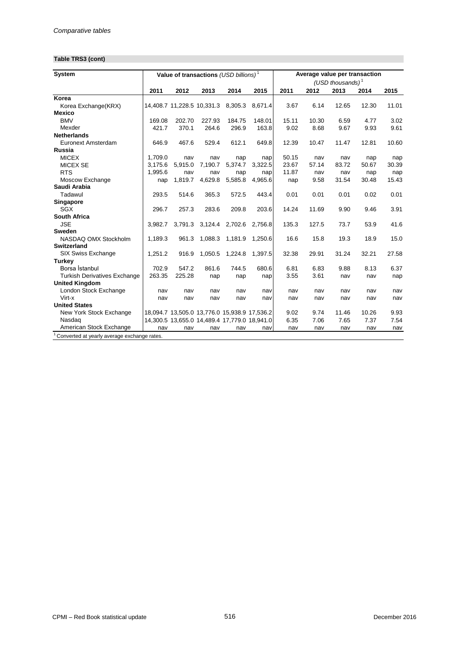## **Table TRS3 (cont)**

| <b>System</b>                                            |         |                            |         | Value of transactions $(USD\;billions)^T$    |                 |       |       |                     | Average value per transaction |       |
|----------------------------------------------------------|---------|----------------------------|---------|----------------------------------------------|-----------------|-------|-------|---------------------|-------------------------------|-------|
|                                                          |         |                            |         |                                              |                 |       |       | (USD thousands) $1$ |                               |       |
|                                                          | 2011    | 2012                       | 2013    | 2014                                         | 2015            | 2011  | 2012  | 2013                | 2014                          | 2015  |
| Korea                                                    |         |                            |         |                                              |                 |       |       |                     |                               |       |
| Korea Exchange(KRX)                                      |         | 14,408.7 11,228.5 10,331.3 |         | 8,305.3                                      | 8.671.4         | 3.67  | 6.14  | 12.65               | 12.30                         | 11.01 |
| <b>Mexico</b>                                            |         |                            |         |                                              |                 |       |       |                     |                               |       |
| <b>BMV</b>                                               | 169.08  | 202.70                     | 227.93  | 184.75                                       | 148.01          | 15.11 | 10.30 | 6.59                | 4.77                          | 3.02  |
| Mexder                                                   | 421.7   | 370.1                      | 264.6   | 296.9                                        | 163.8           | 9.02  | 8.68  | 9.67                | 9.93                          | 9.61  |
| <b>Netherlands</b>                                       |         |                            |         |                                              |                 |       |       |                     |                               |       |
| Euronext Amsterdam                                       | 646.9   | 467.6                      | 529.4   | 612.1                                        | 649.8           | 12.39 | 10.47 | 11.47               | 12.81                         | 10.60 |
| <b>Russia</b>                                            |         |                            |         |                                              |                 |       |       |                     |                               |       |
| <b>MICEX</b>                                             | 1,709.0 | nav                        | nav     | nap                                          | nap             | 50.15 | nav   | nav                 | nap                           | nap   |
| <b>MICEX SE</b>                                          | 3.175.6 | 5,915.0                    | 7,190.7 | 5.374.7                                      | 3,322.5         | 23.67 | 57.14 | 83.72               | 50.67                         | 30.39 |
| <b>RTS</b>                                               | 1,995.6 | nav                        | nav     | nap                                          | nap             | 11.87 | nav   | nav                 | nap                           | nap   |
| Moscow Exchange                                          | nap     | 1,819.7                    | 4,629.8 | 5,585.8                                      | 4,965.6         | nap   | 9.58  | 31.54               | 30.48                         | 15.43 |
| Saudi Arabia                                             |         |                            |         |                                              |                 |       |       |                     |                               |       |
| Tadawul                                                  | 293.5   | 514.6                      | 365.3   | 572.5                                        | 443.4           | 0.01  | 0.01  | 0.01                | 0.02                          | 0.01  |
| <b>Singapore</b>                                         |         |                            |         |                                              |                 |       |       |                     |                               |       |
| SGX                                                      | 296.7   | 257.3                      | 283.6   | 209.8                                        | 203.6           | 14.24 | 11.69 | 9.90                | 9.46                          | 3.91  |
| <b>South Africa</b>                                      |         |                            |         |                                              |                 |       |       |                     |                               |       |
| <b>JSE</b>                                               | 3.982.7 | 3,791.3                    |         | 3,124.4 2,702.6                              | 2,756.8         | 135.3 | 127.5 | 73.7                | 53.9                          | 41.6  |
| Sweden                                                   |         |                            |         |                                              |                 |       |       |                     |                               |       |
| NASDAQ OMX Stockholm                                     | 1,189.3 | 961.3                      | 1,088.3 | 1,181.9                                      | 1,250.6         | 16.6  | 15.8  | 19.3                | 18.9                          | 15.0  |
| <b>Switzerland</b>                                       |         |                            |         |                                              |                 |       |       |                     |                               |       |
| SIX Swiss Exchange                                       | 1,251.2 | 916.9                      | 1,050.5 |                                              | 1,224.8 1,397.5 | 32.38 | 29.91 | 31.24               | 32.21                         | 27.58 |
| <b>Turkey</b>                                            |         |                            |         |                                              |                 |       |       |                     |                               |       |
| Borsa İstanbul                                           | 702.9   | 547.2                      | 861.6   | 744.5                                        | 680.6           | 6.81  | 6.83  | 9.88                | 8.13                          | 6.37  |
| <b>Turkish Derivatives Exchange</b>                      | 263.35  | 225.28                     | nap     | nap                                          | nap             | 3.55  | 3.61  | nav                 | nav                           | nap   |
| <b>United Kingdom</b>                                    |         |                            |         |                                              |                 |       |       |                     |                               |       |
| London Stock Exchange                                    | nav     | nav                        | nav     | nav                                          | nav             | nav   | nav   | nav                 | nav                           | nav   |
| Virt-x                                                   | nav     | nav                        | nav     | nav                                          | nav             | nav   | nav   | nav                 | nav                           | nav   |
| <b>United States</b>                                     |         |                            |         |                                              |                 |       |       |                     |                               |       |
| New York Stock Exchange                                  |         |                            |         | 18,094.7 13,505.0 13,776.0 15,938.9 17,536.2 |                 | 9.02  | 9.74  | 11.46               | 10.26                         | 9.93  |
| Nasdag                                                   |         |                            |         | 14,300.5 13,655.0 14,489.4 17,779.0 18,941.0 |                 | 6.35  | 7.06  | 7.65                | 7.37                          | 7.54  |
| American Stock Exchange                                  | nav     | nav                        | nav     | nav                                          | nav             | nav   | nav   | nav                 | nav                           | nav   |
| <sup>1</sup> Converted at yearly average exchange rates. |         |                            |         |                                              |                 |       |       |                     |                               |       |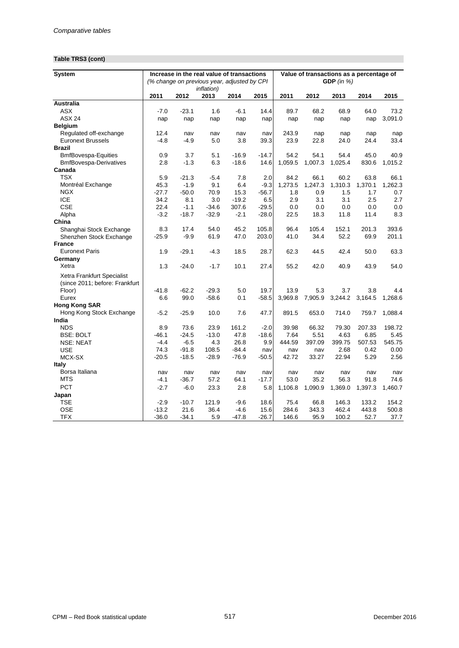## **Table TRS3 (cont)**

| GDP (in $%$ )<br>(% change on previous year, adjusted by CPI)<br><i>inflation</i> )<br>2011<br>2011<br>2012<br>2013<br>2014<br>2015<br>2012<br>2013<br>2014<br>2015<br><b>Australia</b><br><b>ASX</b><br>$-7.0$<br>$-23.1$<br>$-6.1$<br>14.4<br>89.7<br>68.2<br>64.0<br>73.2<br>1.6<br>68.9<br><b>ASX 24</b><br>3,091.0<br>nap<br>nap<br>nap<br>nap<br>nap<br>nap<br>nap<br>nap<br>nap<br><b>Belgium</b><br>Regulated off-exchange<br>12.4<br>243.9<br>nav<br>nav<br>nav<br>nap<br>nav<br>nap<br>nap<br>nap<br><b>Euronext Brussels</b><br>$-4.9$<br>39.3<br>23.9<br>33.4<br>-4.8<br>5.0<br>3.8<br>22.8<br>24.0<br>24.4<br><b>Brazil</b><br>54.2<br>45.0<br>40.9<br><b>BmfBovespa-Equities</b><br>0.9<br>3.7<br>5.1<br>$-16.9$<br>$-14.7$<br>54.1<br>54.4<br><b>BmfBovespa-Derivatives</b><br>2.8<br>$-1.3$<br>6.3<br>$-18.6$<br>1,059.5<br>1,007.3<br>830.6<br>14.6<br>1,025.4<br>1,015.2<br>Canada<br><b>TSX</b><br>2.0<br>5.9<br>$-21.3$<br>$-5.4$<br>7.8<br>84.2<br>66.1<br>60.2<br>63.8<br>66.1<br>45.3<br>$-1.9$<br>9.1<br>6.4<br>$-9.3$<br>1,273.5<br>1,247.3<br>1,310.3<br>1,370.1<br>1,262.3<br>Montréal Exchange<br><b>NGX</b><br>$-50.0$<br>$-27.7$<br>70.9<br>15.3<br>0.9<br>1.5<br>1.7<br>$-56.7$<br>1.8<br>0.7<br><b>ICE</b><br>34.2<br>8.1<br>3.0<br>$-19.2$<br>6.5<br>2.9<br>3.1<br>3.1<br>2.5<br>2.7<br><b>CSE</b><br>22.4<br>$-1.1$<br>$-34.6$<br>307.6<br>$-29.5$<br>0.0<br>0.0<br>0.0<br>0.0<br>0.0<br>Alpha<br>$-3.2$<br>$-18.7$<br>$-32.9$<br>$-2.1$<br>$-28.0$<br>22.5<br>18.3<br>11.8<br>11.4<br>8.3<br>China<br>393.6<br>8.3<br>17.4<br>54.0<br>45.2<br>105.8<br>96.4<br>105.4<br>152.1<br>201.3<br>Shanghai Stock Exchange<br>$-25.9$<br>$-9.9$<br>61.9<br>47.0<br>203.0<br>41.0<br>34.4<br>52.2<br>69.9<br>201.1<br>Shenzhen Stock Exchange<br><b>France</b><br><b>Euronext Paris</b><br>1.9<br>$-29.1$<br>28.7<br>62.3<br>42.4<br>63.3<br>$-4.3$<br>18.5<br>44.5<br>50.0<br>Germany<br>Xetra<br>1.3<br>$-24.0$<br>$-1.7$<br>10.1<br>27.4<br>55.2<br>42.0<br>40.9<br>43.9<br>54.0<br>Xetra Frankfurt Specialist<br>(since 2011; before: Frankfurt<br>$-62.2$<br>$-29.3$<br>5.0<br>19.7<br>5.3<br>3.8<br>Floor)<br>$-41.8$<br>13.9<br>3.7<br>4.4<br>99.0<br>7,905.9<br>3,244.2<br>3,164.5<br>Eurex<br>6.6<br>$-58.6$<br>0.1<br>$-58.5$<br>3,969.8<br>1,268.6<br><b>Hong Kong SAR</b><br>Hong Kong Stock Exchange<br>$-5.2$<br>$-25.9$<br>10.0<br>7.6<br>47.7<br>891.5<br>653.0<br>714.0<br>759.7<br>1,088.4<br>India<br><b>NDS</b><br>198.72<br>8.9<br>73.6<br>23.9<br>161.2<br>$-2.0$<br>39.98<br>66.32<br>79.30<br>207.33<br>$-46.1$<br>$-24.5$<br>$-13.0$<br>47.8<br>$-18.6$<br>7.64<br>5.51<br>4.63<br>6.85<br>5.45<br><b>BSE: BOLT</b><br>$-4.4$<br>$-6.5$<br>4.3<br>26.8<br>9.9<br>507.53<br>545.75<br><b>NSE: NEAT</b><br>444.59<br>397.09<br>399.75<br><b>USE</b><br>74.3<br>$-91.8$<br>108.5<br>$-84.4$<br>2.68<br>0.42<br>0.00<br>nav<br>nav<br>nav<br>MCX-SX<br>$-20.5$<br>$-18.5$<br>$-28.9$<br>$-76.9$<br>$-50.5$<br>42.72<br>33.27<br>22.94<br>5.29<br>2.56<br>Italy<br>Borsa Italiana<br>nav<br>nav<br>nav<br>nav<br>nav<br>nav<br>nav<br>nav<br>nav<br>nav<br>MTS<br>$-4.1$<br>$-36.7$<br>57.2<br>$-17.7$<br>53.0<br>35.2<br>56.3<br>91.8<br>74.6<br>64.1<br><b>PCT</b><br>$-2.7$<br>$-6.0$<br>23.3<br>2.8<br>1,106.8<br>1,090.9<br>1,369.0<br>1,397.3<br>1,460.7<br>5.8<br>Japan<br><b>TSE</b><br>$-10.7$<br>75.4<br>66.8<br>154.2<br>$-2.9$<br>121.9<br>$-9.6$<br>18.6<br>146.3<br>133.2<br><b>OSE</b><br>21.6<br>443.8<br>$-13.2$<br>36.4<br>$-4.6$<br>15.6<br>284.6<br>343.3<br>462.4<br>500.8 | <b>System</b> |         |         | Increase in the real value of transactions |         |         |       |      |       | Value of transactions as a percentage of |      |
|----------------------------------------------------------------------------------------------------------------------------------------------------------------------------------------------------------------------------------------------------------------------------------------------------------------------------------------------------------------------------------------------------------------------------------------------------------------------------------------------------------------------------------------------------------------------------------------------------------------------------------------------------------------------------------------------------------------------------------------------------------------------------------------------------------------------------------------------------------------------------------------------------------------------------------------------------------------------------------------------------------------------------------------------------------------------------------------------------------------------------------------------------------------------------------------------------------------------------------------------------------------------------------------------------------------------------------------------------------------------------------------------------------------------------------------------------------------------------------------------------------------------------------------------------------------------------------------------------------------------------------------------------------------------------------------------------------------------------------------------------------------------------------------------------------------------------------------------------------------------------------------------------------------------------------------------------------------------------------------------------------------------------------------------------------------------------------------------------------------------------------------------------------------------------------------------------------------------------------------------------------------------------------------------------------------------------------------------------------------------------------------------------------------------------------------------------------------------------------------------------------------------------------------------------------------------------------------------------------------------------------------------------------------------------------------------------------------------------------------------------------------------------------------------------------------------------------------------------------------------------------------------------------------------------------------------------------------------------------------------------------------------------------------------------------------------------------------------------------------------------------------------------------------------------------------------------------------------------------------------------------------------------------------------------------------------------------------------------------------------------------------------------------------------------------------------------------------------------------------------------------------------------------------------|---------------|---------|---------|--------------------------------------------|---------|---------|-------|------|-------|------------------------------------------|------|
|                                                                                                                                                                                                                                                                                                                                                                                                                                                                                                                                                                                                                                                                                                                                                                                                                                                                                                                                                                                                                                                                                                                                                                                                                                                                                                                                                                                                                                                                                                                                                                                                                                                                                                                                                                                                                                                                                                                                                                                                                                                                                                                                                                                                                                                                                                                                                                                                                                                                                                                                                                                                                                                                                                                                                                                                                                                                                                                                                                                                                                                                                                                                                                                                                                                                                                                                                                                                                                                                                                                                              |               |         |         |                                            |         |         |       |      |       |                                          |      |
|                                                                                                                                                                                                                                                                                                                                                                                                                                                                                                                                                                                                                                                                                                                                                                                                                                                                                                                                                                                                                                                                                                                                                                                                                                                                                                                                                                                                                                                                                                                                                                                                                                                                                                                                                                                                                                                                                                                                                                                                                                                                                                                                                                                                                                                                                                                                                                                                                                                                                                                                                                                                                                                                                                                                                                                                                                                                                                                                                                                                                                                                                                                                                                                                                                                                                                                                                                                                                                                                                                                                              |               |         |         |                                            |         |         |       |      |       |                                          |      |
|                                                                                                                                                                                                                                                                                                                                                                                                                                                                                                                                                                                                                                                                                                                                                                                                                                                                                                                                                                                                                                                                                                                                                                                                                                                                                                                                                                                                                                                                                                                                                                                                                                                                                                                                                                                                                                                                                                                                                                                                                                                                                                                                                                                                                                                                                                                                                                                                                                                                                                                                                                                                                                                                                                                                                                                                                                                                                                                                                                                                                                                                                                                                                                                                                                                                                                                                                                                                                                                                                                                                              |               |         |         |                                            |         |         |       |      |       |                                          |      |
|                                                                                                                                                                                                                                                                                                                                                                                                                                                                                                                                                                                                                                                                                                                                                                                                                                                                                                                                                                                                                                                                                                                                                                                                                                                                                                                                                                                                                                                                                                                                                                                                                                                                                                                                                                                                                                                                                                                                                                                                                                                                                                                                                                                                                                                                                                                                                                                                                                                                                                                                                                                                                                                                                                                                                                                                                                                                                                                                                                                                                                                                                                                                                                                                                                                                                                                                                                                                                                                                                                                                              |               |         |         |                                            |         |         |       |      |       |                                          |      |
|                                                                                                                                                                                                                                                                                                                                                                                                                                                                                                                                                                                                                                                                                                                                                                                                                                                                                                                                                                                                                                                                                                                                                                                                                                                                                                                                                                                                                                                                                                                                                                                                                                                                                                                                                                                                                                                                                                                                                                                                                                                                                                                                                                                                                                                                                                                                                                                                                                                                                                                                                                                                                                                                                                                                                                                                                                                                                                                                                                                                                                                                                                                                                                                                                                                                                                                                                                                                                                                                                                                                              |               |         |         |                                            |         |         |       |      |       |                                          |      |
|                                                                                                                                                                                                                                                                                                                                                                                                                                                                                                                                                                                                                                                                                                                                                                                                                                                                                                                                                                                                                                                                                                                                                                                                                                                                                                                                                                                                                                                                                                                                                                                                                                                                                                                                                                                                                                                                                                                                                                                                                                                                                                                                                                                                                                                                                                                                                                                                                                                                                                                                                                                                                                                                                                                                                                                                                                                                                                                                                                                                                                                                                                                                                                                                                                                                                                                                                                                                                                                                                                                                              |               |         |         |                                            |         |         |       |      |       |                                          |      |
|                                                                                                                                                                                                                                                                                                                                                                                                                                                                                                                                                                                                                                                                                                                                                                                                                                                                                                                                                                                                                                                                                                                                                                                                                                                                                                                                                                                                                                                                                                                                                                                                                                                                                                                                                                                                                                                                                                                                                                                                                                                                                                                                                                                                                                                                                                                                                                                                                                                                                                                                                                                                                                                                                                                                                                                                                                                                                                                                                                                                                                                                                                                                                                                                                                                                                                                                                                                                                                                                                                                                              |               |         |         |                                            |         |         |       |      |       |                                          |      |
|                                                                                                                                                                                                                                                                                                                                                                                                                                                                                                                                                                                                                                                                                                                                                                                                                                                                                                                                                                                                                                                                                                                                                                                                                                                                                                                                                                                                                                                                                                                                                                                                                                                                                                                                                                                                                                                                                                                                                                                                                                                                                                                                                                                                                                                                                                                                                                                                                                                                                                                                                                                                                                                                                                                                                                                                                                                                                                                                                                                                                                                                                                                                                                                                                                                                                                                                                                                                                                                                                                                                              |               |         |         |                                            |         |         |       |      |       |                                          |      |
|                                                                                                                                                                                                                                                                                                                                                                                                                                                                                                                                                                                                                                                                                                                                                                                                                                                                                                                                                                                                                                                                                                                                                                                                                                                                                                                                                                                                                                                                                                                                                                                                                                                                                                                                                                                                                                                                                                                                                                                                                                                                                                                                                                                                                                                                                                                                                                                                                                                                                                                                                                                                                                                                                                                                                                                                                                                                                                                                                                                                                                                                                                                                                                                                                                                                                                                                                                                                                                                                                                                                              |               |         |         |                                            |         |         |       |      |       |                                          |      |
|                                                                                                                                                                                                                                                                                                                                                                                                                                                                                                                                                                                                                                                                                                                                                                                                                                                                                                                                                                                                                                                                                                                                                                                                                                                                                                                                                                                                                                                                                                                                                                                                                                                                                                                                                                                                                                                                                                                                                                                                                                                                                                                                                                                                                                                                                                                                                                                                                                                                                                                                                                                                                                                                                                                                                                                                                                                                                                                                                                                                                                                                                                                                                                                                                                                                                                                                                                                                                                                                                                                                              |               |         |         |                                            |         |         |       |      |       |                                          |      |
|                                                                                                                                                                                                                                                                                                                                                                                                                                                                                                                                                                                                                                                                                                                                                                                                                                                                                                                                                                                                                                                                                                                                                                                                                                                                                                                                                                                                                                                                                                                                                                                                                                                                                                                                                                                                                                                                                                                                                                                                                                                                                                                                                                                                                                                                                                                                                                                                                                                                                                                                                                                                                                                                                                                                                                                                                                                                                                                                                                                                                                                                                                                                                                                                                                                                                                                                                                                                                                                                                                                                              |               |         |         |                                            |         |         |       |      |       |                                          |      |
|                                                                                                                                                                                                                                                                                                                                                                                                                                                                                                                                                                                                                                                                                                                                                                                                                                                                                                                                                                                                                                                                                                                                                                                                                                                                                                                                                                                                                                                                                                                                                                                                                                                                                                                                                                                                                                                                                                                                                                                                                                                                                                                                                                                                                                                                                                                                                                                                                                                                                                                                                                                                                                                                                                                                                                                                                                                                                                                                                                                                                                                                                                                                                                                                                                                                                                                                                                                                                                                                                                                                              |               |         |         |                                            |         |         |       |      |       |                                          |      |
|                                                                                                                                                                                                                                                                                                                                                                                                                                                                                                                                                                                                                                                                                                                                                                                                                                                                                                                                                                                                                                                                                                                                                                                                                                                                                                                                                                                                                                                                                                                                                                                                                                                                                                                                                                                                                                                                                                                                                                                                                                                                                                                                                                                                                                                                                                                                                                                                                                                                                                                                                                                                                                                                                                                                                                                                                                                                                                                                                                                                                                                                                                                                                                                                                                                                                                                                                                                                                                                                                                                                              |               |         |         |                                            |         |         |       |      |       |                                          |      |
|                                                                                                                                                                                                                                                                                                                                                                                                                                                                                                                                                                                                                                                                                                                                                                                                                                                                                                                                                                                                                                                                                                                                                                                                                                                                                                                                                                                                                                                                                                                                                                                                                                                                                                                                                                                                                                                                                                                                                                                                                                                                                                                                                                                                                                                                                                                                                                                                                                                                                                                                                                                                                                                                                                                                                                                                                                                                                                                                                                                                                                                                                                                                                                                                                                                                                                                                                                                                                                                                                                                                              |               |         |         |                                            |         |         |       |      |       |                                          |      |
|                                                                                                                                                                                                                                                                                                                                                                                                                                                                                                                                                                                                                                                                                                                                                                                                                                                                                                                                                                                                                                                                                                                                                                                                                                                                                                                                                                                                                                                                                                                                                                                                                                                                                                                                                                                                                                                                                                                                                                                                                                                                                                                                                                                                                                                                                                                                                                                                                                                                                                                                                                                                                                                                                                                                                                                                                                                                                                                                                                                                                                                                                                                                                                                                                                                                                                                                                                                                                                                                                                                                              |               |         |         |                                            |         |         |       |      |       |                                          |      |
|                                                                                                                                                                                                                                                                                                                                                                                                                                                                                                                                                                                                                                                                                                                                                                                                                                                                                                                                                                                                                                                                                                                                                                                                                                                                                                                                                                                                                                                                                                                                                                                                                                                                                                                                                                                                                                                                                                                                                                                                                                                                                                                                                                                                                                                                                                                                                                                                                                                                                                                                                                                                                                                                                                                                                                                                                                                                                                                                                                                                                                                                                                                                                                                                                                                                                                                                                                                                                                                                                                                                              |               |         |         |                                            |         |         |       |      |       |                                          |      |
|                                                                                                                                                                                                                                                                                                                                                                                                                                                                                                                                                                                                                                                                                                                                                                                                                                                                                                                                                                                                                                                                                                                                                                                                                                                                                                                                                                                                                                                                                                                                                                                                                                                                                                                                                                                                                                                                                                                                                                                                                                                                                                                                                                                                                                                                                                                                                                                                                                                                                                                                                                                                                                                                                                                                                                                                                                                                                                                                                                                                                                                                                                                                                                                                                                                                                                                                                                                                                                                                                                                                              |               |         |         |                                            |         |         |       |      |       |                                          |      |
|                                                                                                                                                                                                                                                                                                                                                                                                                                                                                                                                                                                                                                                                                                                                                                                                                                                                                                                                                                                                                                                                                                                                                                                                                                                                                                                                                                                                                                                                                                                                                                                                                                                                                                                                                                                                                                                                                                                                                                                                                                                                                                                                                                                                                                                                                                                                                                                                                                                                                                                                                                                                                                                                                                                                                                                                                                                                                                                                                                                                                                                                                                                                                                                                                                                                                                                                                                                                                                                                                                                                              |               |         |         |                                            |         |         |       |      |       |                                          |      |
|                                                                                                                                                                                                                                                                                                                                                                                                                                                                                                                                                                                                                                                                                                                                                                                                                                                                                                                                                                                                                                                                                                                                                                                                                                                                                                                                                                                                                                                                                                                                                                                                                                                                                                                                                                                                                                                                                                                                                                                                                                                                                                                                                                                                                                                                                                                                                                                                                                                                                                                                                                                                                                                                                                                                                                                                                                                                                                                                                                                                                                                                                                                                                                                                                                                                                                                                                                                                                                                                                                                                              |               |         |         |                                            |         |         |       |      |       |                                          |      |
|                                                                                                                                                                                                                                                                                                                                                                                                                                                                                                                                                                                                                                                                                                                                                                                                                                                                                                                                                                                                                                                                                                                                                                                                                                                                                                                                                                                                                                                                                                                                                                                                                                                                                                                                                                                                                                                                                                                                                                                                                                                                                                                                                                                                                                                                                                                                                                                                                                                                                                                                                                                                                                                                                                                                                                                                                                                                                                                                                                                                                                                                                                                                                                                                                                                                                                                                                                                                                                                                                                                                              |               |         |         |                                            |         |         |       |      |       |                                          |      |
|                                                                                                                                                                                                                                                                                                                                                                                                                                                                                                                                                                                                                                                                                                                                                                                                                                                                                                                                                                                                                                                                                                                                                                                                                                                                                                                                                                                                                                                                                                                                                                                                                                                                                                                                                                                                                                                                                                                                                                                                                                                                                                                                                                                                                                                                                                                                                                                                                                                                                                                                                                                                                                                                                                                                                                                                                                                                                                                                                                                                                                                                                                                                                                                                                                                                                                                                                                                                                                                                                                                                              |               |         |         |                                            |         |         |       |      |       |                                          |      |
|                                                                                                                                                                                                                                                                                                                                                                                                                                                                                                                                                                                                                                                                                                                                                                                                                                                                                                                                                                                                                                                                                                                                                                                                                                                                                                                                                                                                                                                                                                                                                                                                                                                                                                                                                                                                                                                                                                                                                                                                                                                                                                                                                                                                                                                                                                                                                                                                                                                                                                                                                                                                                                                                                                                                                                                                                                                                                                                                                                                                                                                                                                                                                                                                                                                                                                                                                                                                                                                                                                                                              |               |         |         |                                            |         |         |       |      |       |                                          |      |
|                                                                                                                                                                                                                                                                                                                                                                                                                                                                                                                                                                                                                                                                                                                                                                                                                                                                                                                                                                                                                                                                                                                                                                                                                                                                                                                                                                                                                                                                                                                                                                                                                                                                                                                                                                                                                                                                                                                                                                                                                                                                                                                                                                                                                                                                                                                                                                                                                                                                                                                                                                                                                                                                                                                                                                                                                                                                                                                                                                                                                                                                                                                                                                                                                                                                                                                                                                                                                                                                                                                                              |               |         |         |                                            |         |         |       |      |       |                                          |      |
|                                                                                                                                                                                                                                                                                                                                                                                                                                                                                                                                                                                                                                                                                                                                                                                                                                                                                                                                                                                                                                                                                                                                                                                                                                                                                                                                                                                                                                                                                                                                                                                                                                                                                                                                                                                                                                                                                                                                                                                                                                                                                                                                                                                                                                                                                                                                                                                                                                                                                                                                                                                                                                                                                                                                                                                                                                                                                                                                                                                                                                                                                                                                                                                                                                                                                                                                                                                                                                                                                                                                              |               |         |         |                                            |         |         |       |      |       |                                          |      |
|                                                                                                                                                                                                                                                                                                                                                                                                                                                                                                                                                                                                                                                                                                                                                                                                                                                                                                                                                                                                                                                                                                                                                                                                                                                                                                                                                                                                                                                                                                                                                                                                                                                                                                                                                                                                                                                                                                                                                                                                                                                                                                                                                                                                                                                                                                                                                                                                                                                                                                                                                                                                                                                                                                                                                                                                                                                                                                                                                                                                                                                                                                                                                                                                                                                                                                                                                                                                                                                                                                                                              |               |         |         |                                            |         |         |       |      |       |                                          |      |
|                                                                                                                                                                                                                                                                                                                                                                                                                                                                                                                                                                                                                                                                                                                                                                                                                                                                                                                                                                                                                                                                                                                                                                                                                                                                                                                                                                                                                                                                                                                                                                                                                                                                                                                                                                                                                                                                                                                                                                                                                                                                                                                                                                                                                                                                                                                                                                                                                                                                                                                                                                                                                                                                                                                                                                                                                                                                                                                                                                                                                                                                                                                                                                                                                                                                                                                                                                                                                                                                                                                                              |               |         |         |                                            |         |         |       |      |       |                                          |      |
|                                                                                                                                                                                                                                                                                                                                                                                                                                                                                                                                                                                                                                                                                                                                                                                                                                                                                                                                                                                                                                                                                                                                                                                                                                                                                                                                                                                                                                                                                                                                                                                                                                                                                                                                                                                                                                                                                                                                                                                                                                                                                                                                                                                                                                                                                                                                                                                                                                                                                                                                                                                                                                                                                                                                                                                                                                                                                                                                                                                                                                                                                                                                                                                                                                                                                                                                                                                                                                                                                                                                              |               |         |         |                                            |         |         |       |      |       |                                          |      |
|                                                                                                                                                                                                                                                                                                                                                                                                                                                                                                                                                                                                                                                                                                                                                                                                                                                                                                                                                                                                                                                                                                                                                                                                                                                                                                                                                                                                                                                                                                                                                                                                                                                                                                                                                                                                                                                                                                                                                                                                                                                                                                                                                                                                                                                                                                                                                                                                                                                                                                                                                                                                                                                                                                                                                                                                                                                                                                                                                                                                                                                                                                                                                                                                                                                                                                                                                                                                                                                                                                                                              |               |         |         |                                            |         |         |       |      |       |                                          |      |
|                                                                                                                                                                                                                                                                                                                                                                                                                                                                                                                                                                                                                                                                                                                                                                                                                                                                                                                                                                                                                                                                                                                                                                                                                                                                                                                                                                                                                                                                                                                                                                                                                                                                                                                                                                                                                                                                                                                                                                                                                                                                                                                                                                                                                                                                                                                                                                                                                                                                                                                                                                                                                                                                                                                                                                                                                                                                                                                                                                                                                                                                                                                                                                                                                                                                                                                                                                                                                                                                                                                                              |               |         |         |                                            |         |         |       |      |       |                                          |      |
|                                                                                                                                                                                                                                                                                                                                                                                                                                                                                                                                                                                                                                                                                                                                                                                                                                                                                                                                                                                                                                                                                                                                                                                                                                                                                                                                                                                                                                                                                                                                                                                                                                                                                                                                                                                                                                                                                                                                                                                                                                                                                                                                                                                                                                                                                                                                                                                                                                                                                                                                                                                                                                                                                                                                                                                                                                                                                                                                                                                                                                                                                                                                                                                                                                                                                                                                                                                                                                                                                                                                              |               |         |         |                                            |         |         |       |      |       |                                          |      |
|                                                                                                                                                                                                                                                                                                                                                                                                                                                                                                                                                                                                                                                                                                                                                                                                                                                                                                                                                                                                                                                                                                                                                                                                                                                                                                                                                                                                                                                                                                                                                                                                                                                                                                                                                                                                                                                                                                                                                                                                                                                                                                                                                                                                                                                                                                                                                                                                                                                                                                                                                                                                                                                                                                                                                                                                                                                                                                                                                                                                                                                                                                                                                                                                                                                                                                                                                                                                                                                                                                                                              |               |         |         |                                            |         |         |       |      |       |                                          |      |
|                                                                                                                                                                                                                                                                                                                                                                                                                                                                                                                                                                                                                                                                                                                                                                                                                                                                                                                                                                                                                                                                                                                                                                                                                                                                                                                                                                                                                                                                                                                                                                                                                                                                                                                                                                                                                                                                                                                                                                                                                                                                                                                                                                                                                                                                                                                                                                                                                                                                                                                                                                                                                                                                                                                                                                                                                                                                                                                                                                                                                                                                                                                                                                                                                                                                                                                                                                                                                                                                                                                                              |               |         |         |                                            |         |         |       |      |       |                                          |      |
|                                                                                                                                                                                                                                                                                                                                                                                                                                                                                                                                                                                                                                                                                                                                                                                                                                                                                                                                                                                                                                                                                                                                                                                                                                                                                                                                                                                                                                                                                                                                                                                                                                                                                                                                                                                                                                                                                                                                                                                                                                                                                                                                                                                                                                                                                                                                                                                                                                                                                                                                                                                                                                                                                                                                                                                                                                                                                                                                                                                                                                                                                                                                                                                                                                                                                                                                                                                                                                                                                                                                              |               |         |         |                                            |         |         |       |      |       |                                          |      |
|                                                                                                                                                                                                                                                                                                                                                                                                                                                                                                                                                                                                                                                                                                                                                                                                                                                                                                                                                                                                                                                                                                                                                                                                                                                                                                                                                                                                                                                                                                                                                                                                                                                                                                                                                                                                                                                                                                                                                                                                                                                                                                                                                                                                                                                                                                                                                                                                                                                                                                                                                                                                                                                                                                                                                                                                                                                                                                                                                                                                                                                                                                                                                                                                                                                                                                                                                                                                                                                                                                                                              |               |         |         |                                            |         |         |       |      |       |                                          |      |
|                                                                                                                                                                                                                                                                                                                                                                                                                                                                                                                                                                                                                                                                                                                                                                                                                                                                                                                                                                                                                                                                                                                                                                                                                                                                                                                                                                                                                                                                                                                                                                                                                                                                                                                                                                                                                                                                                                                                                                                                                                                                                                                                                                                                                                                                                                                                                                                                                                                                                                                                                                                                                                                                                                                                                                                                                                                                                                                                                                                                                                                                                                                                                                                                                                                                                                                                                                                                                                                                                                                                              |               |         |         |                                            |         |         |       |      |       |                                          |      |
|                                                                                                                                                                                                                                                                                                                                                                                                                                                                                                                                                                                                                                                                                                                                                                                                                                                                                                                                                                                                                                                                                                                                                                                                                                                                                                                                                                                                                                                                                                                                                                                                                                                                                                                                                                                                                                                                                                                                                                                                                                                                                                                                                                                                                                                                                                                                                                                                                                                                                                                                                                                                                                                                                                                                                                                                                                                                                                                                                                                                                                                                                                                                                                                                                                                                                                                                                                                                                                                                                                                                              |               |         |         |                                            |         |         |       |      |       |                                          |      |
|                                                                                                                                                                                                                                                                                                                                                                                                                                                                                                                                                                                                                                                                                                                                                                                                                                                                                                                                                                                                                                                                                                                                                                                                                                                                                                                                                                                                                                                                                                                                                                                                                                                                                                                                                                                                                                                                                                                                                                                                                                                                                                                                                                                                                                                                                                                                                                                                                                                                                                                                                                                                                                                                                                                                                                                                                                                                                                                                                                                                                                                                                                                                                                                                                                                                                                                                                                                                                                                                                                                                              |               |         |         |                                            |         |         |       |      |       |                                          |      |
|                                                                                                                                                                                                                                                                                                                                                                                                                                                                                                                                                                                                                                                                                                                                                                                                                                                                                                                                                                                                                                                                                                                                                                                                                                                                                                                                                                                                                                                                                                                                                                                                                                                                                                                                                                                                                                                                                                                                                                                                                                                                                                                                                                                                                                                                                                                                                                                                                                                                                                                                                                                                                                                                                                                                                                                                                                                                                                                                                                                                                                                                                                                                                                                                                                                                                                                                                                                                                                                                                                                                              |               |         |         |                                            |         |         |       |      |       |                                          |      |
|                                                                                                                                                                                                                                                                                                                                                                                                                                                                                                                                                                                                                                                                                                                                                                                                                                                                                                                                                                                                                                                                                                                                                                                                                                                                                                                                                                                                                                                                                                                                                                                                                                                                                                                                                                                                                                                                                                                                                                                                                                                                                                                                                                                                                                                                                                                                                                                                                                                                                                                                                                                                                                                                                                                                                                                                                                                                                                                                                                                                                                                                                                                                                                                                                                                                                                                                                                                                                                                                                                                                              |               |         |         |                                            |         |         |       |      |       |                                          |      |
|                                                                                                                                                                                                                                                                                                                                                                                                                                                                                                                                                                                                                                                                                                                                                                                                                                                                                                                                                                                                                                                                                                                                                                                                                                                                                                                                                                                                                                                                                                                                                                                                                                                                                                                                                                                                                                                                                                                                                                                                                                                                                                                                                                                                                                                                                                                                                                                                                                                                                                                                                                                                                                                                                                                                                                                                                                                                                                                                                                                                                                                                                                                                                                                                                                                                                                                                                                                                                                                                                                                                              |               |         |         |                                            |         |         |       |      |       |                                          |      |
|                                                                                                                                                                                                                                                                                                                                                                                                                                                                                                                                                                                                                                                                                                                                                                                                                                                                                                                                                                                                                                                                                                                                                                                                                                                                                                                                                                                                                                                                                                                                                                                                                                                                                                                                                                                                                                                                                                                                                                                                                                                                                                                                                                                                                                                                                                                                                                                                                                                                                                                                                                                                                                                                                                                                                                                                                                                                                                                                                                                                                                                                                                                                                                                                                                                                                                                                                                                                                                                                                                                                              |               |         |         |                                            |         |         |       |      |       |                                          |      |
|                                                                                                                                                                                                                                                                                                                                                                                                                                                                                                                                                                                                                                                                                                                                                                                                                                                                                                                                                                                                                                                                                                                                                                                                                                                                                                                                                                                                                                                                                                                                                                                                                                                                                                                                                                                                                                                                                                                                                                                                                                                                                                                                                                                                                                                                                                                                                                                                                                                                                                                                                                                                                                                                                                                                                                                                                                                                                                                                                                                                                                                                                                                                                                                                                                                                                                                                                                                                                                                                                                                                              |               |         |         |                                            |         |         |       |      |       |                                          |      |
|                                                                                                                                                                                                                                                                                                                                                                                                                                                                                                                                                                                                                                                                                                                                                                                                                                                                                                                                                                                                                                                                                                                                                                                                                                                                                                                                                                                                                                                                                                                                                                                                                                                                                                                                                                                                                                                                                                                                                                                                                                                                                                                                                                                                                                                                                                                                                                                                                                                                                                                                                                                                                                                                                                                                                                                                                                                                                                                                                                                                                                                                                                                                                                                                                                                                                                                                                                                                                                                                                                                                              |               |         |         |                                            |         |         |       |      |       |                                          |      |
|                                                                                                                                                                                                                                                                                                                                                                                                                                                                                                                                                                                                                                                                                                                                                                                                                                                                                                                                                                                                                                                                                                                                                                                                                                                                                                                                                                                                                                                                                                                                                                                                                                                                                                                                                                                                                                                                                                                                                                                                                                                                                                                                                                                                                                                                                                                                                                                                                                                                                                                                                                                                                                                                                                                                                                                                                                                                                                                                                                                                                                                                                                                                                                                                                                                                                                                                                                                                                                                                                                                                              |               |         |         |                                            |         |         |       |      |       |                                          |      |
|                                                                                                                                                                                                                                                                                                                                                                                                                                                                                                                                                                                                                                                                                                                                                                                                                                                                                                                                                                                                                                                                                                                                                                                                                                                                                                                                                                                                                                                                                                                                                                                                                                                                                                                                                                                                                                                                                                                                                                                                                                                                                                                                                                                                                                                                                                                                                                                                                                                                                                                                                                                                                                                                                                                                                                                                                                                                                                                                                                                                                                                                                                                                                                                                                                                                                                                                                                                                                                                                                                                                              | <b>TFX</b>    | $-36.0$ | $-34.1$ | 5.9                                        | $-47.8$ | $-26.7$ | 146.6 | 95.9 | 100.2 | 52.7                                     | 37.7 |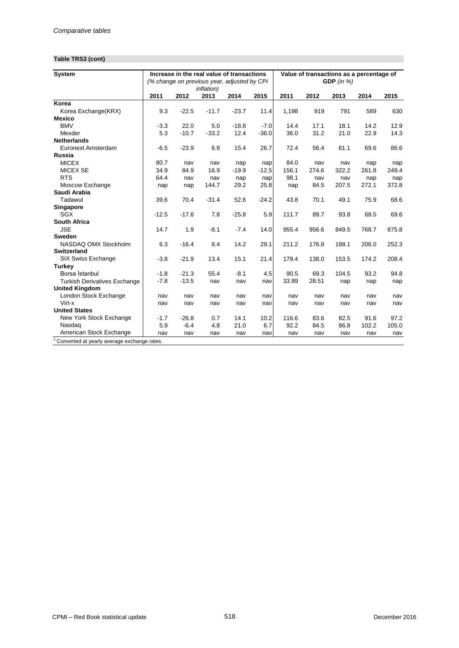## **Table TRS3 (cont)**

| System                                                   |         |         | Increase in the real value of transactions<br>(% change on previous year, adjusted by CPI) |         |         |       |       | GDP $(in %)$ | Value of transactions as a percentage of |       |
|----------------------------------------------------------|---------|---------|--------------------------------------------------------------------------------------------|---------|---------|-------|-------|--------------|------------------------------------------|-------|
|                                                          | 2011    | 2012    | <i>inflation</i> )<br>2013                                                                 | 2014    | 2015    | 2011  | 2012  | 2013         | 2014                                     | 2015  |
| Korea                                                    |         |         |                                                                                            |         |         |       |       |              |                                          |       |
| Korea Exchange(KRX)                                      | 9.3     | $-22.5$ | $-11.7$                                                                                    | $-23.7$ | 11.4    | 1,198 | 919   | 791          | 589                                      | 630   |
| <b>Mexico</b>                                            |         |         |                                                                                            |         |         |       |       |              |                                          |       |
| <b>BMV</b>                                               | $-3.3$  | 22.0    | 5.0                                                                                        | $-18.8$ | $-7.0$  | 14.4  | 17.1  | 18.1         | 14.2                                     | 12.9  |
| Mexder                                                   | 5.3     | $-10.7$ | $-33.2$                                                                                    | 12.4    | $-36.0$ | 36.0  | 31.2  | 21.0         | 22.9                                     | 14.3  |
| <b>Netherlands</b>                                       |         |         |                                                                                            |         |         |       |       |              |                                          |       |
| Euronext Amsterdam                                       | $-6.5$  | $-23.9$ | 6.8                                                                                        | 15.4    | 26.7    | 72.4  | 56.4  | 61.1         | 69.6                                     | 86.6  |
| <b>Russia</b>                                            |         |         |                                                                                            |         |         |       |       |              |                                          |       |
| <b>MICEX</b>                                             | 80.7    | nav     | nav                                                                                        | nap     | nap     | 84.0  | nav   | nav          | nap                                      | nap   |
| <b>MICEX SE</b>                                          | 34.9    | 84.9    | 16.9                                                                                       | $-19.9$ | $-12.5$ | 156.1 | 274.6 | 322.2        | 261.8                                    | 249.4 |
| <b>RTS</b>                                               | 64.4    | nav     | nav                                                                                        | nap     | nap     | 98.1  | nav   | nav          | nap                                      | nap   |
| Moscow Exchange                                          | nap     | nap     | 144.7                                                                                      | 29.2    | 25.8    | nap   | 84.5  | 207.5        | 272.1                                    | 372.8 |
| Saudi Arabia                                             |         |         |                                                                                            |         |         |       |       |              |                                          |       |
| Tadawul                                                  | 39.6    | 70.4    | $-31.4$                                                                                    | 52.6    | $-24.2$ | 43.8  | 70.1  | 49.1         | 75.9                                     | 68.6  |
| Singapore                                                |         |         |                                                                                            |         |         |       |       |              |                                          |       |
| SGX                                                      | $-12.5$ | $-17.6$ | 7.8                                                                                        | $-25.8$ | 5.9     | 111.7 | 89.7  | 93.8         | 68.5                                     | 69.6  |
| South Africa                                             |         |         |                                                                                            |         |         |       |       |              |                                          |       |
| <b>JSE</b>                                               | 14.7    | 1.9     | $-8.1$                                                                                     | $-7.4$  | 14.0    | 955.4 | 956.6 | 849.5        | 768.7                                    | 875.8 |
| <b>Sweden</b>                                            |         |         |                                                                                            |         |         |       |       |              |                                          |       |
| NASDAQ OMX Stockholm                                     | 6.3     | $-16.4$ | 8.4                                                                                        | 14.2    | 29.1    | 211.2 | 176.8 | 188.1        | 206.0                                    | 252.3 |
| <b>Switzerland</b>                                       |         |         |                                                                                            |         |         |       |       |              |                                          |       |
| SIX Swiss Exchange                                       | $-3.8$  | $-21.9$ | 13.4                                                                                       | 15.1    | 21.4    | 179.4 | 138.0 | 153.5        | 174.2                                    | 208.4 |
| Turkey                                                   |         |         |                                                                                            |         |         |       |       |              |                                          |       |
| Borsa İstanbul                                           | $-1.8$  | $-21.3$ | 55.4                                                                                       | $-8.1$  | 4.5     | 90.5  | 69.3  | 104.5        | 93.2                                     | 94.8  |
| <b>Turkish Derivatives Exchange</b>                      | $-7.8$  | $-13.5$ | nav                                                                                        | nav     | nav     | 33.89 | 28.51 | nap          | nap                                      | nap   |
| <b>United Kingdom</b>                                    |         |         |                                                                                            |         |         |       |       |              |                                          |       |
| London Stock Exchange                                    | nav     | nav     | nav                                                                                        | nav     | nav     | nav   | nav   | nav          | nav                                      | nav   |
| Virt-x                                                   | nav     | nav     | nav                                                                                        | nav     | nav     | nav   | nav   | nav          | nav                                      | nav   |
| <b>United States</b>                                     |         |         |                                                                                            |         |         |       |       |              |                                          |       |
| New York Stock Exchange                                  | $-1.7$  | $-26.8$ | 0.7                                                                                        | 14.1    | 10.2    | 116.6 | 83.6  | 82.5         | 91.6                                     | 97.2  |
| Nasdag                                                   | 5.9     | $-6.4$  | 4.8                                                                                        | 21.0    | 6.7     | 92.2  | 84.5  | 86.8         | 102.2                                    | 105.0 |
| American Stock Exchange                                  | nav     | nav     | nav                                                                                        | nav     | nav     | nav   | nav   | nav          | nav                                      | nav   |
| <sup>1</sup> Converted at yearly average exchange rates. |         |         |                                                                                            |         |         |       |       |              |                                          |       |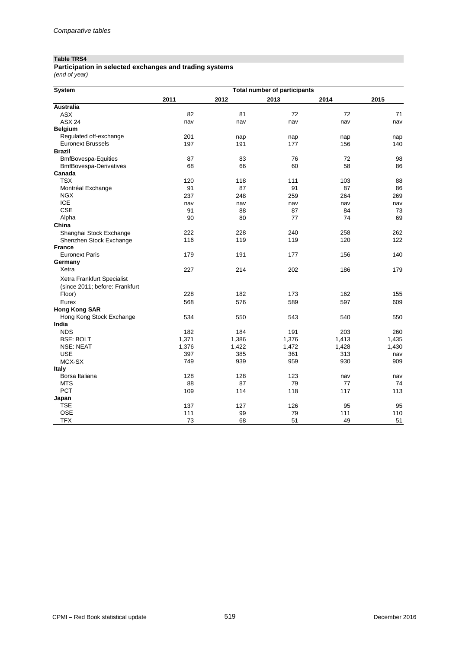#### **Table TRS4**

*(end of year)* **Participation in selected exchanges and trading systems**

| System                         | Total number of participants |       |       |       |       |  |  |  |  |  |
|--------------------------------|------------------------------|-------|-------|-------|-------|--|--|--|--|--|
|                                | 2011                         | 2012  | 2013  | 2014  | 2015  |  |  |  |  |  |
| Australia                      |                              |       |       |       |       |  |  |  |  |  |
| <b>ASX</b>                     | 82                           | 81    | 72    | 72    | 71    |  |  |  |  |  |
| <b>ASX 24</b>                  | nav                          | nav   | nav   | nav   | nav   |  |  |  |  |  |
| <b>Belgium</b>                 |                              |       |       |       |       |  |  |  |  |  |
| Regulated off-exchange         | 201                          | nap   | nap   | nap   | nap   |  |  |  |  |  |
| <b>Euronext Brussels</b>       | 197                          | 191   | 177   | 156   | 140   |  |  |  |  |  |
| <b>Brazil</b>                  |                              |       |       |       |       |  |  |  |  |  |
| <b>BmfBovespa-Equities</b>     | 87                           | 83    | 76    | 72    | 98    |  |  |  |  |  |
| <b>BmfBovespa-Derivatives</b>  | 68                           | 66    | 60    | 58    | 86    |  |  |  |  |  |
| Canada                         |                              |       |       |       |       |  |  |  |  |  |
| <b>TSX</b>                     | 120                          | 118   | 111   | 103   | 88    |  |  |  |  |  |
| Montréal Exchange              | 91                           | 87    | 91    | 87    | 86    |  |  |  |  |  |
| <b>NGX</b>                     | 237                          | 248   | 259   | 264   | 269   |  |  |  |  |  |
| <b>ICE</b>                     | nav                          | nav   | nav   | nav   | nav   |  |  |  |  |  |
| <b>CSE</b>                     | 91                           | 88    | 87    | 84    | 73    |  |  |  |  |  |
| Alpha                          | 90                           | 80    | 77    | 74    | 69    |  |  |  |  |  |
| China                          |                              |       |       |       |       |  |  |  |  |  |
| Shanghai Stock Exchange        | 222                          | 228   | 240   | 258   | 262   |  |  |  |  |  |
| Shenzhen Stock Exchange        | 116                          | 119   | 119   | 120   | 122   |  |  |  |  |  |
| <b>France</b>                  |                              |       |       |       |       |  |  |  |  |  |
| <b>Euronext Paris</b>          | 179                          | 191   | 177   | 156   | 140   |  |  |  |  |  |
| Germany                        |                              |       |       |       |       |  |  |  |  |  |
| Xetra                          | 227                          | 214   | 202   | 186   | 179   |  |  |  |  |  |
| Xetra Frankfurt Specialist     |                              |       |       |       |       |  |  |  |  |  |
| (since 2011; before: Frankfurt |                              |       |       |       |       |  |  |  |  |  |
| Floor)                         | 228                          | 182   | 173   | 162   | 155   |  |  |  |  |  |
| Eurex                          | 568                          | 576   | 589   | 597   | 609   |  |  |  |  |  |
| <b>Hong Kong SAR</b>           |                              |       |       |       |       |  |  |  |  |  |
| Hong Kong Stock Exchange       | 534                          | 550   | 543   | 540   | 550   |  |  |  |  |  |
| India                          |                              |       |       |       |       |  |  |  |  |  |
| <b>NDS</b>                     | 182                          | 184   | 191   | 203   | 260   |  |  |  |  |  |
| <b>BSE: BOLT</b>               | 1,371                        | 1,386 | 1,376 | 1,413 | 1,435 |  |  |  |  |  |
| <b>NSE: NEAT</b>               | 1,376                        | 1,422 | 1,472 | 1,428 | 1,430 |  |  |  |  |  |
| <b>USE</b>                     | 397                          | 385   | 361   | 313   | nav   |  |  |  |  |  |
| MCX-SX                         | 749                          | 939   | 959   | 930   | 909   |  |  |  |  |  |
| <b>Italy</b>                   |                              |       |       |       |       |  |  |  |  |  |
| Borsa Italiana                 | 128                          | 128   | 123   | nav   | nav   |  |  |  |  |  |
| <b>MTS</b>                     | 88                           | 87    | 79    | 77    | 74    |  |  |  |  |  |
| PCT                            | 109                          | 114   | 118   | 117   | 113   |  |  |  |  |  |
| Japan                          |                              |       |       |       |       |  |  |  |  |  |
| <b>TSE</b>                     | 137                          | 127   | 126   | 95    | 95    |  |  |  |  |  |
| <b>OSE</b>                     | 111                          | 99    | 79    | 111   | 110   |  |  |  |  |  |
| <b>TFX</b>                     | 73                           | 68    | 51    | 49    | 51    |  |  |  |  |  |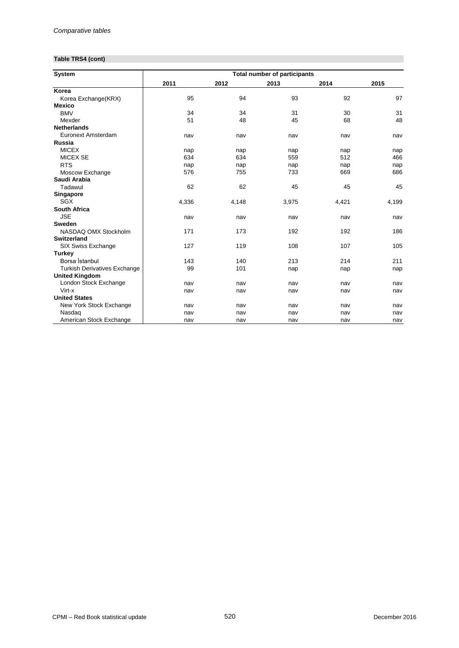## **Table TRS4 (cont)**

| <b>System</b>                       | <b>Total number of participants</b> |       |       |       |       |  |  |  |  |  |
|-------------------------------------|-------------------------------------|-------|-------|-------|-------|--|--|--|--|--|
|                                     | 2011                                | 2012  | 2013  | 2014  | 2015  |  |  |  |  |  |
| Korea                               |                                     |       |       |       |       |  |  |  |  |  |
| Korea Exchange(KRX)                 | 95                                  | 94    | 93    | 92    | 97    |  |  |  |  |  |
| <b>Mexico</b>                       |                                     |       |       |       |       |  |  |  |  |  |
| <b>BMV</b>                          | 34                                  | 34    | 31    | 30    | 31    |  |  |  |  |  |
| Mexder                              | 51                                  | 48    | 45    | 68    | 48    |  |  |  |  |  |
| <b>Netherlands</b>                  |                                     |       |       |       |       |  |  |  |  |  |
| Euronext Amsterdam                  | nav                                 | nav   | nav   | nav   | nav   |  |  |  |  |  |
| Russia                              |                                     |       |       |       |       |  |  |  |  |  |
| <b>MICEX</b>                        | nap                                 | nap   | nap   | nap   | nap   |  |  |  |  |  |
| <b>MICEX SE</b>                     | 634                                 | 634   | 559   | 512   | 466   |  |  |  |  |  |
| <b>RTS</b>                          | nap                                 | nap   | nap   | nap   | nap   |  |  |  |  |  |
| Moscow Exchange                     | 576                                 | 755   | 733   | 669   | 686   |  |  |  |  |  |
| Saudi Arabia                        |                                     |       |       |       |       |  |  |  |  |  |
| Tadawul                             | 62                                  | 62    | 45    | 45    | 45    |  |  |  |  |  |
| Singapore                           |                                     |       |       |       |       |  |  |  |  |  |
| SGX                                 | 4,336                               | 4,148 | 3,975 | 4,421 | 4,199 |  |  |  |  |  |
| <b>South Africa</b>                 |                                     |       |       |       |       |  |  |  |  |  |
| <b>JSE</b>                          | nav                                 | nav   | nav   | nav   | nav   |  |  |  |  |  |
| Sweden                              |                                     |       |       |       |       |  |  |  |  |  |
| NASDAQ OMX Stockholm                | 171                                 | 173   | 192   | 192   | 186   |  |  |  |  |  |
| <b>Switzerland</b>                  |                                     |       |       |       |       |  |  |  |  |  |
| SIX Swiss Exchange                  | 127                                 | 119   | 108   | 107   | 105   |  |  |  |  |  |
| <b>Turkey</b>                       |                                     |       |       |       |       |  |  |  |  |  |
| Borsa İstanbul                      | 143                                 | 140   | 213   | 214   | 211   |  |  |  |  |  |
| <b>Turkish Derivatives Exchange</b> | 99                                  | 101   | nap   | nap   | nap   |  |  |  |  |  |
| <b>United Kingdom</b>               |                                     |       |       |       |       |  |  |  |  |  |
| London Stock Exchange               | nav                                 | nav   | nav   | nav   | nav   |  |  |  |  |  |
| Virt-x                              | nav                                 | nav   | nav   | nav   | nav   |  |  |  |  |  |
| <b>United States</b>                |                                     |       |       |       |       |  |  |  |  |  |
| New York Stock Exchange             | nav                                 | nav   | nav   | nav   | nav   |  |  |  |  |  |
| Nasdag                              | nav                                 | nav   | nav   | nav   | nav   |  |  |  |  |  |
| American Stock Exchange             | nav                                 | nav   | nav   | nav   | nav   |  |  |  |  |  |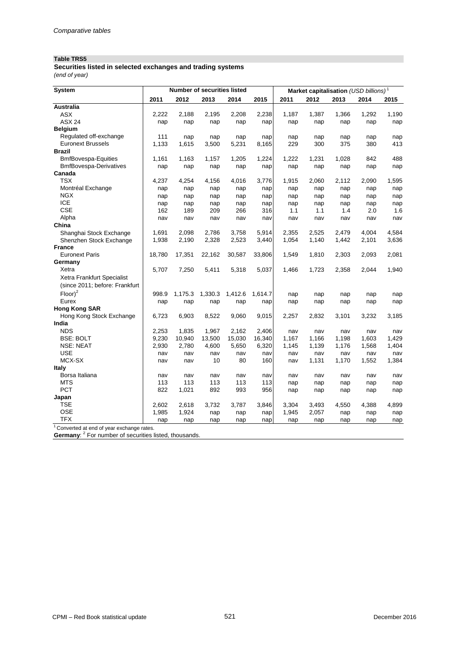## **Table TRS5**

**Securities listed in selected exchanges and trading systems** *(end of year)*

| System                                   |        |         | <b>Number of securities listed</b> |         |         |       |       | Market capitalisation (USD billions) <sup>1</sup> |       |       |
|------------------------------------------|--------|---------|------------------------------------|---------|---------|-------|-------|---------------------------------------------------|-------|-------|
|                                          | 2011   | 2012    | 2013                               | 2014    | 2015    | 2011  | 2012  | 2013                                              | 2014  | 2015  |
| <b>Australia</b>                         |        |         |                                    |         |         |       |       |                                                   |       |       |
| <b>ASX</b>                               | 2,222  | 2,188   | 2,195                              | 2,208   | 2,238   | 1,187 | 1,387 | 1,366                                             | 1,292 | 1,190 |
| <b>ASX 24</b>                            | nap    | nap     | nap                                | nap     | nap     | nap   | nap   | nap                                               | nap   | nap   |
| <b>Belgium</b>                           |        |         |                                    |         |         |       |       |                                                   |       |       |
| Regulated off-exchange                   | 111    | nap     | nap                                | nap     | nap     | nap   | nap   | nap                                               | nap   | nap   |
| <b>Euronext Brussels</b>                 | 1,133  | 1,615   | 3,500                              | 5,231   | 8,165   | 229   | 300   | 375                                               | 380   | 413   |
| <b>Brazil</b>                            |        |         |                                    |         |         |       |       |                                                   |       |       |
| <b>BmfBovespa-Equities</b>               | 1,161  | 1,163   | 1,157                              | 1,205   | 1,224   | 1,222 | 1,231 | 1,028                                             | 842   | 488   |
| <b>BmfBovespa-Derivatives</b>            | nap    | nap     | nap                                | nap     | nap     | nap   | nap   | nap                                               | nap   | nap   |
| Canada                                   |        |         |                                    |         |         |       |       |                                                   |       |       |
| <b>TSX</b>                               | 4,237  | 4,254   | 4,156                              | 4,016   | 3,776   | 1,915 | 2,060 | 2,112                                             | 2,090 | 1,595 |
| Montréal Exchange                        | nap    | nap     | nap                                | nap     | nap     | nap   | nap   | nap                                               | nap   | nap   |
| <b>NGX</b>                               | nap    | nap     | nap                                | nap     | nap     | nap   | nap   | nap                                               | nap   | nap   |
| <b>ICE</b>                               | nap    | nap     | nap                                | nap     | nap     | nap   | nap   | nap                                               | nap   | nap   |
| <b>CSE</b>                               | 162    | 189     | 209                                | 266     | 316     | 1.1   | 1.1   | 1.4                                               | 2.0   | 1.6   |
| Alpha                                    | nav    | nav     | nav                                | nav     | nav     | nav   | nav   | nav                                               | nav   | nav   |
| China                                    |        |         |                                    |         |         |       |       |                                                   |       |       |
| Shanghai Stock Exchange                  | 1,691  | 2,098   | 2,786                              | 3,758   | 5,914   | 2,355 | 2,525 | 2.479                                             | 4.004 | 4,584 |
| Shenzhen Stock Exchange                  | 1,938  | 2,190   | 2,328                              | 2,523   | 3,440   | 1,054 | 1,140 | 1,442                                             | 2,101 | 3,636 |
| <b>France</b>                            |        |         |                                    |         |         |       |       |                                                   |       |       |
| <b>Euronext Paris</b>                    | 18,780 | 17,351  | 22,162                             | 30,587  | 33,806  | 1,549 | 1,810 | 2,303                                             | 2,093 | 2,081 |
| Germany                                  |        |         |                                    |         |         |       |       |                                                   |       |       |
| Xetra                                    | 5,707  | 7,250   | 5,411                              | 5,318   | 5,037   | 1,466 | 1,723 | 2,358                                             | 2,044 | 1,940 |
| Xetra Frankfurt Specialist               |        |         |                                    |         |         |       |       |                                                   |       |       |
| (since 2011; before: Frankfurt           |        |         |                                    |         |         |       |       |                                                   |       |       |
| $Floor^2$                                | 998.9  | 1,175.3 | 1,330.3                            | 1,412.6 | 1,614.7 | nap   | nap   | nap                                               | nap   | nap   |
| Eurex                                    | nap    | nap     | nap                                | nap     | nap     | nap   | nap   | nap                                               | nap   | nap   |
| <b>Hong Kong SAR</b>                     |        |         |                                    |         |         |       |       |                                                   |       |       |
| Hong Kong Stock Exchange                 | 6,723  | 6,903   | 8,522                              | 9,060   | 9,015   | 2,257 | 2,832 | 3,101                                             | 3,232 | 3,185 |
| India                                    |        |         |                                    |         |         |       |       |                                                   |       |       |
| <b>NDS</b>                               | 2,253  | 1,835   | 1,967                              | 2,162   | 2,406   | nav   | nav   | nav                                               | nav   | nav   |
| <b>BSE: BOLT</b>                         | 9,230  | 10,940  | 13,500                             | 15,030  | 16,340  | 1,167 | 1,166 | 1,198                                             | 1,603 | 1,429 |
| <b>NSE: NEAT</b>                         | 2,930  | 2,780   | 4,600                              | 5,650   | 6,320   | 1,145 | 1,139 | 1,176                                             | 1,568 | 1,404 |
| <b>USE</b>                               | nav    | nav     | nav                                | nav     | nav     | nav   | nav   | nav                                               | nav   | nav   |
| MCX-SX                                   | nav    | nav     | 10                                 | 80      | 160     | nav   | 1,131 | 1,170                                             | 1,552 | 1,384 |
| <b>Italy</b>                             |        |         |                                    |         |         |       |       |                                                   |       |       |
| Borsa Italiana                           | nav    | nav     | nav                                | nav     | nav     | nav   | nav   | nav                                               | nav   | nav   |
| <b>MTS</b>                               | 113    | 113     | 113                                | 113     | 113     | nap   | nap   | nap                                               | nap   | nap   |
| <b>PCT</b>                               | 822    | 1,021   | 892                                | 993     | 956     | nap   | nap   | nap                                               | nap   | nap   |
| Japan                                    |        |         |                                    |         |         |       |       |                                                   |       |       |
| TSE                                      | 2,602  | 2,618   | 3,732                              | 3,787   | 3,846   | 3,304 | 3,493 | 4,550                                             | 4,388 | 4,899 |
| <b>OSE</b>                               | 1,985  | 1,924   | nap                                | nap     | nap     | 1,945 | 2,057 | nap                                               | nap   | nap   |
| <b>TFX</b>                               | nap    | nap     | nap                                | nap     | nap     | nap   | nap   | nap                                               | nap   | nap   |
| Converted at end of year exchange rates. |        |         |                                    |         |         |       |       |                                                   |       |       |

Germany: <sup>2</sup> For number of securities listed, thousands.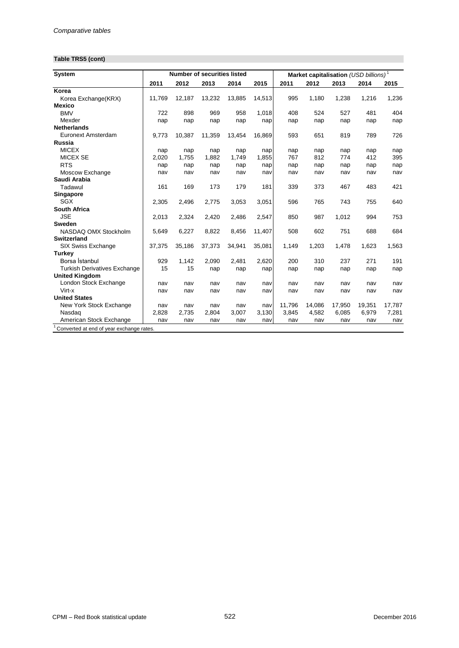## **Table TRS5 (cont)**

| <b>System</b>                       |        |        | <b>Number of securities listed</b> |        |        |        | Market capitalisation (USD billions) <sup>1</sup> |        |        |        |
|-------------------------------------|--------|--------|------------------------------------|--------|--------|--------|---------------------------------------------------|--------|--------|--------|
|                                     | 2011   | 2012   | 2013                               | 2014   | 2015   | 2011   | 2012                                              | 2013   | 2014   | 2015   |
| Korea                               |        |        |                                    |        |        |        |                                                   |        |        |        |
| Korea Exchange(KRX)                 | 11,769 | 12,187 | 13,232                             | 13.885 | 14,513 | 995    | 1,180                                             | 1,238  | 1,216  | 1,236  |
| <b>Mexico</b>                       |        |        |                                    |        |        |        |                                                   |        |        |        |
| <b>BMV</b>                          | 722    | 898    | 969                                | 958    | 1.018  | 408    | 524                                               | 527    | 481    | 404    |
| Mexder                              | nap    | nap    | nap                                | nap    | nap    | nap    | nap                                               | nap    | nap    | nap    |
| <b>Netherlands</b>                  |        |        |                                    |        |        |        |                                                   |        |        |        |
| Euronext Amsterdam                  | 9,773  | 10,387 | 11,359                             | 13,454 | 16,869 | 593    | 651                                               | 819    | 789    | 726    |
| Russia                              |        |        |                                    |        |        |        |                                                   |        |        |        |
| <b>MICEX</b>                        | nap    | nap    | nap                                | nap    | nap    | nap    | nap                                               | nap    | nap    | nap    |
| <b>MICEX SE</b>                     | 2,020  | 1,755  | 1,882                              | 1,749  | 1,855  | 767    | 812                                               | 774    | 412    | 395    |
| <b>RTS</b>                          | nap    | nap    | nap                                | nap    | nap    | nap    | nap                                               | nap    | nap    | nap    |
| Moscow Exchange                     | nav    | nav    | nav                                | nav    | nav    | nav    | nav                                               | nav    | nav    | nav    |
| Saudi Arabia                        |        |        |                                    |        |        |        |                                                   |        |        |        |
| Tadawul                             | 161    | 169    | 173                                | 179    | 181    | 339    | 373                                               | 467    | 483    | 421    |
| Singapore                           |        |        |                                    |        |        |        |                                                   |        |        |        |
| SGX                                 | 2,305  | 2,496  | 2,775                              | 3,053  | 3,051  | 596    | 765                                               | 743    | 755    | 640    |
| <b>South Africa</b>                 |        |        |                                    |        |        |        |                                                   |        |        |        |
| <b>JSE</b>                          | 2,013  | 2,324  | 2.420                              | 2.486  | 2,547  | 850    | 987                                               | 1.012  | 994    | 753    |
| <b>Sweden</b>                       |        |        |                                    |        |        |        |                                                   |        |        |        |
| NASDAQ OMX Stockholm                | 5,649  | 6,227  | 8,822                              | 8,456  | 11,407 | 508    | 602                                               | 751    | 688    | 684    |
| Switzerland                         |        |        |                                    |        |        |        |                                                   |        |        |        |
| SIX Swiss Exchange                  | 37,375 | 35,186 | 37,373                             | 34,941 | 35,081 | 1,149  | 1,203                                             | 1,478  | 1,623  | 1,563  |
| <b>Turkey</b>                       |        |        |                                    |        |        |        |                                                   |        |        |        |
| Borsa İstanbul                      | 929    | 1,142  | 2,090                              | 2,481  | 2,620  | 200    | 310                                               | 237    | 271    | 191    |
| <b>Turkish Derivatives Exchange</b> | 15     | 15     | nap                                | nap    | nap    | nap    | nap                                               | nap    | nap    | nap    |
| <b>United Kingdom</b>               |        |        |                                    |        |        |        |                                                   |        |        |        |
| London Stock Exchange               | nav    | nav    | nav                                | nav    | nav    | nav    | nav                                               | nav    | nav    | nav    |
| Virt-x                              | nav    | nav    | nav                                | nav    | nav    | nav    | nav                                               | nav    | nav    | nav    |
| <b>United States</b>                |        |        |                                    |        |        |        |                                                   |        |        |        |
| New York Stock Exchange             | nav    | nav    | nav                                | nav    | nav    | 11,796 | 14,086                                            | 17,950 | 19,351 | 17,787 |
| Nasdag                              | 2,828  | 2,735  | 2,804                              | 3,007  | 3,130  | 3,845  | 4,582                                             | 6,085  | 6,979  | 7,281  |
| American Stock Exchange             | nav    | nav    | nav                                | nav    | nav    | nav    | nav                                               | nav    | nav    | nav    |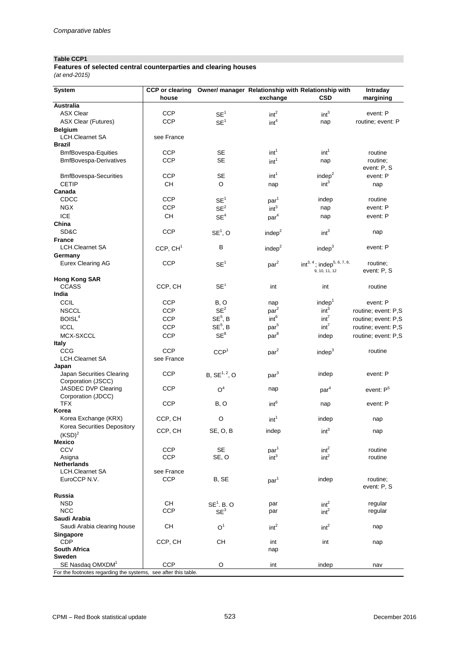## **Table CCP1**

#### *(at end-2015)* **Features of selected central counterparties and clearing houses**

| <b>System</b>                                                  | <b>CCP</b> or clearing |                           |                    | Owner/ manager Relationship with Relationship with | Intraday                |
|----------------------------------------------------------------|------------------------|---------------------------|--------------------|----------------------------------------------------|-------------------------|
|                                                                | house                  |                           | exchange           | <b>CSD</b>                                         | margining               |
| Australia                                                      |                        |                           |                    |                                                    |                         |
| <b>ASX Clear</b>                                               | <b>CCP</b>             | SE <sup>1</sup>           | int <sup>2</sup>   | int <sup>3</sup>                                   | event: P                |
| <b>ASX Clear (Futures)</b>                                     | <b>CCP</b>             | SE <sup>1</sup>           | int <sup>4</sup>   | nap                                                | routine; event: P       |
| <b>Belgium</b>                                                 |                        |                           |                    |                                                    |                         |
| <b>LCH.Clearnet SA</b>                                         | see France             |                           |                    |                                                    |                         |
| <b>Brazil</b>                                                  |                        |                           |                    |                                                    |                         |
| <b>BmfBovespa-Equities</b>                                     | <b>CCP</b>             | <b>SE</b>                 | int <sup>1</sup>   | int <sup>1</sup>                                   | routine                 |
| <b>BmfBovespa-Derivatives</b>                                  | <b>CCP</b>             | <b>SE</b>                 | int <sup>1</sup>   | nap                                                | routine;                |
| <b>BmfBovespa-Securities</b>                                   | <b>CCP</b>             | <b>SE</b>                 | int <sup>1</sup>   | indep <sup>2</sup>                                 | event: P, S<br>event: P |
| <b>CETIP</b>                                                   | <b>CH</b>              | $\circ$                   |                    | int <sup>3</sup>                                   |                         |
| Canada                                                         |                        |                           | nap                |                                                    | nap                     |
| CDCC                                                           | <b>CCP</b>             | SE <sup>1</sup>           | par <sup>1</sup>   | indep                                              | routine                 |
| <b>NGX</b>                                                     | <b>CCP</b>             | SE <sup>2</sup>           | int <sup>3</sup>   | nap                                                | event: P                |
| <b>ICE</b>                                                     | CH                     | SE <sup>4</sup>           |                    | nap                                                | event: P                |
| China                                                          |                        |                           | par <sup>4</sup>   |                                                    |                         |
| SD&C                                                           | <b>CCP</b>             | $SE1$ , O                 | indep <sup>2</sup> | int <sup>3</sup>                                   | nap                     |
| <b>France</b>                                                  |                        |                           |                    |                                                    |                         |
| <b>LCH.Clearnet SA</b>                                         | CCP, CH <sup>1</sup>   | в                         | indep <sup>2</sup> | indep <sup>3</sup>                                 | event: P                |
| Germany                                                        |                        |                           |                    |                                                    |                         |
| <b>Eurex Clearing AG</b>                                       | <b>CCP</b>             | SE <sup>1</sup>           | par <sup>2</sup>   | $int^{3, 4}$ ; indep <sup>5, 6, 7, 8,</sup>        | routine;                |
|                                                                |                        |                           |                    | 9, 10, 11, 12                                      | event: P, S             |
| <b>Hong Kong SAR</b>                                           |                        |                           |                    |                                                    |                         |
| <b>CCASS</b>                                                   | CCP, CH                | SE <sup>1</sup>           | int                | int                                                | routine                 |
| India                                                          |                        |                           |                    |                                                    |                         |
| <b>CCIL</b>                                                    | <b>CCP</b>             | B, O                      | nap                | indep <sup>1</sup>                                 | event: P                |
| <b>NSCCL</b>                                                   | <b>CCP</b>             | SE <sup>2</sup>           | $\mathsf{par}^2$   | int <sup>3</sup>                                   | routine; event: P,S     |
| BOISL <sup>4</sup>                                             | <b>CCP</b>             | $SE5$ , B                 | int <sup>6</sup>   | int <sup>7</sup>                                   | routine; event: P,S     |
| <b>ICCL</b>                                                    | <b>CCP</b>             | $SE5$ , B                 | par <sup>5</sup>   | int <sup>7</sup>                                   | routine; event: P,S     |
| MCX-SXCCL                                                      | <b>CCP</b>             | $\text{SE}^8$             | par <sup>8</sup>   | indep                                              | routine; event: P,S     |
| <b>Italy</b>                                                   |                        |                           |                    |                                                    |                         |
| <b>CCG</b>                                                     | <b>CCP</b>             | CCP <sup>1</sup>          | par <sup>2</sup>   | indep <sup>3</sup>                                 | routine                 |
| LCH.Clearnet SA                                                | see France             |                           |                    |                                                    |                         |
| Japan                                                          |                        |                           |                    |                                                    |                         |
| Japan Securities Clearing<br>Corporation (JSCC)                | <b>CCP</b>             | B, SE <sup>1, 2</sup> , O | par <sup>3</sup>   | indep                                              | event: P                |
| JASDEC DVP Clearing                                            | <b>CCP</b>             | O <sup>4</sup>            | nap                | par <sup>4</sup>                                   | event: P <sup>5</sup>   |
| Corporation (JDCC)                                             |                        |                           |                    |                                                    |                         |
| <b>TFX</b>                                                     | <b>CCP</b>             | B, O                      | int <sup>6</sup>   | nap                                                | event: P                |
| Korea                                                          |                        |                           |                    |                                                    |                         |
| Korea Exchange (KRX)                                           | CCP, CH                | O                         | int <sup>1</sup>   | indep                                              | nap                     |
| Korea Securities Depository                                    | CCP, CH                | SE, O, B                  | indep              | int <sup>3</sup>                                   |                         |
| (KSD) <sup>2</sup>                                             |                        |                           |                    |                                                    | nap                     |
| <b>Mexico</b>                                                  |                        |                           |                    |                                                    |                         |
| CCV                                                            | <b>CCP</b>             | <b>SE</b>                 | par <sup>1</sup>   | int <sup>2</sup>                                   | routine                 |
| Asigna<br>Netherlands                                          | <b>CCP</b>             | SE, O                     | int <sup>3</sup>   | int <sup>2</sup>                                   | routine                 |
| <b>LCH.Clearnet SA</b>                                         | see France             |                           |                    |                                                    |                         |
| EuroCCP N.V.                                                   | <b>CCP</b>             | B, SE                     | par <sup>1</sup>   | indep                                              | routine;                |
|                                                                |                        |                           |                    |                                                    | event: P, S             |
| Russia                                                         |                        |                           |                    |                                                    |                         |
| <b>NSD</b>                                                     | CН                     | $SE1$ . B. O              | par                | int <sup>2</sup>                                   | regular                 |
| <b>NCC</b>                                                     | <b>CCP</b>             | SE <sup>3</sup>           | par                | int <sup>2</sup>                                   | regular                 |
| Saudi Arabia                                                   |                        |                           |                    |                                                    |                         |
| Saudi Arabia clearing house                                    | СH                     | O <sup>1</sup>            | int <sup>2</sup>   | int <sup>2</sup>                                   | nap                     |
| Singapore                                                      |                        |                           |                    |                                                    |                         |
| CDP                                                            | CCP, CH                | <b>CH</b>                 | int                | int                                                | nap                     |
| South Africa                                                   |                        |                           | nap                |                                                    |                         |
| Sweden<br>SE Nasdaq OMXDM <sup>1</sup>                         | <b>CCP</b>             | O                         | int                | indep                                              |                         |
| For the footnotes regarding the systems, see after this table. |                        |                           |                    |                                                    | nav                     |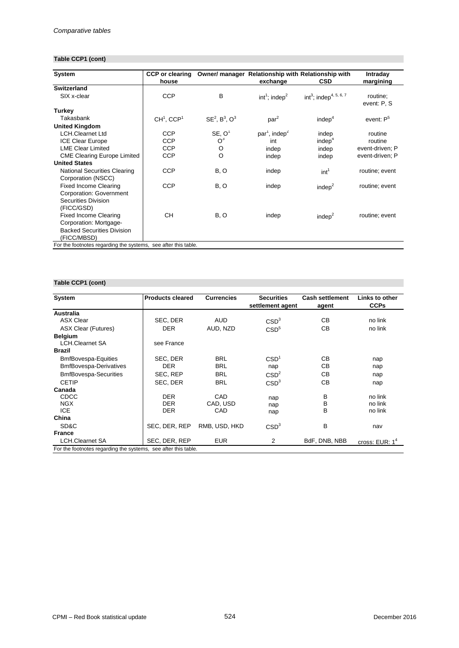# **Table CCP1 (cont)**

| System                                                    | <b>CCP</b> or clearing   |                        | Owner/ manager Relationship with Relationship with |                                       | Intraday                |
|-----------------------------------------------------------|--------------------------|------------------------|----------------------------------------------------|---------------------------------------|-------------------------|
|                                                           | house                    |                        | exchange                                           | <b>CSD</b>                            | margining               |
| <b>Switzerland</b>                                        |                          |                        |                                                    |                                       |                         |
| SIX x-clear                                               | <b>CCP</b>               | B                      | $int1$ ; indep <sup>2</sup>                        | $int^3$ ; indep <sup>4, 5, 6, 7</sup> | routine;<br>event: P, S |
| Turkey                                                    |                          |                        |                                                    |                                       |                         |
| Takasbank                                                 | $CH1$ , CCP <sup>1</sup> | $SE^2$ , $B^3$ , $O^3$ | par <sup>2</sup>                                   | indep <sup>4</sup>                    | event: P <sup>5</sup>   |
| <b>United Kingdom</b>                                     |                          |                        |                                                    |                                       |                         |
| <b>LCH.Clearnet Ltd</b>                                   | <b>CCP</b>               | SE, O <sup>1</sup>     | $par1$ , indep <sup>2</sup>                        | indep                                 | routine                 |
| <b>ICE Clear Europe</b>                                   | <b>CCP</b>               | O <sup>3</sup>         | int                                                | indep <sup>4</sup>                    | routine                 |
| <b>LME Clear Limited</b>                                  | <b>CCP</b>               | O                      | indep                                              | indep                                 | event-driven; P         |
| <b>CME Clearing Europe Limited</b>                        | <b>CCP</b>               | $\circ$                | indep                                              | indep                                 | event-driven; P         |
| <b>United States</b>                                      |                          |                        |                                                    |                                       |                         |
| <b>National Securities Clearing</b><br>Corporation (NSCC) | <b>CCP</b>               | B, O                   | indep                                              | int <sup>1</sup>                      | routine; event          |
| <b>Fixed Income Clearing</b>                              | <b>CCP</b>               | B, O                   | indep                                              | indep <sup>2</sup>                    | routine; event          |
| Corporation: Government                                   |                          |                        |                                                    |                                       |                         |
| Securities Division                                       |                          |                        |                                                    |                                       |                         |
| (FICC/GSD)                                                |                          |                        |                                                    |                                       |                         |
| <b>Fixed Income Clearing</b>                              | <b>CH</b>                | B, O                   | indep                                              | indep <sup>2</sup>                    | routine; event          |
| Corporation: Mortgage-                                    |                          |                        |                                                    |                                       |                         |
| <b>Backed Securities Division</b>                         |                          |                        |                                                    |                                       |                         |
| (FICC/MBSD)                                               |                          |                        |                                                    |                                       |                         |

For the footnotes regarding the systems, see after this table.

## **Table CCP1 (cont)**

| System                                                         | <b>Products cleared</b> | <b>Currencies</b> | <b>Securities</b>      | <b>Cash settlement</b> | Links to other   |
|----------------------------------------------------------------|-------------------------|-------------------|------------------------|------------------------|------------------|
|                                                                |                         |                   | settlement agent       | agent                  | <b>CCPs</b>      |
| Australia                                                      |                         |                   |                        |                        |                  |
| <b>ASX Clear</b>                                               | SEC, DER                | <b>AUD</b>        | CВ<br>CSD <sup>3</sup> |                        | no link          |
| <b>ASX Clear (Futures)</b>                                     | <b>DER</b>              | AUD, NZD          | CSD <sup>5</sup>       | CВ                     | no link          |
| <b>Belgium</b>                                                 |                         |                   |                        |                        |                  |
| <b>LCH.Clearnet SA</b>                                         | see France              |                   |                        |                        |                  |
| <b>Brazil</b>                                                  |                         |                   |                        |                        |                  |
| <b>BmfBovespa-Equities</b>                                     | SEC, DER                | <b>BRL</b>        | CSD <sup>1</sup>       | CВ                     | nap              |
| <b>BmfBovespa-Derivatives</b>                                  | <b>DER</b>              | <b>BRL</b>        | nap                    | CВ                     | nap              |
| <b>BmfBovespa-Securities</b>                                   | SEC, REP                | <b>BRL</b>        | CSD <sup>2</sup>       | CВ                     | nap              |
| <b>CETIP</b>                                                   | SEC, DER                | <b>BRL</b>        | CSD <sup>3</sup>       | CВ                     | nap              |
| Canada                                                         |                         |                   |                        |                        |                  |
| <b>CDCC</b>                                                    | <b>DER</b>              | CAD               | nap                    | в                      | no link          |
| <b>NGX</b>                                                     | <b>DER</b>              | CAD, USD          | nap                    | B                      | no link          |
| <b>ICE</b>                                                     | <b>DER</b>              | CAD               | nap                    | B                      | no link          |
| China                                                          |                         |                   |                        |                        |                  |
| SD&C                                                           | SEC, DER, REP           | RMB, USD, HKD     | CSD <sup>3</sup>       | В                      | nav              |
| <b>France</b>                                                  |                         |                   |                        |                        |                  |
| <b>LCH.Clearnet SA</b>                                         | SEC, DER, REP           | <b>EUR</b>        | 2                      | BdF, DNB, NBB          | cross: $EUR: 14$ |
| For the footnotes regarding the systems, see after this table. |                         |                   |                        |                        |                  |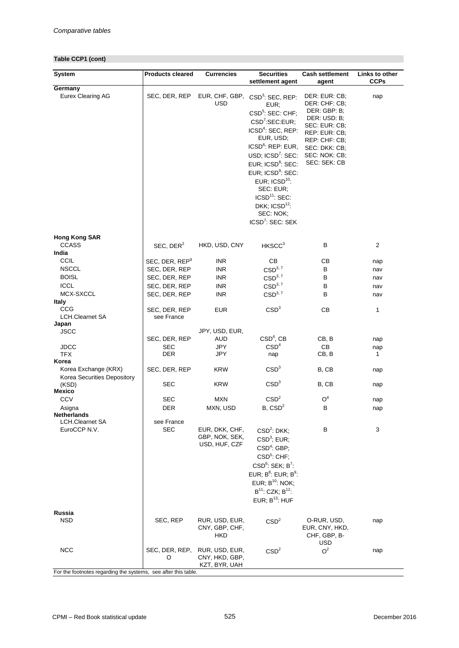## **Table CCP1 (cont)**

| <b>System</b>                                                                | <b>Products cleared</b>     | <b>Currencies</b>                                 | <b>Securities</b>                                                                                                                                                                                                                                                                                                                                                                                                                     | <b>Cash settlement</b>                                                                                                                                              | Links to other |  |
|------------------------------------------------------------------------------|-----------------------------|---------------------------------------------------|---------------------------------------------------------------------------------------------------------------------------------------------------------------------------------------------------------------------------------------------------------------------------------------------------------------------------------------------------------------------------------------------------------------------------------------|---------------------------------------------------------------------------------------------------------------------------------------------------------------------|----------------|--|
|                                                                              |                             |                                                   | settlement agent                                                                                                                                                                                                                                                                                                                                                                                                                      | agent                                                                                                                                                               | <b>CCPs</b>    |  |
| Germany<br>Eurex Clearing AG                                                 | SEC, DER, REP               | EUR, CHF, GBP,<br>USD                             | CSD <sup>3</sup> : SEC, REP:<br>EUR:<br>CSD <sup>5</sup> : SEC: CHF;<br>CSD <sup>7</sup> :SEC:EUR;<br>ICSD <sup>4</sup> : SEC, REP:<br>EUR, USD;<br>ICSD <sup>6</sup> : REP: EUR,<br>USD; ICSD <sup>7</sup> : SEC:<br>EUR; ICSD <sup>8</sup> : SEC:<br>EUR; ICSD <sup>9</sup> : SEC:<br>EUR; $\text{ICSD}^{10}$ :<br>SEC: EUR;<br>ICSD <sup>11</sup> : SEC:<br>DKK; ICSD <sup>12</sup> :<br>SEC: NOK;<br>ICSD <sup>7</sup> : SEC: SEK | DER: EUR: CB;<br>DER: CHF: CB;<br>DER: GBP: B;<br>DER: USD: B;<br>SEC: EUR: CB;<br>REP: EUR: CB;<br>REP: CHF: CB;<br>SEC: DKK: CB;<br>SEC: NOK: CB;<br>SEC: SEK: CB | nap            |  |
| <b>Hong Kong SAR</b><br><b>CCASS</b>                                         | SEC, DER <sup>2</sup>       | HKD, USD, CNY                                     | HKSCC <sup>3</sup>                                                                                                                                                                                                                                                                                                                                                                                                                    | В                                                                                                                                                                   | 2              |  |
| India                                                                        |                             |                                                   |                                                                                                                                                                                                                                                                                                                                                                                                                                       |                                                                                                                                                                     |                |  |
| <b>CCIL</b>                                                                  | SEC, DER, REP <sup>9</sup>  | <b>INR</b>                                        | CВ                                                                                                                                                                                                                                                                                                                                                                                                                                    | CВ                                                                                                                                                                  | nap            |  |
| <b>NSCCL</b>                                                                 | SEC, DER, REP               | <b>INR</b>                                        | CSD <sup>3, 7</sup>                                                                                                                                                                                                                                                                                                                                                                                                                   | B                                                                                                                                                                   | nav            |  |
| <b>BOISL</b>                                                                 | SEC, DER, REP               | <b>INR</b>                                        | CSD <sup>3, 7</sup>                                                                                                                                                                                                                                                                                                                                                                                                                   | B                                                                                                                                                                   | nav            |  |
| <b>ICCL</b>                                                                  | SEC, DER, REP               | <b>INR</b>                                        | CSD <sup>3, 7</sup>                                                                                                                                                                                                                                                                                                                                                                                                                   | В                                                                                                                                                                   | nav            |  |
| MCX-SXCCL<br>Italy                                                           | SEC, DER, REP               | <b>INR</b>                                        | $\text{CSD}^{3,~7}$                                                                                                                                                                                                                                                                                                                                                                                                                   | В                                                                                                                                                                   | nav            |  |
| CCG<br><b>LCH.Clearnet SA</b>                                                | SEC, DER, REP<br>see France | <b>EUR</b>                                        | CSD <sup>3</sup>                                                                                                                                                                                                                                                                                                                                                                                                                      | CB                                                                                                                                                                  | 1              |  |
| Japan                                                                        |                             |                                                   |                                                                                                                                                                                                                                                                                                                                                                                                                                       |                                                                                                                                                                     |                |  |
| <b>JSCC</b>                                                                  |                             | JPY, USD, EUR,                                    | $CSD4$ , CB                                                                                                                                                                                                                                                                                                                                                                                                                           |                                                                                                                                                                     |                |  |
| <b>JDCC</b>                                                                  | SEC, DER, REP<br>SEC        | AUD<br><b>JPY</b>                                 | CSD <sup>4</sup>                                                                                                                                                                                                                                                                                                                                                                                                                      | CB, B<br>CB                                                                                                                                                         | nap            |  |
| <b>TFX</b>                                                                   | DER                         | JPY                                               | nap                                                                                                                                                                                                                                                                                                                                                                                                                                   | CB, B                                                                                                                                                               | nap<br>1       |  |
| Korea                                                                        |                             |                                                   |                                                                                                                                                                                                                                                                                                                                                                                                                                       |                                                                                                                                                                     |                |  |
| Korea Exchange (KRX)<br>Korea Securities Depository                          | SEC, DER, REP               | <b>KRW</b>                                        | CSD <sup>3</sup>                                                                                                                                                                                                                                                                                                                                                                                                                      | B, CB                                                                                                                                                               | nap            |  |
| (KSD)<br>Mexico                                                              | SEC                         | <b>KRW</b>                                        | CSD <sup>3</sup>                                                                                                                                                                                                                                                                                                                                                                                                                      | B, CB                                                                                                                                                               | nap            |  |
| <b>CCV</b>                                                                   | SEC                         | <b>MXN</b>                                        | CSD <sup>2</sup>                                                                                                                                                                                                                                                                                                                                                                                                                      | O <sup>4</sup>                                                                                                                                                      | nap            |  |
| Asigna                                                                       | <b>DER</b>                  | MXN, USD                                          | B, CSD <sup>2</sup>                                                                                                                                                                                                                                                                                                                                                                                                                   | В                                                                                                                                                                   | nap            |  |
| Netherlands                                                                  |                             |                                                   |                                                                                                                                                                                                                                                                                                                                                                                                                                       |                                                                                                                                                                     |                |  |
| <b>LCH.Clearnet SA</b><br>EuroCCP N.V.                                       | see France<br><b>SEC</b>    | EUR, DKK, CHF,<br>GBP, NOK, SEK,<br>USD, HUF, CZF | $CSD2$ : DKK;<br>$CSD3$ ; EUR;<br>CSD <sup>4</sup> : GBP;<br>CSD <sup>5</sup> : CHF;<br>CSD <sup>6</sup> : SEK; B <sup>7</sup> :<br>EUR; $B^8$ : EUR; $B^9$ :<br>EUR; $B^{10}$ : NOK;<br>$B^{11}$ : CZK; $B^{12}$ :<br>EUR; $B^{13}$ : HUF                                                                                                                                                                                            | В                                                                                                                                                                   | 3              |  |
|                                                                              |                             |                                                   |                                                                                                                                                                                                                                                                                                                                                                                                                                       |                                                                                                                                                                     |                |  |
| Russia<br><b>NSD</b>                                                         | SEC, REP                    | RUR, USD, EUR,<br>CNY, GBP, CHF,<br>HKD           | CSD <sup>2</sup>                                                                                                                                                                                                                                                                                                                                                                                                                      | O-RUR, USD,<br>EUR, CNY, HKD,<br>CHF, GBP, B-<br>USD                                                                                                                | nap            |  |
| <b>NCC</b><br>For the footnotes regarding the systems, see after this table. | SEC, DER, REP,<br>O         | RUR, USD, EUR,<br>CNY, HKD, GBP,<br>KZT, BYR, UAH | CSD <sup>2</sup>                                                                                                                                                                                                                                                                                                                                                                                                                      | O <sup>2</sup>                                                                                                                                                      | nap            |  |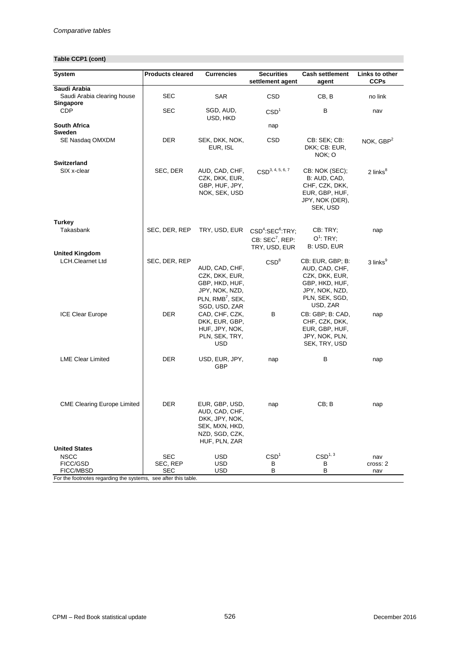# **Table CCP1 (cont)**

| System                                                         | <b>Products cleared</b> | <b>Currencies</b>                                                                                                     | <b>Securities</b>                                                                        | <b>Cash settlement</b>                                                                             | Links to other       |
|----------------------------------------------------------------|-------------------------|-----------------------------------------------------------------------------------------------------------------------|------------------------------------------------------------------------------------------|----------------------------------------------------------------------------------------------------|----------------------|
| Saudi Arabia                                                   |                         |                                                                                                                       | settlement agent                                                                         | agent                                                                                              | <b>CCPs</b>          |
| Saudi Arabia clearing house<br>Singapore                       | <b>SEC</b>              | <b>SAR</b>                                                                                                            | <b>CSD</b>                                                                               | CB, B                                                                                              | no link              |
| <b>CDP</b>                                                     | <b>SEC</b>              | SGD, AUD,<br>USD, HKD                                                                                                 | CSD <sup>1</sup>                                                                         | в                                                                                                  | nav                  |
| <b>South Africa</b><br>Sweden                                  |                         |                                                                                                                       | nap                                                                                      |                                                                                                    |                      |
| SE Nasdaq OMXDM                                                | DER                     | SEK, DKK, NOK,<br>EUR, ISL                                                                                            | CSD<br>CB: SEK; CB:<br>DKK; CB: EUR,<br>NOK; O                                           |                                                                                                    | NOK, $GBP2$          |
| <b>Switzerland</b><br>SIX x-clear                              | SEC, DER                | AUD, CAD, CHF,<br>CZK, DKK, EUR,<br>GBP, HUF, JPY,<br>NOK, SEK, USD                                                   | CSD <sup>3, 4, 5, 6, 7</sup>                                                             | CB: NOK (SEC);<br>B: AUD, CAD,<br>CHF, CZK, DKK,<br>EUR, GBP, HUF,<br>JPY, NOK (DER),<br>SEK, USD  | 2 links <sup>8</sup> |
| Turkey<br>Takasbank                                            | SEC, DER, REP           | TRY, USD, EUR                                                                                                         | CSD <sup>4</sup> :SEC <sup>6</sup> :TRY;<br>CB: SEC <sup>7</sup> , REP:<br>TRY, USD, EUR | CB: TRY;<br>$O^1$ : TRY;<br>B: USD, EUR                                                            | nap                  |
| <b>United Kingdom</b><br><b>LCH.Clearnet Ltd</b>               | SEC, DER, REP           |                                                                                                                       | CSD <sup>8</sup>                                                                         | CB: EUR, GBP; B:                                                                                   | 3 links <sup>9</sup> |
|                                                                |                         | AUD, CAD, CHF,<br>CZK, DKK, EUR,<br>GBP, HKD, HUF,<br>JPY, NOK, NZD,<br>PLN, RMB <sup>7</sup> , SEK,<br>SGD, USD, ZAR |                                                                                          | AUD, CAD, CHF,<br>CZK, DKK, EUR,<br>GBP, HKD, HUF,<br>JPY, NOK, NZD,<br>PLN, SEK, SGD,<br>USD, ZAR |                      |
| <b>ICE Clear Europe</b>                                        | DER                     | CAD, CHF, CZK,<br>DKK, EUR, GBP,<br>HUF, JPY, NOK,<br>PLN, SEK, TRY,<br>USD                                           | в                                                                                        | CB: GBP; B: CAD,<br>CHF, CZK, DKK,<br>EUR, GBP, HUF,<br>JPY, NOK, PLN,<br>SEK, TRY, USD            | nap                  |
| <b>LME Clear Limited</b>                                       | DER                     | USD, EUR, JPY,<br>GBP                                                                                                 | nap                                                                                      | В                                                                                                  | nap                  |
| <b>CME Clearing Europe Limited</b>                             | DER                     | EUR, GBP, USD,<br>AUD, CAD, CHF,<br>DKK, JPY, NOK,<br>SEK, MXN, HKD,<br>NZD, SGD, CZK,<br>HUF, PLN, ZAR               | nap                                                                                      | CB; B                                                                                              | nap                  |
| <b>United States</b>                                           |                         |                                                                                                                       |                                                                                          |                                                                                                    |                      |
| <b>NSCC</b>                                                    | SEC                     | USD                                                                                                                   | CSD <sup>1</sup>                                                                         | CSD <sup>1, 3</sup>                                                                                | nav                  |
| FICC/GSD<br>FICC/MBSD                                          | SEC, REP<br>SEC         | <b>USD</b><br><b>USD</b>                                                                                              | в<br>В                                                                                   | В<br>в                                                                                             | cross: 2<br>nav      |
| For the footnotes regarding the systems, see after this table. |                         |                                                                                                                       |                                                                                          |                                                                                                    |                      |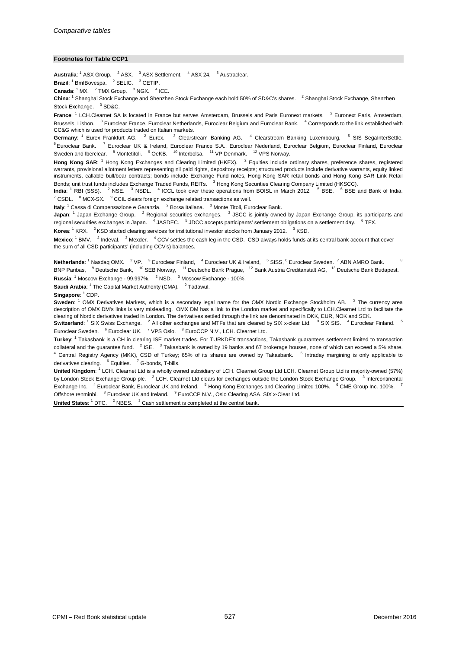#### **Footnotes for Table CCP1**

Australia: <sup>1</sup> ASX Group. <sup>2</sup> ASX. <sup>3</sup> ASX Settlement. <sup>4</sup> ASX 24. <sup>5</sup> Austraclear.

**Brazil**: <sup>1</sup> BmfBovespa. <sup>2</sup> SELIC. <sup>3</sup> CETIP.

**Canada:**  $^1$  MX.  $^2$  TMX Group.  $^3$  NGX.  $^4$  ICE.

**China**: <sup>1</sup> Shanghai Stock Exchange and Shenzhen Stock Exchange each hold 50% of SD&C's shares. <sup>2</sup> Shanghai Stock Exchange, Shenzhen Stock Exchange. <sup>3</sup> SD&C.

**France**: <sup>1</sup> LCH.Clearnet SA is located in France but serves Amsterdam, Brussels and Paris Euronext markets. <sup>2</sup> Euronext Paris, Amsterdam, Brussels, Lisbon. <sup>3</sup> Euroclear France, Euroclear Netherlands, Euroclear Belgium and Euroclear Bank. <sup>4</sup> Corresponds to the link established with CC&G which is used for products traded on Italian markets.

Germany: <sup>1</sup> Eurex Frankfurt AG. <sup>2</sup> Eurex. <sup>3</sup> Clearstream Banking AG. <sup>4</sup> Clearstream Banking Luxembourg. <sup>5</sup> SIS SegaInterSettle. <sup>6</sup> Euroclear Bank. <sup>7</sup> Euroclear UK & Ireland, Euroclear France S.A., Euroclear Nederland, Euroclear Belgium, Euroclear Finland, Euroclear Sweden and Iberclear. <sup>8</sup> Montetitoli. <sup>9</sup> OeKB. <sup>10</sup> Interbolsa. <sup>11</sup> VP Denmark. <sup>12</sup> VPS Norway.

**Hong Kong SAR**: <sup>1</sup> Hong Kong Exchanges and Clearing Limited (HKEX). <sup>2</sup> Equities include ordinary shares, preference shares, registered warrants, provisional allotment letters representing nil paid rights, depository receipts; structured products include derivative warrants, equity linked instruments, callable bull/bear contracts; bonds include Exchange Fund notes, Hong Kong SAR retail bonds and Hong Kong SAR Link Retail Bonds; unit trust funds includes Exchange Traded Funds, REITs. <sup>3</sup> Hong Kong Securities Clearing Company Limited (HKSCC).

**India**: <sup>1</sup> RBI (SSS). <sup>2</sup> NSE. <sup>3</sup> NSDL. <sup>4</sup> ICCL took over these operations from BOISL in March 2012. <sup>5</sup> BSE. <sup>6</sup> BSE and Bank of India.  $7$  CSDL.  $8$  MCX-SX.  $8$  CCIL clears foreign exchange related transactions as well.

**Italy**: <sup>1</sup> Cassa di Compensazione e Garanzia. <sup>2</sup> Borsa Italiana. <sup>3</sup> Monte Titoli, Euroclear Bank.

**Japan**: <sup>1</sup> Japan Exchange Group. <sup>2</sup> Regional securities exchanges. <sup>3</sup> JSCC is jointly owned by Japan Exchange Group, its participants and regional securities exchanges in Japan. <sup>4</sup> JASDEC. <sup>5</sup> JDCC accepts participants' settlement obligations on a settlement day. <sup>6</sup> TFX.

Korea: <sup>1</sup> KRX. <sup>2</sup> KSD started clearing services for institutional investor stocks from January 2012. <sup>3</sup> KSD.

Mexico: <sup>1</sup> BMV. <sup>2</sup> Indeval. <sup>3</sup> Mexder. <sup>4</sup> CCV settles the cash leg in the CSD. CSD always holds funds at its central bank account that cover the sum of all CSD participants' (including CCV's) balances.

Russia: <sup>1</sup> Moscow Exchange - 99.997%. <sup>2</sup> NSD. <sup>3</sup> Moscow Exchange - 100%. Netherlands: <sup>1</sup> Nasdaq OMX. <sup>2</sup> VP. <sup>3</sup> Euroclear Finland, <sup>4</sup> Euroclear UK & Ireland, <sup>5</sup> SISS, <sup>6</sup> Euroclear Sweden. <sup>7</sup> ABN AMRO Bank. <sup>8</sup> BNP Paribas, <sup>9</sup> Deutsche Bank, <sup>10</sup> SEB Norway, <sup>11</sup> Deutsche Bank Prague, <sup>12</sup> Bank Austria Creditanstalt AG, <sup>13</sup> Deutsche Bank Budapest.

**Saudi Arabia**: <sup>1</sup> The Capital Market Authority (CMA). <sup>2</sup> Tadawul.

**Singapore**: <sup>1</sup> CDP.

**Sweden:** <sup>1</sup> OMX Derivatives Markets, which is a secondary legal name for the OMX Nordic Exchange Stockholm AB. <sup>2</sup> The currency area description of OMX DM's links is very misleading. OMX DM has a link to the London market and specifically to LCH.Clearnet Ltd to facilitate the clearing of Nordic derivatives traded in London. The derivatives settled through the link are denominated in DKK, EUR, NOK and SEK.

**Switzerland**: <sup>1</sup> SIX Swiss Exchange. <sup>2</sup> All other exchanges and MTFs that are cleared by SIX x-clear Ltd. <sup>3</sup> SIX SIS. <sup>4</sup> Euroclear Finland. <sup>5</sup> Euroclear Sweden. <sup>6</sup> Euroclear UK. <sup>7</sup> VPS Oslo. <sup>8</sup> EuroCCP N.V., LCH. Clearnet Ltd.

**Turkey**: <sup>1</sup> Takasbank is a CH in clearing ISE market trades. For TURKDEX transactions, Takasbank guarantees settlement limited to transaction collateral and the guarantee fund. <sup>2</sup> ISE. <sup>3</sup> Takasbank is owned by 19 banks and 67 brokerage houses, none of which can exceed a 5% share.  $4$  Central Registry Agency (MKK), CSD of Turkey; 65% of its shares are owned by Takasbank.  $5$  Intraday margining is only applicable to derivatives clearing. <sup>6</sup> Equities. <sup>7</sup> G-bonds, T-bills.

**United Kingdom**: <sup>1</sup> LCH. Clearnet Ltd is a wholly owned subsidiary of LCH. Clearnet Group Ltd LCH. Clearnet Group Ltd is majority-owned (57%) by London Stock Exchange Group plc. <sup>2</sup> LCH. Clearnet Ltd clears for exchanges outside the London Stock Exchange Group. <sup>3</sup> Intercontinental Exchange Inc. <sup>4</sup> Euroclear Bank, Euroclear UK and Ireland. <sup>5</sup> Hong Kong Exchanges and Clearing Limited 100%. <sup>6</sup> CME Group Inc. 100%. Offshore renminbi. <sup>8</sup> Euroclear UK and Ireland. <sup>9</sup> EuroCCP N.V., Oslo Clearing ASA, SIX x-Clear Ltd.

**United States:** <sup>1</sup> DTC. <sup>2</sup> NBES. <sup>3</sup> Cash settlement is completed at the central bank.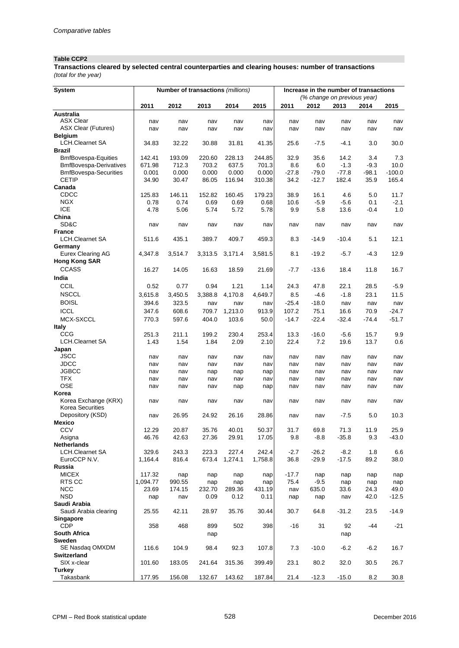## **Table CCP2**

*(total for the year)* **Transactions cleared by selected central counterparties and clearing houses: number of transactions**

| System                                   |          | Number of transactions (millions) |         |         |         | Increase in the number of transactions |         |                             |         |          |
|------------------------------------------|----------|-----------------------------------|---------|---------|---------|----------------------------------------|---------|-----------------------------|---------|----------|
|                                          |          |                                   |         |         |         |                                        |         | (% change on previous year) |         |          |
|                                          | 2011     | 2012                              | 2013    | 2014    | 2015    | 2011                                   | 2012    | 2013                        | 2014    | 2015     |
| <b>Australia</b>                         |          |                                   |         |         |         |                                        |         |                             |         |          |
| <b>ASX Clear</b>                         | nav      | nav                               | nav     | nav     | nav     | nav                                    | nav     | nav                         | nav     | nav      |
| <b>ASX Clear (Futures)</b>               | nav      | nav                               | nav     | nav     | nav     | nav                                    | nav     | nav                         | nav     | nav      |
| <b>Belgium</b><br><b>LCH.Clearnet SA</b> | 34.83    | 32.22                             | 30.88   | 31.81   | 41.35   | 25.6                                   | $-7.5$  | $-4.1$                      |         | 30.0     |
| <b>Brazil</b>                            |          |                                   |         |         |         |                                        |         |                             | 3.0     |          |
| <b>BmfBovespa-Equities</b>               | 142.41   | 193.09                            | 220.60  | 228.13  | 244.85  | 32.9                                   | 35.6    | 14.2                        | 3.4     | 7.3      |
| <b>BmfBovespa-Derivatives</b>            | 671.98   | 712.3                             | 703.2   | 637.5   | 701.3   | 8.6                                    | 6.0     | $-1.3$                      | $-9.3$  | 10.0     |
| <b>BmfBovespa-Securities</b>             | 0.001    | 0.000                             | 0.000   | 0.000   | 0.000   | -27.8                                  | $-79.0$ | $-77.8$                     | $-98.1$ | $-100.0$ |
| <b>CETIP</b>                             | 34.90    | 30.47                             | 86.05   | 116.94  | 310.38  | 34.2                                   | $-12.7$ | 182.4                       | 35.9    | 165.4    |
| Canada                                   |          |                                   |         |         |         |                                        |         |                             |         |          |
| CDCC                                     | 125.83   | 146.11                            | 152.82  | 160.45  | 179.23  | 38.9                                   | 16.1    | 4.6                         | 5.0     | 11.7     |
| <b>NGX</b>                               | 0.78     | 0.74                              | 0.69    | 0.69    | 0.68    | 10.6                                   | $-5.9$  | $-5.6$                      | 0.1     | $-2.1$   |
| <b>ICE</b>                               | 4.78     | 5.06                              | 5.74    | 5.72    | 5.78    | 9.9                                    | 5.8     | 13.6                        | $-0.4$  | 1.0      |
| China                                    |          |                                   |         |         |         |                                        |         |                             |         |          |
| SD&C                                     | nav      | nav                               | nav     | nav     | nav     | nav                                    | nav     | nav                         | nav     | nav      |
| <b>France</b>                            |          |                                   |         |         |         |                                        |         |                             |         |          |
| LCH.Clearnet SA                          | 511.6    | 435.1                             | 389.7   | 409.7   | 459.3   | 8.3                                    | $-14.9$ | $-10.4$                     | 5.1     | 12.1     |
| Germany                                  |          |                                   |         |         |         |                                        |         |                             |         |          |
| Eurex Clearing AG                        | 4,347.8  | 3,514.7                           | 3,313.5 | 3,171.4 | 3,581.5 | 8.1                                    | $-19.2$ | $-5.7$                      | $-4.3$  | 12.9     |
| <b>Hong Kong SAR</b>                     |          |                                   |         |         |         |                                        |         |                             |         |          |
| <b>CCASS</b>                             | 16.27    | 14.05                             | 16.63   | 18.59   | 21.69   | $-7.7$                                 | $-13.6$ | 18.4                        | 11.8    | 16.7     |
| India                                    |          |                                   |         |         |         |                                        |         |                             |         |          |
| CCIL                                     | 0.52     | 0.77                              | 0.94    | 1.21    | 1.14    | 24.3                                   | 47.8    | 22.1                        | 28.5    | $-5.9$   |
| <b>NSCCL</b>                             | 3,615.8  | 3,450.5                           | 3,388.8 | 4,170.8 | 4,649.7 | 8.5                                    | $-4.6$  | $-1.8$                      | 23.1    | 11.5     |
| <b>BOISL</b>                             | 394.6    | 323.5                             | nav     | nav     | nav     | $-25.4$                                | $-18.0$ | nav                         | nav     | nav      |
| <b>ICCL</b>                              | 347.6    | 608.6                             | 709.7   | 1,213.0 | 913.9   | 107.2                                  | 75.1    | 16.6                        | 70.9    | $-24.7$  |
| MCX-SXCCL                                | 770.3    | 597.6                             | 404.0   | 103.6   | 50.0    | $-14.7$                                | $-22.4$ | $-32.4$                     | $-74.4$ | $-51.7$  |
| <b>Italy</b>                             |          |                                   |         |         |         |                                        |         |                             |         |          |
| CCG                                      | 251.3    | 211.1                             | 199.2   | 230.4   | 253.4   | 13.3                                   | $-16.0$ | $-5.6$                      | 15.7    | 9.9      |
| <b>LCH.Clearnet SA</b>                   | 1.43     | 1.54                              | 1.84    | 2.09    | 2.10    | 22.4                                   | 7.2     | 19.6                        | 13.7    | 0.6      |
| Japan                                    |          |                                   |         |         |         |                                        |         |                             |         |          |
| <b>JSCC</b>                              | nav      | nav                               | nav     | nav     | nav     | nav                                    | nav     | nav                         | nav     | nav      |
| <b>JDCC</b>                              | nav      | nav                               | nav     | nav     | nav     | nav                                    | nav     | nav                         | nav     | nav      |
| <b>JGBCC</b><br><b>TFX</b>               | nav      | nav                               | nap     | nap     | nap     | nav                                    | nav     | nav                         | nav     | nav      |
| <b>OSE</b>                               | nav      | nav                               | nav     | nav     | nav     | nav                                    | nav     | nav                         | nav     | nav      |
| Korea                                    | nav      | nav                               | nav     | nap     | nap     | nav                                    | nav     | nav                         | nav     | nav      |
| Korea Exchange (KRX)                     | nav      | nav                               | nav     | nav     | nav     | nav                                    | nav     | nav                         | nav     | nav      |
| Korea Securities                         |          |                                   |         |         |         |                                        |         |                             |         |          |
| Depository (KSD)                         | nav      | 26.95                             | 24.92   | 26.16   | 28.86   | nav                                    | nav     | $-7.5$                      | 5.0     | 10.3     |
| Mexico                                   |          |                                   |         |         |         |                                        |         |                             |         |          |
| CCV                                      | 12.29    | 20.87                             | 35.76   | 40.01   | 50.37   | 31.7                                   | 69.8    | 71.3                        | 11.9    | 25.9     |
| Asigna                                   | 46.76    | 42.63                             | 27.36   | 29.91   | 17.05   | 9.8                                    | $-8.8$  | $-35.8$                     | 9.3     | -43.0    |
| Netherlands                              |          |                                   |         |         |         |                                        |         |                             |         |          |
| <b>LCH.Clearnet SA</b>                   | 329.6    | 243.3                             | 223.3   | 227.4   | 242.4   | $-2.7$                                 | $-26.2$ | $-8.2$                      | 1.8     | 6.6      |
| EuroCCP N.V.                             | 1,164.4  | 816.4                             | 673.4   | 1,274.1 | 1,758.8 | 36.8                                   | $-29.9$ | $-17.5$                     | 89.2    | 38.0     |
| Russia                                   |          |                                   |         |         |         |                                        |         |                             |         |          |
| <b>MICEX</b>                             | 117.32   | nap                               | nap     | nap     | nap     | -17.7                                  | nap     | nap                         | nap     | nap      |
| RTS CC                                   | 1,094.77 | 990.55                            | nap     | nap     | nap     | 75.4                                   | $-9.5$  | nap                         | nap     | nap      |
| <b>NCC</b>                               | 23.69    | 174.15                            | 232.70  | 289.36  | 431.19  | nav                                    | 635.0   | 33.6                        | 24.3    | 49.0     |
| <b>NSD</b><br>Saudi Arabia               | nap      | nav                               | 0.09    | 0.12    | 0.11    | nap                                    | nap     | nav                         | 42.0    | $-12.5$  |
| Saudi Arabia clearing                    | 25.55    | 42.11                             | 28.97   | 35.76   | 30.44   | 30.7                                   | 64.8    | $-31.2$                     | 23.5    | -14.9    |
| Singapore                                |          |                                   |         |         |         |                                        |         |                             |         |          |
| CDP                                      | 358      | 468                               | 899     | 502     | 398     | -16                                    | 31      | 92                          | -44     | -21      |
| <b>South Africa</b>                      |          |                                   | nap     |         |         |                                        |         | nap                         |         |          |
| Sweden                                   |          |                                   |         |         |         |                                        |         |                             |         |          |
| SE Nasdaq OMXDM                          | 116.6    | 104.9                             | 98.4    | 92.3    | 107.8   | 7.3                                    | $-10.0$ | $-6.2$                      | $-6.2$  | 16.7     |
| Switzerland                              |          |                                   |         |         |         |                                        |         |                             |         |          |
| SIX x-clear                              | 101.60   | 183.05                            | 241.64  | 315.36  | 399.49  | 23.1                                   | 80.2    | 32.0                        | 30.5    | 26.7     |
| <b>Turkey</b>                            |          |                                   |         |         |         |                                        |         |                             |         |          |
| Takasbank                                | 177.95   | 156.08                            | 132.67  | 143.62  | 187.84  | 21.4                                   | $-12.3$ | $-15.0$                     | 8.2     | 30.8     |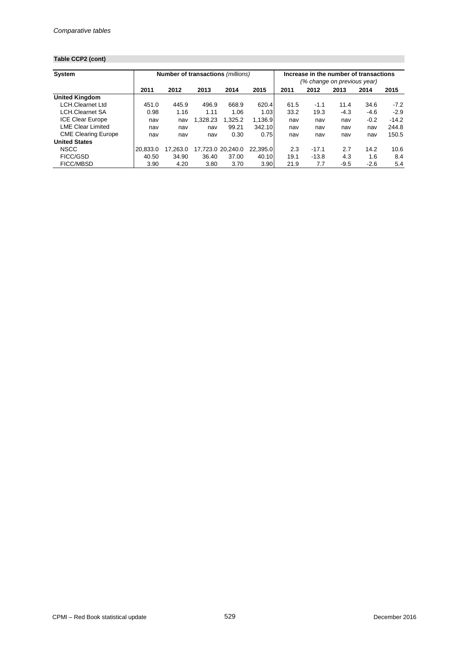# **Table CCP2 (cont)**

| <b>System</b>              |          | Number of transactions (millions) |          |                   |          |      | Increase in the number of transactions<br>(% change on previous year) |        |        |         |  |
|----------------------------|----------|-----------------------------------|----------|-------------------|----------|------|-----------------------------------------------------------------------|--------|--------|---------|--|
|                            | 2011     | 2012                              | 2013     | 2014              | 2015     | 2011 | 2012                                                                  | 2013   | 2014   | 2015    |  |
| <b>United Kingdom</b>      |          |                                   |          |                   |          |      |                                                                       |        |        |         |  |
| <b>LCH.Clearnet Ltd</b>    | 451.0    | 445.9                             | 496.9    | 668.9             | 620.4    | 61.5 | $-1.1$                                                                | 11.4   | 34.6   | $-7.2$  |  |
| <b>LCH.Clearnet SA</b>     | 0.98     | 1.16                              | 1.11     | 1.06              | 1.03     | 33.2 | 19.3                                                                  | $-4.3$ | $-4.6$ | $-2.9$  |  |
| <b>ICE Clear Europe</b>    | nav      | nav                               | 1.328.23 | 1.325.2           | 1,136.9  | nav  | nav                                                                   | nav    | $-0.2$ | $-14.2$ |  |
| <b>LME Clear Limited</b>   | nav      | nav                               | nav      | 99.21             | 342.10   | nav  | nav                                                                   | nav    | nav    | 244.8   |  |
| <b>CME Clearing Europe</b> | nav      | nav                               | nav      | 0.30              | 0.75     | nav  | nav                                                                   | nav    | nav    | 150.5   |  |
| <b>United States</b>       |          |                                   |          |                   |          |      |                                                                       |        |        |         |  |
| <b>NSCC</b>                | 20.833.0 | 17.263.0                          |          | 17.723.0 20.240.0 | 22.395.0 | 2.3  | $-17.1$                                                               | 2.7    | 14.2   | 10.6    |  |
| <b>FICC/GSD</b>            | 40.50    | 34.90                             | 36.40    | 37.00             | 40.10    | 19.1 | $-13.8$                                                               | 4.3    | 1.6    | 8.4     |  |
| <b>FICC/MBSD</b>           | 3.90     | 4.20                              | 3.80     | 3.70              | 3.90     | 21.9 | 7.7                                                                   | $-9.5$ | $-2.6$ | 5.4     |  |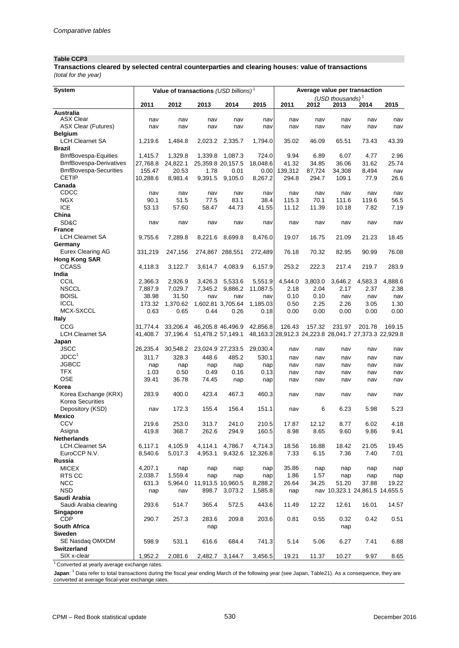#### **Table CCP3**

*(total for the year)* **Transactions cleared by selected central counterparties and clearing houses: value of transactions**

| System                                   | Value of transactions (USD billions) <sup>1</sup> |                  |                           |                          |                    | Average value per transaction |               |                             |                                                             |              |
|------------------------------------------|---------------------------------------------------|------------------|---------------------------|--------------------------|--------------------|-------------------------------|---------------|-----------------------------|-------------------------------------------------------------|--------------|
|                                          | 2011                                              | 2012             | 2013                      | 2014                     | 2015               | 2011                          | 2012          | (USD thousands) $1$<br>2013 | 2014                                                        | 2015         |
| <b>Australia</b>                         |                                                   |                  |                           |                          |                    |                               |               |                             |                                                             |              |
| <b>ASX Clear</b>                         | nav                                               | nav              | nav                       | nav                      | nav                | nav                           | nav           | nav                         | nav                                                         | nav          |
| <b>ASX Clear (Futures)</b>               | nav                                               | nav              | nav                       | nav                      | nav                | nav                           | nav           | nav                         | nav                                                         | nav          |
| <b>Belgium</b><br><b>LCH.Clearnet SA</b> | 1,219.6                                           | 1,484.8          | 2,023.2                   | 2,335.7                  | 1,794.0            | 35.02                         | 46.09         | 65.51                       | 73.43                                                       | 43.39        |
| <b>Brazil</b>                            |                                                   |                  |                           |                          |                    |                               |               |                             |                                                             |              |
| <b>BmfBovespa-Equities</b>               | 1,415.7                                           | 1,329.8          | 1,339.8                   | 1,087.3                  | 724.0              | 9.94                          | 6.89          | 6.07                        | 4.77                                                        | 2.96         |
| <b>BmfBovespa-Derivatives</b>            | 27,768.8                                          | 24,822.1         | 25,359.8 20,157.5         |                          | 18,048.6           | 41.32                         | 34.85         | 36.06                       | 31.62                                                       | 25.74        |
| <b>BmfBovespa-Securities</b>             | 155.47                                            | 20.53            | 1.78                      | 0.01                     | 0.00               | 139,312                       | 87,724        | 34,308                      | 8,494                                                       | nav          |
| <b>CETIP</b>                             | 10,288.6                                          | 8,981.4          | 9,391.5                   | 9,105.0                  | 8,267.2            | 294.8                         | 294.7         | 109.1                       | 77.9                                                        | 26.6         |
| Canada<br>CDCC                           |                                                   |                  |                           |                          |                    | nav                           | nav           | nav                         |                                                             |              |
| <b>NGX</b>                               | nav<br>90.1                                       | nav<br>51.5      | nav<br>77.5               | nav<br>83.1              | nav<br>38.4        | 115.3                         | 70.1          | 111.6                       | nav<br>119.6                                                | nav<br>56.5  |
| <b>ICE</b>                               | 53.13                                             | 57.60            | 58.47                     | 44.73                    | 41.55              | 11.12                         | 11.39         | 10.18                       | 7.82                                                        | 7.19         |
| China                                    |                                                   |                  |                           |                          |                    |                               |               |                             |                                                             |              |
| SD&C                                     | nav                                               | nav              | nav                       | nav                      | nav                | nav                           | nav           | nav                         | nav                                                         | nav          |
| <b>France</b>                            |                                                   |                  |                           |                          |                    |                               |               |                             |                                                             |              |
| <b>LCH.Clearnet SA</b>                   | 9,755.6                                           | 7,289.8          | 8,221.6                   | 8,699.8                  | 8,476.0            | 19.07                         | 16.75         | 21.09                       | 21.23                                                       | 18.45        |
| Germany<br><b>Eurex Clearing AG</b>      | 331,219                                           | 247,156          |                           | 274,867 288,551          | 272,489            | 76.18                         | 70.32         | 82.95                       | 90.99                                                       | 76.08        |
| <b>Hong Kong SAR</b>                     |                                                   |                  |                           |                          |                    |                               |               |                             |                                                             |              |
| <b>CCASS</b>                             | 4,118.3                                           | 3,122.7          | 3,614.7                   | 4,083.9                  | 6,157.9            | 253.2                         | 222.3         | 217.4                       | 219.7                                                       | 283.9        |
| India                                    |                                                   |                  |                           |                          |                    |                               |               |                             |                                                             |              |
| <b>CCIL</b>                              | 2,366.3                                           | 2,926.9          | 3,426.3                   | 5,533.6                  | 5,551.9            | 4,544.0                       | 3,803.0       | 3,646.2                     | 4,583.3                                                     | 4,888.6      |
| <b>NSCCL</b>                             | 7,887.9                                           | 7,029.7          | 7,345.2                   | 9,886.2                  | 11,087.5           | 2.18                          | 2.04          | 2.17                        | 2.37                                                        | 2.38         |
| <b>BOISL</b>                             | 38.98                                             | 31.50            | nav                       | nav                      | nav                | 0.10                          | 0.10          | nav                         | nav                                                         | nav          |
| <b>ICCL</b><br>MCX-SXCCL                 | 173.32<br>0.63                                    | 1,370.62<br>0.65 | 1,602.81 3,705.64<br>0.44 | 0.26                     | 1,185.03<br>0.18   | 0.50<br>0.00                  | 2.25<br>0.00  | 2.26<br>0.00                | 3.05<br>0.00                                                | 1.30<br>0.00 |
| <b>Italy</b>                             |                                                   |                  |                           |                          |                    |                               |               |                             |                                                             |              |
| <b>CCG</b>                               | 31,774.4                                          | 33,206.4         | 46,205.8 46,496.9         |                          | 42,856.8           | 126.43                        | 157.32        | 231.97                      | 201.78                                                      | 169.15       |
| <b>LCH.Clearnet SA</b>                   | 41,408.7                                          | 37,196.4         | 51,478.2 57,149.1         |                          |                    |                               |               |                             | 48, 163.3 28, 912.3 24, 223.8 28, 041.7 27, 373.3 22, 929.8 |              |
| Japan                                    |                                                   |                  |                           |                          |                    |                               |               |                             |                                                             |              |
| <b>JSCC</b>                              | 26,235.4                                          | 30,548.2         | 23,024.9 27,233.5         |                          | 29,030.4           | nav                           | nav           | nav                         | nav                                                         | nav          |
| JDCC <sup>1</sup>                        | 311.7                                             | 328.3            | 448.6                     | 485.2                    | 530.1              | nav                           | nav           | nav                         | nav                                                         | nav          |
| <b>JGBCC</b>                             | nap                                               | nap              | nap                       | nap                      | nap                | nav                           | nav           | nav                         | nav                                                         | nav          |
| <b>TFX</b><br><b>OSE</b>                 | 1.03<br>39.41                                     | 0.50<br>36.78    | 0.49<br>74.45             | 0.16                     | 0.13<br>nap        | nav<br>nav                    | nav<br>nav    | nav<br>nav                  | nav<br>nav                                                  | nav<br>nav   |
| Korea                                    |                                                   |                  |                           | nap                      |                    |                               |               |                             |                                                             |              |
| Korea Exchange (KRX)                     | 283.9                                             | 400.0            | 423.4                     | 467.3                    | 460.3              | nav                           | nav           | nav                         | nav                                                         | nav          |
| <b>Korea Securities</b>                  |                                                   |                  |                           |                          |                    |                               |               |                             |                                                             |              |
| Depository (KSD)                         | nav                                               | 172.3            | 155.4                     | 156.4                    | 151.1              | nav                           | 6             | 6.23                        | 5.98                                                        | 5.23         |
| <b>Mexico</b>                            |                                                   |                  |                           |                          |                    |                               |               |                             |                                                             |              |
| <b>CCV</b>                               | 219.6                                             | 253.0            | 313.7                     | 241.0                    | 210.5              | 17.87                         | 12.12         | 8.77                        | 6.02                                                        | 4.18         |
| Asigna<br>Netherlands                    | 419.8                                             | 368.7            | 262.6                     | 294.9                    | 160.5              | 8.98                          | 8.65          | 9.60                        | 9.86                                                        | 9.41         |
| <b>LCH.Clearnet SA</b>                   | 6,117.1                                           | 4,105.9          | 4,114.1                   | 4,786.7                  | 4,714.3            | 18.56                         | 16.88         | 18.42                       | 21.05                                                       | 19.45        |
| EuroCCP N.V.                             | 8,540.6                                           | 5,017.3          | 4,953.1                   | 9,432.6                  | 12,326.8           | 7.33                          | 6.15          | 7.36                        | 7.40                                                        | 7.01         |
| Russia                                   |                                                   |                  |                           |                          |                    |                               |               |                             |                                                             |              |
| <b>MICEX</b>                             | 4,207.1                                           | nap              | nap                       | nap                      | nap                | 35.86                         | nap           | nap                         | nap                                                         | nap          |
| RTS CC<br><b>NCC</b>                     | 2,038.7                                           | 1,559.4          | nap                       | nap<br>11,913.5 10,960.5 | nap                | 1.86                          | 1.57<br>34.25 | nap<br>51.20                | nap                                                         | nap          |
| <b>NSD</b>                               | 631.3<br>nap                                      | 5,964.0<br>nav   | 898.7                     | 3,073.2                  | 8,288.2<br>1,585.8 | 26.64<br>nap                  |               |                             | 37.88<br>nav 10,323.1 24,861.5 14,655.5                     | 19.22        |
| Saudi Arabia                             |                                                   |                  |                           |                          |                    |                               |               |                             |                                                             |              |
| Saudi Arabia clearing                    | 293.6                                             | 514.7            | 365.4                     | 572.5                    | 443.6              | 11.49                         | 12.22         | 12.61                       | 16.01                                                       | 14.57        |
| Singapore                                |                                                   |                  |                           |                          |                    |                               |               |                             |                                                             |              |
| <b>CDP</b>                               | 290.7                                             | 257.3            | 283.6                     | 209.8                    | 203.6              | 0.81                          | 0.55          | 0.32                        | 0.42                                                        | 0.51         |
| <b>South Africa</b>                      |                                                   |                  | nap                       |                          |                    |                               |               | nap                         |                                                             |              |
| Sweden<br>SE Nasdaq OMXDM                | 598.9                                             | 531.1            | 616.6                     | 684.4                    | 741.3              | 5.14                          | 5.06          | 6.27                        | 7.41                                                        | 6.88         |
| Switzerland                              |                                                   |                  |                           |                          |                    |                               |               |                             |                                                             |              |
| SIX x-clear                              | 1,952.2                                           | 2,081.6          |                           | 2,482.7 3,144.7          | 3,456.5            | 19.21                         | 11.37         | 10.27                       | 9.97                                                        | 8.65         |
| $1\sim$                                  |                                                   |                  |                           |                          |                    |                               |               |                             |                                                             |              |

1 Converted at yearly average exchange rates.

**Japan**: <sup>1</sup> Data refer to total transactions during the fiscal year ending March of the following year (see Japan, Table21). As a consequence, they are converted at average fiscal-year exchange rates.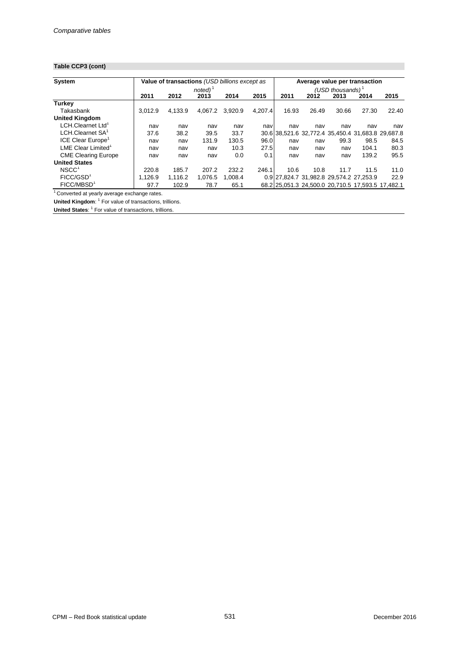## **Table CCP3 (cont)**

| System                         |         | Value of transactions (USD billions except as |                      |         |         | Average value per transaction                     |       |                     |       |       |
|--------------------------------|---------|-----------------------------------------------|----------------------|---------|---------|---------------------------------------------------|-------|---------------------|-------|-------|
|                                |         |                                               | $noted$ <sup>1</sup> |         |         |                                                   |       | (USD thousands) $1$ |       |       |
|                                | 2011    | 2012                                          | 2013                 | 2014    | 2015    | 2011                                              | 2012  | 2013                | 2014  | 2015  |
| <b>Turkey</b>                  |         |                                               |                      |         |         |                                                   |       |                     |       |       |
| Takasbank                      | 3.012.9 | 4,133.9                                       | 4.067.2              | 3,920.9 | 4,207.4 | 16.93                                             | 26.49 | 30.66               | 27.30 | 22.40 |
| <b>United Kingdom</b>          |         |                                               |                      |         |         |                                                   |       |                     |       |       |
| LCH.Clearnet Ltd'              | nav     | nav                                           | nav                  | nav     | nav     | nav                                               | nav   | nav                 | nav   | nav   |
| LCH.Clearnet SA <sup>1</sup>   | 37.6    | 38.2                                          | 39.5                 | 33.7    |         | 30.6 38,521.6 32,772.4 35,450.4 31,683.8 29,687.8 |       |                     |       |       |
| <b>ICE Clear Europe</b>        | nav     | nav                                           | 131.9                | 130.5   | 96.0    | nav                                               | nav   | 99.3                | 98.5  | 84.5  |
| LME Clear Limited <sup>1</sup> | nav     | nav                                           | nav                  | 10.3    | 27.5    | nav                                               | nav   | nav                 | 104.1 | 80.3  |
| <b>CME Clearing Europe</b>     | nav     | nav                                           | nav                  | 0.0     | 0.1     | nav                                               | nav   | nav                 | 139.2 | 95.5  |
| <b>United States</b>           |         |                                               |                      |         |         |                                                   |       |                     |       |       |
| NSCC <sup>1</sup>              | 220.8   | 185.7                                         | 207.2                | 232.2   | 246.1   | 10.6                                              | 10.8  | 11.7                | 11.5  | 11.0  |
| FICC/GSD <sup>1</sup>          | 1.126.9 | 1.116.2                                       | 1.076.5              | 1.008.4 |         | 0.9 27,824.7 31,982.8 29,574.2 27,253.9           |       |                     |       | 22.9  |
| FICC/MBSD <sup>1</sup>         | 97.7    | 102.9                                         | 78.7                 | 65.1    |         | 68.2 25,051.3 24,500.0 20,710.5 17,593.5 17,482.1 |       |                     |       |       |

1 Converted at yearly average exchange rates.

**United Kingdom**: <sup>1</sup> For value of transactions, trillions.

**United States:** <sup>1</sup> For value of transactions, trillions.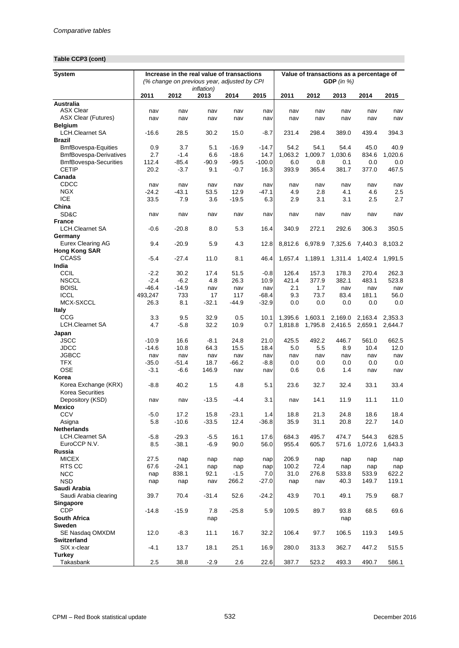# **Table CCP3 (cont)**

| <b>System</b>                                                 |              | Increase in the real value of transactions<br>(% change on previous year, adjusted by CPI<br><i>inflation</i> ) |                |                    |                  |                    | Value of transactions as a percentage of<br>GDP (in $%$ ) |                    |                    |                    |  |  |
|---------------------------------------------------------------|--------------|-----------------------------------------------------------------------------------------------------------------|----------------|--------------------|------------------|--------------------|-----------------------------------------------------------|--------------------|--------------------|--------------------|--|--|
|                                                               | 2011         | 2012                                                                                                            | 2013           | 2014               | 2015             | 2011               | 2012                                                      | 2013               | 2014               | 2015               |  |  |
| Australia                                                     |              |                                                                                                                 |                |                    |                  |                    |                                                           |                    |                    |                    |  |  |
| <b>ASX Clear</b>                                              | nav          | nav                                                                                                             | nav            | nav                | nav              | nav                | nav                                                       | nav                | nav                | nav                |  |  |
| <b>ASX Clear (Futures)</b>                                    | nav          | nav                                                                                                             | nav            | nav                | nav              | nav                | nav                                                       | nav                | nav                | nav                |  |  |
| <b>Belgium</b>                                                |              |                                                                                                                 |                |                    |                  |                    |                                                           |                    |                    |                    |  |  |
| <b>LCH.Clearnet SA</b>                                        | $-16.6$      | 28.5                                                                                                            | 30.2           | 15.0               | $-8.7$           | 231.4              | 298.4                                                     | 389.0              | 439.4              | 394.3              |  |  |
| <b>Brazil</b>                                                 |              |                                                                                                                 |                |                    |                  |                    |                                                           |                    |                    |                    |  |  |
| <b>BmfBovespa-Equities</b>                                    | 0.9          | 3.7                                                                                                             | 5.1            | $-16.9$            | $-14.7$          | 54.2               | 54.1                                                      | 54.4               | 45.0               | 40.9               |  |  |
| <b>BmfBovespa-Derivatives</b><br><b>BmfBovespa-Securities</b> | 2.7<br>112.4 | $-1.4$<br>$-85.4$                                                                                               | 6.6<br>$-90.9$ | $-18.6$<br>$-99.5$ | 14.7<br>$-100.0$ | 1,063.2<br>6.0     | 1,009.7<br>0.8                                            | 1,030.6<br>0.1     | 834.6<br>0.0       | 1,020.6            |  |  |
| <b>CETIP</b>                                                  | 20.2         | $-3.7$                                                                                                          | 9.1            | $-0.7$             | 16.3             | 393.9              | 365.4                                                     | 381.7              | 377.0              | 0.0<br>467.5       |  |  |
| Canada                                                        |              |                                                                                                                 |                |                    |                  |                    |                                                           |                    |                    |                    |  |  |
| CDCC                                                          | nav          | nav                                                                                                             | nav            | nav                | nav              | nav                | nav                                                       | nav                | nav                | nav                |  |  |
| <b>NGX</b>                                                    | $-24.2$      | $-43.1$                                                                                                         | 53.5           | 12.9               | -47.1            | 4.9                | 2.8                                                       | 4.1                | 4.6                | 2.5                |  |  |
| <b>ICE</b>                                                    | 33.5         | 7.9                                                                                                             | 3.6            | $-19.5$            | 6.3              | 2.9                | 3.1                                                       | 3.1                | 2.5                | 2.7                |  |  |
| China                                                         |              |                                                                                                                 |                |                    |                  |                    |                                                           |                    |                    |                    |  |  |
| SD&C                                                          | nav          | nav                                                                                                             | nav            | nav                | nav              | nav                | nav                                                       | nav                | nav                | nav                |  |  |
| <b>France</b>                                                 |              |                                                                                                                 |                |                    |                  |                    |                                                           |                    |                    |                    |  |  |
| <b>LCH.Clearnet SA</b>                                        | -0.6         | $-20.8$                                                                                                         | 8.0            | 5.3                | 16.4             | 340.9              | 272.1                                                     | 292.6              | 306.3              | 350.5              |  |  |
| Germany                                                       |              |                                                                                                                 |                |                    |                  |                    |                                                           |                    |                    |                    |  |  |
| Eurex Clearing AG                                             | 9.4          | $-20.9$                                                                                                         | 5.9            | 4.3                | 12.8             | 8,812.6            | 6,978.9                                                   | 7,325.6            | 7,440.3            | 8,103.2            |  |  |
| <b>Hong Kong SAR</b>                                          |              |                                                                                                                 |                |                    |                  |                    |                                                           |                    |                    |                    |  |  |
| <b>CCASS</b>                                                  | $-5.4$       | $-27.4$                                                                                                         | 11.0           | 8.1                | 46.4             | 1,657.4            | 1,189.1                                                   | 1,311.4            | 1,402.4            | 1,991.5            |  |  |
| India                                                         |              |                                                                                                                 |                |                    |                  |                    |                                                           |                    |                    |                    |  |  |
| <b>CCIL</b>                                                   | $-2.2$       | 30.2                                                                                                            | 17.4           | 51.5               | $-0.8$           | 126.4              | 157.3                                                     | 178.3              | 270.4              | 262.3              |  |  |
| <b>NSCCL</b>                                                  | $-2.4$       | $-6.2$                                                                                                          | 4.8            | 26.3               | 10.9             | 421.4              | 377.9                                                     | 382.1              | 483.1              | 523.8              |  |  |
| <b>BOISL</b>                                                  | $-46.4$      | $-14.9$                                                                                                         | nav            | nav                | nav              | 2.1                | 1.7                                                       | nav                | nav                | nav                |  |  |
| <b>ICCL</b>                                                   | 493,247      | 733                                                                                                             | 17             | 117                | $-68.4$          | 9.3                | 73.7                                                      | 83.4               | 181.1              | 56.0               |  |  |
| MCX-SXCCL                                                     | 26.3         | 8.1                                                                                                             | $-32.1$        | $-44.9$            | -32.9            | 0.0                | 0.0                                                       | 0.0                | 0.0                | 0.0                |  |  |
| <b>Italy</b><br>CCG                                           | 3.3          | 9.5                                                                                                             | 32.9           |                    |                  |                    |                                                           |                    |                    |                    |  |  |
| <b>LCH.Clearnet SA</b>                                        | 4.7          | $-5.8$                                                                                                          | 32.2           | 0.5<br>10.9        | 10.1<br>0.7      | 1,395.6<br>1,818.8 | 1,603.1<br>1,795.8                                        | 2,169.0<br>2,416.5 | 2,163.4<br>2,659.1 | 2,353.3<br>2,644.7 |  |  |
|                                                               |              |                                                                                                                 |                |                    |                  |                    |                                                           |                    |                    |                    |  |  |
| Japan<br><b>JSCC</b>                                          | $-10.9$      | 16.6                                                                                                            | $-8.1$         | 24.8               | 21.0             | 425.5              | 492.2                                                     | 446.7              | 561.0              | 662.5              |  |  |
| <b>JDCC</b>                                                   | $-14.6$      | 10.8                                                                                                            | 64.3           | 15.5               | 18.4             | 5.0                | 5.5                                                       | 8.9                | 10.4               | 12.0               |  |  |
| <b>JGBCC</b>                                                  | nav          | nav                                                                                                             | nav            | nav                | nav              | nav                | nav                                                       | nav                | nav                | nav                |  |  |
| <b>TFX</b>                                                    | $-35.0$      | $-51.4$                                                                                                         | 18.7           | $-66.2$            | $-8.8$           | 0.0                | 0.0                                                       | 0.0                | 0.0                | 0.0                |  |  |
| <b>OSE</b>                                                    | $-3.1$       | -6.6                                                                                                            | 146.9          | nav                | nav              | 0.6                | 0.6                                                       | 1.4                | nav                | nav                |  |  |
| Korea                                                         |              |                                                                                                                 |                |                    |                  |                    |                                                           |                    |                    |                    |  |  |
| Korea Exchange (KRX)                                          | -8.8         | 40.2                                                                                                            | 1.5            | 4.8                | 5.1              | 23.6               | 32.7                                                      | 32.4               | 33.1               | 33.4               |  |  |
| <b>Korea Securities</b>                                       |              |                                                                                                                 |                |                    |                  |                    |                                                           |                    |                    |                    |  |  |
| Depository (KSD)                                              | nav          | nav                                                                                                             | $-13.5$        | -4.4               | 3.1              | nav                | 14.1                                                      | 11.9               | 11.1               | 11.0               |  |  |
| <b>Mexico</b>                                                 |              |                                                                                                                 |                |                    |                  |                    |                                                           |                    |                    |                    |  |  |
| CCV                                                           | $-5.0$       | 17.2                                                                                                            | 15.8           | $-23.1$            | 1.4              | 18.8               | 21.3                                                      | 24.8               | 18.6               | 18.4               |  |  |
| Asigna                                                        | 5.8          | $-10.6$                                                                                                         | $-33.5$        | 12.4               | $-36.8$          | 35.9               | 31.1                                                      | 20.8               | 22.7               | 14.0               |  |  |
| <b>Netherlands</b>                                            |              |                                                                                                                 |                |                    |                  |                    |                                                           |                    |                    |                    |  |  |
| <b>LCH.Clearnet SA</b>                                        | $-5.8$       | $-29.3$                                                                                                         | $-5.5$         | 16.1               | 17.6             | 684.3              | 495.7                                                     | 474.7              | 544.3              | 628.5              |  |  |
| EuroCCP N.V.                                                  | 8.5          | $-38.1$                                                                                                         | -6.9           | 90.0               | 56.0             | 955.4              | 605.7                                                     | 571.6              | 1,072.6            | 1,643.3            |  |  |
| Russia                                                        |              |                                                                                                                 |                |                    |                  |                    |                                                           |                    |                    |                    |  |  |
| <b>MICEX</b><br>RTS CC                                        | 27.5<br>67.6 | nap<br>$-24.1$                                                                                                  | nap            | nap                | nap              | 206.9<br>100.2     | nap                                                       | nap                | nap                | nap                |  |  |
| <b>NCC</b>                                                    |              | 838.1                                                                                                           | nap<br>92.1    | nap<br>$-1.5$      | nap<br>7.0       | 31.0               | 72.4                                                      | nap<br>533.8       | nap<br>533.9       | nap                |  |  |
| <b>NSD</b>                                                    | nap<br>nap   | nap                                                                                                             | nav            | 266.2              | $-27.0$          | nap                | 276.8<br>nav                                              | 40.3               | 149.7              | 622.2<br>119.1     |  |  |
| Saudi Arabia                                                  |              |                                                                                                                 |                |                    |                  |                    |                                                           |                    |                    |                    |  |  |
| Saudi Arabia clearing                                         | 39.7         | 70.4                                                                                                            | $-31.4$        | 52.6               | $-24.2$          | 43.9               | 70.1                                                      | 49.1               | 75.9               | 68.7               |  |  |
| Singapore                                                     |              |                                                                                                                 |                |                    |                  |                    |                                                           |                    |                    |                    |  |  |
| <b>CDP</b>                                                    | $-14.8$      | $-15.9$                                                                                                         | 7.8            | $-25.8$            | 5.9              | 109.5              | 89.7                                                      | 93.8               | 68.5               | 69.6               |  |  |
| South Africa                                                  |              |                                                                                                                 | nap            |                    |                  |                    |                                                           | nap                |                    |                    |  |  |
| Sweden                                                        |              |                                                                                                                 |                |                    |                  |                    |                                                           |                    |                    |                    |  |  |
| SE Nasdaq OMXDM                                               | 12.0         | $-8.3$                                                                                                          | 11.1           | 16.7               | 32.2             | 106.4              | 97.7                                                      | 106.5              | 119.3              | 149.5              |  |  |
| Switzerland                                                   |              |                                                                                                                 |                |                    |                  |                    |                                                           |                    |                    |                    |  |  |
| SIX x-clear                                                   | -4.1         | 13.7                                                                                                            | 18.1           | 25.1               | 16.9             | 280.0              | 313.3                                                     | 362.7              | 447.2              | 515.5              |  |  |
| <b>Turkey</b>                                                 |              |                                                                                                                 |                |                    |                  |                    |                                                           |                    |                    |                    |  |  |
| Takasbank                                                     | 2.5          | 38.8                                                                                                            | $-2.9$         | 2.6                | 22.6             | 387.7              | 523.2                                                     | 493.3              | 490.7              | 586.1              |  |  |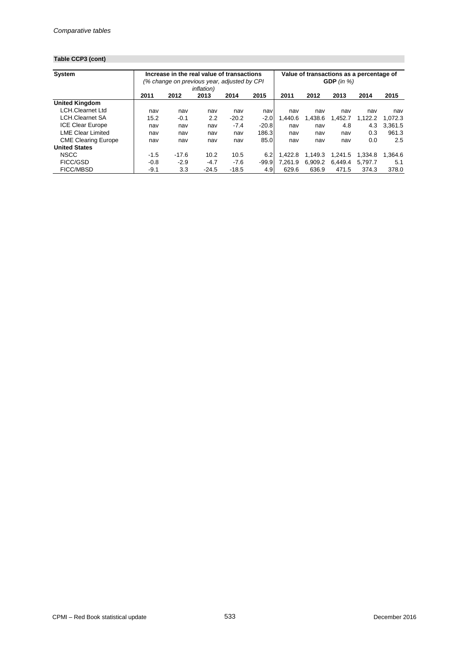# **Table CCP3 (cont)**

| <b>System</b>              |        | Increase in the real value of transactions   |                    |         |                  | Value of transactions as a percentage of |         |              |         |         |  |
|----------------------------|--------|----------------------------------------------|--------------------|---------|------------------|------------------------------------------|---------|--------------|---------|---------|--|
|                            |        | (% change on previous year, adjusted by CPI) |                    |         |                  |                                          |         | GDP $(in %)$ |         |         |  |
|                            |        |                                              | <i>inflation</i> ) |         |                  |                                          |         |              |         |         |  |
|                            | 2011   | 2012                                         | 2013               | 2014    | 2015             | 2011                                     | 2012    | 2013         | 2014    | 2015    |  |
| <b>United Kingdom</b>      |        |                                              |                    |         |                  |                                          |         |              |         |         |  |
| <b>LCH.Clearnet Ltd</b>    | nav    | nav                                          | nav                | nav     | nav              | nav                                      | nav     | nav          | nav     | nav     |  |
| <b>LCH.Clearnet SA</b>     | 15.2   | $-0.1$                                       | 2.2                | $-20.2$ | $-2.0$           | 1.440.6                                  | 1.438.6 | .452.7       | 1.122.2 | 1.072.3 |  |
| <b>ICE Clear Europe</b>    | nav    | nav                                          | nav                | $-7.4$  | $-20.8$          | nav                                      | nav     | 4.8          | 4.3     | 3.361.5 |  |
| <b>LME Clear Limited</b>   | nav    | nav                                          | nav                | nav     | 186.3            | nav                                      | nav     | nav          | 0.3     | 961.3   |  |
| <b>CME Clearing Europe</b> | nav    | nav                                          | nav                | nav     | 85.0             | nav                                      | nav     | nav          | 0.0     | 2.5     |  |
| <b>United States</b>       |        |                                              |                    |         |                  |                                          |         |              |         |         |  |
| <b>NSCC</b>                | $-1.5$ | $-17.6$                                      | 10.2               | 10.5    | 6.2              | 1.422.8                                  | 1.149.3 | 1.241.5      | 1.334.8 | 1.364.6 |  |
| <b>FICC/GSD</b>            | $-0.8$ | $-2.9$                                       | $-4.7$             | $-7.6$  | $-99.9$          | 7.261.9                                  | 6.909.2 | 6.449.4      | 5.797.7 | 5.1     |  |
| <b>FICC/MBSD</b>           | $-9.1$ | 3.3                                          | $-24.5$            | $-18.5$ | 4.9 <sub>1</sub> | 629.6                                    | 636.9   | 471.5        | 374.3   | 378.0   |  |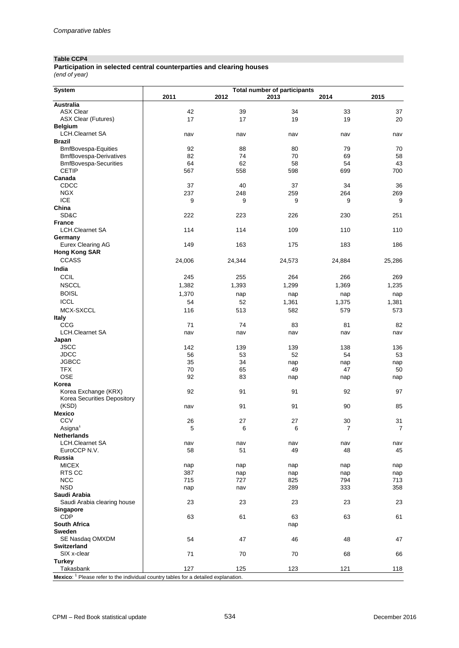#### **Table CCP4**

#### *(end of year)* **Participation in selected central counterparties and clearing houses**

| System                                                             |        |                            | <b>Total number of participants</b> |        |        |
|--------------------------------------------------------------------|--------|----------------------------|-------------------------------------|--------|--------|
|                                                                    | 2011   | 2012                       | 2013                                | 2014   | 2015   |
| <b>Australia</b>                                                   |        |                            |                                     |        |        |
| <b>ASX Clear</b>                                                   | 42     | 39                         | 34                                  | 33     | 37     |
| <b>ASX Clear (Futures)</b>                                         | 17     | 17                         | 19                                  | 19     | 20     |
| <b>Belgium</b>                                                     |        |                            |                                     |        |        |
| <b>LCH.Clearnet SA</b>                                             | nav    | nav                        | nav                                 | nav    | nav    |
| <b>Brazil</b>                                                      |        |                            |                                     |        |        |
| <b>BmfBovespa-Equities</b>                                         | 92     | 88                         | 80                                  | 79     | 70     |
| <b>BmfBovespa-Derivatives</b>                                      | 82     | 74                         | 70                                  | 69     | 58     |
| <b>BmfBovespa-Securities</b><br><b>CETIP</b>                       | 64     | 62                         | 58                                  | 54     | 43     |
| Canada                                                             | 567    | 558                        | 598                                 | 699    | 700    |
| CDCC                                                               | 37     | 40                         | 37                                  | 34     | 36     |
| <b>NGX</b>                                                         | 237    | 248                        | 259                                 | 264    | 269    |
| ICE                                                                | 9      | 9                          | 9                                   | 9      | 9      |
| China                                                              |        |                            |                                     |        |        |
| SD&C                                                               | 222    | 223                        | 226                                 | 230    | 251    |
| <b>France</b>                                                      |        |                            |                                     |        |        |
| <b>LCH.Clearnet SA</b>                                             | 114    | 114                        | 109                                 | 110    | 110    |
| Germany                                                            |        |                            |                                     |        |        |
| <b>Eurex Clearing AG</b>                                           | 149    | 163                        | 175                                 | 183    | 186    |
| <b>Hong Kong SAR</b>                                               |        |                            |                                     |        |        |
| <b>CCASS</b>                                                       | 24,006 | 24,344                     | 24,573                              | 24,884 | 25,286 |
| India                                                              |        |                            |                                     |        |        |
|                                                                    |        |                            |                                     |        |        |
| CCIL                                                               | 245    | 255                        | 264                                 | 266    | 269    |
| <b>NSCCL</b>                                                       | 1,382  | 1,393                      | 1,299                               | 1,369  | 1,235  |
| <b>BOISL</b>                                                       | 1,370  | nap                        | nap                                 | nap    | nap    |
| <b>ICCL</b>                                                        | 54     | 52                         | 1,361                               | 1,375  | 1,381  |
| MCX-SXCCL                                                          | 116    | 513                        | 582                                 | 579    | 573    |
| <b>Italy</b>                                                       |        |                            |                                     |        |        |
| CCG                                                                | 71     | 74                         | 83                                  | 81     | 82     |
| <b>LCH.Clearnet SA</b>                                             | nav    | nav                        | nav                                 | nav    | nav    |
| Japan                                                              |        |                            |                                     |        |        |
| <b>JSCC</b>                                                        | 142    | 139                        | 139                                 | 138    | 136    |
| <b>JDCC</b>                                                        | 56     | 53                         | 52                                  | 54     | 53     |
| <b>JGBCC</b>                                                       | 35     | 34                         | nap                                 | nap    | nap    |
| <b>TFX</b>                                                         | 70     | 65                         | 49                                  | 47     | 50     |
| <b>OSE</b>                                                         | 92     | 83                         | nap                                 | nap    | nap    |
| Korea                                                              |        |                            |                                     |        |        |
| Korea Exchange (KRX)                                               | 92     | 91                         | 91                                  | 92     | 97     |
| Korea Securities Depository                                        |        |                            |                                     |        |        |
| (KSD)<br><b>Mexico</b>                                             | nav    | 91                         | 91                                  | 90     | 85     |
| CCV                                                                | 26     | 27                         | 27                                  | 30     | 31     |
| Asigna <sup>1</sup>                                                | 5      | 6                          | 6                                   | 7      | 7      |
| Netherlands                                                        |        |                            |                                     |        |        |
| <b>LCH.Clearnet SA</b>                                             | nav    | nav                        | nav                                 | nav    | nav    |
| EuroCCP N.V.                                                       | 58     | 51                         | 49                                  | 48     | 45     |
| Russia                                                             |        |                            |                                     |        |        |
| <b>MICEX</b>                                                       | nap    | nap                        | nap                                 | nap    | nap    |
| RTS CC                                                             | 387    | nap                        | nap                                 | nap    | nap    |
| <b>NCC</b>                                                         | 715    | 727                        | 825                                 | 794    | 713    |
| <b>NSD</b>                                                         | nap    | nav                        | 289                                 | 333    | 358    |
| Saudi Arabia                                                       |        |                            |                                     |        |        |
| Saudi Arabia clearing house                                        | 23     | 23                         | 23                                  | 23     | 23     |
| Singapore                                                          |        |                            |                                     |        |        |
| CDP                                                                | 63     | 61                         | 63                                  | 63     | 61     |
| <b>South Africa</b>                                                |        |                            | nap                                 |        |        |
| Sweden                                                             |        |                            |                                     |        |        |
| SE Nasdaq OMXDM                                                    | 54     | 47                         | 46                                  | 48     | 47     |
| <b>Switzerland</b>                                                 |        |                            |                                     |        |        |
| SIX x-clear                                                        | 71     | 70                         | 70                                  | 68     | 66     |
| <b>Turkey</b>                                                      |        |                            |                                     |        |        |
| Takasbank                                                          | 127    | 125                        | 123                                 | 121    | 118    |
| Movies: $\frac{1}{1}$ Placea refer to the individual country table |        | for a detailed evalenction |                                     |        |        |

**Mexico**: 1 Please refer to the individual country tables for a detailed explanation.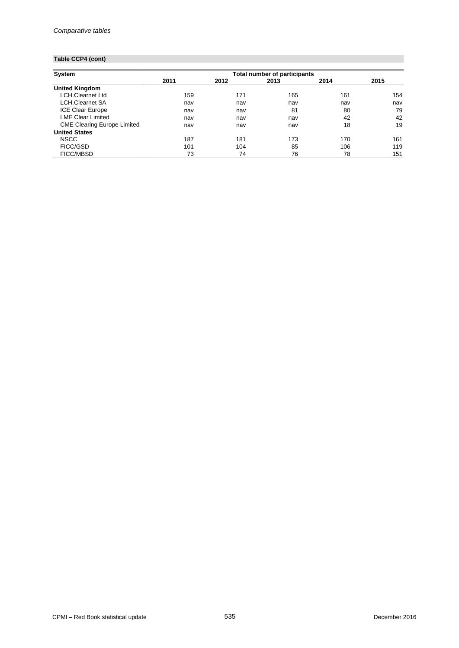# **Table CCP4 (cont)**

| <b>System</b>                      | <b>Total number of participants</b> |      |      |      |      |  |  |  |  |  |
|------------------------------------|-------------------------------------|------|------|------|------|--|--|--|--|--|
|                                    | 2011                                | 2012 | 2013 | 2014 | 2015 |  |  |  |  |  |
| <b>United Kingdom</b>              |                                     |      |      |      |      |  |  |  |  |  |
| <b>LCH.Clearnet Ltd</b>            | 159                                 | 171  | 165  | 161  | 154  |  |  |  |  |  |
| <b>LCH.Clearnet SA</b>             | nav                                 | nav  | nav  | nav  | nav  |  |  |  |  |  |
| <b>ICE Clear Europe</b>            | nav                                 | nav  | 81   | 80   | 79   |  |  |  |  |  |
| <b>LME Clear Limited</b>           | nav                                 | nav  | nav  | 42   | 42   |  |  |  |  |  |
| <b>CME Clearing Europe Limited</b> | nav                                 | nav  | nav  | 18   | 19   |  |  |  |  |  |
| <b>United States</b>               |                                     |      |      |      |      |  |  |  |  |  |
| <b>NSCC</b>                        | 187                                 | 181  | 173  | 170  | 161  |  |  |  |  |  |
| FICC/GSD                           | 101                                 | 104  | 85   | 106  | 119  |  |  |  |  |  |
| <b>FICC/MBSD</b>                   | 73                                  | 74   | 76   | 78   | 151  |  |  |  |  |  |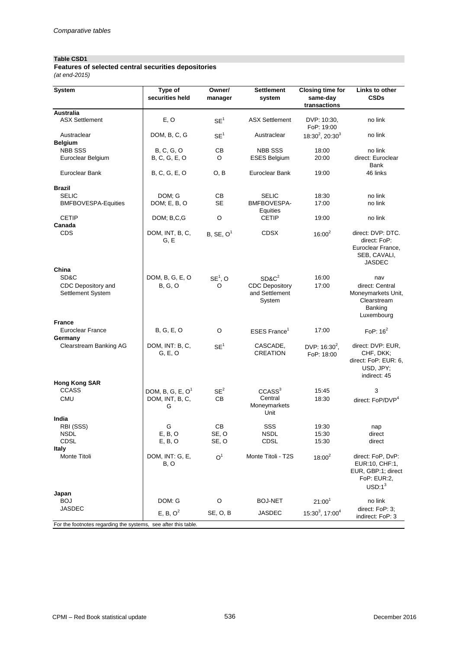#### **Table CSD1**

*(at end-2015)* **Features of selected central securities depositories**

| <b>Australia</b><br>E, O<br><b>ASX Settlement</b><br>no link<br><b>ASX Settlement</b><br>DVP: 10:30,<br>SE <sup>1</sup><br>FoP: 19:00<br>Austraclear<br>DOM, B, C, G<br>Austraclear<br>$18:30^2$ , 20:30 <sup>3</sup><br>no link<br>SE <sup>1</sup><br><b>Belgium</b><br><b>NBB SSS</b><br>B, C, G, O<br>СB<br><b>NBB SSS</b><br>18:00<br>no link<br>B, C, G, E, O<br>O<br>20:00<br>direct: Euroclear<br>Euroclear Belgium<br><b>ESES Belgium</b><br>Bank<br>B, C, G, E, O<br>46 links<br>Euroclear Bank<br>O, B<br>Euroclear Bank<br>19:00<br><b>Brazil</b><br><b>SELIC</b><br>DOM; G<br>CВ<br><b>SELIC</b><br>18:30<br>no link<br><b>SE</b><br><b>BMFBOVESPA-Equities</b><br>DOM; E, B, O<br>BMFBOVESPA-<br>17:00<br>no link<br>Equities<br>$\circ$<br><b>CETIP</b><br>DOM; B,C,G<br><b>CETIP</b><br>19:00<br>no link<br>Canada<br><b>CDS</b><br>DOM, INT, B, C,<br><b>CDSX</b><br>direct: DVP: DTC.<br>B, SE, O <sup>1</sup><br>$16:00^{2}$<br>G, E<br>direct: FoP:<br>Euroclear France,<br>SEB, CAVALI,<br><b>JASDEC</b><br>China<br>SD&C<br>DOM, B, G, E, O<br>$SD&C^2$<br>16:00<br>$SE^1$ , O<br>nav<br>CDC Depository and<br><b>B, G, O</b><br><b>CDC Depository</b><br>17:00<br>direct: Central<br>O<br>and Settlement<br><b>Settlement System</b><br>System<br>Clearstream<br>Banking<br>Luxembourg<br><b>France</b><br>17:00<br>Euroclear France<br>B, G, E, O<br>O<br>$ESES$ France <sup>1</sup><br>FoP: $16^2$<br>Germany<br>DOM, INT: B, C,<br>Clearstream Banking AG<br>CASCADE,<br>direct: DVP: EUR,<br>SE <sup>1</sup><br>DVP: 16:30 <sup>2</sup> ,<br>CREATION<br>G, E, O<br>CHF, DKK;<br>FoP: 18:00<br>USD, JPY;<br>indirect: 45<br><b>Hong Kong SAR</b><br><b>CCASS</b><br>SE <sup>2</sup><br>CCASS <sup>3</sup><br>DOM, B, G, E, $O1$<br>3<br>15:45<br>Central<br>DOM, INT, B, C,<br>CB<br><b>CMU</b><br>18:30<br>direct: FoP/DVP <sup>4</sup><br>Moneymarkets<br>G<br>Unit<br>India<br>RBI (SSS)<br>G<br>CВ<br>SSS<br>19:30<br>nap | System | Type of<br>securities held | Owner/<br>manager | Settlement<br>system | <b>Closing time for</b><br>same-day<br>transactions | Links to other<br><b>CSDs</b> |
|---------------------------------------------------------------------------------------------------------------------------------------------------------------------------------------------------------------------------------------------------------------------------------------------------------------------------------------------------------------------------------------------------------------------------------------------------------------------------------------------------------------------------------------------------------------------------------------------------------------------------------------------------------------------------------------------------------------------------------------------------------------------------------------------------------------------------------------------------------------------------------------------------------------------------------------------------------------------------------------------------------------------------------------------------------------------------------------------------------------------------------------------------------------------------------------------------------------------------------------------------------------------------------------------------------------------------------------------------------------------------------------------------------------------------------------------------------------------------------------------------------------------------------------------------------------------------------------------------------------------------------------------------------------------------------------------------------------------------------------------------------------------------------------------------------------------------------------------------------------------------------------------------------------------------------------------------------|--------|----------------------------|-------------------|----------------------|-----------------------------------------------------|-------------------------------|
|                                                                                                                                                                                                                                                                                                                                                                                                                                                                                                                                                                                                                                                                                                                                                                                                                                                                                                                                                                                                                                                                                                                                                                                                                                                                                                                                                                                                                                                                                                                                                                                                                                                                                                                                                                                                                                                                                                                                                         |        |                            |                   |                      |                                                     |                               |
|                                                                                                                                                                                                                                                                                                                                                                                                                                                                                                                                                                                                                                                                                                                                                                                                                                                                                                                                                                                                                                                                                                                                                                                                                                                                                                                                                                                                                                                                                                                                                                                                                                                                                                                                                                                                                                                                                                                                                         |        |                            |                   |                      |                                                     |                               |
|                                                                                                                                                                                                                                                                                                                                                                                                                                                                                                                                                                                                                                                                                                                                                                                                                                                                                                                                                                                                                                                                                                                                                                                                                                                                                                                                                                                                                                                                                                                                                                                                                                                                                                                                                                                                                                                                                                                                                         |        |                            |                   |                      |                                                     |                               |
|                                                                                                                                                                                                                                                                                                                                                                                                                                                                                                                                                                                                                                                                                                                                                                                                                                                                                                                                                                                                                                                                                                                                                                                                                                                                                                                                                                                                                                                                                                                                                                                                                                                                                                                                                                                                                                                                                                                                                         |        |                            |                   |                      |                                                     |                               |
|                                                                                                                                                                                                                                                                                                                                                                                                                                                                                                                                                                                                                                                                                                                                                                                                                                                                                                                                                                                                                                                                                                                                                                                                                                                                                                                                                                                                                                                                                                                                                                                                                                                                                                                                                                                                                                                                                                                                                         |        |                            |                   |                      |                                                     |                               |
|                                                                                                                                                                                                                                                                                                                                                                                                                                                                                                                                                                                                                                                                                                                                                                                                                                                                                                                                                                                                                                                                                                                                                                                                                                                                                                                                                                                                                                                                                                                                                                                                                                                                                                                                                                                                                                                                                                                                                         |        |                            |                   |                      |                                                     |                               |
|                                                                                                                                                                                                                                                                                                                                                                                                                                                                                                                                                                                                                                                                                                                                                                                                                                                                                                                                                                                                                                                                                                                                                                                                                                                                                                                                                                                                                                                                                                                                                                                                                                                                                                                                                                                                                                                                                                                                                         |        |                            |                   |                      |                                                     |                               |
|                                                                                                                                                                                                                                                                                                                                                                                                                                                                                                                                                                                                                                                                                                                                                                                                                                                                                                                                                                                                                                                                                                                                                                                                                                                                                                                                                                                                                                                                                                                                                                                                                                                                                                                                                                                                                                                                                                                                                         |        |                            |                   |                      |                                                     |                               |
|                                                                                                                                                                                                                                                                                                                                                                                                                                                                                                                                                                                                                                                                                                                                                                                                                                                                                                                                                                                                                                                                                                                                                                                                                                                                                                                                                                                                                                                                                                                                                                                                                                                                                                                                                                                                                                                                                                                                                         |        |                            |                   |                      |                                                     | Moneymarkets Unit,            |
|                                                                                                                                                                                                                                                                                                                                                                                                                                                                                                                                                                                                                                                                                                                                                                                                                                                                                                                                                                                                                                                                                                                                                                                                                                                                                                                                                                                                                                                                                                                                                                                                                                                                                                                                                                                                                                                                                                                                                         |        |                            |                   |                      |                                                     |                               |
|                                                                                                                                                                                                                                                                                                                                                                                                                                                                                                                                                                                                                                                                                                                                                                                                                                                                                                                                                                                                                                                                                                                                                                                                                                                                                                                                                                                                                                                                                                                                                                                                                                                                                                                                                                                                                                                                                                                                                         |        |                            |                   |                      |                                                     | direct: FoP: EUR: 6,          |
|                                                                                                                                                                                                                                                                                                                                                                                                                                                                                                                                                                                                                                                                                                                                                                                                                                                                                                                                                                                                                                                                                                                                                                                                                                                                                                                                                                                                                                                                                                                                                                                                                                                                                                                                                                                                                                                                                                                                                         |        |                            |                   |                      |                                                     |                               |
|                                                                                                                                                                                                                                                                                                                                                                                                                                                                                                                                                                                                                                                                                                                                                                                                                                                                                                                                                                                                                                                                                                                                                                                                                                                                                                                                                                                                                                                                                                                                                                                                                                                                                                                                                                                                                                                                                                                                                         |        |                            |                   |                      |                                                     |                               |
| <b>NSDL</b><br>E, B, O<br>SE, O<br><b>NSDL</b><br>15:30<br>direct<br>CDSL<br>SE, O<br><b>CDSL</b><br>15:30<br>E, B, O<br>direct<br><b>Italy</b>                                                                                                                                                                                                                                                                                                                                                                                                                                                                                                                                                                                                                                                                                                                                                                                                                                                                                                                                                                                                                                                                                                                                                                                                                                                                                                                                                                                                                                                                                                                                                                                                                                                                                                                                                                                                         |        |                            |                   |                      |                                                     |                               |
| Monte Titoli<br>DOM, INT: G, E,<br>Monte Titoli - T2S<br>O <sup>1</sup><br>direct: FoP, DvP:<br>$18:00^{2}$<br>B, O<br>EUR:10, CHF:1,<br>FoP: EUR:2,<br>$USD:1^3$                                                                                                                                                                                                                                                                                                                                                                                                                                                                                                                                                                                                                                                                                                                                                                                                                                                                                                                                                                                                                                                                                                                                                                                                                                                                                                                                                                                                                                                                                                                                                                                                                                                                                                                                                                                       |        |                            |                   |                      |                                                     | EUR, GBP:1; direct            |
| Japan<br>DOM: G<br>O<br><b>BOJ-NET</b><br>$21:00^{1}$<br>BOJ<br>no link                                                                                                                                                                                                                                                                                                                                                                                                                                                                                                                                                                                                                                                                                                                                                                                                                                                                                                                                                                                                                                                                                                                                                                                                                                                                                                                                                                                                                                                                                                                                                                                                                                                                                                                                                                                                                                                                                 |        |                            |                   |                      |                                                     |                               |
| <b>JASDEC</b><br>direct: FoP: 3;<br>E, B, O <sup>2</sup><br>15:30 <sup>3</sup> , 17:00 <sup>4</sup><br>JASDEC<br>SE, O, B<br>indirect: FoP: 3<br>For the footnotes regarding the systems, see after this table.                                                                                                                                                                                                                                                                                                                                                                                                                                                                                                                                                                                                                                                                                                                                                                                                                                                                                                                                                                                                                                                                                                                                                                                                                                                                                                                                                                                                                                                                                                                                                                                                                                                                                                                                         |        |                            |                   |                      |                                                     |                               |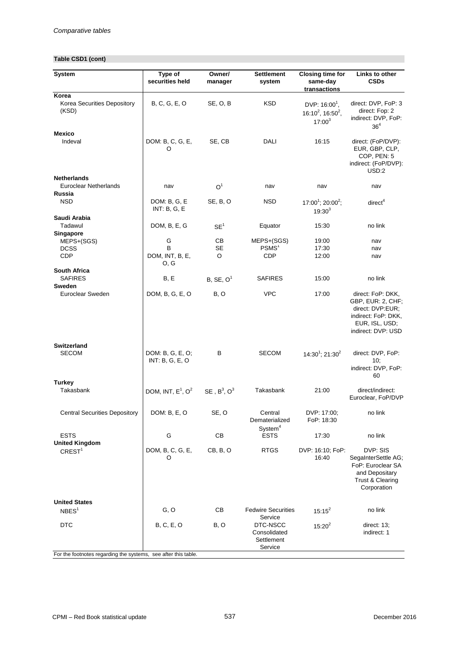# **Table CSD1 (cont)**

| System                                                       | Type of<br>securities held          | Owner/<br>manager     | <b>Settlement</b><br>system                                  | <b>Closing time for</b><br>same-day<br>transactions                        | Links to other<br><b>CSDs</b>                                                                                             |
|--------------------------------------------------------------|-------------------------------------|-----------------------|--------------------------------------------------------------|----------------------------------------------------------------------------|---------------------------------------------------------------------------------------------------------------------------|
| Korea<br>Korea Securities Depository<br>(KSD)                | B, C, G, E, O                       | SE, O, B              | <b>KSD</b>                                                   | DVP: $16:00^1$ ,<br>16:10 <sup>2</sup> , 16:50 <sup>2</sup> ,<br>$17:00^3$ | direct: DVP, FoP: 3<br>direct: Fop: 2<br>indirect: DVP, FoP:<br>36 <sup>4</sup>                                           |
| <b>Mexico</b><br>Indeval                                     | DOM: B, C, G, E,<br>O               | SE, CB                | DALI                                                         | 16:15                                                                      | direct: (FoP/DVP):<br>EUR, GBP, CLP,<br>COP, PEN: 5<br>indirect: (FoP/DVP):<br>USD:2                                      |
| <b>Netherlands</b><br><b>Euroclear Netherlands</b><br>Russia | nav                                 | O <sup>1</sup>        | nav                                                          | nav                                                                        | nav                                                                                                                       |
| <b>NSD</b>                                                   | DOM: B, G, E<br>INT: B, G, E        | SE, B, O              | <b>NSD</b>                                                   | $17:00^1$ ; 20:00 <sup>2</sup> ;<br>$19:30^{3}$                            | direct <sup>4</sup>                                                                                                       |
| Saudi Arabia<br>Tadawul                                      | DOM, B, E, G                        | SE <sup>1</sup>       | Equator                                                      | 15:30                                                                      | no link                                                                                                                   |
| Singapore<br>MEPS+(SGS)<br><b>DCSS</b><br><b>CDP</b>         | G<br>B<br>DOM, INT, B, E,<br>O, G   | CВ<br>SE<br>O         | MEPS+(SGS)<br>PSMS <sup>1</sup><br><b>CDP</b>                | 19:00<br>17:30<br>12:00                                                    | nav<br>nav<br>nav                                                                                                         |
| <b>South Africa</b><br><b>SAFIRES</b><br><b>Sweden</b>       | B, E                                | B, SE, O <sup>1</sup> | <b>SAFIRES</b>                                               | 15:00                                                                      | no link                                                                                                                   |
| Euroclear Sweden                                             | DOM, B, G, E, O                     | B, O                  | <b>VPC</b>                                                   | 17:00                                                                      | direct: FoP: DKK,<br>GBP, EUR: 2, CHF;<br>direct: DVP:EUR;<br>indirect: FoP: DKK,<br>EUR, ISL, USD;<br>indirect: DVP: USD |
| <b>Switzerland</b><br><b>SECOM</b>                           | DOM: B, G, E, O;<br>INT: B, G, E, O | в                     | <b>SECOM</b>                                                 | $14:30^{1}$ ; 21:30 <sup>2</sup>                                           | direct: DVP, FoP:<br>10;<br>indirect: DVP, FoP:<br>60                                                                     |
| Turkey<br>Takasbank                                          | DOM, INT, $E^1$ , $O^2$             | SE, $B^3$ , $O^3$     | Takasbank                                                    | 21:00                                                                      | direct/indirect:<br>Euroclear, FoP/DVP                                                                                    |
| <b>Central Securities Depository</b>                         | DOM: B, E, O                        | SE, O                 | Central<br>Dematerialized                                    | DVP: 17:00;<br>FoP: 18:30                                                  | no link                                                                                                                   |
| <b>ESTS</b><br><b>United Kingdom</b>                         | G                                   | CB                    | System <sup>4</sup><br><b>ESTS</b>                           | 17:30                                                                      | no link                                                                                                                   |
| CREST <sup>1</sup>                                           | DOM, B, C, G, E,<br>O               | CB, B, O              | <b>RTGS</b>                                                  | DVP: 16:10; FoP:<br>16:40                                                  | DVP: SIS<br>SegaInterSettle AG;<br>FoP: Euroclear SA<br>and Depositary<br>Trust & Clearing<br>Corporation                 |
| <b>United States</b><br>NBES <sup>1</sup>                    | G, O                                | CВ                    | <b>Fedwire Securities</b>                                    | $15:15^2$                                                                  | no link                                                                                                                   |
| <b>DTC</b>                                                   | <b>B, C, E, O</b>                   | B, O                  | Service<br>DTC-NSCC<br>Consolidated<br>Settlement<br>Service | $15:20^2$                                                                  | direct: 13;<br>indirect: 1                                                                                                |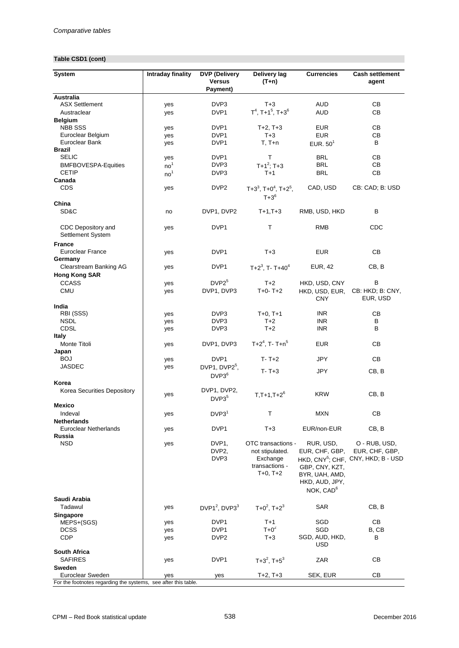## **Table CSD1 (cont)**

| <b>System</b>                                                  | <b>Intraday finality</b> | <b>DVP</b> (Delivery<br><b>Versus</b><br>Payment)        | Delivery lag<br>$(T+n)$                                                           | <b>Currencies</b>                                                                                          | <b>Cash settlement</b><br>agent                                                   |
|----------------------------------------------------------------|--------------------------|----------------------------------------------------------|-----------------------------------------------------------------------------------|------------------------------------------------------------------------------------------------------------|-----------------------------------------------------------------------------------|
| <b>Australia</b>                                               |                          |                                                          |                                                                                   |                                                                                                            |                                                                                   |
| <b>ASX Settlement</b>                                          | yes                      | DVP3                                                     | $T+3$                                                                             | <b>AUD</b>                                                                                                 | CВ                                                                                |
| Austraclear                                                    | yes                      | DVP <sub>1</sub>                                         | $T^4$ , T+1 <sup>5</sup> , T+3 <sup>6</sup>                                       | <b>AUD</b>                                                                                                 | CВ                                                                                |
| <b>Belgium</b><br><b>NBB SSS</b>                               |                          | DVP1                                                     |                                                                                   | <b>EUR</b>                                                                                                 | CВ                                                                                |
| Euroclear Belgium                                              | yes<br>yes               | DVP1                                                     | $T+2, T+3$<br>$T+3$                                                               | <b>EUR</b>                                                                                                 | CВ                                                                                |
| Euroclear Bank                                                 | yes                      | DVP1                                                     | $T, T+n$                                                                          | EUR. $501$                                                                                                 | B                                                                                 |
| <b>Brazil</b>                                                  |                          |                                                          |                                                                                   |                                                                                                            |                                                                                   |
| <b>SELIC</b>                                                   | yes                      | DVP <sub>1</sub>                                         | т                                                                                 | <b>BRL</b>                                                                                                 | CВ                                                                                |
| <b>BMFBOVESPA-Equities</b>                                     | no <sup>1</sup>          | DVP3                                                     | $T+1^2$ ; T+3                                                                     | <b>BRL</b>                                                                                                 | CВ                                                                                |
| <b>CETIP</b>                                                   | no <sup>1</sup>          | DVP3                                                     | $T+1$                                                                             | <b>BRL</b>                                                                                                 | CB                                                                                |
| Canada                                                         |                          |                                                          |                                                                                   |                                                                                                            |                                                                                   |
| <b>CDS</b>                                                     | yes                      | DVP <sub>2</sub>                                         | $T+3^3$ , $T+0^4$ , $T+2^5$ ,<br>$T + 3^6$                                        | CAD, USD                                                                                                   | CB: CAD; B: USD                                                                   |
| China                                                          |                          |                                                          |                                                                                   |                                                                                                            |                                                                                   |
| SD&C                                                           | no                       | DVP1, DVP2                                               | $T+1,T+3$                                                                         | RMB, USD, HKD                                                                                              | в                                                                                 |
| CDC Depository and<br>Settlement System                        | yes                      | DVP1                                                     | т                                                                                 | RMB                                                                                                        | CDC                                                                               |
| <b>France</b>                                                  |                          |                                                          |                                                                                   |                                                                                                            |                                                                                   |
| <b>Euroclear France</b><br>Germany                             | yes                      | DVP1                                                     | $T+3$                                                                             | <b>EUR</b>                                                                                                 | CВ                                                                                |
| Clearstream Banking AG                                         | yes                      | DVP1                                                     | $T+2^3$ , T-T+40 <sup>4</sup>                                                     | <b>EUR, 42</b>                                                                                             | CB, B                                                                             |
| <b>Hong Kong SAR</b>                                           |                          |                                                          |                                                                                   |                                                                                                            |                                                                                   |
| <b>CCASS</b>                                                   | yes                      | $DVP2^5$                                                 | $T+2$                                                                             | HKD, USD, CNY                                                                                              | В                                                                                 |
| <b>CMU</b>                                                     | yes                      | DVP1, DVP3                                               | $T+0-$ T+2                                                                        | HKD, USD, EUR,<br><b>CNY</b>                                                                               | CB: HKD; B: CNY,<br>EUR, USD                                                      |
| India                                                          |                          |                                                          |                                                                                   |                                                                                                            |                                                                                   |
| RBI (SSS)                                                      | yes                      | DVP3                                                     | $T+0, T+1$                                                                        | <b>INR</b>                                                                                                 | СВ                                                                                |
| <b>NSDL</b><br><b>CDSL</b>                                     | yes                      | DVP <sub>3</sub>                                         | $T+2$                                                                             | <b>INR</b>                                                                                                 | В<br>B                                                                            |
| Italy                                                          | yes                      | DVP3                                                     | $T+2$                                                                             | <b>INR</b>                                                                                                 |                                                                                   |
| Monte Titoli                                                   | yes                      | DVP1, DVP3                                               | $T+2^4$ , T-T+n <sup>5</sup>                                                      | <b>EUR</b>                                                                                                 | CВ                                                                                |
| Japan                                                          |                          |                                                          |                                                                                   |                                                                                                            |                                                                                   |
| <b>BOJ</b>                                                     | yes                      | DVP1                                                     | $T - T + 2$                                                                       | JPY                                                                                                        | CВ                                                                                |
| <b>JASDEC</b>                                                  | yes                      | DVP1, DVP2 <sup>5</sup> ,                                |                                                                                   |                                                                                                            |                                                                                   |
|                                                                |                          | $DVP3^6$                                                 | $T - T + 3$                                                                       | <b>JPY</b>                                                                                                 | CB, B                                                                             |
| Korea                                                          |                          |                                                          |                                                                                   |                                                                                                            |                                                                                   |
| Korea Securities Depository                                    |                          | DVP1, DVP2,                                              |                                                                                   | <b>KRW</b>                                                                                                 | CB, B                                                                             |
|                                                                | yes                      | DVP3 <sup>5</sup>                                        | $T, T+1, T+2^6$                                                                   |                                                                                                            |                                                                                   |
| <b>Mexico</b>                                                  |                          |                                                          |                                                                                   |                                                                                                            |                                                                                   |
| Indeval                                                        | yes                      | DVP3 <sup>1</sup>                                        | т                                                                                 | <b>MXN</b>                                                                                                 | CВ                                                                                |
| <b>Netherlands</b>                                             |                          |                                                          |                                                                                   |                                                                                                            |                                                                                   |
| Euroclear Netherlands<br><b>Russia</b>                         | yes                      | DVP1                                                     | $T+3$                                                                             | EUR/non-EUR                                                                                                | CB, B                                                                             |
| <b>NSD</b>                                                     | yes                      | DVP <sub>1</sub><br>DVP <sub>2</sub><br>DVP <sub>3</sub> | OTC transactions -<br>not stipulated.<br>Exchange<br>transactions -<br>$T+0, T+2$ | RUR, USD,<br>EUR, CHF, GBP,<br>GBP, CNY, KZT,<br>BYR, UAH, AMD,<br>HKD, AUD, JPY,<br>NOK, CAD <sup>6</sup> | O - RUB, USD,<br>EUR, CHF, GBP,<br>HKD, CNY <sup>5</sup> ; CHF, CNY, HKD; B - USD |
| Saudi Arabia                                                   |                          |                                                          |                                                                                   |                                                                                                            |                                                                                   |
| Tadawul                                                        | yes                      | DVP1 <sup>2</sup> , DVP3 <sup>3</sup>                    | $T+0^2$ , $T+2^3$                                                                 | <b>SAR</b>                                                                                                 | CB, B                                                                             |
| Singapore                                                      |                          |                                                          |                                                                                   |                                                                                                            |                                                                                   |
| MEPS+(SGS)                                                     | yes                      | DVP1                                                     | $T+1$                                                                             | SGD                                                                                                        | CВ                                                                                |
| <b>DCSS</b>                                                    | yes                      | DVP1                                                     | $T+0^2$                                                                           | SGD                                                                                                        | B, CB                                                                             |
| <b>CDP</b>                                                     | yes                      | DVP <sub>2</sub>                                         | $T+3$                                                                             | SGD, AUD, HKD,<br><b>USD</b>                                                                               | В                                                                                 |
| <b>South Africa</b>                                            |                          |                                                          |                                                                                   |                                                                                                            |                                                                                   |
| <b>SAFIRES</b>                                                 | yes                      | DVP1                                                     | $T+3^2$ , $T+5^3$                                                                 | ZAR                                                                                                        | CВ                                                                                |
| Sweden                                                         |                          |                                                          |                                                                                   |                                                                                                            |                                                                                   |
| Euroclear Sweden                                               | yes                      | yes                                                      | $T+2, T+3$                                                                        | SEK, EUR                                                                                                   | СB                                                                                |
| For the footnotes regarding the systems, see after this table. |                          |                                                          |                                                                                   |                                                                                                            |                                                                                   |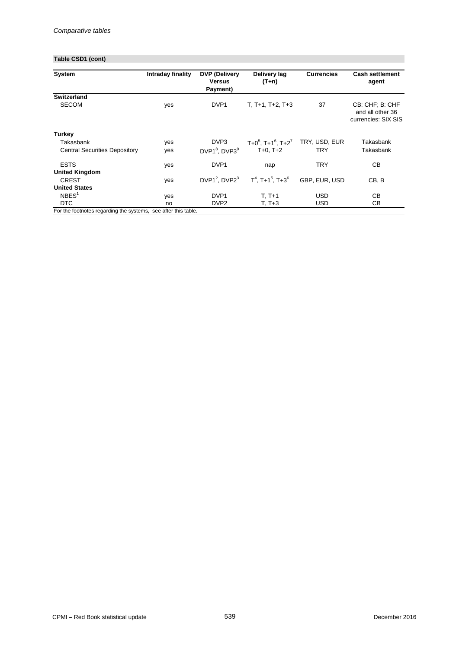# **Table CSD1 (cont)**

| System                               | Intraday finality | <b>DVP</b> (Delivery<br><b>Versus</b><br>Payment) | Delivery lag<br>(T+n)                       | <b>Currencies</b> | <b>Cash settlement</b><br>agent                            |
|--------------------------------------|-------------------|---------------------------------------------------|---------------------------------------------|-------------------|------------------------------------------------------------|
| <b>Switzerland</b>                   |                   |                                                   |                                             |                   |                                                            |
| <b>SECOM</b>                         | yes               | DVP <sub>1</sub>                                  | $T, T+1, T+2, T+3$                          | 37                | CB: CHF; B: CHF<br>and all other 36<br>currencies: SIX SIS |
| Turkey                               |                   |                                                   |                                             |                   |                                                            |
| Takasbank                            | yes               | DVP3                                              | $T+0^5$ , $T+1^6$ , $T+2^7$                 | TRY, USD, EUR     | Takasbank                                                  |
| <b>Central Securities Depository</b> | yes               | DVP1 <sup>8</sup> , DVP3 <sup>9</sup>             | $T+0, T+2$                                  | TRY               | Takasbank                                                  |
| <b>ESTS</b>                          | yes               | DVP <sub>1</sub>                                  | nap                                         | <b>TRY</b>        | CВ                                                         |
| <b>United Kingdom</b>                |                   |                                                   |                                             |                   |                                                            |
| <b>CREST</b>                         | yes               | DVP1 <sup>2</sup> , DVP $2^3$                     | $T^4$ , T+1 <sup>5</sup> , T+3 <sup>6</sup> | GBP. EUR. USD     | CB, B                                                      |
| <b>United States</b>                 |                   |                                                   |                                             |                   |                                                            |
| NBES <sup>1</sup>                    | yes               | DVP <sub>1</sub>                                  | $T, T+1$                                    | <b>USD</b>        | CВ                                                         |
| DTC.                                 | no                | DVP <sub>2</sub>                                  | T. T+3                                      | USD.              | CВ                                                         |

For the footnotes regarding the systems, see after this table.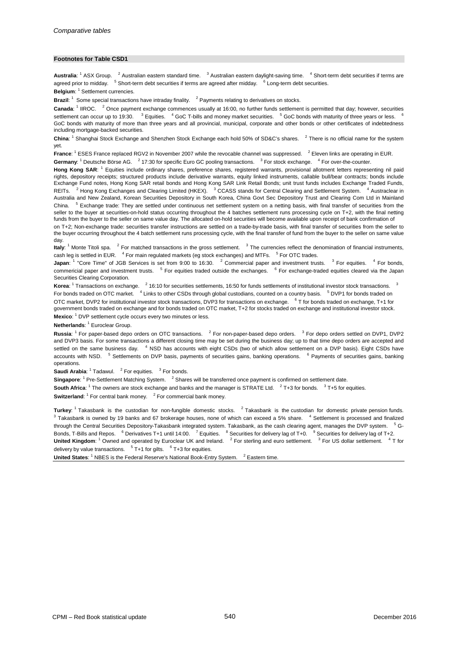#### **Footnotes for Table CSD1**

Australia: <sup>1</sup> ASX Group. <sup>2</sup> Australian eastern standard time. <sup>3</sup> Australian eastern daylight-saving time. <sup>4</sup> Short-term debt securities if terms are agreed prior to midday. <sup>5</sup> Short-term debt securities if terms are agreed after midday. <sup>6</sup> Long-term debt securities.

Belgium: <sup>1</sup> Settlement currencies.

Brazil: <sup>1</sup> Some special transactions have intraday finality. <sup>2</sup> Payments relating to derivatives on stocks.

Canada: <sup>1</sup> IIROC. <sup>2</sup> Once payment exchange commences usually at 16:00, no further funds settlement is permitted that day; however, securities settlement can occur up to 19:30. <sup>3</sup> Equities. <sup>4</sup> GoC T-bills and money market securities. <sup>5</sup> GoC bonds with maturity of three years or less. GoC bonds with maturity of more than three years and all provincial, municipal, corporate and other bonds or other certificates of indebtedness including mortgage-backed securities.

China: <sup>1</sup> Shanghai Stock Exchange and Shenzhen Stock Exchange each hold 50% of SD&C's shares. <sup>2</sup> There is no official name for the system yet.

Germany: <sup>1</sup> Deutsche Börse AG. <sup>2</sup> 17:30 for specific Euro GC pooling transactions. <sup>3</sup> For stock exchange. <sup>4</sup> For over-the-counter. France: <sup>1</sup> ESES France replaced RGV2 in November 2007 while the revocable channel was suppressed. <sup>2</sup> Eleven links are operating in EUR.

**Hong Kong SAR**: <sup>1</sup> Equities include ordinary shares, preference shares, registered warrants, provisional allotment letters representing nil paid rights, depository receipts; structured products include derivative warrants, equity linked instruments, callable bull/bear contracts; bonds include Exchange Fund notes, Hong Kong SAR retail bonds and Hong Kong SAR Link Retail Bonds; unit trust funds includes Exchange Traded Funds, REITs. <sup>2</sup> Hong Kong Exchanges and Clearing Limited (HKEX). <sup>3</sup> CCASS stands for Central Clearing and Settlement System. <sup>4</sup> Austraclear in Australia and New Zealand, Korean Securities Depository in South Korea, China Govt Sec Depository Trust and Clearing Com Ltd in Mainland China. <sup>5</sup> Exchange trade: They are settled under continuous net settlement system on a netting basis, with final transfer of securities from the seller to the buyer at securities-on-hold status occurring throughout the 4 batches settlement runs processing cycle on T+2, with the final netting funds from the buyer to the seller on same value day. The allocated on-hold securities will become available upon receipt of bank confirmation of

on T+2; Non-exchange trade: securities transfer instructions are settled on a trade-by-trade basis, with final transfer of securities from the seller to the buyer occurring throughout the 4 batch settlement runs processing cycle, with the final transfer of fund from the buyer to the seller on same value day.

Italy: <sup>1</sup> Monte Titoli spa. <sup>2</sup> For matched transactions in the gross settlement. <sup>3</sup> The currencies reflect the denomination of financial instruments, cash leg is settled in EUR. <sup>4</sup> For main regulated markets (eg stock exchanges) and MTFs. <sup>5</sup> For OTC trades.

Japan: <sup>1</sup> "Core Time" of JGB Services is set from 9:00 to 16:30. <sup>2</sup> Commercial paper and investment trusts. <sup>3</sup> For equities. <sup>4</sup> For bonds, commericial paper and investment trusts. <sup>5</sup> For equities traded outside the exchanges. <sup>6</sup> For exchange-traded equities cleared via the Japan Securities Clearing Corporation.

Korea: <sup>1</sup> Transactions on exchange. <sup>2</sup> 16:10 for securities settlements, 16:50 for funds settlements of institutional investor stock transactions. <sup>3</sup> For bonds traded on OTC market. <sup>4</sup> Links to other CSDs through global custodians, counted on a country basis. <sup>5</sup> DVP1 for bonds traded on OTC market, DVP2 for institutional investor stock transactions, DVP3 for transactions on exchange. <sup>6</sup>T for bonds traded on exchange, T+1 for government bonds traded on exchange and for bonds traded on OTC market, T+2 for stocks traded on exchange and institutional investor stock. Mexico: <sup>1</sup> DVP settlement cycle occurs every two minutes or less.

**Netherlands:** <sup>1</sup> Euroclear Group.

**Russia**: <sup>1</sup> For paper-based depo orders on OTC transactions. <sup>2</sup> For non-paper-based depo orders. <sup>3</sup> For depo orders settled on DVP1, DVP2 and DVP3 basis. For some transactions a different closing time may be set during the business day; up to that time depo orders are accepted and settled on the same business day. <sup>4</sup> NSD has accounts with eight CSDs (two of which allow settlement on a DVP basis). Eight CSDs have accounts with NSD. <sup>5</sup> Settlements on DVP basis, payments of securities gains, banking operations. <sup>6</sup> Payments of securities gains, banking operations.

**Saudi Arabia**: <sup>1</sup> Tadawul. <sup>2</sup> For equities. <sup>3</sup> For bonds.

Singapore: <sup>1</sup> Pre-Settlement Matching System. <sup>2</sup> Shares will be transferred once payment is confirmed on settlement date.

South Africa: <sup>1</sup> The owners are stock exchange and banks and the manager is STRATE Ltd. <sup>2</sup>T+3 for bonds. <sup>3</sup>T+5 for equities.

**Switzerland**: <sup>1</sup> For central bank money. <sup>2</sup> For commercial bank money.

United Kingdom: <sup>1</sup> Owned and operated by Euroclear UK and Ireland. <sup>2</sup> For sterling and euro settlement. <sup>3</sup> For US dollar settlement. <sup>4</sup> T for delivery by value transactions.  $5$  T+1 for gilts.  $5$  T+3 for equities. **Turkey**: <sup>1</sup> Takasbank is the custodian for non-fungible domestic stocks. <sup>2</sup> Takasbank is the custodian for domestic private pension funds.  $3$  Takasbank is owned by 19 banks and 67 brokerage houses, none of which can exceed a 5% share.  $4$  Settlement is processed and finalized through the Central Securities Depository-Takasbank integrated system. Takasbank, as the cash clearing agent, manages the DVP system. <sup>5</sup> G-Bonds, T-Bills and Repos. <sup>6</sup> Derivatives T+1 until 14:00. <sup>7</sup> Equities. <sup>8</sup> Securities for delivery lag of T+0. <sup>9</sup> Securities for delivery lag of T+2.

United States: <sup>1</sup> NBES is the Federal Reserve's National Book-Entry System. <sup>2</sup> Eastern time.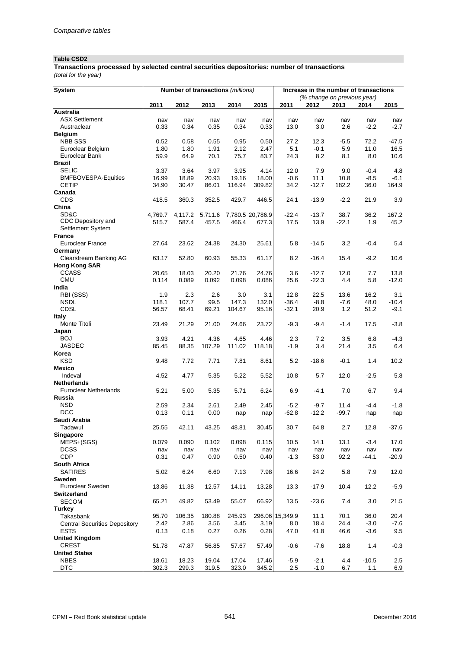# **Table CSD2**

**Transactions processed by selected central securities depositories: number of transactions**

*(total for the year)*

| <b>System</b>                                      | Number of transactions (millions) |               |               |                 |                  |                 | Increase in the number of transactions |             |                  |             |  |
|----------------------------------------------------|-----------------------------------|---------------|---------------|-----------------|------------------|-----------------|----------------------------------------|-------------|------------------|-------------|--|
|                                                    |                                   |               |               |                 |                  |                 | (% change on previous year)            |             |                  |             |  |
|                                                    | 2011                              | 2012          | 2013          | 2014            | 2015             | 2011            | 2012                                   | 2013        | 2014             | 2015        |  |
| Australia                                          |                                   |               |               |                 |                  |                 |                                        |             |                  |             |  |
| <b>ASX Settlement</b>                              | nav                               | nav           | nav           | nav             | nav              | nav             | nav                                    | nav         | nav              | nav         |  |
| Austraclear                                        | 0.33                              | 0.34          | 0.35          | 0.34            | 0.33             | 13.0            | 3.0                                    | 2.6         | $-2.2$           | $-2.7$      |  |
| <b>Belgium</b>                                     |                                   |               |               |                 |                  |                 |                                        |             |                  |             |  |
| <b>NBB SSS</b>                                     | 0.52                              | 0.58          | 0.55          | 0.95            | 0.50             | 27.2            | 12.3                                   | $-5.5$      | 72.2             | -47.5       |  |
| Euroclear Belgium                                  | 1.80                              | 1.80          | 1.91          | 2.12            | 2.47             | 5.1             | $-0.1$                                 | 5.9         | 11.0             | 16.5        |  |
| Euroclear Bank                                     | 59.9                              | 64.9          | 70.1          | 75.7            | 83.7             | 24.3            | 8.2                                    | 8.1         | 8.0              | 10.6        |  |
| <b>Brazil</b>                                      |                                   |               |               |                 |                  |                 |                                        |             |                  |             |  |
| <b>SELIC</b><br><b>BMFBOVESPA-Equities</b>         | 3.37<br>16.99                     | 3.64<br>18.89 | 3.97<br>20.93 | 3.95            | 4.14<br>18.00    | 12.0<br>$-0.6$  | 7.9<br>11.1                            | 9.0<br>10.8 | $-0.4$<br>$-8.5$ | 4.8<br>-6.1 |  |
| <b>CETIP</b>                                       | 34.90                             | 30.47         | 86.01         | 19.16<br>116.94 | 309.82           | 34.2            | $-12.7$                                | 182.2       | 36.0             | 164.9       |  |
| Canada                                             |                                   |               |               |                 |                  |                 |                                        |             |                  |             |  |
| CDS                                                | 418.5                             | 360.3         | 352.5         | 429.7           | 446.5            | 24.1            | $-13.9$                                | $-2.2$      | 21.9             | 3.9         |  |
| China                                              |                                   |               |               |                 |                  |                 |                                        |             |                  |             |  |
| SD&C                                               | 4,769.7                           | 4,117.2       | 5,711.6       |                 | 7,780.5 20,786.9 | $-22.4$         | $-13.7$                                | 38.7        | 36.2             | 167.2       |  |
| CDC Depository and                                 | 515.7                             | 587.4         | 457.5         | 466.4           | 677.3            | 17.5            | 13.9                                   | $-22.1$     | 1.9              | 45.2        |  |
| Settlement System                                  |                                   |               |               |                 |                  |                 |                                        |             |                  |             |  |
| <b>France</b>                                      |                                   |               |               |                 |                  |                 |                                        |             |                  |             |  |
| <b>Euroclear France</b>                            | 27.64                             | 23.62         | 24.38         | 24.30           | 25.61            | 5.8             | $-14.5$                                | 3.2         | $-0.4$           | 5.4         |  |
| Germany                                            |                                   |               |               |                 |                  |                 |                                        |             |                  |             |  |
| Clearstream Banking AG                             | 63.17                             | 52.80         | 60.93         | 55.33           | 61.17            | 8.2             | $-16.4$                                | 15.4        | $-9.2$           | 10.6        |  |
| <b>Hong Kong SAR</b>                               |                                   |               |               |                 |                  |                 |                                        |             |                  |             |  |
| <b>CCASS</b>                                       | 20.65                             | 18.03         | 20.20         | 21.76           | 24.76            | 3.6             | $-12.7$                                | 12.0        | 7.7              | 13.8        |  |
| <b>CMU</b>                                         | 0.114                             | 0.089         | 0.092         | 0.098           | 0.086            | 25.6            | $-22.3$                                | 4.4         | 5.8              | $-12.0$     |  |
| India                                              |                                   |               |               |                 |                  |                 |                                        |             |                  |             |  |
| RBI (SSS)                                          | 1.9                               | 2.3           | 2.6           | 3.0             | 3.1              | 12.8            | 22.5                                   | 13.6        | 16.2             | 3.1         |  |
| <b>NSDL</b>                                        | 118.1                             | 107.7         | 99.5          | 147.3           | 132.0            | $-36.4$         | $-8.8$                                 | $-7.6$      | 48.0             | $-10.4$     |  |
| <b>CDSL</b>                                        | 56.57                             | 68.41         | 69.21         | 104.67          | 95.16            | $-32.1$         | 20.9                                   | 1.2         | 51.2             | $-9.1$      |  |
| Italy                                              |                                   |               |               |                 |                  |                 |                                        |             |                  |             |  |
| Monte Titoli                                       | 23.49                             | 21.29         | 21.00         | 24.66           | 23.72            | $-9.3$          | $-9.4$                                 | $-1.4$      | 17.5             | $-3.8$      |  |
| Japan                                              |                                   |               |               |                 |                  |                 |                                        |             |                  |             |  |
| <b>BOJ</b>                                         | 3.93                              | 4.21          | 4.36          | 4.65            | 4.46             | 2.3             | 7.2                                    | 3.5         | 6.8              | $-4.3$      |  |
| <b>JASDEC</b>                                      | 85.45                             | 88.35         | 107.29        | 111.02          | 118.18           | $-1.9$          | 3.4                                    | 21.4        | 3.5              | 6.4         |  |
| Korea                                              |                                   |               |               |                 |                  |                 |                                        |             |                  |             |  |
| <b>KSD</b>                                         | 9.48                              | 7.72          | 7.71          | 7.81            | 8.61             | 5.2             | $-18.6$                                | $-0.1$      | 1.4              | 10.2        |  |
| <b>Mexico</b>                                      |                                   |               |               |                 |                  |                 |                                        |             |                  |             |  |
| Indeval                                            | 4.52                              | 4.77          | 5.35          | 5.22            | 5.52             | 10.8            | 5.7                                    | 12.0        | $-2.5$           | 5.8         |  |
| <b>Netherlands</b><br><b>Euroclear Netherlands</b> | 5.21                              |               |               |                 | 6.24             |                 | $-4.1$                                 | 7.0         |                  | 9.4         |  |
| Russia                                             |                                   | 5.00          | 5.35          | 5.71            |                  | 6.9             |                                        |             | 6.7              |             |  |
| <b>NSD</b>                                         | 2.59                              | 2.34          | 2.61          | 2.49            | 2.45             | $-5.2$          | $-9.7$                                 | 11.4        | $-4.4$           | $-1.8$      |  |
| <b>DCC</b>                                         | 0.13                              | 0.11          | 0.00          |                 |                  | $-62.8$         | $-12.2$                                | $-99.7$     |                  |             |  |
| Saudi Arabia                                       |                                   |               |               | nap             | nap              |                 |                                        |             | nap              | nap         |  |
| Tadawul                                            | 25.55                             | 42.11         | 43.25         | 48.81           | 30.45            | 30.7            | 64.8                                   | 2.7         | 12.8             | -37.6       |  |
| Singapore                                          |                                   |               |               |                 |                  |                 |                                        |             |                  |             |  |
| MEPS+(SGS)                                         | 0.079                             | 0.090         | 0.102         | 0.098           | 0.115            | 10.5            | 14.1                                   | 13.1        | $-3.4$           | 17.0        |  |
| <b>DCSS</b>                                        | nav                               | nav           | nav           | nav             | nav              | nav             | nav                                    | nav         | nav              | nav         |  |
| CDP                                                | 0.31                              | 0.47          | 0.90          | 0.50            | 0.40             | $-1.3$          | 53.0                                   | 92.2        | $-44.1$          | $-20.9$     |  |
| South Africa                                       |                                   |               |               |                 |                  |                 |                                        |             |                  |             |  |
| <b>SAFIRES</b>                                     | 5.02                              | 6.24          | 6.60          | 7.13            | 7.98             | 16.6            | 24.2                                   | 5.8         | 7.9              | 12.0        |  |
| Sweden                                             |                                   |               |               |                 |                  |                 |                                        |             |                  |             |  |
| Euroclear Sweden                                   | 13.86                             | 11.38         | 12.57         | 14.11           | 13.28            | 13.3            | $-17.9$                                | 10.4        | 12.2             | $-5.9$      |  |
| <b>Switzerland</b>                                 |                                   |               |               |                 |                  |                 |                                        |             |                  |             |  |
| <b>SECOM</b>                                       | 65.21                             | 49.82         | 53.49         | 55.07           | 66.92            | 13.5            | $-23.6$                                | 7.4         | 3.0              | 21.5        |  |
| <b>Turkey</b>                                      |                                   |               |               |                 |                  |                 |                                        |             |                  |             |  |
| Takasbank                                          | 95.70                             | 106.35        | 180.88        | 245.93          |                  | 296.06 15,349.9 | 11.1                                   | 70.1        | 36.0             | 20.4        |  |
| <b>Central Securities Depository</b>               | 2.42                              | 2.86          | 3.56          | 3.45            | 3.19             | $8.0\,$         | 18.4                                   | 24.4        | $-3.0$           | $-7.6$      |  |
| <b>ESTS</b>                                        | 0.13                              | 0.18          | 0.27          | 0.26            | 0.28             | 47.0            | 41.8                                   | 46.6        | $-3.6$           | 9.5         |  |
| <b>United Kingdom</b>                              |                                   |               |               |                 |                  |                 |                                        |             |                  |             |  |
| <b>CREST</b>                                       | 51.78                             | 47.87         | 56.85         | 57.67           | 57.49            | $-0.6$          | -7.6                                   | 18.8        | 1.4              | $-0.3$      |  |
| <b>United States</b>                               |                                   |               |               |                 |                  |                 |                                        |             |                  |             |  |
| <b>NBES</b>                                        | 18.61                             | 18.23         | 19.04         | 17.04           | 17.46            | $-5.9$          | $-2.1$                                 | 4.4         | $-10.5$          | 2.5         |  |
| <b>DTC</b>                                         | 302.3                             | 299.3         | 319.5         | 323.0           | 345.2            | 2.5             | $-1.0$                                 | 6.7         | 1.1              | 6.9         |  |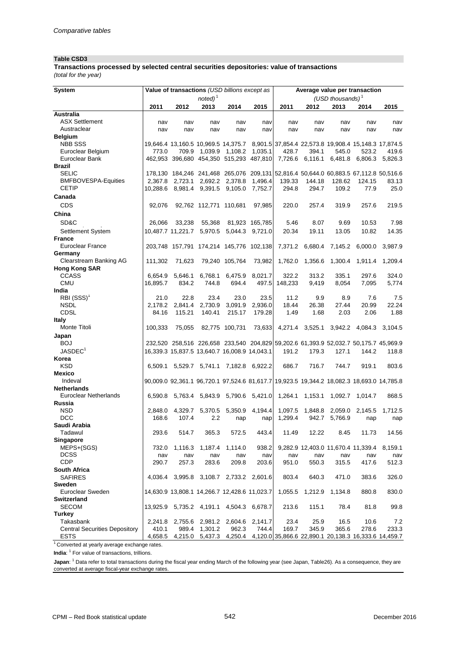#### **Table CSD3**

*(total for the year)* **Transactions processed by selected central securities depositories: value of transactions**

| $noted)^1$<br>(USD thousands) $1$<br>2011<br>2012<br>2013<br>2014<br>2015<br>2011<br>2012<br>2013<br>2014<br>2015<br><b>Australia</b><br><b>ASX Settlement</b><br>nav<br>nav<br>nav<br>nav<br>nav<br>nav<br>nav<br>nav<br>nav<br>nav<br>Austraclear<br>nav<br>nav<br>nav<br>nav<br>nav<br>nav<br>nav<br>nav<br>nav<br>nav<br><b>Belgium</b><br><b>NBB SSS</b><br>19,646.4 13,160.5 10,969.5 14,375.7 8,901.5 37,854.4 22,573.8 19,908.4 15,148.3 17,874.5<br>1,108.2<br>1,035.1<br>Euroclear Belgium<br>773.0<br>709.9 1,039.9<br>428.7<br>394.1<br>545.0<br>523.2<br>419.6<br>Euroclear Bank<br>462,953 396,680 454,350 515,293 487,810<br>7,726.6 6,116.1<br>6,481.8<br>6,806.3<br>5,826.3<br><b>Brazil</b><br><b>SELIC</b><br>178,130 184,246 241,468 265,076 209,131 52,816.4 50,644.0 60,883.5 67,112.8 50,516.6<br><b>BMFBOVESPA-Equities</b><br>2,692.2 2,378.8<br>1,496.4<br>139.33<br>128.62<br>83.13<br>2,367.8<br>2,723.1<br>144.18<br>124.15<br><b>CETIP</b><br>10,288.6 8,981.4 9,391.5 9,105.0 7,752.7<br>294.8<br>109.2<br>77.9<br>25.0<br>294.7<br>Canada<br>CDS<br>219.5<br>92,076<br>92,762 112,771 110,681<br>97,985<br>220.0<br>257.4<br>319.9<br>257.6<br>China<br>SD&C<br>8.07<br>7.98<br>26,066<br>33,238<br>55,368<br>81,923 165,785<br>5.46<br>9.69<br>10.53<br>10,487.7 11,221.7 5,970.5<br>5,044.3 9,721.0<br>20.34<br>19.11<br>13.05<br>10.82<br>14.35<br>Settlement System<br><b>France</b><br><b>Euroclear France</b><br>203,748 157,791 174,214 145,776 102,138<br>7,371.2 6,680.4 7,145.2<br>6,000.0<br>3,987.9<br>Germany<br><b>Clearstream Banking AG</b><br>71,623<br>79,240 105,764<br>73,982<br>1,762.0<br>1,300.4<br>111.302<br>1,356.6<br>1,911.4<br>1,209.4<br><b>Hong Kong SAR</b><br><b>CCASS</b><br>322.2<br>313.2<br>335.1<br>297.6<br>324.0<br>6,654.9<br>5.646.1<br>6.768.1<br>6,475.9<br>8.021.7<br><b>CMU</b><br>16,895.7<br>834.2<br>694.4<br>148,233<br>744.8<br>497.5<br>9.419<br>8,054<br>7,095<br>5,774<br>India<br>$RBI (SSS)^1$<br>22.8<br>23.4<br>21.0<br>23.0<br>23.5<br>11.2<br>9.9<br>8.9<br>7.6<br>7.5<br>22.24<br><b>NSDL</b><br>2,178.2<br>2,841.4<br>2,730.9<br>3,091.9<br>2,936.0<br>18.44<br>26.38<br>27.44<br>20.99<br><b>CDSL</b><br>2.06<br>1.88<br>84.16<br>115.21<br>140.41<br>215.17<br>179.28<br>1.49<br>1.68<br>2.03<br>Italy<br>4,271.4 3,525.1<br>Monte Titoli<br>100,333<br>75,055<br>82,775 100,731<br>73,633<br>3,942.2 4,084.3<br>3,104.5<br>Japan<br><b>BOJ</b><br>232,520 258,516 226,658 233,540 204,829 59,202.6 61,393.9 52,032.7 50,175.7 45,969.9<br>JASDEC <sup>1</sup><br>16,339.3 15,837.5 13,640.7 16,008.9 14,043.1<br>179.3<br>191.2<br>127.1<br>144.2<br>118.8<br>Korea<br><b>KSD</b><br>6,509.1 5,529.7 5,741.1 7,182.8 6,922.2<br>686.7<br>716.7<br>744.7<br>919.1<br>803.6<br><b>Mexico</b><br>Indeval<br>90,009.0 92,361.1 96,720.1 97,524.6 81,617.7 19,923.5 19,344.2 18,082.3 18,693.0 14,785.8<br><b>Netherlands</b><br>Euroclear Netherlands<br>6,590.8 5,763.4 5,843.9 5,790.6 5,421.0<br>1,264.1 1,153.1<br>1,092.7<br>1,014.7<br>868.5<br>Russia<br><b>NSD</b><br>4,329.7<br>5,350.9<br>4,194.4<br>1,097.5 1,848.8<br>2.848.0<br>5,370.5<br>2,059.0 2,145.5<br>1,712.5<br><b>DCC</b><br>2.2<br>168.6<br>107.4<br>1,299.4<br>942.7<br>5,766.9<br>nap<br>nap<br>nap<br>nap<br>Saudi Arabia<br>Tadawul<br>293.6<br>514.7 365.3 572.5 443.4<br>11.49 12.22<br>8.45 11.73<br>14.56<br>Singapore<br>MEPS+(SGS)<br>1,187.4<br>938.2<br>9,282.9 12,403.0 11,670.4 11,339.4<br>8,159.1<br>732.0<br>1,116.3<br>1,114.0<br><b>DCSS</b><br>nav<br>nav<br>nav<br>nav<br>nav<br>nav<br>nav<br>nav<br>nav<br>nav<br><b>CDP</b><br>290.7<br>257.3<br>283.6<br>209.8<br>203.6<br>951.0<br>550.3<br>315.5<br>417.6<br>512.3<br>South Africa<br>SAFIRES<br>4,036.4 3,995.8 3,108.7 2,733.2 2,601.6<br>803.4<br>640.3<br>471.0<br>383.6<br>326.0<br>Sweden<br>Euroclear Sweden<br>14,630.9 13,808.1 14,266.7 12,428.6 11,023.7<br>1,055.5<br>1,212.9<br>1,134.8<br>880.8<br>830.0<br><b>Switzerland</b><br>13,925.9 5,735.2 4,191.1 4,504.3 6,678.7<br>SECOM<br>213.6<br>115.1<br>78.4<br>81.8<br>99.8<br>Turkey<br>Takasbank<br>2,755.6 2,981.2 2,604.6 2,141.7<br>23.4<br>25.9<br>16.5<br>10.6<br>7.2<br>2,241.8<br>962.3<br>744.4<br>169.7<br>345.9<br>365.6<br>278.6<br>410.1<br>989.4 1,301.2<br>233.3<br><b>Central Securities Depository</b><br>4,658.5<br>4,215.0 5,437.3<br>4,250.4 4,120.0 35,866.6 22,890.1 20,138.3 16,333.6 14,459.7 | System      | Value of transactions (USD billions except as |  | Average value per transaction |  |  |  |  |  |
|----------------------------------------------------------------------------------------------------------------------------------------------------------------------------------------------------------------------------------------------------------------------------------------------------------------------------------------------------------------------------------------------------------------------------------------------------------------------------------------------------------------------------------------------------------------------------------------------------------------------------------------------------------------------------------------------------------------------------------------------------------------------------------------------------------------------------------------------------------------------------------------------------------------------------------------------------------------------------------------------------------------------------------------------------------------------------------------------------------------------------------------------------------------------------------------------------------------------------------------------------------------------------------------------------------------------------------------------------------------------------------------------------------------------------------------------------------------------------------------------------------------------------------------------------------------------------------------------------------------------------------------------------------------------------------------------------------------------------------------------------------------------------------------------------------------------------------------------------------------------------------------------------------------------------------------------------------------------------------------------------------------------------------------------------------------------------------------------------------------------------------------------------------------------------------------------------------------------------------------------------------------------------------------------------------------------------------------------------------------------------------------------------------------------------------------------------------------------------------------------------------------------------------------------------------------------------------------------------------------------------------------------------------------------------------------------------------------------------------------------------------------------------------------------------------------------------------------------------------------------------------------------------------------------------------------------------------------------------------------------------------------------------------------------------------------------------------------------------------------------------------------------------------------------------------------------------------------------------------------------------------------------------------------------------------------------------------------------------------------------------------------------------------------------------------------------------------------------------------------------------------------------------------------------------------------------------------------------------------------------------------------------------------------------------------------------------------------------------------------------------------------------------------------------------------------------------------------------------------------------------------------------------------------------------------------------------------------------------------------------------------------------------------------------------------------------------------------------------------------------------------------------------------------------------------------------------------------------------------------------------------------------------------------------------------------------------------------------------------------------------------------------------------------------------------------|-------------|-----------------------------------------------|--|-------------------------------|--|--|--|--|--|
|                                                                                                                                                                                                                                                                                                                                                                                                                                                                                                                                                                                                                                                                                                                                                                                                                                                                                                                                                                                                                                                                                                                                                                                                                                                                                                                                                                                                                                                                                                                                                                                                                                                                                                                                                                                                                                                                                                                                                                                                                                                                                                                                                                                                                                                                                                                                                                                                                                                                                                                                                                                                                                                                                                                                                                                                                                                                                                                                                                                                                                                                                                                                                                                                                                                                                                                                                                                                                                                                                                                                                                                                                                                                                                                                                                                                                                                                                                                                                                                                                                                                                                                                                                                                                                                                                                                                                                                                                                        |             |                                               |  |                               |  |  |  |  |  |
|                                                                                                                                                                                                                                                                                                                                                                                                                                                                                                                                                                                                                                                                                                                                                                                                                                                                                                                                                                                                                                                                                                                                                                                                                                                                                                                                                                                                                                                                                                                                                                                                                                                                                                                                                                                                                                                                                                                                                                                                                                                                                                                                                                                                                                                                                                                                                                                                                                                                                                                                                                                                                                                                                                                                                                                                                                                                                                                                                                                                                                                                                                                                                                                                                                                                                                                                                                                                                                                                                                                                                                                                                                                                                                                                                                                                                                                                                                                                                                                                                                                                                                                                                                                                                                                                                                                                                                                                                                        |             |                                               |  |                               |  |  |  |  |  |
|                                                                                                                                                                                                                                                                                                                                                                                                                                                                                                                                                                                                                                                                                                                                                                                                                                                                                                                                                                                                                                                                                                                                                                                                                                                                                                                                                                                                                                                                                                                                                                                                                                                                                                                                                                                                                                                                                                                                                                                                                                                                                                                                                                                                                                                                                                                                                                                                                                                                                                                                                                                                                                                                                                                                                                                                                                                                                                                                                                                                                                                                                                                                                                                                                                                                                                                                                                                                                                                                                                                                                                                                                                                                                                                                                                                                                                                                                                                                                                                                                                                                                                                                                                                                                                                                                                                                                                                                                                        |             |                                               |  |                               |  |  |  |  |  |
|                                                                                                                                                                                                                                                                                                                                                                                                                                                                                                                                                                                                                                                                                                                                                                                                                                                                                                                                                                                                                                                                                                                                                                                                                                                                                                                                                                                                                                                                                                                                                                                                                                                                                                                                                                                                                                                                                                                                                                                                                                                                                                                                                                                                                                                                                                                                                                                                                                                                                                                                                                                                                                                                                                                                                                                                                                                                                                                                                                                                                                                                                                                                                                                                                                                                                                                                                                                                                                                                                                                                                                                                                                                                                                                                                                                                                                                                                                                                                                                                                                                                                                                                                                                                                                                                                                                                                                                                                                        |             |                                               |  |                               |  |  |  |  |  |
|                                                                                                                                                                                                                                                                                                                                                                                                                                                                                                                                                                                                                                                                                                                                                                                                                                                                                                                                                                                                                                                                                                                                                                                                                                                                                                                                                                                                                                                                                                                                                                                                                                                                                                                                                                                                                                                                                                                                                                                                                                                                                                                                                                                                                                                                                                                                                                                                                                                                                                                                                                                                                                                                                                                                                                                                                                                                                                                                                                                                                                                                                                                                                                                                                                                                                                                                                                                                                                                                                                                                                                                                                                                                                                                                                                                                                                                                                                                                                                                                                                                                                                                                                                                                                                                                                                                                                                                                                                        |             |                                               |  |                               |  |  |  |  |  |
|                                                                                                                                                                                                                                                                                                                                                                                                                                                                                                                                                                                                                                                                                                                                                                                                                                                                                                                                                                                                                                                                                                                                                                                                                                                                                                                                                                                                                                                                                                                                                                                                                                                                                                                                                                                                                                                                                                                                                                                                                                                                                                                                                                                                                                                                                                                                                                                                                                                                                                                                                                                                                                                                                                                                                                                                                                                                                                                                                                                                                                                                                                                                                                                                                                                                                                                                                                                                                                                                                                                                                                                                                                                                                                                                                                                                                                                                                                                                                                                                                                                                                                                                                                                                                                                                                                                                                                                                                                        |             |                                               |  |                               |  |  |  |  |  |
|                                                                                                                                                                                                                                                                                                                                                                                                                                                                                                                                                                                                                                                                                                                                                                                                                                                                                                                                                                                                                                                                                                                                                                                                                                                                                                                                                                                                                                                                                                                                                                                                                                                                                                                                                                                                                                                                                                                                                                                                                                                                                                                                                                                                                                                                                                                                                                                                                                                                                                                                                                                                                                                                                                                                                                                                                                                                                                                                                                                                                                                                                                                                                                                                                                                                                                                                                                                                                                                                                                                                                                                                                                                                                                                                                                                                                                                                                                                                                                                                                                                                                                                                                                                                                                                                                                                                                                                                                                        |             |                                               |  |                               |  |  |  |  |  |
|                                                                                                                                                                                                                                                                                                                                                                                                                                                                                                                                                                                                                                                                                                                                                                                                                                                                                                                                                                                                                                                                                                                                                                                                                                                                                                                                                                                                                                                                                                                                                                                                                                                                                                                                                                                                                                                                                                                                                                                                                                                                                                                                                                                                                                                                                                                                                                                                                                                                                                                                                                                                                                                                                                                                                                                                                                                                                                                                                                                                                                                                                                                                                                                                                                                                                                                                                                                                                                                                                                                                                                                                                                                                                                                                                                                                                                                                                                                                                                                                                                                                                                                                                                                                                                                                                                                                                                                                                                        |             |                                               |  |                               |  |  |  |  |  |
|                                                                                                                                                                                                                                                                                                                                                                                                                                                                                                                                                                                                                                                                                                                                                                                                                                                                                                                                                                                                                                                                                                                                                                                                                                                                                                                                                                                                                                                                                                                                                                                                                                                                                                                                                                                                                                                                                                                                                                                                                                                                                                                                                                                                                                                                                                                                                                                                                                                                                                                                                                                                                                                                                                                                                                                                                                                                                                                                                                                                                                                                                                                                                                                                                                                                                                                                                                                                                                                                                                                                                                                                                                                                                                                                                                                                                                                                                                                                                                                                                                                                                                                                                                                                                                                                                                                                                                                                                                        |             |                                               |  |                               |  |  |  |  |  |
|                                                                                                                                                                                                                                                                                                                                                                                                                                                                                                                                                                                                                                                                                                                                                                                                                                                                                                                                                                                                                                                                                                                                                                                                                                                                                                                                                                                                                                                                                                                                                                                                                                                                                                                                                                                                                                                                                                                                                                                                                                                                                                                                                                                                                                                                                                                                                                                                                                                                                                                                                                                                                                                                                                                                                                                                                                                                                                                                                                                                                                                                                                                                                                                                                                                                                                                                                                                                                                                                                                                                                                                                                                                                                                                                                                                                                                                                                                                                                                                                                                                                                                                                                                                                                                                                                                                                                                                                                                        |             |                                               |  |                               |  |  |  |  |  |
|                                                                                                                                                                                                                                                                                                                                                                                                                                                                                                                                                                                                                                                                                                                                                                                                                                                                                                                                                                                                                                                                                                                                                                                                                                                                                                                                                                                                                                                                                                                                                                                                                                                                                                                                                                                                                                                                                                                                                                                                                                                                                                                                                                                                                                                                                                                                                                                                                                                                                                                                                                                                                                                                                                                                                                                                                                                                                                                                                                                                                                                                                                                                                                                                                                                                                                                                                                                                                                                                                                                                                                                                                                                                                                                                                                                                                                                                                                                                                                                                                                                                                                                                                                                                                                                                                                                                                                                                                                        |             |                                               |  |                               |  |  |  |  |  |
|                                                                                                                                                                                                                                                                                                                                                                                                                                                                                                                                                                                                                                                                                                                                                                                                                                                                                                                                                                                                                                                                                                                                                                                                                                                                                                                                                                                                                                                                                                                                                                                                                                                                                                                                                                                                                                                                                                                                                                                                                                                                                                                                                                                                                                                                                                                                                                                                                                                                                                                                                                                                                                                                                                                                                                                                                                                                                                                                                                                                                                                                                                                                                                                                                                                                                                                                                                                                                                                                                                                                                                                                                                                                                                                                                                                                                                                                                                                                                                                                                                                                                                                                                                                                                                                                                                                                                                                                                                        |             |                                               |  |                               |  |  |  |  |  |
|                                                                                                                                                                                                                                                                                                                                                                                                                                                                                                                                                                                                                                                                                                                                                                                                                                                                                                                                                                                                                                                                                                                                                                                                                                                                                                                                                                                                                                                                                                                                                                                                                                                                                                                                                                                                                                                                                                                                                                                                                                                                                                                                                                                                                                                                                                                                                                                                                                                                                                                                                                                                                                                                                                                                                                                                                                                                                                                                                                                                                                                                                                                                                                                                                                                                                                                                                                                                                                                                                                                                                                                                                                                                                                                                                                                                                                                                                                                                                                                                                                                                                                                                                                                                                                                                                                                                                                                                                                        |             |                                               |  |                               |  |  |  |  |  |
|                                                                                                                                                                                                                                                                                                                                                                                                                                                                                                                                                                                                                                                                                                                                                                                                                                                                                                                                                                                                                                                                                                                                                                                                                                                                                                                                                                                                                                                                                                                                                                                                                                                                                                                                                                                                                                                                                                                                                                                                                                                                                                                                                                                                                                                                                                                                                                                                                                                                                                                                                                                                                                                                                                                                                                                                                                                                                                                                                                                                                                                                                                                                                                                                                                                                                                                                                                                                                                                                                                                                                                                                                                                                                                                                                                                                                                                                                                                                                                                                                                                                                                                                                                                                                                                                                                                                                                                                                                        |             |                                               |  |                               |  |  |  |  |  |
|                                                                                                                                                                                                                                                                                                                                                                                                                                                                                                                                                                                                                                                                                                                                                                                                                                                                                                                                                                                                                                                                                                                                                                                                                                                                                                                                                                                                                                                                                                                                                                                                                                                                                                                                                                                                                                                                                                                                                                                                                                                                                                                                                                                                                                                                                                                                                                                                                                                                                                                                                                                                                                                                                                                                                                                                                                                                                                                                                                                                                                                                                                                                                                                                                                                                                                                                                                                                                                                                                                                                                                                                                                                                                                                                                                                                                                                                                                                                                                                                                                                                                                                                                                                                                                                                                                                                                                                                                                        |             |                                               |  |                               |  |  |  |  |  |
|                                                                                                                                                                                                                                                                                                                                                                                                                                                                                                                                                                                                                                                                                                                                                                                                                                                                                                                                                                                                                                                                                                                                                                                                                                                                                                                                                                                                                                                                                                                                                                                                                                                                                                                                                                                                                                                                                                                                                                                                                                                                                                                                                                                                                                                                                                                                                                                                                                                                                                                                                                                                                                                                                                                                                                                                                                                                                                                                                                                                                                                                                                                                                                                                                                                                                                                                                                                                                                                                                                                                                                                                                                                                                                                                                                                                                                                                                                                                                                                                                                                                                                                                                                                                                                                                                                                                                                                                                                        |             |                                               |  |                               |  |  |  |  |  |
|                                                                                                                                                                                                                                                                                                                                                                                                                                                                                                                                                                                                                                                                                                                                                                                                                                                                                                                                                                                                                                                                                                                                                                                                                                                                                                                                                                                                                                                                                                                                                                                                                                                                                                                                                                                                                                                                                                                                                                                                                                                                                                                                                                                                                                                                                                                                                                                                                                                                                                                                                                                                                                                                                                                                                                                                                                                                                                                                                                                                                                                                                                                                                                                                                                                                                                                                                                                                                                                                                                                                                                                                                                                                                                                                                                                                                                                                                                                                                                                                                                                                                                                                                                                                                                                                                                                                                                                                                                        |             |                                               |  |                               |  |  |  |  |  |
|                                                                                                                                                                                                                                                                                                                                                                                                                                                                                                                                                                                                                                                                                                                                                                                                                                                                                                                                                                                                                                                                                                                                                                                                                                                                                                                                                                                                                                                                                                                                                                                                                                                                                                                                                                                                                                                                                                                                                                                                                                                                                                                                                                                                                                                                                                                                                                                                                                                                                                                                                                                                                                                                                                                                                                                                                                                                                                                                                                                                                                                                                                                                                                                                                                                                                                                                                                                                                                                                                                                                                                                                                                                                                                                                                                                                                                                                                                                                                                                                                                                                                                                                                                                                                                                                                                                                                                                                                                        |             |                                               |  |                               |  |  |  |  |  |
|                                                                                                                                                                                                                                                                                                                                                                                                                                                                                                                                                                                                                                                                                                                                                                                                                                                                                                                                                                                                                                                                                                                                                                                                                                                                                                                                                                                                                                                                                                                                                                                                                                                                                                                                                                                                                                                                                                                                                                                                                                                                                                                                                                                                                                                                                                                                                                                                                                                                                                                                                                                                                                                                                                                                                                                                                                                                                                                                                                                                                                                                                                                                                                                                                                                                                                                                                                                                                                                                                                                                                                                                                                                                                                                                                                                                                                                                                                                                                                                                                                                                                                                                                                                                                                                                                                                                                                                                                                        |             |                                               |  |                               |  |  |  |  |  |
|                                                                                                                                                                                                                                                                                                                                                                                                                                                                                                                                                                                                                                                                                                                                                                                                                                                                                                                                                                                                                                                                                                                                                                                                                                                                                                                                                                                                                                                                                                                                                                                                                                                                                                                                                                                                                                                                                                                                                                                                                                                                                                                                                                                                                                                                                                                                                                                                                                                                                                                                                                                                                                                                                                                                                                                                                                                                                                                                                                                                                                                                                                                                                                                                                                                                                                                                                                                                                                                                                                                                                                                                                                                                                                                                                                                                                                                                                                                                                                                                                                                                                                                                                                                                                                                                                                                                                                                                                                        |             |                                               |  |                               |  |  |  |  |  |
|                                                                                                                                                                                                                                                                                                                                                                                                                                                                                                                                                                                                                                                                                                                                                                                                                                                                                                                                                                                                                                                                                                                                                                                                                                                                                                                                                                                                                                                                                                                                                                                                                                                                                                                                                                                                                                                                                                                                                                                                                                                                                                                                                                                                                                                                                                                                                                                                                                                                                                                                                                                                                                                                                                                                                                                                                                                                                                                                                                                                                                                                                                                                                                                                                                                                                                                                                                                                                                                                                                                                                                                                                                                                                                                                                                                                                                                                                                                                                                                                                                                                                                                                                                                                                                                                                                                                                                                                                                        |             |                                               |  |                               |  |  |  |  |  |
|                                                                                                                                                                                                                                                                                                                                                                                                                                                                                                                                                                                                                                                                                                                                                                                                                                                                                                                                                                                                                                                                                                                                                                                                                                                                                                                                                                                                                                                                                                                                                                                                                                                                                                                                                                                                                                                                                                                                                                                                                                                                                                                                                                                                                                                                                                                                                                                                                                                                                                                                                                                                                                                                                                                                                                                                                                                                                                                                                                                                                                                                                                                                                                                                                                                                                                                                                                                                                                                                                                                                                                                                                                                                                                                                                                                                                                                                                                                                                                                                                                                                                                                                                                                                                                                                                                                                                                                                                                        |             |                                               |  |                               |  |  |  |  |  |
|                                                                                                                                                                                                                                                                                                                                                                                                                                                                                                                                                                                                                                                                                                                                                                                                                                                                                                                                                                                                                                                                                                                                                                                                                                                                                                                                                                                                                                                                                                                                                                                                                                                                                                                                                                                                                                                                                                                                                                                                                                                                                                                                                                                                                                                                                                                                                                                                                                                                                                                                                                                                                                                                                                                                                                                                                                                                                                                                                                                                                                                                                                                                                                                                                                                                                                                                                                                                                                                                                                                                                                                                                                                                                                                                                                                                                                                                                                                                                                                                                                                                                                                                                                                                                                                                                                                                                                                                                                        |             |                                               |  |                               |  |  |  |  |  |
|                                                                                                                                                                                                                                                                                                                                                                                                                                                                                                                                                                                                                                                                                                                                                                                                                                                                                                                                                                                                                                                                                                                                                                                                                                                                                                                                                                                                                                                                                                                                                                                                                                                                                                                                                                                                                                                                                                                                                                                                                                                                                                                                                                                                                                                                                                                                                                                                                                                                                                                                                                                                                                                                                                                                                                                                                                                                                                                                                                                                                                                                                                                                                                                                                                                                                                                                                                                                                                                                                                                                                                                                                                                                                                                                                                                                                                                                                                                                                                                                                                                                                                                                                                                                                                                                                                                                                                                                                                        |             |                                               |  |                               |  |  |  |  |  |
|                                                                                                                                                                                                                                                                                                                                                                                                                                                                                                                                                                                                                                                                                                                                                                                                                                                                                                                                                                                                                                                                                                                                                                                                                                                                                                                                                                                                                                                                                                                                                                                                                                                                                                                                                                                                                                                                                                                                                                                                                                                                                                                                                                                                                                                                                                                                                                                                                                                                                                                                                                                                                                                                                                                                                                                                                                                                                                                                                                                                                                                                                                                                                                                                                                                                                                                                                                                                                                                                                                                                                                                                                                                                                                                                                                                                                                                                                                                                                                                                                                                                                                                                                                                                                                                                                                                                                                                                                                        |             |                                               |  |                               |  |  |  |  |  |
|                                                                                                                                                                                                                                                                                                                                                                                                                                                                                                                                                                                                                                                                                                                                                                                                                                                                                                                                                                                                                                                                                                                                                                                                                                                                                                                                                                                                                                                                                                                                                                                                                                                                                                                                                                                                                                                                                                                                                                                                                                                                                                                                                                                                                                                                                                                                                                                                                                                                                                                                                                                                                                                                                                                                                                                                                                                                                                                                                                                                                                                                                                                                                                                                                                                                                                                                                                                                                                                                                                                                                                                                                                                                                                                                                                                                                                                                                                                                                                                                                                                                                                                                                                                                                                                                                                                                                                                                                                        |             |                                               |  |                               |  |  |  |  |  |
|                                                                                                                                                                                                                                                                                                                                                                                                                                                                                                                                                                                                                                                                                                                                                                                                                                                                                                                                                                                                                                                                                                                                                                                                                                                                                                                                                                                                                                                                                                                                                                                                                                                                                                                                                                                                                                                                                                                                                                                                                                                                                                                                                                                                                                                                                                                                                                                                                                                                                                                                                                                                                                                                                                                                                                                                                                                                                                                                                                                                                                                                                                                                                                                                                                                                                                                                                                                                                                                                                                                                                                                                                                                                                                                                                                                                                                                                                                                                                                                                                                                                                                                                                                                                                                                                                                                                                                                                                                        |             |                                               |  |                               |  |  |  |  |  |
|                                                                                                                                                                                                                                                                                                                                                                                                                                                                                                                                                                                                                                                                                                                                                                                                                                                                                                                                                                                                                                                                                                                                                                                                                                                                                                                                                                                                                                                                                                                                                                                                                                                                                                                                                                                                                                                                                                                                                                                                                                                                                                                                                                                                                                                                                                                                                                                                                                                                                                                                                                                                                                                                                                                                                                                                                                                                                                                                                                                                                                                                                                                                                                                                                                                                                                                                                                                                                                                                                                                                                                                                                                                                                                                                                                                                                                                                                                                                                                                                                                                                                                                                                                                                                                                                                                                                                                                                                                        |             |                                               |  |                               |  |  |  |  |  |
|                                                                                                                                                                                                                                                                                                                                                                                                                                                                                                                                                                                                                                                                                                                                                                                                                                                                                                                                                                                                                                                                                                                                                                                                                                                                                                                                                                                                                                                                                                                                                                                                                                                                                                                                                                                                                                                                                                                                                                                                                                                                                                                                                                                                                                                                                                                                                                                                                                                                                                                                                                                                                                                                                                                                                                                                                                                                                                                                                                                                                                                                                                                                                                                                                                                                                                                                                                                                                                                                                                                                                                                                                                                                                                                                                                                                                                                                                                                                                                                                                                                                                                                                                                                                                                                                                                                                                                                                                                        |             |                                               |  |                               |  |  |  |  |  |
|                                                                                                                                                                                                                                                                                                                                                                                                                                                                                                                                                                                                                                                                                                                                                                                                                                                                                                                                                                                                                                                                                                                                                                                                                                                                                                                                                                                                                                                                                                                                                                                                                                                                                                                                                                                                                                                                                                                                                                                                                                                                                                                                                                                                                                                                                                                                                                                                                                                                                                                                                                                                                                                                                                                                                                                                                                                                                                                                                                                                                                                                                                                                                                                                                                                                                                                                                                                                                                                                                                                                                                                                                                                                                                                                                                                                                                                                                                                                                                                                                                                                                                                                                                                                                                                                                                                                                                                                                                        |             |                                               |  |                               |  |  |  |  |  |
|                                                                                                                                                                                                                                                                                                                                                                                                                                                                                                                                                                                                                                                                                                                                                                                                                                                                                                                                                                                                                                                                                                                                                                                                                                                                                                                                                                                                                                                                                                                                                                                                                                                                                                                                                                                                                                                                                                                                                                                                                                                                                                                                                                                                                                                                                                                                                                                                                                                                                                                                                                                                                                                                                                                                                                                                                                                                                                                                                                                                                                                                                                                                                                                                                                                                                                                                                                                                                                                                                                                                                                                                                                                                                                                                                                                                                                                                                                                                                                                                                                                                                                                                                                                                                                                                                                                                                                                                                                        |             |                                               |  |                               |  |  |  |  |  |
|                                                                                                                                                                                                                                                                                                                                                                                                                                                                                                                                                                                                                                                                                                                                                                                                                                                                                                                                                                                                                                                                                                                                                                                                                                                                                                                                                                                                                                                                                                                                                                                                                                                                                                                                                                                                                                                                                                                                                                                                                                                                                                                                                                                                                                                                                                                                                                                                                                                                                                                                                                                                                                                                                                                                                                                                                                                                                                                                                                                                                                                                                                                                                                                                                                                                                                                                                                                                                                                                                                                                                                                                                                                                                                                                                                                                                                                                                                                                                                                                                                                                                                                                                                                                                                                                                                                                                                                                                                        |             |                                               |  |                               |  |  |  |  |  |
|                                                                                                                                                                                                                                                                                                                                                                                                                                                                                                                                                                                                                                                                                                                                                                                                                                                                                                                                                                                                                                                                                                                                                                                                                                                                                                                                                                                                                                                                                                                                                                                                                                                                                                                                                                                                                                                                                                                                                                                                                                                                                                                                                                                                                                                                                                                                                                                                                                                                                                                                                                                                                                                                                                                                                                                                                                                                                                                                                                                                                                                                                                                                                                                                                                                                                                                                                                                                                                                                                                                                                                                                                                                                                                                                                                                                                                                                                                                                                                                                                                                                                                                                                                                                                                                                                                                                                                                                                                        |             |                                               |  |                               |  |  |  |  |  |
|                                                                                                                                                                                                                                                                                                                                                                                                                                                                                                                                                                                                                                                                                                                                                                                                                                                                                                                                                                                                                                                                                                                                                                                                                                                                                                                                                                                                                                                                                                                                                                                                                                                                                                                                                                                                                                                                                                                                                                                                                                                                                                                                                                                                                                                                                                                                                                                                                                                                                                                                                                                                                                                                                                                                                                                                                                                                                                                                                                                                                                                                                                                                                                                                                                                                                                                                                                                                                                                                                                                                                                                                                                                                                                                                                                                                                                                                                                                                                                                                                                                                                                                                                                                                                                                                                                                                                                                                                                        |             |                                               |  |                               |  |  |  |  |  |
|                                                                                                                                                                                                                                                                                                                                                                                                                                                                                                                                                                                                                                                                                                                                                                                                                                                                                                                                                                                                                                                                                                                                                                                                                                                                                                                                                                                                                                                                                                                                                                                                                                                                                                                                                                                                                                                                                                                                                                                                                                                                                                                                                                                                                                                                                                                                                                                                                                                                                                                                                                                                                                                                                                                                                                                                                                                                                                                                                                                                                                                                                                                                                                                                                                                                                                                                                                                                                                                                                                                                                                                                                                                                                                                                                                                                                                                                                                                                                                                                                                                                                                                                                                                                                                                                                                                                                                                                                                        |             |                                               |  |                               |  |  |  |  |  |
|                                                                                                                                                                                                                                                                                                                                                                                                                                                                                                                                                                                                                                                                                                                                                                                                                                                                                                                                                                                                                                                                                                                                                                                                                                                                                                                                                                                                                                                                                                                                                                                                                                                                                                                                                                                                                                                                                                                                                                                                                                                                                                                                                                                                                                                                                                                                                                                                                                                                                                                                                                                                                                                                                                                                                                                                                                                                                                                                                                                                                                                                                                                                                                                                                                                                                                                                                                                                                                                                                                                                                                                                                                                                                                                                                                                                                                                                                                                                                                                                                                                                                                                                                                                                                                                                                                                                                                                                                                        |             |                                               |  |                               |  |  |  |  |  |
|                                                                                                                                                                                                                                                                                                                                                                                                                                                                                                                                                                                                                                                                                                                                                                                                                                                                                                                                                                                                                                                                                                                                                                                                                                                                                                                                                                                                                                                                                                                                                                                                                                                                                                                                                                                                                                                                                                                                                                                                                                                                                                                                                                                                                                                                                                                                                                                                                                                                                                                                                                                                                                                                                                                                                                                                                                                                                                                                                                                                                                                                                                                                                                                                                                                                                                                                                                                                                                                                                                                                                                                                                                                                                                                                                                                                                                                                                                                                                                                                                                                                                                                                                                                                                                                                                                                                                                                                                                        |             |                                               |  |                               |  |  |  |  |  |
|                                                                                                                                                                                                                                                                                                                                                                                                                                                                                                                                                                                                                                                                                                                                                                                                                                                                                                                                                                                                                                                                                                                                                                                                                                                                                                                                                                                                                                                                                                                                                                                                                                                                                                                                                                                                                                                                                                                                                                                                                                                                                                                                                                                                                                                                                                                                                                                                                                                                                                                                                                                                                                                                                                                                                                                                                                                                                                                                                                                                                                                                                                                                                                                                                                                                                                                                                                                                                                                                                                                                                                                                                                                                                                                                                                                                                                                                                                                                                                                                                                                                                                                                                                                                                                                                                                                                                                                                                                        |             |                                               |  |                               |  |  |  |  |  |
|                                                                                                                                                                                                                                                                                                                                                                                                                                                                                                                                                                                                                                                                                                                                                                                                                                                                                                                                                                                                                                                                                                                                                                                                                                                                                                                                                                                                                                                                                                                                                                                                                                                                                                                                                                                                                                                                                                                                                                                                                                                                                                                                                                                                                                                                                                                                                                                                                                                                                                                                                                                                                                                                                                                                                                                                                                                                                                                                                                                                                                                                                                                                                                                                                                                                                                                                                                                                                                                                                                                                                                                                                                                                                                                                                                                                                                                                                                                                                                                                                                                                                                                                                                                                                                                                                                                                                                                                                                        |             |                                               |  |                               |  |  |  |  |  |
|                                                                                                                                                                                                                                                                                                                                                                                                                                                                                                                                                                                                                                                                                                                                                                                                                                                                                                                                                                                                                                                                                                                                                                                                                                                                                                                                                                                                                                                                                                                                                                                                                                                                                                                                                                                                                                                                                                                                                                                                                                                                                                                                                                                                                                                                                                                                                                                                                                                                                                                                                                                                                                                                                                                                                                                                                                                                                                                                                                                                                                                                                                                                                                                                                                                                                                                                                                                                                                                                                                                                                                                                                                                                                                                                                                                                                                                                                                                                                                                                                                                                                                                                                                                                                                                                                                                                                                                                                                        |             |                                               |  |                               |  |  |  |  |  |
|                                                                                                                                                                                                                                                                                                                                                                                                                                                                                                                                                                                                                                                                                                                                                                                                                                                                                                                                                                                                                                                                                                                                                                                                                                                                                                                                                                                                                                                                                                                                                                                                                                                                                                                                                                                                                                                                                                                                                                                                                                                                                                                                                                                                                                                                                                                                                                                                                                                                                                                                                                                                                                                                                                                                                                                                                                                                                                                                                                                                                                                                                                                                                                                                                                                                                                                                                                                                                                                                                                                                                                                                                                                                                                                                                                                                                                                                                                                                                                                                                                                                                                                                                                                                                                                                                                                                                                                                                                        |             |                                               |  |                               |  |  |  |  |  |
|                                                                                                                                                                                                                                                                                                                                                                                                                                                                                                                                                                                                                                                                                                                                                                                                                                                                                                                                                                                                                                                                                                                                                                                                                                                                                                                                                                                                                                                                                                                                                                                                                                                                                                                                                                                                                                                                                                                                                                                                                                                                                                                                                                                                                                                                                                                                                                                                                                                                                                                                                                                                                                                                                                                                                                                                                                                                                                                                                                                                                                                                                                                                                                                                                                                                                                                                                                                                                                                                                                                                                                                                                                                                                                                                                                                                                                                                                                                                                                                                                                                                                                                                                                                                                                                                                                                                                                                                                                        |             |                                               |  |                               |  |  |  |  |  |
|                                                                                                                                                                                                                                                                                                                                                                                                                                                                                                                                                                                                                                                                                                                                                                                                                                                                                                                                                                                                                                                                                                                                                                                                                                                                                                                                                                                                                                                                                                                                                                                                                                                                                                                                                                                                                                                                                                                                                                                                                                                                                                                                                                                                                                                                                                                                                                                                                                                                                                                                                                                                                                                                                                                                                                                                                                                                                                                                                                                                                                                                                                                                                                                                                                                                                                                                                                                                                                                                                                                                                                                                                                                                                                                                                                                                                                                                                                                                                                                                                                                                                                                                                                                                                                                                                                                                                                                                                                        |             |                                               |  |                               |  |  |  |  |  |
|                                                                                                                                                                                                                                                                                                                                                                                                                                                                                                                                                                                                                                                                                                                                                                                                                                                                                                                                                                                                                                                                                                                                                                                                                                                                                                                                                                                                                                                                                                                                                                                                                                                                                                                                                                                                                                                                                                                                                                                                                                                                                                                                                                                                                                                                                                                                                                                                                                                                                                                                                                                                                                                                                                                                                                                                                                                                                                                                                                                                                                                                                                                                                                                                                                                                                                                                                                                                                                                                                                                                                                                                                                                                                                                                                                                                                                                                                                                                                                                                                                                                                                                                                                                                                                                                                                                                                                                                                                        |             |                                               |  |                               |  |  |  |  |  |
|                                                                                                                                                                                                                                                                                                                                                                                                                                                                                                                                                                                                                                                                                                                                                                                                                                                                                                                                                                                                                                                                                                                                                                                                                                                                                                                                                                                                                                                                                                                                                                                                                                                                                                                                                                                                                                                                                                                                                                                                                                                                                                                                                                                                                                                                                                                                                                                                                                                                                                                                                                                                                                                                                                                                                                                                                                                                                                                                                                                                                                                                                                                                                                                                                                                                                                                                                                                                                                                                                                                                                                                                                                                                                                                                                                                                                                                                                                                                                                                                                                                                                                                                                                                                                                                                                                                                                                                                                                        |             |                                               |  |                               |  |  |  |  |  |
|                                                                                                                                                                                                                                                                                                                                                                                                                                                                                                                                                                                                                                                                                                                                                                                                                                                                                                                                                                                                                                                                                                                                                                                                                                                                                                                                                                                                                                                                                                                                                                                                                                                                                                                                                                                                                                                                                                                                                                                                                                                                                                                                                                                                                                                                                                                                                                                                                                                                                                                                                                                                                                                                                                                                                                                                                                                                                                                                                                                                                                                                                                                                                                                                                                                                                                                                                                                                                                                                                                                                                                                                                                                                                                                                                                                                                                                                                                                                                                                                                                                                                                                                                                                                                                                                                                                                                                                                                                        |             |                                               |  |                               |  |  |  |  |  |
|                                                                                                                                                                                                                                                                                                                                                                                                                                                                                                                                                                                                                                                                                                                                                                                                                                                                                                                                                                                                                                                                                                                                                                                                                                                                                                                                                                                                                                                                                                                                                                                                                                                                                                                                                                                                                                                                                                                                                                                                                                                                                                                                                                                                                                                                                                                                                                                                                                                                                                                                                                                                                                                                                                                                                                                                                                                                                                                                                                                                                                                                                                                                                                                                                                                                                                                                                                                                                                                                                                                                                                                                                                                                                                                                                                                                                                                                                                                                                                                                                                                                                                                                                                                                                                                                                                                                                                                                                                        |             |                                               |  |                               |  |  |  |  |  |
|                                                                                                                                                                                                                                                                                                                                                                                                                                                                                                                                                                                                                                                                                                                                                                                                                                                                                                                                                                                                                                                                                                                                                                                                                                                                                                                                                                                                                                                                                                                                                                                                                                                                                                                                                                                                                                                                                                                                                                                                                                                                                                                                                                                                                                                                                                                                                                                                                                                                                                                                                                                                                                                                                                                                                                                                                                                                                                                                                                                                                                                                                                                                                                                                                                                                                                                                                                                                                                                                                                                                                                                                                                                                                                                                                                                                                                                                                                                                                                                                                                                                                                                                                                                                                                                                                                                                                                                                                                        |             |                                               |  |                               |  |  |  |  |  |
|                                                                                                                                                                                                                                                                                                                                                                                                                                                                                                                                                                                                                                                                                                                                                                                                                                                                                                                                                                                                                                                                                                                                                                                                                                                                                                                                                                                                                                                                                                                                                                                                                                                                                                                                                                                                                                                                                                                                                                                                                                                                                                                                                                                                                                                                                                                                                                                                                                                                                                                                                                                                                                                                                                                                                                                                                                                                                                                                                                                                                                                                                                                                                                                                                                                                                                                                                                                                                                                                                                                                                                                                                                                                                                                                                                                                                                                                                                                                                                                                                                                                                                                                                                                                                                                                                                                                                                                                                                        |             |                                               |  |                               |  |  |  |  |  |
|                                                                                                                                                                                                                                                                                                                                                                                                                                                                                                                                                                                                                                                                                                                                                                                                                                                                                                                                                                                                                                                                                                                                                                                                                                                                                                                                                                                                                                                                                                                                                                                                                                                                                                                                                                                                                                                                                                                                                                                                                                                                                                                                                                                                                                                                                                                                                                                                                                                                                                                                                                                                                                                                                                                                                                                                                                                                                                                                                                                                                                                                                                                                                                                                                                                                                                                                                                                                                                                                                                                                                                                                                                                                                                                                                                                                                                                                                                                                                                                                                                                                                                                                                                                                                                                                                                                                                                                                                                        |             |                                               |  |                               |  |  |  |  |  |
|                                                                                                                                                                                                                                                                                                                                                                                                                                                                                                                                                                                                                                                                                                                                                                                                                                                                                                                                                                                                                                                                                                                                                                                                                                                                                                                                                                                                                                                                                                                                                                                                                                                                                                                                                                                                                                                                                                                                                                                                                                                                                                                                                                                                                                                                                                                                                                                                                                                                                                                                                                                                                                                                                                                                                                                                                                                                                                                                                                                                                                                                                                                                                                                                                                                                                                                                                                                                                                                                                                                                                                                                                                                                                                                                                                                                                                                                                                                                                                                                                                                                                                                                                                                                                                                                                                                                                                                                                                        |             |                                               |  |                               |  |  |  |  |  |
|                                                                                                                                                                                                                                                                                                                                                                                                                                                                                                                                                                                                                                                                                                                                                                                                                                                                                                                                                                                                                                                                                                                                                                                                                                                                                                                                                                                                                                                                                                                                                                                                                                                                                                                                                                                                                                                                                                                                                                                                                                                                                                                                                                                                                                                                                                                                                                                                                                                                                                                                                                                                                                                                                                                                                                                                                                                                                                                                                                                                                                                                                                                                                                                                                                                                                                                                                                                                                                                                                                                                                                                                                                                                                                                                                                                                                                                                                                                                                                                                                                                                                                                                                                                                                                                                                                                                                                                                                                        |             |                                               |  |                               |  |  |  |  |  |
|                                                                                                                                                                                                                                                                                                                                                                                                                                                                                                                                                                                                                                                                                                                                                                                                                                                                                                                                                                                                                                                                                                                                                                                                                                                                                                                                                                                                                                                                                                                                                                                                                                                                                                                                                                                                                                                                                                                                                                                                                                                                                                                                                                                                                                                                                                                                                                                                                                                                                                                                                                                                                                                                                                                                                                                                                                                                                                                                                                                                                                                                                                                                                                                                                                                                                                                                                                                                                                                                                                                                                                                                                                                                                                                                                                                                                                                                                                                                                                                                                                                                                                                                                                                                                                                                                                                                                                                                                                        |             |                                               |  |                               |  |  |  |  |  |
|                                                                                                                                                                                                                                                                                                                                                                                                                                                                                                                                                                                                                                                                                                                                                                                                                                                                                                                                                                                                                                                                                                                                                                                                                                                                                                                                                                                                                                                                                                                                                                                                                                                                                                                                                                                                                                                                                                                                                                                                                                                                                                                                                                                                                                                                                                                                                                                                                                                                                                                                                                                                                                                                                                                                                                                                                                                                                                                                                                                                                                                                                                                                                                                                                                                                                                                                                                                                                                                                                                                                                                                                                                                                                                                                                                                                                                                                                                                                                                                                                                                                                                                                                                                                                                                                                                                                                                                                                                        |             |                                               |  |                               |  |  |  |  |  |
|                                                                                                                                                                                                                                                                                                                                                                                                                                                                                                                                                                                                                                                                                                                                                                                                                                                                                                                                                                                                                                                                                                                                                                                                                                                                                                                                                                                                                                                                                                                                                                                                                                                                                                                                                                                                                                                                                                                                                                                                                                                                                                                                                                                                                                                                                                                                                                                                                                                                                                                                                                                                                                                                                                                                                                                                                                                                                                                                                                                                                                                                                                                                                                                                                                                                                                                                                                                                                                                                                                                                                                                                                                                                                                                                                                                                                                                                                                                                                                                                                                                                                                                                                                                                                                                                                                                                                                                                                                        |             |                                               |  |                               |  |  |  |  |  |
|                                                                                                                                                                                                                                                                                                                                                                                                                                                                                                                                                                                                                                                                                                                                                                                                                                                                                                                                                                                                                                                                                                                                                                                                                                                                                                                                                                                                                                                                                                                                                                                                                                                                                                                                                                                                                                                                                                                                                                                                                                                                                                                                                                                                                                                                                                                                                                                                                                                                                                                                                                                                                                                                                                                                                                                                                                                                                                                                                                                                                                                                                                                                                                                                                                                                                                                                                                                                                                                                                                                                                                                                                                                                                                                                                                                                                                                                                                                                                                                                                                                                                                                                                                                                                                                                                                                                                                                                                                        |             |                                               |  |                               |  |  |  |  |  |
|                                                                                                                                                                                                                                                                                                                                                                                                                                                                                                                                                                                                                                                                                                                                                                                                                                                                                                                                                                                                                                                                                                                                                                                                                                                                                                                                                                                                                                                                                                                                                                                                                                                                                                                                                                                                                                                                                                                                                                                                                                                                                                                                                                                                                                                                                                                                                                                                                                                                                                                                                                                                                                                                                                                                                                                                                                                                                                                                                                                                                                                                                                                                                                                                                                                                                                                                                                                                                                                                                                                                                                                                                                                                                                                                                                                                                                                                                                                                                                                                                                                                                                                                                                                                                                                                                                                                                                                                                                        |             |                                               |  |                               |  |  |  |  |  |
|                                                                                                                                                                                                                                                                                                                                                                                                                                                                                                                                                                                                                                                                                                                                                                                                                                                                                                                                                                                                                                                                                                                                                                                                                                                                                                                                                                                                                                                                                                                                                                                                                                                                                                                                                                                                                                                                                                                                                                                                                                                                                                                                                                                                                                                                                                                                                                                                                                                                                                                                                                                                                                                                                                                                                                                                                                                                                                                                                                                                                                                                                                                                                                                                                                                                                                                                                                                                                                                                                                                                                                                                                                                                                                                                                                                                                                                                                                                                                                                                                                                                                                                                                                                                                                                                                                                                                                                                                                        |             |                                               |  |                               |  |  |  |  |  |
|                                                                                                                                                                                                                                                                                                                                                                                                                                                                                                                                                                                                                                                                                                                                                                                                                                                                                                                                                                                                                                                                                                                                                                                                                                                                                                                                                                                                                                                                                                                                                                                                                                                                                                                                                                                                                                                                                                                                                                                                                                                                                                                                                                                                                                                                                                                                                                                                                                                                                                                                                                                                                                                                                                                                                                                                                                                                                                                                                                                                                                                                                                                                                                                                                                                                                                                                                                                                                                                                                                                                                                                                                                                                                                                                                                                                                                                                                                                                                                                                                                                                                                                                                                                                                                                                                                                                                                                                                                        |             |                                               |  |                               |  |  |  |  |  |
|                                                                                                                                                                                                                                                                                                                                                                                                                                                                                                                                                                                                                                                                                                                                                                                                                                                                                                                                                                                                                                                                                                                                                                                                                                                                                                                                                                                                                                                                                                                                                                                                                                                                                                                                                                                                                                                                                                                                                                                                                                                                                                                                                                                                                                                                                                                                                                                                                                                                                                                                                                                                                                                                                                                                                                                                                                                                                                                                                                                                                                                                                                                                                                                                                                                                                                                                                                                                                                                                                                                                                                                                                                                                                                                                                                                                                                                                                                                                                                                                                                                                                                                                                                                                                                                                                                                                                                                                                                        | <b>ESTS</b> |                                               |  |                               |  |  |  |  |  |

<sup>1</sup> Converted at yearly average exchange rates.

India: <sup>1</sup> For value of transactions, trillions.

**Japan**: 1 Data refer to total transactions during the fiscal year ending March of the following year (see Japan, Table26). As a consequence, they are converted at average fiscal-year exchange rates.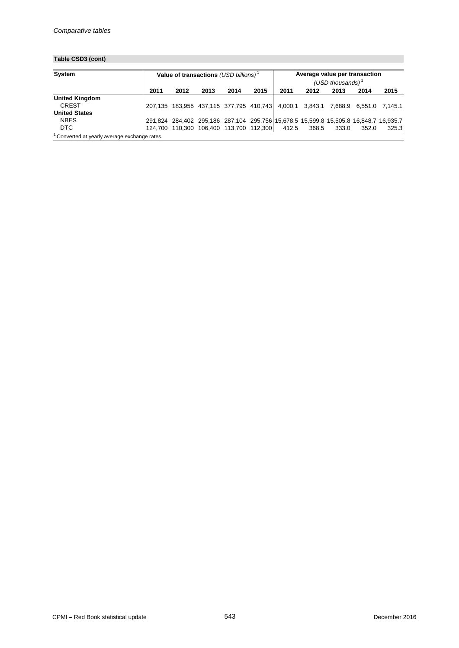# **Table CSD3 (cont)**

| System<br>Value of transactions (USD billions) <sup>1</sup> |      |      |      |                                                                                      |      | Average value per transaction<br>(USD thousands) $1$ |       |       |       |       |  |  |
|-------------------------------------------------------------|------|------|------|--------------------------------------------------------------------------------------|------|------------------------------------------------------|-------|-------|-------|-------|--|--|
|                                                             | 2011 | 2012 | 2013 | 2014                                                                                 | 2015 | 2011                                                 | 2012  | 2013  | 2014  | 2015  |  |  |
| <b>United Kingdom</b>                                       |      |      |      |                                                                                      |      |                                                      |       |       |       |       |  |  |
| <b>CREST</b>                                                |      |      |      | 207,135 183,955 437,115 377,795 410,743 4,000.1 3,843.1 7,688.9 6,551.0 7,145.1      |      |                                                      |       |       |       |       |  |  |
| <b>United States</b>                                        |      |      |      |                                                                                      |      |                                                      |       |       |       |       |  |  |
| <b>NBES</b>                                                 |      |      |      | 291,824 284,402 295,186 287,104 295,756 15,678.5 15,599.8 15,505.8 16,848.7 16,935.7 |      |                                                      |       |       |       |       |  |  |
| <b>DTC</b>                                                  |      |      |      | 124,700 110,300 106,400 113,700 112,300                                              |      | 412.5                                                | 368.5 | 333.0 | 352.0 | 325.3 |  |  |

<sup>1</sup> Converted at yearly average exchange rates.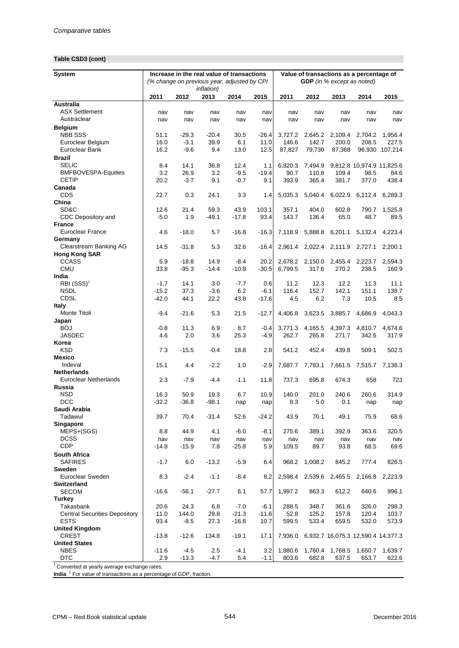# **Table CSD3 (cont)**

| <b>System</b>                               | Increase in the real value of transactions |                                                                   |                 |               |               | Value of transactions as a percentage of |                                   |                         |                                    |                 |  |  |
|---------------------------------------------|--------------------------------------------|-------------------------------------------------------------------|-----------------|---------------|---------------|------------------------------------------|-----------------------------------|-------------------------|------------------------------------|-----------------|--|--|
|                                             |                                            | (% change on previous year, adjusted by CPI<br><i>inflation</i> ) |                 |               |               |                                          | <b>GDP</b> (in % except as noted) |                         |                                    |                 |  |  |
|                                             | 2011                                       | 2012                                                              | 2013            | 2014          | 2015          | 2011                                     | 2012                              | 2013                    | 2014                               | 2015            |  |  |
| Australia                                   |                                            |                                                                   |                 |               |               |                                          |                                   |                         |                                    |                 |  |  |
| <b>ASX Settlement</b>                       | nav                                        | nav                                                               | nav             | nav           | nav           | nav                                      | nav                               | nav                     | nav                                | nav             |  |  |
| Austraclear                                 | nav                                        | nav                                                               | nav             | nav           | nav           | nav                                      | nav                               | nav                     | nav                                | nav             |  |  |
| <b>Belgium</b>                              |                                            |                                                                   |                 |               |               |                                          |                                   |                         |                                    |                 |  |  |
| <b>NBB SSS</b>                              | 51.1                                       | $-29.3$                                                           | $-20.4$         | 30.5          | $-26.4$       | 3,727.2                                  | 2,645.2                           | 2,109.4                 | 2,704.2                            | 1,956.4         |  |  |
| Euroclear Belgium<br>Euroclear Bank         | 16.0<br>16.2                               | $-3.1$                                                            | 39.9            | 6.1           | 11.0          | 146.6                                    | 142.7                             | 200.0                   | 208.5                              | 227.5           |  |  |
|                                             |                                            | $-9.6$                                                            | 9.4             | 13.0          | 12.5          | 87,827                                   | 79,730                            | 87,368                  |                                    | 96,930 107,214  |  |  |
| <b>Brazil</b><br><b>SELIC</b>               | 8.4                                        | 14.1                                                              | 36.8            | 12.4          | 1.1           | 6,820.3                                  | 7,494.9                           |                         |                                    |                 |  |  |
| <b>BMFBOVESPA-Equities</b>                  | 3.2                                        | 26.9                                                              | 3.2             | $-9.5$        | $-19.4$       | 90.7                                     | 110.8                             | 109.4                   | 9,812.8 10,974.9 11,825.6<br>98.5  | 84.6            |  |  |
| <b>CETIP</b>                                | 20.2                                       | $-3.7$                                                            | 9.1             | $-0.7$        | 9.1           | 393.9                                    | 365.4                             | 381.7                   | 377.0                              | 438.4           |  |  |
| Canada                                      |                                            |                                                                   |                 |               |               |                                          |                                   |                         |                                    |                 |  |  |
| CDS                                         | 22.7                                       | 0.3                                                               | 24.1            | 3.3           | 1.4           | 5,035.3                                  | 5,040.4                           | 6,022.9                 | 6,112.4                            | 6,289.3         |  |  |
| China                                       |                                            |                                                                   |                 |               |               |                                          |                                   |                         |                                    |                 |  |  |
| SD&C                                        | 12.6                                       | 21.4                                                              | 59.3            | 43.9          | 103.1         | 357.1                                    | 404.0                             | 602.8                   | 790.7                              | 1,525.8         |  |  |
| CDC Depository and                          | $-5.0$                                     | 1.9                                                               | $-49.1$         | $-17.8$       | 93.4          | 143.7                                    | 136.4                             | 65.0                    | 48.7                               | 89.5            |  |  |
| <b>France</b>                               |                                            |                                                                   |                 |               |               |                                          |                                   |                         |                                    |                 |  |  |
| <b>Euroclear France</b>                     | 4.6                                        | $-18.0$                                                           | 5.7             | $-16.8$       | $-16.3$       | 7,118.9                                  | 5,888.8                           | 6,201.1                 | 5,132.4                            | 4,223.4         |  |  |
| Germany                                     |                                            |                                                                   |                 |               |               |                                          |                                   |                         |                                    |                 |  |  |
| Clearstream Banking AG                      | 14.5                                       | $-31.8$                                                           | 5.3             | 32.6          | $-16.4$       |                                          | 2,961.4 2,022.4 2,111.9           |                         | 2,727.1                            | 2,200.1         |  |  |
| <b>Hong Kong SAR</b>                        |                                            |                                                                   |                 |               |               |                                          |                                   |                         |                                    |                 |  |  |
| <b>CCASS</b>                                | 5.9                                        | $-18.8$                                                           | 14.9            | $-8.4$        | 20.2          | 2,678.2                                  | 2,150.0                           | 2,455.4                 | 2,223.7                            | 2,594.3         |  |  |
| <b>CMU</b>                                  | 33.8                                       | $-95.3$                                                           | $-14.4$         | $-10.8$       | $-30.5$       | 6,799.5                                  | 317.6                             | 270.2                   | 238.5                              | 160.9           |  |  |
| India                                       |                                            |                                                                   |                 |               |               |                                          |                                   |                         |                                    |                 |  |  |
| $RBI (SSS)^1$<br><b>NSDL</b>                | $-1.7$<br>$-15.2$                          | 14.1<br>37.3                                                      | 3.0<br>$-3.6$   | $-7.7$<br>6.2 | 0.6<br>$-6.1$ | 11.2<br>116.4                            | 12.3<br>152.7                     | 12.2<br>142.1           | 11.3<br>151.1                      | 11.1<br>138.7   |  |  |
| <b>CDSL</b>                                 | $-42.0$                                    | 44.1                                                              | 22.2            | 43.8          | $-17.6$       | 4.5                                      | 6.2                               | 7.3                     | 10.5                               | 8.5             |  |  |
| <b>Italy</b>                                |                                            |                                                                   |                 |               |               |                                          |                                   |                         |                                    |                 |  |  |
| Monte Titoli                                | $-9.4$                                     | $-21.6$                                                           | 5.3             | 21.5          | $-12.7$       | 4,406.8                                  | 3,623.5                           | 3,885.7                 | 4,686.9                            | 4,043.3         |  |  |
| Japan                                       |                                            |                                                                   |                 |               |               |                                          |                                   |                         |                                    |                 |  |  |
| <b>BOJ</b>                                  | $-0.8$                                     | 11.3                                                              | 6.9             | 8.7           | $-0.4$        | 3,771.3                                  | 4,165.5                           | 4,397.3                 | 4,810.7                            | 4,674.6         |  |  |
| <b>JASDEC</b>                               | 4.6                                        | 2.0                                                               | 3.6             | 25.3          | $-4.9$        | 262.7                                    | 265.8                             | 271.7                   | 342.6                              | 317.9           |  |  |
| Korea                                       |                                            |                                                                   |                 |               |               |                                          |                                   |                         |                                    |                 |  |  |
| <b>KSD</b>                                  | 7.3                                        | $-15.5$                                                           | $-0.4$          | 18.8          | 2.8           | 541.2                                    | 452.4                             | 439.8                   | 509.1                              | 502.5           |  |  |
| Mexico                                      |                                            |                                                                   |                 |               |               |                                          |                                   |                         |                                    |                 |  |  |
| Indeval                                     | 15.1                                       | 4.4                                                               | $-2.2$          | 1.0           | $-2.9$        | 7,687.7                                  | 7,783.1                           | 7,661.5                 |                                    | 7,515.7 7,138.3 |  |  |
| <b>Netherlands</b>                          |                                            |                                                                   |                 |               |               |                                          |                                   |                         |                                    |                 |  |  |
| Euroclear Netherlands                       | 2.3                                        | $-7.9$                                                            | $-4.4$          | $-1.1$        | 11.8          | 737.3                                    | 695.8                             | 674.3                   | 658                                | 723             |  |  |
| Russia<br><b>NSD</b>                        | 16.3                                       | 50.9                                                              |                 |               |               | 140.0                                    |                                   |                         |                                    | 314.9           |  |  |
| <b>DCC</b>                                  | $-32.2$                                    | $-36.8$                                                           | 19.3<br>$-98.1$ | 6.7<br>nap    | 10.9<br>nap   | 8.3                                      | 201.0<br>5.0                      | 240.6<br>0.1            | 260.6<br>nap                       | nap             |  |  |
| Saudi Arabia                                |                                            |                                                                   |                 |               |               |                                          |                                   |                         |                                    |                 |  |  |
| Tadawul                                     | 39.7                                       | 70.4                                                              | $-31.4$         | 52.6          | $-24.2$       | 43.9                                     | 70.1                              | 49.1                    | 75.9                               | 68.6            |  |  |
| Singapore                                   |                                            |                                                                   |                 |               |               |                                          |                                   |                         |                                    |                 |  |  |
| MEPS+(SGS)                                  | 8.8                                        | 44.9                                                              | 4.1             | $-6.0$        | $-8.1$        | 275.6                                    | 389.1                             | 392.9                   | 363.6                              | 320.5           |  |  |
| <b>DCSS</b>                                 | nav                                        | nav                                                               | nav             | nav           | nav           | nav                                      | nav                               | nav                     | nav                                | nav             |  |  |
| CDP                                         | $-14.8$                                    | $-15.9$                                                           | 7.8             | $-25.8$       | 5.9           | 109.5                                    | 89.7                              | 93.8                    | 68.5                               | 69.6            |  |  |
| South Africa                                |                                            |                                                                   |                 |               |               |                                          |                                   |                         |                                    |                 |  |  |
| <b>SAFIRES</b>                              | $-1.7$                                     | 6.0                                                               | $-13.2$         | $-5.9$        | 6.4           | 968.2                                    | 1,008.2                           | 845.2                   | 777.4                              | 826.5           |  |  |
| Sweden                                      |                                            |                                                                   |                 |               |               |                                          |                                   |                         |                                    |                 |  |  |
| Euroclear Sweden                            | 8.3                                        | $-2.4$                                                            | $-1.1$          | $-8.4$        | 8.2           |                                          |                                   | 2,598.4 2,539.6 2,465.5 |                                    | 2,166.8 2,223.9 |  |  |
| <b>Switzerland</b>                          |                                            |                                                                   |                 |               |               |                                          |                                   |                         |                                    |                 |  |  |
| <b>SECOM</b>                                | $-16.6$                                    | $-56.1$                                                           | $-27.7$         | 6.1           | 57.7          | 1,997.2                                  | 863.3                             | 612.2                   | 640.6                              | 996.1           |  |  |
| Turkey                                      |                                            |                                                                   |                 |               |               |                                          |                                   |                         |                                    |                 |  |  |
| Takasbank                                   | 20.6                                       | 24.3                                                              | 6.8             | $-7.0$        | $-6.1$        | 288.5                                    | 348.7                             | 361.6                   | 326.0                              | 298.3           |  |  |
| <b>Central Securities Depository</b>        | 11.0                                       | 144.0                                                             | 29.8            | $-21.3$       | $-11.6$       | 52.8                                     | 125.2<br>533.4                    | 157.8<br>659.5          | 120.4                              | 103.7           |  |  |
| <b>ESTS</b><br><b>United Kingdom</b>        | 93.4                                       | $-8.5$                                                            | 27.3            | $-16.8$       | 10.7          | 599.5                                    |                                   |                         | 532.0                              | 573.9           |  |  |
| <b>CREST</b>                                | $-13.8$                                    | $-12.6$                                                           | 134.8           | $-19.1$       | 17.1          | 7,936.0                                  |                                   |                         | 6,932.7 16,075.3 12,590.4 14,377.3 |                 |  |  |
| <b>United States</b>                        |                                            |                                                                   |                 |               |               |                                          |                                   |                         |                                    |                 |  |  |
| <b>NBES</b>                                 | $-11.6$                                    | $-4.5$                                                            | 2.5             | $-4.1$        | 3.2           | 1,880.6                                  | 1,760.4                           | 1,768.5                 | 1,650.7                            | 1,639.7         |  |  |
| <b>DTC</b>                                  | 2.9                                        | $-13.3$                                                           | -4.7            | 5.4           | $-1.1$        | 803.6                                    | 682.8                             | 637.5                   | 653.7                              | 622.6           |  |  |
| Converted at yearly average exchange rates. |                                            |                                                                   |                 |               |               |                                          |                                   |                         |                                    |                 |  |  |

India: <sup>1</sup> For value of transactions as a percentage of GDP, fraction.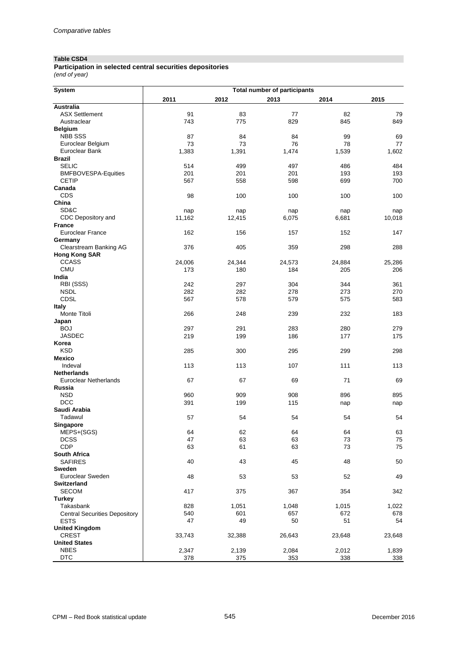#### **Table CSD4**

*(end of year)* **Participation in selected central securities depositories**

| <b>System</b>                        |        | <b>Total number of participants</b> |        |        |        |  |  |  |  |
|--------------------------------------|--------|-------------------------------------|--------|--------|--------|--|--|--|--|
|                                      | 2011   | 2012                                | 2013   | 2014   | 2015   |  |  |  |  |
| <b>Australia</b>                     |        |                                     |        |        |        |  |  |  |  |
| <b>ASX Settlement</b>                | 91     | 83                                  | 77     | 82     | 79     |  |  |  |  |
| Austraclear                          | 743    | 775                                 | 829    | 845    | 849    |  |  |  |  |
| <b>Belgium</b>                       |        |                                     |        |        |        |  |  |  |  |
| <b>NBB SSS</b>                       | 87     | 84                                  | 84     | 99     | 69     |  |  |  |  |
| Euroclear Belgium                    | 73     | 73                                  | 76     | 78     | 77     |  |  |  |  |
| Euroclear Bank                       | 1,383  | 1,391                               | 1,474  | 1,539  | 1,602  |  |  |  |  |
| <b>Brazil</b>                        |        |                                     |        |        |        |  |  |  |  |
| <b>SELIC</b>                         | 514    | 499                                 | 497    | 486    | 484    |  |  |  |  |
| <b>BMFBOVESPA-Equities</b>           | 201    | 201                                 | 201    | 193    | 193    |  |  |  |  |
| <b>CETIP</b>                         | 567    | 558                                 | 598    | 699    | 700    |  |  |  |  |
| Canada                               |        |                                     |        |        |        |  |  |  |  |
| CDS                                  | 98     | 100                                 | 100    | 100    | 100    |  |  |  |  |
| China                                |        |                                     |        |        |        |  |  |  |  |
| SD&C                                 | nap    | nap                                 | nap    | nap    | nap    |  |  |  |  |
| CDC Depository and                   | 11,162 | 12,415                              | 6,075  | 6,681  | 10,018 |  |  |  |  |
| <b>France</b>                        |        |                                     |        |        |        |  |  |  |  |
| Euroclear France                     | 162    | 156                                 | 157    | 152    | 147    |  |  |  |  |
| Germany                              |        |                                     |        |        |        |  |  |  |  |
| Clearstream Banking AG               | 376    | 405                                 | 359    | 298    | 288    |  |  |  |  |
| <b>Hong Kong SAR</b>                 |        |                                     |        |        |        |  |  |  |  |
| <b>CCASS</b>                         | 24,006 | 24,344                              | 24,573 | 24,884 | 25,286 |  |  |  |  |
| <b>CMU</b>                           | 173    | 180                                 | 184    | 205    | 206    |  |  |  |  |
| India                                |        |                                     |        |        |        |  |  |  |  |
| RBI (SSS)                            | 242    | 297                                 | 304    | 344    | 361    |  |  |  |  |
| <b>NSDL</b>                          | 282    | 282                                 | 278    | 273    | 270    |  |  |  |  |
| <b>CDSL</b>                          | 567    | 578                                 | 579    | 575    | 583    |  |  |  |  |
| <b>Italy</b>                         |        |                                     |        |        |        |  |  |  |  |
| Monte Titoli                         | 266    | 248                                 | 239    | 232    | 183    |  |  |  |  |
| Japan                                |        |                                     |        |        |        |  |  |  |  |
| <b>BOJ</b>                           | 297    | 291                                 | 283    | 280    | 279    |  |  |  |  |
| <b>JASDEC</b>                        | 219    | 199                                 | 186    | 177    | 175    |  |  |  |  |
| Korea                                |        |                                     |        |        |        |  |  |  |  |
| <b>KSD</b>                           | 285    | 300                                 | 295    | 299    | 298    |  |  |  |  |
| <b>Mexico</b>                        |        |                                     |        |        |        |  |  |  |  |
| Indeval                              | 113    | 113                                 | 107    | 111    | 113    |  |  |  |  |
| <b>Netherlands</b>                   |        |                                     |        |        |        |  |  |  |  |
| Euroclear Netherlands                | 67     | 67                                  | 69     | 71     | 69     |  |  |  |  |
| Russia                               |        |                                     |        |        |        |  |  |  |  |
| <b>NSD</b>                           | 960    | 909                                 | 908    | 896    | 895    |  |  |  |  |
| <b>DCC</b>                           | 391    | 199                                 | 115    | nap    | nap    |  |  |  |  |
| Saudi Arabia                         |        |                                     |        |        |        |  |  |  |  |
| Tadawul                              | 57     | 54                                  | 54     | 54     | 54     |  |  |  |  |
| Singapore                            |        |                                     |        |        |        |  |  |  |  |
| MEPS+(SGS)                           | 64     | 62                                  | 64     | 64     | 63     |  |  |  |  |
| <b>DCSS</b>                          | 47     | 63                                  | 63     | 73     | 75     |  |  |  |  |
| CDP                                  | 63     | 61                                  | 63     | 73     | 75     |  |  |  |  |
| South Africa                         |        |                                     |        |        |        |  |  |  |  |
| <b>SAFIRES</b>                       | 40     | 43                                  | 45     | 48     | 50     |  |  |  |  |
| Sweden                               |        |                                     |        |        |        |  |  |  |  |
| Euroclear Sweden                     | 48     | 53                                  | 53     | 52     | 49     |  |  |  |  |
| Switzerland                          |        |                                     |        |        |        |  |  |  |  |
| <b>SECOM</b>                         | 417    | 375                                 | 367    | 354    | 342    |  |  |  |  |
| <b>Turkey</b>                        |        |                                     |        |        |        |  |  |  |  |
| Takasbank                            | 828    | 1,051                               | 1,048  | 1,015  | 1,022  |  |  |  |  |
| <b>Central Securities Depository</b> | 540    | 601                                 | 657    | 672    | 678    |  |  |  |  |
| <b>ESTS</b>                          | 47     | 49                                  | 50     | 51     | 54     |  |  |  |  |
| <b>United Kingdom</b>                |        |                                     |        |        |        |  |  |  |  |
| <b>CREST</b>                         | 33,743 | 32,388                              | 26,643 | 23,648 | 23,648 |  |  |  |  |
| <b>United States</b>                 |        |                                     |        |        |        |  |  |  |  |
| <b>NBES</b>                          | 2,347  | 2,139                               | 2,084  | 2,012  | 1,839  |  |  |  |  |
| <b>DTC</b>                           | 378    | 375                                 | 353    | 338    | 338    |  |  |  |  |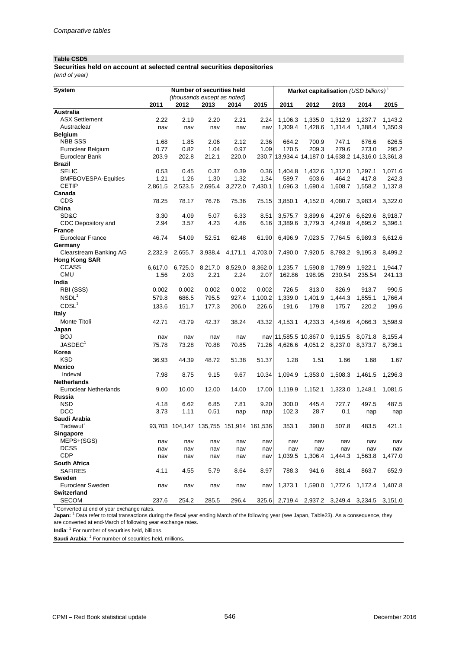#### **Table CSD5**

**Securities held on account at selected central securities depositories** *(end of year)*

| (thousands except as noted)<br>2012<br>2013<br>2011<br>2012<br>2011<br>2014<br>2015<br>2013<br>2014<br>2015<br>Australia<br>2.20<br>2.24<br>1,106.3<br><b>ASX Settlement</b><br>2.22<br>2.19<br>2.21<br>1,335.0<br>1,312.9<br>1,237.7<br>1,143.2<br>Austraclear<br>1,428.6<br>1,309.4<br>1,314.4<br>1,388.4<br>nav<br>nav<br>nav<br>nav<br>nav<br>1,350.9<br><b>Belgium</b><br><b>NBB SSS</b><br>1.85<br>2.06<br>2.12<br>2.36<br>626.5<br>1.68<br>664.2<br>700.9<br>747.1<br>676.6<br>Euroclear Belgium<br>0.77<br>0.82<br>1.04<br>0.97<br>1.09<br>170.5<br>209.3<br>279.6<br>273.0<br>295.2<br>203.9<br>202.8<br>212.1<br>230.7 13,934.4 14,187.0 14,638.2 14,316.0 13,361.8<br>Euroclear Bank<br>220.0<br><b>Brazil</b><br><b>SELIC</b><br>0.53<br>0.45<br>0.37<br>0.39<br>0.36<br>1,404.8<br>1,432.6<br>1,071.6<br>1,312.0<br>1,297.1<br>1.26<br><b>BMFBOVESPA-Equities</b><br>1.21<br>1.30<br>1.32<br>1.34<br>589.7<br>603.6<br>464.2<br>417.8<br>242.3<br><b>CETIP</b><br>2,695.4<br>1,696.3<br>1,690.4<br>1,608.7<br>2,861.5<br>2,523.5<br>3,272.0<br>7,430.1<br>1,558.2<br>1,137.8<br>Canada<br><b>CDS</b><br>78.25<br>78.17<br>76.76<br>75.36<br>75.15<br>3,850.1<br>4,152.0<br>4,080.7<br>3,983.4<br>3,322.0<br>China<br>SD&C<br>3.30<br>4.09<br>5.07<br>6.33<br>8.51<br>3,575.7<br>3,899.6<br>4,297.6<br>6,629.6<br>8,918.7<br>CDC Depository and<br>2.94<br>4.23<br>3.57<br>4.86<br>6.16<br>3,389.6<br>3,779.3<br>4,249.8<br>4,695.2<br>5,396.1<br><b>France</b><br><b>Euroclear France</b><br>46.74<br>54.09<br>52.51<br>62.48<br>61.90<br>6,496.9<br>7,023.5<br>7,764.5<br>6,989.3<br>6,612.6<br>Germany<br>Clearstream Banking AG<br>3,938.4<br>4,171.1<br>4,703.0<br>7,490.0<br>7,920.5<br>8,793.2<br>9,195.3<br>2,232.9<br>2,655.7<br>8,499.2<br><b>Hong Kong SAR</b><br><b>CCASS</b><br>8,529.0<br>8,362.0<br>1,235.7<br>1,590.8<br>6,617.0<br>6,725.0<br>8,217.0<br>1,789.9<br>1,922.1<br>1,944.7<br><b>CMU</b><br>2.03<br>2.21<br>2.24<br>198.95<br>230.54<br>1.56<br>2.07<br>162.86<br>235.54<br>241.13<br>India<br>RBI (SSS)<br>0.002<br>0.002<br>0.002<br>0.002<br>726.5<br>813.0<br>826.9<br>913.7<br>990.5<br>0.002<br>NSDL <sup>1</sup><br>579.8<br>686.5<br>795.5<br>927.4<br>1,100.2<br>1,339.0<br>1,401.9<br>1,766.4<br>1,444.3<br>1,855.1<br>CDSL <sup>1</sup><br>133.6<br>151.7<br>177.3<br>191.6<br>199.6<br>206.0<br>226.6<br>179.8<br>175.7<br>220.2<br><b>Italy</b><br>Monte Titoli<br>42.71<br>43.79<br>42.37<br>38.24<br>4,153.1 4,233.3<br>4,549.6<br>4,066.3<br>3,598.9<br>43.32<br>Japan<br><b>BOJ</b><br>nav 11,585.5 10,867.0 9,115.5<br>8,071.8<br>8,155.4<br>nav<br>nav<br>nav<br>nav<br>JASDEC <sup>1</sup><br>75.78<br>73.28<br>70.88<br>70.85<br>4,626.6 4,051.2 8,237.0<br>8,373.7<br>71.26<br>8,736.1<br>Korea<br><b>KSD</b><br>36.93<br>51.38<br>1.28<br>1.66<br>1.68<br>44.39<br>48.72<br>51.37<br>1.51<br>1.67<br><b>Mexico</b><br>Indeval<br>7.98<br>8.75<br>9.15<br>9.67<br>10.34<br>1,094.9<br>1,353.0<br>1,508.3<br>1,296.3<br>1,461.5<br><b>Netherlands</b><br><b>Euroclear Netherlands</b><br>9.00<br>10.00<br>12.00<br>14.00<br>17.00<br>1,119.9<br>1,152.1<br>1,323.0<br>1,248.1<br>1,081.5<br>Russia<br><b>NSD</b><br>6.85<br>300.0<br>727.7<br>4.18<br>6.62<br>7.81<br>9.20<br>445.4<br>497.5<br>487.5<br><b>DCC</b><br>3.73<br>1.11<br>0.51<br>102.3<br>28.7<br>0.1<br>nap<br>nap<br>nap<br>nap<br>Saudi Arabia<br>Tadawul <sup>1</sup><br>93,703 104,147 135,755 151,914 161,536<br>353.1<br>390.0<br>507.8<br>483.5<br>421.1<br><b>Singapore</b><br>MEPS+(SGS)<br>nav<br>nav<br>nav<br>nav<br>nav<br>nav<br>nav<br>nav<br>nav<br>nav<br><b>DCSS</b><br>nav<br>nav<br>nav<br>nav<br>nav<br>nav<br>nav<br>nav<br>nav<br>nav<br><b>CDP</b><br>1,444.3<br>1,039.5<br>1,306.4<br>1,563.8<br>1,477.0<br>nav<br>nav<br>nav<br>nav<br>nav<br>South Africa<br><b>SAFIRES</b><br>4.55<br>8.97<br>788.3<br>941.6<br>881.4<br>863.7<br>652.9<br>4.11<br>5.79<br>8.64<br><b>Sweden</b><br>Euroclear Sweden<br>1,373.1<br>1,590.0<br>1,772.6<br>1,172.4<br>1,407.8<br>nav<br>nav<br>nav<br>nav<br>nav<br><b>Switzerland</b><br><b>SECOM</b><br>254.2<br>285.5<br>296.4<br>237.6<br>325.6<br>2,719.4<br>2,937.2<br>3,249.4<br>3,234.5<br>3,151.0 | System |  | <b>Number of securities held</b> |  | Market capitalisation (USD billions) <sup>1</sup> |  |  |  |  |  |  |
|---------------------------------------------------------------------------------------------------------------------------------------------------------------------------------------------------------------------------------------------------------------------------------------------------------------------------------------------------------------------------------------------------------------------------------------------------------------------------------------------------------------------------------------------------------------------------------------------------------------------------------------------------------------------------------------------------------------------------------------------------------------------------------------------------------------------------------------------------------------------------------------------------------------------------------------------------------------------------------------------------------------------------------------------------------------------------------------------------------------------------------------------------------------------------------------------------------------------------------------------------------------------------------------------------------------------------------------------------------------------------------------------------------------------------------------------------------------------------------------------------------------------------------------------------------------------------------------------------------------------------------------------------------------------------------------------------------------------------------------------------------------------------------------------------------------------------------------------------------------------------------------------------------------------------------------------------------------------------------------------------------------------------------------------------------------------------------------------------------------------------------------------------------------------------------------------------------------------------------------------------------------------------------------------------------------------------------------------------------------------------------------------------------------------------------------------------------------------------------------------------------------------------------------------------------------------------------------------------------------------------------------------------------------------------------------------------------------------------------------------------------------------------------------------------------------------------------------------------------------------------------------------------------------------------------------------------------------------------------------------------------------------------------------------------------------------------------------------------------------------------------------------------------------------------------------------------------------------------------------------------------------------------------------------------------------------------------------------------------------------------------------------------------------------------------------------------------------------------------------------------------------------------------------------------------------------------------------------------------------------------------------------------------------------------------------------------------------------------------------------------------------------------------------------------------------------------------------------------------------------------------------------------------------------------------------------------------------------------------------------------------------------------------------------------------------------------------------------------------------------------------------------------------------------------------------------------|--------|--|----------------------------------|--|---------------------------------------------------|--|--|--|--|--|--|
|                                                                                                                                                                                                                                                                                                                                                                                                                                                                                                                                                                                                                                                                                                                                                                                                                                                                                                                                                                                                                                                                                                                                                                                                                                                                                                                                                                                                                                                                                                                                                                                                                                                                                                                                                                                                                                                                                                                                                                                                                                                                                                                                                                                                                                                                                                                                                                                                                                                                                                                                                                                                                                                                                                                                                                                                                                                                                                                                                                                                                                                                                                                                                                                                                                                                                                                                                                                                                                                                                                                                                                                                                                                                                                                                                                                                                                                                                                                                                                                                                                                                                                                                                                                                   |        |  |                                  |  |                                                   |  |  |  |  |  |  |
|                                                                                                                                                                                                                                                                                                                                                                                                                                                                                                                                                                                                                                                                                                                                                                                                                                                                                                                                                                                                                                                                                                                                                                                                                                                                                                                                                                                                                                                                                                                                                                                                                                                                                                                                                                                                                                                                                                                                                                                                                                                                                                                                                                                                                                                                                                                                                                                                                                                                                                                                                                                                                                                                                                                                                                                                                                                                                                                                                                                                                                                                                                                                                                                                                                                                                                                                                                                                                                                                                                                                                                                                                                                                                                                                                                                                                                                                                                                                                                                                                                                                                                                                                                                                   |        |  |                                  |  |                                                   |  |  |  |  |  |  |
|                                                                                                                                                                                                                                                                                                                                                                                                                                                                                                                                                                                                                                                                                                                                                                                                                                                                                                                                                                                                                                                                                                                                                                                                                                                                                                                                                                                                                                                                                                                                                                                                                                                                                                                                                                                                                                                                                                                                                                                                                                                                                                                                                                                                                                                                                                                                                                                                                                                                                                                                                                                                                                                                                                                                                                                                                                                                                                                                                                                                                                                                                                                                                                                                                                                                                                                                                                                                                                                                                                                                                                                                                                                                                                                                                                                                                                                                                                                                                                                                                                                                                                                                                                                                   |        |  |                                  |  |                                                   |  |  |  |  |  |  |
|                                                                                                                                                                                                                                                                                                                                                                                                                                                                                                                                                                                                                                                                                                                                                                                                                                                                                                                                                                                                                                                                                                                                                                                                                                                                                                                                                                                                                                                                                                                                                                                                                                                                                                                                                                                                                                                                                                                                                                                                                                                                                                                                                                                                                                                                                                                                                                                                                                                                                                                                                                                                                                                                                                                                                                                                                                                                                                                                                                                                                                                                                                                                                                                                                                                                                                                                                                                                                                                                                                                                                                                                                                                                                                                                                                                                                                                                                                                                                                                                                                                                                                                                                                                                   |        |  |                                  |  |                                                   |  |  |  |  |  |  |
|                                                                                                                                                                                                                                                                                                                                                                                                                                                                                                                                                                                                                                                                                                                                                                                                                                                                                                                                                                                                                                                                                                                                                                                                                                                                                                                                                                                                                                                                                                                                                                                                                                                                                                                                                                                                                                                                                                                                                                                                                                                                                                                                                                                                                                                                                                                                                                                                                                                                                                                                                                                                                                                                                                                                                                                                                                                                                                                                                                                                                                                                                                                                                                                                                                                                                                                                                                                                                                                                                                                                                                                                                                                                                                                                                                                                                                                                                                                                                                                                                                                                                                                                                                                                   |        |  |                                  |  |                                                   |  |  |  |  |  |  |
|                                                                                                                                                                                                                                                                                                                                                                                                                                                                                                                                                                                                                                                                                                                                                                                                                                                                                                                                                                                                                                                                                                                                                                                                                                                                                                                                                                                                                                                                                                                                                                                                                                                                                                                                                                                                                                                                                                                                                                                                                                                                                                                                                                                                                                                                                                                                                                                                                                                                                                                                                                                                                                                                                                                                                                                                                                                                                                                                                                                                                                                                                                                                                                                                                                                                                                                                                                                                                                                                                                                                                                                                                                                                                                                                                                                                                                                                                                                                                                                                                                                                                                                                                                                                   |        |  |                                  |  |                                                   |  |  |  |  |  |  |
|                                                                                                                                                                                                                                                                                                                                                                                                                                                                                                                                                                                                                                                                                                                                                                                                                                                                                                                                                                                                                                                                                                                                                                                                                                                                                                                                                                                                                                                                                                                                                                                                                                                                                                                                                                                                                                                                                                                                                                                                                                                                                                                                                                                                                                                                                                                                                                                                                                                                                                                                                                                                                                                                                                                                                                                                                                                                                                                                                                                                                                                                                                                                                                                                                                                                                                                                                                                                                                                                                                                                                                                                                                                                                                                                                                                                                                                                                                                                                                                                                                                                                                                                                                                                   |        |  |                                  |  |                                                   |  |  |  |  |  |  |
|                                                                                                                                                                                                                                                                                                                                                                                                                                                                                                                                                                                                                                                                                                                                                                                                                                                                                                                                                                                                                                                                                                                                                                                                                                                                                                                                                                                                                                                                                                                                                                                                                                                                                                                                                                                                                                                                                                                                                                                                                                                                                                                                                                                                                                                                                                                                                                                                                                                                                                                                                                                                                                                                                                                                                                                                                                                                                                                                                                                                                                                                                                                                                                                                                                                                                                                                                                                                                                                                                                                                                                                                                                                                                                                                                                                                                                                                                                                                                                                                                                                                                                                                                                                                   |        |  |                                  |  |                                                   |  |  |  |  |  |  |
|                                                                                                                                                                                                                                                                                                                                                                                                                                                                                                                                                                                                                                                                                                                                                                                                                                                                                                                                                                                                                                                                                                                                                                                                                                                                                                                                                                                                                                                                                                                                                                                                                                                                                                                                                                                                                                                                                                                                                                                                                                                                                                                                                                                                                                                                                                                                                                                                                                                                                                                                                                                                                                                                                                                                                                                                                                                                                                                                                                                                                                                                                                                                                                                                                                                                                                                                                                                                                                                                                                                                                                                                                                                                                                                                                                                                                                                                                                                                                                                                                                                                                                                                                                                                   |        |  |                                  |  |                                                   |  |  |  |  |  |  |
|                                                                                                                                                                                                                                                                                                                                                                                                                                                                                                                                                                                                                                                                                                                                                                                                                                                                                                                                                                                                                                                                                                                                                                                                                                                                                                                                                                                                                                                                                                                                                                                                                                                                                                                                                                                                                                                                                                                                                                                                                                                                                                                                                                                                                                                                                                                                                                                                                                                                                                                                                                                                                                                                                                                                                                                                                                                                                                                                                                                                                                                                                                                                                                                                                                                                                                                                                                                                                                                                                                                                                                                                                                                                                                                                                                                                                                                                                                                                                                                                                                                                                                                                                                                                   |        |  |                                  |  |                                                   |  |  |  |  |  |  |
|                                                                                                                                                                                                                                                                                                                                                                                                                                                                                                                                                                                                                                                                                                                                                                                                                                                                                                                                                                                                                                                                                                                                                                                                                                                                                                                                                                                                                                                                                                                                                                                                                                                                                                                                                                                                                                                                                                                                                                                                                                                                                                                                                                                                                                                                                                                                                                                                                                                                                                                                                                                                                                                                                                                                                                                                                                                                                                                                                                                                                                                                                                                                                                                                                                                                                                                                                                                                                                                                                                                                                                                                                                                                                                                                                                                                                                                                                                                                                                                                                                                                                                                                                                                                   |        |  |                                  |  |                                                   |  |  |  |  |  |  |
|                                                                                                                                                                                                                                                                                                                                                                                                                                                                                                                                                                                                                                                                                                                                                                                                                                                                                                                                                                                                                                                                                                                                                                                                                                                                                                                                                                                                                                                                                                                                                                                                                                                                                                                                                                                                                                                                                                                                                                                                                                                                                                                                                                                                                                                                                                                                                                                                                                                                                                                                                                                                                                                                                                                                                                                                                                                                                                                                                                                                                                                                                                                                                                                                                                                                                                                                                                                                                                                                                                                                                                                                                                                                                                                                                                                                                                                                                                                                                                                                                                                                                                                                                                                                   |        |  |                                  |  |                                                   |  |  |  |  |  |  |
|                                                                                                                                                                                                                                                                                                                                                                                                                                                                                                                                                                                                                                                                                                                                                                                                                                                                                                                                                                                                                                                                                                                                                                                                                                                                                                                                                                                                                                                                                                                                                                                                                                                                                                                                                                                                                                                                                                                                                                                                                                                                                                                                                                                                                                                                                                                                                                                                                                                                                                                                                                                                                                                                                                                                                                                                                                                                                                                                                                                                                                                                                                                                                                                                                                                                                                                                                                                                                                                                                                                                                                                                                                                                                                                                                                                                                                                                                                                                                                                                                                                                                                                                                                                                   |        |  |                                  |  |                                                   |  |  |  |  |  |  |
|                                                                                                                                                                                                                                                                                                                                                                                                                                                                                                                                                                                                                                                                                                                                                                                                                                                                                                                                                                                                                                                                                                                                                                                                                                                                                                                                                                                                                                                                                                                                                                                                                                                                                                                                                                                                                                                                                                                                                                                                                                                                                                                                                                                                                                                                                                                                                                                                                                                                                                                                                                                                                                                                                                                                                                                                                                                                                                                                                                                                                                                                                                                                                                                                                                                                                                                                                                                                                                                                                                                                                                                                                                                                                                                                                                                                                                                                                                                                                                                                                                                                                                                                                                                                   |        |  |                                  |  |                                                   |  |  |  |  |  |  |
|                                                                                                                                                                                                                                                                                                                                                                                                                                                                                                                                                                                                                                                                                                                                                                                                                                                                                                                                                                                                                                                                                                                                                                                                                                                                                                                                                                                                                                                                                                                                                                                                                                                                                                                                                                                                                                                                                                                                                                                                                                                                                                                                                                                                                                                                                                                                                                                                                                                                                                                                                                                                                                                                                                                                                                                                                                                                                                                                                                                                                                                                                                                                                                                                                                                                                                                                                                                                                                                                                                                                                                                                                                                                                                                                                                                                                                                                                                                                                                                                                                                                                                                                                                                                   |        |  |                                  |  |                                                   |  |  |  |  |  |  |
|                                                                                                                                                                                                                                                                                                                                                                                                                                                                                                                                                                                                                                                                                                                                                                                                                                                                                                                                                                                                                                                                                                                                                                                                                                                                                                                                                                                                                                                                                                                                                                                                                                                                                                                                                                                                                                                                                                                                                                                                                                                                                                                                                                                                                                                                                                                                                                                                                                                                                                                                                                                                                                                                                                                                                                                                                                                                                                                                                                                                                                                                                                                                                                                                                                                                                                                                                                                                                                                                                                                                                                                                                                                                                                                                                                                                                                                                                                                                                                                                                                                                                                                                                                                                   |        |  |                                  |  |                                                   |  |  |  |  |  |  |
|                                                                                                                                                                                                                                                                                                                                                                                                                                                                                                                                                                                                                                                                                                                                                                                                                                                                                                                                                                                                                                                                                                                                                                                                                                                                                                                                                                                                                                                                                                                                                                                                                                                                                                                                                                                                                                                                                                                                                                                                                                                                                                                                                                                                                                                                                                                                                                                                                                                                                                                                                                                                                                                                                                                                                                                                                                                                                                                                                                                                                                                                                                                                                                                                                                                                                                                                                                                                                                                                                                                                                                                                                                                                                                                                                                                                                                                                                                                                                                                                                                                                                                                                                                                                   |        |  |                                  |  |                                                   |  |  |  |  |  |  |
|                                                                                                                                                                                                                                                                                                                                                                                                                                                                                                                                                                                                                                                                                                                                                                                                                                                                                                                                                                                                                                                                                                                                                                                                                                                                                                                                                                                                                                                                                                                                                                                                                                                                                                                                                                                                                                                                                                                                                                                                                                                                                                                                                                                                                                                                                                                                                                                                                                                                                                                                                                                                                                                                                                                                                                                                                                                                                                                                                                                                                                                                                                                                                                                                                                                                                                                                                                                                                                                                                                                                                                                                                                                                                                                                                                                                                                                                                                                                                                                                                                                                                                                                                                                                   |        |  |                                  |  |                                                   |  |  |  |  |  |  |
|                                                                                                                                                                                                                                                                                                                                                                                                                                                                                                                                                                                                                                                                                                                                                                                                                                                                                                                                                                                                                                                                                                                                                                                                                                                                                                                                                                                                                                                                                                                                                                                                                                                                                                                                                                                                                                                                                                                                                                                                                                                                                                                                                                                                                                                                                                                                                                                                                                                                                                                                                                                                                                                                                                                                                                                                                                                                                                                                                                                                                                                                                                                                                                                                                                                                                                                                                                                                                                                                                                                                                                                                                                                                                                                                                                                                                                                                                                                                                                                                                                                                                                                                                                                                   |        |  |                                  |  |                                                   |  |  |  |  |  |  |
|                                                                                                                                                                                                                                                                                                                                                                                                                                                                                                                                                                                                                                                                                                                                                                                                                                                                                                                                                                                                                                                                                                                                                                                                                                                                                                                                                                                                                                                                                                                                                                                                                                                                                                                                                                                                                                                                                                                                                                                                                                                                                                                                                                                                                                                                                                                                                                                                                                                                                                                                                                                                                                                                                                                                                                                                                                                                                                                                                                                                                                                                                                                                                                                                                                                                                                                                                                                                                                                                                                                                                                                                                                                                                                                                                                                                                                                                                                                                                                                                                                                                                                                                                                                                   |        |  |                                  |  |                                                   |  |  |  |  |  |  |
|                                                                                                                                                                                                                                                                                                                                                                                                                                                                                                                                                                                                                                                                                                                                                                                                                                                                                                                                                                                                                                                                                                                                                                                                                                                                                                                                                                                                                                                                                                                                                                                                                                                                                                                                                                                                                                                                                                                                                                                                                                                                                                                                                                                                                                                                                                                                                                                                                                                                                                                                                                                                                                                                                                                                                                                                                                                                                                                                                                                                                                                                                                                                                                                                                                                                                                                                                                                                                                                                                                                                                                                                                                                                                                                                                                                                                                                                                                                                                                                                                                                                                                                                                                                                   |        |  |                                  |  |                                                   |  |  |  |  |  |  |
|                                                                                                                                                                                                                                                                                                                                                                                                                                                                                                                                                                                                                                                                                                                                                                                                                                                                                                                                                                                                                                                                                                                                                                                                                                                                                                                                                                                                                                                                                                                                                                                                                                                                                                                                                                                                                                                                                                                                                                                                                                                                                                                                                                                                                                                                                                                                                                                                                                                                                                                                                                                                                                                                                                                                                                                                                                                                                                                                                                                                                                                                                                                                                                                                                                                                                                                                                                                                                                                                                                                                                                                                                                                                                                                                                                                                                                                                                                                                                                                                                                                                                                                                                                                                   |        |  |                                  |  |                                                   |  |  |  |  |  |  |
|                                                                                                                                                                                                                                                                                                                                                                                                                                                                                                                                                                                                                                                                                                                                                                                                                                                                                                                                                                                                                                                                                                                                                                                                                                                                                                                                                                                                                                                                                                                                                                                                                                                                                                                                                                                                                                                                                                                                                                                                                                                                                                                                                                                                                                                                                                                                                                                                                                                                                                                                                                                                                                                                                                                                                                                                                                                                                                                                                                                                                                                                                                                                                                                                                                                                                                                                                                                                                                                                                                                                                                                                                                                                                                                                                                                                                                                                                                                                                                                                                                                                                                                                                                                                   |        |  |                                  |  |                                                   |  |  |  |  |  |  |
|                                                                                                                                                                                                                                                                                                                                                                                                                                                                                                                                                                                                                                                                                                                                                                                                                                                                                                                                                                                                                                                                                                                                                                                                                                                                                                                                                                                                                                                                                                                                                                                                                                                                                                                                                                                                                                                                                                                                                                                                                                                                                                                                                                                                                                                                                                                                                                                                                                                                                                                                                                                                                                                                                                                                                                                                                                                                                                                                                                                                                                                                                                                                                                                                                                                                                                                                                                                                                                                                                                                                                                                                                                                                                                                                                                                                                                                                                                                                                                                                                                                                                                                                                                                                   |        |  |                                  |  |                                                   |  |  |  |  |  |  |
|                                                                                                                                                                                                                                                                                                                                                                                                                                                                                                                                                                                                                                                                                                                                                                                                                                                                                                                                                                                                                                                                                                                                                                                                                                                                                                                                                                                                                                                                                                                                                                                                                                                                                                                                                                                                                                                                                                                                                                                                                                                                                                                                                                                                                                                                                                                                                                                                                                                                                                                                                                                                                                                                                                                                                                                                                                                                                                                                                                                                                                                                                                                                                                                                                                                                                                                                                                                                                                                                                                                                                                                                                                                                                                                                                                                                                                                                                                                                                                                                                                                                                                                                                                                                   |        |  |                                  |  |                                                   |  |  |  |  |  |  |
|                                                                                                                                                                                                                                                                                                                                                                                                                                                                                                                                                                                                                                                                                                                                                                                                                                                                                                                                                                                                                                                                                                                                                                                                                                                                                                                                                                                                                                                                                                                                                                                                                                                                                                                                                                                                                                                                                                                                                                                                                                                                                                                                                                                                                                                                                                                                                                                                                                                                                                                                                                                                                                                                                                                                                                                                                                                                                                                                                                                                                                                                                                                                                                                                                                                                                                                                                                                                                                                                                                                                                                                                                                                                                                                                                                                                                                                                                                                                                                                                                                                                                                                                                                                                   |        |  |                                  |  |                                                   |  |  |  |  |  |  |
|                                                                                                                                                                                                                                                                                                                                                                                                                                                                                                                                                                                                                                                                                                                                                                                                                                                                                                                                                                                                                                                                                                                                                                                                                                                                                                                                                                                                                                                                                                                                                                                                                                                                                                                                                                                                                                                                                                                                                                                                                                                                                                                                                                                                                                                                                                                                                                                                                                                                                                                                                                                                                                                                                                                                                                                                                                                                                                                                                                                                                                                                                                                                                                                                                                                                                                                                                                                                                                                                                                                                                                                                                                                                                                                                                                                                                                                                                                                                                                                                                                                                                                                                                                                                   |        |  |                                  |  |                                                   |  |  |  |  |  |  |
|                                                                                                                                                                                                                                                                                                                                                                                                                                                                                                                                                                                                                                                                                                                                                                                                                                                                                                                                                                                                                                                                                                                                                                                                                                                                                                                                                                                                                                                                                                                                                                                                                                                                                                                                                                                                                                                                                                                                                                                                                                                                                                                                                                                                                                                                                                                                                                                                                                                                                                                                                                                                                                                                                                                                                                                                                                                                                                                                                                                                                                                                                                                                                                                                                                                                                                                                                                                                                                                                                                                                                                                                                                                                                                                                                                                                                                                                                                                                                                                                                                                                                                                                                                                                   |        |  |                                  |  |                                                   |  |  |  |  |  |  |
|                                                                                                                                                                                                                                                                                                                                                                                                                                                                                                                                                                                                                                                                                                                                                                                                                                                                                                                                                                                                                                                                                                                                                                                                                                                                                                                                                                                                                                                                                                                                                                                                                                                                                                                                                                                                                                                                                                                                                                                                                                                                                                                                                                                                                                                                                                                                                                                                                                                                                                                                                                                                                                                                                                                                                                                                                                                                                                                                                                                                                                                                                                                                                                                                                                                                                                                                                                                                                                                                                                                                                                                                                                                                                                                                                                                                                                                                                                                                                                                                                                                                                                                                                                                                   |        |  |                                  |  |                                                   |  |  |  |  |  |  |
|                                                                                                                                                                                                                                                                                                                                                                                                                                                                                                                                                                                                                                                                                                                                                                                                                                                                                                                                                                                                                                                                                                                                                                                                                                                                                                                                                                                                                                                                                                                                                                                                                                                                                                                                                                                                                                                                                                                                                                                                                                                                                                                                                                                                                                                                                                                                                                                                                                                                                                                                                                                                                                                                                                                                                                                                                                                                                                                                                                                                                                                                                                                                                                                                                                                                                                                                                                                                                                                                                                                                                                                                                                                                                                                                                                                                                                                                                                                                                                                                                                                                                                                                                                                                   |        |  |                                  |  |                                                   |  |  |  |  |  |  |
|                                                                                                                                                                                                                                                                                                                                                                                                                                                                                                                                                                                                                                                                                                                                                                                                                                                                                                                                                                                                                                                                                                                                                                                                                                                                                                                                                                                                                                                                                                                                                                                                                                                                                                                                                                                                                                                                                                                                                                                                                                                                                                                                                                                                                                                                                                                                                                                                                                                                                                                                                                                                                                                                                                                                                                                                                                                                                                                                                                                                                                                                                                                                                                                                                                                                                                                                                                                                                                                                                                                                                                                                                                                                                                                                                                                                                                                                                                                                                                                                                                                                                                                                                                                                   |        |  |                                  |  |                                                   |  |  |  |  |  |  |
|                                                                                                                                                                                                                                                                                                                                                                                                                                                                                                                                                                                                                                                                                                                                                                                                                                                                                                                                                                                                                                                                                                                                                                                                                                                                                                                                                                                                                                                                                                                                                                                                                                                                                                                                                                                                                                                                                                                                                                                                                                                                                                                                                                                                                                                                                                                                                                                                                                                                                                                                                                                                                                                                                                                                                                                                                                                                                                                                                                                                                                                                                                                                                                                                                                                                                                                                                                                                                                                                                                                                                                                                                                                                                                                                                                                                                                                                                                                                                                                                                                                                                                                                                                                                   |        |  |                                  |  |                                                   |  |  |  |  |  |  |
|                                                                                                                                                                                                                                                                                                                                                                                                                                                                                                                                                                                                                                                                                                                                                                                                                                                                                                                                                                                                                                                                                                                                                                                                                                                                                                                                                                                                                                                                                                                                                                                                                                                                                                                                                                                                                                                                                                                                                                                                                                                                                                                                                                                                                                                                                                                                                                                                                                                                                                                                                                                                                                                                                                                                                                                                                                                                                                                                                                                                                                                                                                                                                                                                                                                                                                                                                                                                                                                                                                                                                                                                                                                                                                                                                                                                                                                                                                                                                                                                                                                                                                                                                                                                   |        |  |                                  |  |                                                   |  |  |  |  |  |  |
|                                                                                                                                                                                                                                                                                                                                                                                                                                                                                                                                                                                                                                                                                                                                                                                                                                                                                                                                                                                                                                                                                                                                                                                                                                                                                                                                                                                                                                                                                                                                                                                                                                                                                                                                                                                                                                                                                                                                                                                                                                                                                                                                                                                                                                                                                                                                                                                                                                                                                                                                                                                                                                                                                                                                                                                                                                                                                                                                                                                                                                                                                                                                                                                                                                                                                                                                                                                                                                                                                                                                                                                                                                                                                                                                                                                                                                                                                                                                                                                                                                                                                                                                                                                                   |        |  |                                  |  |                                                   |  |  |  |  |  |  |
|                                                                                                                                                                                                                                                                                                                                                                                                                                                                                                                                                                                                                                                                                                                                                                                                                                                                                                                                                                                                                                                                                                                                                                                                                                                                                                                                                                                                                                                                                                                                                                                                                                                                                                                                                                                                                                                                                                                                                                                                                                                                                                                                                                                                                                                                                                                                                                                                                                                                                                                                                                                                                                                                                                                                                                                                                                                                                                                                                                                                                                                                                                                                                                                                                                                                                                                                                                                                                                                                                                                                                                                                                                                                                                                                                                                                                                                                                                                                                                                                                                                                                                                                                                                                   |        |  |                                  |  |                                                   |  |  |  |  |  |  |
|                                                                                                                                                                                                                                                                                                                                                                                                                                                                                                                                                                                                                                                                                                                                                                                                                                                                                                                                                                                                                                                                                                                                                                                                                                                                                                                                                                                                                                                                                                                                                                                                                                                                                                                                                                                                                                                                                                                                                                                                                                                                                                                                                                                                                                                                                                                                                                                                                                                                                                                                                                                                                                                                                                                                                                                                                                                                                                                                                                                                                                                                                                                                                                                                                                                                                                                                                                                                                                                                                                                                                                                                                                                                                                                                                                                                                                                                                                                                                                                                                                                                                                                                                                                                   |        |  |                                  |  |                                                   |  |  |  |  |  |  |
|                                                                                                                                                                                                                                                                                                                                                                                                                                                                                                                                                                                                                                                                                                                                                                                                                                                                                                                                                                                                                                                                                                                                                                                                                                                                                                                                                                                                                                                                                                                                                                                                                                                                                                                                                                                                                                                                                                                                                                                                                                                                                                                                                                                                                                                                                                                                                                                                                                                                                                                                                                                                                                                                                                                                                                                                                                                                                                                                                                                                                                                                                                                                                                                                                                                                                                                                                                                                                                                                                                                                                                                                                                                                                                                                                                                                                                                                                                                                                                                                                                                                                                                                                                                                   |        |  |                                  |  |                                                   |  |  |  |  |  |  |
|                                                                                                                                                                                                                                                                                                                                                                                                                                                                                                                                                                                                                                                                                                                                                                                                                                                                                                                                                                                                                                                                                                                                                                                                                                                                                                                                                                                                                                                                                                                                                                                                                                                                                                                                                                                                                                                                                                                                                                                                                                                                                                                                                                                                                                                                                                                                                                                                                                                                                                                                                                                                                                                                                                                                                                                                                                                                                                                                                                                                                                                                                                                                                                                                                                                                                                                                                                                                                                                                                                                                                                                                                                                                                                                                                                                                                                                                                                                                                                                                                                                                                                                                                                                                   |        |  |                                  |  |                                                   |  |  |  |  |  |  |
|                                                                                                                                                                                                                                                                                                                                                                                                                                                                                                                                                                                                                                                                                                                                                                                                                                                                                                                                                                                                                                                                                                                                                                                                                                                                                                                                                                                                                                                                                                                                                                                                                                                                                                                                                                                                                                                                                                                                                                                                                                                                                                                                                                                                                                                                                                                                                                                                                                                                                                                                                                                                                                                                                                                                                                                                                                                                                                                                                                                                                                                                                                                                                                                                                                                                                                                                                                                                                                                                                                                                                                                                                                                                                                                                                                                                                                                                                                                                                                                                                                                                                                                                                                                                   |        |  |                                  |  |                                                   |  |  |  |  |  |  |
|                                                                                                                                                                                                                                                                                                                                                                                                                                                                                                                                                                                                                                                                                                                                                                                                                                                                                                                                                                                                                                                                                                                                                                                                                                                                                                                                                                                                                                                                                                                                                                                                                                                                                                                                                                                                                                                                                                                                                                                                                                                                                                                                                                                                                                                                                                                                                                                                                                                                                                                                                                                                                                                                                                                                                                                                                                                                                                                                                                                                                                                                                                                                                                                                                                                                                                                                                                                                                                                                                                                                                                                                                                                                                                                                                                                                                                                                                                                                                                                                                                                                                                                                                                                                   |        |  |                                  |  |                                                   |  |  |  |  |  |  |
|                                                                                                                                                                                                                                                                                                                                                                                                                                                                                                                                                                                                                                                                                                                                                                                                                                                                                                                                                                                                                                                                                                                                                                                                                                                                                                                                                                                                                                                                                                                                                                                                                                                                                                                                                                                                                                                                                                                                                                                                                                                                                                                                                                                                                                                                                                                                                                                                                                                                                                                                                                                                                                                                                                                                                                                                                                                                                                                                                                                                                                                                                                                                                                                                                                                                                                                                                                                                                                                                                                                                                                                                                                                                                                                                                                                                                                                                                                                                                                                                                                                                                                                                                                                                   |        |  |                                  |  |                                                   |  |  |  |  |  |  |
|                                                                                                                                                                                                                                                                                                                                                                                                                                                                                                                                                                                                                                                                                                                                                                                                                                                                                                                                                                                                                                                                                                                                                                                                                                                                                                                                                                                                                                                                                                                                                                                                                                                                                                                                                                                                                                                                                                                                                                                                                                                                                                                                                                                                                                                                                                                                                                                                                                                                                                                                                                                                                                                                                                                                                                                                                                                                                                                                                                                                                                                                                                                                                                                                                                                                                                                                                                                                                                                                                                                                                                                                                                                                                                                                                                                                                                                                                                                                                                                                                                                                                                                                                                                                   |        |  |                                  |  |                                                   |  |  |  |  |  |  |
|                                                                                                                                                                                                                                                                                                                                                                                                                                                                                                                                                                                                                                                                                                                                                                                                                                                                                                                                                                                                                                                                                                                                                                                                                                                                                                                                                                                                                                                                                                                                                                                                                                                                                                                                                                                                                                                                                                                                                                                                                                                                                                                                                                                                                                                                                                                                                                                                                                                                                                                                                                                                                                                                                                                                                                                                                                                                                                                                                                                                                                                                                                                                                                                                                                                                                                                                                                                                                                                                                                                                                                                                                                                                                                                                                                                                                                                                                                                                                                                                                                                                                                                                                                                                   |        |  |                                  |  |                                                   |  |  |  |  |  |  |
|                                                                                                                                                                                                                                                                                                                                                                                                                                                                                                                                                                                                                                                                                                                                                                                                                                                                                                                                                                                                                                                                                                                                                                                                                                                                                                                                                                                                                                                                                                                                                                                                                                                                                                                                                                                                                                                                                                                                                                                                                                                                                                                                                                                                                                                                                                                                                                                                                                                                                                                                                                                                                                                                                                                                                                                                                                                                                                                                                                                                                                                                                                                                                                                                                                                                                                                                                                                                                                                                                                                                                                                                                                                                                                                                                                                                                                                                                                                                                                                                                                                                                                                                                                                                   |        |  |                                  |  |                                                   |  |  |  |  |  |  |
|                                                                                                                                                                                                                                                                                                                                                                                                                                                                                                                                                                                                                                                                                                                                                                                                                                                                                                                                                                                                                                                                                                                                                                                                                                                                                                                                                                                                                                                                                                                                                                                                                                                                                                                                                                                                                                                                                                                                                                                                                                                                                                                                                                                                                                                                                                                                                                                                                                                                                                                                                                                                                                                                                                                                                                                                                                                                                                                                                                                                                                                                                                                                                                                                                                                                                                                                                                                                                                                                                                                                                                                                                                                                                                                                                                                                                                                                                                                                                                                                                                                                                                                                                                                                   |        |  |                                  |  |                                                   |  |  |  |  |  |  |
|                                                                                                                                                                                                                                                                                                                                                                                                                                                                                                                                                                                                                                                                                                                                                                                                                                                                                                                                                                                                                                                                                                                                                                                                                                                                                                                                                                                                                                                                                                                                                                                                                                                                                                                                                                                                                                                                                                                                                                                                                                                                                                                                                                                                                                                                                                                                                                                                                                                                                                                                                                                                                                                                                                                                                                                                                                                                                                                                                                                                                                                                                                                                                                                                                                                                                                                                                                                                                                                                                                                                                                                                                                                                                                                                                                                                                                                                                                                                                                                                                                                                                                                                                                                                   |        |  |                                  |  |                                                   |  |  |  |  |  |  |
|                                                                                                                                                                                                                                                                                                                                                                                                                                                                                                                                                                                                                                                                                                                                                                                                                                                                                                                                                                                                                                                                                                                                                                                                                                                                                                                                                                                                                                                                                                                                                                                                                                                                                                                                                                                                                                                                                                                                                                                                                                                                                                                                                                                                                                                                                                                                                                                                                                                                                                                                                                                                                                                                                                                                                                                                                                                                                                                                                                                                                                                                                                                                                                                                                                                                                                                                                                                                                                                                                                                                                                                                                                                                                                                                                                                                                                                                                                                                                                                                                                                                                                                                                                                                   |        |  |                                  |  |                                                   |  |  |  |  |  |  |
|                                                                                                                                                                                                                                                                                                                                                                                                                                                                                                                                                                                                                                                                                                                                                                                                                                                                                                                                                                                                                                                                                                                                                                                                                                                                                                                                                                                                                                                                                                                                                                                                                                                                                                                                                                                                                                                                                                                                                                                                                                                                                                                                                                                                                                                                                                                                                                                                                                                                                                                                                                                                                                                                                                                                                                                                                                                                                                                                                                                                                                                                                                                                                                                                                                                                                                                                                                                                                                                                                                                                                                                                                                                                                                                                                                                                                                                                                                                                                                                                                                                                                                                                                                                                   |        |  |                                  |  |                                                   |  |  |  |  |  |  |
|                                                                                                                                                                                                                                                                                                                                                                                                                                                                                                                                                                                                                                                                                                                                                                                                                                                                                                                                                                                                                                                                                                                                                                                                                                                                                                                                                                                                                                                                                                                                                                                                                                                                                                                                                                                                                                                                                                                                                                                                                                                                                                                                                                                                                                                                                                                                                                                                                                                                                                                                                                                                                                                                                                                                                                                                                                                                                                                                                                                                                                                                                                                                                                                                                                                                                                                                                                                                                                                                                                                                                                                                                                                                                                                                                                                                                                                                                                                                                                                                                                                                                                                                                                                                   |        |  |                                  |  |                                                   |  |  |  |  |  |  |
|                                                                                                                                                                                                                                                                                                                                                                                                                                                                                                                                                                                                                                                                                                                                                                                                                                                                                                                                                                                                                                                                                                                                                                                                                                                                                                                                                                                                                                                                                                                                                                                                                                                                                                                                                                                                                                                                                                                                                                                                                                                                                                                                                                                                                                                                                                                                                                                                                                                                                                                                                                                                                                                                                                                                                                                                                                                                                                                                                                                                                                                                                                                                                                                                                                                                                                                                                                                                                                                                                                                                                                                                                                                                                                                                                                                                                                                                                                                                                                                                                                                                                                                                                                                                   |        |  |                                  |  |                                                   |  |  |  |  |  |  |
|                                                                                                                                                                                                                                                                                                                                                                                                                                                                                                                                                                                                                                                                                                                                                                                                                                                                                                                                                                                                                                                                                                                                                                                                                                                                                                                                                                                                                                                                                                                                                                                                                                                                                                                                                                                                                                                                                                                                                                                                                                                                                                                                                                                                                                                                                                                                                                                                                                                                                                                                                                                                                                                                                                                                                                                                                                                                                                                                                                                                                                                                                                                                                                                                                                                                                                                                                                                                                                                                                                                                                                                                                                                                                                                                                                                                                                                                                                                                                                                                                                                                                                                                                                                                   |        |  |                                  |  |                                                   |  |  |  |  |  |  |
|                                                                                                                                                                                                                                                                                                                                                                                                                                                                                                                                                                                                                                                                                                                                                                                                                                                                                                                                                                                                                                                                                                                                                                                                                                                                                                                                                                                                                                                                                                                                                                                                                                                                                                                                                                                                                                                                                                                                                                                                                                                                                                                                                                                                                                                                                                                                                                                                                                                                                                                                                                                                                                                                                                                                                                                                                                                                                                                                                                                                                                                                                                                                                                                                                                                                                                                                                                                                                                                                                                                                                                                                                                                                                                                                                                                                                                                                                                                                                                                                                                                                                                                                                                                                   |        |  |                                  |  |                                                   |  |  |  |  |  |  |
|                                                                                                                                                                                                                                                                                                                                                                                                                                                                                                                                                                                                                                                                                                                                                                                                                                                                                                                                                                                                                                                                                                                                                                                                                                                                                                                                                                                                                                                                                                                                                                                                                                                                                                                                                                                                                                                                                                                                                                                                                                                                                                                                                                                                                                                                                                                                                                                                                                                                                                                                                                                                                                                                                                                                                                                                                                                                                                                                                                                                                                                                                                                                                                                                                                                                                                                                                                                                                                                                                                                                                                                                                                                                                                                                                                                                                                                                                                                                                                                                                                                                                                                                                                                                   |        |  |                                  |  |                                                   |  |  |  |  |  |  |
|                                                                                                                                                                                                                                                                                                                                                                                                                                                                                                                                                                                                                                                                                                                                                                                                                                                                                                                                                                                                                                                                                                                                                                                                                                                                                                                                                                                                                                                                                                                                                                                                                                                                                                                                                                                                                                                                                                                                                                                                                                                                                                                                                                                                                                                                                                                                                                                                                                                                                                                                                                                                                                                                                                                                                                                                                                                                                                                                                                                                                                                                                                                                                                                                                                                                                                                                                                                                                                                                                                                                                                                                                                                                                                                                                                                                                                                                                                                                                                                                                                                                                                                                                                                                   |        |  |                                  |  |                                                   |  |  |  |  |  |  |
|                                                                                                                                                                                                                                                                                                                                                                                                                                                                                                                                                                                                                                                                                                                                                                                                                                                                                                                                                                                                                                                                                                                                                                                                                                                                                                                                                                                                                                                                                                                                                                                                                                                                                                                                                                                                                                                                                                                                                                                                                                                                                                                                                                                                                                                                                                                                                                                                                                                                                                                                                                                                                                                                                                                                                                                                                                                                                                                                                                                                                                                                                                                                                                                                                                                                                                                                                                                                                                                                                                                                                                                                                                                                                                                                                                                                                                                                                                                                                                                                                                                                                                                                                                                                   |        |  |                                  |  |                                                   |  |  |  |  |  |  |
|                                                                                                                                                                                                                                                                                                                                                                                                                                                                                                                                                                                                                                                                                                                                                                                                                                                                                                                                                                                                                                                                                                                                                                                                                                                                                                                                                                                                                                                                                                                                                                                                                                                                                                                                                                                                                                                                                                                                                                                                                                                                                                                                                                                                                                                                                                                                                                                                                                                                                                                                                                                                                                                                                                                                                                                                                                                                                                                                                                                                                                                                                                                                                                                                                                                                                                                                                                                                                                                                                                                                                                                                                                                                                                                                                                                                                                                                                                                                                                                                                                                                                                                                                                                                   |        |  |                                  |  |                                                   |  |  |  |  |  |  |
|                                                                                                                                                                                                                                                                                                                                                                                                                                                                                                                                                                                                                                                                                                                                                                                                                                                                                                                                                                                                                                                                                                                                                                                                                                                                                                                                                                                                                                                                                                                                                                                                                                                                                                                                                                                                                                                                                                                                                                                                                                                                                                                                                                                                                                                                                                                                                                                                                                                                                                                                                                                                                                                                                                                                                                                                                                                                                                                                                                                                                                                                                                                                                                                                                                                                                                                                                                                                                                                                                                                                                                                                                                                                                                                                                                                                                                                                                                                                                                                                                                                                                                                                                                                                   |        |  |                                  |  |                                                   |  |  |  |  |  |  |

<sup>1</sup> Converted at end of year exchange rates.

**Japan:** <sup>1</sup> Data refer to total transactions during the fiscal year ending March of the following year (see Japan, Table23). As a consequence, they are converted at end-March of following year exchange rates.

India: <sup>1</sup> For number of securities held, billions.

Saudi Arabia: <sup>1</sup> For number of securities held, millions.